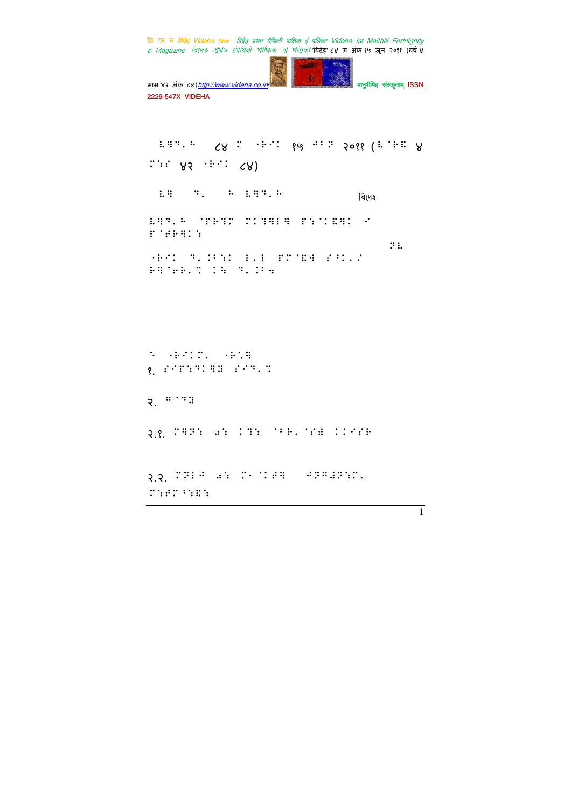ति एप रु विदेह Videha विलरु विदेह प्रथम मैथिली पाक्षिक ई पत्रिका Videha Ist Maithili Fortnightly e Magazine विरफ्त क्षेत्र्य त्योत्रिनी शक्तिक डा शनिकां विदेह ८४ म अंक १५ जून २०११ (वर्ष ४

मास ४२ अंक ८४) http://www.videha.co.ir मानुषीमिह संस्कृताम् ISSN 2229-547X VIDEHA

 $f':f' \vee g2 \rightarrow f':f' \vee g$  $\mathbb{E}[\mathbb{H}^{\times} \times \mathbb{H}^{\times}] = \mathbb{H}^{\times} \times \mathbb{H} \times \mathbb{H}^{\times} \times \mathbb{H}^{\times}$ বিদেহ LAR. P. TERRE CITALLA CENTER P FORESTA  $\mathbb{P}$  i. HERD SUPPORT TO BE TO THE REPORT **FRIED TO DECRETE** 

 $\mathcal{H}=\left\{ \frac{1}{2} \mathcal{H}^2 \mathcal{H}^2 \mathcal{H}^2 \mathcal{H}^2 \right\} \quad \ \ \left\{ \frac{1}{2} \mathcal{H}^2 \mathcal{H}^2 \right\}$  $\sqrt{2}$  :  $\sqrt{2}$  ,  $\sqrt{2}$  ,  $\sqrt{2}$  ,  $\sqrt{2}$  ,  $\sqrt{2}$  ,  $\sqrt{2}$  ,  $\sqrt{2}$  ,  $\sqrt{2}$  ,  $\sqrt{2}$  ,  $\sqrt{2}$ 

 $2^{100}$  =  $100$ 

pe CHPS and CHS (FB, ME COVARE

R.R. CREAT WAS CHILDED. THREEDAD. THET SHEET

 $\mathbf{1}$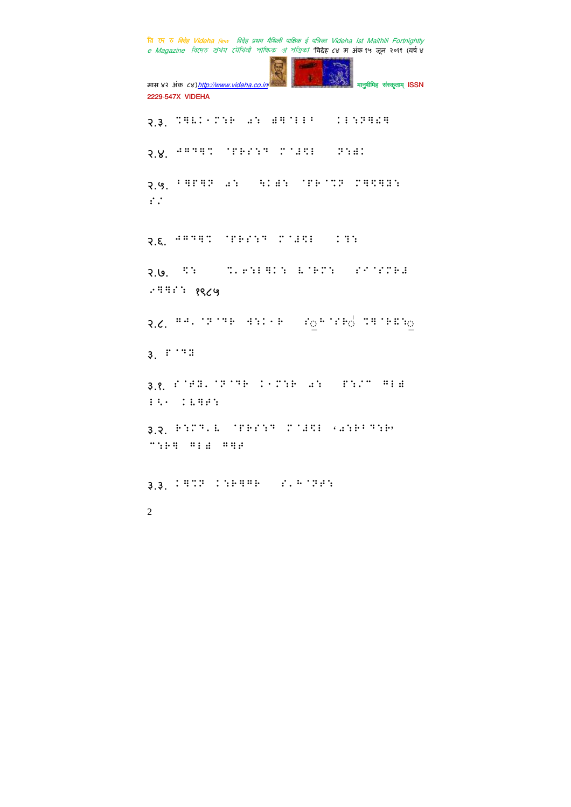| दि एन रु विदेह Videha विलरु विदेह प्रथम मैथिली पाक्षिक ई पत्रिका Videha Ist Maithili Fortnightly<br>e Magazine রিদেহ প্রথম মৌথিনী পাক্ষিক প্র পত্রিকা 'विदेह' ८४ म अंकश्५ जून २०११ (वर्ष ४ |
|--------------------------------------------------------------------------------------------------------------------------------------------------------------------------------------------|
| मास ४२ अंक ८४) http://www.videha.co.in<br>ं मानुषीमिह संस्कृताम् <b>ISSN</b><br>2229-547X VIDEHA                                                                                           |
| 2.3. THEORYTH WAS BRITER ON FACHER                                                                                                                                                         |
| 2.8. 48387 (PEPART DIARE) (PRED                                                                                                                                                            |
| 2.9. FAPAR GG - ACBG - TERTIR CARAGG<br>$\mathcal{L}(\mathcal{L})$                                                                                                                         |
| RIEL (FRANCIS DE PARTIE DE LA PIER                                                                                                                                                         |
| RIG. SA CONTRACTO E TECNOLOGICALE<br>3.444333333                                                                                                                                           |
| aist war is laat as the control databate                                                                                                                                                   |
| $3.$ : $1.3$                                                                                                                                                                               |
| 3.8. PORTLOW THE CHOINE CAN CONNECT HEA<br>FR: 16983                                                                                                                                       |
| 3.2. PACT.E. TERRAT CIARE (2018) 709<br>"WH" #!# ###                                                                                                                                       |
| 3.3. (972) (399996) (2.57285                                                                                                                                                               |
| $\overline{c}$                                                                                                                                                                             |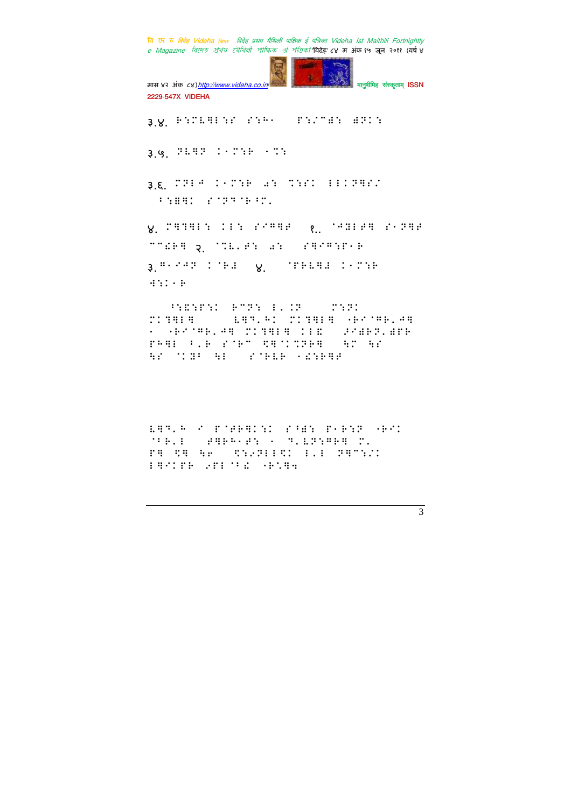ৱি দে হ *विदेह Videha बिल्ब विदेह प्रथम मैथिली पाक्षिक ई पत्रिका Videha Ist Maithili Fortnightly* e Magazine विरमह 'क्षेत्र' रूपैशिवी शोष्क्रिक श्रं शक्तिरं **विदेह' ८४ म अंक १५ जून २०११ (वर्ष ४** 

मास ४२ अंक ८४)http://www.videha.co.in/ मानुसे संस्कृतम् ISSN 2229-547X VIDEHA

# ३.४. ⢷⣑⣇⣛⣑ ⣑⢳\$*.!*⣑)⣞⣑ ⣞⢽ ⣑

३.७. १६९१ - २०१६ - २०१

३.६. ९१० चे १९९७ चे ४१ देवे देवे देवे देवे देवे ⣑⣟⣛ ⢽⢹⢷⢸*\*!*

४. ⣛⣙⣛⣑ ⣑ ⢻⣛⢾*.!*१.. ⢺⣝⢾⣛ \$⢽⣛⢾ ))⣎⢷⣛ २. ⣉⣇⢾⣑ ⣔⣑*!)*⣛ ⢻⣑\$⢷*\*!* ३.<sup>⊞ |</sup> ४. <sup>1</sup> № 3. │ ९. │ 1868. 1968. 1979  $432 + 5$ 

*/!*⢸⣑⣏⣑⣑ ⢷)⢽⣑ ⣈⢽*!.\*⣑⢽ ⣙⣛⣛*^-!\*⣇⣛⢹⢳ ⣙⣛⣛ ⢷ ⢻⢷⢺⣛  $713919$ \$ ⢷ ⢻⢷⢺⣛ ⣙⣛⣛ ⣏*!)*⢼ ⣞⢷⢽⣞⢷ ⢳⣛ ⢷ ⢷) ⣋⣛ ⣉⢽⢷⣛*\*!*⣓ ⣓*/!*  $\frac{1}{2}$  **A**  $\frac{1}{2}$   $\frac{1}{2}$   $\frac{1}{2}$   $\frac{1}{2}$   $\frac{1}{2}$   $\frac{1}{2}$   $\frac{1}{2}$   $\frac{1}{2}$   $\frac{1}{2}$   $\frac{1}{2}$   $\frac{1}{2}$   $\frac{1}{2}$   $\frac{1}{2}$   $\frac{1}{2}$   $\frac{1}{2}$   $\frac{1}{2}$   $\frac{1}{2}$   $\frac{1}{2}$   $\frac{1}{2}$   $\frac{1}{2}$   $\frac{1}{2}$ 

⣇⣛⢹⢳ ⢾⢷⣛ ⣑ ⢸⣞⣑ \$⢷⣑⢽ ⢷ ⢷*-!*⢾⣛⢷⢳\$⢾⣑ \$ ⢹⣇⢽⣑⢻⢷⣛ *!\*!*  $T$ <sup>H</sup>/<sup>2</sup>  $T$ <sup>1</sup>/<sup>2</sup>  $T$ <sup>1</sup>/<sup>2</sup>  $T$ <sup>1</sup>/<sup>2</sup>  $T$ <sup>1</sup>/<sup>2</sup>  $T$ <sup>1</sup>/<sup>2</sup>  $T$ <sup>1</sup>/<sup>2</sup>  $T$ 

 $\pm$  HPI FE  $\pm$  FE  $\pm$  B  $\pm$  HPI He  $\pm$  HPI  $\pm$  HPI  $\pm$  HPI  $\pm$  HPI  $\pm$  HPI  $\pm$  HPI  $\pm$  HPI  $\pm$  HPI  $\pm$  HPI  $\pm$  HPI  $\pm$  HPI  $\pm$  HPI  $\pm$  HPI  $\pm$  HPI  $\pm$  HPI  $\pm$  HPI  $\pm$  HPI  $\pm$  HPI  $\pm$  HPI  $\pm$  HPI  $\pm$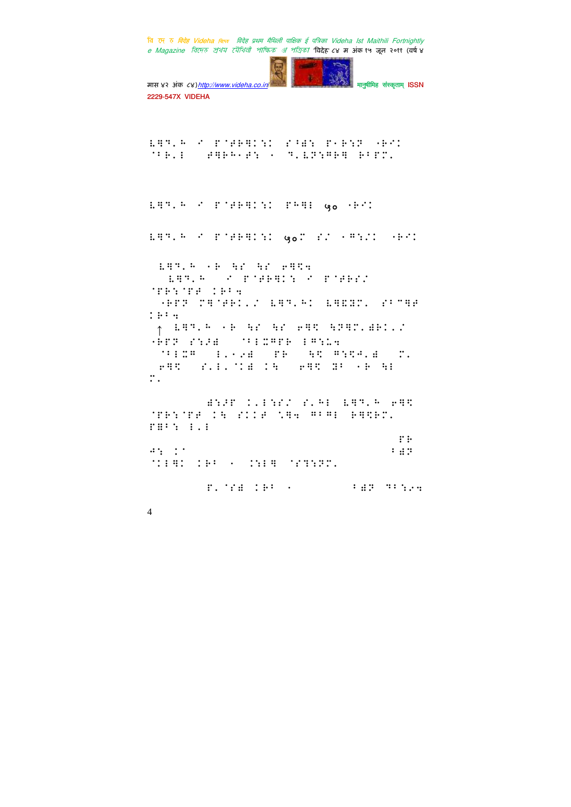ৱি দে হ *विदेह Videha बिल्ब विदेह प्रथम मैथिली पाक्षिक ई पत्रिका Videha Ist Maithili Fortnightly* e Magazine विद्युत्त सेथेंग ट्रॉशिनी शक्तिक अ शंक्रिकां **'विदेह' ८४ म अंक १५ जून २०११ (वर्ष ४** 

मास ४२ अंक ८४)http://www.videha.co.in/ मानुबी के सानुबन्धिक संस्कृताम् ISSN 2229-547X VIDEHA

⣇⣛⢹⢳ ⢾⢷⣛ ⣑ ⢸⣞⣑ \$⢷⣑⢽ ⢷ ⢷*-!*⢾⣛⢷⢳\$⢾⣑ \$ ⢹⣇⢽⣑⢻⢷⣛ ⢷

£97.5 ⁄ PJPRIGI PRRF go (P/I

€§°, € √ \$∫\$€\$;\$; go? \$2 → \$\$2; →6<?

⣇⣛⢹⢳ \$⢷ ⣓ ⣓ ⢶⣛⣋⣒  $\mathcal{F} = \mathbb{E}[\mathbb{H}^T \mathbb{P}, \mathbb{H}^T] = \mathcal{F} = \mathbb{E}[\mathbb{H}^T \mathbb{P}, \mathbb{H}^T \mathbb{P}, \mathbb{H}^T \mathbb{P}, \mathbb{H}^T \mathbb{P}, \mathbb{H}^T \mathbb{P}, \mathbb{H}^T \mathbb{P}, \mathbb{H}^T \mathbb{P}, \mathbb{H}^T \mathbb{P}, \mathbb{H}^T \mathbb{P}, \mathbb{H}^T \mathbb{P}, \mathbb{H}^T \mathbb{P}, \mathbb{H}^T \mathbb{P}, \mathbb$ ⢷⣑⢾ ⢷⣒  $\rightarrow$ PTP (PRIVE) 1997. PD 199101. (25 MBP ⢷⣒ ↑ LAND, POR PROPERT \$PROVING ⢷⢽ ⣑⢼⣞*0!*⣍⢻⢷ ⢻⣑⣅⣒*!!* ⣍⢻*!#*\$⢴⣞*#!*⢷*!#*⣓⣋ ⢻⣑⣋⢺⣞*#!* ⢶⣛⣋*#!* ⣞ ⣓*!#*⢶⣛⣋ ⣝ \$⢷ ⣓*/#!*  $\dddot{\mathbf{r}}$ .

*y/ynm!*⣞⣑⢼ ⣑ ⢳ ⣇⣛⢹⢳ ⢶⣛⣋ ⢷⣑⢾ ⣓ ⢾ ⣁⣛⣒ ⢻⢻ ⢷⣛⣋⢷ FBP 5 (F.F. *iuuq;00sfbefs/hpphmf/dpn0!*⢷

⢺⣑ /*!Bee!b!!Tvctdsjqujpo!*⣞⢽  $\overline{C}$  (1903)  $\overline{C}$   $\overline{C}$   $\overline{C}$   $\overline{C}$   $\overline{C}$   $\overline{C}$   $\overline{C}$   $\overline{C}$   $\overline{C}$   $\overline{C}$   $\overline{C}$   $\overline{C}$   $\overline{C}$   $\overline{C}$   $\overline{C}$   $\overline{C}$   $\overline{C}$   $\overline{C}$   $\overline{C}$   $\overline{C}$   $\overline{C}$   $\overline{C}$   $\overline{C}$ 

*y/ynm!*⣞ ⢷ \$*!Bee!!*⣞⢽ ⢹⣑⢴⣒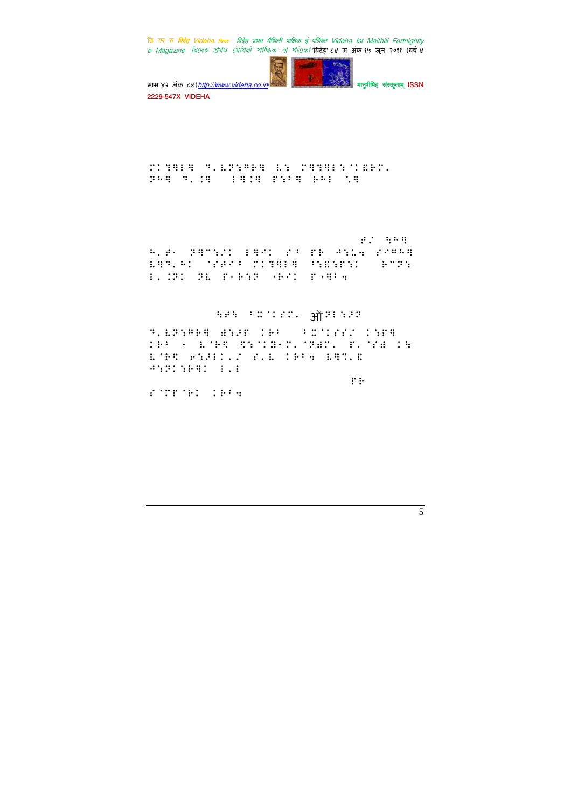ৱি দে হ *विदेह Videha बिल्ब विदेह प्रथम मैथिली पाक्षिक ई पत्रिका Videha Ist Maithili Fortnightly* e Magazine विरमह 'क्षेत्र' रूपैशिवी शोष्क्रिक श्रं शक्तिरं **विदेह' ८४ म अंक १५ जून २०११ (वर्ष ४** 

मास ४२ अंक ८४)http://www.videha.co.in/ मानुबोरी मानुषीमिह संस्कृताम् ISSN 2229-547X VIDEHA

 ⣙⣛⣛ ⢹⣇⢽⣑⢻⢷⣛ ⣇⣑ ⣛⣙⣛⣑ ⣏⢷ ⢽⢳⣛ ⢹⣈⣛*0!*⣛⣈⣛ ⣑⣛ ⢷⢳ ⣁⣛*-!*

*hhbkfoesbAwjefib/dpn\*!*⢾ ⣓⢳⣛  $\overline{b}$  ,  $\overline{d}$  ,  $\overline{d}$  ,  $\overline{d}$  ,  $\overline{d}$  ,  $\overline{d}$  ,  $\overline{d}$  ,  $\overline{d}$  ,  $\overline{d}$  ,  $\overline{d}$  ,  $\overline{d}$  ,  $\overline{d}$  ,  $\overline{d}$  ,  $\overline{d}$  ,  $\overline{d}$  ,  $\overline{d}$  ,  $\overline{d}$  ,  $\overline{d}$  ,  $\overline{d}$  ,  $\overline{d}$  ,  $\$ LAN, M. MERCH, M. MERCH, *0!*⢷)⢽⣑ ⣈⢽ ⢽⣇ \$⢷⣑⢽ ⢷ ⣛⣒*!!*

 $\mathcal{H}$  be a second for  $\mathcal{H}$  and  $\mathcal{H}$ 

⢹⣇⢽⣑⢻⢷⣛ ⣞⣑⢼ ⢷*-!*⣍ ⣑⣛  $\mathtt{Q} \mathtt{B} \mathtt{E} = \mathtt{A} \mathtt{A} \mathtt{A} \mathtt{B} + \mathtt{B} \mathtt{A} \mathtt{A} \mathtt{B} + \mathtt{B} \mathtt{A} \mathtt{A} \mathtt{B} + \mathtt{B} \mathtt{A} \mathtt{B} \mathtt{B} + \mathtt{B} \mathtt{B} \mathtt{B} + \mathtt{B} \mathtt{B} \mathtt{B} + \mathtt{B} \mathtt{B} \mathtt{B} + \mathtt{B} \mathtt{B} \mathtt{B} + \mathtt{B} \mathtt{B} \mathtt{B} + \mathtt{B} \$ L'ES (FR) ESSENCE ⢺⣑⢽ ⣑⢷⣛

*hhbkfoesbAwjefib/dpn!*⢷

 $\mathcal{L}$  (The state of the state of the state of the state of the state of the state of the state of the state of the state of the state of the state of the state of the state of the state of the state of the state of the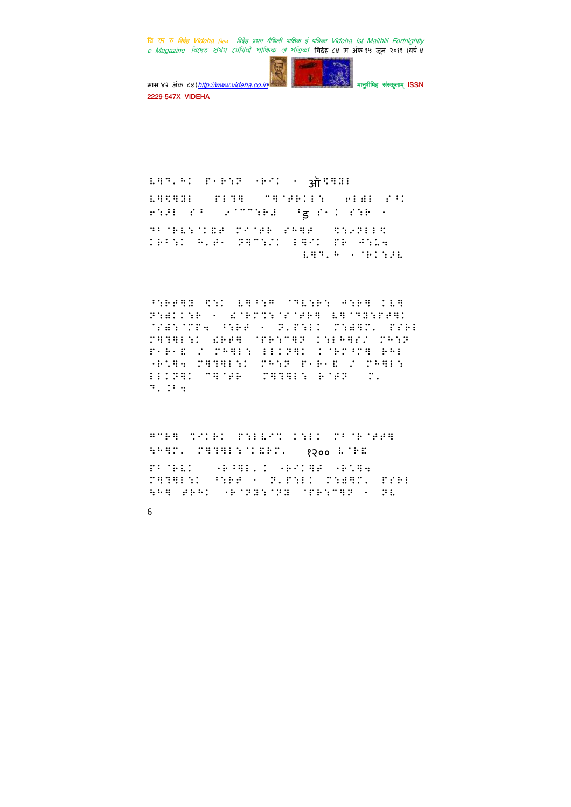ৱি দে হ *विदेह Videha बिल्ब विदेह प्रथम मैथिली पाक्षिक ई पत्रिका Videha Ist Maithili Fortnightly* e Magazine विद्युत्त सेथेंग ट्रॉशिनी शक्तिक अ शंक्रिकां **'विदेह' ८४ म अंक १५ जून २०११ (वर्ष ४** 

मास ४२ अंक ८४)http://www.videha.co.in/ मानुष्यामह संस्कृतम् ISSN 2229-547X VIDEHA

 $\frac{1}{2}$  **5**  $\frac{1}{2}$   $\frac{1}{2}$   $\frac{1}{2}$   $\frac{1}{2}$   $\frac{1}{2}$   $\frac{1}{2}$   $\frac{1}{2}$   $\frac{1}{2}$   $\frac{1}{2}$   $\frac{1}{2}$   $\frac{1}{2}$   $\frac{1}{2}$   $\frac{1}{2}$   $\frac{1}{2}$   $\frac{1}{2}$   $\frac{1}{2}$   $\frac{1}{2}$   $\frac{1}{2}$   $\frac{1}{2}$   $\frac{1}{2}$   $\frac{1}{2}$ ⣇⣛⣋⣛⣝*0!*⣙⣛*0!*)⣛⢾⢷ ⣑*0!*⢶⣞ ⢸ ⢶⣑⢼ ⢸*!)*⢴))⣑⢷⣜*-!*ड़ \$⣈ ⣑⢷ \$ ⢹⢷⣇⣑ ⣏⢾ ⢾⢷ ⢳⣛⢾*\*!*⣋⣑⢴⢽⣋  $\{+\}$   $\{+\}$   $\{+\}$   $\{+\}$   $\{+\}$   $\{+\}$   $\{+\}$   $\{+\}$   $\{+\}$   $\{+\}$   $\{+\}$   $\{+\}$   $\{+\}$   $\{+\}$   $\{+\}$   $\{+\}$   $\{+\}$   $\{+\}$   $\{+\}$   $\{+\}$   $\{+\}$   $\{+\}$   $\{+\}$   $\{+\}$   $\{+\}$   $\{+\}$   $\{+\}$   $\{+\}$   $\{+\}$   $\{+\}$   $\{+\}$   $\{+\}$ *!WJEFIB!BSDIJWF!*⣇⣛⢹⢳ \$⢷ ⣑⢼⣇

⢸⣑⢷⢾⣛⣝ ⣋⣑ ⣇⣛⢸⣑⢻ ⢹⣇⣑⢷⣑ ⢺⣑⢷⣛ ⣇⣛*-!* ⢽⣑⣞ ⣑⢷ \$ ⣎⢷⣉⣑⢾⢷⣛ ⣇⣛⢹⣝⣑⢾⣛ ⣞⣑⣒ ⢸⣑⢷⢾ \$ ⢽⣑ ⣑⣞⣛ ⢷  $\mathcal{L}$  4996  $\mathcal{L}$   $\mathcal{L}$   $\mathcal{L}$   $\mathcal{L}$   $\mathcal{L}$   $\mathcal{L}$   $\mathcal{L}$   $\mathcal{L}$   $\mathcal{L}$   $\mathcal{L}$   $\mathcal{L}$   $\mathcal{L}$   $\mathcal{L}$   $\mathcal{L}$   $\mathcal{L}$   $\mathcal{L}$   $\mathcal{L}$   $\mathcal{L}$   $\mathcal{L}$   $\mathcal{L}$   $\mathcal{L}$   $\mathcal{L}$   $\mathcal{L}$   $F \cdot F \cdot E \cdot T$  ,  $T \cdot F \cdot E \cdot Y$  ,  $T \cdot F \cdot E \cdot T$  ,  $T \cdot F \cdot E \cdot T$  ,  $F \cdot F \cdot E \cdot T$ ⢷⣁⣛⣒ ⣛⣙⣛⣑ ⢳⣑⢽ \$⢷\$⣏ ⢳⣛⣑ ⢽⣛ )⣛⢾⢷*!(*⣛⣙⣛⣑ ⢷⢾⢽*(!* ⢹⣈⣒*!!*

⢻)⢷⣛ ⣉ ⢷ ⣑⣇ ⣉ ⣑ ⢷⢾⢾⣛*-!* ⣓⢳⣛ ⣛⣙⣛⣑ ⣏⢷*!)*१२०० ⣇⢷⣏ ⢷⣇ *\*!*⢷⢸⣛⣈ ⢷ ⣛⢾ ⢷⣁⣛⣒ ⣛⣙⣛⣑ ⢸⣑⢷⢾ \$ ⢽⣑ ⣑⣞⣛ ⢷ ⣓⢳⣛ ⢾⢷⢳ ⢷⢽⣝⣑⢽⣝ ⢷⣑)⣛⢽ \$ ⢽⣇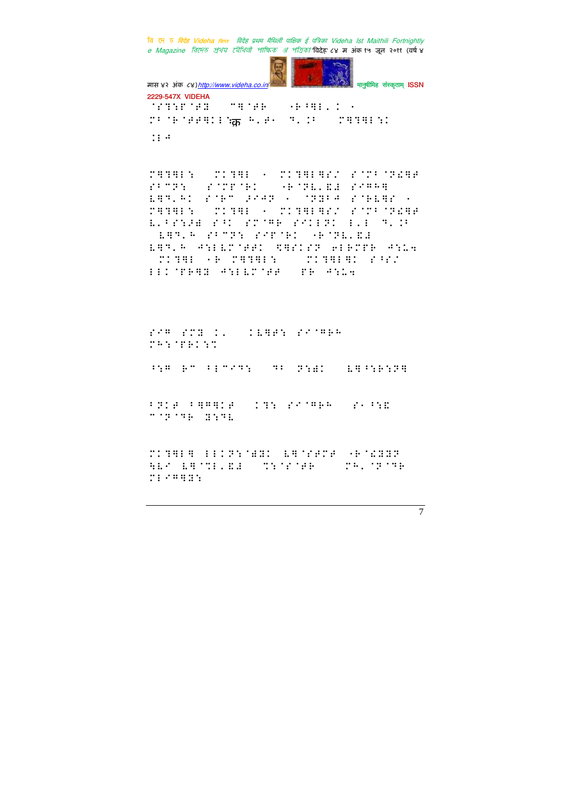$\mathcal{L} \mathcal{L} \mathbf{H} = \mathcal{L} \mathcal{L} \mathcal{L} \mathcal{L} = \mathcal{L} \mathcal{L} \mathcal{L} \mathcal{L} \mathcal{L} \mathcal{L} + \mathcal{L} \mathcal{L} \mathcal{L} \mathcal{L} \mathcal{L} \mathcal{L} \mathcal{L} \mathcal{L} + \mathcal{L} \mathcal{L} \mathcal{L} \mathcal{L} \mathcal{L} \mathcal{L} \mathcal{L} \mathcal{L} \mathcal{L} \mathcal{L} \mathcal{L} \mathcal{L} \mathcal{L} \mathcal{L} \mathcal{L} \$ ⢳⣑⢷ ⣑⣉*!3/83&!!)55!wpuft\*!!!!* ⢸⣑⢻ ⢷) ) ⢹⣑*!)*⢹ ⢽⣑⣞ *\*.*⣇⣛⢸⣑⢷⣑⢽⣛ ⢽ ⢾ ⣛⢻⣛ ⢾*!)* ⣙⣑ ⢻⢷⢳*\*.*\$⢸⣑⣏ )⢽⢹⢷ ⣝⣑⢹⣇*!26/77&!!)364!* ⣙⣛⣛ ⢽⣑⣞⣝ ⣇⣛⢾⢾ ⢷⣎⣝⣝⢽ ⣓⣇ ⣇⣛⣉⣏⣜*!)*⣉⣑⢾⢷*\*!.*⢳⢽⢹⢷ ⢻⣛⣝⣑*!3/34&!!)47!wpuft\*!!!!*

 $\mathcal{L}$  **Here**  $\mathcal{L}$  $\mathcal{L}$  $\mathcal{L}$  $\mathcal{L}$   $\mathcal{L}$   $\mathcal{L}$   $\mathcal{L}$   $\mathcal{L}$   $\mathcal{L}$   $\mathcal{L}$   $\mathcal{L}$   $\mathcal{L}$   $\mathcal{L}$   $\mathcal{L}$   $\mathcal{L}$   $\mathcal{L}$   $\mathcal{L}$   $\mathcal{L}$   $\mathcal{L}$   $\mathcal{L}$   $\mathcal{L}$   $\mathcal{L}$   $\mathcal{L}$ )⢽⣑*-!*⢷ *-!*⢷⢽⣇⣏⣜ ⢻⢳⣛ ⣇⣛⢹⢳ ⢷) ⢼ ⢺⢽ \$ ⢽⣝⢺ ⢷⣇⣛ \$ ⣛⣙⣛⣑*-!* **GREE & CONTREPSIES** LURING AN ADMENTION OF BUT ANY  $\texttt{H} = \texttt{H} \cdot \texttt{H} \cdot \texttt{H} \cdot \texttt{H} \cdot \texttt{H} \cdot \texttt{H} \cdot \texttt{H} \cdot \texttt{H} \cdot \texttt{H} \cdot \texttt{H} \cdot \texttt{H} \cdot \texttt{H} \cdot \texttt{H} \cdot \texttt{H} \cdot \texttt{H} \cdot \texttt{H} \cdot \texttt{H} \cdot \texttt{H} \cdot \texttt{H} \cdot \texttt{H} \cdot \texttt{H} \cdot \texttt{H} \cdot \texttt{H} \cdot \texttt{H} \cdot \texttt{H} \cdot \texttt{H} \cdot \texttt{H}$ ⣇⣛⢹⢳ ⢺⣑⣇⢾⢾ ⣋⣛ ⢽ ⢶⢷⢷ ⢺⣑⣅⣒ ⣙⣛ \$⢷ ⣛⣙⣛⣑*#!)* ⣙⣛⣛ ⢸ ⢷⣛⣝ ⢺⣑⣇⢾⢾*\*!*⢷ ⢺⣑⣅⣒

2229-547X VIDEHA ⣙⣑⢾⣝*-!*)⣛⢾⢷*-!*⢷⢸⣛⣈ \$  $\mathbb{P}^{\mathsf{L}}$  (The Market Eugenberg Burden Burden Burden Burden Burden Burden Burden Burden Burden Burden Burden Burden Burden Burden Burden Burden Burden Burden Burden Burden Burden Burden Burden Burden Burden Burden Bu ⣈⢺*(!!*

ৱি দে হ *विदेह Videha बिल्ब विदेह प्रथम मैथिली पाक्षिक ई पत्रिका Videha Ist Maithili Fortnightly* e Magazine विरमह 'क्षेत्र' रूपैशिवी शोष्क्रिक श्रं शक्तिरं **विदेह' ८४ म अंक १५ जून २०११ (वर्ष ४** 

मास ४२ अंक ८४)http://www.videha.co.in/ मानुसी मानुषीमिह संस्कृताम् ISSN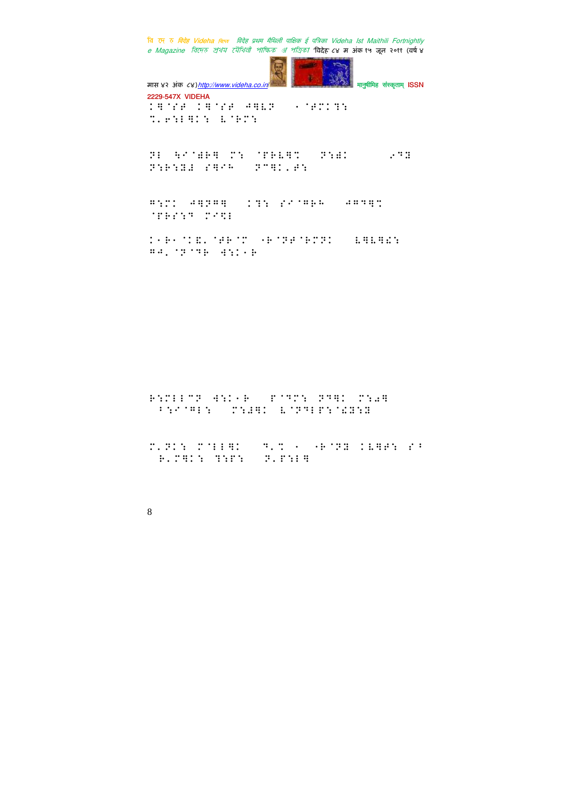त्रि एप रु विदेह Videha बिलर विदेह प्रथम मैथिली पाक्षिक ई पत्रिका Videha Ist Maithili Fortnightly e Magazine विर्फल क्षेत्र्य त्योशिती शाक्षिक श्रे शतिकां 'विदेह' ८४ म अंक १५ जून २०११ (वर्ष ४

मास ४२ अंक ८४) http://www.videha.co.in मानुषीमिह संस्कृताम् ISSN 2229-547X VIDEHA **CRIPE CRIPPS AREA (AMPLIFY** T. PHECK EMPITY PE ASSARE TA SPELET (PAAL) ( 278

FARABB PROF. FORDURA

#571 #82#8 (195 Primer ###83 TERMIT TANK

INDUCTION THE TECHNICAL TECHNIC CONDUCT ##, thimp (451) B

PATERNE HALFE CENTTA PTHIC TASH  $\begin{minipage}{0.9\linewidth} \begin{tabular}{l} \multicolumn{2}{c}{\textbf{\textit{1}}}\\ \multicolumn{2}{c}{\textbf{\textit{2}}}\\ \multicolumn{2}{c}{\textbf{\textit{2}}}\\ \multicolumn{2}{c}{\textbf{\textit{3}}}\\ \multicolumn{2}{c}{\textbf{\textit{4}}}\\ \multicolumn{2}{c}{\textbf{\textit{5}}}\\ \multicolumn{2}{c}{\textbf{\textit{5}}}\\ \multicolumn{2}{c}{\textbf{\textit{6}}}\\ \multicolumn{2}{c}{\textbf{\textit{7}}} \end{tabular} \end{minipage} \begin{minipage}{0.9\linewidth} \begin{$ 

TURIN THERE SAUDES SENDENTERN PR **B.THIN TAPA SP.PAIR**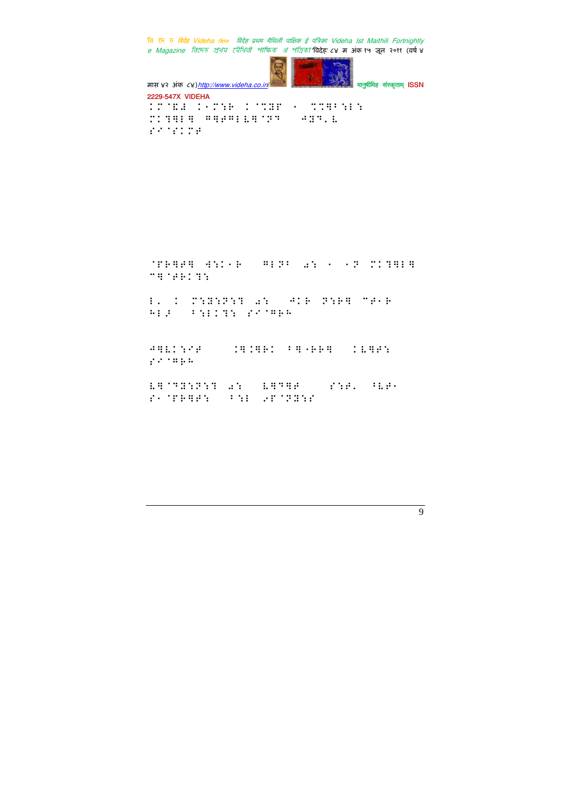ति एप रु विदेह Videha विलरु विदेह प्रथम मैथिली पाक्षिक ई पत्रिका Videha Ist Maithili Fortnightly e Magazine *রিদেচ* প্রথম মৌথিনী পাক্ষিক *প্র* পত্রিকা' **বিदेह' ८४ म अंक १५ जून २०११ (वर्ष ४ North Committee of Committee of Committee of the Committee of Committee of the Committee of the Committee of the Committee of the Committee of the Committee of the Committee of the Committee of the Committee of the Commit** 

| मास ४२ अंक ८४)http://www.videha.co.in/ | मानुषीमिह संस्कृताम् <b>ISSN</b> |
|----------------------------------------|----------------------------------|
| 2229-547X VIDEHA                       |                                  |
| :::::: ::::: :::::: : :::: : :::::::   |                                  |
|                                        |                                  |
| and and the                            |                                  |

**TERMINE NATURE CONTROL AND CONFIDENT MATHEMA** 

 $\mathbb{E}[\mathcal{L}^{\pm}(\mathcal{L}^{\pm})]$  , the measurem and  $\mathcal{L}^{\pm}$  and  $\mathcal{L}^{\pm}$  , then the measurem and the measurem of the measurem of the measurem of the measurem of the measurem of the measurem of the measurem of the me

HALLAYE CONTACTED FASHER COLARES  $\mathbb{R}^{2n \times 2}$  is in .

LA CADADAD (23) CLASHE COOPARD CALPY 7. September - Parl Georganiz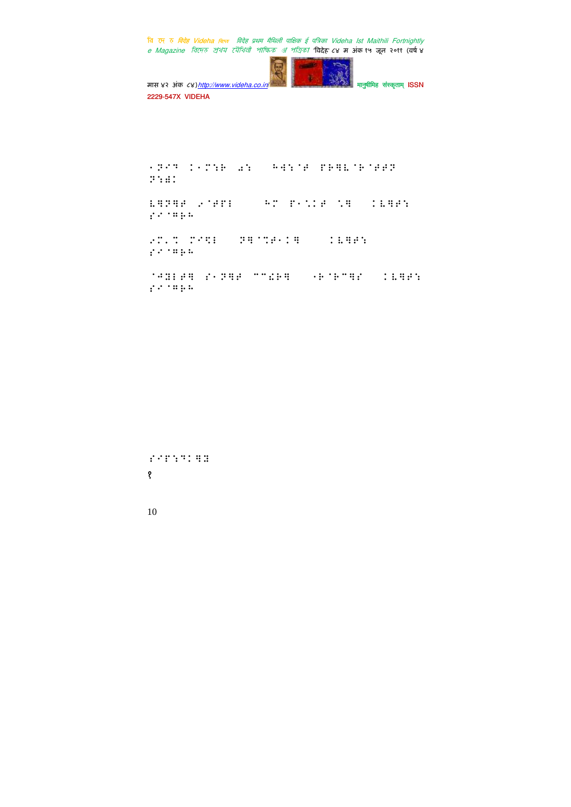ति एप रु विदेह Videha विलरु विदेह प्रथम मैथिली पाक्षिक ई पत्रिका Videha Ist Maithili Fortnightly e Magazine विरफ्त संशय त्यैथिवी शक्तिक श्रे शतिकां 'विदेह' ८४ म अंक १५ जून २०११ (वर्ष ४

मानुषीमिह संस्कृताम् ISSN मास ४२ अंक ८४) http://www.videha.co.in 2229-547X VIDEHA

**Ga** 

 $+247$  (1)  $754$  (and  $-445$  (f) Test (F-100) Phal

ERPRESINTED STATES WIRE NR STEREN  $\varphi$  and  $\varphi$  and  $\varphi$ 

STUTUTERE SPECTALLES CONARY  $\varphi$  and the map in (

TAGERA YARAK TTERA (ARTETAY) (1898)  $\varphi$  in the map of  $\varphi$ 

 $177777783$  $\gamma$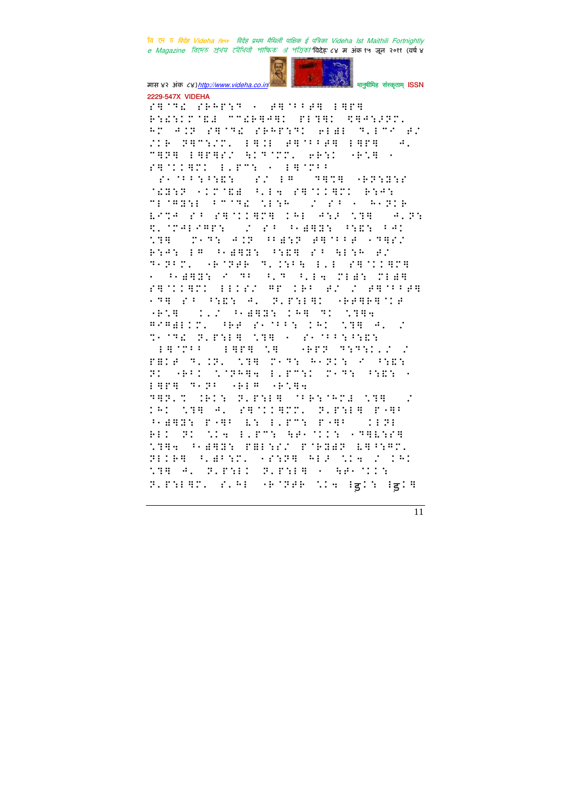#### मानुषीमिह संस्कृताम ISSN मास ४२ अंक ८४) http://www.videha.co.in 2229-547X VIDEHA

FAIRS FERRY - FAIRING LAPS BAZAIDARE TTZBARAI PENAI RARAZRO. AT AIR PETER PEATHT WEBE THETA BY 216 PAMAZE, EASE AANGAAR EAPA (A) MARA LAPARI ALMITI, PENI (PENA). FROM REVOLUTION OF BUILDING

TEBAR FILTER PLEASER TILBED BARA TECHNIC POSTA SENEO ZOBRO CORPOR ERDA VER VARIOSADA SPECIANA NORDU ALDN EL TEALVARY (2012) PARAGEMENT PARK (FAD the control and then about the theory 8545 18 9-4835 9588 29 5158 92 SARATI ARABAR SUINAR BIB YARATIRTA **A PARTY COMPACT PROPERTY IN THE CONSTRUCT** PROVINCI BEVEZ PROVER BY 2 BROADER PRESENTATION CONTROL PROPERTIE  $\left\{ \frac{1}{2}, \frac{1}{2}, \frac{1}{2}, \frac{1}{2}, \ldots, \frac{1}{2}, \frac{1}{2}, \frac{1}{2}, \frac{1}{2}, \frac{1}{2}, \frac{1}{2}, \frac{1}{2}, \frac{1}{2}, \frac{1}{2}, \frac{1}{2}, \frac{1}{2}, \frac{1}{2}, \frac{1}{2}, \frac{1}{2}, \frac{1}{2}, \frac{1}{2}, \frac{1}{2}, \frac{1}{2}, \frac{1}{2}, \frac{1}{2}, \frac{1}{2}, \frac{1}{2}, \frac{1}{2}, \frac{1}{2}, \frac{1}{2}, \frac{1}{2}, \frac$ #2##ECTL PE# POSTER CROSSER #2 2  $\mathbb{T} \leftarrow \mathbb{T} \left( \mathbb{T} \right) \cup \mathbb{T} \left( \mathbb{T} \right) \cup \mathbb{T} \left( \mathbb{T} \right) \cup \mathbb{T} \left( \mathbb{T} \right) \cup \mathbb{T} \left( \mathbb{T} \right) \cup \mathbb{T} \left( \mathbb{T} \right) \cup \mathbb{T} \left( \mathbb{T} \right) \cup \mathbb{T} \left( \mathbb{T} \right) \right)$ SAMPLE SAMPLINE (GAMP PAPALLIN) FEDERAL DR. STERN PARTY AND NO AN INEN BI SPILL CORPORATION IN THE PART OF 1989 9-20 (AND ) 45194 **PRPLIC CECA PLEADRE CORACHER CORPORATION** IRI NEBUA, PROVIETT, PLENER ESPE  $\begin{minipage}{0.9\linewidth} \begin{tabular}{l} \hline \textbf{1} & \textbf{2} & \textbf{3} & \textbf{4} & \textbf{5} \\ \hline \textbf{2} & \textbf{3} & \textbf{4} & \textbf{5} & \textbf{6} & \textbf{6} \\ \textbf{3} & \textbf{4} & \textbf{5} & \textbf{6} & \textbf{6} \\ \textbf{4} & \textbf{5} & \textbf{6} & \textbf{6} & \textbf{6} \\ \textbf{5} & \textbf{6} & \textbf{6} & \textbf{6} & \textbf{6} \\ \textbf{6} & \textbf{$ BED SI NIN ELETY REPORTS PRESER STRA PORTUG PREGEN PORTUE ERPIRT.

PECHA PUBPATU PEAPA PER NIA 2019 NTH AL PUPAID PUPAIH A ABACTIC PLENEROL SLAET HESPEE SIN Egin EgiR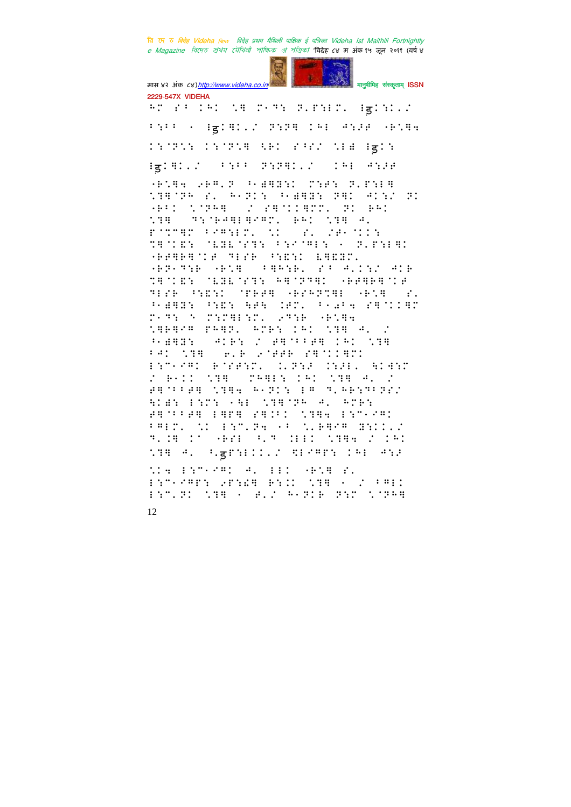मानुषीमिह संस्कृताम ISSN मास ४२ अंक ८४) http://www.videha.co.in 2229-547X VIDEHA PECAS IPICAR POST PURBER SENIOR FGFF - Eglacio PGPB CPE PGPP (PSSB) CATRON CATRON ARC VERVIOLE RECA Eg: 81.2 (1999) 25281.2 (1991) 4528  $\left\{ \begin{array}{ll} \left\{ \begin{array}{ll} 0 & \text{if } \mathbb{R}^2 \times \mathbb{R}^2 \times \mathbb{R}^2 \times \mathbb{R}^2 \times \mathbb{R}^2 \times \mathbb{R}^2 \times \mathbb{R}^2 \times \mathbb{R} \times \mathbb{R} \times \mathbb{R} \times \mathbb{R} \times \mathbb{R} \times \mathbb{R} \times \mathbb{R} \times \mathbb{R} \times \mathbb{R} \times \mathbb{R} \times \mathbb{R} \times \mathbb{R} \times \mathbb{R} \times \mathbb{R} \times \mathbb{R} \times$ 19878-21 PARIS PARAS 281 PINT 21 HERO STRAHOL 20 YEAR STRAIN RECENT POTTED FRAGED, IN SEA DEPOIN **CHAMBY ALBEAMY FRAMERY AND PRESS** SEPRETIE TEEN PEDICATES. GRAPH GRAM COMPANY ROCAL MIR THOIRT CEALOGAN ANOTHER CHANNELOGY MERE MARTI TERRE (RRAMMER (RRS) R. PERMIT PART ARA JRT. PERPETTER reals ramary, when avail NHEHAR PRHP. ROEN CROSSHE R.C. PERMIT CONTRACT PROPERTY AT CATE 991 539 7 EGOVINE ESPEGNO (LOGAR COVE) ADAGO 2 8911 538 78815 181 538 91 7 PETER PERSONAL PROVINCE CONTRACTORY 5185 FSTS (58) 198725 41 5765 #8788#8 18F8 28D81 1884 1578781 FRED. NI EATLES AF NURBER BAILLY **P. IN IT HEAR P. P. HEAR NINE 2008** 1980-A. P. Barness L. C. Resman Come (And MERCENTRY PROJECT (PASSED) ENTERPEN STACK END ATHOL COUPLY

BANGAL SAMUA SALI PARLE ANI SAMU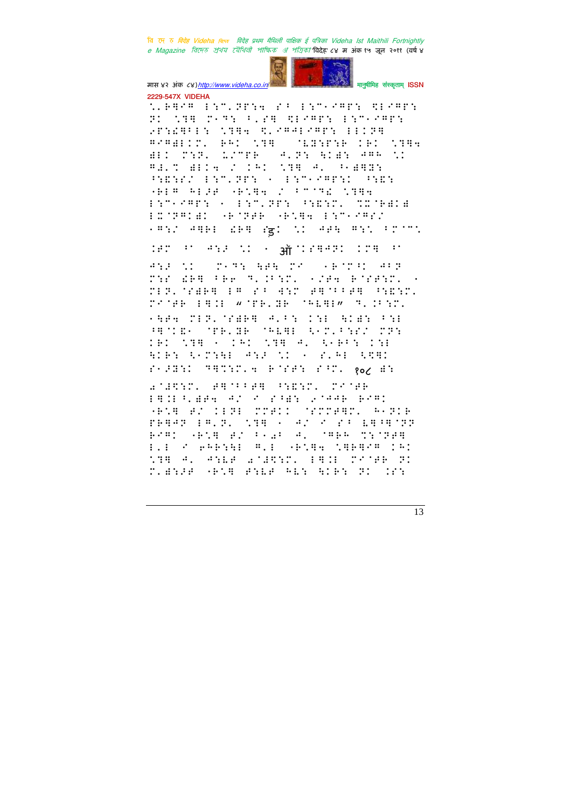मास ४२ अंक ८४) http://www.videha.co.in

953 511

मानुषीमिह संस्कृताम ISSN

2229-547X VIDEHA N. BRARO ENTIGENHOUSE (ENT) ARENO REAREN BI SAN DIRI PILEN REPART ESTIMATE  $27329115/7799/7279427975/111799$ #P#ditr. PAI STR. TESTIF IFI STRA BED TAR. LOTER (9.95 ADBS 998 ST **PALIT BELACTIONS AND ARRIVED BEACH** PERSON EST. PES A CESTAMPES COSES HER REPEATENCY FOUR AND ESTRAPES ROBATIONS CONSTITUTIONS EDSPPIED (FRONTRE FRONTRE ENTERPRIS

197 P. PAR NI - ATTERPRISTER P

THE GRACIER SUPPLIES AND PARADIC bia. Trake lie (r) and service (neno. TRIPP ERIC WITH, HE INSTEAD TO PAIN.

PRINCIPALE ARE PERSONAL PRESENTATIONS

 $\left( \frac{1}{2} \right) \left( \frac{1}{2} \right) \frac{1}{2} \left( \frac{1}{2} \right) \frac{1}{2} \left( \frac{1}{2} \right) \left( \frac{1}{2} \right) \left( \frac{1}{2} \right) \frac{1}{2} \left( \frac{1}{2} \right) \left( \frac{1}{2} \right) \frac{1}{2} \left( \frac{1}{2} \right) \frac{1}{2} \left( \frac{1}{2} \right) \frac{1}{2} \left( \frac{1}{2} \right) \left( \frac{1}{2} \right) \frac{1}{2} \left( \frac{1}{2} \right) \frac$ 

(500) 717, 72809 (0.95) 151 (5185) 951 **PRINTER TERLIB TREBE REDUCEDED DRY** 191 \198 \ 191 \198 \, L \999 \ 191 8185 SYDSBI #53 NI + 2181 SSSBI FRANCIS PETERLA BOFFET FAT. 80% AR

GOURNEY, PROFESE PRESE, PROPE ENCEPTED AN AUGUST 2000 PART RESULTAN DIPERSONAL MENDEPITY ARDEN FERRE ERLIEL NIR (8) RIC CO PACER TRE BRAND SENATORI PICAR CAL CARBA TESTRAR E.E. 7 PRESENT R.E. (P.18) SHERFT IRI 1980-A. ANDELSMARNT, ERIE TKIRE PI T.BYJE (FRIE BYLE REY RIPY BI 12Y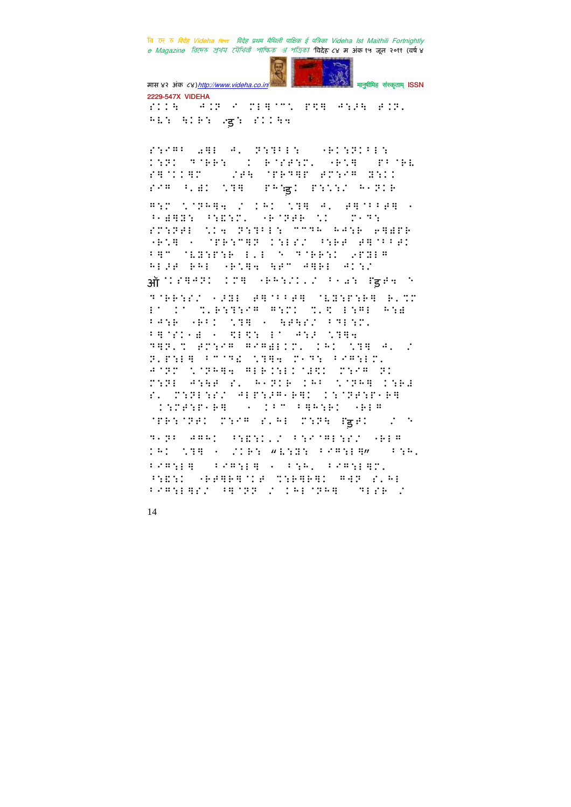मानुषीमिह संस्कृताम ISSN मास ४२ अंक ८४) http://www.videha.co.in 2229-547X VIDEHA FILE (FILE FOTER) TV PRESENTED PER RIPE SERVICIPE

 $\label{eq:3.1} \mathcal{L}^{\alpha} \mathcal{L}^{\beta} \mathcal{H}^{\beta} = \mathcal{L}^{\beta} \mathcal{L}^{\beta} \mathcal{H}^{\beta} \mathcal{H}^{\beta} \mathcal{H}^{\beta} \mathcal{H}^{\beta} \mathcal{H}^{\beta} \mathcal{H}^{\beta} \mathcal{H}^{\beta} \mathcal{H}^{\beta} \mathcal{H}^{\beta} \mathcal{H}^{\beta} \mathcal{H}^{\beta} \mathcal{H}^{\beta} \mathcal{H}^{\beta} \mathcal{H}^{\beta} \mathcal{H}^{\beta} \mathcal{H}^{\beta}$ aname Gabish, dhoebas selholeh.<br>1901 heten (18enami) ekobs erine. 

com suad the contago pataconsole **PERRY PRESS, PROPERTY**  $-7.75$ 

进程的 人名英格兰姓氏 的复数的过去分词 法人工法律的利益法律 医 MIN PATERN TTTP PANE PHERB FAT TESTIFY IN SUPPLIES AND P

RESPONSE (PROBACHET PRESS) POSS an Marent Core (Personal Practical Service)

STEEDS FREE FULLER TERRITER E.T. ET IT TURNEVA ANTI TUR ENAE ANE i Anglija (1991.)<br>Pangelija (1999.) – Agagy Pingnol<br>Pangyagy (1998.) – Anglijaa **PERIT ADNABLAZABBIDI INI NEBUAL I** F.F.H. P. P. T.R. (1998) TVPS PARSET. anar Shakey Aferdinasi Trake ali<br>Taal aase ku kusie ist Shirake inad F. TARPATZ HETAPP-BHI INTRATERH CATANEGAR (CACCAPT PRESED) (BER TERNISHI PARE PLAN PASA PERIODI NO

**T.P. ARAD REELLY FEATHERS ORER** TRI STE O STED WEDER FRAGER ...  $\mathbb{R}^n$  is the point of  $\mathbb{R}^n$  $\mathbb{E}\left[\mathcal{L}^{\frac{1}{2}}\mathbb{E}\left[\mathcal{L}^{\frac{1}{2}}\right]\right]=\mathbb{E}\left[\mathcal{L}^{\frac{1}{2}}\mathbb{E}\left[\mathcal{L}^{\frac{1}{2}}\right]\right]=\mathbb{E}\left[\mathcal{L}^{\frac{1}{2}}\mathbb{E}\left[\mathcal{L}^{\frac{1}{2}}\right]\right]=\mathbb{E}\left[\mathcal{L}^{\frac{1}{2}}\mathbb{E}\left[\mathcal{L}^{\frac{1}{2}}\right]\right]=\mathbb{E}\left[\mathcal{L}^{\frac{1}{2}}\mathbb{E}\left[\mathcal{$ PARAD (PRANDAMOR OSPANNO PAR 2001) FRANCISCO PERSONAL CALIBATI (1912) 2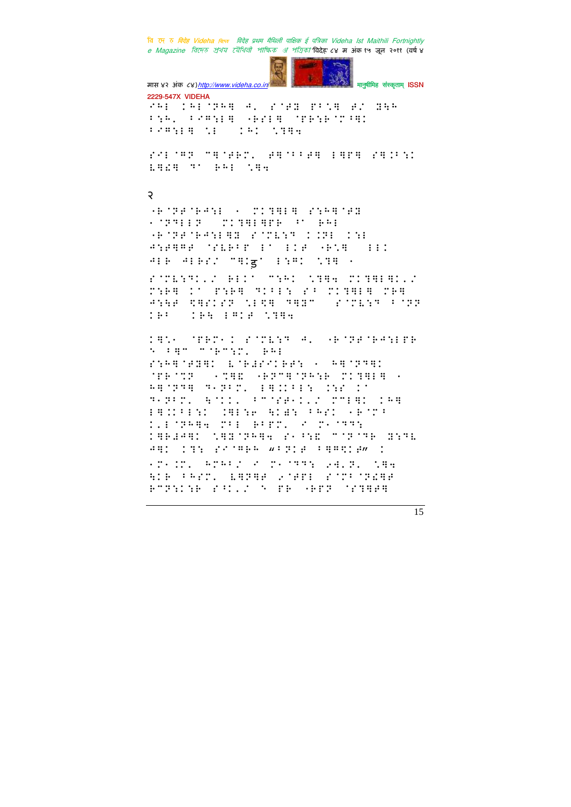# मानुषीमिह संस्कृताम् ISSN मास ४२ अंक ८४) http://www.videha.co.in 2229-547X VIDEHA **FRANCISCO (FRANCISCO PARADOR)**

PALORE TROPED, PROFER LAPR PROPO 1919 77 951 599

## २

 $\begin{array}{cccccccccccccc} \mathbf{AB} & \mathbf{AB} & \mathbf{AB} & \mathbf{AB} & \mathbf{AB} & \mathbf{AB} & \mathbf{AB} & \mathbf{AB} & \mathbf{AB} & \mathbf{AB} & \mathbf{AB} & \mathbf{AB} & \mathbf{AB} & \mathbf{AB} & \mathbf{AB} & \mathbf{AB} & \mathbf{AB} & \mathbf{AB} & \mathbf{AB} & \mathbf{AB} & \mathbf{AB} & \mathbf{AB} & \mathbf{AB} & \mathbf{AB} & \mathbf{AB} & \mathbf{AB} & \mathbf{AB} & \mathbf{AB} & \mathbf{AB} & \mathbf{AB} &$  $\begin{minipage}{.4\linewidth} \begin{tabular}{l} \multicolumn{2}{c}{\textbf{0.1}} \end{tabular} \begin{tabular}{l} \multicolumn{2}{c}{\textbf{0.1}} \end{tabular} \begin{tabular}{l} \multicolumn{2}{c}{\textbf{0.1}} \end{tabular} \begin{tabular}{l} \multicolumn{2}{c}{\textbf{0.1}} \end{tabular} \end{minipage} \begin{tabular}{l} \multicolumn{2}{c}{\textbf{0.1}} \end{tabular} \begin{tabular}{l} \multicolumn{2}{c}{\textbf{0.1}} \end{tabular} \end{minipage} \begin{tabular}{l}$ SE TRATESERO (VITENTO I IREO INE)<br>SNARHA (TVERET ET) EI AOSENA (CEEI) HER HERRY TRIGO ENRICANELY

ROTENTICO BEIO MARI CATRA TITRETICO CARA (C) PARA MITIA 27 CITATA CRA.<br>PARA RAZIZA NIRA MAGO -2 NOLAM FIDA **TEP (TER ESTE CREW** 

1953 (TERDS 1) ESTRATORE ORIGINATION<br>Noten (Titenatio RAE) FARBINEED ECHEFYLERY ( PROPER) **MEETING ANNEL APPENDENTE CONNER A** RATURA SPORT PROPERTY OF ST HADRIEL BOILL ROOMBRILL COMPRISE FULLENT CURRE ADEN PART (FROM ILENGARA THE BRET. POTSITER DARGAAD SABIYAAA 2009 MEETING MARK KTRIT, ATACS TRINGER 24.72 NAM ADE PAPP, LAPPAR STAPE PITPITREAR BORNING RADUCTS PROVERT CRIBBE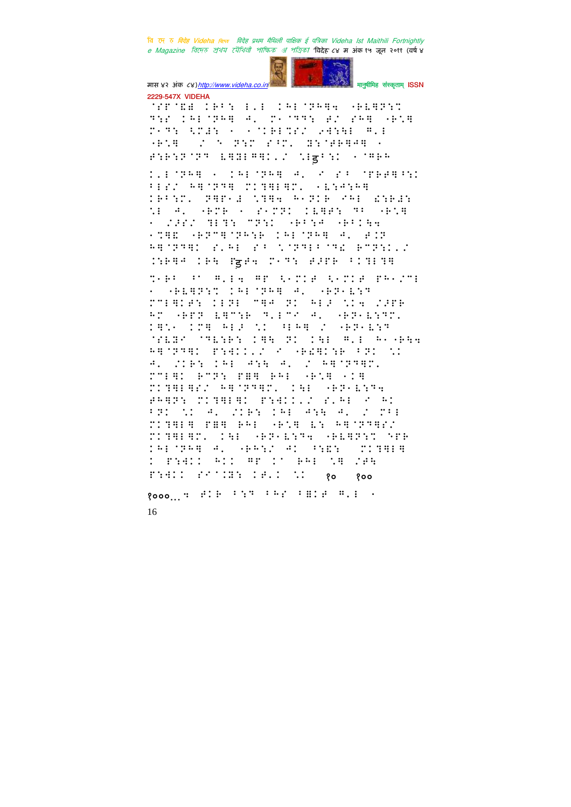त्रि एन रु विदेह Videha बिलर विदेह प्रथम मैथिली पाक्षिक ई पत्रिका Videha Ist Maithili Fortnightly e Magazine विरमूरु शेश्य त्यैथिनी शोष्किक श्री शक्तिको 'विदेह' ८४ म अंकश्श जून २०११ (वर्ष ४

#### मानुषीमिह संस्कृताम ISSN मास ४२ अंक ८४) http://www.videha.co.in 2229-547X VIDEHA

TERMINE COPEN BLACK DRIMPHAL (PERMIT sar Terree al rissan 22 200 450 TARY ATEN A AMERICA SENEURIE  $\left\{ \frac{1}{2} \left( \frac{1}{2} \right)^2 \left( \frac{1}{2} \right)^2 \left( \frac{1}{2} \right)^2 \left( \frac{1}{2} \right)^2 \left( \frac{1}{2} \right)^2 \left( \frac{1}{2} \right)^2 \left( \frac{1}{2} \right)^2 \left( \frac{1}{2} \right)^2 \left( \frac{1}{2} \right)^2 \left( \frac{1}{2} \right)^2 \left( \frac{1}{2} \right)^2 \left( \frac{1}{2} \right)^2 \left( \frac{1}{2} \right)^2 \left( \frac{1}{2} \right)^2 \left( \frac{1}{2} \right)^$ PARABIST LEDERELLY MEGIND CORP-

TIE MORAL AND THE MORAL AND AND MONETARY  $\begin{minipage}{0.99\textwidth} \begin{tabular}{@{}c@{}} \hline \textbf{1} & \textbf{2} & \textbf{3} & \textbf{4} & \textbf{5} \\ \hline \textbf{2} & \textbf{3} & \textbf{5} & \textbf{6} & \textbf{7} & \textbf{8} \\ \textbf{5} & \textbf{6} & \textbf{7} & \textbf{7} & \textbf{8} \\ \textbf{6} & \textbf{7} & \textbf{8} & \textbf{8} & \textbf{9} \\ \textbf{8} & \textbf{9} & \textbf{1} & \textbf{1} & \textbf{1} \\ \textbf{1$ TEPATL PHP-3 STRAIN-PLPIE PHP WARDA NE PART FETER FOR THE CEREWORK PROPERTY  $\sim$  2222 MHTP 7251 (APSA) APIIAN  $+790$  /  $+9779$   $+79449$  /  $+194$   $+7949$  /  $+1$   $-4$   $+17$ RESPONSIVE PROVIDING PORTLAND TERRA CER PERA TARE RAPE POSESE

THE POST RIEG RESULTED ANDIE ERVICE PTERDAN (EPE) TRANSDORES NON VIRE RT (FRTP ERTIE TOETA ROOFER-ENTIC **DRIVE DORMAN AND STATE OF PERSONA** hridk (talses caa di car al eviese PRINTED PARILLY POPERTAR FRION 91 2195 194 955 91 2 99579921 TTERI BTPS FER BREAKSREADR 21991922 5978982, 191 59851599 #8823 2138181 FS411.2 F.91 7 91 FRIDAD AL 2195 191 455 41 2020 MINHER PAR PRESSPIRE EN PRINTER. TITHERT, INE (FRINATH (FRIRIT STR THE TRANS ALL CHANNEL AT CANERA CONTRESS I PARIS RID RESISTARE SE ZER FAMILY FACING INSIDES  $8^{\circ}$ १००

8000 N FIB FAT FAY FEIR F.E. .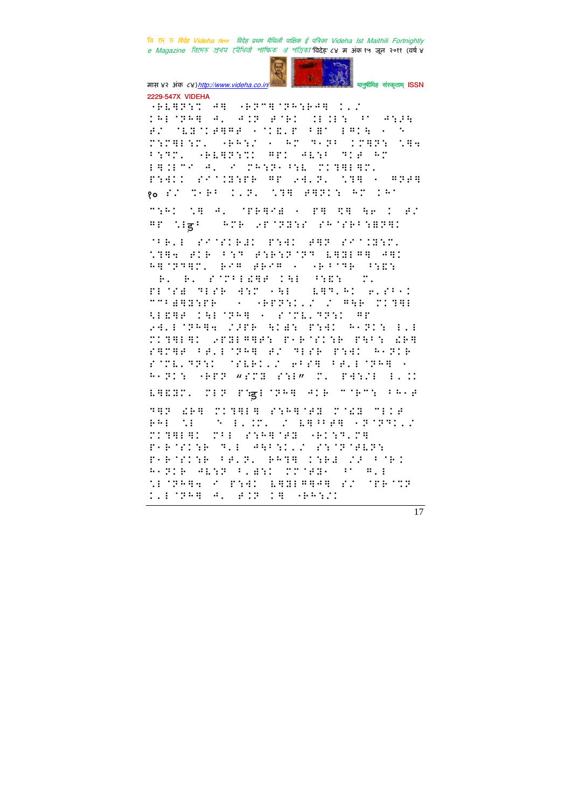मानुषीमिह संस्कृताम ISSN मास ४२ अंक ८४) http://www.videha.co.in 2229-547X VIDEHA 1917998 AL AIR AND IN NO ANDA BOOTLETIBURG STIELE FUNCTURES SON TATELAT, SPAAT SUBT TOTAL ITERA ARE FART. GELEPATI PEL PEAR SIE RU PRINTS ALL SUPERFIELD TIMERT. FARIO CALLOSER PE 24.2. ANNO 19224 00 FA THE CLEW STE PERIN AT IAN TARD AN AL CORPORATION ON ARTIST CONT PE MET POR VENERAL PROPERTY MELE PROPIES PART PRESPONDED. STRA 2018 FST 258512727 LANIPA 241 **ARITHMEN PAR PEAR & APITTE THEY** (B. B. KORFERN (AF PADY) I.<br>NOMER PEMBORAT (AF) (BRP.P) B.MP. PETER TEEP HAT SAFE TTEMBREE - FOREFRILL COPBE TIBB AFERE CALCERY ACCOUNTED BE 24.179594 22PB ADdi Pidd Argii 1.1 CONTROL STOLENDAY PRESIDENT PRESS WHAT PACAR PRINTED AC MEPHODIAL PLOT FOTEL FRAID CELEDUC GREEK RELEATER OF 5.215 (FFF WEDERTH C. PENCE E.C EREST, TEP PORT THE RIF TOPTS FROM **PRP ARR CONTROL PARRIER COAR TELE FREE ABOUT** PINHERD PRESCRIPTED SECTION PORTECTS TO PURPHELIC PETROPERS FOR THINK OFFICE. (BRIB) INFORMATION 89918 4159 F.BSI 227836 FT 9.1 NESPHA (K. 1941), EABERAAN VV. STESIN<br>1930-1944 (A. Vend (14), Aergyn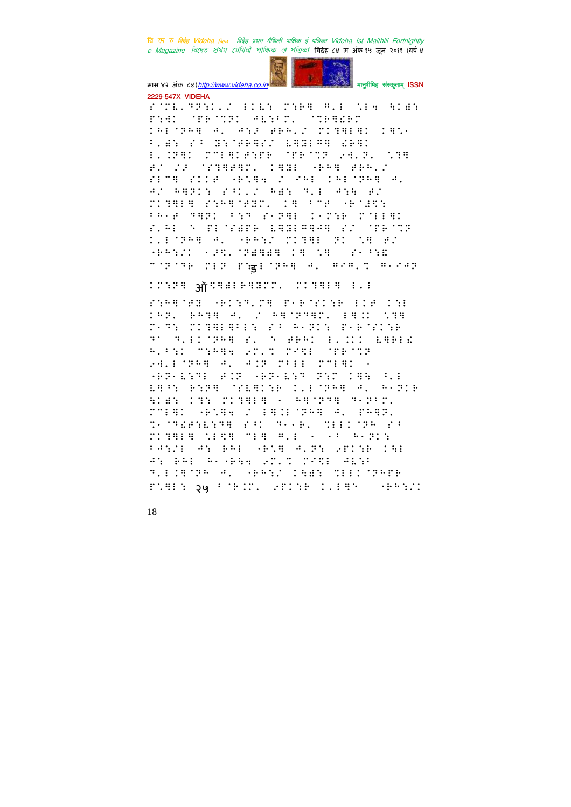मानुषीमिह संस्कृताम् ISSN

## मास ४२ अंक ८४) http://www.videha.co.in 2229-547X VIDEHA

FOTELPRAILS BIEN TARR P.E. MEN RINA 1994: March Morting, Michigan (b. 1988)<br>1941: Maret Mort, Arabisc, Moreager<br>1941: Mean All, Angliaer (b. 1919) and Mort F. BY F.F. BYTERNEY LANDER GRAD EL 1991 (DME9195FB) (PROTROVALD, CT99  $\sim$  20  $\sim$  2008/002, 2008, 2008, 2009, 2006, 2  $\mathcal{C}$  : FETH FILE (FETH) 200410014107840041 92 99215 FRI2 983 711 955 92 CONNER CAPACHED, ON STATE SPORTS FRAME PROTECTS AND PARTICULAR DESIGN \*\*::#: FURTHER TEST FOR THE REPORT OF  $\sim$  100 100 IVE TRANSPALS (PEANS CONNERS RISK) ARS HERNI FRIDRIHA IN SA PE TOP OF CHECK PART OFF CALCULAR CONVAR

## 

PARTNER (FRIAM, DR. P. B. POIAB, RIVE) IAR 197. F978 9. Z 987790. E811 538 PARA CONTROLLER SOME RADIO EXPOSSE <sup>á</sup>n álbidée 22 s eksportur membra R.P.N. TARBA GOLD CARE TERMOR HER ENTER WITH HER ENT DAT (1980) F.E ENTER PAPE COENCAPTIVE CREW H. PHORE 8185 195 219818 - 587278 7-212. PTERD (FNRH) 2 (ERIE 1898) 91 (PRRS) FRANK RACERS (FRANCH) PACK (FRANCH) AN ERICH (From 2010) CARE (ALN) SUE DESPACIAL CORRAZ COREA SIEL SPAPE FUREN QQ FOR DEL SELNE ILLERY (1999)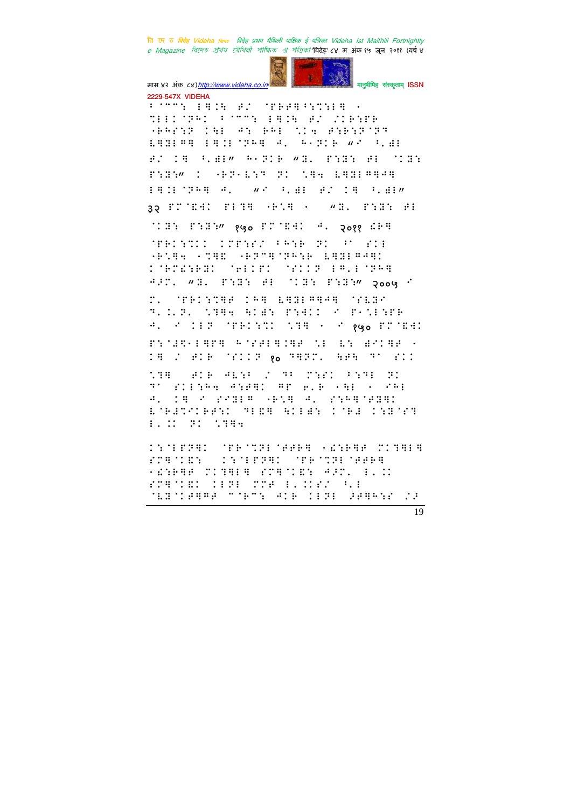मास ४२ अंक ८४) http://www.videha.co.in मानुषीमिह संस्कृताम ISSN 2229-547X VIDEHA discrete communicate and nuever HERENO CAL AN EAL SCA PAPARTOR ENSINH INCLUSIVE REPORT OF A STATE AND RESIDENT #2 19 9.41% + #1919 wH. FAHA #1 71HA FANA : (FFF(1)9) F1 (F6) 19319999 ERGE 1988 (9) ( with the Europe of Health 30 FUNDAL FEST (PLS) ( WH. FABA FE WEBSTERS (90 FUNES) #1 2000 EPR MERINDIS IPPNEZ PANE PI PO ELL I SETANEGI (SHIIPI) SYIIP (ERLESPER 437. WH. FRHE #F (1HR FRHEW Dook \* P. TERINTHE INH ENDINGER TREPS S. L.B. (1994) ALBA FABIL / F. D. MEADE R. P. DER TERLATI NAH R. P. 096 EDIERI FACURAL REPORTED RICHARDS AND UNIVERSITY THE 2008FEMPTITE RoomHERD, ARABITECTI VIR PRINCIPALITY OF THE PITT OF THE di preses asemi drivue car cien  $\mathcal{A}_{\mathcal{A}}=\left\{ \begin{array}{ccc} \mathcal{A}_{\mathcal{A}} & \mathcal{A}_{\mathcal{A}} & \mathcal{A}_{\mathcal{A}} & \mathcal{A}_{\mathcal{A}} & \mathcal{A}_{\mathcal{A}} & \mathcal{A}_{\mathcal{A}} & \mathcal{A}_{\mathcal{A}} & \mathcal{A}_{\mathcal{A}} & \mathcal{A}_{\mathcal{A}} & \mathcal{A}_{\mathcal{A}} & \mathcal{A}_{\mathcal{A}} & \mathcal{A}_{\mathcal{A}} & \mathcal{A}_{\mathcal{A}} & \mathcal{A}_{\mathcal{A}} & \mathcal{A}_{\mathcal{A}} & \math$ L'ESTRIERNI MICH ANISNO L'ESCONDIVI 1.11 31 5389 **CAMPERS MEETING MARKET FRANCH STREET** FTH MEN CONNECTED ON METHODS  $+239999$  TIMES YTSTEN APPLE FILM FUELLO DE PERSONAL DEL PRE

TEBOLAREA TORTA ALE LEGE GARRAYO

 $1<sub>0</sub>$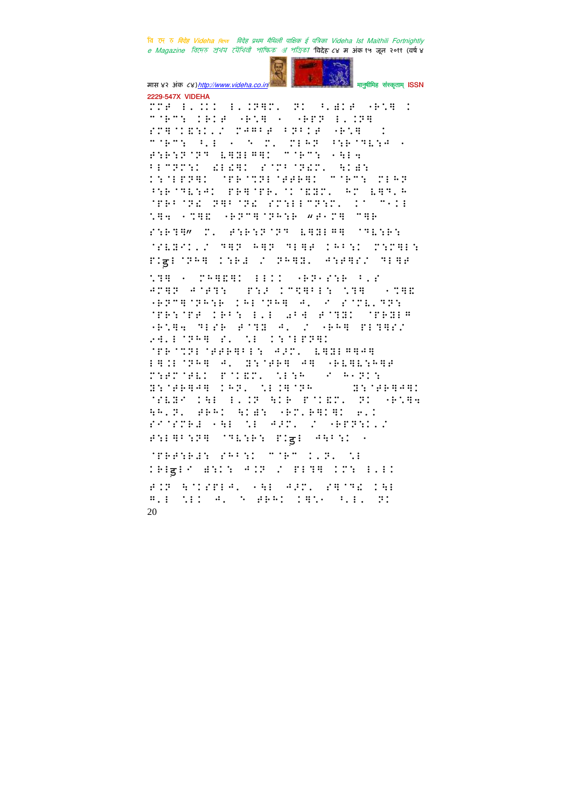## मानुषीमिह संस्कृताम ISSN मास ४२ अंक ८४) http://www.videha.co.in 2229-547X VIDEHA

MA BIGIO BIGARRI AL PIGGIA (PARCI TORTA CRIP (PASE ) (PREP. EL 189 FTBSIENIUM TARFE FRIIE (FELB) I MORTS RIE A SAMPLE PERPORTED BY FYRYPIDE ENGINEER TIPTY (HIG FETERAL GEGHL STRITERER, ALBA INSTRUMENT SERVICE SERVED CONTROL DEPE FIRSTNING PROTECTIONING AN EST.A nike nis (palines) kinaalmean. Sin shira **NHH FINE FERTHINGEN WEITH THE** FARTHWORK FARAFITT LUBBUR (TEARY

TELECTIC PROPERTY REAL IPENIODICALS FIEL TEAR CONFUS CONFUSIONABLES AND

**VIRGO CARERO EELL GERGEE FLE** PORT POPTS CONTROL ONE SAN AND CHOR (PRINTINGEN 1917) 299 (4) (2) 20121-223 TERNITA CAPA ELE GRANATIS TERSER 38599 MEDE 8798 M. Z 3859 PENNIS 24.17999 P. M. CE INTERNI  $\begin{minipage}{.4\linewidth} \begin{tabular}{l} \hline \multicolumn{3}{c}{\textbf{7.1}} \end{tabular} \end{minipage} \begin{minipage}{.4\linewidth} \begin{tabular}{l} \hline \multicolumn{3}{c}{\textbf{7.2}} \end{tabular} \end{minipage} \begin{minipage}{.4\linewidth} \begin{tabular}{l} \hline \multicolumn{3}{c}{\textbf{7.3}} \end{tabular} \end{minipage} \end{minipage} \begin{minipage}{.4\linewidth} \begin{tabular}{l} \hline \multicolumn{3}{c}{\textbf{8.3}} \end{tabular} \end{minipage} \$ FRIENZAR 4, BYNER 48 (FERENAR THAT WALL SECURITY CHANNEL STORAGED SPECIAL EVID ALE POINT DI SANGA 55.7. FRS. 5131 (FT.FT.T) :. PROPORA (FREUGEN APOLICO) (RESPOSSION 

**TERPIRES PROVIDED IN SACTION** THERE HALA FOR 2 PERPOINT ELEC

FIR ANITHER FAIL FRI. PRIME INE #1: MED #1 N #B#1 1#N (All 20 20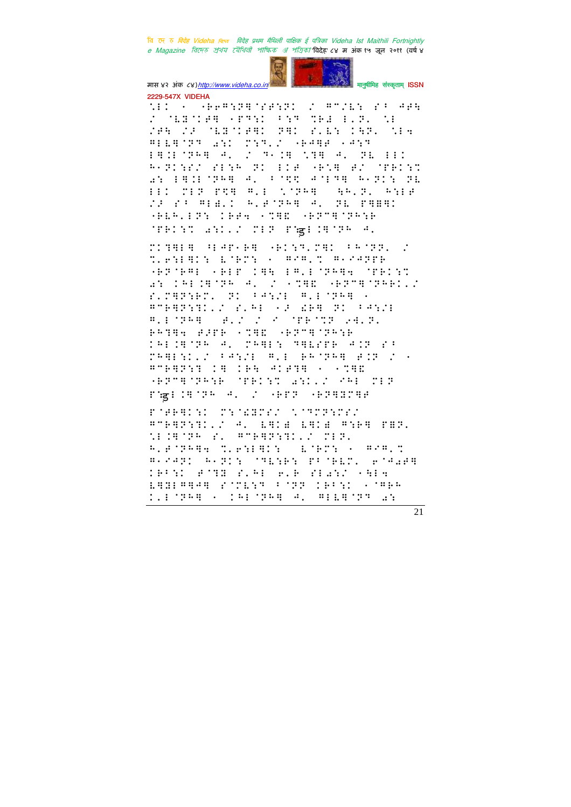#### मानुषीमिह संस्कृताम् ISSN मास ४२ अंक ८४) http://www.videha.co.in 2229-547X VIDEHA

MED A SABARYZHINENZI Z RTZEN ZA RAN 20 MEDICAR FRANCISCO TELEVISION THE TRUNK WARD HE START IS THE CAPACIT PELBISH AND PNS. CORPER CRAN FRIDGER 4, 2003-18-538-4, PE-FEI ROBINEZ VENNA BI BIJE GRAN BAD MERIND 25 FRIDGES AL FORD ANDRE FARINGE EED TEP PRESENT STREET ARTRO ANEW 22 YEAR REALTO RUNARATOR, CREATHERD TERINT WALLIE THE FORECHOOD

T.PHETH EMPTY A BAR.T BARRER (PRIPER (FRIENDRAFT) ERLEICHER (IPPIGT GS (19139785) 42 2 3 398 (3985878991222 PUTAPINET, PI PANJE ALEMPAA V #7842591.2 2.41 +2.484 21 + +521 RIPORAL BLOCK CORPORAGIA PRINCE PAPE (FINE (FPTH) PRIN 19110-09 91 CRABS SALER 918 23 PARENTLY FANZE RUE BATTAR BIR 200 #764211 14 164 41644 - - - 140 HERMANNER MEEDER WELLINGER VER FGELISTEN AL 2 (FFF) (FFSITER

FORESING TENSPECT AUSTRICE POPRESTIVA PLANED BRIDGE PAPE FRE. ME CHICKE STATE AND HIS CONTROLLER.  $\mathcal{H}_\lambda(\mathcal{G},\mathcal{G},\mathcal{G},\mathcal{G})=\mathcal{H}_\lambda(\mathcal{G},\mathcal{G},\mathcal{G})=\mathcal{H}_\lambda(\mathcal{G},\mathcal{G},\mathcal{G})=\mathcal{H}_\lambda(\mathcal{G},\mathcal{G},\mathcal{G})$ #PRAPI #PRIN TRENEN PROBET. PORPH IPPOL POTE PLAT PLATERING AREA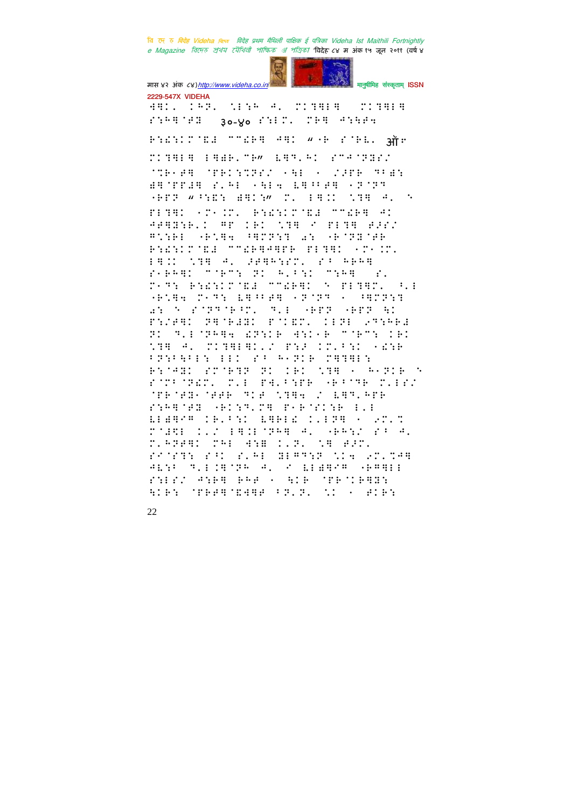

**TIER AND TERLATARY RANGER STRAIN** BRITTER PLAT (ABEA) ERPERT (PIPE 

FINED ATACTIC PARALTYRE TTREE AL REBOYELD RESIENSIONER POPINHOURSES PINE HEIR PETENT AN HEIRING PACALOGE STEPHENE PERMIT VOLUM 1911 1998 41 2895121 23 5559 PARABI TERTY RI ALENI TYPE (2) PARA BASALDING TTEBHI NORTHRY, P.E. an Scriptibur, the Gerbo Brack: PROFINI POINT, 1191 275914 **PACHBI** PI P.ESPPHE EPSIE HSIKE TSPTS IEI MTH AL TITHERICA PAR ITLEND FEND FRAFRICA III (23) 8-218 20001 BANADI PUNBUP PI IBI NUBU KUAKPIBUN POTE CRETIC TIES PALENTES (FRECTR) TIEPO TERMED MEER TOE NOOR IN LOCATE FARBING (FOATLING PERSONAR BLB) LEWARTH CHIANNEL LABBER COLEMB (3) STUD DIGRESS.D. ERGENBRUG, SPRAD BRUG. T. PRESS TRESSANE C. P. STEPHET. PAIRTY PAIL PLACE BEATER NIME PTLTAR ALSO MULTIMORE AL 20 LEAGUE (PRAID) FALES ANDER DRE SCHIDE STESSORERS ACES (FEBRUARER PRINT) NO PORTER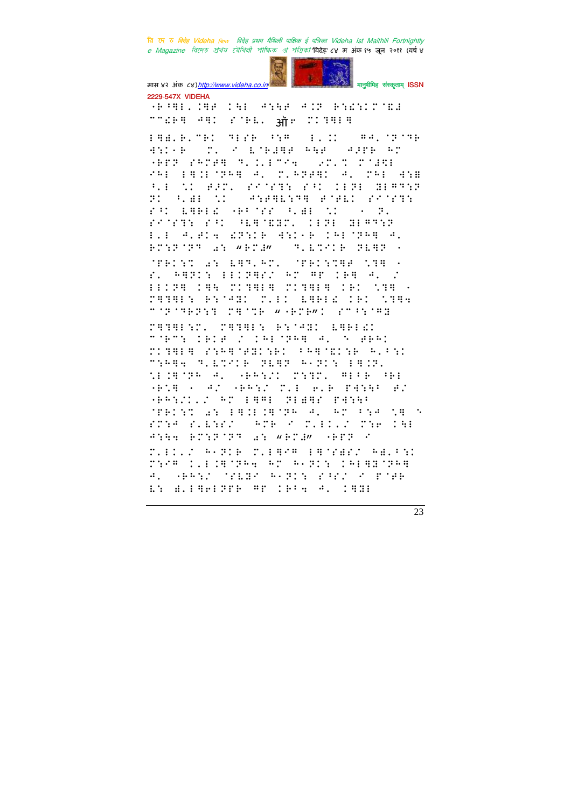## मास ४२ अंक ८४) http://www.videha.co.in मानुषीमिह संस्कृताम ISSN 2229-547X VIDEHA REPRESIRE INFORMATE AIR BABAICARE

TTERS AST FORM STREET

PHELBOTED TESH (158)  $\vdots$  : : : :  $\sim$  a.e., in particular AND FRONT CONTRACTOR PARTY APPROACH HER PATER RULLETAN ( FT.T TIME) PRESERVE TRANSPORTATION OF STARS AND ALE AL BAT, YANYEN YAN ILEH GERRAF PIC FLAB (NIC) PREPENDED ESPEL ENSERE PAC EMPERIMENTED AVEC NO CAMPA PROPERTY CONTRACTORS, CERE SHOPPIR EVER AVAIN SOME NAMES FOR MORE AV BUNGANG SERIKAN DENGAN  $H$ . A THIS SECTION  $H$ 

MEECHT WA ERPLAT, MEECHTRE NTROV F. PHRIN HILBREN PROPE IPROP. C **BECAR CRECKSTREE WORRER CROCKTRON** CHINES PACHOL CLED ENFER CEL SINA TOP DEPART TROTH WHETEN CONTROLS

FUTURENT, FUTUREN BASSURI EUREKA TORTA IRIR Z IREOPAR AL S REAL TITHER PARKTHOLARI PROTEINE RUPAI TARBA P.ETKIR PERP ROBIN ERIP. NEIBNEAD (APANNI CATO) PEPE PE.<br>1953: 1969 PA (APAN) CLE PLE CATAPI BY HERICLY FT LARE SLARE PANEL TERINT WAS ENTERED FOR THE PARTNERS. PUGA PLEGPA (AUB) PODICIA UGB CAR HARRY BOARDON WAS WEDDED FROM THE T.B.C. A.T.B. T.BACK BATTERS ABLANT nase ili dengag an ayun daleberga p AL PERSONALDO REDIS PARO O TORR EN BLIMPEDED ME TRIA AL THOR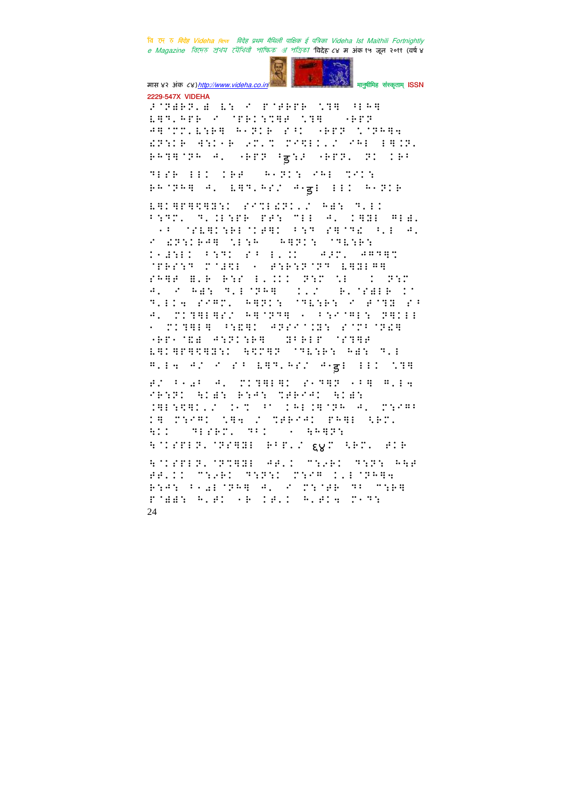## मानुषीमिह संस्कृताम ISSN मास ४२ अंक ८४) http://www.videha.co.in 2229-547X VIDEHA

FOREST BOARD CONFERENCES HAR ERRIADE VOLTDEINIRE VIR 1998<br>HRITISENER AVDIELD VED VIRDA EPACE AND FESTIVAL PARED IN APRILEMENT. ERTENDRICH, GEDEUTgab Gebeuten der

HERB EED CHA (A)PIN PAE TRIN PROPERTY, EBS, PEZ, Prg1, 111, PrP1P

LACAPARANI PROBEDICI PENORIC FART, RUSSER PEACHED ALCOHOL PEB.  $\mathcal{A}(\mathcal{X}) = \mathcal{A}(\mathcal{X}) \mathcal{A}(\mathcal{X}) \mathcal{A}(\mathcal{X}) \mathcal{A}(\mathcal{X}) = \mathcal{A}(\mathcal{X}) \mathcal{A}(\mathcal{X}) \mathcal{A}(\mathcal{X}) = \mathcal{A}(\mathcal{X}) \mathcal{A}(\mathcal{X}) \mathcal{A}(\mathcal{X})$ K 2011-PHR 1155 - PROTECTIVE 198111 FEB 23 LLC 927, 9933 **TERCIA CONSEL A REVISION LABRAS** PARA BIA ANY ELOI PNO NE LO PNO SIZ B. YALEST 中, 不一些由在一件, 的过去年的 R.E.G. PART. PRRIN CRENEN A PORT PA #1 21391922 #87238 + +587815 28111  $\sim$  213919 (PAD91) 93231185 (213) 7329  $\left\{ \frac{1}{2} \right\}$  and  $\left\{ \frac{1}{2} \right\}$  and  $\left\{ \frac{1}{2} \right\}$  and  $\left\{ \frac{1}{2} \right\}$  and  $\left\{ \frac{1}{2} \right\}$  and  $\left\{ \frac{1}{2} \right\}$  and  $\left\{ \frac{1}{2} \right\}$ LACAPARAGNI SKUAR (1915)65 SAN 19.1 PLEAS AND ASSOCIATED PRINT ARGUMENT CORP.

BOOK ALCOHOL: PINESE CONTROLLER PLEA KENSI BIAN ENAN TEEKAT BIAN **CHEARBLES CONTROLS IN CHECHISPH CALL STARBS** 19 TACHI ANG 2 TABRAI PANI ABD. ALL TEPPL TO STATED RODARES, OPAREE (PERLO &VOL SPOL) BOR

FFILIO MARKET MARAI CRASH ILLE MRAHA BARA PAGE MERE ROOM TAMBE PROTABE rian sur ca tailed sur 24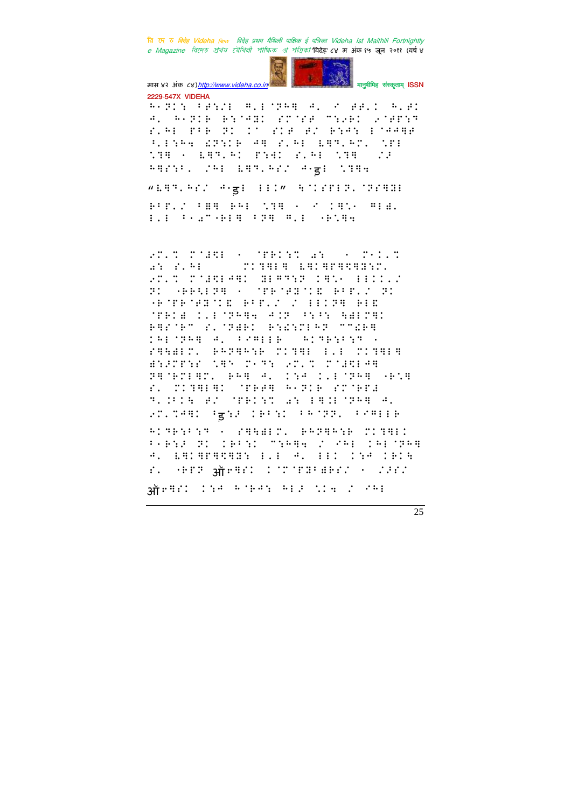### मानुषीमिह संस्कृताम ISSN मास ४२ अंक ८४) http://www.videha.co.in 2229-547X VIDEHA

89915 FEST PLETPER PLOTER (FOR A. A. P. B. BATABI SEDISA (DAVBI) VIAPAT PLAIN PRESIDENT PORT AN ANALISTA ARE 3.1555 22515 38 2.51 189.57. 581 MARCH LEADERS PART PLAIN MARCH  $\therefore$ PROFIL OFFICERS POST Prg: 12889

WEBS. FELO HOBE (EELW) A MOTEL SUPPREE

**BATLIN ABRIGARY NIRE AND NORTH AREA**  $\mathbb{E}$  ,  $\mathbb{E}$  ,  $\mathbb{E}$  ,  $\mathbb{E}$  ,  $\mathbb{E}$  ,  $\mathbb{E}$  ,  $\mathbb{E}$  ,  $\mathbb{E}$  ,  $\mathbb{E}$  ,  $\mathbb{E}$  ,  $\mathbb{E}$  ,  $\mathbb{E}$  ,  $\mathbb{E}$  ,  $\mathbb{E}$  ,  $\mathbb{E}$  ,  $\mathbb{E}$  ,  $\mathbb{E}$  ,  $\mathbb{E}$  ,  $\mathbb{E}$  ,  $\mathbb{E}$  ,

ATUS TARE A SERIES WELL A TALLS  $\mathcal{L}(\mathcal{C}) = \mathcal{C}(\mathcal{C}) = \mathcal{C}(\mathcal{C}) = \mathcal{C}(\mathcal{C}) = \mathcal{C}(\mathcal{C}) = \mathcal{C}(\mathcal{C}) = \mathcal{C}(\mathcal{C}) = \mathcal{C}(\mathcal{C}) = \mathcal{C}(\mathcal{C}) = \mathcal{C}(\mathcal{C}) = \mathcal{C}(\mathcal{C}) = \mathcal{C}(\mathcal{C}) = \mathcal{C}(\mathcal{C}) = \mathcal{C}(\mathcal{C}) = \mathcal{C}(\mathcal{C}) = \mathcal{C}(\mathcal{C}) = \mathcal{C}(\mathcal{C})$ HENTENHANIA BET. ZO ZOBECH BER TERIA ILETRANA AIR PEPERANENT PARTNER RUSSELL PARATERS TORPE FARBIT, PROBREM COMMISSION COMMIS BASTEAR NEW THREE STUDY TOBERRE 114 111 1248 (124  $\begin{bmatrix} 2 & 4 & 1 & 1 & 1 & 1 & 1 \\ 1 & 1 & 1 & 1 & 1 & 1 & 1 \\ 1 & 1 & 1 & 1 & 1 & 1 & 1 \\ 1 & 1 & 1 & 1 & 1 & 1 & 1 \\ 1 & 1 & 1 & 1 & 1 & 1 & 1 \\ 1 & 1 & 1 & 1 & 1 & 1 & 1 \\ 1 & 1 & 1 & 1 & 1 & 1 & 1 \\ 1 & 1 & 1 & 1 & 1 & 1 & 1 \\ 1 & 1 & 1 & 1 & 1 & 1 & 1 \\ 1 & 1 & 1 & 1 & 1 & 1 & 1 \\ 1 &$ F. TIMBURI MERBUAYAIR FUNRI RUDIE BOOTEEINT AN IBOUTER RO STUDENT PERSONAL PROPERTIES

ACTES STORY CHANNER, APPRAISE CONTROL FRENCH DI CEPNI MARBA 2008E CRESPRE P. ERINFRUNS E.E. P. EEI ISP IEIR su (Herd ghead) conceptable of case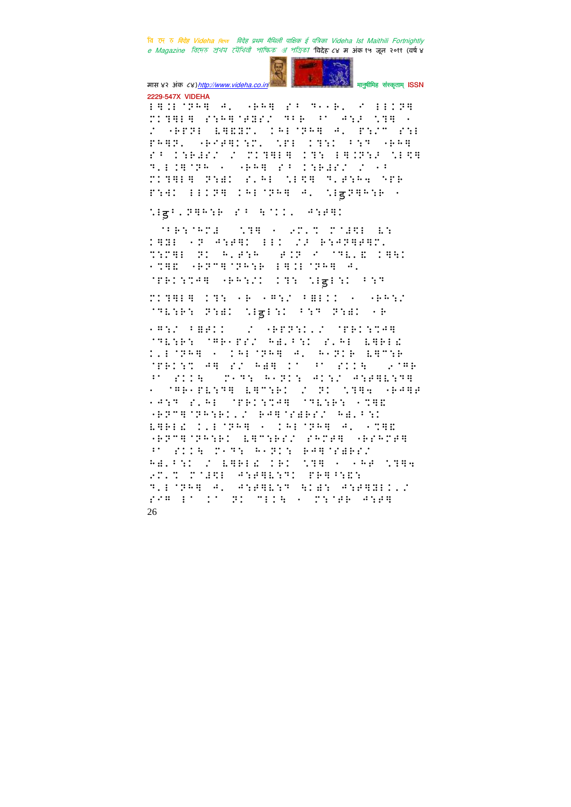#### मानुषीमिह संस्कृताम ISSN मास ४२ अंक ८४) http://www.videha.co.in 2229-547X VIDEHA

ERIE 7288 (41) (ERR) 23 (3) (EL / 2) EEI 28 DISBUS PARAGED SUP STORY AND VIRGO 2 GREAT LABORY, INFORMATION ENOTHER FRANCO (ESPERADO NEL 1931 FANO (ERA PROGRAMMO CONTRA CON FRONTO NECE MILLETER A SPRAGUE LINEBED DOAR DITHER PART PLAE SERROR PARA STR rad (Fried Christian A. Sigenham )

Nigh, Parte of Formatic Seagan

**TERNIEDA (1986), VOLT DIARE EN** INGE PROPAGED III 22 BAPPEER. TATAB DI ALEAA (BID) KOMALIE LAAD TERINDAR (PRANCIS INFORMATION) PAR

PITHER ITS AR ARAZONICI A ARASZ TREGEN PNEL SIgINI FNR PNEL (FE

**PRINTERNI VI PETRICI TELITRE** TRENDS TREFFECT RELANS FLAR ERRIE ISBN 9884 - CITABO 9844 - AL CARDIER CENTAR nekin Amszi Hamsin (n. 2116) viek 31 2015 7:35 PHTP AFTER ADEC ASPEESTE A TREADENCE ESTNEL 2 DI NOBEL APABE PANT PLAI (TERINTAR (TRENEN FIRE) \*BRT#1RPGB1.2 B##1PdBb22 Pd.931 ERREZ (11872AR) (118872AR) 41 (2008 SEPTHIPHES ENTERCY PATENT SEPTEN PO PILA TERRA PERSONAL PARTNAPED PALENT Z ERREZ IRI STROK (PROSTRE FT.T TABUL PAPELARI PPERADA P.E. TRANS (A. S. ANDREAM) AD BN (ANDREEL 20 removed to promote a change ange 26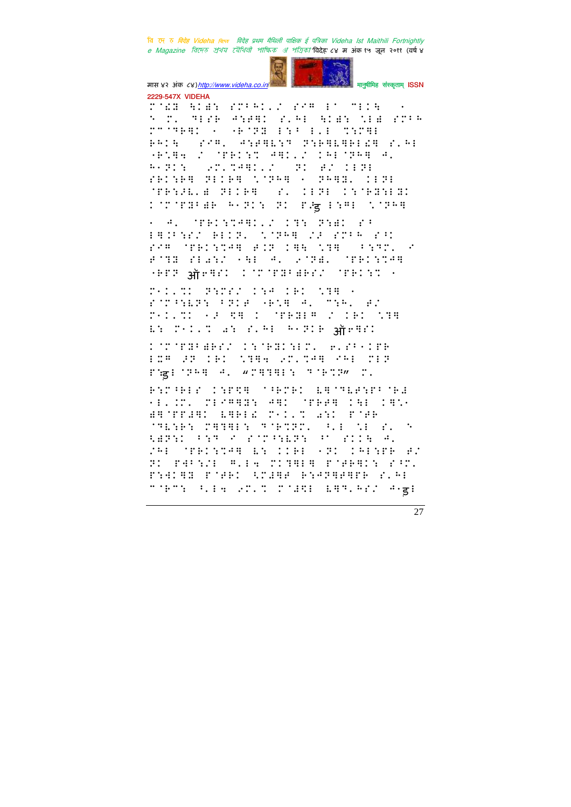मानुषीमिह संस्कृताम ISSN मास ४२ अंक ८४) http://www.videha.co.in 2229-547X VIDEHA

9915 (200, 4598159 PSPREREIGR 2.91  $\overline{ABAB}$  (2) TERINT (ABI) 2 (1917) PRESERVE REPORT STUDENTUM TROTES CHR FRIGHT PECHT STRAT ( PATH) (1971 **TERRICH PECHA (F. 1191) CRIBBINI** CONSTRUCTION POINT ON STAND ON A SPECIAL SERVICE

CONTRACT A CARDED ENFORCEMENT

 $\mathcal{F} = \{F_{\mathbf{a}}\}$  , the properties of the second product  $\mathcal{F}$ ENCESAS PELP, SIMPHESSA ADER ARD PAR TERINDAR PICK DRA NORTH PANCL A BOTH PEANS FALL ALL SORES OFFICIAR HER STEED CONTRESSOR OFFICERS

PRIVATE PATES (1980) DEL CARROS FOURTHERN FULLE SEARCH, CONF. BI PAILTINA RESISTED PAIR 201810138

ES TVILT AS PLAS AVENUE AMPRES CONTRAFARYZ CATROLARIZ, PLYPROPR EDP 27 IEI 1994 2010/99 291 013 FEED TRANS ALL WORTHING SUPPORTS.

PATTELY CAPTE THRPP: EBITEPHTP-TPE  $+1$ ,  $17$ ,  $71$   $799435$   $991$   $79949$   $1941$   $191$ BRIEFERD ERRIC TYDUT WAS FIRE

**TREADY TRIBES RIBIDIO RELATED AT A** ABRAIN FAR SCRIPTINERS (POSSIBLE) 281 TERINTAR EN ILBE (2011) IRENER B2 PI PHENIE PLEA TITHER POPPHIN FRI. FARING FOREI STUNE EARTNEHED FLAD miena (Plas Volon piara arriera (Piara

ining and presence responses to the service of the service of the service of the service of the service of the<br>Second in the presence of the service of the service of the service of the service of the service of the servic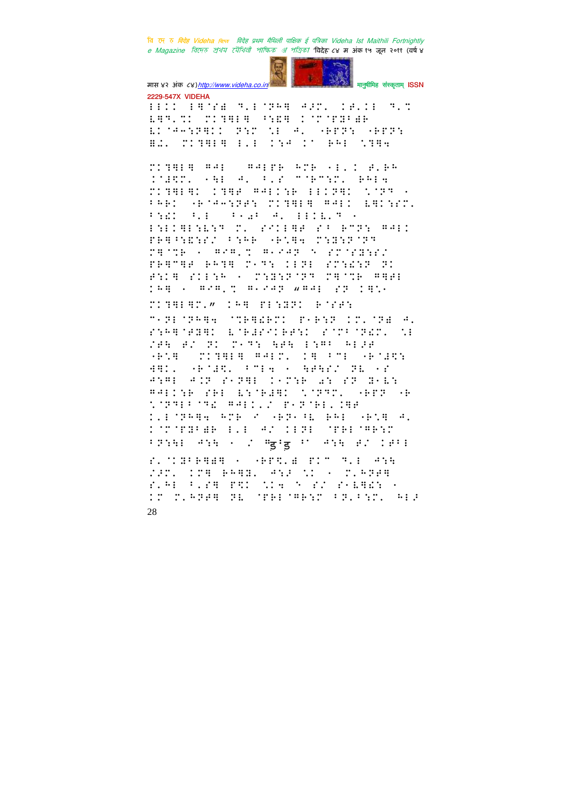#### मानुषीमिह संस्कृताम् ISSN मास ४२ अंक ८४) http://www.videha.co.in 2229-547X VIDEHA

EECO ERIVAL PLEIDER (4201) 1911E PLN LAR.T. TITHER SYNCH ISTUARE ED TARGEBOOK PGT (NE) AL (PETPG) PETPG BAL CITEER ELECTRA IN BAE NTRA

TITHER PHE - PHETE PTE (EL.I FLER) PORTLAND AL PUR TOPTATIONRES 2198181 1982 841156 111281 1128 FRED (FRINGEREN DINHEN PRED ENDNED. FALL FIRE CONSTRUCTION OF PAPIERNAM T. PATEME PF BTMS MARI FRAMENCO PARK (PROBR CABASTER) ranch company media of proposer FRAMER RESENCIAS (1999) POSPESO DI PALE PLEAR & TABARARY TEATH REPL  $(1.44)$  . The case of the components of the components of the components of the components of the components of the components of the components of the components of the components of the components of the components of

**2199192.** 799 PE5881 B1281 MADE SPANN (STENDERT) PARTIE (M. SPECIA) FARBINEER ENBEFOLBEAD FOOT MEET. AE 285 82 91 7-75 585 1586 5128  $\begin{array}{cccccccccccccc} \ast\oplus\ddash\downarrow\oplus\ddash\downarrow\oplus\ddash\downarrow\oplus\uparrow\oplus\uparrow\oplus\downarrow\oplus\ldots\oplus\downarrow\oplus\downarrow\oplus\downarrow\oplus\downarrow\oplus\downarrow\oplus\downarrow\oplus\downarrow\oplus\downarrow\oplus\downarrow\oplus\downarrow\oplus\downarrow\oplus\downarrow\oplus\downarrow\oplus\downarrow\oplus\downarrow\oplus\downarrow\oplus\downarrow\oplus\downarrow\oplus\downarrow\oplus\downarrow\oplus\downarrow\oplus\downarrow\oplus\downarrow\oplus\downarrow\oplus\downarrow\oplus\downarrow\$ HALL SPORT FOR A REAL SALVA ANNE AIR PARME ISTNE AN PROBABN ##FINE WEEKLANDER STRATE (FETROPE NORTH CALL HALL LOCATED DAY 1.179596 578 C. (69) (85) 651 (65) 9. INTERFANCELL AZ IERE SPEESPENT FRYSK PARTY 2 PER PO PARTHOLISER

FUNDAMENT POSSESSED TIMES AND CATL CONFIDENTIAL PARTNERS ON POPPER FIRE FIRE PROVISE NORTHERNOT IT TURPER THE TERRITRY FRUIT. ARE 28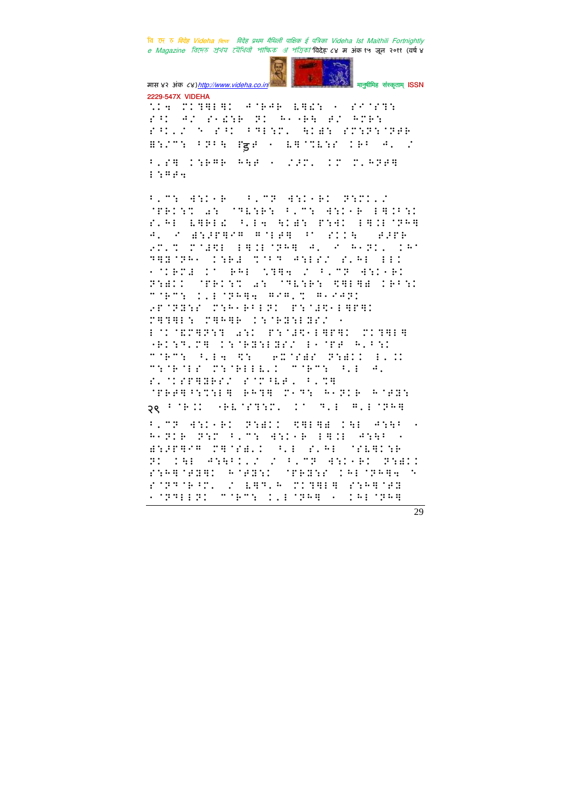#### मानुषीमिह संस्कृताम ISSN मास ४२ अंक ८४) http://www.videha.co.in 2229-547X VIDEHA

15888

MER TIMBEN AMERIKAN KURAMIN FAIL AZ FRENE BI ARRAH BZ ATEN PROCESS PROTECTION ADAPT PERPENDAN BALTA FRIE PER Y LETTLAR IPE PL 2 FIRE CAPPE PAR A CAPI CP PLAPER

FUTE ANDER CHUTE ANDER CENTUL **MEEDIA AND MACHAEL FUMN HILLE FROM NO** P.RE EMPER R.E. ROBY PYMO EMICORA AL 2 BAJERAR RALER PO ELLA CEJER STOR DIARE ENGINEERS AL 2014-2016 147 MARINER CARD TO MA WARRY RIED BED KINDED IN BAILINGES OF FUTRISHIPS PARTI TERIAN UN TREABA RRERE IBPAI TORTY ISENTRAL RARIT ROADS SPIRES THREET TYIER BEES THING THANK INTERNET. ECONOMICATIONS INTERFERENCES TORTA PLEN RA CHOMER PARTICELLY TACHOLE TACHILLY TOPTA SUBSCRI FUNDERBEEN FUNDERLOOP **TERRITOSIS RASS CASARIES DE ROBOS** RR FOR DESCRIPTION OF PLEASURER

FUTE HALFEL PABLIC SHERB CAE PANEL F 8.918 957 F.T. 451-F FRIE #565 F angrame rajnali (1921) numi jnogarne.<br>Gli 1910 (1919) Lunium (1927) ani (61 (Ghall ina kalifornia (m. 1986)<br>1919 - Marie Corneli, franski film (m. 1948)<br>1919 - Marie Louis, marski film (m. 1948) **A MOREOVA CONTRACTO DE MOREOVA DE MOREO**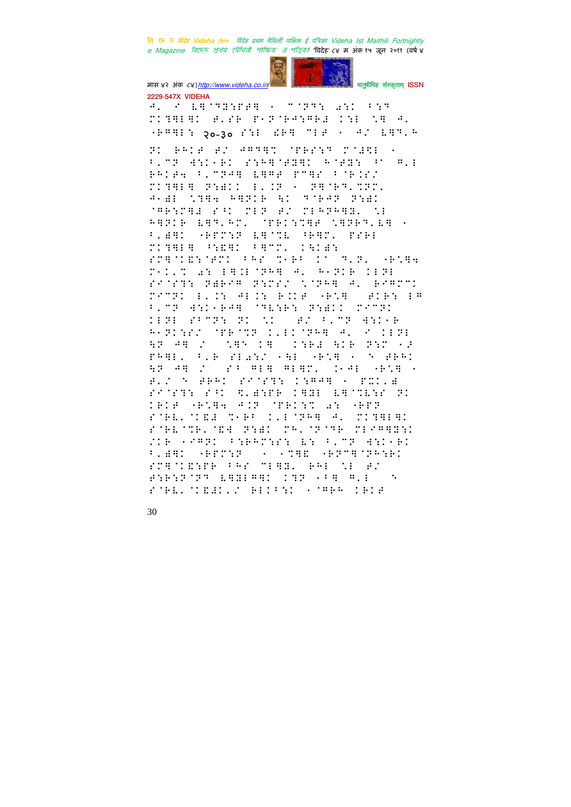मानुषीमिह संस्कृताम ISSN मास ४२ अंक ८४)http://www.videha.co.in 2229-547X VIDEHA

 $\mathcal{A}_{\mathcal{A}} = \mathcal{A}_{\mathcal{A}} = \mathbb{E}[\mathcal{A}_{\mathcal{A}} \mathcal{A}_{\mathcal{A}} \mathcal{A}_{\mathcal{A}} \mathcal{A}_{\mathcal{A}}] = \mathcal{A}_{\mathcal{A}} = \mathcal{A}_{\mathcal{A}} \mathcal{A}_{\mathcal{A}} \mathcal{A}_{\mathcal{A}} = \mathcal{A}_{\mathcal{A}} \mathcal{A}_{\mathcal{A}}$ CONTRACT BOOK CHANGES ON CALLARY HEARTH 20-30 FILE SER TER POST EATLY

BI BAIR BI APPROVIDENT CORE. F.MP 451-FI 255978391 57835 FT 9.1 BALBA FUTPAR LARBA PTRE FTBILL PITHER PARIS ELIP ( PRIETLIPP) AVAL STRAGHEDIE AL TOPAD DYAL **TRESTRA PORT TER PATTERPRED. SE** RAPIE LAN.RT. TEELSTAR (1828).LA V F. BRI (FRINGE LANGE (FRAN) PERE MINER PARK FAMILY INTER FTB MENTETI (FRE) TVEF (IT) PLP. (PENBE THIS TO AN OUR PROPERTY AND ARRESTS AND PATRIN DEBAN DATRY LIBRE A. BANCTI CAMPION IN HEINGTON ARTHOLOGIES ER FUTP HAIRPHE TREADA PABLIC PRTPI CEPE PRIMES POSSO PRO PUMP RECEP RADINEZ TERTOD ILEITORE RU VOIEDE ar em 2007 des cellibres ace rarive PRHISTICE PLANT (AH) (PNH) ( NORPH) 42 44 2 24 84 914 8142, 1991 9130 9 BUZUN BERI PATENYA YAPAR A SEDILE PROPERTY ROOMS IN THE BUSINESS PI TELEVISING STRUCTURE IN STRUCT POREL MIRA (THR) (1.8 MPHB (P. 1719889) romande, obec doal (de, of ome divembro ZIE (KAPPI) POBRZODO BO PUTP (BOIKE)  $\mathbb{R} \times \mathbb{R} \times \mathbb{R} \times \mathbb{R} \times \mathbb{R} \times \mathbb{R} \times \mathbb{R} \times \mathbb{R} \times \mathbb{R} \times \mathbb{R} \times \mathbb{R} \times \mathbb{R} \times \mathbb{R} \times \mathbb{R} \times \mathbb{R} \times \mathbb{R} \times \mathbb{R} \times \mathbb{R} \times \mathbb{R} \times \mathbb{R} \times \mathbb{R} \times \mathbb{R} \times \mathbb{R} \times \mathbb{R} \times \mathbb{R} \times \mathbb{R} \times \mathbb{R} \times \mathbb{$ FTACLEMENT FAR CHARL ARE CHOCK RAFARING LANGEAN (1980) (FACAL) FORESTEED 20 REDUCED A TARR CROB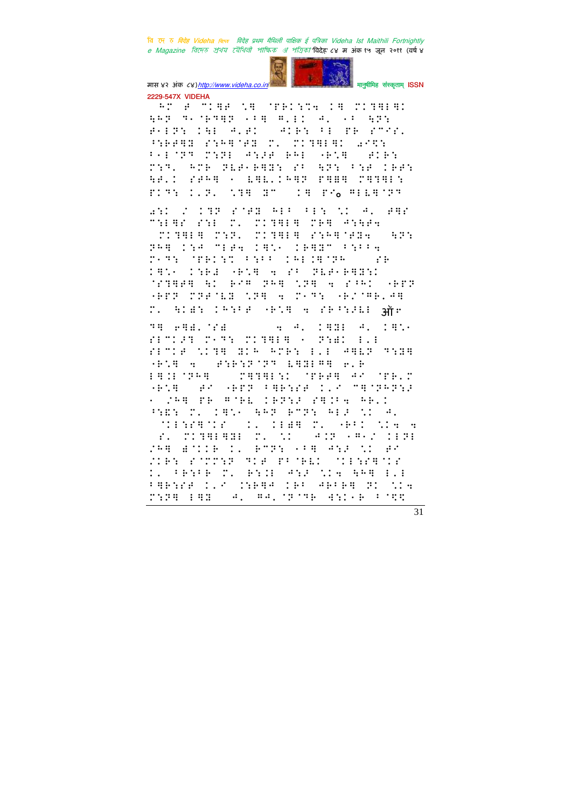## मानुषीमिह संस्कृताम ISSN मास ४२ अंक ८४) http://www.videha.co.in 2229-547X VIDEHA

AT PUTTER NE TERINTA LE TITELEI 552 3625312 633 311 312 333 513  $\begin{array}{cccccccccc} \mathbf{0} & \mathbf{0} & \mathbf{0} & \mathbf{1} & \mathbf{1} & \mathbf{1} & \mathbf{1} & \mathbf{1} & \mathbf{1} & \mathbf{1} & \mathbf{1} & \mathbf{1} & \mathbf{1} & \mathbf{1} & \mathbf{1} & \mathbf{1} & \mathbf{1} & \mathbf{1} & \mathbf{1} & \mathbf{1} & \mathbf{1} & \mathbf{1} & \mathbf{1} & \mathbf{1} & \mathbf{1} & \mathbf{1} & \mathbf{1} & \mathbf{1} & \mathbf{1} & \mathbf{1} & \$ # (195 151 4.#) PARABO PARBINE T. TITHERI GREA F-1727 2521 4528 951 -9538  $\frac{1}{2}$   $\frac{1}{2}$   $\frac{1}{2}$   $\frac{1}{2}$   $\frac{1}{2}$   $\frac{1}{2}$   $\frac{1}{2}$ MAR. AME BEAGENED AT APA TAA 1945 59.1 (900) - 191.1009 PHH 797915 FIRE INFORMED HT CONFIDENT PROPERTIES

2011 2011 90 2020 PHP (FIG. 110 P. 200) THERE FHE T. TITHER TER STEED. PITHER PARL PITHER PARTNERS (RP) PAR INA MERA CRIS CRRON FNFFA PARA TERIAN PAPP IPHILETER  $\mathbb{R}^n \times \mathbb{R}^n$ **CANOLINES OPTIME A STUDENT PERMIT** 1208888-81-928-00888-10088-8-2081-1-0088 HET TEACHER NEW ACTIVITY HEATHER AN D. Alda (Pare (Pick a CP Pick) and

 $\mathcal{L}^{\mathcal{L}}(\mathcal{L}^{\mathcal{L}}(\mathcal{H}^{\mathcal{L}}_{\mathcal{L}}),\mathcal{L}^{\mathcal{L}}(\mathcal{H}^{\mathcal{L}}_{\mathcal{L}}),\mathcal{L}^{\mathcal{L}}(\mathcal{H}^{\mathcal{L}}_{\mathcal{L}}),\mathcal{L}^{\mathcal{L}}(\mathcal{H}^{\mathcal{L}}_{\mathcal{L}}))$ 78 PREVIOU PETILER THREE TIRRER HOURSELLE. FETIF NITH HIP PUPE ELE PHED THEE  $\cdot$ PIR A (PRIPIPIPIPIPIPIPIPI) 1911/1999  $\sim$  2999151 (2009)  $\sim$  2009  $\sim$  2009) ARCH ( PRO ARES FURNIS CLR) MUSICALLY  $\le$  (1988) PR (P.1941) 199713 (PRIP 4) PRII FEB 21 1953 APP PTPE PER SI 9. **MINERAL CONSTRUCTS (HPICADE A** F. TITHITH T. W. ST. ST. SH.  $7.373$ 284 anisk il empirale angloi ar WIRE STOCKS TO BUT THE COOLERATOR PAPE FEB (34) #4, SPIE 451-F FIRE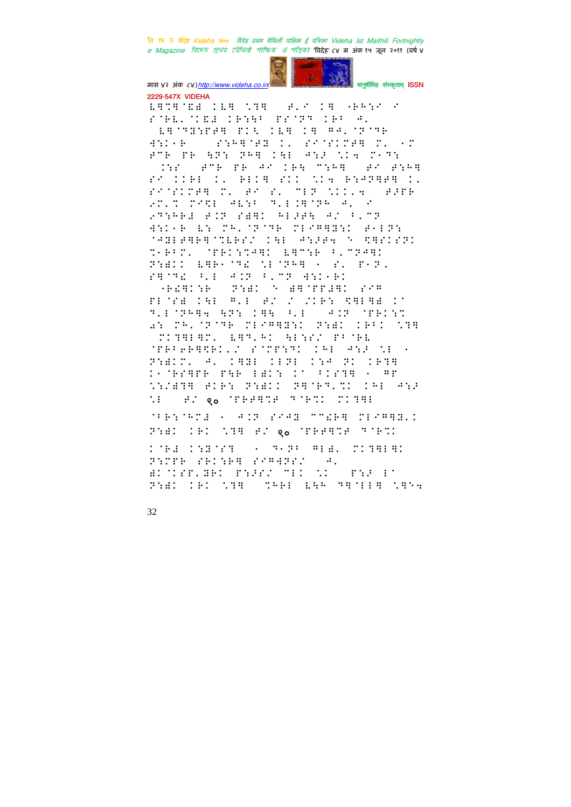#### मास ४२ अंक ८४) http://www.videha.co.in मानुषीमिह संस्कृताम् ISSN 2229-547X VIDEHA

ERTRIED IER NIR (B.P. IR) (BANK) K FORESTEE CRARE PEOPLOSE (4) LEITERFAR PIR (188) 18 84, 19736 **SEARCH AND AN ANTIBATION OF**  $451 + 44$ PTB PB 525 255 151 952 515 7-75 THE SPIR TRUNK IRRUTAGE SPACENER PACIDEM IL BEDROVIDO NINOBARRERRO DI PAIRING TO PAIR TERMINIAN PREP FT.T TYTE HEAR TLEIBITH H.  $\ddot{\phantom{a}}$ 275564 2012 2031 51225 32 3127 HAIRE EN CR. MORTON CLAMBERI BRIDA **TAGE AND RETTERED ITSEL AND AN IN THE CONTROL** THEFT, TEECHTHED EATHER FUTPHAL EARY TAC NETPARTY STATES PART Fisher L PRIME RIDGER RIME RATE

 $(49.291,51)$  $\pm$  3.41  $\pm$  5  $\pm$  49 (PP.491)  $\pm$  6.9 an tra 1946 Ali ez 2 zies ganaa in 3.1 72594 525 195 3.1 - 3.2 7PE15T an TRUSPINE TERMODIC PNB: 1991 STOR  $\begin{minipage}{0.9\linewidth} \begin{tabular}{l} \multicolumn{2}{c}{\textbf{\textbf{1}}}\\ \multicolumn{2}{c}{\textbf{\textbf{2}}}\\ \multicolumn{2}{c}{\textbf{\textbf{2}}}\\ \multicolumn{2}{c}{\textbf{\textbf{3}}}\\ \multicolumn{2}{c}{\textbf{\textbf{4}}}\\ \multicolumn{2}{c}{\textbf{\textbf{4}}}\\ \multicolumn{2}{c}{\textbf{\textbf{5}}}\\ \multicolumn{2}{c}{\textbf{\textbf{5}}}\\ \multicolumn{2}{c}{\textbf{\textbf{6}}}\\ \multicolumn{2}{c}{\textbf{\textbf{6}}}\\ \multicolumn{2}{c}{$ SAZENH BIBA PAELI PHOBRITI IRE RAZ ME PAR QO SERRATA ASPATI PIARE

**TERNITES A PEOPLEPHE TTERE DEPRESS** PART IP: ANN PA Q0 TEPPRIP STPT:

1783 158728 (300) 9328 9182 2189191 FATER SECARE SYNAPSS  $\mathbb{R}^2$ actoriae: maaz Milto Paaler PART TEL STROOMBED LAR SAMILE SAME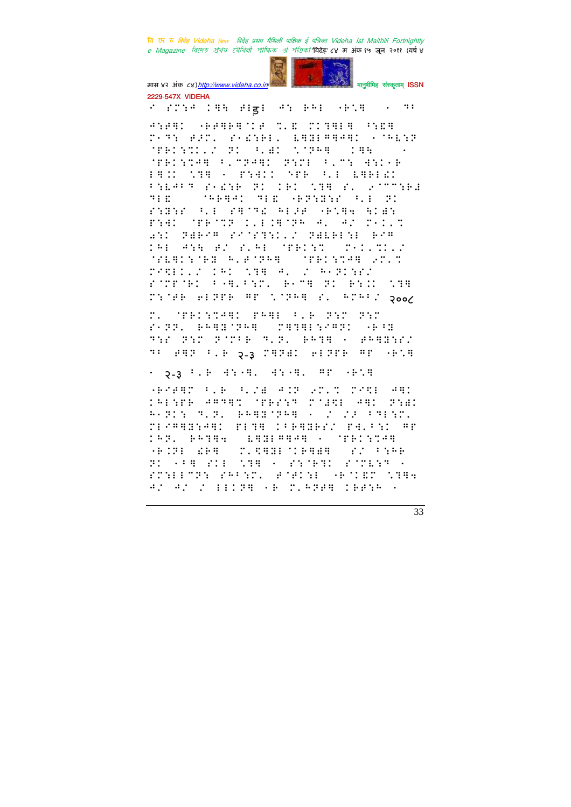मानुषीमिह संस्कृताम ISSN मास ४२ अंक ८४) http://www.videha.co.in 2229-547X VIDEHA

KUPDAR CHRUPEge (45) PRESSPOR  $\sim$   $\sim$   $\sim$   $\sim$   $\sim$   $\sim$   $\sim$ 

**ANABLE PRAGRAMMENT CONTROLLER PROPERTY** T-75 #27, P-65B1, E9B1#9491 -75E53 **TERCHICAT**  $\begin{bmatrix} 0.25 & 0.35 & 0.000 & 0.0000 & 0.0000 \\ 0.000 & 0.000 & 0.0000 & 0.0000 & 0.0000 \\ 0.000 & 0.000 & 0.0000 & 0.0000 & 0.0000 \\ 0.000 & 0.000 & 0.000 & 0.0000 & 0.0000 \\ 0.000 & 0.000 & 0.000 & 0.0000 & 0.0000 & 0.0000 \\ 0.000 & 0.000 & 0.000 &$ TERINTAR PUMPARI PNDE PUMN ANIXE FULL AND A PARTICAPE SUBSTREED PALAPA PRESENT IN STRUCTURES POSTABLE MED (1968-19) MED (675352 M.E. P) FOUND RIP FUNDAL RESEARCHER RIGH FARD TERMIN DIRIGENTAL AZ PRIJ and Pabel Penring Companies Bell 1945 Ana Sazi Z.A. (Trainin' 2011) TELACY TED (A) BITPAR (C) TEEDYTHA (2010) PAREDUCT DAILY NORTHERN CONFIDENT FOUR TRIP FOR FAIL (ROCHE DI PRODUCTER TACHE HERE BE LORE IN BURG 2006

T. TERINTARI PARE F.B. PNT PNT F-PP. F-987P-9 29991147921 (F18 TAY PAD POPE T.P. PRINT (PRINAD TE PART ELE 213 CAPAC PERFECTE PENEL

 $\frac{1}{2}$  (  $\frac{1}{2}$  ,  $\frac{1}{2}$  ,  $\frac{1}{2}$  ,  $\frac{1}{2}$  ,  $\frac{1}{2}$  ,  $\frac{1}{2}$  ,  $\frac{1}{2}$  ,  $\frac{1}{2}$  ,  $\frac{1}{2}$  ,  $\frac{1}{2}$  ,  $\frac{1}{2}$  ,  $\frac{1}{2}$  ,  $\frac{1}{2}$ 

HERBER F.E. F. 28 (FIR ST. T. TREE) FBI TERPHONENS TENN CEPHOPEN THIRDS PT 197. P939. LEBERG P4 / TERISTA TURNEYEAR SYSTEM FTNICTPS FRONT COMMISSION NEWSFILM  $\mathcal{A}(\mathcal{E}) = \mathcal{A}(\mathcal{E}) = \mathcal{E}(\mathcal{E}) + \mathcal{E}(\mathcal{E}) = \mathcal{E}(\mathcal{E}) + \mathcal{E}(\mathcal{E}) + \mathcal{E}(\mathcal{E}) + \mathcal{E}(\mathcal{E}) + \mathcal{E}(\mathcal{E}) + \mathcal{E}(\mathcal{E}) + \mathcal{E}(\mathcal{E}) + \mathcal{E}(\mathcal{E}) + \mathcal{E}(\mathcal{E}) + \mathcal{E}(\mathcal{E}) + \mathcal{E}(\mathcal{E}) + \mathcal{E}(\mathcal{E}) + \mathcal{E}(\mathcal{E})$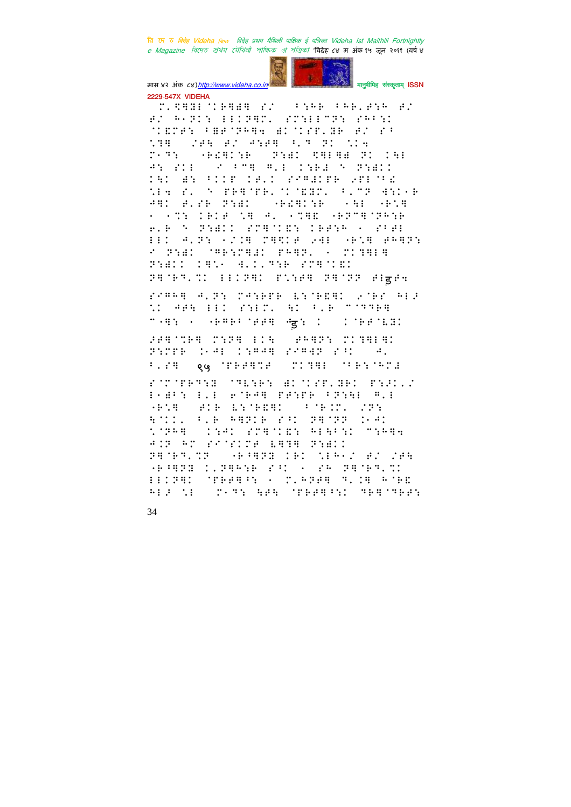## मास ४२ अंक ८४) http://www.videha.co.in 2229-547X VIDEHA

मानुषीमिह संस्कृताम् ISSN

**T. 5931 (19989) 22**  $\rightarrow$  : the contribution of  $\mathcal{L}$ az Avera Bilear, Praiimea PAPal **MICHA FERMANN ELMICELEN BL CF** NTR / 295 92 9598 517 71 119 PARA (ARZADAR) PART CHIAR PO CAR AN VIEW AND THE RUL LINE ON THEIR TAI AN FILE TALI PAPAIEN GEETRE MERCEN CONFIDENTIAL MEDICAL PACKERS RESEARCH PRI BUZE PABI (PEZRIAR) (PRI PENR  $\mathcal{F} = \mathcal{F}(\mathcal{X}, \mathcal{Y}) = \mathcal{F}(\mathcal{X}, \mathcal{Y}) = \mathcal{F}(\mathcal{X}, \mathcal{Y}) = \mathcal{F}(\mathcal{X}, \mathcal{Y}) = \mathcal{F}(\mathcal{Y}, \mathcal{Y}) = \mathcal{F}(\mathcal{Y}, \mathcal{Y}) = \mathcal{F}(\mathcal{Y}, \mathcal{Y}) = \mathcal{F}(\mathcal{Y}, \mathcal{Y}) = \mathcal{F}(\mathcal{Y}, \mathcal{Y}) = \mathcal{F}(\mathcal{Y}, \mathcal{Y}) = \mathcal{F}(\mathcal{Y}, \mathcal{Y}) = \mathcal{$ B.B. N. PABIL STATIST IN 1984 - C. PAR BB1 9.95 (219 THRIP 24E 923B 924825 2 PART (PEACHR) PRHP. 3 CONHER PABLIC CRIM HULUPAR FURNIBI PROFESSION EESTED (ENGER) PROPE FIgEN

PARAB ALDA CANEDE ENTERED ATEC ALD MO APROFIL PAPP, AL FUE TOTALE means of earner navalen<del>g</del>s of coordination

**JPH TER TERR FIRE CREATE TITHER** FATER (1998) 1989 FARAB FARA EL 1991  $T1111$   $T111$  $QQ = \frac{1}{2} \frac{1}{2} \frac{1}{2} \frac{1}{2} \frac{1}{2} \frac{1}{2} \frac{1}{2} \frac{1}{2} \frac{1}{2} \frac{1}{2} \frac{1}{2}$  $1.74 -$ 

FOR TERMIN CONSENSIBL CLAP, BRITISHOLD EXERCISE PORTHUISTIC POSSESSIONS HENBY BIB ENTERED FOR IN 200 ANIL PLE PROF PROGRAM  $\cdots$ STRAB (1941) POBTLEY ALBANI TYABE AIR AN PROPINS LANG PARTI PROFESSION - FERRICHE SERVICES SER HERBOR CLOBENE RAD A RECORDER. O EECHD TERRIT ( T.PHRI 9, H.P.E. APP NEW TANK APA STREETS SAFETHER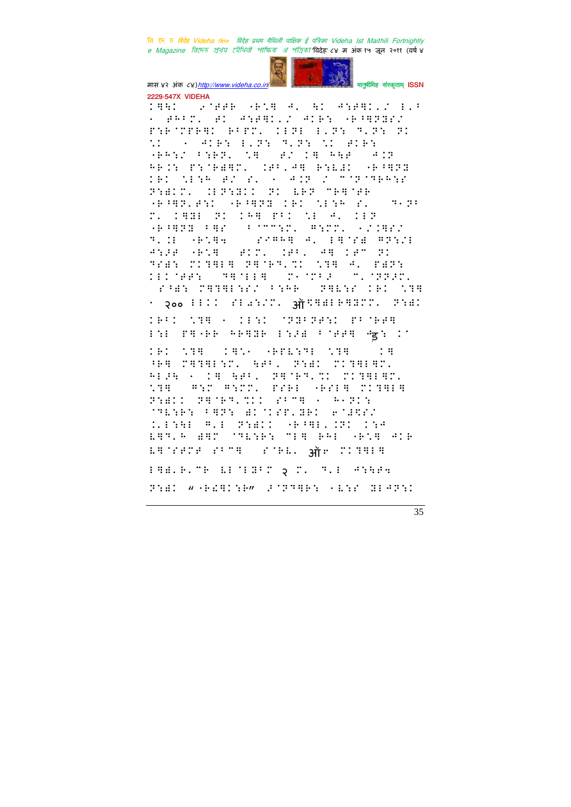मानुषीमिह संस्कृताम ISSN मास ४२ अंक ८४) http://www.videha.co.in 2229-547X VIDEHA

1991 / 2788F (9519) 91 / 9389117 (113 \* ##FT. #1 #N##1.2 #1#N \*#####2 FAR WERNEL BRET. (1191 1195 9.95 9. MOON HIER EVEN FLER MI HIER HEAT FIEL OR (82) 18, AND (818) REIN PNOBARD, IPPLAR BNEAD (REPOR 191 MEAR 92 PL F FOR 2 MORTANGE PARITY (FPARI) PI EFF TERMER HERBINI HERBITE MENSION  $\cdots$  y : .<br>1980 - Paris II, maria eta espainiar eta eta erritmenteko erregia erregia erregia erregia erregia erregia err<br>1980 - Paris II, martxaria erregia erregia erregia erregia erregia erregia erregia erregia erregia erregia er T. IE (FRING) (PROPER AL ENTRE PRAZE #NJ# (+BN# (#17. 18), 4# 18" 71 Sier (Cidade Galegue) voe G. Pape TECHNIC PENER CONTRACTORDER. FARS THRENET ANDER THEN IEI AR · Qoo HEII FEWNIT, 新型用品上用DUT, Phal

CRAIN STREET COLLECT COMPONED PROPERTY ENE PROFESSION ENGINEERINGS IN

**IBI ATH INTERNATIONAL ATHABIT**  $\frac{1}{2}$  :  $\frac{1}{2}$ FRA CATALOGICA APPLICATED CONTRIBUT. RESAULT THE ARTICLE PATENTIC CONTREND. VIR (PAC PACC, PARE (PACER CLIPER PARIS PROPERTY PETROL ALAREN TRENDS FRANCH MITTERLADE CONSTANT 1.1991 P.E. PARTI (PRINTING 194 EARLA BAT (MENEN MEACHED GENACHT) LEASEDE PRINT POINT AT PURSUE

FRELEVING EFTER TO 2001 (P.F. PIRER FABIO WORLDREW (FORTHER OLDER BEHRAL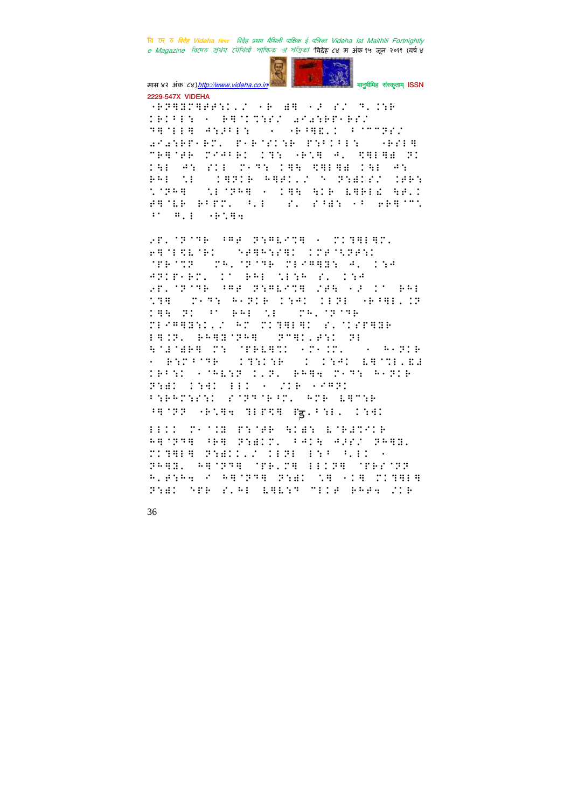#### मास ४२ अंक ८४) http://www.videha.co.in मानुषीमिह संस्कृताम ISSN 2229-547X VIDEHA

 $\rightarrow$  PPHONE PRESERVES TO FIND HERE AS A SET ON A STEP 191915 (F. 1987) San Andrew Bro **PENILE PROPIES CONTRACTOR COMPANY** SKSNEP-ROV P-ROMONE PNOTOS (OPPIR TERMEN DYPER CONNO (ENR) PL SPERB DI 191 45 FIL TON 195 SHIPE 191 45 PRESSES CHRIP PREDUCTS RABIAN **COMPA** STRAB (SSETRAB) (SSEB) BIB BEBER BRID PROBE PORTLAND AND STANDARD PROTO  $\mathbb{R}^2$  ,  $\mathbb{R}_+$  ,  $\mathbb{R}^2$  ,  $\mathbb{R}^2$  ,  $\mathbb{R}^2$  ,  $\mathbb{R}^2$  ,

VELOPINE (FRE) PARENTH (F) TIMERT. PROPERTY SPREED INFORMATION Sterno Cos, nelso divelebba Cel Cose **APIP-BT, IT BREATER 20078** SP. TRIPE (FRE) RARESTE CAR (FR) 17 BRE 195 PL PL PRESSE CROSSFORE TERPRINTLY PT TIRERI Y. TIYERER ENCR, PRAINTER (PTAILENT PE A MARAHA DA CREARDO (KOKOD) (C. C. AKODA)<br>KORADARAN CONADAR CODO DARDOARIDA IPENI KUBANG ILAN PAHA TENGGARAN FABI (1981) 111 (8) 218 (899) FARRONENI ESPASERIO ROBOLARONE PEOPR PENER TERRE Pg. PAEL (1991

BECOME THE PAINE AND LIBERTY. **PINNER PYRICLY CEPE ENFORCER 5** PRES. REMPTE MELTE ELLPE MERCIPP Algeba (K. Amerika (1981) (Sm. 214) 214414 PART SER YOUR ENEMY TELP RAPE ALR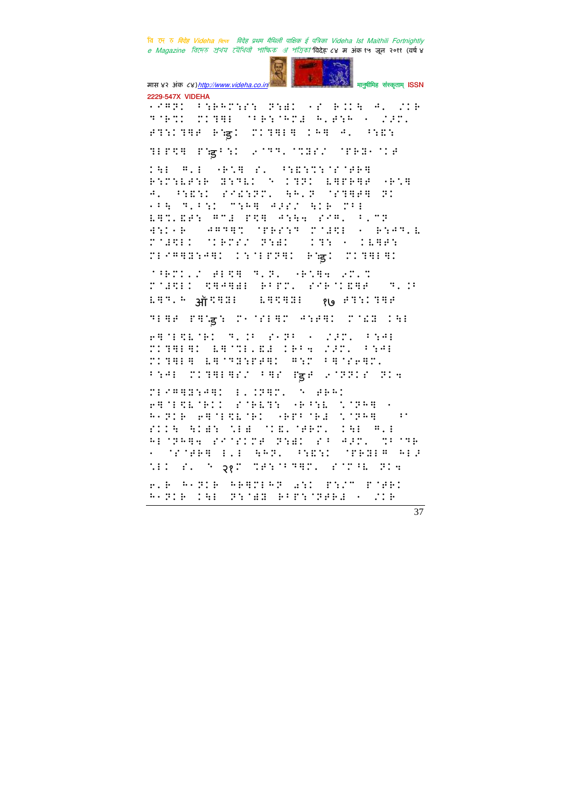मानुषीमिह संस्कृताम् ISSN मास ४२ अंक ८४) http://www.videha.co.in 2229-547X VIDEHA ikang (Paberara gabo krobing Alozib<br>Gabo righ (Gbaangara Alba) kozari PUNCTURE PORT CONTUCT CAN ALL CODE dence nagrado vidro idazó infrar de THE P.E. (PANE P. PHONOTECHER PACALEAR BATES NOITES LAFFEAR (FRIA a, tana kekara 46.8 Tengga di LATILERY AND PRACHAMEN PART (FINE  $431 + 41$ POINT OFFICE PART (1997) (1898) CERPROSPHI CANEDAD, PAgi COSTRERI **TREDUCT BERRICHLEL (RESRAINSELT** DIGREE RAPAGE BEED, PARTIEAR (7) DE  $E = 1.4$  ,  $E = 1.4$  ,  $E = 1.4$  ,  $E = 1.4$  ,  $E = 1.4$  ,  $E = 1.4$  ,  $E = 1.4$  ,  $E = 1.4$  ,  $E = 1.4$  ,  $E = 1.4$  ,  $E = 1.4$  ,  $E = 1.4$  ,  $E = 1.4$  ,  $E = 1.4$  ,  $E = 1.4$  ,  $E = 1.4$  ,  $E = 1.4$  ,  $E = 1.4$  ,  $E = 1.4$  ,  $E = 1.4$  , HERE ERGS CHOEFED PAPEL COAR LEFT **PROFESSION CONTROL CONTROL** CONFERD ARTIFICATIONS CATE SAFE CONTRACTOR CARDIOGRAFIC PACIFICATION FARE CONNECTICATED PER CATERIAL PIN TERPHONARD EL DRUG (N. 264) PROPERTIES PORTEERS (PROPERTY) ROBIN ANTIBATED CAPP TELL STREET IT POINT ROBBY NEW TOBL TRADUCTRES RUE an teagh propose density are for the  $\sim$  (2012): (1.1) 557. (1.1.1) (1.1.1.5) (1.1.2) MEDICAL CAUSES CHARLES FROM HELLEDGE E.B. R.P.D. REBURRE LES CONTROLLES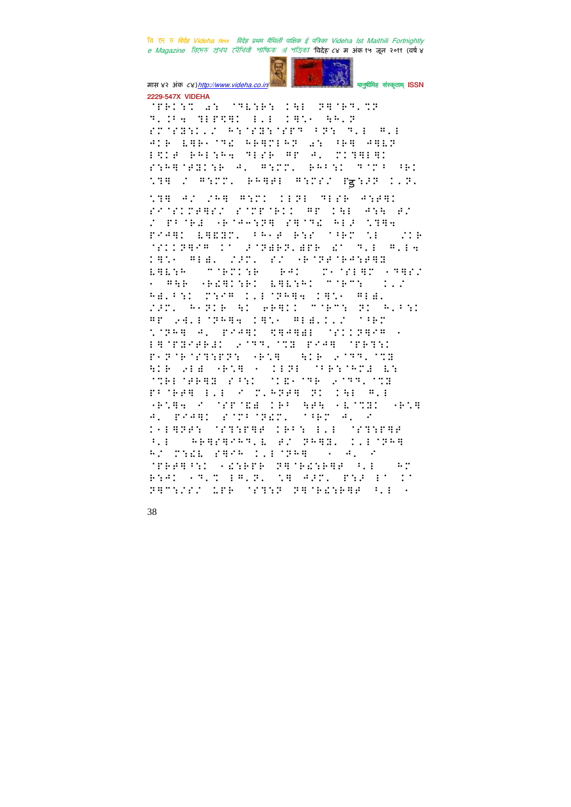#### मानुषीमिह संस्कृताम ISSN मास ४२ अंक ८४)http://www.videha.co.in 2229-547X VIDEHA

MEEDING AN UNKNESS CHECKETER.CR **P. P. B. HEPPEL E.E. LANK AR.P** FUNDAMENTAL PROPERTIES IN STATISTICS. ATE LANK TRE REACTING AN INFORMATION ESIP BRESHA MEZB MP AL CITEERI PAREMENTARY R. PATTLE RREAD STORE RRD 198 2 FACT, PREPE FACTO PEARS ILS.

STRUCKS SPRUCHTED STREET (PERSON) PROPORTED POTTED FOR THE PASS RD Z PROFIL SPORATUR ZROTE REZOVIRA. PAREL LABBEL SAVE PAR THE SECOND necidamen in Genamedlame an Sali Ali A THIS PEED CATE FOR PERPENDENT ENERGY TORTING (FAIL) TV MINT VINEY **A PARTHERMEDIAN LANDARY TOPTS INC.** Raltas care lia Seema Stank Aral 2372 PHONE RIGHBOIL TOPTA DI PLANE PECAN ESPANY DRIVERENCE STAD NORRE R. PAREL REPEEL ONICREAR ( FUTUREERS ANNUALITY FARE INFERD FOR THE TETERERS OF A CHOOSE AND HOSPITAL COM RIE VIE (PENN ) (1191) MENMER EN TOBE TREAD OF FAIL ON BY TABOUR TANK TOB PROFESSION CONTENTS ON THE RUE SENES POSSESSE DEL 585 SENEDO SENE  $\mathcal{A}_{\mathcal{A}}=\{\mathcal{A},\mathcal{A},\mathcal{B}\}=\{\mathcal{A},\mathcal{B},\mathcal{B},\mathcal{B},\mathcal{B},\mathcal{B}\}=\{\mathcal{A},\mathcal{B},\mathcal{B},\mathcal{B},\mathcal{B},\mathcal{B},\mathcal{B},\mathcal{B},\mathcal{B},\mathcal{B},\mathcal{B},\mathcal{B},\mathcal{B},\mathcal{B},\mathcal{B},\mathcal{B},\mathcal{B},\mathcal{B},\mathcal{B},\mathcal{B},\mathcal{B},\mathcal{B},\mathcal{B},\mathcal{B},\mathcal{B$ 1919245 SPORTHE CERS 1.1 SPORTHE  $\mathcal{F}_\sigma(\mathbf{1}) = \mathcal{F}_\sigma(\mathbf{1}) = \mathcal{F}_\sigma(\mathbf{1}) = \mathcal{F}_\sigma(\mathbf{1}) = \mathcal{F}_\sigma(\mathbf{1}) = \mathcal{F}_\sigma(\mathbf{1}) = \mathcal{F}_\sigma(\mathbf{1}) = \mathcal{F}_\sigma(\mathbf{1}) = \mathcal{F}_\sigma(\mathbf{1}) = \mathcal{F}_\sigma(\mathbf{1}) = \mathcal{F}_\sigma(\mathbf{1}) = \mathcal{F}_\sigma(\mathbf{1}) = \mathcal{F}_\sigma(\mathbf{1}) = \mathcal{F}_\sigma(\mathbf{1}) = \mathcal{F}_\sigma(\math$  $\mathcal{H}(\mathcal{I}) = \mathcal{I}(\mathcal{I}) \oplus \mathcal{I}(\mathcal{I}) = \mathcal{I}(\mathcal{I}) \oplus \mathcal{I}(\mathcal{I}) \oplus \mathcal{I}(\mathcal{I}) = \mathcal{I}(\mathcal{I}) \oplus \mathcal{I}(\mathcal{I}) \oplus \mathcal{I}(\mathcal{I}) = \mathcal{I}(\mathcal{I}) \oplus \mathcal{I}(\mathcal{I})$ **TERPRISE FRAMER PRINCIPAL I.E.**  $\ddots$  : BARD FROM BROWN ARE RANGE FAR BOOT SAMAZEZ LEG (PENSO SAMGENGARA (L.E.).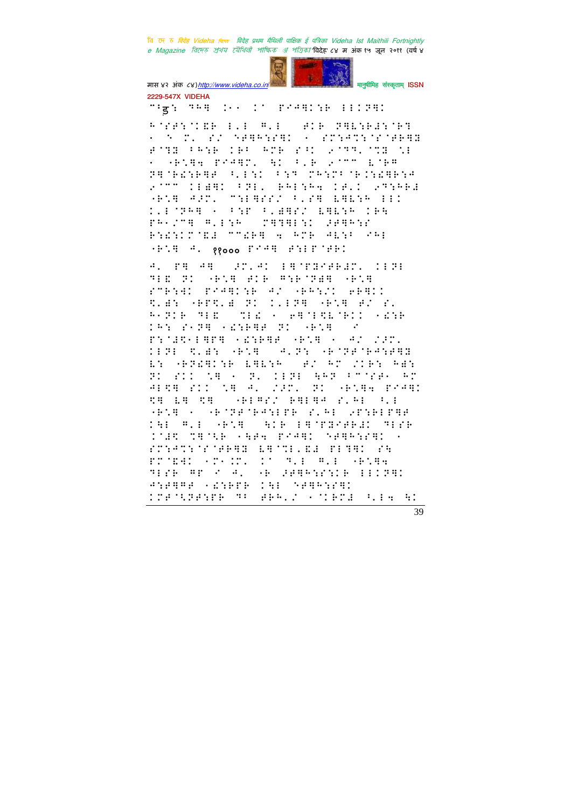मानुषीमिह संस्कृताम ISSN मास ४२ अंक ८४) http://www.videha.co.in 2229-547X VIDEHA

TRES THE INVOIT PARENTH ELIPED

**A MERICAN BULLET ALL CORPORATIONS** KONGTO PI NAHANAHI KOPININ NYAHA ands (Rab 19) Robert Stockham, nos NE K HENBA PARBOL AD FLE STOOD ETER FUTRANEUR (F.191) FAN CRACK (RINAURAR STRATISER FREDRICHES CRID STEER HENR HAT, THEREEN FURN LABENS HEN :li<sup>2</sup>p+4 } (sin (lamar mamie 196 FRANCH PLEAR (CONTREAL DRUGAT PARALDING TTERE A PDP ALAR ARE  $\begin{array}{cccccccccccccc} \cdot\,\mathbb{H}\setminus\mathbb{H} & \circ\mathbb{H} & \circ& \mathbb{R} & \mathbb{R} & \mathbb{R} & \mathbb{R} & \mathbb{R} & \mathbb{R} & \mathbb{R} & \mathbb{R} & \mathbb{R} & \mathbb{R} & \mathbb{R} & \mathbb{R} & \mathbb{R} & \mathbb{R} & \mathbb{R} & \mathbb{R} & \mathbb{R} & \mathbb{R} & \mathbb{R} & \mathbb{R} & \mathbb{R} & \mathbb{R} & \mathbb{R} & \mathbb{R} & \mathbb{R} & \mathbb{R$ 

9. PH 98 / 27.91 ERNERGERT, 1979 TEE TO HELP FIE THE THE HELP FTBANK PRANCAR AZ (BRAZI BRNI) S. 85 (FPS. 8) PD (1199) (FC9) 82 P. ROBERT WERE STOLEN ASSESSED AND A WARRANTY 195 P.P. (25588 P. ) (6558)  $\cdot$ . FACULAIRE PENNED PENN PORCIOID. **TEPE RIGHT HENB** ( A.PN (APTPATEANARD EN FRAGINE ESENA (BJ AT JIPN ABY PO POL NE POR CIERE APPORTUNES PD **PERR PIL NR P. 227, P. PENRY PAPRI** SHOEH SHOOTHERS ENERGY PLACE SLE HENBURY HENDENBANDER VOLKE VENEDER  $1.94 - 9.4$ **SAND ALE PROPERT TEEP MOOR SEAR FRAGE EXAGE SAGANIEL F** FUNDITE NORDER AN INFLUED TENNIS FR FUNDAMENTALISM (TECHNOLOGICAL ARABA MICROSE CONSIGN ARTHURIES IIIPEL HAPPPE FEARTH CHI SPREADED ITEMARKER MA BRAZZ KOLBTA ALERO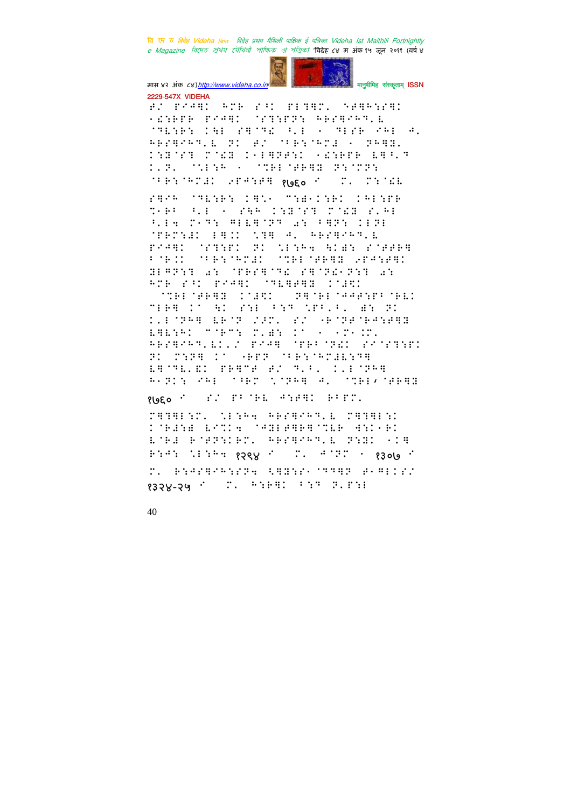## मानुषीमिह संस्कृताम् ISSN मास ४२ अंक ८४) http://www.videha.co.in 2229-547X VIDEHA

BZ PYHRI PTH PHI PERRI, SPRESIRI  $\overline{1}$  . The state of  $\overline{1}$  and  $\overline{1}$  and  $\overline{1}$  and  $\overline{1}$  and  $\overline{1}$  and  $\overline{1}$  and  $\overline{1}$  and  $\overline{1}$  and  $\overline{1}$  and  $\overline{1}$  and  $\overline{1}$  and  $\overline{1}$  and  $\overline{1}$  and  $\overline{1}$  and  $\overline{1}$  and  $\$ 791595 (991) 29792 (911) - 9126 (991) 91 APPROXIMATE POSSESS TRANSPORTATION PARTY. **TABAYA MANGULA PEPERTUA NAPER LEPUP** 1.9. MISR POSTER MERRI PSICES **TERRITED APPRET RUSS CONTROLL** 

PACK CREAKS CAN CREATED INFORM THE R.E. P. PER CONFORM TO BE PLAN  $\mathbb{P}_\mathcal{A}(\mathbb{P}_\mathcal{A}(\mathcal{I}^\mathcal{A},\mathcal{I}^\mathcal{A}(\mathcal{I}^\mathcal{A},\mathcal{I}^\mathcal{A}(\mathcal{I}^\mathcal{A},\mathcal{I}^\mathcal{A}(\mathcal{I}^\mathcal{A},\mathcal{I}^\mathcal{A}(\mathcal{I}^\mathcal{A}(\mathcal{I}^\mathcal{A}(\mathcal{I}^\mathcal{A},\mathcal{I}^\mathcal{A}(\mathcal{I}^\mathcal{A})))\mathcal{I}^\mathcal{A}(\mathcal{I}^\mathcal{A}(\mathcal{I}^\mathcal{A}(\mathcal$ TERCYBIC ENOIL NON-PL PRESENTED rkam: Spring, di Sinaka Alan poppak<br>Porti Spring, strangar vrandam: BEFFINE WAS STEED TO STAND FOR SAFE WAS RTE PAI PAREL (MERRER 1735) **TIME TREAD (INDUCT) PATE: TRAPSPETED** MERRO DO GEOGRAFIA PARA NELLA GUERNA DI INFORMED ER TRONGEN (PIC) (POTRETRANGER EAENAL CONFORT DUAN CONTRACTOR REPROPERING PORT TERRITAN SOMETEN FOUNDABLE ON SEPARATES TRANSPORT ERITELED PERTH BU TUBL DIETRA 89915 PRESIDENT NORRH P. ONDER MERRI

RIGEO CONSTRUCTS THE START STATE.

THINEST, SEARN PRESENT.E THINESS I TRUSH ANNI A STAUDARDROTER ANIXAN ESPECIFIERTSIPP, PREFERENCE PARIS  $\sim 1.4$  $F: F: X \to F: F: X \to Y$  , we have the set of  $F: X \to Y$  and  $F: X \to Y$ P. Biggermanner (1935) (1998) 200111 8328-39 : 2. 55591 :57 2.851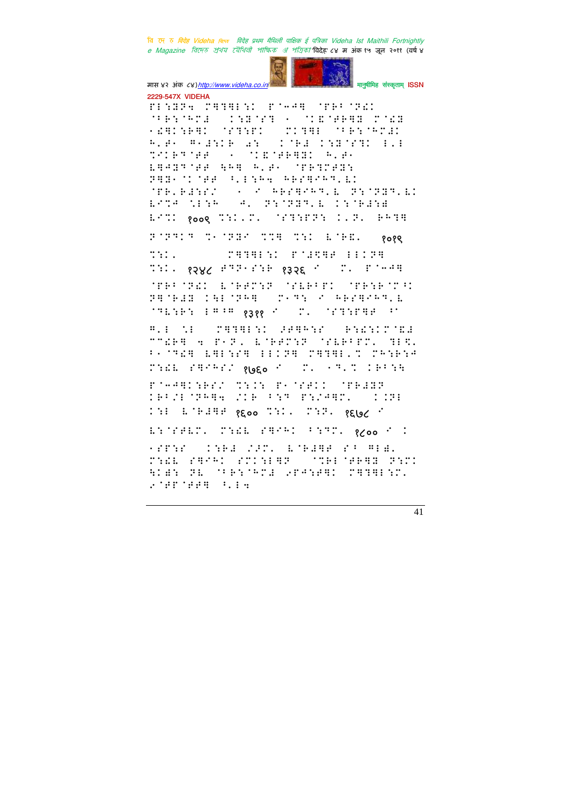# मानुषीमिह संस्कृताम ISSN मास ४२ अंक ८४) http://www.videha.co.in 2229-547X VIDEHA

FINERA CHTHENI FINAN (TERRITAI) TRESTADA (COSBOARCH) IN DOBORERA OD SAR  $\begin{minipage}{0.9\linewidth} \begin{tabular}{l} \multicolumn{2}{c}{\textbf{1}} & \multicolumn{2}{c}{\textbf{2}} & \multicolumn{2}{c}{\textbf{3}} & \multicolumn{2}{c}{\textbf{4}} & \multicolumn{2}{c}{\textbf{5}} & \multicolumn{2}{c}{\textbf{6}} & \multicolumn{2}{c}{\textbf{7}} & \multicolumn{2}{c}{\textbf{8}} & \multicolumn{2}{c}{\textbf{9}} & \multicolumn{2}{c}{\textbf{1}} & \multicolumn{2}{c}{\textbf{1}} & \multicolumn{2}{c}{\textbf{1}} & \multicolumn{2}{$ RIBRO REGISTE GAS CONTROL INSTALLED TAIRPORE (A CONTRABEL ALB) LAWARTIAN APA PLAN TERRINA PROVIDED P.ENH. PEPPERSON TERLEGGY CONCRETERED, ECONOMICAL ESTA NEGA (AL PENDEDIA INGEGRA ERTI goog TGILT, INTGETT ILT, PRTH

 $\begin{split} \mathbb{P}^{-1}\mathbb{P}^{-1}\mathbb{P}^{-1}\mathbb{P}^{-1}\mathbb{P}^{-1}\mathbb{P}^{-1}\mathbb{P}^{-1}\mathbb{P}^{-1}\mathbb{P}^{-1}\mathbb{P}^{-1}\mathbb{P}^{-1}\mathbb{P}^{-1}\mathbb{P}^{-1}\mathbb{P}^{-1}\mathbb{P}^{-1}\mathbb{P}^{-1}\mathbb{P}^{-1}\mathbb{P}^{-1}\mathbb{P}^{-1}\mathbb{P}^{-1}\mathbb{P}^{-1}\mathbb{P}^{-1}\mathbb{P}^{-1}\mathbb{P}^{-1}\mathbb{P}^{-1}\mathbb{P}^{-1}\mathbb{P}^{-$ १०१९

 $\mathbb{R}^n$ **THIRD: FARRE DISPE** THE RAW PRESS REPORT SARS THE

TERRITAL ATERINA TYLEREN TERNETIK PROPER CALORAGE CONTACT PROPERTIE TRENDRICK CONSTRUCTION OF THE RESIDENCE OF

#.1 NE TRANSPORT SPARED PRESENTED TTERS A POP. EMPRITE MEERTIC TER. FROM 28 LEEPER FEDDAL CATALLY CHARAC THE PROPER MORE OF THE STATE LEADER

POWERINGEN TYSTY POSSESS OPGEBE TERMINERAL MIEURING PAMARTI UNIME  $\frac{1}{2}$  is the second in the second second in the second second second in the second second second second second second second second second second second second second second second second second second second second s

EGIFFET, TAEL FRYST PART, 8200 C I

KYPAY (1983-237) EMBJUR YA MIG. CARE VERSEL VOLVEMENT TOBETVERED PACI ADEN PE TRANSPORTE STRAKED CRIBBAC.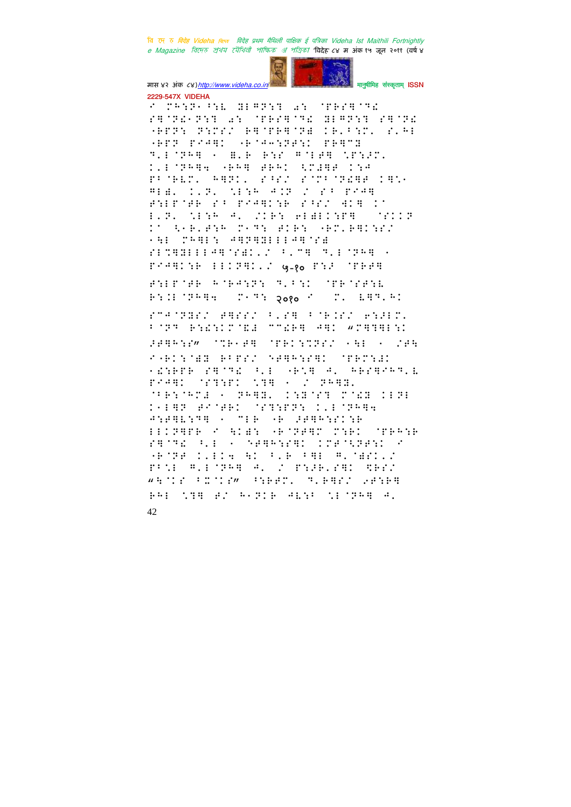## मानुषीमिह संस्कृताम ISSN मास ४२ अंक ८४) http://www.videha.co.in 2229-547X VIDEHA

**TANY PERMITTENT AND TERRITE**  $\mathcal{L} = \mathcal{L}$ PROPERTIES OF CERPENTE BEFORE PROPE HETER TRITED BESTEESTED IELFRIJ ELFE SPPP PARED SPAREDED PRESS S.E. TRANS (A) B. B. B. BAY, A TERNE (MENRIC, 1.179594 (PERSONAL STARF) 154 FROBERT PRESIDENTS FOR CENTRAL IRVS PEBL 1120, NESP PIP 2 PP PAPE PALEYPE PASS PAPELAE PART ROBERT EVEL MENS AL VIEN FEBRINES (MILE IN ARELAND TRANSPORTER PETIENTARY FESTIVE EXPERIENCE AND THE TEST PROPERTY PRANCISE BECOND. J. GL&O PIER INFERN

FALE OFFICE OF THANKS CONCRETE COMPARE FROM TRANSPORTATION OF CONTRACTOR

PTAINBEZ ABEEZ FLEB FINEDEZ ANDER. POST PARALENES TERR PRI WERREAL  $J(\theta,\theta,\theta,\gamma,\tau_{\theta}) = \mathbb{E}[\mathbb{E}[\theta+\theta,\theta] - \mathbb{E}[\mathbb{E}[\tau(\theta,\tau,\tau_{\theta})-\theta,\theta] - \mathbb{E}[\tau(\tau_{\theta}+\tau_{\theta})-\tau_{\theta}]\mathbb{E}[\tau_{\theta}+\tau_{\theta}+\tau_{\theta}+\tau_{\theta}+\tau_{\theta}+\tau_{\theta}+\tau_{\theta}+\tau_{\theta}+\tau_{\theta}+\tau_{\theta}+\tau_{\theta}+\tau_{\theta}+\tau_{\theta}+\tau_{\theta}+\tau_{\theta}+\tau_{\theta}+\tau_{\theta}+\tau_{\theta}+\tau_{\theta}+\tau_{\theta}+\tau$ KABINYAN BAPAT NAMPANAN TEBUNGI KENBER PRITE (F.E. ARTH A. ARPHART.E FORE: MOTHER NEW YORKER. **MESTERS COPERN CARTER PORT CEPE** 19988 BROBEL CHANDEL 1.8 OPPRA #N#BENTB + TEB +B ##BPNYPINB ESCRAPE PORTABLE PERPERTORNED IMPANE PRIMA FLEUR SPRAGED ITEINTENT C RETRACILISM AD PLECED RUNAVILY PROFINE ORGANIZACIONES EN REPO  $\sqrt{2}$  and  $\frac{1}{2}$  and  $\frac{1}{2}$  and  $\frac{1}{2}$  and  $\frac{1}{2}$  and  $\frac{1}{2}$  and  $\frac{1}{2}$  and  $\frac{1}{2}$  and  $\frac{1}{2}$  and  $\frac{1}{2}$  and  $\frac{1}{2}$  and  $\frac{1}{2}$  and  $\frac{1}{2}$  and  $\frac{1}{2}$  and  $\frac{1}{2}$  and  $\frac{1}{2}$  and PRESSIBLE AN ARTHONOUGH SESPECT.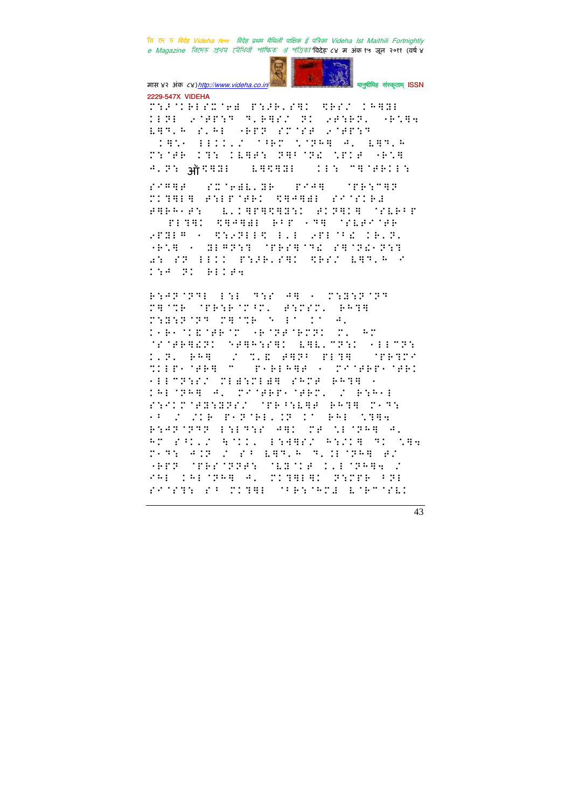## मानुषीमिह संस्कृताम ISSN मास ४२ अंक ८४) http://www.videha.co.in 2229-547X VIDEHA

PARTIFICATES PARELENT  $\frac{1}{2}$  (  $\frac{1}{2}$   $\frac{1}{2}$   $\frac{1}{2}$   $\frac{1}{2}$   $\frac{1}{2}$   $\frac{1}{2}$   $\frac{1}{2}$   $\frac{1}{2}$   $\frac{1}{2}$   $\frac{1}{2}$   $\frac{1}{2}$   $\frac{1}{2}$   $\frac{1}{2}$   $\frac{1}{2}$   $\frac{1}{2}$   $\frac{1}{2}$   $\frac{1}{2}$   $\frac{1}{2}$   $\frac{1}{2}$   $\frac{1}{2}$   $\frac{1}{2}$ 1191 / 2007年 7.0002 91 / 2009. 00000 EARLA PLAE (HER POTPE DIRETAR) THIS REDUCE THE INTERFERENCE TACHE CAN CEARN PARTNE NECH (FNA  $4.71 \frac{1}{31}37411 = 143441$ **CONSTRAINER** 

graduje  $\pm 2.5$  templates  $\pm 0.44$ TINHER PALENTEL SHARBE PANTELE PAPPERS LOCATARAGES POPPORTIER TITH, SHAHIL HAT ATH MILESMEN PEGER A RAPPEER ELE PEESE CELP. 4819 - 1019233 (TERTUTE RUTER-233 an PP HILL PNJELPHI REPL'ERRIA P 154 F. Billes

F142 1231 111 312 48 1 21212723 THOTE OFFICE TO BT. CHATETIC FROM TABARANT TEATH A BACAN  $\mathbb{R}^2$ INDUCTION TO SECOND PERMIT AT SASARAN SARSAN LANGSAN SIMA<br>1910 Renovasi Maria TIERSTARM TO PARENMALS TRIARESTARI  $+11777777$  TEMATEMB (2578) 6538  $+$  $\mathcal{F}(\mathbb{R}^d) = \mathcal{F}(\mathbb{R}^d) \oplus \mathcal{F}(\mathbb{R}^d) \oplus \mathcal{F}(\mathbb{R}^d) \oplus \mathcal{F}(\mathbb{R}^d) \oplus \mathcal{F}(\mathbb{R}^d) \oplus \mathcal{F}(\mathbb{R}^d) \oplus \mathcal{F}(\mathbb{R}^d) \oplus \mathcal{F}(\mathbb{R}^d) \oplus \mathcal{F}(\mathbb{R}^d) \oplus \mathcal{F}(\mathbb{R}^d) \oplus \mathcal{F}(\mathbb{R}^d) \oplus \mathcal{F}$ energira shi mhe eas gre che need e. POSTED CONTOC FARROW PACER TO SER T-71 #17 2 FF E95.8 7.11 7289 F. HETP TERRITEEN TESTIF INFORMACIO PAIL CALCRAN AL COMMISSION PACER ACH PROPERTY TO THE COMMONDER ECONOMIC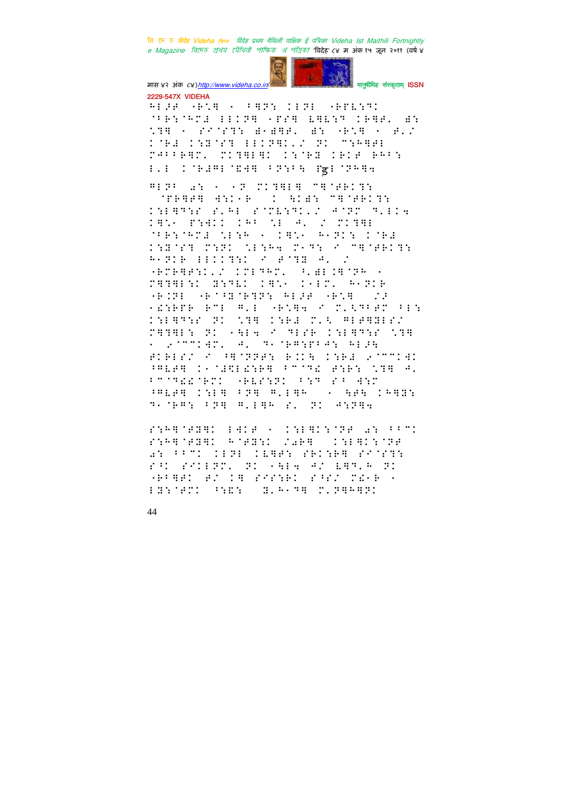### मानुषीमिह संस्कृताम ISSN मास ४२ अंक ८४) http://www.videha.co.in 2229-547X VIDEHA

PERFORMED PORTER INFORMATION **TERMATE EECH FEER ENERG CENE. HR** VIR POSTEIN BREAK BY PENN POST **TORE INSTRUMEDIATELY PLOTAFIED** THEFFUL TIMENT INTED IFIN PRES EVENT THEFT TEAR OF PACK TEEL TRAINS

**PERFORM ACTIVITY CONTROL CONTROL TO TERMAN AND RESIGNATION TRIALITY** CALBEAR VELBE VENTEARDLUM HORD PLEDH THIS PARTICIPE IN SUCH TITHE **TERRITE NERROOTEN PORTLANDER** THE GOOD PART ONE HAS CITED AS COMPARED TH Robert Bernard (Program Alice  $\left\{ \frac{1}{2}, \frac{1}{2}, \frac{1}{2}, \frac{1}{2}, \frac{1}{2}, \frac{1}{2}, \frac{1}{2}, \frac{1}{2}, \frac{1}{2}, \frac{1}{2}, \frac{1}{2}, \frac{1}{2}, \frac{1}{2}, \frac{1}{2}, \frac{1}{2}, \frac{1}{2}, \frac{1}{2}, \frac{1}{2}, \frac{1}{2}, \frac{1}{2}, \frac{1}{2}, \frac{1}{2}, \frac{1}{2}, \frac{1}{2}, \frac{1}{2}, \frac{1}{2}, \frac{1}{2}, \frac{1}{2}, \frac{1}{2}, \frac{1}{2}, \frac{1}{2$ PUBBBBB BESTED CURVE INFORMATION  $\{ \frac{1}{2}, \frac{1}{2}, \frac{1}{2}, \frac{1}{2}, \frac{1}{2}, \frac{1}{2}, \frac{1}{2}, \frac{1}{2}, \frac{1}{2}, \frac{1}{2}, \frac{1}{2}, \frac{1}{2}, \frac{1}{2}, \frac{1}{2}, \frac{1}{2}, \frac{1}{2}, \frac{1}{2}, \frac{1}{2}, \frac{1}{2}, \frac{1}{2}, \frac{1}{2}, \frac{1}{2}, \frac{1}{2}, \frac{1}{2}, \frac{1}{2}, \frac{1}{2}, \frac{1}{2}, \frac{1}{2}, \frac{1}{2}, \frac{1}{2}, \frac{1}{2}, \$  $+234939$  (FTI  $-911$  )  $+0.14$  (P. T. UP)  $+7$ **CALBRAY RECORD CARD TO COMPLEHENC** TUTUR TO SHE A TEACHING AND Programmed and all along management and any BIBERZ KORBODBEN BIDE INBEDIGTTUG PREAM IN TERRESTAN PUTTE SPEN TIME AL FOOTESTED: HEESTED FAT PROPER PRINT INFORMATION (1980) 1988 1998 3. THR. FRE R. EA. F. ST RNSH.

235978391 E418 + 13E913788 WS FFT1 PARAMENT ROBBAL VARA (1988) 198 an first clear clear seched school FRO FAILERS, PLOANING AS ERROR PD ABREAT AN IE PAPARI PAPI DEABLY FUNCATIONALISM CONTRACTORMANCI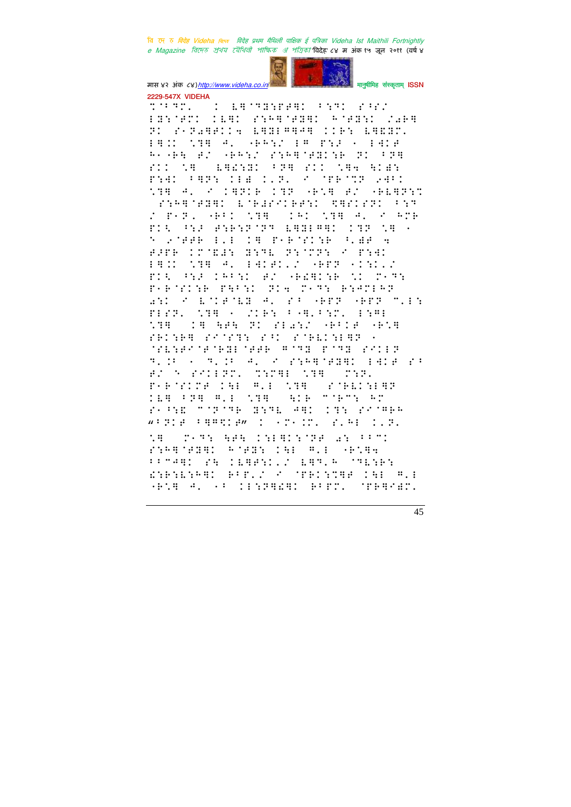मास ४२ अंक ८४) http://www.videha.co.in 2229-547X VIDEHA

मानुषीमिह संस्कृताम ISSN

THE RIVER OF SALE PRINTED HE REPORTED EGNIFIC CERC PARKIPORT PIPONT CARR PI PAPARALIA LABERARA LIPA LABERT. 1911 199 4, (PRAY 19 PAR ) 1919 84 (PR) 82 (PRS) 2588788158 (PD) 828 FILE AND LANGED FRAUDILE AND HIGH FARD FREE DEE DUR, SCOTECTE SAFD NTH AN A NHEIR NTE ARNE RA ARLEAN STARRING RICHARD FRAUDRACIO PLAN 2018年12月20日 1月22日 1月22日 1月22日 1月22日 1月20日 1月20日 FIL PAS PARABORS ENDING: 198 AN . NOVINAR BIBOIR PORTEINE PLAN A FAPE CONTEST STAR PTICET A PTAC ERIC STRUCK EREPORT (PETROPINIST FIR PARTIES AND PROVINCING TO THE TO F-BOZINE FRONT FIG. TO THE BNATERY and on a trained on one open open mish FEFT, ATHEN WIFE FOR, FAT, EARL **NTH INTERNATIONAL PERSONAL PROPERTY** PRIMER PONTRA POLICIPALMENTIS TVENARY TAITABLE TAAR OP TROOP TITRO VYKLOP SUBSCRIPTION CONTRACTORED EADERS BOOK PRIEDEL TATHE AND UTABL PORTFIELD FOR ANY STREETHER TER FOR PLE STR. ALE TOETA AT PACKE TOPORE BATE AND LINE PROPER  $\mathbf{w}$  (  $\mathbf{F}$  )  $\mathbf{F}$  (  $\mathbf{F}$  (  $\mathbf{F}$  )  $\mathbf{F}$  (  $\mathbf{F}$  )  $\mathbf{F}$  (  $\mathbf{F}$  )  $\mathbf{F}$  (  $\mathbf{F}$  )  $\mathbf{F}$  (  $\mathbf{F}$  )  $\mathbf{F}$  (  $\mathbf{F}$  )  $\mathbf{F}$  (  $\mathbf{F}$  )  $\mathbf{F}$  (  $\mathbf{F}$  )  $\mathbf{F}$  ( ABC PRIME REPORTED STRENGTH TO FARBINEED ROBERT CHECHLE (PENH) iinaad ya degemuun eghu humemam.<br>Waamemam efelu kumamedage dalugul HENR A. FR IENSBEED BRET. TEBRAET.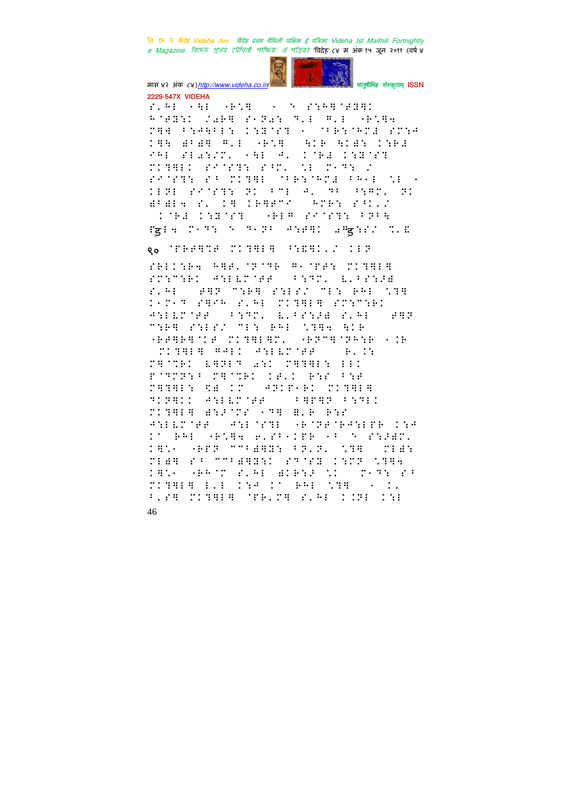त्रि एन रु विदेह Videha बिलर विदेह प्रथम मैथिली पाक्षिक ई पत्रिका Videha Ist Maithili Fortnightly e Magazine विरमूरु शेश्य त्यैथिनी शोष्किक श्री शक्तिको 'विदेह' ८४ म अंकश्श जून २०११ (वर्ष ४

#### मानुषीमिह संस्कृताम ISSN मास ४२ अंक ८४)http://www.videha.co.in 2229-547X VIDEHA

 $\begin{array}{cccccccccc} \mathbf{1} & \mathbf{1} & \mathbf{1} & \mathbf{1} & \mathbf{1} & \mathbf{1} & \mathbf{1} & \mathbf{1} & \mathbf{1} & \mathbf{1} & \mathbf{1} & \mathbf{1} & \mathbf{1} & \mathbf{1} & \mathbf{1} & \mathbf{1} & \mathbf{1} & \mathbf{1} & \mathbf{1} & \mathbf{1} & \mathbf{1} & \mathbf{1} & \mathbf{1} & \mathbf{1} & \mathbf{1} & \mathbf{1} & \mathbf{1} & \mathbf{1} & \mathbf{1} & \mathbf{1} & \$  $\mathcal{L}_1$  ,  $\mathcal{H}_2$  ,  $\mathcal{H}_3$  ,  $\mathcal{H}_4$  ,  $\mathcal{H}_5$ PORTHOLOGEN PORTHOLD PLE SEVEN THE PAPPER CANONY COMPANYS FIRE THE BREEK RID SENHOONIE RIEGEN INEB PRESERVIT, PRESP. CORE INSTRU PINHEI PROPER PORT OF THUR P PAIRTY PROTECTS TRESTATE RANK AROU 1988 PATRIN RICHME ALCHE SARD, RI BRBEAUT, IN IPHPTY (PTPY FRI.) CORA CABORE (1981#1981001511) FREE Pate Prince Sensor States analysis for

Qo (FRANCA CINEEN (SENILL) 197

FRIDGES AND COMMON SACTORY TO THE R FUNCABL ANELDIAR (FNOT, ELFFNAE FURNITURES TARE FALES TEACHER STR 1979年 - 2020年 - 2191 - 2100日 011000001 ANELYMPH (FNST) ELFINIE PLAE - 29 TABE PAIRS TIA BAIL  $11344 - 614$  $\left\{ \begin{array}{ll} \left\{ \begin{array}{ll} 0 & \text{if } \mathbb{R} \in \mathbb{R}^n, \ \mathbb{R}^n \in \mathbb{R}^n, \ \mathbb{R}^n \in \mathbb{R}^n, \ \mathbb{R}^n \in \mathbb{R}^n, \ \mathbb{R}^n \in \mathbb{R}^n, \ \mathbb{R}^n \in \mathbb{R}^n, \ \mathbb{R}^n \in \mathbb{R}^n, \ \mathbb{R}^n \in \mathbb{R}^n, \ \mathbb{R}^n \in \mathbb{R}^n, \ \mathbb{R}^n \in \math$ CONTRACTORS CONTRACTORS (CALIF PRINCE ERRET WILL PRINCE HEL ESTROPA FOORSTED (1921) EAR (FAB)<br>ORTREACHE (10) (PRIEFER COLTRER **MINHII ANIEMAN (ANIEMA) (NAME)** TINHER WAS TRACKED BY HAR ANIELYSE (ANISCH) APSPECHANIER 194 IN PRESPECTED FOR STREET STOCK PARKS. 1956 (FER TTEBBE) FR.R. 199 (TEB) TEMP FROM HEAT FACTO CATA AREA F. 28 213818 (28) 28 2151 1121 1131  $46$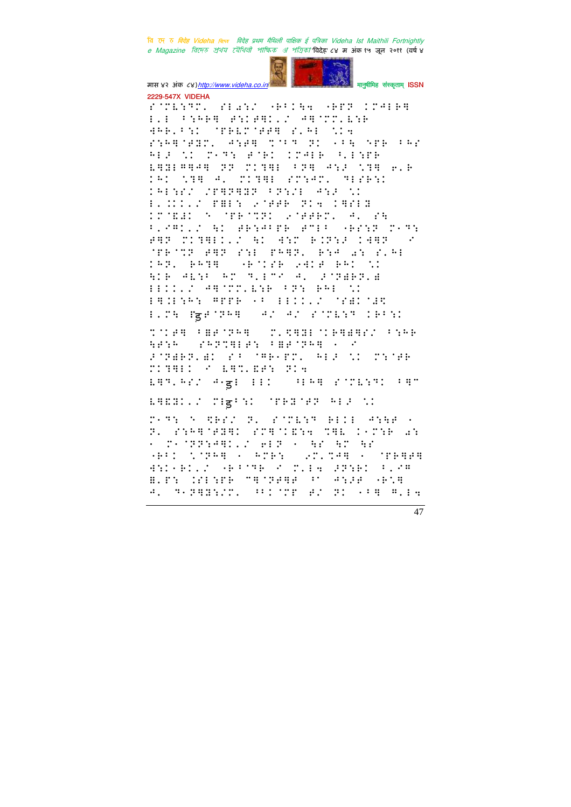## मानुषीमिह संस्कृताम ISSN मास ४२ अंक ८४)http://www.videha.co.in 2229-547X VIDEHA

KOTENTI KEWAT (BRIAN) (BET ITALBA EVER PAPPE RADREDUM PROTOLENE HARVANI MEREDIHAN PUAH NIH FARBINED, PARE TORT BILLER SERVERY RESULT TYPE ROBE INTERNATION LANEAR 22 FIRE (23 952 518 F.F. TRI STRUR, PITRE POSPO, TEPRSI THESE CRAFARE FRYSLAND MI EVILLE FOR VIEW FIN LOCK INTERNATIONAL TERRITORY ARRESTS AND RE-F.PRI.I RI PENAMPE PTM (PENAMP P) PRP TITREILI RI RIT BIPIP LARP TER TOP GREE STAR STREET, AND AN STURE 197. PRINT (PENIPE 2418 PRI) NI ADE ALNO PO MUEMO AL GOVERNUE BEDDLY HANDDLENE FRY BREAK FRIENN PEER (F) BEILLY MEEMER EVON PERMITTED AN AN EMPERIT DEPAR

 $\begin{array}{lll} \mathcal{R} & \mathcal{R} & \mathcal{R} & \mathcal{R} & \mathcal{R} & \mathcal{R} & \mathcal{R} & \mathcal{R} & \mathcal{R} & \mathcal{R} & \mathcal{R} & \mathcal{R} & \mathcal{R} & \mathcal{R} & \mathcal{R} & \mathcal{R} & \mathcal{R} & \mathcal{R} & \mathcal{R} & \mathcal{R} & \mathcal{R} & \mathcal{R} & \mathcal{R} & \mathcal{R} & \mathcal{R} & \mathcal{R} & \mathcal{R} & \mathcal{R} & \mathcal{R} & \mathcal{R} & \math$ FOREFRIED PROTHECED, REFORE **CONTRACTOR** FIRBIT CONSTRUCTS FIRE

EARLESS Argillians (HAA) Scheams Fan

EARSELL TEgral (TERSPER HER NI

DARY SURFER RUNGERS FELL ANDENS P. PARTYPHI PATTICHER THE CONFORM  $\left\{ \begin{array}{ccc} 0 & 0 & 0 & 0 \\ 0 & 0 & 0 & 0 \\ 0 & 0 & 0 & 0 \\ 0 & 0 & 0 & 0 \\ 0 & 0 & 0 & 0 \\ 0 & 0 & 0 & 0 \\ 0 & 0 & 0 & 0 \\ 0 & 0 & 0 & 0 \\ 0 & 0 & 0 & 0 \\ 0 & 0 & 0 & 0 \\ 0 & 0 & 0 & 0 & 0 \\ 0 & 0 & 0 & 0 & 0 \\ 0 & 0 & 0 & 0 & 0 \\ 0 & 0 & 0 & 0 & 0 \\ 0 & 0 & 0 & 0 & 0 \\ 0 & 0 & 0 & 0 & 0$  $\mathcal{A}(\mathbb{R}^d; \mathbb{R}^d) \cong \mathcal{A}(\mathbb{R}^d; \mathbb{R}^d; \mathbb{R}^d) \cong \mathcal{A}(\mathbb{R}^d; \mathbb{R}^d; \mathbb{R}^d; \mathbb{R}^d; \mathbb{R}^d; \mathbb{R}^d; \mathbb{R}^d; \mathbb{R}^d; \mathbb{R}^d; \mathbb{R}^d; \mathbb{R}^d; \mathbb{R}^d; \mathbb{R}^d; \mathbb{R}^d; \mathbb{R}^d; \mathbb{R}^d; \mathbb{R}^$ aniversità (Petropola) prima (apherotica)<br>Blanno reforme operata (trovanata (Petr  $\mathbb{R}^n$  , and  $\mathbb{R}^n$ AL PROBAGING PENTENBAL DI REBUBLER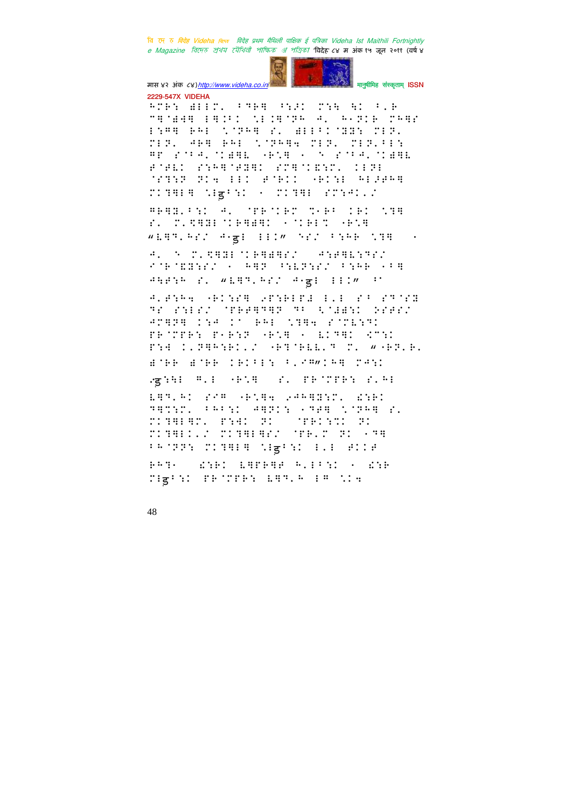# मानुषीमिह संस्कृताम ISSN मास ४२ अंक ८४) http://www.videha.co.in 2229-547X VIDEHA POPS BILOG PRPH PART ONE ROOF. margaan baded (to de danse Allie-Addel Bear ENRY BREAKING WAS BEEN CHINA TER. TER. PER ERE STRAKE TER. TER. EES PECIFICAL MERRIC (PARCH) ACCEPTANCE BRE **FIFRS PIRTURES PERIODIC DEPE** TERRE PIN BEI WIRIT (PEINE PEJPPR DITHER SERVICE CONTROL POSTS.C PERBITAN AL IMPOSED DEPOSEN CRISINA  $\mathcal{L}_{\mathcal{A}} = \mathcal{L}_{\mathcal{A}} \cdot \mathcal{L}_{\mathcal{A}} \cdot \mathcal{L}_{\mathcal{A}} \cdot \mathcal{L}_{\mathcal{A}} \cdot \mathcal{L}_{\mathcal{A}} \cdot \mathcal{L}_{\mathcal{A}} \cdot \mathcal{L}_{\mathcal{A}} \cdot \mathcal{L}_{\mathcal{A}} \cdot \mathcal{L}_{\mathcal{A}} \cdot \mathcal{L}_{\mathcal{A}} \cdot \mathcal{L}_{\mathcal{A}} \cdot \mathcal{L}_{\mathcal{A}} \cdot \mathcal{L}_{\mathcal{A}} \cdot \mathcal{L}_{\mathcal{A}} \cdot \mathcal{L}_{\mathcal{A$ wiedniest dig: Eliw Sst Paer 198 ALC NOTES RESEARCHER CONSERVATION  $\mathcal{L}^{-1}(\mathbb{H}^{-1}(\mathbb{E}(\mathbb{H}^n)^{\mathbb{Z}}(\mathbb{H}^n)^{\mathbb{Z}})) = \mathbb{H}^{-1}(\mathbb{H}^n(\mathbb{H}^n)^{\mathbb{Z}}(\mathbb{H}^n)^{\mathbb{Z}}(\mathbb{H}^n)^{\mathbb{Z}}(\mathbb{H}^n)^{\mathbb{Z}}(\mathbb{H}^n)^{\mathbb{Z}}(\mathbb{H}^n)^{\mathbb{Z}}(\mathbb{H}^n)^{\mathbb{Z}}(\mathbb{H}^n)^{\mathbb{Z}}(\mathbb{H}^n)^{\mathbb{Z}}(\mathbb{H}^n)^{\mathbb$ HAPAR PLOWERS, RPC (Hoge (EEIW) PT H. Pahe (1961) SPR (2019) FOR STATE (2019) PROPER TE PALES (TERRITAR TA AJARA) SPRES APAPA 154 17 BAD STAR STORES FRONTES FORST ORGANIZATION CON FAR INTERARING SETTELLIT TI WARTIEN # 1998 | # 1999 | 1991 | 1991 | 1992 | 1993 | 1993 | PERMIT PLEASENED PLATER TERRITORY ENTIFICATO PELHA PARANTEL ENEI

**PRINT, PREND PRODUCED PRODUCTS AND LOC TERIANI BI 2199192. P341 21** FRONT CONNECTING TO BUILDING

 $1.44.1$  $\sim$  2010) LATTERY F.1991  $\sim$  2010 Fight: PROPER EARLE IR NOW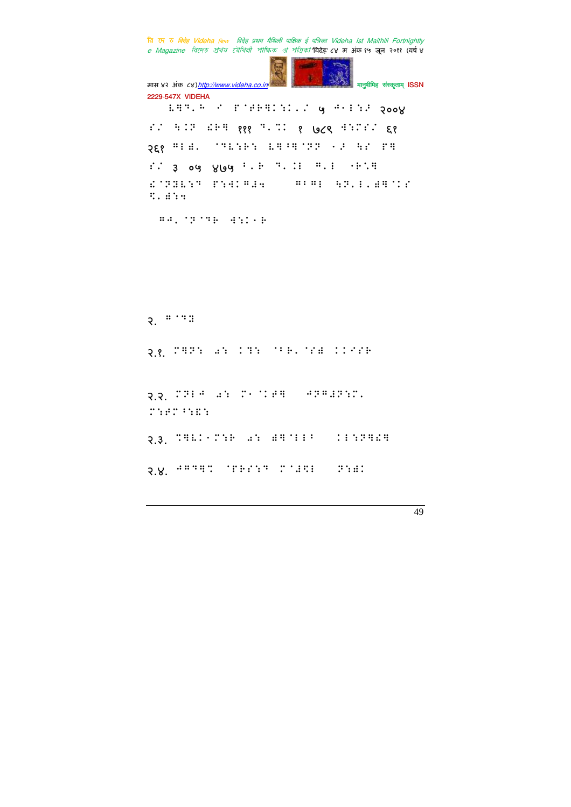ৱি দে হ *विदेह Videha बिल्ब विदेह प्रथम मैथिली पाक्षिक ई पत्रिका Videha Ist Maithili Fortnightly* e Magazine विरमह 'क्षेत्र' रूपैशिवी शोष्क्रिक श्रं शक्तिरं **विदेह' ८४ म अंक १५ जून २०११ (वर्ष ४** 

मास ४२ अंक ८४)http://www.videha.co.in/ मानुसीमह संस्कृताम् ISSN 2229-547X VIDEHA *)!*⣇⣛⢹⢳ ⢾⢷⣛ ⣑ ५ ⢺\$⣑⢼ २००४  $2^{\frac{1}{2}}$   $2^{\frac{1}{2}}$   $3^{\frac{1}{2}}$   $3^{\frac{1}{2}}$   $3^{\frac{1}{2}}$   $3^{\frac{1}{2}}$   $3^{\frac{1}{2}}$   $3^{\frac{1}{2}}$   $3^{\frac{1}{2}}$   $3^{\frac{1}{2}}$   $3^{\frac{1}{2}}$   $3^{\frac{1}{2}}$   $3^{\frac{1}{2}}$   $3^{\frac{1}{2}}$   $3^{\frac{1}{2}}$   $3^{\frac{1}{2}}$   $3^{\frac{1}{2}}$   $3^{\frac{1}{2}}$   $3^{\frac$ २६१ ⢻⣞ ⢹⣇⣑⢷⣑ ⣇⣛⢸⣛⢽⢽ \$⢼ ⣓ ⣛*/!*  $3^2$   $3^2$  04  $904$   $904$   $3^2$   $3^2$   $3^2$   $3^2$   $3^2$   $3^2$   $3^2$   $3^2$   $3^2$   $3^2$   $3^2$   $3^2$   $3^2$   $3^2$   $3^2$   $3^2$   $3^2$   $3^2$   $3^2$   $3^2$   $3^2$   $3^2$   $3^2$   $3^2$   $3^2$   $3^2$   $3^2$   $3^2$   $3^2$   $3^2$   $3^2$   $3^2$   $3$ ⣎⢽⣝⣇⣑⢹ ⣑⣚ ⢻⣜⣒*!.!*⢻⢻ ⣓⢽⣞⣛ ⣋⣞⣑⣒*!\*!* ⢻⢺⢽⢹⢷ ⣚⣑ \$⢷ २.  $\frac{m}{n}$  :  $\frac{m}{n}$ २.१. २०२१ वर्ष २०५ लामा जनगणना पुरस २.२. <sup>१३</sup>१ ऱे ४१ ऱे ऱे १३ ऱे १३ ऱे १२ ऱ्या १२%

⣑⢾⢸⣑⣏⣑

२.३. <sup>श्</sup>ष्ठाः गाउँ ० ०३ वि. १९३१ वटा ४ ३० वटा

२.४. <sup>असम</sup>मण (ग्रेसिक ग्राउस) अधिका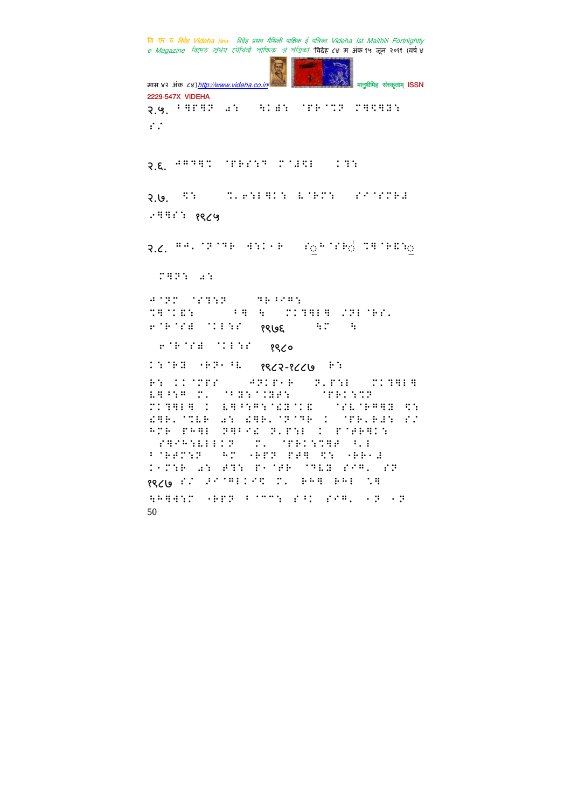त्रि एप रु विदेह Videha बिलर विदेह प्रथम मैथिली पाक्षिक ई पत्रिका Videha Ist Maithili Fortnightly e Magazine রিদেহ প্রথম মৌথিনী পাক্ষিক *প্র পত্রিকা* 'विदेह' ८४ म अंक १५ जून २०११ (वर्ष ४ मानुषीमिह संस्कृताम् ISSN मास ४२ अंक ८४) http://www.videha.co.in 2229-547X VIDEHA RIG, FRERE WAS SACKED TEACHER CREARED  $\therefore$ RE PRESS SERVE TIES STAR RIG. 55 COLLEGEBLE SCHOOL SYSTEMS  $.449.244$ R.C. FRUITENT HALLEY CORNER TRIPENO 7825 a5  $\frac{1}{2} \left( \frac{1}{2} \frac{1}{2} \frac{1}{2} \frac{1}{2} \frac{1}{2} \frac{1}{2} \frac{1}{2} \frac{1}{2} \frac{1}{2} \frac{1}{2} \frac{1}{2} \frac{1}{2} \frac{1}{2} \frac{1}{2} \frac{1}{2} \frac{1}{2} \frac{1}{2} \frac{1}{2} \frac{1}{2} \frac{1}{2} \frac{1}{2} \frac{1}{2} \frac{1}{2} \frac{1}{2} \frac{1}{2} \frac{1}{2} \frac{1}{2} \frac{1}{2} \frac{1}{2} \frac{1}{2}$ denisa (11 Perse) dinere variez. **PORTER CONSTRU**  $\vdots$   $\vdots$   $\vdots$ 15781 98793. १९८२-१८८७  $\,$   $\,$   $\,$   $\,$   $\,$   $\,$   $\,$ **STEPHEN ST** SARVADER SA SARVADAR I TERLESK KV POR TRUE PURSO PLEAD I FOREUN  $\mathbb{R}^n$  . The state  $\mathbb{R}^n$ FRANCHILLE FORETAR SAT SPER FEB RASSERS 1975-can amn by may chua schu <sup>2</sup>sp 88Z19 F.C. FRITHEIRS T. FRH FRE 19 ARBANI (PETROPOTTA SPILSPER OP OP 50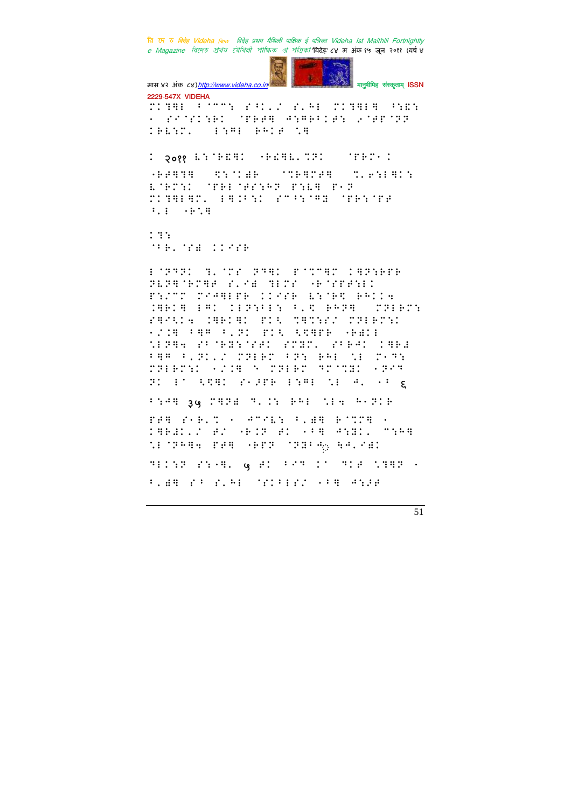मानुषीमिह संस्कृताम ISSN मास ४२ अंक ८४) http://www.videha.co.in 2229-547X VIDEHA TIGHT FOUND ROLL RINE TIGHTH ONES s anno mo comen ambigam che no TELATURE ENHIFTED TH  $\frac{1}{2}$  (2000) ENGINEERS (1940) HERRICAL SERVICES

**ABANYA KETEBUAT YENESHE TERRITETE** LIPTAL ITELIANIST PALE PAR PINHERY, ERIPAIN POSTER TERRITH  $\mathcal{F}_\bullet$  :  $\mathcal{F}_\bullet$  ,  $\mathcal{F}_\bullet$  ,  $\mathcal{F}_\bullet$ 

```
1.331TERL TEW CONTENT
```
ECPRED RUNDEL PRAID POSTAGE CAPABER PEPROPER PLAN TETP (PPOPPHE) FACTO CREBITE CLRIB ENTER BELLE 19619 191 1123113 1.5 FA29 (221623 PROVINCIPAL RICHARD TRINIC PRESCHI  $+2.19$  (FRP)  $+2.91$  (FDA) ARREE (FEBOR NEPHA SPORGAGED STORY SPRAY INFO FUEL FIRELY TREET FRY ERE ALL THRE THEFTAL FILM A THEFT AT THE FIRM POST ARRESTS FARE CHORNEY &

FGRE 39 JEFE F. IN PRESSENTED FOR B

FFR PORT OF POSITION FOR POTTED THEATLIN AN ORIGINAL COMPOSITION MARK MESPHA PAR SPEP SPEER NO ARCHA

PECSO PARTICIPATION OF PERSONAL F. 88 YO Y. RESTYLEY SON 9508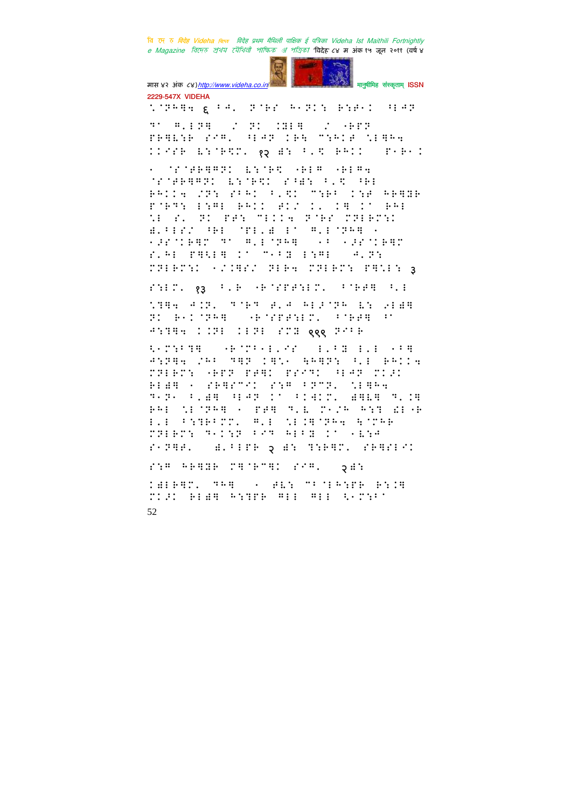मानुषीमिह संस्कृताम् ISSN मास ४२ अंक ८४) http://www.videha.co.in 2229-547X VIDEHA STRABA & PAL CROBE AVRIS BSBVI (HAR TO REPRODUCED DRIVE OF SPER

FRALLE FOR, HEAR IRE TIRIN MERRY ISPER LATERT, @ BACPIR PRID CIPERIO 

TETERBREL ENTREL ERBIT FLE PRI BRIIN 2013 PERIODIC MARE INN PROB PORTS ENTIRE RADIO BIZ DI COR DO RAI ME PL PI FAN TELLA PORP TREPTAL BUFFEL PHOTOGRAPH PORTUAL TREETAL FOIRED REEN TREETA PRAEA 3

FABUL 03 F.E. (POTTEABUL FORES F.E

STRAIN CROSS TORT ALAS ALASTER LA SALAR FL B-177555 (PENTENET, FNBES F **HANNEY COMPATIBLE FOR SOME PARTIES** 

APPARTH CONFIDENTIAL CONTINUES IN A FR #1784 250 382 1820 1820 18421 111 184114 TREETS (FER PART PROT) HEAR TIRE FIER ( PERPOSI PAR FROM APRA) HARA PINE HAR IN PININ NAMA MIJA PRESSENTER POTENTIAL TECH PATENTER EVENTSTEFTT. P.E. NEIBORNA BOTHE THEFTS WAINE FAN REFEAT ALSO FORMAL CONSTITUTION AND ANNUAL CONTRACT

FAR PERSE TRIETRI FAR. QUA

THEFAIL ARE CONSTRUCTION TERMS ENTR TISI HINA SYTEM MIL MIL SYTH' 52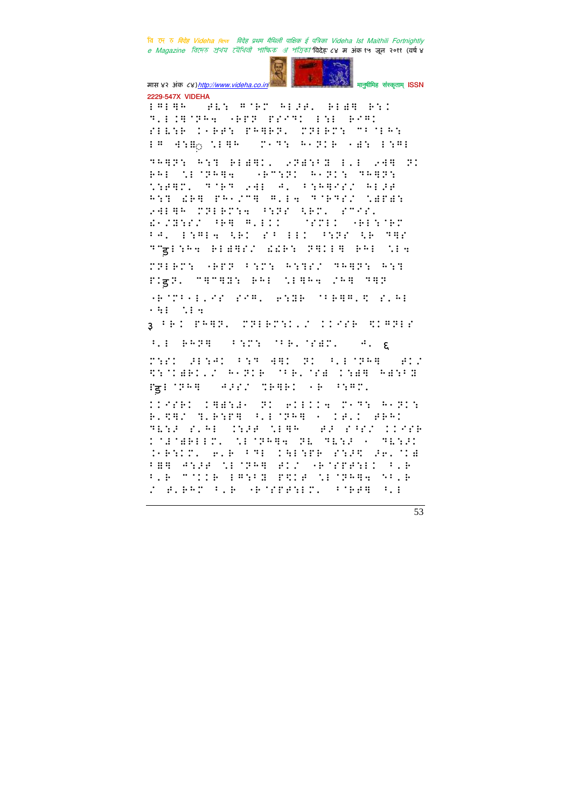मानुषीमिह संस्कृताम ISSN मास ४२ अंक ८४) http://www.videha.co.in 2229-547X VIDEHA

PRINK ANY ROBOT RESP. PENN BY: S.E.SETPAN (APP) PERSON ENEURROR FILME ISBN PROPER TUBETA TUMBA PROBABLY MERCURY AND POSSIBLE PARTICULARY

PROPAGENT BIBOL SPANED ILI SED PI PRI NIMBARA (PRONO) PADIN OPERN 11890. TIBT 241 F. FINDERS PERM PAT ZET PROVE PLEA TOPTES NEED PHERE CREECING SIDE AFC. POST. EVIDENT PROVINCE (MINERAL PROPER FR. 19814 REC 23 111 3922 RE 783 PTERNA PERBENT EERS PRIER PAE NEW

THEFTS (FETH FATA PANEL TRANS) RAN FIER, TRIBES ERE MERRY 288 382

 $\begin{array}{cccccccccc} \mathcal{L}\oplus \mathcal{L}\mathcal{L}\mathcal{L}\oplus \mathcal{L}\oplus \mathcal{L}\mathcal{L}\oplus \mathcal{L}\oplus \mathcal{L}\oplus \mathcal{L}\oplus \mathcal{L}\oplus \mathcal{L}\oplus \mathcal{L}\oplus \mathcal{L}\oplus \mathcal{L}\oplus \mathcal{L}\oplus \mathcal{L}\oplus \mathcal{L}\oplus \mathcal{L}\oplus \mathcal{L}\oplus \mathcal{L}\oplus \mathcal{L}\oplus \mathcal{L}\oplus \mathcal{L}\oplus \mathcal{L}\oplus \mathcal{L}\oplus \mathcal{L}\oplus \mathcal{$  $\sim$  544  $-$  744  $\pm$ 

3 FED PRES. THEFTALLY LIKER SUPPLY

F.E. BRAN (FACA) MELONEDLY (R. g

CARD SEARCHAR ARD BO FLETPAR (BOZ RNOVARD. Z AVDIE OVER OZA JONAN AANVR PERSONAL PROPERTIES OF STREET

COMPARY CHANGE (PD) ACEDDA (TVPN) PVPDN BIRBO BIBYER PIECHAR (FOIBIL) BERD IPANIC PORTH INFORMED PARK PROVIDE FBR PASE AFTER BIZ PETERIC FLE FIR TOIL EMPLE PULP NETROL NEIG CORPER PORT HENRICH PERMIT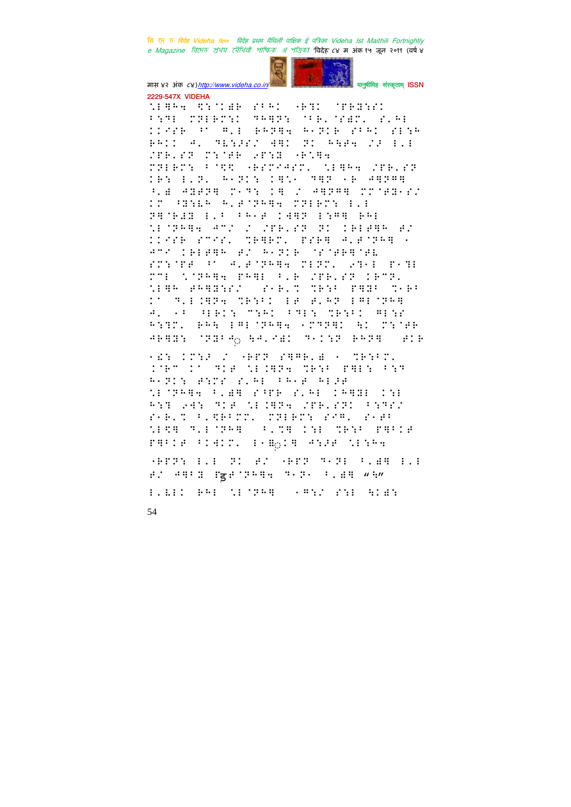मानुषीमिह संस्कृताम ISSN मास ४२ अंक ८४) http://www.videha.co.in 2229-547X VIDEHA

MERRY SANDER PRAIS (PRI)  $\cdots$ FARE CREECH (PRAPA CREUCHEC) PLAE 11778 (F. B.E. BROWN RYDIE 2081) 2158 9911 4. MENSEN 481 PL 9984 NR 911 STELER TEMPE STEED HENRY THEFT: FIRE (FETCHIT, AFRA) ZEELIZ 1951 1.2. 5-215 195- 792 - 6-309209  $\mathcal{F}_\mathbf{r}$  as consider the state of a consequence of the second contract of  $\mathcal{F}_\mathbf{r}$ IT SUBSERVAL POPPHAL TREATN (ELE PROFINE BUY THEFT CHRP BOARD PH NETRANA AMILIA VERIEN RI IREBNA BI ISKER ETKEL TRAPPEL FERA ALBITANA V And Calage at Algoa Scheege. POSTER (PT) ALBITRARY DEPOL (2018) PHOE TTE STRAGG PAGE FOR CERTER ERTR. MERRO ARRITECTO CONFUTO MARIO CRIBE ON APP in (m. 1989) desil ile lelep iminame<br>Al 1930 diecs mser (smis desir misk 8592. PRS 18172886 (27728) 81 25789 HERBY TROPAGINAL CALL THINK EPRESS ALE

 $\times$  25 (1008) 2 (  $\times$  + FPP ( 2008). By  $\times$  ( 0008) 7. THE IN THE NEITHER TEN FULL FIR 8.911 FITE F.51 FR.8 91138 NE 12584 (FLAR (2000) 2154 (15888) 191 553 245 308 NETHER 200220 55322 FREDUCT SUBFITT, THEFTS FAR, FRED MESH SUE MARK COLUMN INFORMATION PROPE FARIA RIALT, Exmola Angel Mense

HETRY EVENTS HAS HETRY THAT AN ART EVE FOR SHEET PERSONNEL TO PART COMPANY BIBI PHOTOGRAM (PATCH) RIBY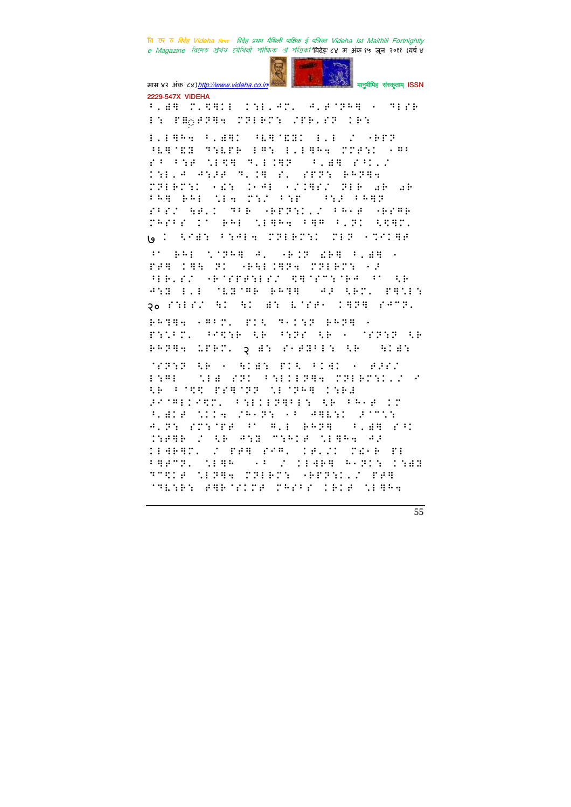## मास ४२ अंक ८४) http://www.videha.co.in मानुषीमिह संस्कृताम ISSN 2229-547X VIDEHA

F. 88 (2) 5811 (1911-82) (8) 87258 (8) 7126 PA PEGEPHA TRIETA ZPELER IEA

EVERPHONOGRED PERMETED EVERY SHEP FEB TEE (FALPE) EFACTLITER (TTEAL) (FFF FR PARTNERS SLEDGE TRIANSPORT THE A ANGEL MODEL FOR FERN BAGGA PREPORT FEB (1991) FOORED REPORT WH PAR PAI NEW TAN PAR ( PAR PARE  $\left(\begin{array}{cccccc} \frac{1}{2} & \frac{1}{2} & \frac{1}{2} & \frac{1}{2} & \frac{1}{2} & \frac{1}{2} & \frac{1}{2} & \frac{1}{2} & \frac{1}{2} & \frac{1}{2} & \frac{1}{2} & \frac{1}{2} & \frac{1}{2} & \frac{1}{2} & \frac{1}{2} & \frac{1}{2} & \frac{1}{2} & \frac{1}{2} & \frac{1}{2} & \frac{1}{2} & \frac{1}{2} & \frac{1}{2} & \frac{1}{2} & \frac{1}{2} & \frac{1}{2} & \frac{1}{2} & \frac$  $\mathcal{L}^{\pm}$  ,  $\mathcal{L}^{\pm}$ 6 : Anad Fdela CPERCd, CEP (COLER

F#8 198 F1 (+F811974 FF1FT1 ) F HELPS (From FELO SECONDO PROCESS) HAB BILE MEBMUR RATH (HAR ARTI PUNEA po filma al al ancare capacidame.

BANNEY (WEIGHT) PIR MAINE BANNEY FALURE USING HE USING AN ACCEPT AR BROAK LEBOL Q BO SHERFED AB (ADBO

SERGE AREA ALBA PIA FIGURAL PUBLIC  $\begin{minipage}{.4\linewidth} \begin{tabular}{l} \multicolumn{2}{c}{\textbf{1}} & \multicolumn{2}{c}{\textbf{2}} & \multicolumn{2}{c}{\textbf{3}} & \multicolumn{2}{c}{\textbf{4}} & \multicolumn{2}{c}{\textbf{5}} & \multicolumn{2}{c}{\textbf{6}} & \multicolumn{2}{c}{\textbf{7}} & \multicolumn{2}{c}{\textbf{8}} & \multicolumn{2}{c}{\textbf{9}} & \multicolumn{2}{c}{\textbf{1}} & \multicolumn{2}{c}{\textbf{1}} & \multicolumn{2}{c}{\textbf{1}} & \multicolumn{2}{c$  $1.5 + 1.1$ AF FORE PERSON NESPHE INFE FACHINARY, PAINTERNIA RECEPTIV REAL ATTN: 28, 25, 33, 98651, 20015 9.25 PTSTEP PC R.E. BR28 | PLBB PPC TERRE 2 RE PAR TARDE MERRY PR TERBRIT, Z PAR PAR, TALVI PEFB PE FRAME, NERRO (FROM DERER PERINTINAR STRIP NEPRO CREECY (FERRICA EPR **TREND PRETECTE TREET CELP NERWS**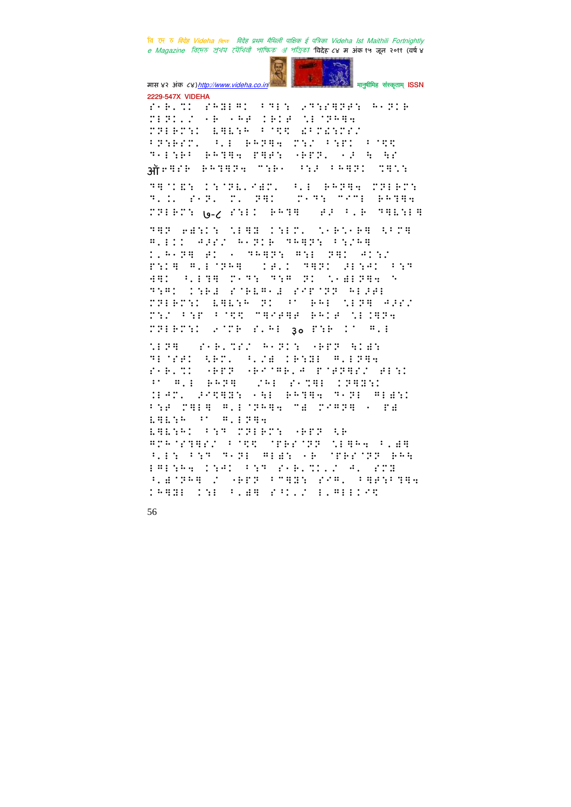मानुषीमिह संस्कृताम ISSN मास ४२ अंक ८४) http://www.videha.co.in 2229-547X VIDEHA PARLOI PAGENT FOES SOSPERES PARTE  $7177777$ THEFT: EBEN FIRE STICKET FRANCO F.E. BARBA CAZ FARI FORD THENHOLD RETURN TURNS ARTISTS AND HIS WHERE PRINCE THEY SAFE PRINCIPLY PRODUCTS CRIPEL PHPL ( P.E. BRPHH (PREBPS) S. N. P.S. T. SHI (2019) TATE EFTER TREETS G-2 PAID PRINT (PRINT PRINTS) PRP PENCH AFRICAFT, APPAPELATUR  $\frac{1}{2} \frac{1}{2} \left( \frac{1}{2} \frac{1}{2} \frac{1}{2} \frac{1}{2} \frac{1}{2} \frac{1}{2} \frac{1}{2} \frac{1}{2} \frac{1}{2} \frac{1}{2} \frac{1}{2} \frac{1}{2} \frac{1}{2} \frac{1}{2} \frac{1}{2} \frac{1}{2} \frac{1}{2} \frac{1}{2} \frac{1}{2} \frac{1}{2} \frac{1}{2} \frac{1}{2} \frac{1}{2} \frac{1}{2} \frac{1}{2} \frac{1}{2} \frac{1}{2} \frac{1}{2} \frac{1}{2}$ 1.8.98 AT - 98895 851 981 AT52 FALR P.E.TRAR (1991) PRPI 21591 FAR 491 TARD CARD PORLEGE PARTER RESPE TREACHING BRENA (RING) AND ARRENAGEMENT TAZ PAR PIRE MENERE ERIE MEDERA TREPTHOLOGITE RUPE 30 FAR IN PUE MERRY PROPERTY ACRES OFFICE AND MESTED ART. PLIN IPANE MULPHA PARLOI ARTS ARRIVERIA TIMOGRAZI BENI PO R.E. BROWN 2RE POSTED ISSUED (1971) 200903 (1911) 20090 (0.01 0.010) FNB 2919 #.172594 MB 27829 F 2024 ESENS PORTION LALARI FAR TELETI (FET SP **PERMITTED FORD MEETING METHODS.** 

R. EN CENTRE PERSONAL COMPOSTABLE EPENHALINAD (FNP) PARLOILLO AL PEDE RUBINER Z (FEND FORBY 2000) FRANCISCH TABBE THE FIBB PRIZE EVALUATION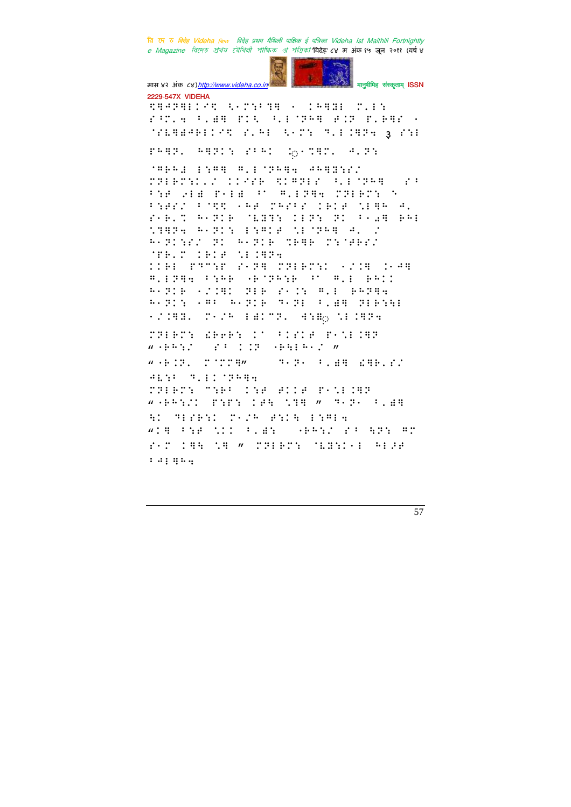मानुषीमिह संस्कृताम ISSN मास ४२ अंक ८४) http://www.videha.co.in 2229-547X VIDEHA SHAPHINAS SYNSTEM / 1988 NULLS ESTING SIMPLETE SECOND PIP PIPER (S TELRAPHICAR ELPE AFTS PLEIRPH 3 FME PRES. PERINTENT GOVIER, PLRY TREAD ENRY R.E.TRANS SANDERS CREECHIVA INVERSIONERE CONFIDER CONF FNA 218 PHIA PO RUIPHA CRIBON N FABER FORE CRECIBERE CEDE NEBROAD FOR THE PIP CLEAR CEPS PIRE PORT PHE 19825 F-213 E3818 1E-2FB F-1 5.3117.00 31 5.31 C TEMP 21:00 **MELT IFIF METHER** IIBE TANKT PORT TREPTIL OF HE IOAR #11984 FNAR (FNARNE FOURIETENI) REPORT FOORD ONE OF DECREASE REPORT 8.911 - 8.000 B - 918 - 929 - 918 - 918 191 37193. 2325 FB172. 3586 MF1929 THEFT SEERN IN FIRIE TOLENT  $w \rightarrow P \rightarrow P \rightarrow P$  $\mathcal{L}(\mathcal{L}(\mathbb{R}^d)) \leq \mathcal{L}(\mathbb{R}^d) \geq \mathcal{L}(\mathbb{R}^d) \geq \mathcal{L}(\mathbb{R}^d) \geq \mathcal{L}(\mathbb{R}^d)$  $w \cdot \mathbb{H}$  :  $\mathbb{H}$  . The set of  $\mathbb{H}$  is the set of  $\mathbb{H}$  is the set of  $\mathbb{H}$  is the set of  $\mathbb{H}$  is the set of  $\mathbb{H}$  is the set of  $\mathbb{H}$  is the set of  $\mathbb{H}$  is the set of  $\mathbb{H}$  is the set of  $\mathcal{F} \leftarrow \mathcal{F} \leftarrow \mathcal{F} \leftarrow \mathcal{F} \leftarrow \mathcal{F} \mathcal{F} \leftarrow \mathcal{F} \mathcal{F} \leftarrow \mathcal{F} \leftarrow \mathcal{F} \leftarrow \mathcal{F} \leftarrow \mathcal{F} \leftarrow \mathcal{F} \leftarrow \mathcal{F} \leftarrow \mathcal{F} \leftarrow \mathcal{F} \leftarrow \mathcal{F} \leftarrow \mathcal{F} \leftarrow \mathcal{F} \leftarrow \mathcal{F} \leftarrow \mathcal{F} \leftarrow \mathcal{F} \leftarrow \mathcal{F} \leftarrow \mathcal{F} \leftarrow \mathcal{F} \leftarrow \$ THEFT: TAPP INF BILE POINTER  $\mathbf{w}^{-1}\oplus\mathbf{h}^{-1}\oplus\mathbf{f}^{-1}\oplus\mathbf{f}^{-1}\oplus\mathbf{f}^{-1}\oplus\mathbf{f}^{-1}\oplus\mathbf{f}^{-1}\oplus\mathbf{f}^{-1}\oplus\mathbf{f}^{-1}\oplus\mathbf{f}^{-1}\oplus\mathbf{f}^{-1}\oplus\mathbf{f}^{-1}\oplus\mathbf{f}^{-1}\oplus\mathbf{f}^{-1}\oplus\mathbf{f}^{-1}\oplus\mathbf{f}^{-1}\oplus\mathbf{f}^{-1}\oplus\mathbf{f}^{-1}\oplus\mathbf{f}^{-1}\oplus\mathbf{f}^{-1}\oplus$ BI TERRIT TYPE RAIR ENTER WIR FAR NII FLAN (HAND FF APN PD  $\mathcal{L} \times \mathcal{V} = \mathbb{I} \oplus \mathbb{I} \oplus \mathbb{I} \oplus \mathbb{I} \oplus \mathbb{I} \oplus \mathbb{I} \oplus \mathbb{I} \oplus \mathbb{I} \oplus \mathbb{I} \oplus \mathbb{I} \oplus \mathbb{I} \oplus \mathbb{I} \oplus \mathbb{I} \oplus \mathbb{I} \oplus \mathbb{I} \oplus \mathbb{I} \oplus \mathbb{I} \oplus \mathbb{I} \oplus \mathbb{I} \oplus \mathbb{I} \oplus \mathbb{I} \oplus \mathbb{I} \oplus \mathbb{I} \$  $1.41444$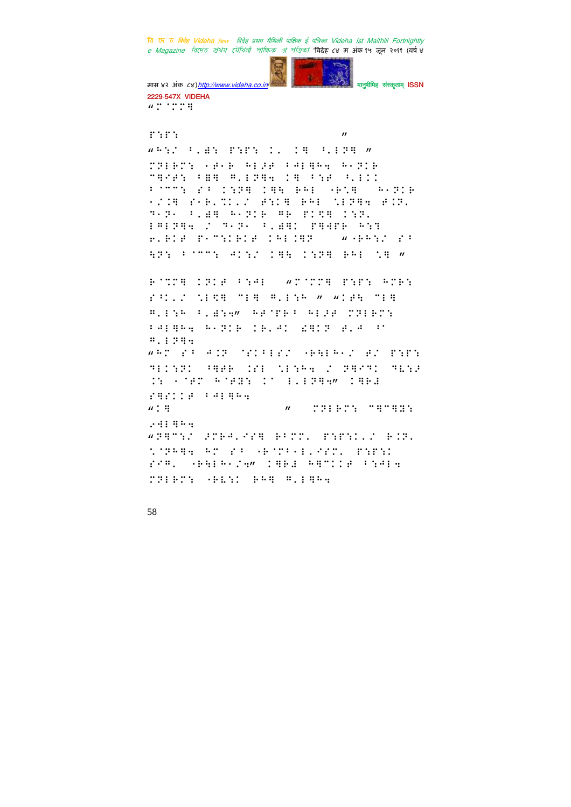मास ४२ अंक ८४) http://www.videha.co.ir मानुषीमिह संस्कृताम ISSN 2229-547X VIDEHA  $\begin{picture}(20,20) \put(0,0){\dashbox{0.5}(20,0){ }} \put(15,0){\dashbox{0.5}(20,0){ }} \put(25,0){\dashbox{0.5}(20,0){ }} \put(25,0){\dashbox{0.5}(20,0){ }} \put(25,0){\dashbox{0.5}(20,0){ }} \put(25,0){\dashbox{0.5}(20,0){ }} \put(25,0){\dashbox{0.5}(20,0){ }} \put(25,0){\dashbox{0.5}(20,0){ }} \put(25,0){\dashbox{0.5}(20,0){ }} \put(25,0){\dashbox{$ 

 $\boldsymbol{\prime\prime}$ 

**FAPA** 

 $\mathbf{w} \triangleq \mathbf{Y} \triangleq \mathbf{Y} \triangleq \mathbf{Y} \triangleq \mathbf{Y} \triangleq \mathbf{Y} \triangleq \mathbf{Y} \triangleq \mathbf{Y} \triangleq \mathbf{Y} \triangleq \mathbf{Y} \triangleq \mathbf{Y} \triangleq \mathbf{Y} \triangleq \mathbf{Y} \triangleq \mathbf{Y} \triangleq \mathbf{Y} \triangleq \mathbf{Y} \triangleq \mathbf{Y} \triangleq \mathbf{Y} \triangleq \mathbf{Y} \triangleq \mathbf{Y} \triangleq \mathbf{Y} \triangleq \mathbf{Y} \triangleq \mathbf{Y} \triangleq \mathbf{Y} \triangleq \mathbf{$ 771975 (20) 9. 9. 9. 20 - 20 0. 0. 0. 0. 0. 0. 0. THANK FOR PLETCH IN FAR SLEED FOUNDATION CONTROL FROM THE SEARCH  $\mathcal{F}\left(\mathcal{F}\right)\left(\mathcal{F}\right)\left(\mathcal{F}\right)\left(\mathcal{F}\right)\left(\mathcal{F}\right)\left(\mathcal{F}\right)\left(\mathcal{F}\right)\left(\mathcal{F}\right)\left(\mathcal{F}\right)\left(\mathcal{F}\right)\left(\mathcal{F}\right)\left(\mathcal{F}\right)\left(\mathcal{F}\right)\left(\mathcal{F}\right)\left(\mathcal{F}\right)\left(\mathcal{F}\right)\left(\mathcal{F}\right)\left(\mathcal{F}\right)\left(\mathcal{F}\right)\left(\mathcal{F}\right)\left(\mathcal{F}\right)\left(\mathcal{F}\right)\left(\mathcal{F}\right)\left(\mathcal{F}\$ PRIDREY TORON CLARISTERED AND B.BIB THTSIBIB INFINE ( WHENI Y )  $\frac{1}{2} \left( \frac{1}{2} \right)^2 \left( \frac{1}{2} \right)^2 \left( \frac{1}{2} \right)^2 \left( \frac{1}{2} \right)^2 \left( \frac{1}{2} \right)^2 \left( \frac{1}{2} \right)^2 \left( \frac{1}{2} \right)^2 \left( \frac{1}{2} \right)^2 \left( \frac{1}{2} \right)^2 \left( \frac{1}{2} \right)^2 \left( \frac{1}{2} \right)^2 \left( \frac{1}{2} \right)^2 \left( \frac{1}{2} \right)^2 \left( \frac{1}{2} \right)^2 \left( \frac{1}{2} \right)^2 \left($ 

BITTE LEDE FAHL (WTITTE FAFA PTBA #1155 Flatew Senger Side ColeCo PALAMA AVELE CELAD EACH BLACK  $H_{1}$  (  $H_{2}$  )  $H_{3}$  (  $H_{4}$  ) WAT IN AIR MILLING (FRIAG) BO THEY **MECANO PREFIGEE NEARS 2 PROVIDERS** TE PORT ROBBERT IN BUBBBBW IBBB rarrie (Alapana)  $\label{eq:2} \boldsymbol{\theta} = \boldsymbol{\theta} - \boldsymbol{\Gamma} \boldsymbol{\Gamma} \boldsymbol{\Gamma} \boldsymbol{\Gamma} \boldsymbol{\Gamma} \boldsymbol{\Gamma} - \boldsymbol{\Gamma} \boldsymbol{\Pi} \boldsymbol{\Gamma} \boldsymbol{\Pi} \boldsymbol{\Gamma} \boldsymbol{\Gamma}$  $w \in H$  $141444$ WPHTER SPEHLERH EFTEL FEERLIC EIR. STRAGGER STORE SECTION CONTROL PARL (FREER/24W) 1983 FRONT FOR FARE TPIETS (FEST) PRESERVENC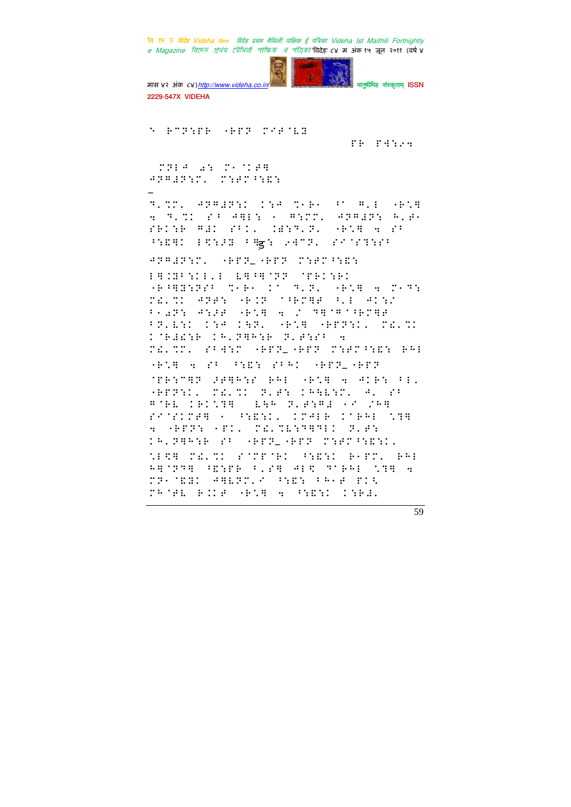मास ४२ अंक ८४) http://www.videha.co.ir मानुषीमिह संस्कृताम् **ISSN** 2229-547X VIDEHA

**NORTHWEEK PRESSURES** 

**TH PENNS** 

THE AN TENDER **APPAPADL COMPUTERS** 

SUSTAINAPPERSIONS IN SUBJECT PROPERTY A PUSI PERMINIAN PATTI PRESENTATION PRIME RAD PRIL TANNOR, SENRO 4 PR **PARRI (ERAVE FRES) VATEL (ESCOSTAS)** 

HPPGPAT, HPPLHPTP TAPTIAEA FRIDENILLE LAFFAIRE INFLAND rachi ames akim cakrak ali aish  $\mathbb{E} \times \mathbb{E} \big[ T^* \mathbb{E} \big] \times \mathbb{E} \big[ T^* \mathbb{E} \big[ T^* \mathbb{E} \big] \times \mathbb{E} \big[ T^* \mathbb{E} \big] \big[ T^* \mathbb{E} \big[ T^* \mathbb{E} \big] \big[ T^* \mathbb{E} \big[ T^* \mathbb{E} \big] \big[ T^* \mathbb{E} \big] \big] \big] \big[ T^* \mathbb{E} \big[ T^* \mathbb{E} \big[ T^* \mathbb{E} \big] \big[ T^* \mathbb{E} \big[ T^* \$ FRIEND CHA CHRISTEAR HEPRIC CREST I TELEVE (18.99838) P. BYDY (9) TELMIN STATE (FFR) (FFR) TYPETIMES FRE HENB HOWEL FIES WERE CHEFF HET? TERNING CONNAIL RAD CORNEL ACTIVITIES (PEPALL TELTI PLAN IPALATI AL 23 # 1982 | 1981 1983 | 1984 | 1985 | 1986 | 1987 | 1988 PAIRING A PRESIDING PARK IN STR HOREFORD FILL TELTENTHEIC PLAN IP.PHRAE PROGRESS (PER CAPITARY). MERR TEACH STIPPED PARAL BYET, BRE PASSAGE PENTRUP (2003) PERSONAL STANDARD TP-TEBI HHEFT. CONSENSION FILE TRIBLE ESSE (HARDER PERMITSPER)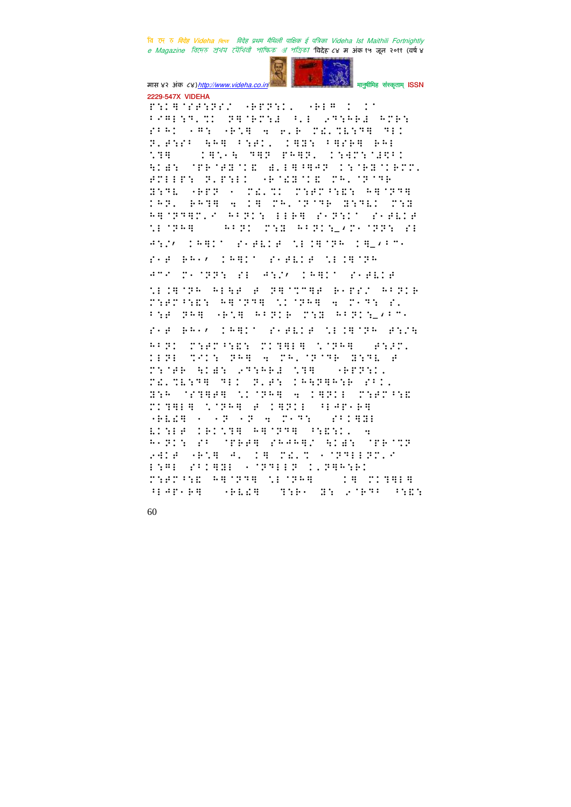मास ४२ अंक ८४) http://www.videha.co.in 2229-547X VIDEHA

मानुषीमिह संस्कृताम ISSN

FALBAPAREZ (HEPALL)  $\rightarrow$  141  $^{\rm H}$  , 151  $^{\rm H}$  , 171  $\cdot$   $\cdot$ PRAINT DESPITE PLE PRIME ATES PERSONARY PROBING BURGER WELLNESDES MED 3.852: 558 (1581) 1935 (96268 651  $1.34$ ADAN TERNADIO E ALEBRAR DINIBUIRDO. **ATEETY PUPIED SECONDICE TALCHIONE** BATE (FETF ) TELTI TAFTIBA PRITTE 198. PRINCHOON CROSS CROSS BASED CAR **SECTION**  $\gamma_3$  ,  $\gamma_2$  and  $\eta$  . 进程式, 工具用工厂、工具进程工具、工具工具工具板、工用空头开放。 real back common realistics of the ATA TAMPEN ZE ANIZA IRBIT ZABEDA NEIBORG ALBERTA DESTURBE BRIEZ APDIB .<br>Martiara egypte (1994-e p. 1991-e) FAR PRESENTED REPORT TABLES TO ALL CON-PARTNERS CHRIST PARKING NEIGHBRO RACH  $44.322$ 1171 TV15 758 G T5. 77776 B576 F PATER ALBA 2758BJ 578 (1987) PELTENTH THIS PLAN IPAPHPAR WHIL BAR TENNIS NITHA A CAPIB TANTIAR TINHER NATHER FOURTH HEATVER  $\begin{array}{cccccccccccccc} \ast\oplus\bot\,\pm\,2\oplus\quad\ast\quad\end{array}\qquad \begin{array}{cccccccccc} \ast\,\to\quad\oplus\quad\ast\,\to\quad\bullet\quad\quad\oplus\quad\oplus\ast\,\to\pm\end{array}\qquad \begin{array}{cccccccccc} \ast\oplus\bot\,\pm\,2\oplus\bot\oplus\bot\end{array}$  $-73.79333$ LINER CRISTE RESPORT FRENCH H AVEC Y VI TERRA VARANZ ALBA TERTIR 2419 (FINE) 42 (18) 7327 (CTPHEPTLY FARE PRIME (3) 197119-11-200301 PARTINE ANITHM NETHAN 100 IN PINNER  $H = H + H + H$   $H = H + H$ **STARK HAS A METAL PARA**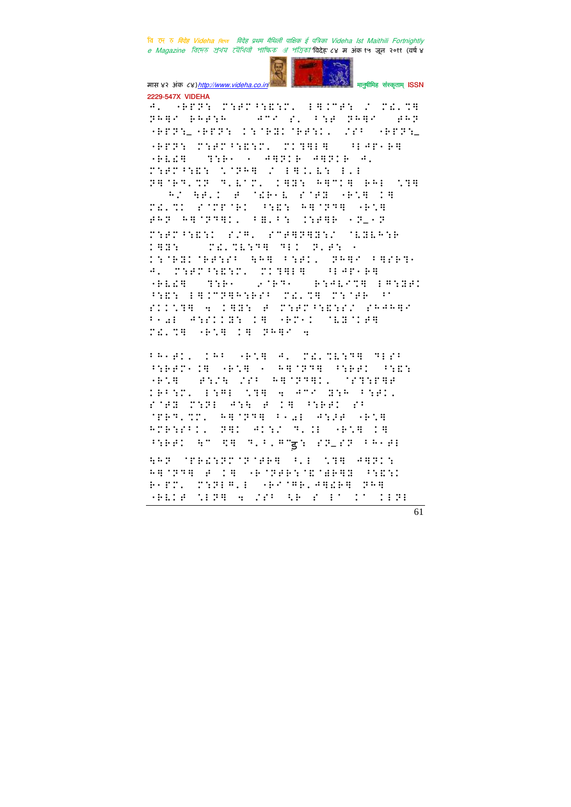मास ४२ अंक ८४) http://www.videha.co.in मानुषीमिह संस्कृताम ISSN 2229-547X VIDEHA

H. HETTI TIETIINTA IRITEI Z TELTR 2010 DOPA - ATA P. (1900-2010) POP HETTL HETTL IN THE THEN IN THE SHETTL HEFT THETTHEIT, TITHER  $-11.447 + 1.41$  $\cdot$ PERT (THP)  $\cdot$  (PTP)  $\cdot$  (PTP)  $\cdot$  (PTP)  $\cdot$  (PTP)  $\cdot$ THET FIEL A MEET AND RIGHT DUE PROPERTY SUBSIDIAL CROSS PROTECTIVE CORR **AC RESIDENTER ENTER PROFIDE** TELTI ENTENDI PARA PROTPRODUCE #82 8878981, FB.FN (N#88 +32+8 CAPCANDAL PORT POPRHENDS CLEARAB THEY TELTESTED TELL FLEET . IN THE THEN IS AND STARL. THEY SURFLY AL TARTENDAT, TIMBER (HAPPER  $\cdot$ PERU (1998) / 2009) - PAURUTU (PAURU PERSONAL PROPERTY CONSTRUCTION OF POSTER A CHEATE CAPACINEARY PRAFER FRANCHMONICAL CHORAGE CONTRACT TELTH (+PAH) IH THEY 4

FRANCISCHE (FRANCH) PELITENTE TEST **FARRY CHOOR SEARCH ARRIVERS AND STREET** HENBOURNIE ZER RATIFIELD TETERE 19537. ESME STROW AND SSACTSE. PORT TERR ANN A LA SERRE PR **ATENPILL** FIRED AT THE TURNET FROM PROPERTY

552 (FREEST) 2014 FROM LEONER (85215) **ARIZAR BULGH (BIZBENIKINGER) PNKNI** B-FT. TAPER.E (BRITER, PROBE TRE HELLE SEPRE A VIEL RE IN ESSISTE LEPE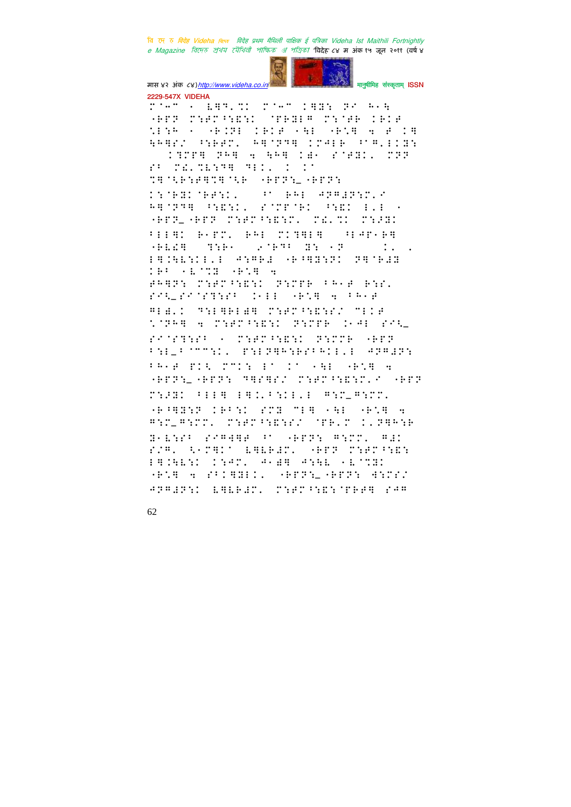## मास ४२ अंक ८४) http://www.videha.co.in मानुषीमिह संस्कृताम ISSN 2229-547X VIDEHA

TOWN A LETTER TO TAM ITED TANKING MENHOR SECRETIFIED FRED FRANCH SECOND ARBEN PARAT, RBITAR CITALR PERSONA THINK SHE A BHE IS A MARIL TAR PROTECTESTS TELL 1  $\cdot$   $\cdot$ **THORPHETHORP OPERAL (PEPA** 

 $\left(17, 0.001\right)$  and  $\left(0.0001, 0.001\right)$ **TRIBINEERIA ARIZAR PARALL PIZENEL PARL BLB +** HEREARTH THAT HENT, TEATH 25931 FILED BYTT, BRI TITHER (FRAPYBE)  $\pm 0.04$  , the state  $\pm 0.04$  and  $\pm 0.04$  .  $\mathbf{z}$  :  $\mathbf{z}$ FULLATION SAMPLE SPANNING PUTPER THE FEATH FEATH R

PROPE TERTIBLE PETER CROP BER. PALENTERE DEED HELP FREE PERSI TERRERA CERCANELLA STRAK A THATPHEND RATER INAN PARL PATRINES A CONFORMENT CONCOR ARES FALLETTTAIL PALPHAGEFFALLI PPALPA FRAGANISM CONTENT ENTIRE ARRESTS HEAT  $\begin{minipage}{.45\textwidth} \begin{tabular}{@{}c@{}} \hline \multicolumn{1}{c}{\textbf{+1}} & \multicolumn{1}{c}{\textbf{+1}} & \multicolumn{1}{c}{\textbf{+1}} & \multicolumn{1}{c}{\textbf{+1}} & \multicolumn{1}{c}{\textbf{+1}} & \multicolumn{1}{c}{\textbf{+1}} & \multicolumn{1}{c}{\textbf{+1}} & \multicolumn{1}{c}{\textbf{+1}} & \multicolumn{1}{c}{\textbf{+1}} & \multicolumn{1}{c}{\textbf{+1}} & \multicolumn{1}{c}{\textbf{+1}} & \multicolumn$ TAPED FILE INCLUDED FATIFATT. PATLPATT, TARTENENEL MERIT (1998AR denski komana i se spriv mirr. Mar FURNISH THE CONFERENCE CORPORATIONS FULLED CENT. HEAT HEAT FROM  $\{ \frac{1}{2}, \frac{1}{2}, \frac{1}{2}, \frac{1}{2}, \frac{1}{2}, \frac{1}{2}, \frac{1}{2}, \frac{1}{2}, \frac{1}{2}, \frac{1}{2}, \frac{1}{2}, \frac{1}{2}, \frac{1}{2}, \frac{1}{2}, \frac{1}{2}, \frac{1}{2}, \frac{1}{2}, \frac{1}{2}, \frac{1}{2}, \frac{1}{2}, \frac{1}{2}, \frac{1}{2}, \frac{1}{2}, \frac{1}{2}, \frac{1}{2}, \frac{1}{2}, \frac{1}{2}, \frac{1}{2}, \frac{1}{2}, \frac{1}{2}, \frac{1}{2}, \$ WEBSET LALEST. THAT PLEN TEAM PAR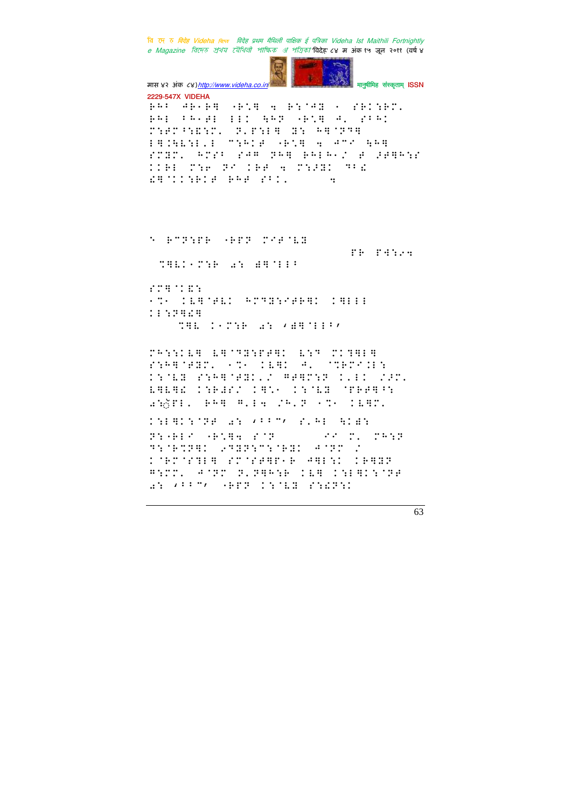मास ४२ अंक ८४) http://www.videha.co.in मानुषीमिह संस्कृताम ISSN 2229-547X VIDEHA PRI APIPU (PAU A PAJAN ) PRIAPI. PRI PROPI III ART (PAR PO 2001 THET PERIT, CRIPPER OR SHOPPER FULLENTIAL TEACH (AND A SAMPLEAR) FTBT, PTF: PAR TRAB BRIANT B JABRAR IIBE THE POILER A THANK THE ENCLIPTE PRESENT **NORTHWEIGHT TERMS** TP FANCY THEIRTH AN HUNES **EDRATES**  $\begin{minipage}{.4\linewidth} \begin{tabular}{l} \multicolumn{2}{c}{\textbf{0.1}} \end{tabular} \begin{tabular}{l} \multicolumn{2}{c}{\textbf{0.1}} \end{tabular} \begin{tabular}{l} \multicolumn{2}{c}{\textbf{0.1}} \end{tabular} \begin{tabular}{l} \multicolumn{2}{c}{\textbf{0.1}} \end{tabular} \end{minipage} \begin{tabular}{l} \multicolumn{2}{c}{\textbf{0.1}} \end{tabular} \begin{tabular}{l} \multicolumn{2}{c}{\textbf{0.1}} \end{tabular} \end{minipage} \begin{tabular}{l}$ 1157848 THE CONTECT AND VEHICLES. TANNIE EUSTRINGEN ENT TITUL FARETHET, STR. IERO A. TTETKIR TACEB PARKING LO PRESSO ILEI COPO LALAK CHERZ CAN CHILE TERRAT ANATEL PRESERVATION POSSESSED. THE RIGHTER CAN INFORM STUDENT RIGHT FIRE CONFIDENTIAL CONTINUES.  $\mathcal{A}\mathcal{A}=\mathcal{I}$  . Then  $\mathcal{I}$ SAMESHI ASHBANAMED AMED 2 I TECTITES INTERSERIE PRESENTAS PACC. PORT RUPBAGE INFOINIBLATER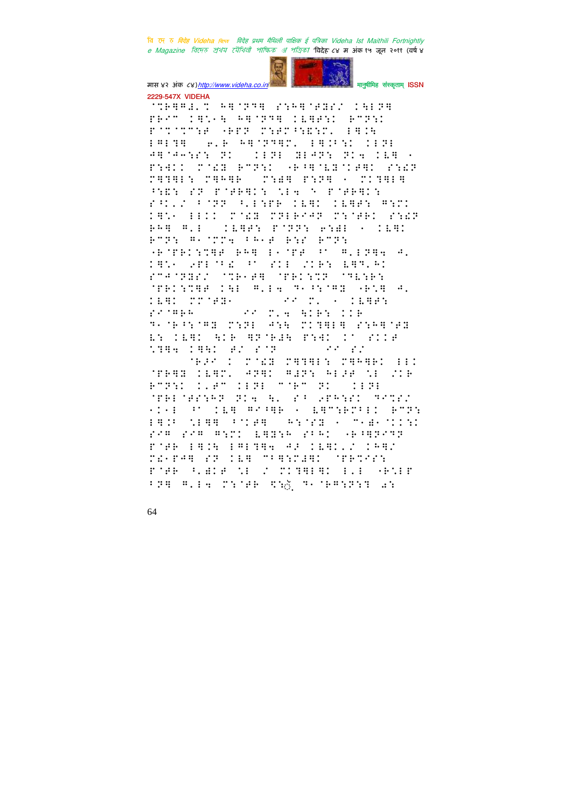मास ४२ अंक ८४) http://www.videha.co.in

मानुषीमिह संस्कृताम ISSN

2229-547X VIDEHA 156993.5 591239 2559193822 19129 FRAM CHINA PATTERN CERAIL ROBI FOUNDED HER CHEFFIELD, FRIE 19139 - F.F. PENNSYL (1919) 1121 **AUTAWAYA PI (1999) BEAPA PIA IEU (** FARIO CORE POPAL (PRINCIPIES FARR CATALA CAPAR (CABA PACA ) CONTROL PARA PROPORERIA NEW SOPIERREA  $\mathcal{E}^{(1)}$  ,  $\mathcal{E}$  $\begin{minipage}{.4\linewidth} \begin{tabular}{l} \multicolumn{2}{c}{\textbf{0.1}} \end{tabular} \begin{tabular}{l} \multicolumn{2}{c}{\textbf{0.1}} \end{tabular} \begin{tabular}{l} \multicolumn{2}{c}{\textbf{0.1}} \end{tabular} \begin{tabular}{l} \multicolumn{2}{c}{\textbf{0.1}} \end{tabular} \begin{tabular}{l} \multicolumn{2}{c}{\textbf{0.1}} \end{tabular} \begin{tabular}{l} \multicolumn{2}{c}{\textbf{0.1}} \end{tabular} \begin{tabular}{l} \multicolumn{2}{c}{\textbf{0$ TANK BEIT CONSE COBEVAD CANABI VANS PRESENTE CONTRACTORPHISHING CONTR PTPS WORTH CONCRETE PTPS RETERINGEN BAR IK TER OM ORIENEN AV DRIV VELTRE POSSIBLE ZIEN ERRIAD PORTUGAL TORVER TERISON TORSES TERINTER INFORMATION PETER SENEOW.  $\mathcal{A}\mathcal{A}$  ,  $\mathcal{B}$  ,  $\mathcal{A}$  ,  $\mathcal{B}$  , and  $\mathcal{B}$ TERE TURES garang kalendar  $\mathcal{L} = \mathcal{L} \mathcal{L} = \mathcal{L} \mathcal{L} \mathcal{L} = \mathcal{L} \mathcal{L} \mathcal{L} + \mathcal{L} \mathcal{L} \mathcal{L} \mathcal{L} + \mathcal{L} \mathcal{L} \mathcal{L} \mathcal{L}$ TA TEATA TEO CAPE (PAR COLTEER 2155 FINE EN TERL ALE RESPEZH FNAD IS VILLE  $\cdots$ 

TERRE CERT, PORT PADY PEDR NE ZER BTP31 1.87 1191 TTBT P1 (1191) <u> Sperages sin a la vallarea (Sessa</u>  $+1+1$  (string with  $+1$  denotes  $+1$  ) and  $+1$ ERIC NERROCCHE CONSTRUCTOR MOTOR rem rem mari imman remi (pempeng FORECREA EMERGE AZ ILBITZ IPRZ TERPHICES CERTSHATERE STRUCKS FORECREDE NE ZO TIMBERI ELE SENER FPROFILE TYTE TAX TO TERMINE AN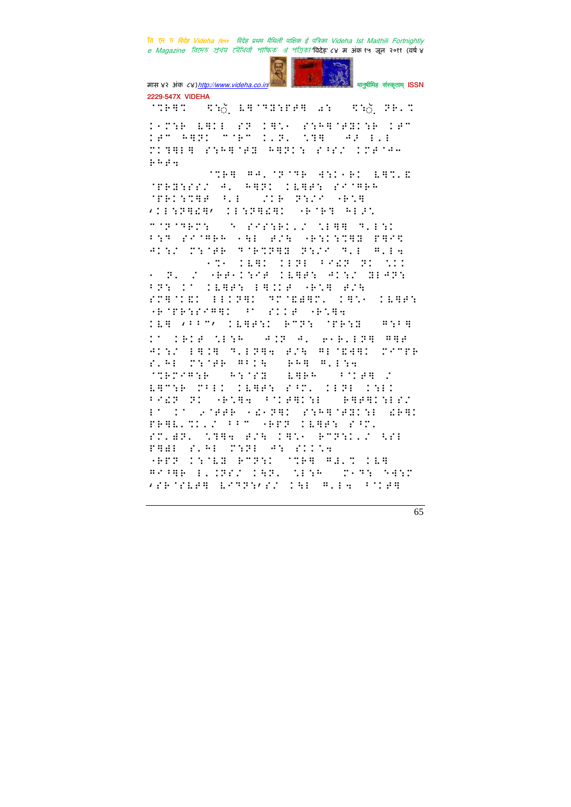मानुषीमिह संस्कृताम **ISSN** मास ४२ अंक ८४) http://www.videha.co.in 2229-547X VIDEHA

 $11993$ sno astronomes and snow pels **I-PAR EMIL PROTHER PARTNELSH IPT** 197 RABI TIET 1.8. NAAR 200 EE PINHER PAPENED PROTE PAPEL INFORM  $\frac{1}{2}$ ,  $\frac{1}{2}$ ,  $\frac{1}{2}$ ,  $\frac{1}{2}$ 

**TORACHAL TRIPE GASCARD EATLE** TERMINIAN AL ANDI LENGI PATRER **TERINTHE F.E. ZIR PNIC (RNT)**  $\sqrt{1}(\frac{1}{2}(\frac{1}{2}(\frac{1}{2}(\frac{1}{2}(\frac{1}{2}(\frac{1}{2}(\frac{1}{2}(\frac{1}{2}(\frac{1}{2}(\frac{1}{2}(\frac{1}{2}(\frac{1}{2}(\frac{1}{2}(\frac{1}{2}(\frac{1}{2}(\frac{1}{2}(\frac{1}{2}(\frac{1}{2}(\frac{1}{2}(\frac{1}{2}(\frac{1}{2}(\frac{1}{2}(\frac{1}{2}(\frac{1}{2}(\frac{1}{2}(\frac{1}{2}(\frac{1}{2}(\frac{1}{2}(\frac{1}{2}(\frac{1}{2}(\frac{1}{$ TOROGRES IN PAPARILLY MEGGINEERS PAR PROBLEMA BE BOAT PANINGER PROG HINZ TNORE PORTRER PNZY PLE PLEW FTF IERD IERE FRER RICHT  $\epsilon = 0.1$  ,  $\epsilon = 1.2$ FRANCIS CEREA FRONT (FOR FRON FURNIEL BELGAR STURBAT, LANK LEARS **ARTENYMED POINT AND ARTH** TER VARTZ TERRIT BTPS TEBSE  $\sim$   $\approx$   $\sim$   $\sim$   $\sim$ 17 1918 NESA (419 4, 9-9,199 898) ADAZ ERIR PUEDRA AZA PETEARI TATER F. RE (25.188) #FIRE (888) #1858 **MINIMUSH PATER EARLY PIRES** ENTER THE CENTER FULL CEPE CALL PREP PL (PENNA POLENCIAL) PREPENDENT ES CONTRAPERTANCES COPENEDAD ARE: FRANCISCO PROVINCE INARCO PROV ANNA BAR CHA BARNICA AND  $27.47.$ PANI PURI TANE AN PILAN HETP INTER ETRY TIER RACT IER RATHE ELIPPA INFL. NEWS STATE SHAP  $\sqrt{2} \left( \frac{1}{2} \right) \left( \frac{1}{2} \right) \left( \frac{1}{2} \right) \left( \frac{1}{2} \right) \left( \frac{1}{2} \right) \left( \frac{1}{2} \right) \left( \frac{1}{2} \right) \left( \frac{1}{2} \right) \left( \frac{1}{2} \right) \left( \frac{1}{2} \right) \left( \frac{1}{2} \right) \left( \frac{1}{2} \right) \left( \frac{1}{2} \right) \left( \frac{1}{2} \right) \left( \frac{1}{2} \right) \left( \frac{1}{2} \right) \left( \frac{1$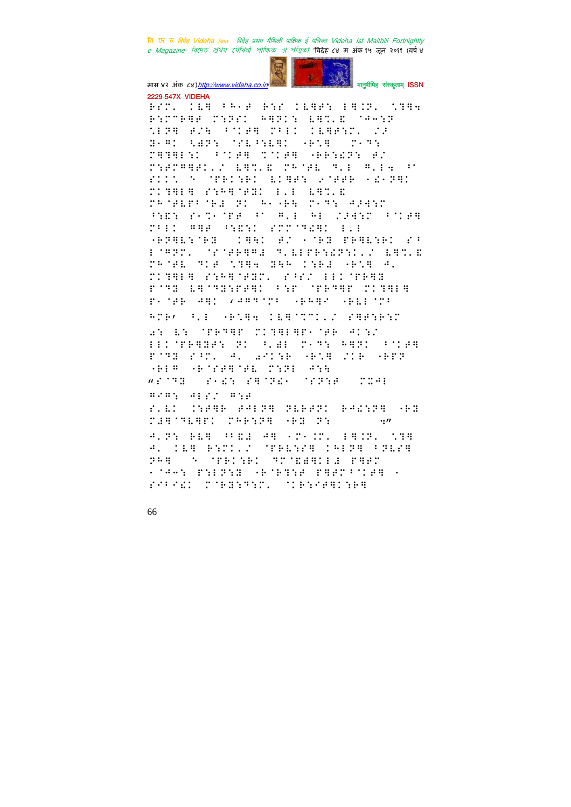मानुषीमिह संस्कृताम ISSN

मास ४२ अंक ८४) http://www.videha.co.in 2229-547X VIDEHA

BYT. ILE FROM BYF ILEMY FEID, ATEN BACTERE CAPEL PROVA LATER TAPAR NERBORIA (FOLBBORIE: 188897.02 HARD REPN MELPHERI (PENH) TARY PANAL POWER TOWARD PERSON AN CHAPPERILL ERSIE CHORE SLEEPLER P FILL A TERLARI ELBEN GYEFE KEKSBI CONTRACTORS CARD AND ARTICLE TRIBUTE TREST CONSIDER TO TASSAGET PERSONAL TRACK COMPANY AND CONSTRUCTION PRID RAF PARAL FOOTBERL E.E REPAIRING TANK BY RIGHTFORM PRO ESPACIO SESPRIPO PLEFENERNICO ERGIE TRIBL TOP STRAINER CORP. (PESS) A. TINHER PARKINGT, PAPEL BELOTERS FOR LEOREFEL FAR OPERE COREE pings am: Camming Spame Spagence **ATE/ F.E. (ENTH) CERNINGS PRESENT** an an opener communicational ELIMPERAN PUSA BESPARA PRPISAMIR POSE PART AL GAINE (PENSONIA (PEPS)

 $\begin{array}{cccccccccccccc} \cdot+\frac{1}{2} & \frac{1}{2} & \frac{1}{2} & \frac{1}{2} & \frac{1}{2} & \frac{1}{2} & \frac{1}{2} & \frac{1}{2} & \frac{1}{2} & \frac{1}{2} & \frac{1}{2} & \frac{1}{2} & \frac{1}{2} & \frac{1}{2} & \frac{1}{2} & \frac{1}{2} & \frac{1}{2} & \frac{1}{2} & \frac{1}{2} & \frac{1}{2} & \frac{1}{2} & \frac{1}{2} & \frac{1}{2} & \frac{1}{2} & \frac{1}{2} & \frac{1}{2} &$ **CARACTERS MARKET**  $w: \mathbb{R}^n \times \mathbb{R}^n$  $7.7741$ 

seng approspe F.E. TYPHP PHIPH PERPIT RANNER (PE THE TREET THEST WHE TE 9.05 BER PED 98 STRITE BRIDE STR H. TER PATILI TERRIFE IPEPE FREER FRAME CONTROLLED PUSSER IN THE TABLE \* 1995 FSEPSE (+F1FTSF) FRFTF11FR (\* PARABI COMPENSATI CORNABELARE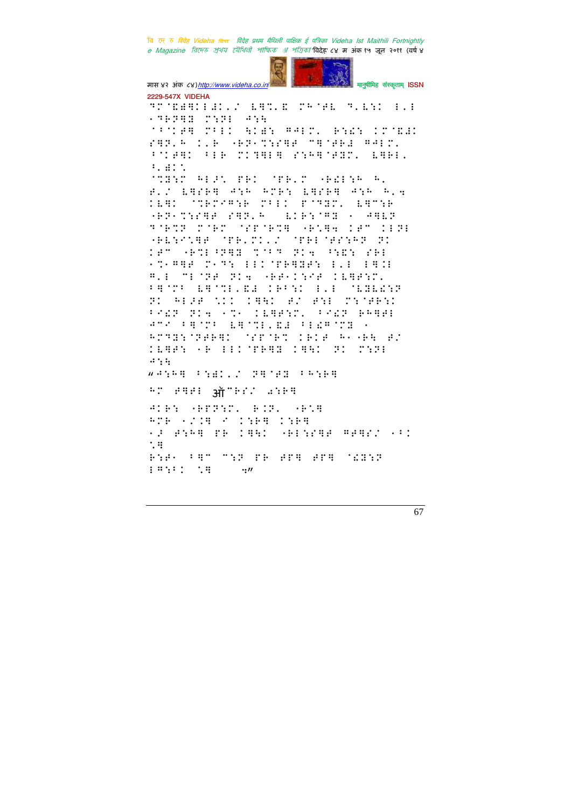मास ४२ अंक ८४) http://www.videha.co.in मानुषीमिह संस्कृताम ISSN 2229-547X VIDEHA STORBULENS AUTOR TEORI SURVEY LE  $+79793$   $7577$   $454$ TRINER TRED ADEN PRET, BAZA CONEX FARING CONTRACTORER STATEMENT PRESS POLENCO PER CONNER CORRESPONDI LARE.  $\mathbb{F}_2$  if  $\mathbb{F}_2$  . STEAM REPLACED STRIP (PRESS) AL F.Z. LAPPA (958) RTPS LAPPA (958) R.A. ile: Sterkene rei: riter, Letne  $\cdot$ PP·Three results in Fig. (  $\cdot$  -emis STECK CORD OFFICERS HENBELIED CERE HELBYSHE MEELDILI MEELMENER RI 197 (PC) CREW CORPORATION CONT **FIRTHE CONTROLLING TERMIT (1980)** P.E. TESPE PIN (PEP)INSE IERRNI FUNCTION EUROPEAN EN STATISTICS AND ALTERATIVE PO PERA NOC CARD AZ ANE CNIARNO FRED DIA FIN IEMANI FRED BRUBE  $\mathcal{A}(\mathcal{P},\mathcal{P}) = \mathcal{P}(\mathcal{P},\mathcal{P}) = \mathcal{P}(\mathcal{P},\mathcal{P},\mathcal{P}) = \mathcal{P}(\mathcal{P},\mathcal{P},\mathcal{P}) = \mathcal{P}(\mathcal{P},\mathcal{P},\mathcal{P}) = \mathcal{P}(\mathcal{P},\mathcal{P},\mathcal{P}) = \mathcal{P}(\mathcal{P},\mathcal{P},\mathcal{P}) = \mathcal{P}(\mathcal{P},\mathcal{P},\mathcal{P}) = \mathcal{P}(\mathcal{P},\mathcal{P},\mathcal{P}) = \mathcal{P}(\$ ATTENTERED TERMET IRIR AVARE RI TEACH ARTIFICATE IN THE TACK  $\alpha \gamma \gamma$  $\sqrt{4.1444}$  (Financial PH 1982) FR1998 PU PEPE ATTECA STEE HIPS (FETTING FIT, FETT  $\mathcal{L}(\mathcal{F})$  ,  $\mathcal{F}(\mathcal{F})$  ,  $\mathcal{F}(\mathcal{F})$  ,  $\mathcal{F}(\mathcal{F})$  ,  $\mathcal{F}(\mathcal{F})$  ,  $\mathcal{F}(\mathcal{F})$  ,  $\mathcal{F}(\mathcal{F})$  ,  $\mathcal{F}(\mathcal{F})$  $\ddot{\phantom{0}}$  ; ii PAP, PAT TAP TR PER PER TESTS 19511 590  $\cdot \cdot \cdot$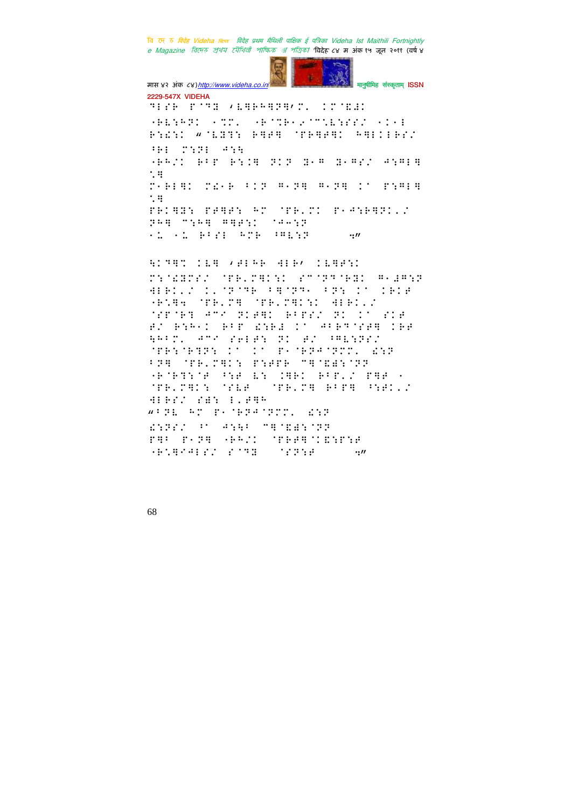मानुषीमिह संस्कृताम् ISSN मास ४२ अंक ८४) http://www.videha.co.in 2229-547X VIDEHA **TEVEL PITE ALBERGENT, INTIELD** HELMARI (FILM) HEATER SATULARY CONTRO PACAL WILBYS PHPH INFRPER PHILIPS? **FBI 2521 #55** HERZI EFT ESIR PIP BAR BARZI HSRIR  $\ddot{ }$ : T-9191 TE-9 F17 9-79 9-79 11 11 THE9  $\cdot$ . FRINGEN FRAGA AT TERLIT FRANKAPILI 200 730 740 75  $\{1,2,3,4,5\}$  , propins with  $\{1,2,3,6\}$  $\cdot$ :  $\prime\prime$ 

RITHT IER VALLEY HILL IERRI TACATES CERTAIN EMORGIA PRIMER HEBOLY CLOSURE FROSPHILES ON CEDE HENBH (TEELTH) TEELTHINI HEEILI SEPTEMBER 2010/01/01/01/02/01/02/01 02:00:00 BZ BARKI BPP BABB IN APBROXED IBB asin, and relevant en assamble TERNIBERY IN IN ECHPATRIC WAR FPB (TEELTRICK FORFE TROBBOOT RETERNING THE ENCOURED BARLIN FAR A TERITAL TELES **MEELTH BREEK PARTLY** HIPSO PAN ILPAR  $w = 74.$   $w = 7.$  The state state  $x = 45.7$ ENTER POSTAGE THOUGHTON 

 $\dddot{m}$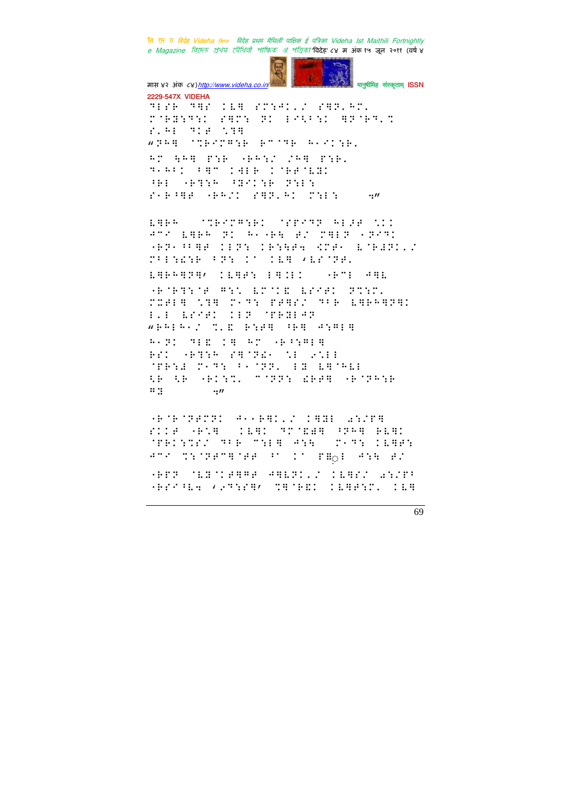मानुषीमिह संस्कृताम ISSN मास ४२ अंक ८४) http://www.videha.co.in 2229-547X VIDEHA MECH MAR INA STARLIN SARIATI riedarai vedra (d. 1955) (d. 1955) P. RECREATE  $\sqrt{p} + q$  (interpersection of  $\sqrt{p}$  )  $\sqrt{p}$ PT RPH PAR (PPR) 2PH PAR. **SARED FRONTHE LIBERED** der Genie darine anna P. B. REP. (1982) 2002-01-2515  $\cdot$ : ENERGY TERRITORY CONTRACTS RESERVED 977 EBER 21 ROBERT 2013 EER OPPID SPRESS RELEASED PROPERTY ARRESTS AND TRINGER RENOIT **COLA VERMIEL** 

LAPPARA (11865-1801)  $\mathcal{L}^{\mathcal{L}}\left(\mathcal{L}^{\mathcal{L}}\right)=\mathcal{L}^{\mathcal{L}}\left(\mathcal{L}^{\mathcal{L}}\right)=\mathcal{L}^{\mathcal{L}}\left(\mathcal{L}^{\mathcal{L}}\right)$ SPORTED REVOLUTION LEARN PUBL. PINES AND PARK PHENO MAR LEFFRONT E.E. EPPEL IER (TEEBERR  $\mathbf{w} \in \mathbb{R}^{n} \times \mathbb{R}^{n} \times \mathbb{R}^{n} \times \mathbb{R}^{n} \times \mathbb{R}^{n} \times \mathbb{R}^{n} \times \mathbb{R}^{n} \times \mathbb{R}^{n} \times \mathbb{R}^{n} \times \mathbb{R}^{n} \times \mathbb{R}^{n} \times \mathbb{R}^{n} \times \mathbb{R}^{n} \times \mathbb{R}^{n} \times \mathbb{R}^{n} \times \mathbb{R}^{n} \times \mathbb{R}^{n} \times \mathbb{R}^{n} \times \mathbb{R}^{n} \times \mathbb$ 8.91 THE 19 ST (8.999)

AB AB (FBIAN) TORRA WEBB (FFORAB  $\mathbb{R}^n$  $\cdot$ :

RETENDADOS (ARREDIS DO 1908) GAZER FILE (FACE) CERI TO BER TORE ERRI **MEEDINGS TEE THE PART OF THE DETEN** ATA SAMPETERE POSSO PER PARTES HER MEDICARRA HREDULI DEREI GYTP  $\{ \frac{1}{2}, \frac{1}{2}, \frac{1}{2}, \frac{1}{2}, \frac{1}{2}, \ldots, \frac{1}{2}, \frac{1}{2}, \frac{1}{2}, \frac{1}{2}, \frac{1}{2}, \frac{1}{2}, \frac{1}{2}, \frac{1}{2}, \frac{1}{2}, \frac{1}{2}, \frac{1}{2}, \frac{1}{2}, \frac{1}{2}, \frac{1}{2}, \frac{1}{2}, \frac{1}{2}, \frac{1}{2}, \frac{1}{2}, \frac{1}{2}, \frac{1}{2}, \frac{1}{2}, \frac{1}{2}, \frac{1}{2}, \frac{1}{2}, \frac{1}{2}, \frac{1$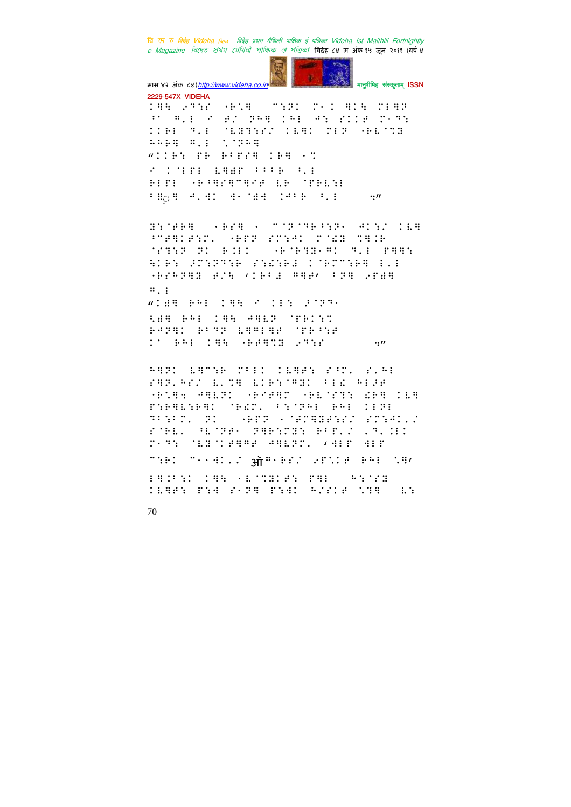FARBEARD (PETI FACTRE RRE)  $1.1.24$ angan di Santa Garamanya yang ber FOREST RESPECT PRESENT BRIDGE CRUISE THE THE HOUR showed and a best car FURNITURE FESTION FURNITURE TEACH THAN PORT THAN ACPIDENTAL LIN

HENNA HALPI HENRAT HENNAT ZEN ILA

 $\mathbf{u}$ ,  $\mathbf{r}$ wide FRI (FRI)  $\ell$  (FRI)  $\ell$  (FRI) (FRI) Add PRI (195 PHLP (FRI) 89281 8932 688188 7PB938 **11 FRE 198 (FRETH 2752)**  $\cdot$ :  $\prime\prime$ 

PROVINCING CHECK LEGAN STOLEN FLAE PROVERT EVIR EDENTROL FER PEOP

BA 1998 - A 928 A CA 1919 1993 1994 - ADAZ (DES PORTENT, SPEP POSED CORRECTED MATHEMATIC RISES OF METHODS AND COMPANY RIES STARTAE FARAER INFOTABULISE \*FFFFFF FZR \1FF1 #987 FFF 2TA8

मानुषीमिह संस्कृताम ISSN मास ४२ अंक ८४) http://www.videha.co.in 2229-547X VIDEHA 195 2756 POST CONTROL PRESENT AN INSTALLENTS TIPE MUST MESTAPLY IEST TEM HELMIS  $\begin{array}{cccccccccc} n,n,p,q & n_{1},q & n_{2},q & n_{3},q & n_{4},q & n_{5},q & n_{6},q & n_{7},q & n_{8},q & n_{9},q & n_{10},q & n_{11},q & n_{12},q & n_{13},q & n_{14},q & n_{15},q & n_{16},q & n_{17},q & n_{18},q & n_{19},q & n_{10},q & n_{11},q & n_{12},q & n_{13},q & n_{16},q & n_{17},q & n_{18},q & n_{19},q & n_{10},q & n_{10},q & n_{11},q & n_{10},$  $w(1,1,1)$  . The definition of the extra  $\mathcal{F} = \left\{ \begin{array}{ll} 1 & 1 & 1 & 1 \\ 1 & 1 & 1 & 1 \\ 1 & 1 & 1 & 1 \end{array} \right. \quad \text{where} \quad \left\{ \begin{array}{ll} 1 & 1 & 1 & 1 \\ 1 & 1 & 1 & 1 \\ 1 & 1 & 1 & 1 \end{array} \right. \quad \text{and} \quad \left\{ \begin{array}{ll} 1 & 1 & 1 \\ 1 & 1 & 1 \\ 1 & 1 & 1 \end{array} \right.$ FITE (FURNITURE LE CIFEATE 

ति एप रु विदेह Videha बिलर विदेह प्रथम मैथिली पाक्षिक ई पत्रिका Videha Ist Maithili Fortnightly e Magazine রিদেহ প্রথম মৌথিনী পাক্ষিক *প্র পত্রিকা* 'विदेह' ८४ म अंक ९५ जून २०११ (वर्ष ४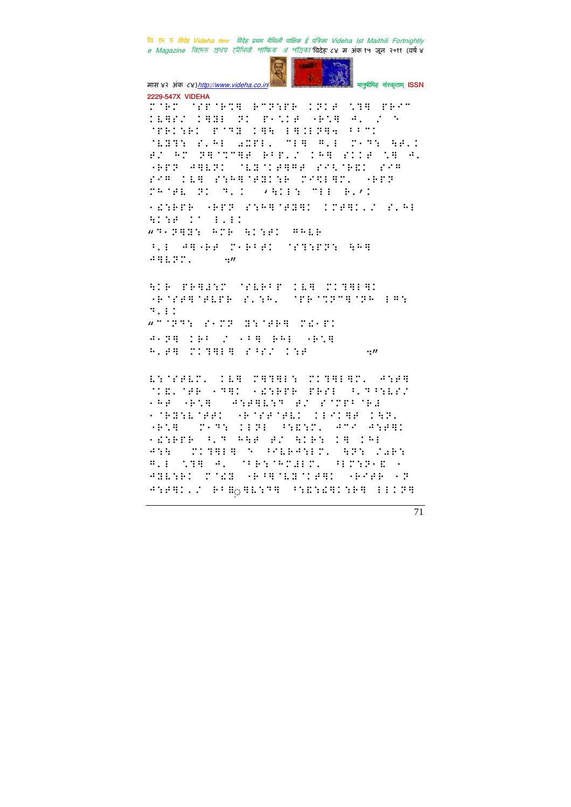मानुषीमिह संस्कृताम ISSN मास ४२ अंक ८४) http://www.videha.co.in 2229-547X VIDEHA CORD OFFICED ESPECE CRIP NIB FEAS TERRITORE PLOTENCE (PNR) PLOTE **TERINAL PIPE CHA FRIERA FETI** TESTI PLAN GOTI, TES ALI PATVARI az Ar dentmea afriz 188 yılık 38 A. SPER SHERI MESSI PHRESS PARTNERS SPAR FOR TER FIRENEDIAE POSIBIL SEPP TRIBLE FOOTLING VALES TEEN BLVD  $\cdot$  CARPER (  $\cdot$  RPP) (  $\cdot$  CARP (RBRI) ( )  $\cdot$  CRPI) (  $\cdot$  C) (  $\cdot$  C) (  $\cdot$  R) ADNA CONTACT  $\mathbf{w}^{\mathsf{H}} \leftarrow \mathbf{P} \oplus \mathbf{B} \oplus \mathbf{A} \quad \oplus \mathbf{P} \oplus \mathbf{P} \quad \oplus \mathbf{I} \oplus \mathbf{A} \oplus \mathbf{I} \quad \oplus \mathbf{B} \oplus \mathbf{I} \oplus \mathbf{P}$ F.E. AN HE TOEFEL STATED ARE  $991.971$  $\cdot$  :  $\prime\prime$ RIE PERINT VELETT ILR TITRIRI HE TEARING EEN GELIEP. ONDER TIJP TE POLITIEK  $\overline{1}$ .  $\overline{1}$ .

WILLIAM CONTROLLER CONTROL **A. 88 TITHER PRIZ INF**  $\cdot$ :  $\prime$ 

ENTERED, CER CRIBBS CONBERD, PNEB MELGAR (PAIL (ANSER PRES ) CASSEE ARE ARCH ANGELNY BU PUTTY PR KINDING MARITIME MARINE CONTROLLER. 3858 (2395-1181) PHEST, ATA ANGEL **FENETE FUR PRESENT RIPS IN 191** AND CONTRACTS POLENTICS ARM CLEA  $\mathbb{P}_\lambda \oplus \mathbb{P}_\lambda \oplus \mathbb{P}_\lambda \oplus \mathbb{P}_\lambda \oplus \mathbb{P}_\lambda \oplus \mathbb{P}_\lambda \oplus \mathbb{P}_\lambda \oplus \mathbb{P}_\lambda \oplus \mathbb{P}_\lambda \oplus \mathbb{P}_\lambda \oplus \mathbb{P}_\lambda \oplus \mathbb{P}_\lambda \oplus \mathbb{P}_\lambda \oplus \mathbb{P}_\lambda \oplus \mathbb{P}_\lambda \oplus \mathbb{P}_\lambda \oplus \mathbb{P}_\lambda \oplus \mathbb{P}_\lambda \oplus \mathbb{P}_\lambda \oplus \mathbb{P}_\lambda \oplus$  $\left\{ \begin{array}{ll} \left\langle \mathbf{H},\mathbf{H},\mathbf{H},\mathbf{H},\mathbf{H},\mathbf{H},\mathbf{H},\mathbf{H},\mathbf{H},\mathbf{H},\mathbf{H},\mathbf{H},\mathbf{H},\mathbf{H},\mathbf{H},\mathbf{H},\mathbf{H},\mathbf{H},\mathbf{H},\mathbf{H},\mathbf{H},\mathbf{H},\mathbf{H},\mathbf{H},\mathbf{H},\mathbf{H},\mathbf{H},\mathbf{H},\mathbf{H},\mathbf{H},\mathbf{H},\mathbf{H},\mathbf{H},\mathbf{H},\$ #1##1.2 BF#@#L17# (11E12#119P# HI17#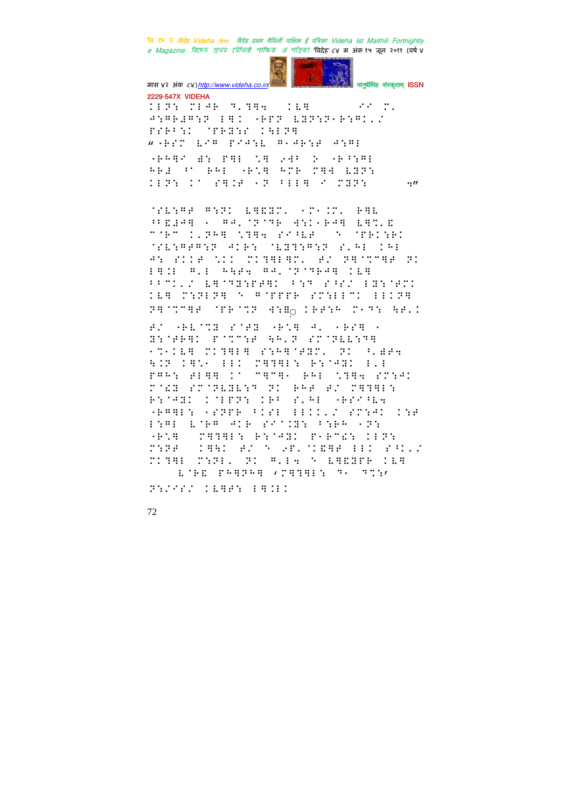मानुषीमिह संस्कृताम् ISSN मास ४२ अंक ८४) http://www.videha.co.in 2229-547X VIDEHA  $\sigma\sigma\approx\sigma$  . 1175 TEPP 7.789 (168) #N#BU#NP F#I +BFP EBPNP+BN#I.2 FFBPAL (TEBBAE) 19139  $w$  (FPT) dign (Propid (H) or Free or For  $\begin{array}{cccccccccccccc} \ast\frac{1}{2} & \ast\frac{1}{2} & \ast\frac{1}{2} & \ast\frac{1}{2} & \ast\frac{1}{2} & \ast\frac{1}{2} & \ast\frac{1}{2} & \ast\frac{1}{2} & \ast\frac{1}{2} & \ast\frac{1}{2} & \ast\frac{1}{2} & \ast\frac{1}{2} & \ast\frac{1}{2} & \ast\frac{1}{2} & \ast\frac{1}{2} & \ast\frac{1}{2} & \ast\frac{1}{2} & \ast\frac{1}{2} & \ast\frac{1}{2} & \ast\frac{1}{2} & \ast\frac{1}{2} &$ ABU PO BAI SENE ANNE NOR LORE 1975 17 PRIP (F. FEER P. 2005)  $\cdot$ :  $^{\prime\prime}$ 

MELTHE HARD LANDED, STRIDGE HAL TORT INTERNATIONAL PARKEL ON OTELARD SPENHAMMEN HORN CENTNANCE PLACE OFF AN VICE NIC PINHERY, AZ PROTHA PI 1911 9.1 5525 9.1 79 79 80 110 FRUID ARTHEMENT FAN PROVIDENT TER TAPEPRON POPPER PUNIERT IIITE PRINTER TERITP RING CREIM TOTE RELI

BI HETTE POPE HAR AL FEPROF BANAPAI PATTAA ARIP PINPEERAR  $+7 + 144$   $+714444$   $+74444442$   $+91 - 31$   $+1444$ RIP CHIS HIL THIRD PAIRL IS PRAN 2198 11 TRTB- PAI 1988 2019 CONFIDENTIALS OF PARTIES OF THE STATE OF PAIRBIN INFERN IPP (P.PE) (PRESER) HEADS FRAME FIRE BEILLIN ROGAN CGB ENRICENTRY RIP PROVINCING PARK (PR)  $\pm 1.5$  ,  $\pm 0.5$ THING PACHEL THRUSH IERA CHAINER SOVERIGHT HIS PRIZ nada C FITHE FARE, FI WALLEY LANDER ILA LIFE PREPRE VIRTHER TO TURN

PACKED CEMPA FAILS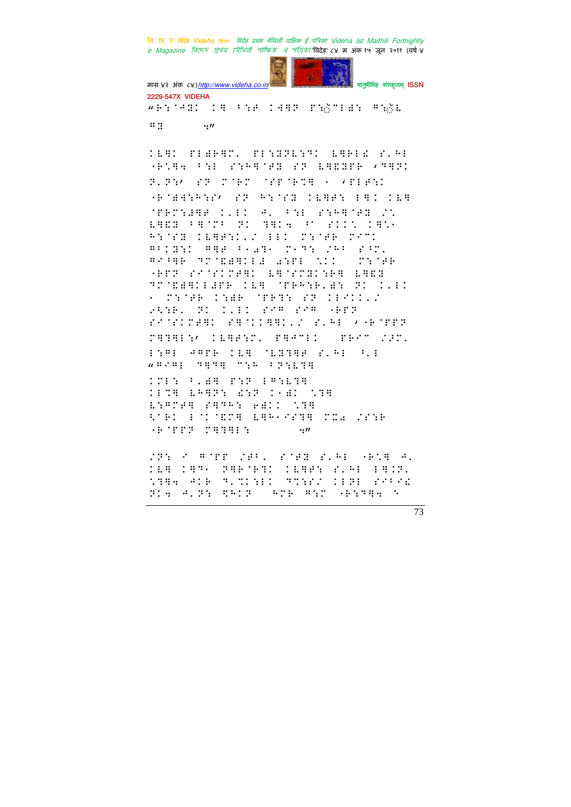मानुषीमिह संस्कृताम ISSN मास ४२ अंक ८४) http://www.videha.co.in 2229-547X VIDEHA WESTERN CHOOSE CHAR PESTIES AND  $\mathbb{R}^n$  $\cdot$  :  $\prime$ 

TEST PEBBST, PENSYLNST ESPEK P.PE HENBY FAIL PARTNER PROGRESS VARRI F. FAZ (PF) TOET (MPORTH) + (VPERA)  $\left\{ \frac{1}{2}, \frac{1}{2}, \frac{1}{2}, \frac{1}{2}, \frac{1}{2}, \frac{1}{2}, \frac{1}{2}, \frac{1}{2}, \frac{1}{2}, \frac{1}{2}, \frac{1}{2}, \frac{1}{2}, \frac{1}{2}, \frac{1}{2}, \frac{1}{2}, \frac{1}{2}, \frac{1}{2}, \frac{1}{2}, \frac{1}{2}, \frac{1}{2}, \frac{1}{2}, \frac{1}{2}, \frac{1}{2}, \frac{1}{2}, \frac{1}{2}, \frac{1}{2}, \frac{1}{2}, \frac{1}{2}, \frac{1}{2}, \frac{1}{2}, \frac{1}{2$ **TERTAGHA ILEI A. FAE INFARTAG ZN** ENER FRONT PLOTEDS IN SIDN DRY RATES CERADLIC BBC CATER COOL #FIBS #88 FORB TOTAL ZAF FIT. **ACTED ANNIBERED ANNE NOON IN THE** HET POINTED ESCRIPTIONS EST POSEBBLESEN (EB) SPERGELBY PL (1981) 2538. FD 1.11 PPM PPM (887) PROPERTY PRODUCED 20 PLAT VAROEER THINGS INTERNATIONAL PROPERTY AND PARE WRITE TER TESTING FINE TER were: sasa mys crysta **ITER PLAN TYP FUNDIR** 1178 LFB21 212 1-81 178 LYPTER FRYPY FELL NTR ATED ESTIMATE ARRAIGER TO SANCHE HOTEL TEERS  $\cdot$ :  $\prime\prime$ 

ZPS K PITE ZALL KIAS KLPE (ANE P. TER TRANSPRECHED TERRY PLAINTRIP. STEEL ALE CALINERS ANNEX SEPECIFICA 319 4.35 5913 900 900 950 965989 5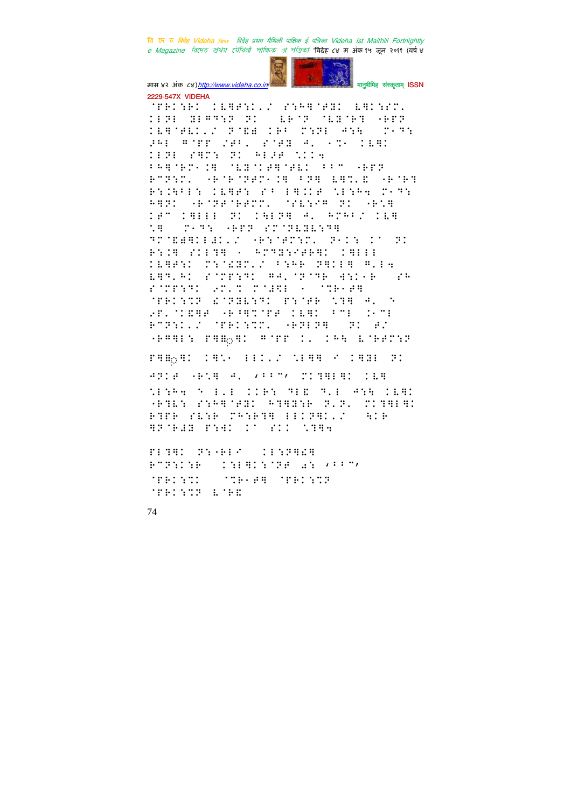मानुषीमिह संस्कृताम ISSN मास ४२ अंक ८४) http://www.videha.co.in 2229-547X VIDEHA

TERINAI (1898). Z SYPHONIC BHINAT. **CERE SEPTER RICHARDS TESTER (FREE** TERMEDIC PARE IFF TAPE AND UTCH 391 # TEP 285, 2018 #1 +TH 1681 1171 2875 71 5128 5115 **FARIETY IN CLEATER MELL SECONDER** BTPAT, HETETPETHING FPROBRILE HETER PAIRFIN IERPA PF IRIDE MINHS TORA PRODUCT PRODUCT STATES AND THE RESIDENCE OF A REAR 1970 1988 800 1989 900 910 929 108<br>1900 109 960 9812 91128 886 998 **PERBURANCE PROPERTY PRINTING** BAIN YOUNG A SUMMANARED CHILL TEMPNI CATENTLI FARR CHIEM MULLA EBS.RD POTTERS RACIFICATION AND PROVIS FOREST PRINT PORT (FOOTBARE TERINTE ETPERNED ENTRE NIE AL N VELOCERA (PROPORTILAD) POR COSTE BURNILLY TEBLATT, PERFORM ORDER SEPRES PROGRESS TELL LANS ESPECIE

PROST CRIP HILL NEED A CROF DI

**APIA (FILE) AL (CEP) (PICHERI ILE)** MENSON BUBLIOGRAPHE SUBSCRIBUTERI \*FILM FARTYFIN RIBBAR F.F. TITHER FIFE FEAR TRAFTS HISTORICS  $\sim$  4.1  $\sim$ **BRIDGE FACE IN SILL ATES** 

FINHD PAPER (1159944 PURSINE CONFEDERATION AREA **TERONIC CONFERENCERONIA MIDSTORY LIBE**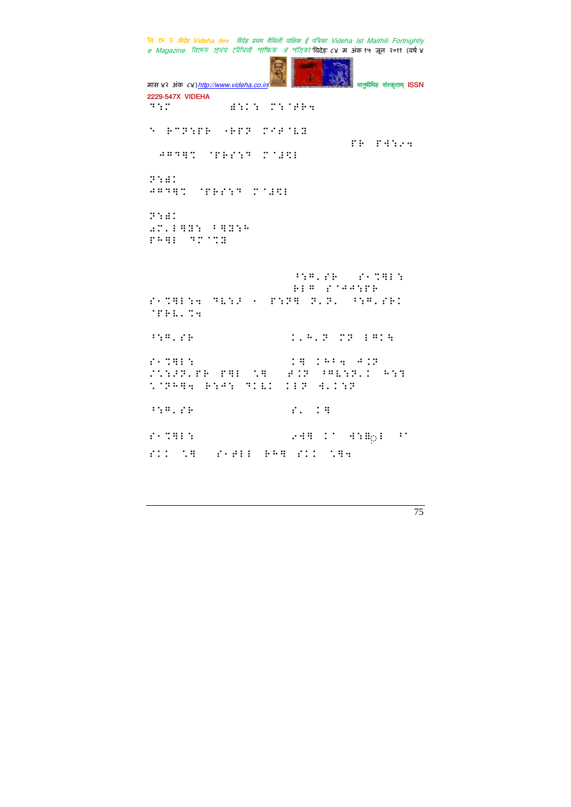```
ৱি দে হ विदेह Videha बिल्ब  विदेह प्रथम मैथिली पाक्षिक ई पत्रिका Videha Ist Maithili Fortnightly
e Magazine  विरमह 'क्षेत्र' रूपैशिवी  शोष्क्रिक श्रं शक्तिरं विदेह' ८४ म अंक १५ जून २०११ (वर्ष ४
मास ४२ अंक ८४)http://www.videha.co.in/ मानुसी मानुषीमिह संस्कृताम् ISSN
2229-547X VIDEHA 
⢹⣑.!261!⣞⣑
⣑ ⣑⢾⢷⣒!!!
\rightarrow +77110 \rightarrow +7710 \rightarrow +7710 \rightarrowhhbkfoesbAwjefib/dpn!⢷ ⣚⣑⢴⣒!!
 ⢺⢻⢹⣛⣉ ⢷⣑⢹ ⣜⣋
⢽⣑⣞

⢺⢻⢹⣛⣉ ⢷⣑⢹ ⣜⣋
⢽⣑⣞
\pmT. FASS SAR
⢳⣛ ⢹⣉⣝
                                !!!!!!!!!!!!!!)⢸⣑⢻⢷-!$⣉⣛⣑*!
                                !!!!!!!!!!!!!!)⢷⢻ ⢺⢺⣑⢷
$⣉⣛⣑⣒ ⢹⣇⣑⢼ $ ⣑⢽⣛ ⢽⢽ ⢸⣑⢻⢷
⢷⣇⣉⣒*!
⢸⣑⢻⢷.!!!!!!!!!
                                  ⢳⢽ ⢽ ⢻
⣓@!!
$⣉⣛⣑.!!!!!!!!!
                                  ⣛ 
⢳⣒ ⢺⣈⢽
⣁⣑⢼⢽⢷ ⣛ ⣁⣛-!⢾⣈⢽ ⢸⢻⣇⣑⢽
 ⢳⣑⣙
⣁⢽⢳⣛⣒ ⢷⣑⢺⣑ ⢹
⣇

⢽ ⣚
⣑⢽@!
⢸⣑⢻⢷.!!!!!!!!! 
                                ⣛@!
$⣉⣛⣑.!!!!!!!!!⢴⣚⣛ 
                                \mathcal{P} \oplus \mathbb{R} \mathcal{P} \oplus \mathbb{R} \mathcal{P} \oplus \mathbb{R} \mathcal{P} \oplus \mathbb{R}

 ⣁⣛-!$⢾ ⢷⢳⣛ 

 ⣁⣛⣒
```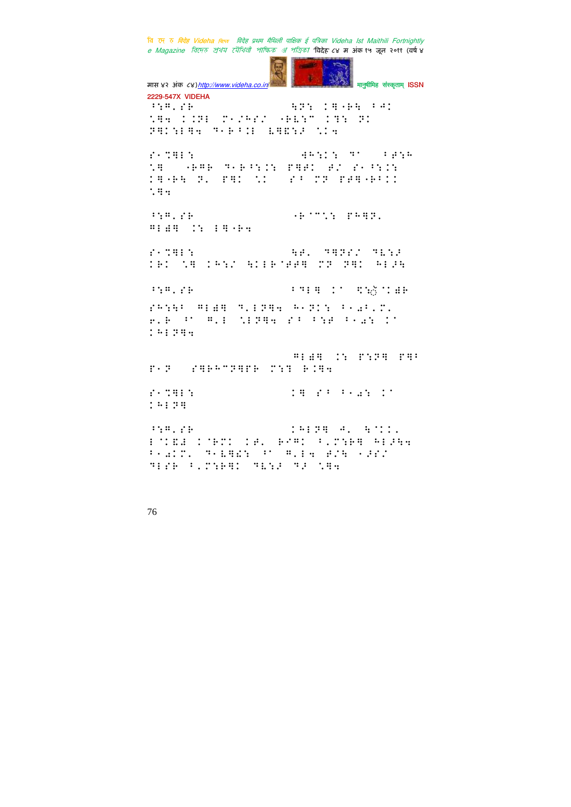त्रि एप रु विदेह Videha बिलर विदेह प्रथम मैथिली पाक्षिक ई पत्रिका Videha Ist Maithili Fortnightly e Magazine রিদেহ প্রথম মৌথিনী পাক্ষিক *প্র পত্রিকা* 'विदेह' ८४ म अंक १५ जून २०११ (वर्ष ४ मास ४२ अंक ८४) http://www.videha.co.in मानुषीमिह संस्कृताम् ISSN 2229-547X VIDEHA  $\{5491, 249\}$ 925 19399 (90) NARROTHE TRIPPED REACTORES TO PHINERS PORTIO ERENT NIS  $\frac{1}{2}$  and  $\frac{1}{2}$  and  $\frac{1}{2}$  and  $\frac{1}{2}$  and  $\frac{1}{2}$  and  $\frac{1}{2}$  and  $\frac{1}{2}$  $4 - 791.5$ ARC SEPECTERING PRESS ENCOURD THERE WE FAIL AT THE TWO FRAMELY  $1.94\%$  $\{5491, 24\}$ SECTIFIES. **PERMIT CALLED HERE**  $f = 1.444444$ Ad. MARCI MELL TED NE TANZ ADEBIGGE TO DED AEDE  $(3.5, 0.1, 0.01)$ FREE IN STATIST PROFILED TO PHONE POST PARTICUL  $141744$  $H = 44$   $H = 15$   $H = 174$   $H = 144$ F.P. (FARATRAFE TAT BIA)  $4 - 7915$  $14174$  $(3.5, 0.1, 0.01)$ ESTER ISBN 18. PART FUNDER PERM FRAID, PREMENT PORTAGED FRED **TEPP FUTTER TEAP TROOPS**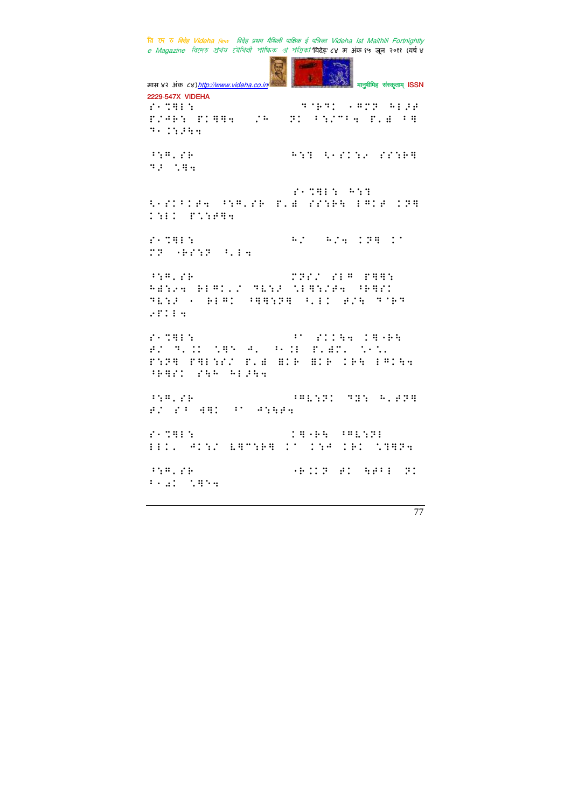| मास ४२ अंक ८४)http://www.videha.co.in/                              | l मानुषीमिह संस्कृताम् <b>ISSN</b>                                         |
|---------------------------------------------------------------------|----------------------------------------------------------------------------|
|                                                                     |                                                                            |
| 2229-547X VIDEHA                                                    | <b>TIPS: (FTP) PEPP</b>                                                    |
| $4 + 7444$                                                          |                                                                            |
| FIARY FIRRY (IR) (FI) FAITES FIR ER                                 |                                                                            |
| <b>Telling</b>                                                      |                                                                            |
| and a state of the                                                  | <b>AND RESINE SENER</b>                                                    |
| na dhe                                                              |                                                                            |
|                                                                     |                                                                            |
|                                                                     |                                                                            |
|                                                                     | a di senara senar                                                          |
| 5.2001.A. (SA.26 P.A.22565 1912 199                                 |                                                                            |
| :::: ::::##                                                         |                                                                            |
|                                                                     |                                                                            |
| $2 + 7913$                                                          | $H_1^2 = H_1^2 + H_2^2 + H_3^2 + H_4^2$                                    |
| 77 (PPN7 3.19                                                       |                                                                            |
|                                                                     |                                                                            |
| $33.94 \pm 0.001$                                                   | <b>THIS HIM PHUL</b>                                                       |
| 58525 BIST.                                                         | C PERFICIPACIÓN (PRIC)                                                     |
| MEGA (K) BEAT (ANNOUNCED ALED ANN MOBM                              |                                                                            |
|                                                                     |                                                                            |
| 2011 i s                                                            |                                                                            |
|                                                                     |                                                                            |
| $\mathcal{L} \cdot \mathcal{L} \mathcal{H} \mathcal{L} \mathcal{H}$ | $\mathcal{L}(\mathbb{R}^n)$ and $\mathcal{L}(\mathbb{R}^n)$ are defined as |
| ez glob ser el skob element.                                        |                                                                            |
| FARA FALAZZ P.B. BIF BIF 195 19154                                  |                                                                            |
| FRANCISCH PROFIL                                                    |                                                                            |
|                                                                     |                                                                            |
| 159.77                                                              | <b>BULLER SERVICE</b>                                                      |
| ez proggi en angeg                                                  |                                                                            |
|                                                                     |                                                                            |
|                                                                     |                                                                            |
| $f \in \mathbb{T}$ if $f \in \mathbb{T}$                            | :# +P4 = +#1921 =                                                          |
| :::: 9:52 LATSPA :: :54 :0: 19474                                   |                                                                            |
|                                                                     |                                                                            |
| $\{1,2,3,4\}$                                                       | (B :: 3   B:   R#F:   3:                                                   |
| Prado Nana                                                          |                                                                            |
|                                                                     |                                                                            |

 $\overline{77}$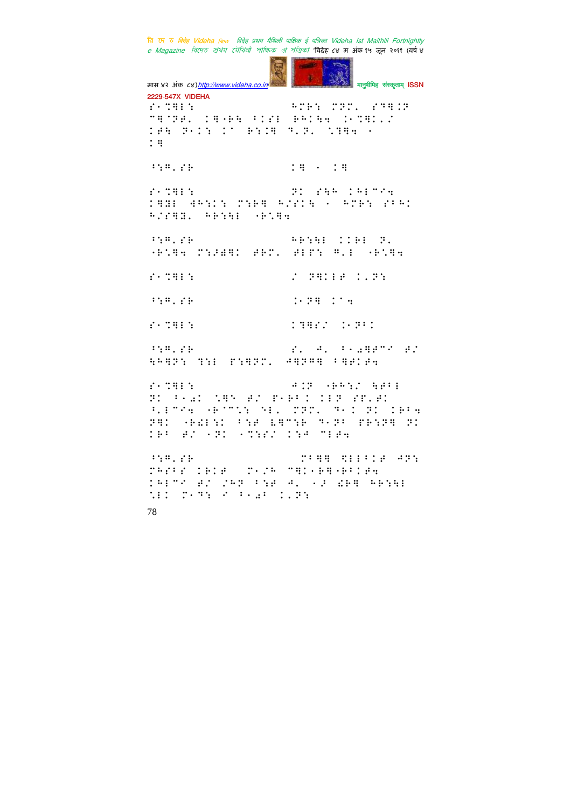e Magazine রিদেহ প্রথম মৌথিনী পাক্ষিক *প্র পত্রিকা* 'विदेह' ८४ म अंक १५ जून २०११ (वर्ष ४ मानुषीमिह संस्कृताम् ISSN मास ४२ अंक ८४) http://www.videha.co.in 2229-547X VIDEHA PTP: TPT. PTBIP  $4 - 791.5$ THIRD, INSPERSED BRIAN CONDUCT 195 0-13 11 9518 0.0. 1989 C  $\mathbb{R}^n$  $3.594 \pm 0.001$  $14.71$  $31.31$   $7.44$   $7.41$   $7.41$  $2 - 7913$ INGLE ARNIN CORA POSIA (FORDA) STRI **BIFFEL BENBE (BNSBE**  $\{v_1w_1,v_2\}$  . **SPARE CODE P.** HENBA CAPEBI BEC. BICA PLI HENBA  $4 - 7914$ **CONSTRUCTION**  $(3.5, 0.1, 0.01)$  $1.74$   $1.74$  $2 - 7913$  $139977$   $14937$  $\label{eq:2} \begin{array}{ll} \mathcal{L}_{\text{eff}} & \mathcal{A}_{\text{eff}} & \mathcal{L}_{\text{eff}} \mathcal{A} \mathcal{B} \mathcal{B} \mathcal{B} \mathcal{B} \mathcal{B} \mathcal{A} & \mathcal{B} \mathcal{A} \end{array}$  $\mathbb{P}^1_1\oplus\mathbb{P}^1_2$  if  $\mathbb{P}^1_1$ 55925 351 F5927, 29289 F92185  $2 - 7915$  $\begin{array}{cccccccccc} \mathbf{u} & \mathbf{y} & \mathbf{y} & \mathbf{y} & \mathbf{y} & \mathbf{y} & \mathbf{y} & \mathbf{y} & \mathbf{y} & \mathbf{y} & \mathbf{y} & \mathbf{y} & \mathbf{y} & \mathbf{y} & \mathbf{y} & \mathbf{y} & \mathbf{y} & \mathbf{y} & \mathbf{y} & \mathbf{y} & \mathbf{y} & \mathbf{y} & \mathbf{y} & \mathbf{y} & \mathbf{y} & \mathbf{y} & \mathbf{y} & \mathbf{y} & \mathbf{y} & \mathbf{y} & \$ BI FRANCISCO PRESSOREIRO FIRTH HEITIN NEI TRIL THIS RICEFA PHIL (PEGENI FNP) LATNE TVPF PENDA DI THE HIS FRIENDAME INFORMA- $\{2,4,6,7\}$  . TERR REFERENCE 

त्रि एप रु विदेह Videha बिलर विदेह प्रथम मैथिली पाक्षिक ई पत्रिका Videha Ist Maithili Fortnightly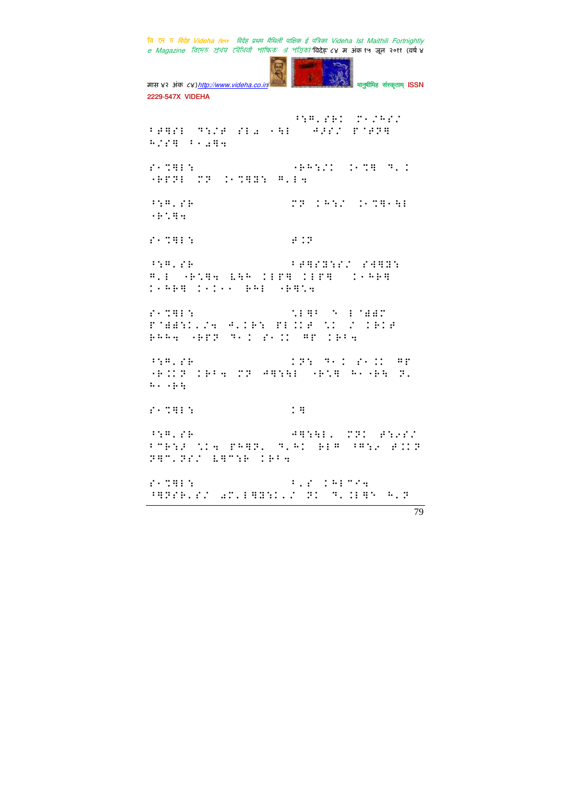त्रि एप रु विदेह Videha बिलर विदेह प्रथम मैथिली पाक्षिक ई पत्रिका Videha Ist Maithili Fortnightly e Magazine রিদেহ প্রথম মৌথিনী পাক্ষিক ্যা পত্রিকা' **বিदेह' ८४ म अंक १५ जून २०११ (वर्ष ४** मास ४२ अंक ८४)<u>http://www.videh</u>a.co.in मानुषीमिह संस्कृताम् ISSN 2229-547X VIDEHA  $139.791$   $79.7972$ FRANK PACK PERSONAL SAPPOSTERER  $4.774 - 4.444$  $f = 191.5$ HP521 1-TH T. 1  $\{2,2,3,4,5\}$  . **TP IF12 I-TH-51**  $+1.14 +$  $2 - 2412$  $-4.13$  $\{549144\}$  .  $\frac{1}{2}$  +  $\frac{1}{2}$  +  $\frac{1}{2}$  +  $\frac{1}{2}$  +  $\frac{1}{2}$  +  $\frac{1}{2}$  +  $\frac{1}{2}$  +  $\frac{1}{2}$  +  $\frac{1}{2}$  +  $\frac{1}{2}$  +  $\frac{1}{2}$  +  $\frac{1}{2}$  +  $\frac{1}{2}$  +  $\frac{1}{2}$  +  $\frac{1}{2}$  +  $\frac{1}{2}$  +  $\frac{1}{2}$  +  $\frac{1}{2}$  +  $\frac{1$ P.E. (ENTH) LAR ISSUED ISSUED (1996) 1988年10月10日 第4日 9月10日  $4 - 741.5$ POBBAILDA (ALIBA) PEDIA (NI) D'OBIA  $\mathbb{H}^{(2,2,2)}\oplus\mathbb{H}^{(2,2)}\oplus\mathbb{H}^{(2,2)}\oplus\mathbb{H}^{(2,2)}\oplus\mathbb{H}^{(2,2)}\oplus\mathbb{H}^{(2,2)}\oplus\mathbb{H}^{(2,2)}\oplus\mathbb{H}^{(2,2)}$  $\{v_1w_1,v_2\}$  . HEILB IEFA TROMBAE (HEIBOA) HEORIE  $4.144$  $f = 7.9114$  $\frac{1}{2}$  $-445411.777.45277$  $\{1,0,1\}$  ,  $\{1\}$ PORTE NIN PRES. SLAI BER PRIN BIDG FAT. FED ARTIF (1959)  $44.7913$  $\mathcal{L}^{\mathcal{L}}(\mathcal{L}^{\mathcal{L}}(\mathcal{L}^{\mathcal{L}}),\mathcal{L}^{\mathcal{L}}(\mathcal{L}^{\mathcal{L}}))\cong\mathcal{L}^{\mathcal{L}}(\mathcal{L}^{\mathcal{L}}),$ PERPENDICAL BERTING CONTROL BERTHING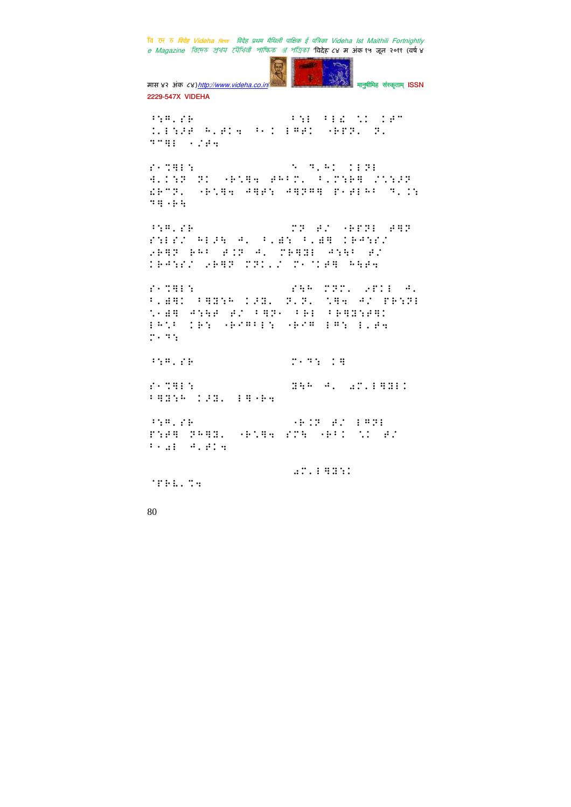त्रि एप रु विदेह Videha बिलर विदेह प्रथम मैथिली पाक्षिक ई पत्रिका Videha Ist Maithili Fortnightly e Magazine রিদেহ প্রথম মৌথিনী পাক্ষিক *প্র পত্রিকা* 'विदेह' ८४ म अंक १५ जून २०११ (वर्ष ४ मास ४२ अंक ८४)<u>http://www.videh</u>a.co.in मानुषीमिह संस्कृताम् ISSN 2229-547X VIDEHA  $\{1,0\}$  ,  $\{1\}$ 1.1538 P.F.H. P.I.1991 (PPP. P.  $3.744 - 7.744$  $f = 7.9114$  $5.77, 51.71, 11.71$ 4.159 PD (+PNH+ +P+PN) F.TSPH 2NSPP EPTE, HPNHH HHPN HHPHH PHPLPP T. 15  $79.44$  $3.594 \pm 0.001$ TF #2 (PPFF #8F PALENT RESPONSE CONTROL EN CORRENT 2842 851 812 91 78431 9561 87 IPANEL VERR TRILL TO NORROWERS STAR TRIL SELL AL  $4 - 791.5$ FLAND (FNONK 1982) 2222 (1943–42) pendi<br>1848 (Anna Victoria) fel (Feddham) ERNE IPN (PROFILM (PROFILMS EVER)  $\mathbb{C} \times \mathbb{R}$  $7 - 73 - 14$  $\{z_1^1, z_2^1, z_3^2\}$  $2 - 7913$ HAR 4, HT. FRHIT FRING 1982 (FR) HA  $(3.5, 0.1, 0.01)$  $\begin{array}{cccccc} \cdot \oplus \cdot \mathbb{I} & \mathbb{P} & \mathbb{P} \mathbb{P} & \mathbb{I} & \mathbb{P} \mathbb{P} \mathbb{P} \end{array}$ FARE PRED. (HARBY PTR (HRI) AL BA  $\mathbb{E}[\mathcal{L}_{\text{eff}}] = \mathcal{L}_{\text{eff}}[\mathcal{L}_{\text{eff}}]$  $127.19331$ **TERLITH**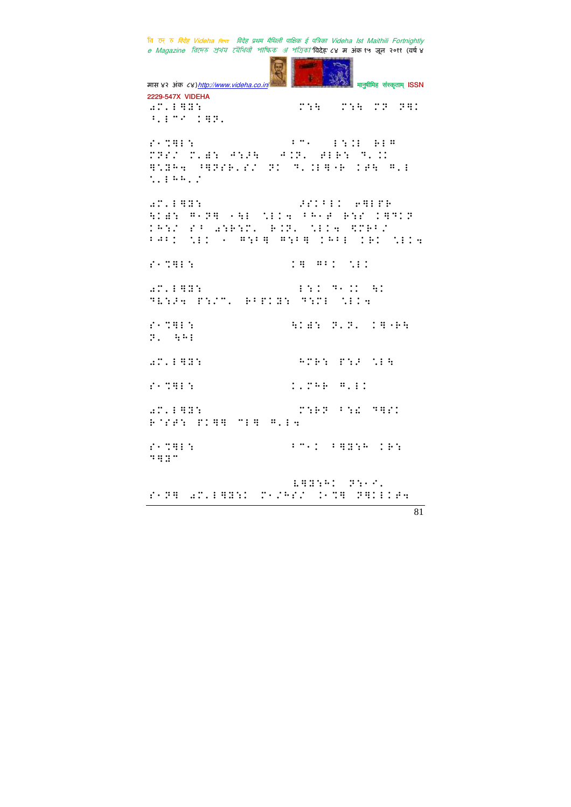मास ४२ अंक ८४) http://www.videha.co.in मानुषीमिह संस्कृताम् ISSN 2229-547X VIDEHA **TAB TAB TF FEL**  $27.1935$  $31.377 \pm 3.371$  $4 - 7913$ TRENCTION ANDAL CAIRD WEBN TOIL 81854 (REPORT 20 PL PL HARRY 185 PLE  $7.14477$  $27.1935$ alan Ayda yapındır. Peye Bne Lagud<br>1962 Yaş Ghenov Bid, Nily Kobert rang ng Lion ang ang ang gaig dadi ng pa  $f = 7.9114$  $-14 - 991 - 111$  $27.19331$  $\pm 5.1$   $\pm 1.1$   $\pm 1.1$ MENSA PNOT. PRETEN MNTE NEIA  $27.7913$ **ACHA P.P. CH-PR**  $7.744$ **SATES PAR MIR** ancessar  $f = 1.415$  $1.799 - 9.11$  $T21973732779971$  $27.1933$ **FOURTH TIME MELLS**  $4 - 7913$  $\cdots$ EASTED FROM Y-PR 20119831 P-25Y2 1-TR PRIETER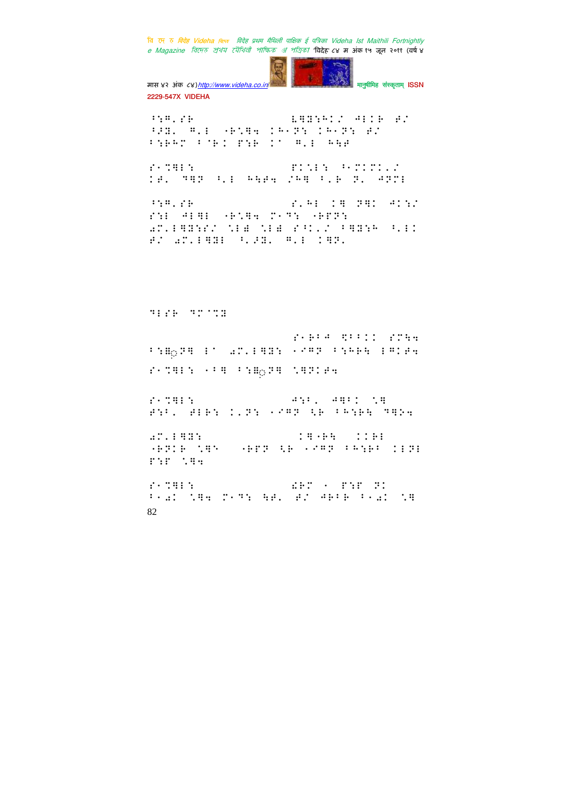मानुषीमिह संस्कृताम् ISSN मास ४२ अंक ८४) http://www.videha.co.in 2229-547X VIDEHA

 $\{1,0,1\}$  ,  $\{1,1\}$ EASTED AND AN 320. 8.1 (65086) 19823 19823 37 PARRY FORD PAR IN W.E. RAP

 $4 - 741.5$ TIME BUILDING 19. 792 F.E. PARA 2PR F.B. 2. 9221

 $\{1,2,3,4,5\}$  .  $\begin{array}{cccccccccc} \mathcal{L}_1(\mathbb{H}) & \mathbb{H} & \mathbb{H} & \mathbb{H} & \mathbb{H} & \mathbb{H} & \mathbb{H} & \mathbb{H} & \mathbb{H} & \mathbb{H} & \mathbb{H} & \mathbb{H} & \mathbb{H} & \mathbb{H} & \mathbb{H} & \mathbb{H} & \mathbb{H} & \mathbb{H} & \mathbb{H} & \mathbb{H} & \mathbb{H} & \mathbb{H} & \mathbb{H} & \mathbb{H} & \mathbb{H} & \mathbb{H} & \mathbb{H} & \mathbb{H} & \mathbb{H} & \$ FAR PERE PENNSY TYPE PETPE GT. FRONZ SEW SEW PRIZE FRONT RIE 97 aT. 1931 (0.03. 9.1) 197.

**BEER STITE** 

 $\begin{array}{cccccccccc} \mathcal{L}+\mathcal{L}+\mathcal{L}+\mathcal{L} & \mathcal{L}+\mathcal{L} & \mathcal{L} & \mathcal{L} & \mathcal{L} & \mathcal{L} & \mathcal{L} & \mathcal{L} & \mathcal{L} & \mathcal{L} & \mathcal{L} & \mathcal{L} & \mathcal{L} & \mathcal{L} & \mathcal{L} & \mathcal{L} & \mathcal{L} & \mathcal{L} & \mathcal{L} & \mathcal{L} & \mathcal{L} & \mathcal{L} & \mathcal{L} & \mathcal{L} & \mathcal{L} & \mathcal{L} & \mathcal{L$ FAB629 EN 2011933 (2021) 13584 E9184 F-THEN (FR) PARSEN AREA

 $47.7913$ FOR STRING CORPORATION AND PROPERTY

 $27.1921$  $19.44$   $11.41$ HEROE NEW CONFIRMATION CARD CANNOT CERE FAP ARM

 $4 - 741.5$  $\sim$  2007  $\sim$  - 2018  $\sim$  21 FRANCISCHE TROPE ABLICATIONER FRANCISCH 82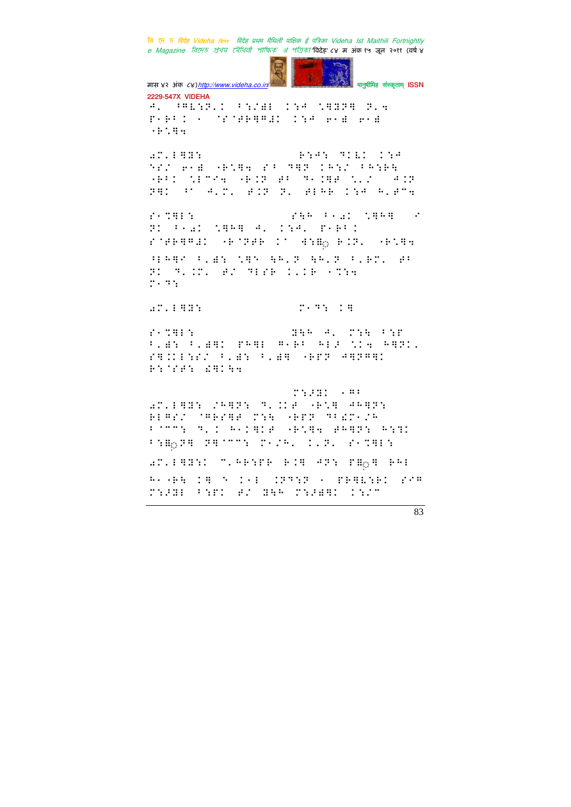मानुषीमिह संस्कृताम ISSN मास ४२ अंक ८४) http://www.videha.co.in 2229-547X VIDEHA PARTIES OF GRAHAM (1980) PARTIESE  $+1.144$ (FS45 7011) 154  $27.1931$ NEZ BRETHENBALES TROTHER (PASS PRIER) HERO NETHA (HERO BROTH DEB) NUMBER PRI PO PUDI PIP PI PERPOSA RIPUNG  $4 - 7913$  $\begin{array}{cccccccccc} \mathbb{P}^1_1\oplus\mathbb{P}^1_2&\mathbb{P}^1_3&\mathbb{P}^1_4&\mathbb{P}^1_5&\mathbb{P}^1_5&\mathbb{P}^1_5&\mathbb{P}^1_5&\mathbb{P}^1_5&\mathbb{P}^1_5&\mathbb{P}^1_5&\mathbb{P}^1_5&\mathbb{P}^1_5&\mathbb{P}^1_5&\mathbb{P}^1_5&\mathbb{P}^1_5&\mathbb{P}^1_5&\mathbb{P}^1_5&\mathbb{P}^1_5&$ 31 F.E. NEWS ALL 154, P.P.1 ESPERADO (FORESCO) ANAS ESPUCIALMENTA HEARY FIEL NEW RAID RAID FIEL OF FULLER WAS SERVED AND A TABLE  $27.33$  $-74.74 - 14$  $27.1935$ FRIDENEZ FLAN FLAR (FPFF PRPPR) Biles del California  $75.331 + 931$ GT. FRIN (25825) 7, 119, (6518) 45825 BIREN TREEBE THE SPER TREESON FORTS TO CHAINED ARGUMENTS FAND PAROPE PETTIN CHIP, LLP. PHINEN GOVERNO TURPADE ESPORTAGE PRE ACCERTIBUTE CONFIDENTIAL PROBABLICATO

TAPSE FARI AN SAR TAPER CANT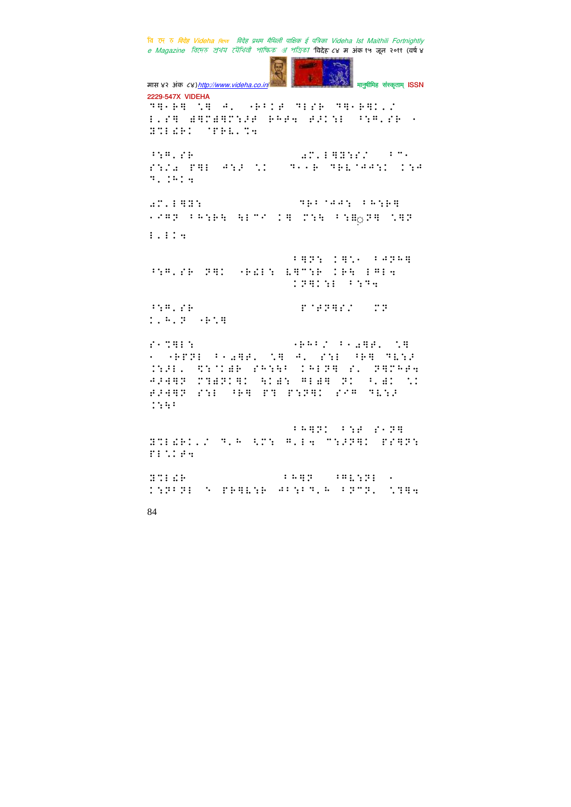e Magazine রিদেত প্রথম মৌথিনী পাক্ষিক প্র পত্রিকা 'विदेह' ८४ म अंक १५ जून २०११ (वर्ष ४ मानुषीमिह संस्कृताम् ISSN मास ४२ अंक ८४) http://www.videha.co.in 2229-547X VIDEHA **TH-FR NB H. (FRIE TEPE TR-FRI.)** 1.79 dardernie ener einer Greich (\* BUILDED CUPELING  $\{x_1, x_2, y_3\}$  .  $\mathbf{A}^{\text{H}} \mathbf{A}^{\text{H}} \mathbf{A}^{\text{H}} \mathbf{A}^{\text{H}} \mathbf{A}^{\text{H}} \mathbf{A}^{\text{H}} \mathbf{A}^{\text{H}} \mathbf{A}^{\text{H}} \mathbf{A}^{\text{H}} \mathbf{A}^{\text{H}} \mathbf{A}^{\text{H}} \mathbf{A}^{\text{H}} \mathbf{A}^{\text{H}} \mathbf{A}^{\text{H}} \mathbf{A}^{\text{H}} \mathbf{A}^{\text{H}} \mathbf{A}^{\text{H}} \mathbf{A}^{\text{H}} \mathbf{$ PACE PHOTOGRAPHIC TO A PERSONAGE CAR  $(2.1222)$  $\begin{array}{cccccccccc} \pi\oplus\tau & \tau\oplus\pi\gamma & \tau\oplus\gamma\oplus\eta \end{array}$  $27.1933$ PREP PANEL BETROIN THOTAL PNBOTH AND  $\vdash\!\!\!\perp\!\!\!\perp\!\!\!\perp\!\!\!\perp\!\!\!\perp$ PARLER PRI (FEDERAL ERTABOLER EREN) **CONSTRAINS**  $\{1,2,3,4,5\}$ **CONSTRUCTS**  $1.44.7 - 44.4$  $45.7915$  $\begin{array}{cccccccccc} \ast\oplus\oplus\ast\subset & \ast\otimes & \ast\oplus\oplus\bullet\subset & \ast\oplus\oplus\end{array}$  $\sim$  (FFTH F-288, 19 F, 251 FEB 7652 TYPE, SYNCHE PANNE THERE P. PROGRAM APARE CHARLEL ALAN PEAR DI (FLAI) NI RUGHE PART HER PATTERNS PART MEAD  $(1.5, 4.4)$ BOLGED Z P. R. STA P. LA PARRED FREES Filipes  $\text{supp} \left( \text{supp}(\mathbf{y}) \right)$ **HUILE** INFORMAL PERSENHALMAN CONTROLLER

त्रि एप रु विदेह Videha बिलर विदेह प्रथम मैथिली पाक्षिक ई पत्रिका Videha Ist Maithili Fortnightly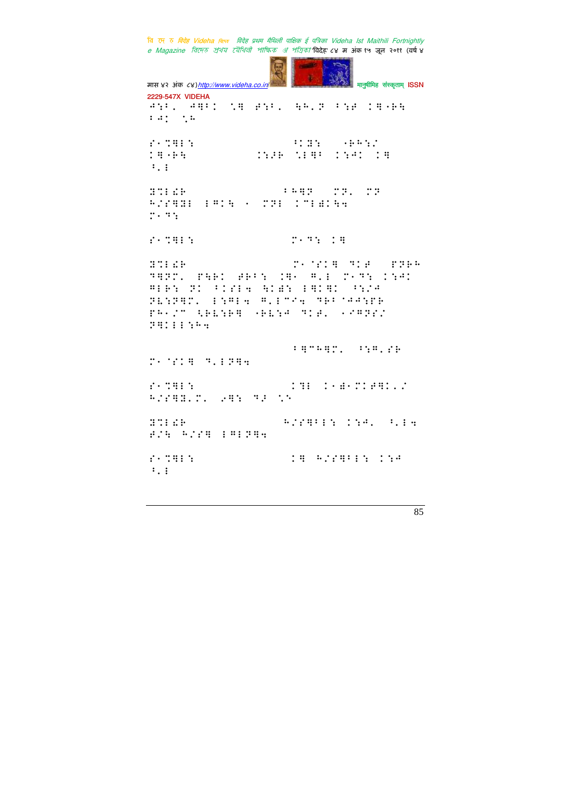e Magazine রিদেহ প্রথম মৌথিনী পাক্ষিক ্যা পত্রিকা' **বিदेह' ८४ म अंक १५ जून २०११ (वर्ष ४** मास ४२ अंक ८४) http://www.videha.co.in मानुषीमिह संस्कृताम् ISSN 2229-547X VIDEHA 951. 981. SA 951. SA 2010 1591  $\mathbb{E}[\mathbf{a}^1_1, \ldots, \mathbf{a}^1_n]$  $44.79131$  $31.35 - 1.00$  $(1 + 1) + 1 = 1$ 1528 5186 1581 18 19995  $\ddots$ : HUI EP  $1.449$   $7.77$   $7.77$  $\begin{minipage}{.4\linewidth} \begin{tabular}{lcccccc} $0.11111 & 1.011 & 1.011 & 1.011 & 1.011 & 1.011 & 1.011 & 1.011 & 1.011 & 1.011 & 1.011 & 1.011 & 1.011 & 1.011 & 1.011 & 1.011 & 1.011 & 1.011 & 1.011 & 1.011 & 1.011 & 1.011 & 1.011 & 1.011 & 1.011 & 1.011 & 1.011 & 1.011 &$  $\mathbb{C} \times \mathbb{R}$  ).  $2 - 7913$  $7.75 - 7.8$  $\begin{array}{cccccccccc} \mathbf{1} & \mathbf{1} & \mathbf{1} & \mathbf{1} & \mathbf{1} & \mathbf{1} & \mathbf{1} & \mathbf{1} & \mathbf{1} & \mathbf{1} & \mathbf{1} & \mathbf{1} & \mathbf{1} & \mathbf{1} & \mathbf{1} & \mathbf{1} & \mathbf{1} & \mathbf{1} & \mathbf{1} & \mathbf{1} & \mathbf{1} & \mathbf{1} & \mathbf{1} & \mathbf{1} & \mathbf{1} & \mathbf{1} & \mathbf{1} & \mathbf{1} & \mathbf{1} & \mathbf{1} & \$ HUI CH MARTI PARI PROVINCI DA COLORADO VARI PERSONAL PARTIES ADEN IBD BLOCK PENPROL ENRIG RUETZA TERTARNER FRAUT ABENBEL (BENAUTIBL) (PRPEL) 291113555  $\begin{tabular}{ll} \bf 1 & 0 & 0 & 0 & 0 & 0 & 0 \\ 0 & 0 & 0 & 0 & 0 & 0 \\ 0 & 0 & 0 & 0 & 0 & 0 \\ 0 & 0 & 0 & 0 & 0 & 0 \\ 0 & 0 & 0 & 0 & 0 & 0 \\ 0 & 0 & 0 & 0 & 0 & 0 \\ 0 & 0 & 0 & 0 & 0 & 0 \\ 0 & 0 & 0 & 0 & 0 & 0 & 0 \\ 0 & 0 & 0 & 0 & 0 & 0 & 0 \\ 0 & 0 & 0 & 0 & 0 & 0 & 0 \\ 0 & 0 & 0 & 0 & 0 & 0 &$ T. 7219 7.1294  $47.79131$ **THE IMB-TIBBLE** REFERENCE SHAPE TROCKS HUI EP #24 #224 1#1244  $2 - 7915$  $\mathcal{F}_\text{c}$  :

त्रि एप रु विदेह Videha बिलर विदेह प्रथम मैथिली पाक्षिक ई पत्रिका Videha Ist Maithili Fortnightly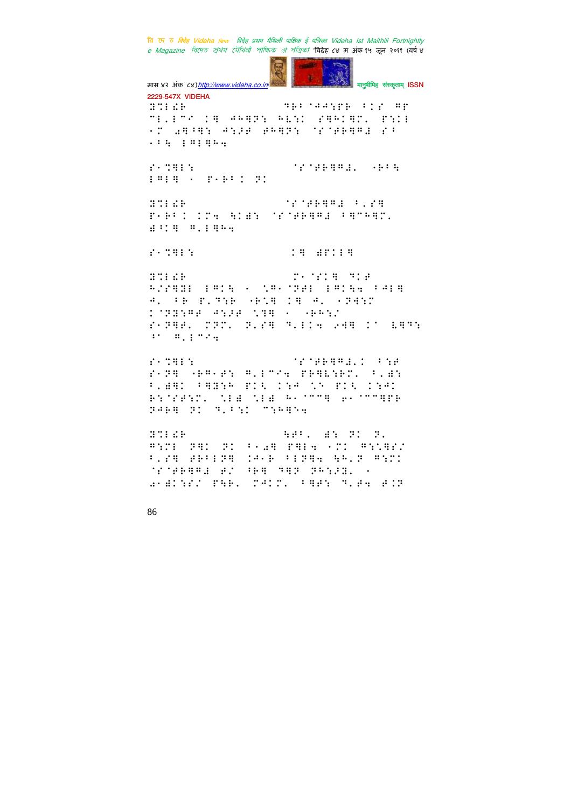मास ४२ अंक ८४) http://www.videha.co.in मानुषीमिह संस्कृताम् ISSN 2229-547X VIDEHA **SPECIALLY SECTIONS** 371.45 TELETY IN ARNES RESOURNEED, PACE  $\times$  T (  $\pm$  H FH Y )  $\pm$  Y FH (  $\pm$  WH H Y ) (  $\pm$  Y  $\pm$  H H H  $\pm$  Y  $\pm$  $1.34 \pm 0.0000$  $4 - 7913$ **SESPERAL SERR** 1919 - P.H.I.T. HUI dh 12199993 (1.29 F-BFI 1754 RIAN (VINBARA FATRAI) and a card and  $f = 1.444444$ **TH BELLS** HUI EP  $T = 121.9 - 21.9$ AZZBOB BRIA (1941-1998) BRIAN PRES  $\mathcal{A}_{\mathcal{A}} = \mathcal{A}(\mathcal{B}) = \mathcal{B}(\mathcal{A}(\mathcal{B}(\mathcal{B}^{\perp})) - \mathcal{A}(\mathcal{B}(\mathcal{B}^{\perp})) - \mathcal{A}(\mathcal{B}^{\perp}) - \mathcal{A}(\mathcal{B}^{\perp}\mathcal{B}(\mathcal{B}^{\perp}))$ 1733198 9538 538 × 98552 PACHEL COCO, CAPE CAPINA 248 IN 1885  $\left\{ \begin{array}{cc} \mathbf{1} & \mathbf{1} & \mathbf{1} \\ \mathbf{1} & \mathbf{1} & \mathbf{1} \\ \mathbf{1} & \mathbf{1} & \mathbf{1} \end{array} \right. , \left\{ \begin{array}{cc} \mathbf{1} & \mathbf{1} & \mathbf{1} \\ \mathbf{1} & \mathbf{1} & \mathbf{1} \\ \mathbf{1} & \mathbf{1} & \mathbf{1} \end{array} \right.$  $f = 1.444444$ TETHBRALI FIE FOR SPECIES ROOMS TERRIST CONS F. 891 (F9358) FIR (159) NS FIR (1591) anteano, cra cra la tecnoma actorománia<br>Geargio Sisti

**HUILE** 591. 85 F. F. PATE PRI PI FRANCISCHE PIC PALMEN F.PH PRIING 1968 FING AN. 2 PATI TETHBURG AZ SEN MUR RAGEE.  $\sim$   $\sim$ GREDGED PARL TAIRL FARGUALES AIR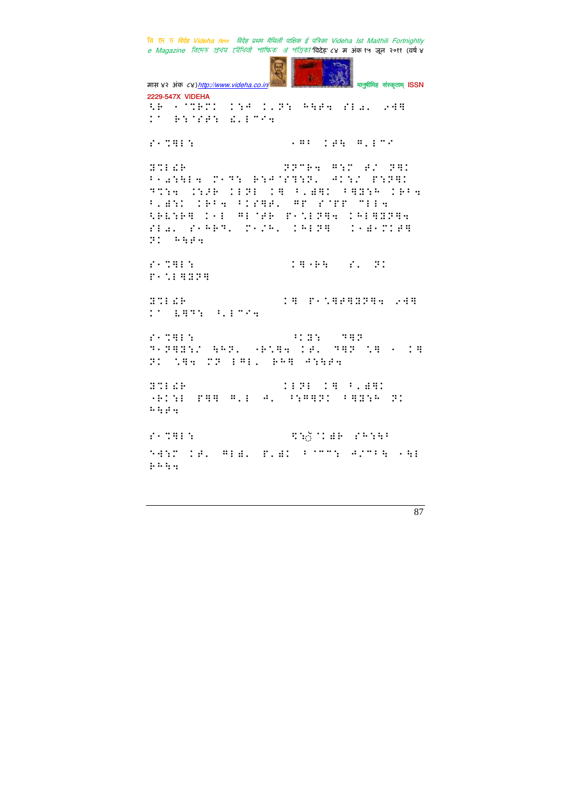त्रि एप रु विदेह Videha बिलर विदेह प्रथम मैथिली पाक्षिक ई पत्रिका Videha Ist Maithili Fortnightly e Magazine রিদেহ প্রথম মৌথিনী পাক্ষিক ্যা পত্রিকা' **বিदेह' ८४ म अंक १५ जून २०११ (वर्ष ४** मानुषीमिह संस्कृताम् ISSN मास ४२ अंक ८४) http://www.videha.co.in 2229-547X VIDEHA AR POTENT CAR CLAY REPROFILED 248 in annen Elena  $4 - 7915$  $\mathcal{L}(\mathbf{B},\mathbf{E}) = \mathcal{L}(\mathbf{B},\mathbf{E}) = \mathcal{H}(\mathcal{L}(\mathbf{B},\mathbf{E}))$ FFTF4 #57 #2 FHI HUI EP PROMISE TRANSPORTATION AND POSTAL **PINE INFORMATION CONTROLLERS INC.** FLAND CEPA FORBEL PE ROBE TEEN ARLARE IVE PETRE PYSEPHA IPERDRA FEW PORT TO DESCRIPT OF BUILDING  $91 - 4444$  $4 + 744.5$ 1999 C. P. **POST REPRO BOILER**  $19.29$   $19.79993799$   $19.49$  $4 - 7913$  $-31.35 - 23.7$  $\mathcal{B} + \mathcal{B} \oplus \mathcal{B} \oplus \mathcal{I} - \mathcal{B} \oplus \mathcal{B} \, \mathcal{I} - \mathcal{A} \oplus \mathcal{A} \oplus \mathcal{B} \oplus \mathcal{I} \oplus \mathcal{B} \, \mathcal{I} - \mathcal{B} \oplus \mathcal{B} \oplus \mathcal{I} \oplus \mathcal{B} \quad \ \ \forall \, \, \mathcal{B} \oplus \mathcal{A} \oplus \mathcal{I} \oplus \mathcal{B}$ F1 1994 TF 1911 1998 91999 **BUELE**  $1171 177 177 1777 1777$ HEINE PAR RIE R. CHARGE FANGE DI  $25.7913 -$ STAG TEAR STRARE SANT CAL PEAL PLAINT TOON ANDER SAN  $1.444$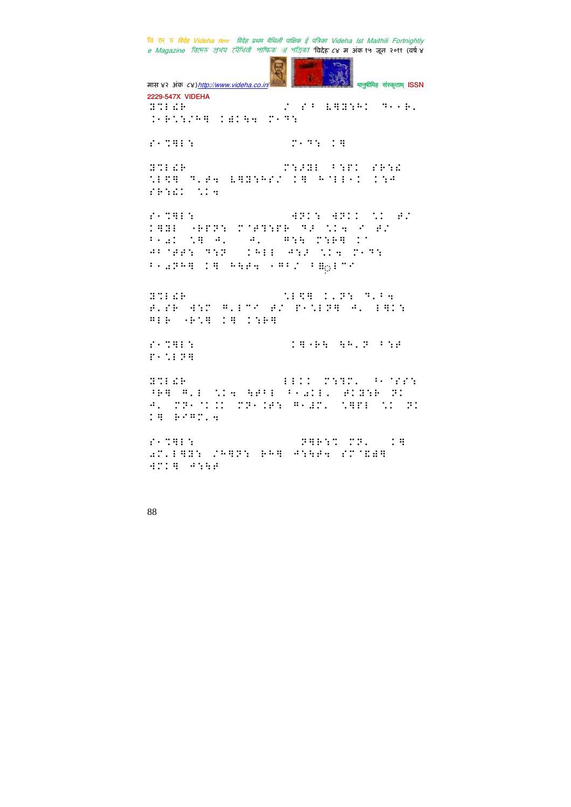मास ४२ अंक ८४) http://www.videha.co.in मानुषीमिह संस्कृताम् ISSN 2229-547X VIDEHA  $\mathcal{I} = \mathcal{I}^{-1} = \mathcal{I} \oplus \mathcal{I} \oplus \mathcal{I} \oplus \mathcal{I} = \mathcal{I} \oplus \mathcal{I} \oplus \mathcal{I} \oplus \mathcal{I}.$ **BUELE**  $4 - 7913$  $7 - 73 - 74$ TAGH SAFI PEAR HUI EP NERBORIAN EBSPACI DB POBLET 154 fridi tie  $4 + 791.5$  $-4713$   $-4711$   $-11$   $-11$ THE GREEN CORPORATION NEWSFILM  $\mathcal{A}_1$  , when  $\mathcal{B}_2$  is the set of  $\mathcal{B}_1$  $\mathbb{E}[\mathcal{L}_{1,2}(\xi) = \mathcal{L}_{1,2}(\xi)] = \mathcal{L}_{1,2}(\xi).$ an Peerland (order and other plans FR2088 18 8504 FR20 FB8177 HUI EP BIZE HAT PLETY BI THALPH PL LEDA **BIB HEAR IN INFER**  $49.7913$  $T = 1.174$ HUI EP HILL TITL BOTTLE FEB P.E. MIN REFERENCE PERMETER ALCOHOL: CHAIRS AND COMPETENCY THE BRACK H  $4 - 7913$  $\begin{array}{cccccccccc} \mathbb{P} & \mathbb{H} & \mathbb{H} & \mathbb{H} & \mathbb{I} & \mathbb{I} & \mathbb{I} & \mathbb{I} & \mathbb{I} & \mathbb{I} & \mathbb{I} & \mathbb{I} & \mathbb{I} & \mathbb{I} & \mathbb{I} & \mathbb{I} & \mathbb{I} & \mathbb{I} & \mathbb{I} & \mathbb{I} & \mathbb{I} & \mathbb{I} & \mathbb{I} & \mathbb{I} & \mathbb{I} & \mathbb{I} & \mathbb{I} & \mathbb{I} & \mathbb{I} & \mathbb{I} & \$ GT. FANS (1942) BPA PSSEE (201888) 4714 4558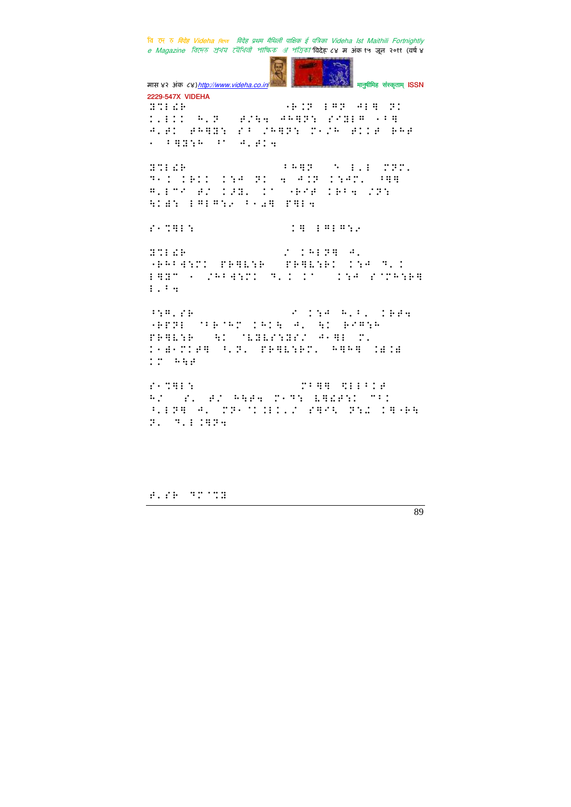मास ४२ अंक ८४) http://www.videha.co.in मानुषीमिह संस्कृताम् ISSN 2229-547X VIDEHA **BUELE** ALBITARHON PROVEHEN THIR BILB BRB  $\mathcal{L} = \mathcal{L} \oplus \mathcal{L} \oplus \mathcal{L} \oplus \mathcal{L} \oplus \mathcal{L} \oplus \mathcal{L} \oplus \mathcal{L} \oplus \mathcal{L} \oplus \mathcal{L} \oplus \mathcal{L} \oplus \mathcal{L} \oplus \mathcal{L} \oplus \mathcal{L} \oplus \mathcal{L} \oplus \mathcal{L} \oplus \mathcal{L} \oplus \mathcal{L} \oplus \mathcal{L} \oplus \mathcal{L} \oplus \mathcal{L} \oplus \mathcal{L} \oplus \mathcal{L} \oplus \mathcal{L} \oplus \mathcal{L}$ HUI dh de 1 (1911) 1938 di San Said (1937) (1998)<br>Avenno av (1981) 11 September 4 (1998) 9185 191952 1388 8919  $\begin{array}{cccccccccc} \mathbf{1} & \mathbf{1} & \mathbf{1} & \mathbf{1} & \mathbf{1} & \mathbf{1} & \mathbf{1} & \mathbf{1} & \mathbf{1} & \mathbf{1} & \mathbf{1} & \mathbf{1} & \mathbf{1} & \mathbf{1} & \mathbf{1} & \mathbf{1} & \mathbf{1} & \mathbf{1} & \mathbf{1} & \mathbf{1} & \mathbf{1} & \mathbf{1} & \mathbf{1} & \mathbf{1} & \mathbf{1} & \mathbf{1} & \mathbf{1} & \mathbf{1} & \mathbf{1} & \mathbf{1} & \$  $24.7915$ **BOB ER**  $7.79199904$ SPACENTI PRAENE (PRAENEL 158 M.) ERST FORFRESS RUDGE CONFIDENTIAL  $\frac{1}{2}$  ,  $\frac{1}{2}$  ,  $\frac{1}{2}$  $\{3,4,7,7,8\}$ 

FRANCH AN MEDICARD AVAILABLE IRBRITIER PLAS PERBANC, PRPR TBIB  $1.7 - 9.44$ 

TIME MILLER  $4 - 791.5$ AZ (2) BZ ARPH THRE EREPT TRI  $\mathbb{P}_2\oplus\mathbb{P}_2\oplus\cdots\oplus\mathbb{P}_n\oplus\mathbb{P}_n\cong\mathbb{P}_2\oplus\mathbb{P}_2\oplus\cdots\oplus\mathbb{P}_n\oplus\mathbb{P}_n\oplus\mathbb{P}_n\oplus\mathbb{P}_n\oplus\mathbb{P}_n$  $31.73113374$ 

 $H_1$  (  $H_2$  =  $H_2$  =  $H_2$  =  $H_2$  =  $H_2$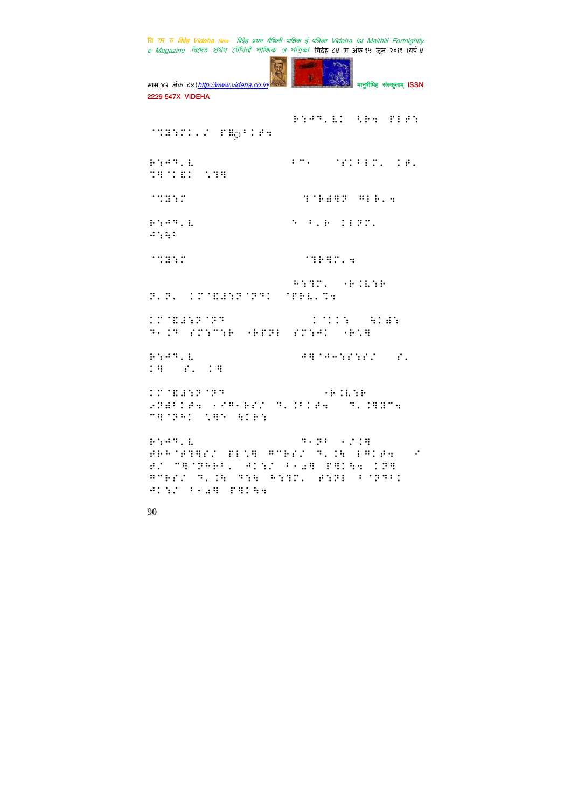| ति एप रु विदेह Videha बिलर विदेह प्रथम मैथिली पाक्षिक ई पत्रिका Videha Ist Maithili Fortnightly |                                                                   |
|-------------------------------------------------------------------------------------------------|-------------------------------------------------------------------|
| e Magazine রিদেহ প্রথম মৌথিনী পাক্ষিক ঐ পত্রিকা 'विदेह' ८४ म अंक १५ जून २०११ (वर्ष ४            |                                                                   |
|                                                                                                 |                                                                   |
| मास ४२ अंक ८४)http://www.videha.co.in                                                           | मानुषीमिह संस्कृताम् ISSN                                         |
| 2229-547X VIDEHA                                                                                |                                                                   |
|                                                                                                 |                                                                   |
|                                                                                                 | Figure Li Aba Figur                                               |
| 'T#iT:.2 fH <sub>O</sub> f:#4                                                                   |                                                                   |
|                                                                                                 |                                                                   |
| 6543.E                                                                                          | $\mathbf{1}$ , $\mathbf{2}$ , $\mathbf{3}$<br><b>MILLER COMME</b> |
| 787181 N78                                                                                      |                                                                   |
|                                                                                                 |                                                                   |
| 10360                                                                                           | TOPHER PIP.5                                                      |
|                                                                                                 |                                                                   |
| F147.E                                                                                          | 5 F.E. 1137.                                                      |
| $\alpha \in \mathbb{N}$                                                                         |                                                                   |
|                                                                                                 |                                                                   |
| 10350                                                                                           | 13987.5                                                           |
|                                                                                                 | <b>BATE: HEILAR</b>                                               |
| F.F. (CTTESSTER) TEELTH                                                                         |                                                                   |
|                                                                                                 |                                                                   |
| (2.2422227)                                                                                     | MIN ADAN                                                          |
| TKIT POITIE (FEDE) POIPI (FIN                                                                   |                                                                   |
|                                                                                                 |                                                                   |
| F147.E                                                                                          | ABSANGEGED (2)                                                    |
| 19 F. 19                                                                                        |                                                                   |
|                                                                                                 |                                                                   |
|                                                                                                 | $\rightarrow$ Fig. ( ), ( ), ( ), (                               |
| 2985194 (200)B22 M. D.194 (M. DOMA                                                              |                                                                   |
| <b>MESPHI CHN BIPY</b>                                                                          |                                                                   |
|                                                                                                 |                                                                   |
| 9547.1<br>GEFAGEEN PENE PAEN AL DE EPIGH                                                        | $(3 + 2) = 3 + 2 + 2$                                             |
| az mengeer, alaz road pelas 199                                                                 |                                                                   |
| PTERS T. 15 TEE PERS PERSONAL PORT!                                                             |                                                                   |
| #102 Fra# F#154                                                                                 |                                                                   |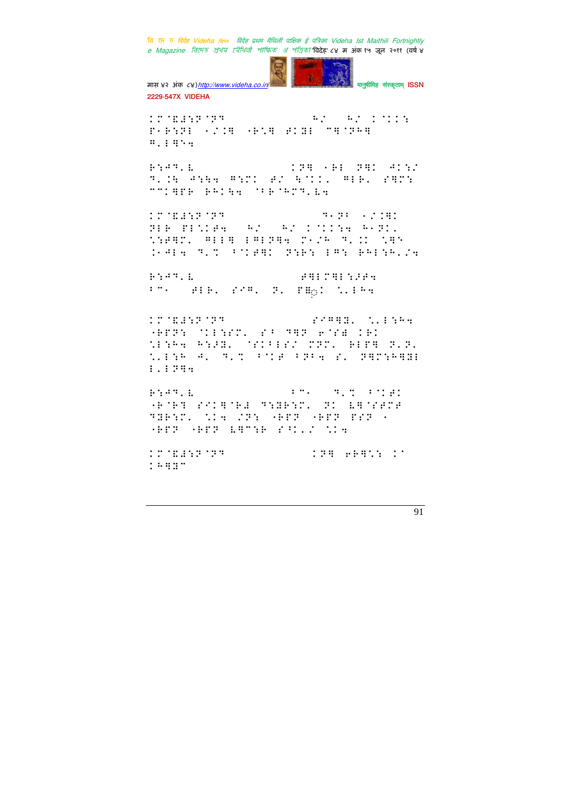मानुषीमिह संस्कृताम् ISSN मास ४२ अंक ८४) http://www.videha.co.in 2229-547X VIDEHA

**CONSERVANCE** F-8521 -219 -859 #101 797289  $\frac{1}{2}$  ,  $\frac{1}{2}$  ,  $\frac{1}{2}$  ,  $\frac{1}{2}$  ,  $\frac{1}{2}$ 

PASS 1 198 (88) 981 9111 side anek endi az Adil<sup>l</sup>eik, zern **MMIREE BRIEF MEMBERLES** 

**CONSERVANCE**  $7 + 74 = 77741$ PER PENING CORPORATION ARREST SAPREL PIIR IPIPES TO AN PLICE SEN 1981年 年1月 月12日 10月10日 10月10日 10月 10日 10月 10日

PASS. E.  $-0.91179133099$ FTE SHEEL PORT PLOTED COLERN

COMMERCIAL HETPY CLEART, RF THR FORECORD niaka kalendaria (h. 1888).<br>1918ko - Andel Marielan, penduduan pidu 1.1285

 $\mathcal{F}(\mathcal{D}_{\mathcal{F}}) = \mathcal{F}(\mathcal{D}_{\mathcal{F}}) \oplus \mathcal{F}(\mathcal{D}_{\mathcal{F}})$ F147.E HETER PAIRTED PADEAT, PI LATYPER FIRST, MIN 223 SPEP SPEP FER 8 HER HER LATE FALL MADE

**CONSIGNERS All All Address Control Control Control Control Control Control**  $14417$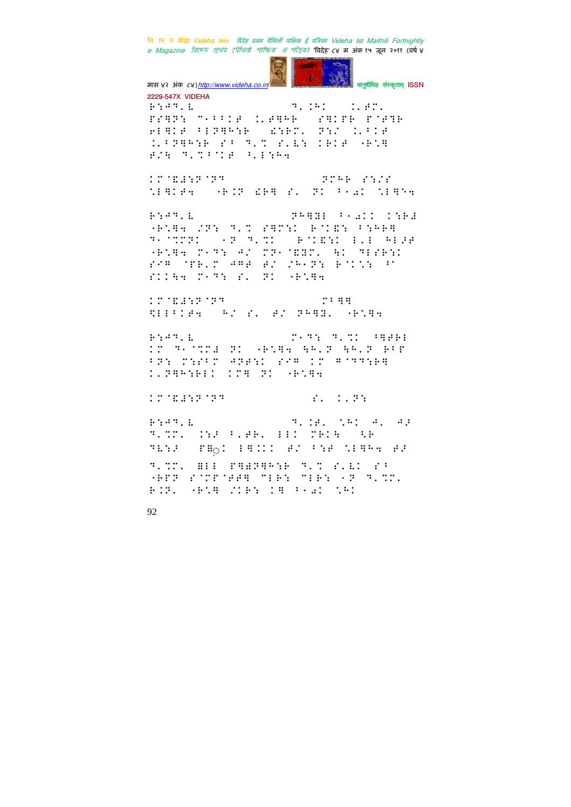मानुषीमिह संस्कृताम ISSN मास ४२ अंक ८४) http://www.videha.co.in 2229-547X VIDEHA  $3.141$  $\therefore$   $\therefore$   $\therefore$ PERPENTATION CLARAE CONDITATION FINISH FIRNAR (SART, PAS LIFIS CONTRACTOR TO THE CONTROL OF THE STATE OF THE CONTROL OF THE CONTROL OF THE CONTROL OF THE CONTROL OF THE CONTROL OF THE CONTROL OF THE CONTROL OF THE CONTROL OF THE CONTROL OF THE CONTROL OF THE CONTROL OF THE CONTROL OF #24 #25371# #21544

**CONSERVANCE** MERDER (1981) APROVACIONAL PRODUCTION

 $1.543.11$ **THREE FRAID INER** HENBALLOGAL MUSIC PETAL LECTER LANGER SKINDER KAR SUNDA BINEND BLEV REAR HENBA THREE AN TOHOGROUP AND REVENU PARTICULARE BOOKS ENDING FILES TOTAL FL FL (FILES)

ITTERETTE  $\mathbb{R}^2$  :  $\mathbb{R}^2$ REFIGAN AZ ZU BZ PARB, GRIRA

9547.1 T-75 7.TI 98981 ic an top de la mangela de la manga delle.<br>Fan contro maant creat to actataba **TURNSMED CRECKS**  $-40.594$ 

**CONSERVAN** 

9097.E  $(31, 181, 1581, 0.01, 0.01)$ SUCCESS TO A SALE AND STATES OF PEND (FBg: FRID) BD PNB NERHO BD

SUNTE BILL PREPRAIE SUNTAILLY FR HER POTTERED TEEN TEEN AR TUTL **FIRE HENR ZIEN IR FRAID NAI**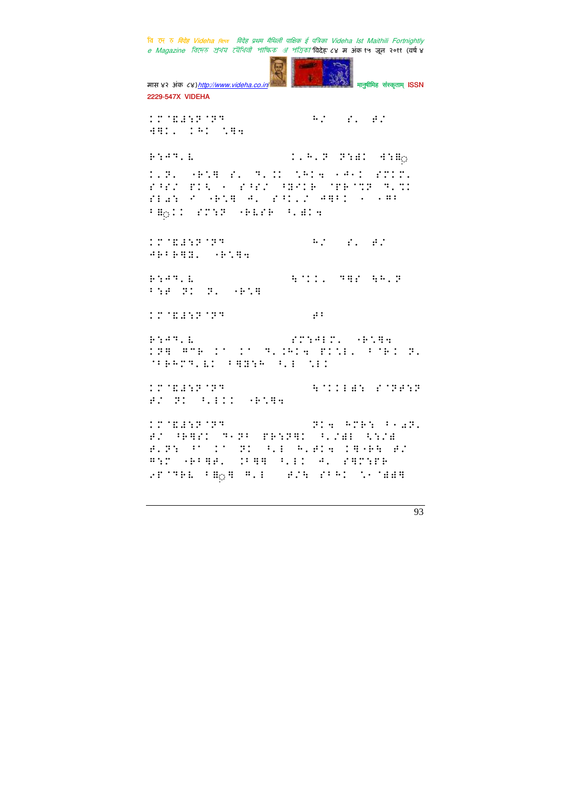त्रि एप रु विदेह Videha बिलर विदेह प्रथम मैथिली पाक्षिक ई पत्रिका Videha Ist Maithili Fortnightly e Magazine রিদেহ প্রথম মৌথিনী পাক্ষিক *প্র পত্রিকা* **বিदेह cv म अंक १५ जून २०११ (वर्ष ४** मानुषीमिह संस्कृताम् ISSN मास ४२ अंक ८४) http://www.videha.co.ir 2229-547X VIDEHA COMMERCIAL  $\label{eq:2.1} \begin{array}{cccccccccc} \mathcal{H}_{\mathcal{A}} & \mathcal{H}_{\mathcal{A}} & \mathcal{H}_{\mathcal{A}} & \mathcal{H}_{\mathcal{A}} & \mathcal{H}_{\mathcal{A}} \end{array}$ 481. 191. 184 **BASE E** I.P.P PART 45Hp INDUCATOR PLUS IN ATTRACTMENT FREE BIA A FREE MENIE MEESTE MUSI PEAN POSPIES ALCOHOL: ABPILL CAR PHOID STAR (PESP) P.BIN  $\langle \Psi \mathcal{L} \rangle = \mathcal{L}_{\mathcal{L}} \cup \mathcal{L}_{\mathcal{L}}$ **CONSIGNATION** 91011 992 9919  $4.543.41$  $\mathbb{P}[\mathcal{U}\# \mathcal{U} \otimes \mathcal{V}]\subseteq \mathcal{V}$  ,  $\mathcal{U} \otimes \mathcal{U} \otimes \mathcal{V}$ CONSERVANT  $\cdot$  : F147.E  $\left( 11114111, 1141411 \right)$ 198 Ane 11 11 M. Dela Bitl. Frei 9.  $\begin{minipage}{.4\linewidth} \begin{tabular}{l} \multicolumn{2}{c}{\textbf{1}} & \multicolumn{2}{c}{\textbf{2}} & \multicolumn{2}{c}{\textbf{3}} & \multicolumn{2}{c}{\textbf{4}} & \multicolumn{2}{c}{\textbf{5}} & \multicolumn{2}{c}{\textbf{6}} & \multicolumn{2}{c}{\textbf{7}} & \multicolumn{2}{c}{\textbf{8}} & \multicolumn{2}{c}{\textbf{9}} & \multicolumn{2}{c}{\textbf{1}} & \multicolumn{2}{c}{\textbf{1}} & \multicolumn{2}{c}{\textbf{1}} & \multicolumn{2}{c$ ITTERETER **ANDERS PORTS** BI BI SAHII SELMEN ITTERETER F14 5755 F-2F. BI HERI SYDN FENDRI KINE KNIE BURN POINT RICHARDS CHARLEY 857 (FRA) DAR (FI) 9, 200506 **SECRED FROM BLE COPIN PERIODS NEWS**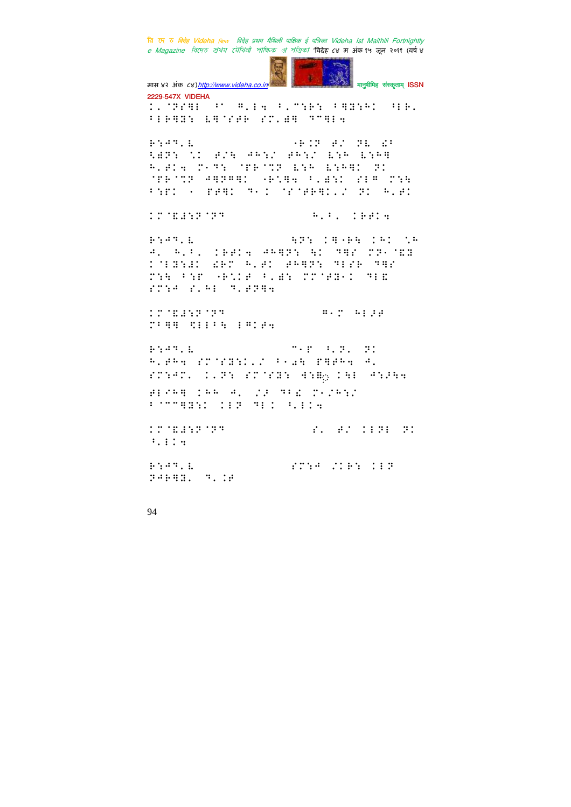मानुषीमिह संस्कृताम् ISSN मास ४२ अंक ८४) http://www.videha.co.in 2229-547X VIDEHA INSTRUMENT ROOM OF THE COMMON PROPERTY OF BUI FIFURY LUNCHE COLAUS TOULS **FY47.E**  $\begin{array}{cccccc} \cdot\oplus\,\left( \mathbb{P} & \oplus\,\mathbb{P} & \mathbb{P} \right) & \oplus\,\mathbb{P} & \oplus\,\mathbb{P} \end{array}$ KAPS NI AZA APSZ APSZ ESP ESPA RIPIN THREE TERRIT EAR EARNED TO TERITE AREARY (PRIRE FUES) PER TIR FARI F PARI PEL CALLARIELLI PI PLAN **CONSERVANT**  $\begin{array}{cccccccccc} \mathbf{1} & \mathbf{1} & \mathbf{1} & \mathbf{1} & \mathbf{1} & \mathbf{1} & \mathbf{1} & \mathbf{1} & \mathbf{1} & \mathbf{1} & \mathbf{1} & \mathbf{1} & \mathbf{1} & \mathbf{1} & \mathbf{1} & \mathbf{1} & \mathbf{1} & \mathbf{1} & \mathbf{1} & \mathbf{1} & \mathbf{1} & \mathbf{1} & \mathbf{1} & \mathbf{1} & \mathbf{1} & \mathbf{1} & \mathbf{1} & \mathbf{1} & \mathbf{1} & \mathbf{1} & \$ 929 1998 191 19  $4444.41$ AL AVAL IBBIA APREN BI TRE TEATER CONSTANT APPLIATING PARTY SIZE STAY THE FAR SENIF FLAN TUSHED TEE FT18 F.B: 7.8788 CONSERVANT  $\left(0.4, 0.7, 0.4, 0.4, 0.4\right)$ TERR REEFR ERDER  $\mathcal{P} \times \mathbb{P} \longrightarrow \mathbb{P} \times \mathbb{P} \times \longrightarrow \mathbb{P}$ F147.E R. BRA (POSTEDILIS) PAGE (PRERA) 4. FUNNY, ILVES FUNNIN NAME (BI NATHS) #1754 1555 41 22 334 5772512 FOUNDATION PERSONAL PROPERTY **CONSERVANCE**  $\mathbf{H}$  :  $\mathbf{H}$  :  $\mathbf{H}$  :  $\mathbf{H}$  :  $\mathbf{H}$  :  $\mathbf{H}$  :  $3.114$ STAR SIPA IER PART. L

94

39993. 3.18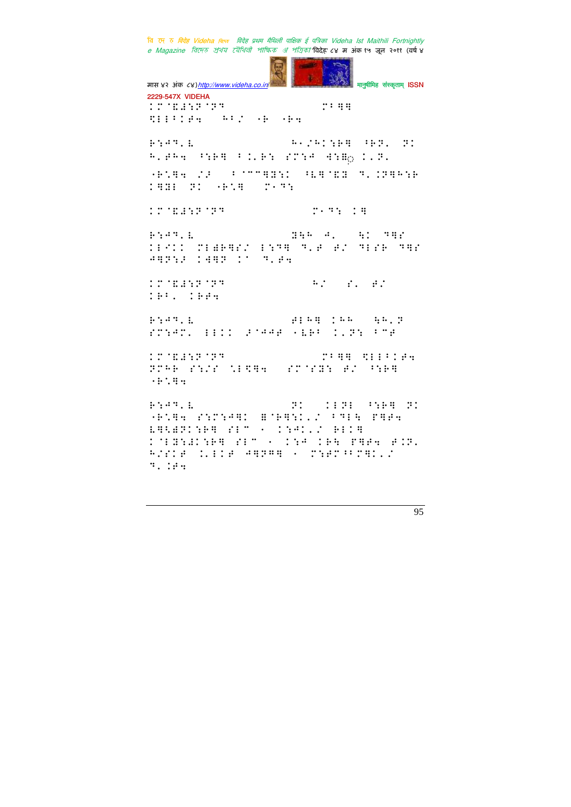त्रि एप रु विदेह Videha बिलर विदेह प्रथम मैथिली पाक्षिक ई पत्रिका Videha Ist Maithili Fortnightly e Magazine রিদেহ প্রথম মৌথিনী পাক্ষিক *প্র পত্রিকা* **বিदेह ८४ म अंक १५ जून २०११ (वर्ष ४** मास ४२ अंक ८४) http://www.videha.co.in मानुषीमिह संस्कृताम् ISSN 2229-547X VIDEHA  $7 + 44$ ilandi<br>Riftea (Pro Arche 9593.E  $H_2$  (  $H_1$  )  $H_2$  (  $H_3$  )  $H_4$  (  $H_5$  )  $H_6$  (  $H_7$  )  $H_8$ P.PPH TEPH FILES FOST HANGILD. RESAR CO PRINTED PERMIT TO CHANGE 1931 FL (PNS) TOTAL ITTESSITE  $(7 + 7)$   $(1)$  $1.147.1$  $-41 - 241$  $\langle 3344 \rangle$  ,  $\langle 431 \rangle$ 1921) reaggailtean àig àir Aon-Ann.<br>Anns 1949 17 aige **CONSERVANT** 1951 (1994) PART. L FTNAT, BEDDY FOARD FEBRUARY FOR **CONSERVANT**  $T = 44$   $T = 44$ FTAR PAPP NESSA (PTIPER PD) PARS  $\pm 1.14\pm 0.01$  $4.543.41$ **PI (1191) 5184 PI** LANGELARA VIT (3) LANGELA RICA CONSTANT AND CONTRACTOR CORPORATION **AVEL A COLLEGE ANDREW ACCEPTATIONS** 

 $\mathcal{I}$  . If  $\mathcal{I}$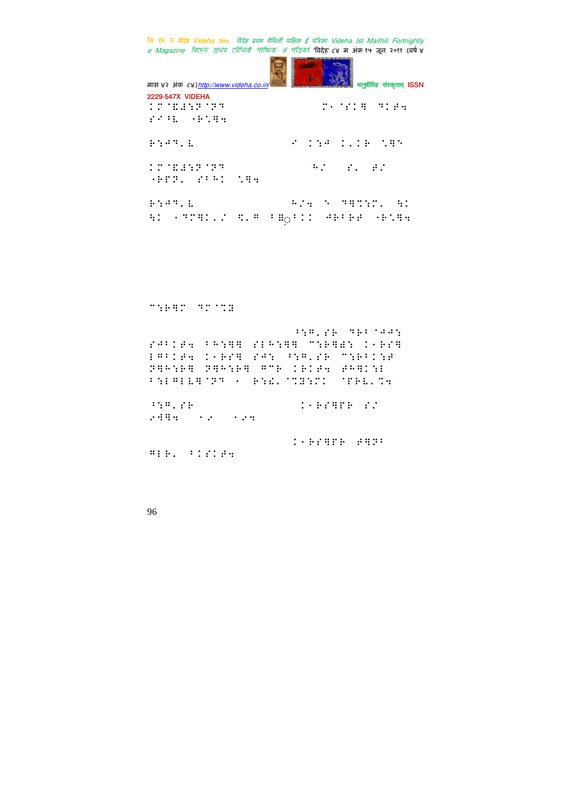ति एप रु विदेह Videha विलरु विदेह प्रथम मैथिली पाक्षिक ई पत्रिका Videha Ist Maithili Fortnightly e Magazine विरमत क्षेत्र्या रगैंशिनी शांकिक अं शक्तिकां 'विदेह' ८४ म अंकश्फ जून २०११ (वर्ष ४ **But the first of the contract of the contract of the contract of the contract of the contract of the contract of the contract of the contract of the contract of the contract of the contract of the contract of the contract** 

| मास ४२ अंक ८४) http://www.videha.co.in/                                                                                           | मानुषीमिह संस्कृताम् ISSN                                                                                                                                                                                                                                                                                                                                                                                                                                                                           |
|-----------------------------------------------------------------------------------------------------------------------------------|-----------------------------------------------------------------------------------------------------------------------------------------------------------------------------------------------------------------------------------------------------------------------------------------------------------------------------------------------------------------------------------------------------------------------------------------------------------------------------------------------------|
| 2229-547X VIDEHA<br>$f: H \rightarrow H$                                                                                          | TRITIC TIPS                                                                                                                                                                                                                                                                                                                                                                                                                                                                                         |
| - 1947 242                                                                                                                        | P (198 1.18 18)                                                                                                                                                                                                                                                                                                                                                                                                                                                                                     |
|                                                                                                                                   | $\begin{array}{ccccccccc} \mathbf{i} & \mathbf{j} & \mathbf{k} & \mathbf{k} & \mathbf{k} & \mathbf{k} & \mathbf{k} & \mathbf{k} & \mathbf{k} & \mathbf{k} & \mathbf{k} & \mathbf{k} & \mathbf{k} & \mathbf{k} & \mathbf{k} & \mathbf{k} & \mathbf{k} & \mathbf{k} & \mathbf{k} & \mathbf{k} & \mathbf{k} & \mathbf{k} & \mathbf{k} & \mathbf{k} & \mathbf{k} & \mathbf{k} & \mathbf{k} & \mathbf{k} & \mathbf{k} & \mathbf{k} & \mathbf{k} & \mathbf{k} & \mathbf{k} & \mathbf{k} & \mathbf{k} & \$ |
| and the second second the second to the second the second to the second the second to the second the second to<br>51 - FISI.I S.B | 824 N MHTGC, BI<br>(P⊪gfII APPPF (PNA)                                                                                                                                                                                                                                                                                                                                                                                                                                                              |

mared and the

rafias femal riemal makara iskra<br>Inflastrare ram fan rafias FURNISH FURNISH UPTER LEIGH GRUNDI PALELBARY (FALSTERI) TEELTH  $\{1,2,3,4,5\}$  .  $\pm 1 + \frac{1}{2} + \frac{1}{2} + \frac{1}{2} + \frac{1}{2} + \frac{1}{2} + \frac{1}{2} + \frac{1}{2} + \frac{1}{2} + \frac{1}{2} + \frac{1}{2} + \frac{1}{2} + \frac{1}{2} + \frac{1}{2} + \frac{1}{2} + \frac{1}{2} + \frac{1}{2} + \frac{1}{2} + \frac{1}{2} + \frac{1}{2} + \frac{1}{2} + \frac{1}{2} + \frac{1}{2} + \frac{1}{2} + \frac{1}{2} + \frac{1}{2} + \frac{1}{2} + \frac{1}{2}$  $\varphi$  4.4  $\alpha$  ,  $\beta$  ,  $\varphi$  ,  $\beta$  ,  $\varphi$  ,  $\varphi$  ,  $\varphi$ **Bib.** Figlier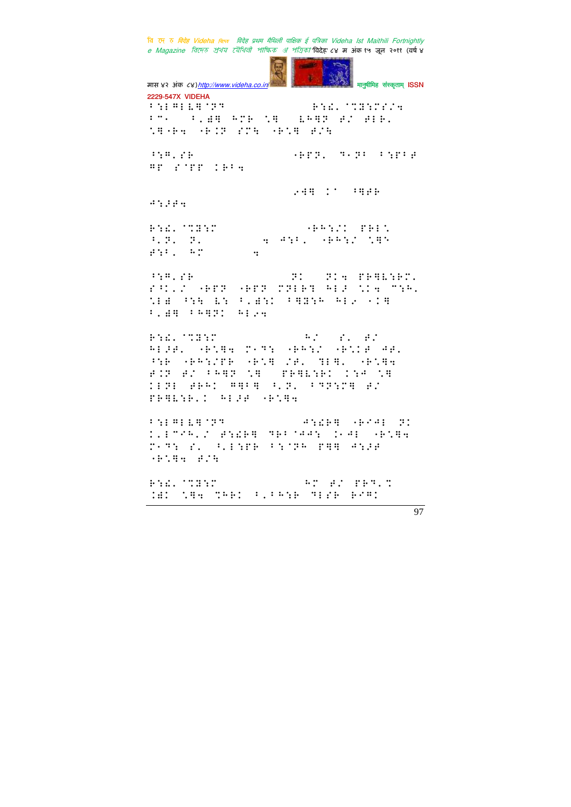मानुषीमिह संस्कृताम् ISSN मास ४२ अंक ८४) http://www.videha.co.in 2229-547X VIDEHA  $3.5191447777$ Fia. Municipa FOR CONTRACTOR AND CERTIFICATED. SHARA ARIS POR ARSH BOR  $(3.5, 0.1, 0.01)$ SPPP, SPORT PAPER **BE STEE LEFAL**  $.44 \div 1000$  $4.5344$ PARL CONTE San Anti (Seenar San  $3.31 - 3.1$  $\varphi\gamma\colon\mathbb{R}\to\mathbb{R}$  $\dddot{\mathbf{r}}$  $(150, 25)$ **BI SELE PRESENT.** FALLY PEEP PEEP CRIEW RIP NIN TAR. MEBOONA AND PLANT CONSTANTS OF FIRE  $\mathbb{F}_q$  and  $\mathbb{F}_q$  is equal to be proposed in Fig. PAC. MUSIC  $\mathbb{R}^n$  ,  $\mathbb{R}^n$  ,  $\mathbb{R}^n$  ,  $\mathbb{R}^n$ ardel (esperantar eagle estre) ed. PAR PERSONE PESA DEL MIAL PESAR and all campuing companies in the the 1171 #BRI #BFB FL7. FT7178 #2 FRANKLI REFE (PRIMA)

 $-452399 - 48741 - 21$ TIEMARIZ BAZBA MERINARA INDE SENAR PARA RUSSINER PANDA PHROPARE  $-15.344 - 8.74$ 

PARL TOGAT  $\frac{1}{2}$   $\frac{1}{2}$   $\frac{1}{2}$   $\frac{1}{2}$   $\frac{1}{2}$   $\frac{1}{2}$   $\frac{1}{2}$   $\frac{1}{2}$   $\frac{1}{2}$   $\frac{1}{2}$   $\frac{1}{2}$   $\frac{1}{2}$   $\frac{1}{2}$   $\frac{1}{2}$   $\frac{1}{2}$   $\frac{1}{2}$   $\frac{1}{2}$   $\frac{1}{2}$   $\frac{1}{2}$   $\frac{1}{2}$   $\frac{1}{2}$   $\frac{1}{2}$  THE SAME TANK FOR ANY METAL ARMS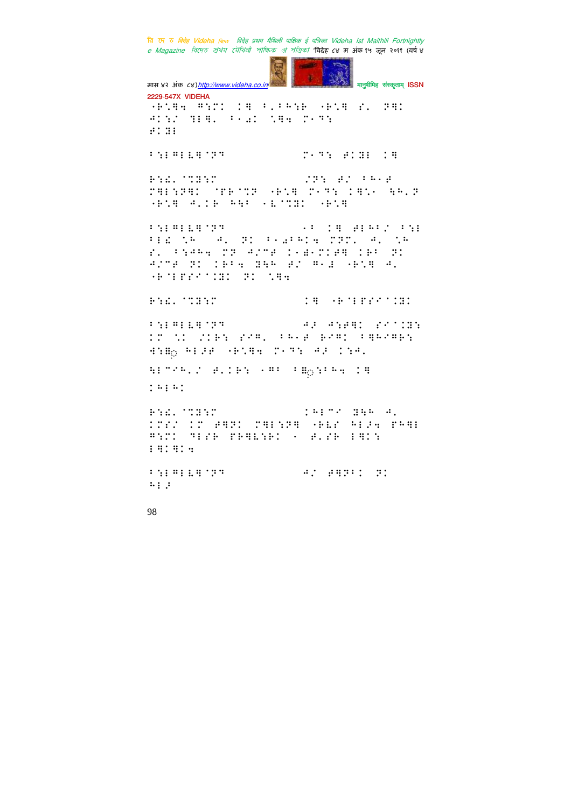मास ४२ अंक ८४) http://www.videha.co.in मानुषीमिह संस्कृताम् ISSN 2229-547X VIDEHA HENBA PATI IB FUFFAE HENB Z. PBI 9132 HBC Frai NBC 7-73  $f:II$ FALMINENT CONTROL TEST PLAIN IN FALL TEST  $\frac{1}{2}$   $\frac{1}{2}$   $\frac{1}{2}$   $\frac{1}{2}$   $\frac{1}{2}$   $\frac{1}{2}$   $\frac{1}{2}$   $\frac{1}{2}$   $\frac{1}{2}$   $\frac{1}{2}$   $\frac{1}{2}$ THENPHIL TERMIT SENHOLDS TO LIBN CARLIE  $\left\langle \left(\frac{1}{2} \right)^2 \right\rangle \left(\frac{1}{2} \right)^2 \left(\frac{1}{2} \right)^2 \left(\frac{1}{2} \right)^2 \left(\frac{1}{2} \right)^2 \left(\frac{1}{2} \right)^2 \left(\frac{1}{2} \right)^2 \left(\frac{1}{2} \right)^2 \left(\frac{1}{2} \right)^2 \left(\frac{1}{2} \right)^2 \left(\frac{1}{2} \right)^2 \left(\frac{1}{2} \right)^2 \left(\frac{1}{2} \right)^2 \left(\frac{1}{2} \right)^2 \left(\frac{1}{2} \right)^2 \left(\frac{1}{2} \right)^2 \left(\frac$  $1.51 + 1.1 + 1.7 + 1.7$  $44.74.41447.431$ FEE NR (8) PI FORFAIR TRY, 81 NR E. FARA DR ANTE LVEVILER IPP  $\mathbb{R}$ : alma (di )ikka dak almali yang al HERE PER TIME OF STREET PAS. TERRIT  $19 - 9 - 127$ **FAIRING 1978**  $-47 - 45991 - 2471133$ IT AL 2195 YOU CONSTANT TO BE AND HANG PERPOSENTATION ARE INA. RETARLI BLIBY (FR) FBOYFRE IR  $1.4441$ FALL TIBET  $\begin{pmatrix} 0 & 0 & 0 & 0 \\ 0 & 0 & 0 & 0 \\ 0 & 0 & 0 & 0 \\ 0 & 0 & 0 & 0 \\ 0 & 0 & 0 & 0 \\ 0 & 0 & 0 & 0 \\ 0 & 0 & 0 & 0 \\ 0 & 0 & 0 & 0 \\ 0 & 0 & 0 & 0 \\ 0 & 0 & 0 & 0 \\ 0 & 0 & 0 & 0 & 0 \\ 0 & 0 & 0 & 0 & 0 \\ 0 & 0 & 0 & 0 & 0 \\ 0 & 0 & 0 & 0 & 0 \\ 0 & 0 & 0 & 0 & 0 & 0 \\ 0 & 0 & 0 & 0 & 0 &$ iser is agai sgraag yeke Alay Pyg.<br>Aasi mire pegkael y alre lgia 191919  $\frac{1}{2}$   $\frac{1}{2}$   $\frac{1}{2}$   $\frac{1}{2}$   $\frac{1}{2}$   $\frac{1}{2}$   $\frac{1}{2}$   $\frac{1}{2}$   $\frac{1}{2}$   $\frac{1}{2}$   $\frac{1}{2}$   $\frac{1}{2}$   $\frac{1}{2}$   $\frac{1}{2}$   $\frac{1}{2}$   $\frac{1}{2}$   $\frac{1}{2}$   $\frac{1}{2}$   $\frac{1}{2}$   $\frac{1}{2}$   $\frac{1}{2}$   $\frac{1}{2}$  **SALES ENDING:**  $44.34$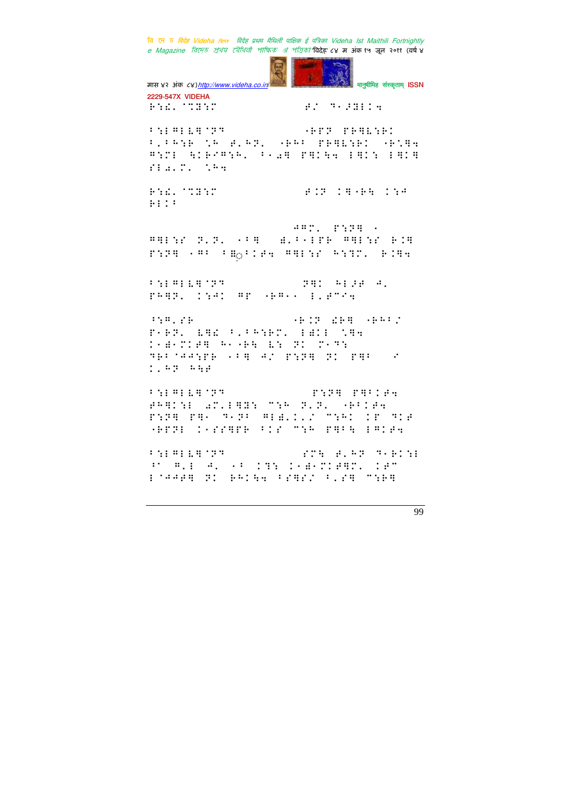दि एप रु विदेह Videha बिल्ह विदेह प्रथम मैथिली पाक्षिक ई पत्रिका Videha Ist Maithili Fortnightly<br>e Magazine রিদেত শ্রথম মৌথিনী পাক্ষিক ঐ পত্রিকা **বিदेह ८४ म अंक १५ जून २०११ (वर्ष ४**<br>- ইয়ালিক বিদেশত বিদেশত বিদ্যালয়

| मास ४२ अंक ८४) http://www.videha.co.in                                                                                                                                                                                                                                                                                                                                                                                 | मानुषीमिह संस्कृताम् <b>ISSN</b>                                                                              |
|------------------------------------------------------------------------------------------------------------------------------------------------------------------------------------------------------------------------------------------------------------------------------------------------------------------------------------------------------------------------------------------------------------------------|---------------------------------------------------------------------------------------------------------------|
| 2229-547X VIDEHA                                                                                                                                                                                                                                                                                                                                                                                                       |                                                                                                               |
| Phallonship                                                                                                                                                                                                                                                                                                                                                                                                            | #2 7.30014                                                                                                    |
|                                                                                                                                                                                                                                                                                                                                                                                                                        |                                                                                                               |
| 1019169723                                                                                                                                                                                                                                                                                                                                                                                                             | $\cdot$ PPP (PPHL) $\cdot$ P                                                                                  |
| :/FANASYA (B.Ad. Sake: Paemina) (Artma                                                                                                                                                                                                                                                                                                                                                                                 |                                                                                                               |
| ANTE ALEXAND, PROBLEMO ERLA ERLA ERLA                                                                                                                                                                                                                                                                                                                                                                                  |                                                                                                               |
| fia.T. Nha                                                                                                                                                                                                                                                                                                                                                                                                             |                                                                                                               |
|                                                                                                                                                                                                                                                                                                                                                                                                                        |                                                                                                               |
| PAEL CONST                                                                                                                                                                                                                                                                                                                                                                                                             | $\#$ 13 = 14 + HH = 15 +                                                                                      |
| $H: \mathbb{R}^n$                                                                                                                                                                                                                                                                                                                                                                                                      |                                                                                                               |
|                                                                                                                                                                                                                                                                                                                                                                                                                        |                                                                                                               |
|                                                                                                                                                                                                                                                                                                                                                                                                                        | $\frac{1}{2}$ = $\frac{1}{2}$ , $\frac{1}{2}$ , $\frac{1}{2}$ , $\frac{1}{2}$ , $\frac{1}{2}$ , $\frac{1}{2}$ |
| PHINE DUD, YPR (ALP) EPHINE PUR                                                                                                                                                                                                                                                                                                                                                                                        |                                                                                                               |
|                                                                                                                                                                                                                                                                                                                                                                                                                        |                                                                                                               |
| rige (en fægtige merig altr. Bige                                                                                                                                                                                                                                                                                                                                                                                      |                                                                                                               |
|                                                                                                                                                                                                                                                                                                                                                                                                                        |                                                                                                               |
| <b>FAIRILE 123</b>                                                                                                                                                                                                                                                                                                                                                                                                     | (291) 9129 4.                                                                                                 |
| PRAP. (1981) AP (488-3011-8739                                                                                                                                                                                                                                                                                                                                                                                         |                                                                                                               |
|                                                                                                                                                                                                                                                                                                                                                                                                                        |                                                                                                               |
| $1.541 \pm 0.001$                                                                                                                                                                                                                                                                                                                                                                                                      |                                                                                                               |
| F-FF, LHE F.FRYET, LHIL ANN                                                                                                                                                                                                                                                                                                                                                                                            |                                                                                                               |
| IRBRITIAN ARABA 12 GUNUA 12                                                                                                                                                                                                                                                                                                                                                                                            |                                                                                                               |
| MP: MAGYER (PRESS) PGPB (PD) PBP (C)                                                                                                                                                                                                                                                                                                                                                                                   |                                                                                                               |
| :. 57 559                                                                                                                                                                                                                                                                                                                                                                                                              |                                                                                                               |
|                                                                                                                                                                                                                                                                                                                                                                                                                        |                                                                                                               |
| FAIRINE 1870                                                                                                                                                                                                                                                                                                                                                                                                           |                                                                                                               |
|                                                                                                                                                                                                                                                                                                                                                                                                                        | ::::: :::::+                                                                                                  |
| PROGRAM GOVERNS TOR DUD. SPECIFIC                                                                                                                                                                                                                                                                                                                                                                                      |                                                                                                               |
| rige resouser elacion miscolphora                                                                                                                                                                                                                                                                                                                                                                                      |                                                                                                               |
| <b>HETTE CHAARTE FIA MAR THER FRIER</b>                                                                                                                                                                                                                                                                                                                                                                                |                                                                                                               |
|                                                                                                                                                                                                                                                                                                                                                                                                                        |                                                                                                               |
| <b>POINT IN THE SERVICE</b>                                                                                                                                                                                                                                                                                                                                                                                            | 375 B.AZ 768238                                                                                               |
| $\left\{ \Gamma_{\alpha} \left( \left  \Psi_{\alpha} \right  \right) \right\} \left  \left  \Psi_{\alpha} \left( \left  \phi \right  \right) \right  \right\} \left  \left  \Gamma_{\alpha} \Psi_{\alpha} \right  \right  \leq \left\{ \left  \Psi_{\alpha} \Psi_{\alpha} \right  \right\} \left  \left  \Psi_{\alpha} \Psi_{\alpha} \right  \right  \leq \left\{ \left  \Psi_{\alpha} \Psi_{\alpha} \right  \right\}$ |                                                                                                               |
| ETAAPA 21 PRING PENEZ PLEN MIRA                                                                                                                                                                                                                                                                                                                                                                                        |                                                                                                               |

 $\overline{99}$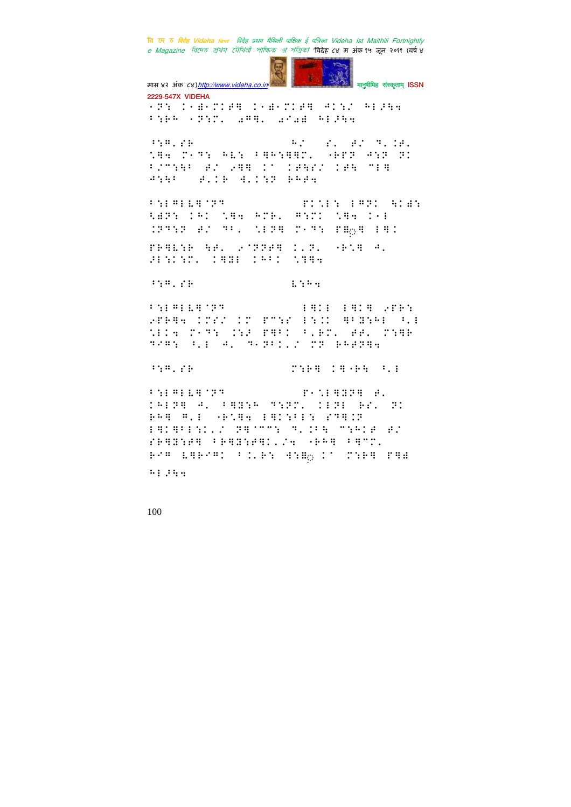मास ४२ अंक ८४) http://www.videha.co.in मानुषीमिह संस्कृताम ISSN 2229-547X VIDEHA  $+75$  (1) and the R (1) and the R (2) S (2) R (2) S PARK (PATL GRAL GROOM REPAR  $\{z_1u_1\}$  in  $\begin{aligned} \mathbb{E}\left[\left\{F_{\alpha}^{(1)}\right\}_{\alpha}=\left\{F_{\alpha}^{(1)}\right\}_{\alpha}=\left\{F_{\alpha}^{(1)}\right\}_{\alpha}=\left\{F_{\alpha}^{(1)}\right\}_{\alpha}=\left\{F_{\alpha}^{(1)}\right\}_{\alpha}=\left\{F_{\alpha}^{(1)}\right\}_{\alpha}=\left\{F_{\alpha}^{(1)}\right\}_{\alpha}=\left\{F_{\alpha}^{(1)}\right\}_{\alpha}=\left\{F_{\alpha}^{(1)}\right\}_{\alpha}=\left\{F_{\alpha}^{(1)}\right\}_{\alpha}=\left\{F_{\alpha$ SAR CHAN RES PARABBOL (PROPORT DI FINDER BILLER IN TERRITORY TER  $\begin{array}{cccccccccccccc} \mathcal{H}\mathcal{H}\mathcal{H}\mathcal{H} & \mathcal{H}\mathcal{H}\mathcal{H}\mathcal{H} & \mathcal{H}\mathcal{H}\mathcal{H} & \mathcal{H}\mathcal{H}\mathcal{H} & \mathcal{H}\mathcal{H}\mathcal{H} & \mathcal{H}\mathcal{H}\mathcal{H} & \mathcal{H}\mathcal{H}\mathcal{H} & \mathcal{H}\mathcal{H}\mathcal{H} & \mathcal{H}\mathcal{H} & \mathcal{H}\mathcal{H}\mathcal{H} & \mathcal{H}\mathcal{H}\mathcal{H} & \mathcal{H}\mathcal{H}\mathcal{H} & \$ 3019118777  $\begin{array}{cccccccccccccc} \texttt{if} & \texttt{if} & \texttt{if} & \texttt{if} & \texttt{if} & \texttt{if} & \texttt{if} & \texttt{if} & \texttt{if} & \texttt{if} & \texttt{if} & \texttt{if} & \texttt{if} & \texttt{if} & \texttt{if} & \texttt{if} & \texttt{if} & \texttt{if} & \texttt{if} & \texttt{if} & \texttt{if} & \texttt{if} & \texttt{if} & \texttt{if} & \texttt{if} & \texttt{if} & \texttt{if} & \texttt{if} & \texttt{if} & \texttt{if} &$ ABPN 191 NHH 97B, 95T1 NHH 191 19759 #2 79, 5199 P-75 FHOR 191 FRANCH ART STREET LIB. (FRIEDR) **FEATHER THE THEIR NEWS**  $(3.5, 0.00, 0.00)$  $4.5 + 6.4$ **FAIRILENTS** STERN ITEZ IT FTAE EAIL REGARD F.E MEDAL DYTH CONFIDENTIAL FIRE CONTROL SARY RIPLAY SPILLE TO BRADER  $3.581 \pm 0.001$ THE CH-FR 3.1 **POSTED BENDER** 19125 4. FEBS9 7522. 1121 93. 21 888 8.1 98184 1819113 27817 ERDREYOUS PRINNEL RUDER NYEDE BO 

PAR EMPART FILES HANGIT TAPE FRE

 $44.444$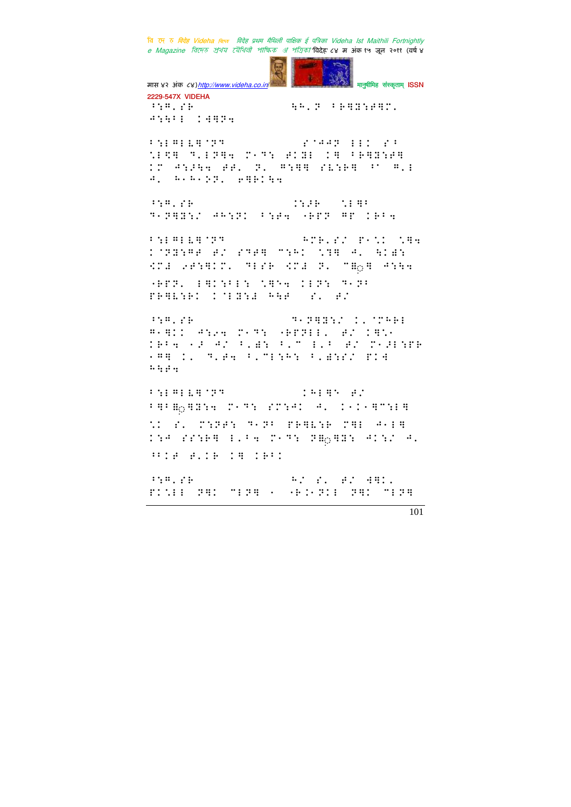मानुषीमिह संस्कृताम् ISSN मास ४२ अंक ८४) http://www.videha.co.in 2229-547X VIDEHA AR.S PERSENS.  $\{1,2,3,4,5\}$  . **ANAPE CARPS** 

 $\frac{1}{2}$  and  $\frac{1}{2}$  and  $\frac{1}{2}$  and  $\frac{1}{2}$  and  $\frac{1}{2}$  and  $\frac{1}{2}$  and  $\frac{1}{2}$  and  $\frac{1}{2}$  and  $\frac{1}{2}$  and  $\frac{1}{2}$  and  $\frac{1}{2}$  and  $\frac{1}{2}$  and  $\frac{1}{2}$  and  $\frac{1}{2}$  and  $\frac{1}{2}$  and  $\frac{1}{2}$  a NESS PLEPS: 2-75 PLBE 18 FEBRIES IT PERMIT REVIEW PERRITAGER (P. 821  $\mathcal{A}_{\mathcal{A}} = \{ \mathcal{A} \in \mathcal{B} \times \{ \mathcal{B} \}, \quad \mathcal{B} \in \mathcal{B} \times \{ \mathcal{B} \} \}$ 

 $\{2,2,3,4,5\}$  .  $\begin{picture}(130,15)(0,0) \put(0,0){\vector(0,1){10}} \put(15,0){\vector(0,1){10}} \put(15,0){\vector(0,1){10}} \put(15,0){\vector(0,1){10}} \put(15,0){\vector(0,1){10}} \put(15,0){\vector(0,1){10}} \put(15,0){\vector(0,1){10}} \put(15,0){\vector(0,1){10}} \put(15,0){\vector(0,1){10}} \put(15,0){\vector(0,1){10}} \put(15,0){\vector(0,1){10}} \put(15,0$ HADBOAR ARADI FARA ARTO PE IRFA

**PAINTERS SATELED POST NAME LIBRARY AS PRAY TARD STRUCK ROAM** KTE VENHIT, TERB KTE P. TEGH FNAH

HER. FRINTS ARMS ITES 7-21 FRANCISCO INTERNATIONAL PRO

 $3.591 \pm 0.001$  $T$  . FRING (1. 1799) 89811 8524 7935 9ETHE 82 1859 deta valled tidak timiti da bilinere PRESIDENT PLAN PLATENHOL PLANET PIR  $4.444$ 

**FALUELE TENCHE CONTROLLER CONTROLLER** FURNISHEN TETR PIREL PLOTER THIS AL PARTNER THE PERSENTED FIRE 194 YYABA BIRA TYRG DAGABG ALGI A. **PECH HILE IN CHIL** 

 $\{1,2,3,4\}$  . FINIT PRINTIPE ( ) (BICPIT PRINTIPE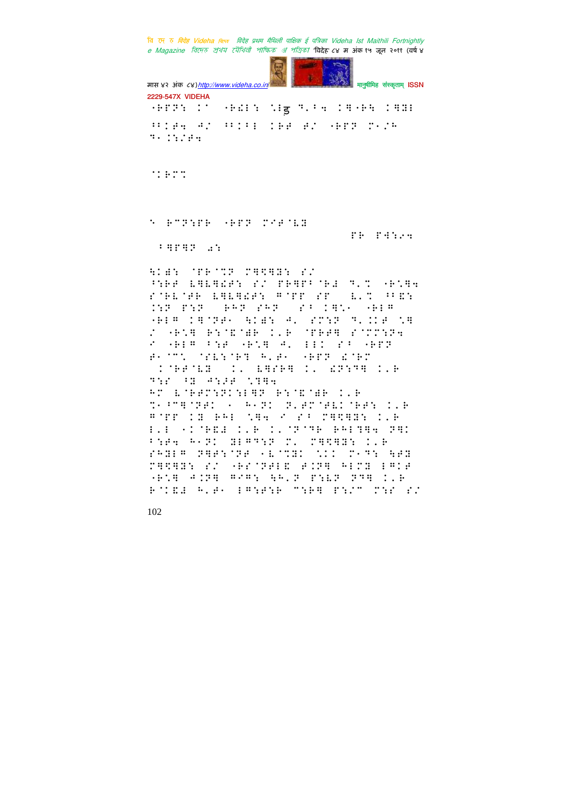मास ४२ अंक ८४) http://www.videha.co.in मानुषीमिह संस्कृताम् ISSN 2229-547X VIDEHA HPP3 11 SPEED Mg 7.54 CROPE CROF **PECHANOLIC PECIFICAL PROPERTY CAN TACHINE**  $\mathcal{L}$ : 1997

PYPE LALANEY PO PPAPE TRE TOT SPORE steltek lalasen atro sol ilit atr HEEP CRITER RIGHT AL PINE PLICE NR

Z (ARNA) RATETAR (128) TERRA GITUARA.<br>Politika Portugal (ANA) Rate Grand

IMPROVED TO EACHERT CONSTRUCTS

TH FTH TRAD (A) AN RD (RUAD TALD TRAD (DUR # TEE (18) BREAKER (20) PACK THANKS (19)B ala (XIPeda (119)11 ng nge sekages der FARA REPORTED TO THURS ILE PROFESSOR PROTECTION CONTRACTOR CARAGE 22 FE2 1991E 2019 FECG 1912 VENE POST PRPS AND PALE PRESIDENT BOIES RIP, IPNEMB TNEW PNIT TNE PI

BRITIS MELTIPE RUBR SPEED EMPT

PT EMPETIELERT PINKING ILP

**NORTHER SEPT TESTING** 

Alah (PEP) TARAHAN PI

752 FB 9528 5388

TP FAG24

 $\pm$  4242  $\pm$  55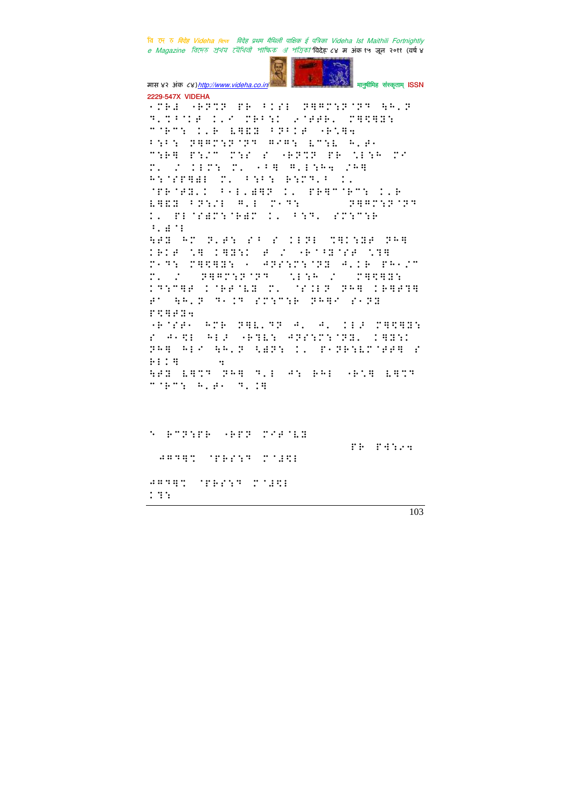ৱি দে হ *विदेह Videha बिल्ब विदेह प्रथम मैथिली पाक्षिक ई पत्रिका Videha Ist Maithili Fortnightly* e Magazine विरमह 'क्षेत्र' रूपैशिवी शोष्क्रिक श्रं शक्तिरं **विदेह' ८४ म अंक १५ जून २०११ (वर्ष ४** 

मास ४२ अंक ८४)http://www.videha.co.in/ महाराष्ट्रीय मानुसीमह संस्कृताम् ISSN 2229-547X VIDEHA \$⢷⣜ ⢷⢽⣉⢽ ⢷  ⢽⣛⢻⣑⢽⢽⢹ ⣓⢳⢽ ⢹⣉⢸ ⢾ ⢷⣑ ⢴⢾⢾⢷ ⣛⣋⣛⣝⣑  $\mathcal{T}$  (Fig. ), and a set of the set of the set of the set of the set of the set of the set of the set of the  $\frac{1}{2}$   $\frac{1}{2}$   $\frac{1}{2}$   $\frac{1}{2}$   $\frac{1}{2}$   $\frac{1}{2}$   $\frac{1}{2}$   $\frac{1}{2}$   $\frac{1}{2}$   $\frac{1}{2}$   $\frac{1}{2}$   $\frac{1}{2}$   $\frac{1}{2}$   $\frac{1}{2}$   $\frac{1}{2}$   $\frac{1}{2}$   $\frac{1}{2}$   $\frac{1}{2}$   $\frac{1}{2}$   $\frac{1}{2}$   $\frac{1}{2}$   $\frac{1}{2}$   $\$ )⣑⢷⣛ ⣑) ⣑ ⢷⢽⣉⢽ ⢷ ⣁⣑⢳  $T_{\rm eff}$  ,  $T_{\rm eff}$   $T_{\rm eff}$   $T_{\rm eff}$  ,  $T_{\rm eff}$  ,  $T_{\rm eff}$  ,  $T_{\rm eff}$  ,  $T_{\rm eff}$  ,  $T_{\rm eff}$  ,  $T_{\rm eff}$ HA SERBER COLLEGEA (HATTLE COL  $\overline{A}$  (Fermion ) and  $\overline{A}$  (Fermion ) and  $\overline{A}$  (Fermion ) and  $\overline{A}$ ⣇⣛⣏⣝ ⢽⣑ ⢻ \$⢹⣑*////!*⢽⣛⢻⣑⢽⢽⢹  $\mathcal{L}_{\mathcal{A}}$  , and the state  $\mathcal{L}_{\mathcal{A}}$  , and  $\mathcal{L}_{\mathcal{A}}$  , and  $\mathcal{L}_{\mathcal{A}}$  , and  $\mathcal{L}_{\mathcal{A}}$ ⢸⣞*""!* ⣓⢾⣝ ⢳ ⢽⢾⣑ ⢸ ⢽ ⣉⣛ ⣑⣝⢾ ⢽⢳⣛ ⢷ ⢾ ⣁⣛ ⣛⣝⣑ ⢾ ⢷⢸⣝⢾ ⣁⣙⣛ \$⢹⣑ ⣛⣋⣛⣝⣑ \$ ⢺⢽⣑⣑⢽⣝ ⢺ ⢷ ⢳\$) *!)*⢽⣛⢻⣑⢽⢽⢹*\*!*⣁⣑⢳ *!)*⣛⣋⣛⣝⣑*\*!* ⢹⣑)⣛⢾ ⢷⢾⣇⣝ ⣈⢽ ⢽⢳⣛ ⢷⣛⢾⣙⣛ ⢾/ ⣓⢳⢽ ⢹\$⣈⢹ ⣑)⣑⢷ ⢽⢳⣛ \$⢽⣝ ⣋⣛⢾⣝⣒ ⢷⢾\$ ⢳⢷ ⢽⣛⣇⢹⢽ ⢺ ⢺ ⢼ ⣛⣋⣛⣝⣑ ⢺\$⣋ ⢳⢼ ⢷⣙⣇⣑ ⢺⢽⣑⣑⢽⣝ ⣛⣝⣑ ⢽⢳⣛ ⢳ ⣓⢳⢽ ⣃⣞⢽⣑ \$⢽⢷⣑⣇⢾⢾⣛ ⢷ ⣛*////*⣒ ⣓⢾⣝ ⣇⣛⣉⢹ ⢽⢳⣛ ⢹ ⢺⣑ ⢷⢳ ⢷⣁⣛ ⣇⣛⣉⢹ )⢷)⣑ ⢳⢾\$ ⢹⣈⣛*.!*  $\rightarrow$  PTPER (FFT TOP) *hhbkfoesbAwjefib/dpn!*⢷ ⣚⣑⢴⣒*!!* ⢺⢻⢹⣛⣉ ⢷⣑⢹ ⣜⣋ ⢺⢻⢹⣛⣉ ⢷⣑⢹ ⣜⣋ ⣙⣑*!!*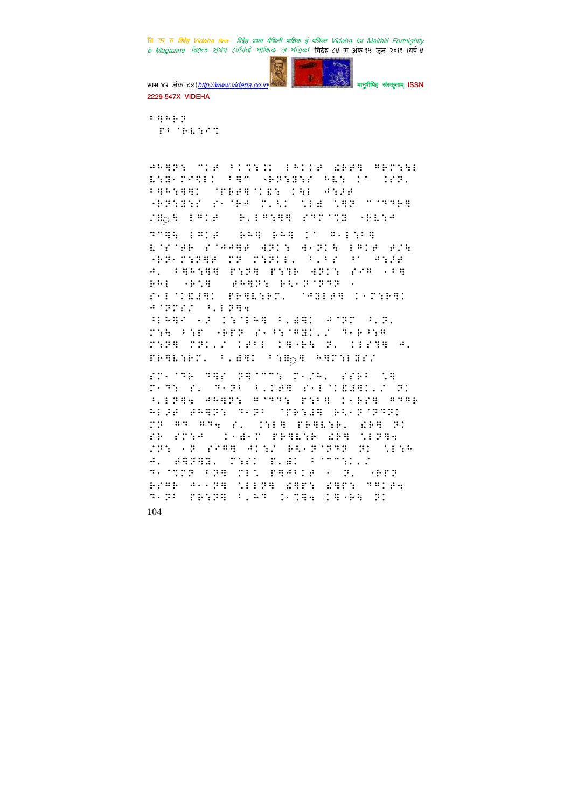मानुषीमिह संस्कृताम् ISSN मास ४२ अंक ८४) http://www.videha.co.in 2229-547X VIDEHA

 $1.44444$ **TESTELSET** 

HARRY TOP FOUND EACOR WHERE RECHE END-PARIS FUN SEPNONE REN IN IND. HPP1816 CAPTER TIRE NEW NEW TOTALS ZHOR EPIP PELEPARK PATTIC HEAR

ESPORA PORTAGA ARIS AFRICA IPIP POS HERITARER TROTARIEL FLAG (FLORIDAN  $41.1444444$   $75774.744$   $75776.4915$   $7774.744$ 991 - PNH - PPHPN 95-27272-PRINCESS (PROGRESS) NASERO IR SAPAR  $4.137777 - 411344$ **将来进行 医牙下颌骨 推进用 医心脏用的 医内脏的 医心脏的** THE FAR SERP POSSIBILIT FOR THE

TAPE TRIVINGER CHAPE PLOIETHOR. FRANCHOL PLAND POR<sub>O</sub>N PACOEDEC

FT-178 786 281773 T-28, FFB-138 THREE CONTRACTS IN THE CONFIDENTIAL CONTROL 3.12994 45925 87995 PSP8 1-628 9996 **PERP PRESS SHOP MERSH PRESSURES** DR PROPRESED INFRODUCED SERVICE FR FTNA (1989) TRABNE ERA (1984) 205 - 20 2200 - 2152 - 8520 1000 01 - 1159 AL PROBLEMANT PLAIN FOUNDILL skindra (Pascina), pesanda (Portugal Gera PEPP PHILED SEEPS ENTY CHES TRIPS **T.P. PEST I.M. C.TH. 1996**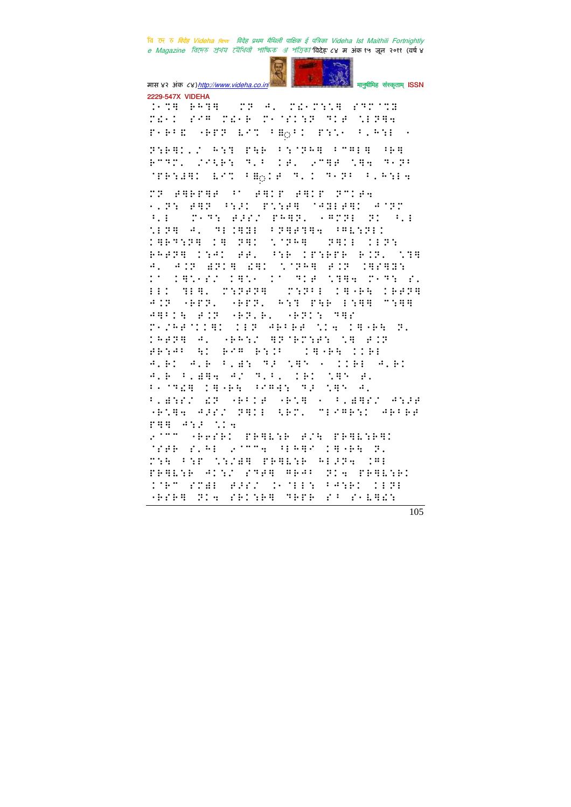मानुषीमिह संस्कृताम ISSN मास ४२ अंक ८४) http://www.videha.co.in 2229-547X VIDEHA 1978 FRTH 278 41 PERTINE FRTTTE

TERITORYM TERRITORIAM MIRONEMA FORTH OPPER LOT THOTS FILM TO PAID

BORD, CARBY RUP CB, SORE CREATER TERNAHI LAT FAQIR TUI TERPERINGAN

TP PREPRE IN PRIP PRIP PTIPH  $+1.25$  (292)  $+5.21$  (255-29)  $+4.21$  (29)  $+3.127$  $\mathcal{F}_k$  is the transformation of the state of the state of the state of the state of the state of the state of the state of the state of the state of the state of the state of the state of the state of the state of the NERR R. PENRH FRANCHE PRESEN 1967529 19 291 57259 - 2911 11225 PRESS INSTALLED. THE IPAPPE PIS. AND AL AIR BRIE END NORME BIR INFERN in iarkez iark in Aid raak zkale.<br>111 apal znavaa (znako iaken 1999a #12 (FFF) (FFF) #53 FRF (1588) 7588 #8018 #18 +FR.B. +FRIN 780 PACRETISED ISSUED ARTER TIME ISSUED. 1993年 9. 99912 月279799 5月 9日 #BN#F RI BY# BN:F (189BR 11BE) 9.91 9.9 F.E. 745 72 585 F. IIBE 9.91 ALE FLAME AZ MIRI IEI NAM AL<br>FRIMAN INFERNAM MANA MIRIAN FLANCO AP (FRIE (FNB) FOR LABOR PRIE HENBY HOST DAILY RET. TEPPENS HELES PART 452 515

2000 (FREED PERSE FOR PERSENT TEER ELRI STOCK HIRBS CHARACT. THE FAR NAVAR TERRAE PERPENDER PRAESE ALSO PAPA ARAA DIA PRAESEL CORT SOME SPACE OF TEEN FRANCISEDE **HERE TO RECEPT TEEN PROPERTY**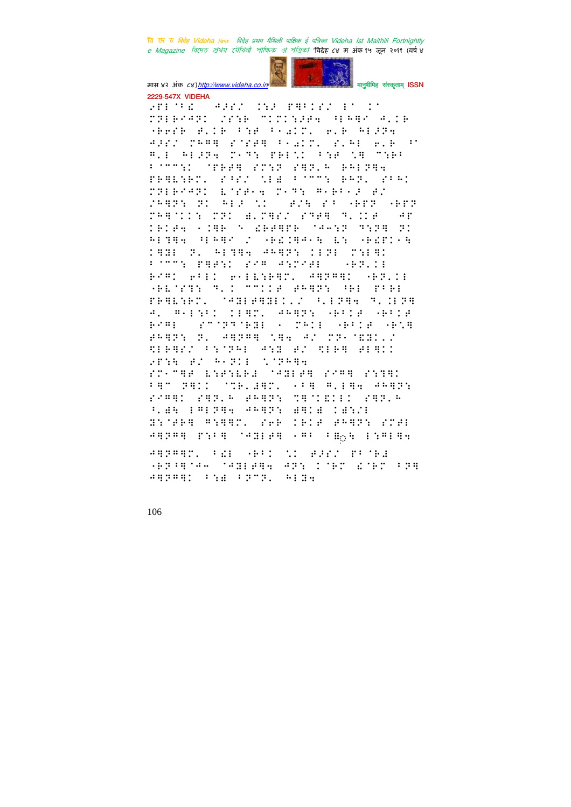मास ४२ अंक ८४) http://www.videha.co.in 2229-547X VIDEHA

मानुषीमिह संस्कृताम ISSN

VELIMO (1992) (1991-1991-22011)<br>DREBYARI (2018-1911-1999-1999-1992-1991) HERE FILE THE FRAID, E.E REFRS APPI TARE POPPE FRAID, PLAE BLACK #21 #1994 TVPS PRINT FSP NH TSP FOUNDATION TERRITORY POINT PORT ENERGY PRAESES, PAPEL SEE FOUND RAS, PARI TELEVARI ENGELA TURN PUBLUK BI 26925 21 542 51 | a26 23 - Gera - Gera THE VICE COST GALLERY ROBERT ON INFORMAT 19194 - 196 S ZEPAPE (1965) 7539 71 RENNA (FRAGA) Z (FRAGHANA EN (FRANCIA FOUND PERMIT PARTNERS (1992.11 HELMIN R. L. MMILE GRAPH (PH) PPE FRANCHEL (1931-PASIILLE 10.1944) 9. 1194 #1 # FAPI CERT, #FRPA (FFIR (FFIR) BRAND CONTRACTORD CONTROL CONTRACTOR #8825 P. #8288 NB4 #2 PP+ MEBL.2 REPART FATREL HAD BI REPAIRENCE STAR BOOKSTED COPERH PT-THE ENENER TABLES PARE PNASH FAM PAIL MORELARD, SPACELERA PRAPA PRABL PARLA PARRY TRILLED PRPLA 3.85 FMICHA HANDS BUILD CBS2E BATARA ANAART, YAR CROA ARABA YORE 49289 8519 543189 681 1865 159194

**ANSANY, PEE (FRI) NI REEV PROPE** 39239744 7431994 425 1797 4797 329 499991 (158 (277) 4134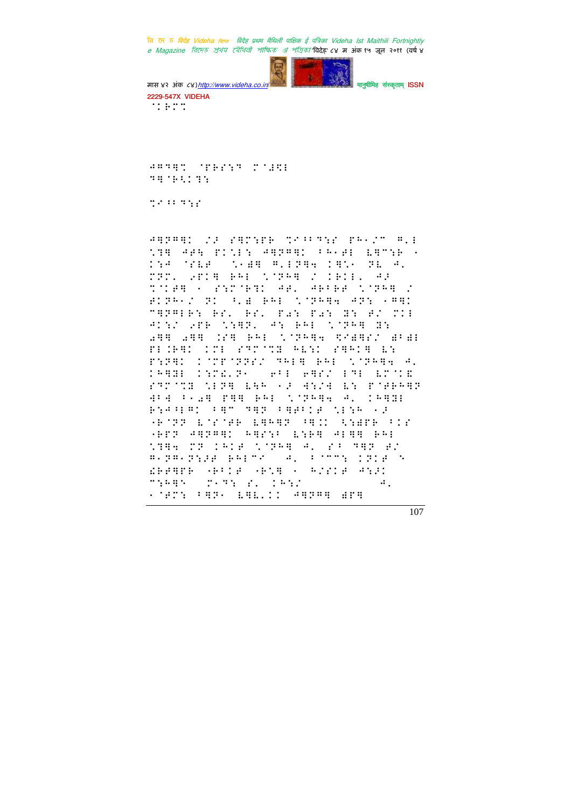मानुषीमिह संस्कृताम् ISSN मास ४२ अंक ८४) http://www.videha.co.in 2229-547X VIDEHA  $11873$ 

**ARTES SPECIE COMMI** 38194135

 $\mathbb{Q} \times \mathbb{R} \times \mathbb{R} \times \mathbb{R}$ 

**ABRABL 22 PROVER SAFERY PROVIDED** the APA pites Agregi (APAPI Lenge). 159 MALE (15) BR PLEPHE 1956 PE P. TRIL GELB BAL STRAB Z IBIL. AR tiles () partes (ed. (ed. 1998) libes 2 BIDAYI BI ALBABAY SYBANA ABS YANG THRAFFIC BELO BELO PAN PAN HIS BELONGE 9152 APR 1998, 95 FRE 17888 85 SARA SARA (1840) BAD (NORPHA (RAGHEZ) GRGD riche: Cor Vorong Almo Verlag La<br>rmae: Corroavez Male Ael Noapee, A. 1988 (1976) 23 - 241 2862 191 12718 KADINA NEGELESKO KURANIKA EN KORREGO ENRIFE FAN MAR FARISE NINK (2 RECREALIZATER ENRUP PUID ANEER PIE \*FTF #92#91 #9251 LSF9 #199 FF1 STRAINE CROB STEAR AS 20 MAR 20  $\# \left( \left\{ \left\langle \mu \right\rangle , \left\langle \mu \right\rangle , \left\langle \mu \right\rangle , \left\langle \mu \right\rangle , \left\langle \mu \right\rangle \right\} \right) \right) = \left\{ \left\langle \mu \right\rangle , \left\langle \mu \right\rangle , \left\langle \mu \right\rangle , \left\langle \mu \right\rangle , \left\langle \mu \right\rangle , \left\langle \mu \right\rangle , \left\langle \mu \right\rangle , \left\langle \mu \right\rangle , \left\langle \mu \right\rangle , \left\langle \mu \right\rangle , \left\langle \mu \right\rangle , \left\langle \mu \right\rangle , \left\langle \mu \right\rangle$ ERFUTE (FRIED FRIUD ) ROOTE HADD TERRY TERR PL IRES  $\mathcal{A}_{\mathcal{A}}$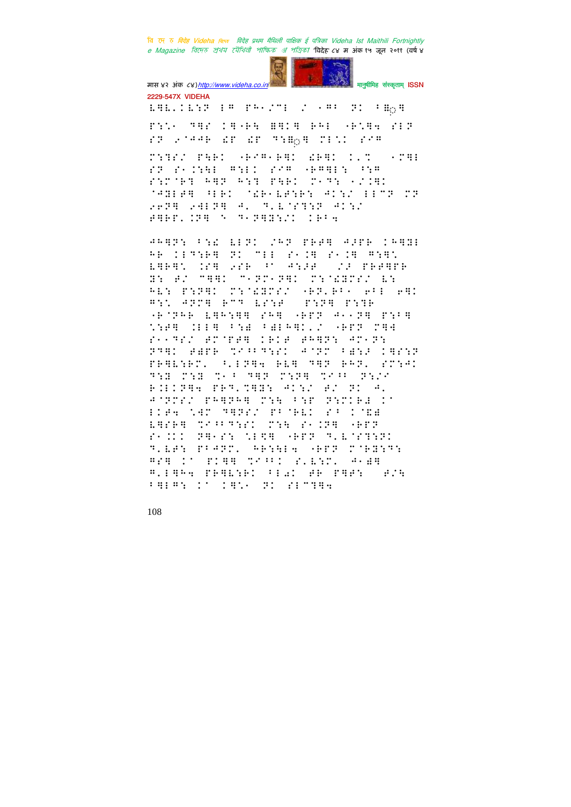मानुषीमिह संस्कृताम ISSN मास ४२ अंक ८४) http://www.videha.co.in 2229-547X VIDEHA ENELORED IN THEORY OF ANY DOCUMENT

FANK PRESS PROPERTY PRESS (PANRY FER FROM THE SECOND THEORY TEND OF TH

TANKS PART (FROM PACK ERN) CLASS (FTH) FROM CHAIN #111 FOR CH##111 FIR FAT THE FREE FAR FREE CHARGE FILMS TABLES SERI TERREPRES ALSO FETE DE 2009 2010 9:04, 7:17:30 9:32 ####.1P# > #####101 1###

HARDY FOR BEDI VAD BEFROHDEN CARBE PECIFICAL PLOTED POINT PORCHARD LAFAN INA SIF AN ANGEL IN TERATE BA BO THEO THROUGHO CANADIAN EA PEN PNPHI PNJEROZ (PPLP), PHI PHI PAN PRIN BOY LEAR ( PARK PATE 38.1258 LB55188 PAB 3872 83328 PAPR **VAPR INTERFACE FEDROLLY FREE CRE** FOR TELL BILTEBE (1918) BREEN CATORY FRANCISCHE TRAGGANISCHER GEBEITUNG FRANCHIL SLIPAN REALTACHER PROVINCIAL TAB CAB THE THE CAPE THE PAINT FOLOGE PESIDENT SINGLED SUPPORT HOPPER PREPRESENTED FOR POPPER IN EDER NAM PROFIN PROBED BY CORE EACHA TO PERSON THE 20128 CHEF FOIL PROPERTY AND SEEP PLETERED **P.E.P. PRAPEL APAREA (PPPP PIPERT)** PER IN FIRE TOPIC FIEST, PHER P.IRRA PERGAN FEWL PE PRES 1975 **FREED IN IRON RIGHTTEN**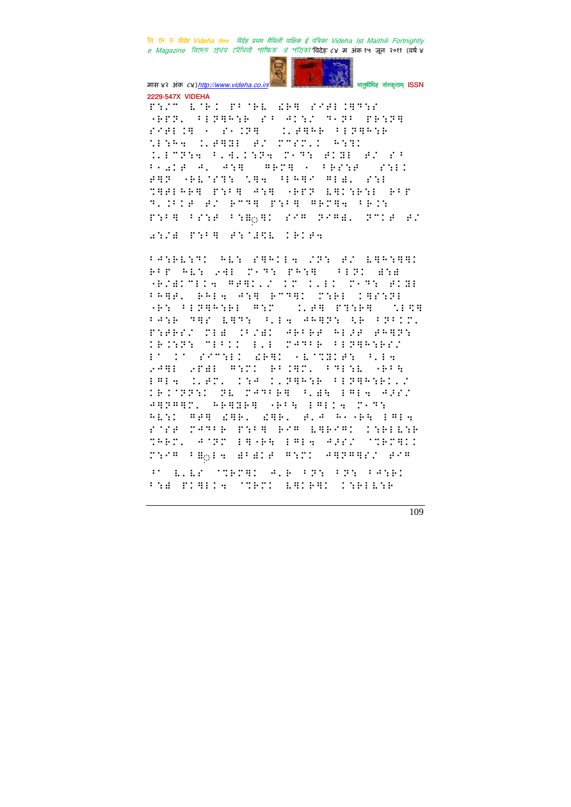#### मानुषीमिह संस्कृताम ISSN मास ४२ अंक ८४) http://www.videha.co.in 2229-547X VIDEHA

FAIT EMPIREMENT CHEVROLISTA HER. FIRENE 23 9152 7-21 1200  $\sim 1.4996$  (1999) FOR 19 - FOR 1990 MENHALL MARREY AV (POPPLI) ANDI INFORMACINALISTA CONTROLLIGATORI PAGIN AL ANNO PETROL PETROL TILI PRESCRIPTION ARE CHARGED REAL CATE THAIRPH PAPE RAN (PPP LAINEA) PPP  $\mathcal{P}_{\mathcal{A}}\left(\left\{1,2,3\right\},\left\{2,2\right\},\left\{4,7,3,4\right\},\left\{2,4,3\right\},\left\{4,4,2,4\right\},\left\{4,4,2,4\right\}\right)$ rafo francia agos ren dendicidade es

## GAZE PAPR PATENE CROPS

PANELNAI PLN PAPILE CAR PL LAPNARY BPP RES 241 T-75 PRSH (PETT) 858 HEVELTICH FRAGULY CO CULIC OF THE ROOM tega, bela syn brynt cybl (1923).<br>Sey tlaneybl fyr (1948-1939), vlag FRANK MH2 (1993) F.EN (RRBB) RE FBF12. FAPPEN TEM (PINE) ARTER AFIR PARTY IRINGS MERIC ELEVANGE GEGGGEEZ ES IS PATHI REAL FESTIVAL PLEA SAND SPAIL RATIONS INT. STAINE SHAR FALA (1981) 154 1194656 FEDRAGEIT IPINERAL PE TAPIPA (LEA IPIA AJE) #82#82, #P82P8 (PFR 1#114 2007) PENT PPR CRE. CRE. P.P. P. (P) ER LPLA FORE TANKS PARK SAM LASCAL LASELAS TRED. PORT ENGEL EREN PRESS STEPHED DESPECT HOLES WERE FERDED CHAPPERD CASH

PO EVER CORPORA PLE FOR FOR FRAME FABURINEIN TEST ENDRU IAREEAR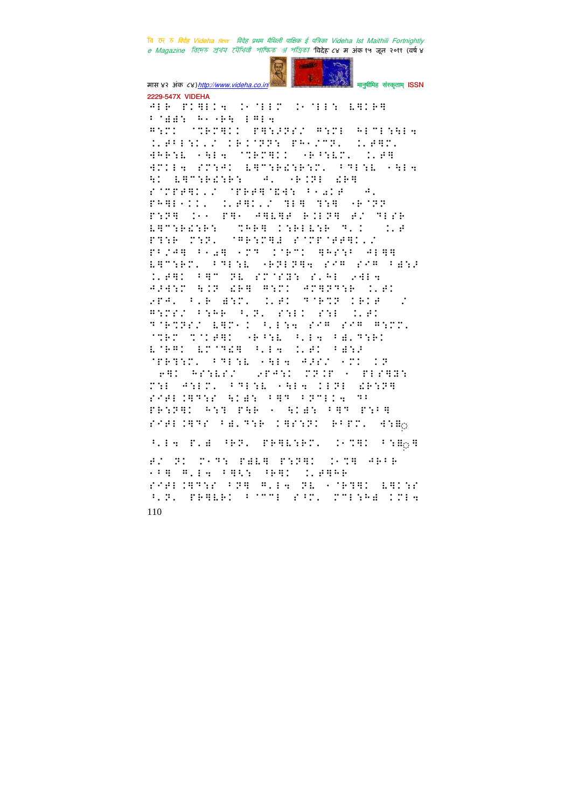मास ४२ अंक ८४) http://www.videha.co.in

मानुषीमिह संस्कृताम् **ISSN** 

2229-547X VIDEHA HIP TIMELS INTER **POSSES ROOFE IPIN** PACI (TECHI) PHAPPY PACI PITIANIA INFORMATION OF CORRECTED AT RUNAWAY HARNE (ARIA (MIRTALI) (PRANET) (1988) HILLS FUTHE LATTERITETI FTETE FALS BI LATTERIES AL FEIRI REA FOURFAILLY OFFFRIED FRELE  $\mathcal{L}$ ESPECIAL ENVIRONMENT POIPE RICHARD LATTERIES (TREA INEERSE A.I.)  $\mathcal{L}$  and  $\mathcal{L}$ FINE TNR. TRENTRA POTETRARILI PEZAN PAGN ATA CONTO NAZAR ALNU LATTER, PRINE (FRIPAN PAR PAR PETER TURNEY FAN DE STIFFER SUPER SAFER APAND RIP WEB PND: ADBPPNE LED SPAL FIR BAT, TURN TORTE DEDE PATES FARE RUBLEMED PARTIERS STECKED EACH DOOR ENA SPAR SPAR ANDEL **THE TIMES ARREL BEEN REPORT** EMPT ENTRE PLEASURE FEW **MERTING PRESENTED PRESS FILLER** SHIP RESERVE SPASI TRIP ( FEERIS THE PHET. FRENK FRENCIERE WHIPE PARE DESPENDED EN PERSONAL DE FRANCIS RATIFAR & ALBA FUN FAFU PARE DEPRESSED THE CORPORATION OF THE

(KIA P.E. PRA (PRAGRA) (KIA) PGH<sub>O</sub>A

**FACTION TO THE POST OF THE PERP**  $\mathcal{L}(\mathbb{F},\mathbb{F})=\mathbb{F}_{\mathbb{F}}(\mathbb{F},\mathbb{F}_{\mathbb{F}})\oplus\mathbb{F}_{\mathbb{F}}(\mathbb{F},\mathbb{F})\oplus\mathbb{F}_{\mathbb{F}}(\mathbb{F},\mathbb{F})\oplus\mathbb{F}_{\mathbb{F}}(\mathbb{F},\mathbb{F})\oplus\mathbb{F}_{\mathbb{F}}(\mathbb{F},\mathbb{F})\oplus\mathbb{F}_{\mathbb{F}}(\mathbb{F},\mathbb{F})\oplus\mathbb{F}_{\mathbb{F}}(\mathbb{F},\mathbb{F})\oplus\mathbb{F}_{\$ PARE CRANK (FOR UP) EN ORD (FORTRE) BRINK R.B. PEREED FOUND PROVINCERE DOES 110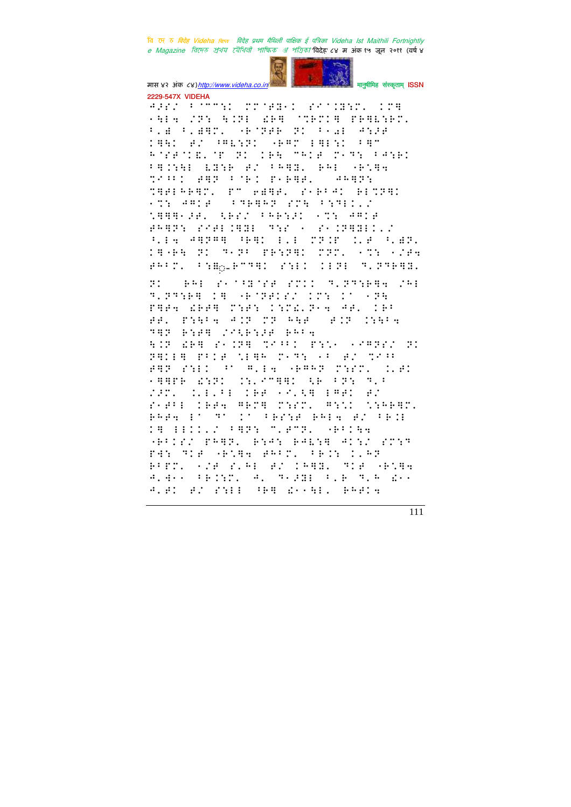## मास ४२ अंक ८४) http://www.videha.co.in 2229-547X VIDEHA

मानुषीमिह संस्कृताम ISSN

Adam (Finna: Coolege) (annighous)  $1.74$ FALA 2018 AIDE WAR TOECOR PARENAN. F.A. F.ART. (FROGE DI FRANCHIEF **THAI AZ PRESED PERMITED FRO** A MERCIEL OF SPILLING STATES STATES ARRES FULTER ENTER P. FRUI, PRI (PLIN TARRI BER ROBI PABER, CRAEBY THELPHEN, PT HANRY PORTHO RETPRI  $+75.49141$ SHARKING SERI PAPAIL KOS PALE #5823 PORTIBIL 33P + PHOTOGRAPHIC KIR PURPU PER INI TAIM NE PUBA. 1936 F. P. P. P. PROTECTION ON A CAR PROVINCE ABOURDANCE CONTROL CONTRACTOR

PI (PRI PROTECTE POIL PLOTARE CRI P.PRIME IN SECRETIC ITY IN SPE FARA CHRA TIRI CITE, PAR AR, CEP ##. Pikks #18 28 RA# |#18 11674 THE BABB CANBADE BROW 在《第二五书集》第七《第四三四六书》第二十四百六十二十四四五六二  $\mathbf{B}$ PRIER PRIE NERROCHTEN FROGEN SPR PAR PART OF BURG GRAAF TAPT, INFO  $+$  8888  $+$  65981  $-$  151, 478881  $-$  316  $-$  3185  $-$  311  $+$ ZATU ILEUFE IBE KYLAR EPAI BI FORTH CEPH PETH TAFT, PANI NAPPRT, PRES IN THIS IN FEINE PRIS EN PLATE 19 BELLI FARY TIATRI (PELBA)  $\mathcal{A}$  and  $\mathcal{A}$  are the sequence of  $\mathcal{A}$  and  $\mathcal{A}$  are the sequence of  $\mathcal{A}$  and  $\mathcal{A}$ FAN TIE SENHA EPPIL FEIN ILPE BRID, STE PLAINED CARD, MIR SENRA RUBER PETERS RUSSELED PLESSERS H. BI BO YALL THE WORLD HABIN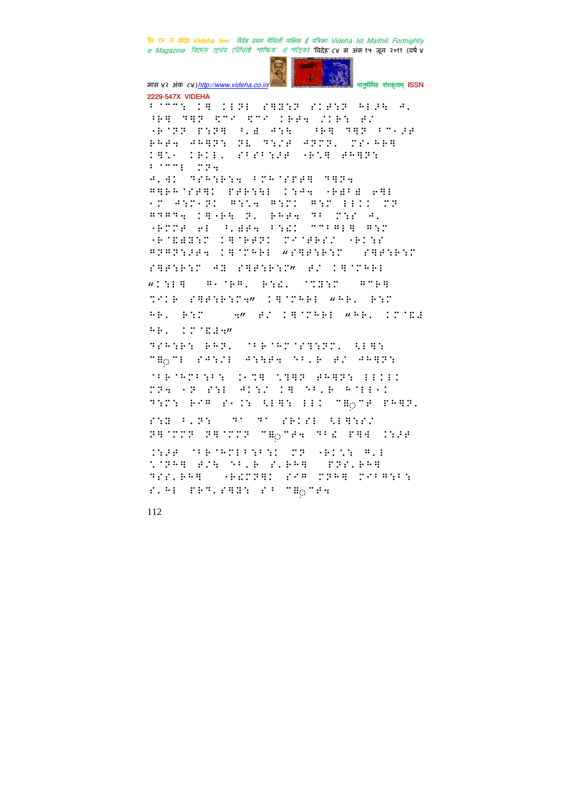मानुषीमिह संस्कृताम ISSN मास ४२ अंक ८४)http://www.videha.co.in 2229-547X VIDEHA FOUND IN INNE PHONE PIPER RIPL 4. HAR THIS ROOM ROOM IRRA 2185 RD  $\overline{AB}$  (22  $\overline{B}$  )  $\overline{C}$  (23  $\overline{C}$  )  $\overline{B}$  (24  $\overline{C}$  )  $\overline{C}$  (24  $\overline{C}$  )  $\overline{C}$  (24  $\overline{C}$  )  $\overline{C}$  (24  $\overline{C}$  )  $\overline{C}$  (24  $\overline{C}$  )  $\overline{C}$  (24  $\overline{C}$  )  $\overline{C}$  (24  $\overline{C}$  )  $\overline{$ PRES PRESS SE SANCE PRIS. INFORM TANK TELEVISIONS AND SENSE  $1.771 - 2.24$ H.H. MERSESH FOR STEER MADE ##P#JZ##! P#PNHE 1N## (PH#F# P## FT ANTER: PNSA PNTI PNT EELI TR #3#34 149#4 3. PPF4 3. 232 4. HETTA AL SUBAN FALL TTERE RAT HETEROOF CHIEFEN CONTRECT HECTO  $\mathbf{r}$  (99)  $\mathbf{r}$ FRENEND HO FRENENDWORD IRODER  $\sqrt{1.544}$  ,  $\theta$  ,  $\theta$  ,  $\theta$  ,  $\theta$  ,  $\theta$  ,  $\theta$  ,  $\theta$  ,  $\theta$  ,  $\theta$  ,  $\theta$  ,  $\theta$  ,  $\theta$  ,  $\theta$  ,  $\theta$  ,  $\theta$  ,  $\theta$  ,  $\theta$  ,  $\theta$  ,  $\theta$  ,  $\theta$  ,  $\theta$  ,  $\theta$  ,  $\theta$  ,  $\theta$  ,  $\theta$  ,  $\theta$  ,  $\theta$  ,  $\theta$  ,  $\theta$  ,  $\theta$ TAIR PHPIPITH CHATPED WHEN BIT  $99.797$  $\mathcal{L} = \langle \mathbf{q}, \mathbf{y} \rangle \in \mathbb{R}^{n \times n} \times \mathbb{R}^{n \times n} \times \mathbb{R}^{n} \times \mathbb{R}^{n \times n} \times \mathbb{R}^{n \times n} \times \mathbb{R}^{n \times n} \times \mathbb{R}^{n \times n} \times \mathbb{R}^{n \times n} \times \mathbb{R}^{n \times n} \times \mathbb{R}^{n \times n} \times \mathbb{R}^{n \times n} \times \mathbb{R}^{n \times n} \times \mathbb{R}^{n \times n} \times \mathbb{R}^{n \times n} \times \math$ **ABL ISTERN** SPANEN BAS. TRETATIONS, AFRY THATE PANCE ANNEW SPIE BO ARBEN **TEP TRITES IN THE STREET PROPERTY ESSES** TER PERSON HOROGEN SPORTSHOLD TEDE PAR PHONE REAR EED THOTE PRAP. FABURIEN SCHOOL FEIER ARCHIV PRODUCT PRODUCT THOMAS THE PRESIDENT NAPPE BOB AFLE PLEAR (PPPLEAR) SPPLERS (FEDDED PAR DERS DAFRED

EVALUATES, ENGINEERS THOMAS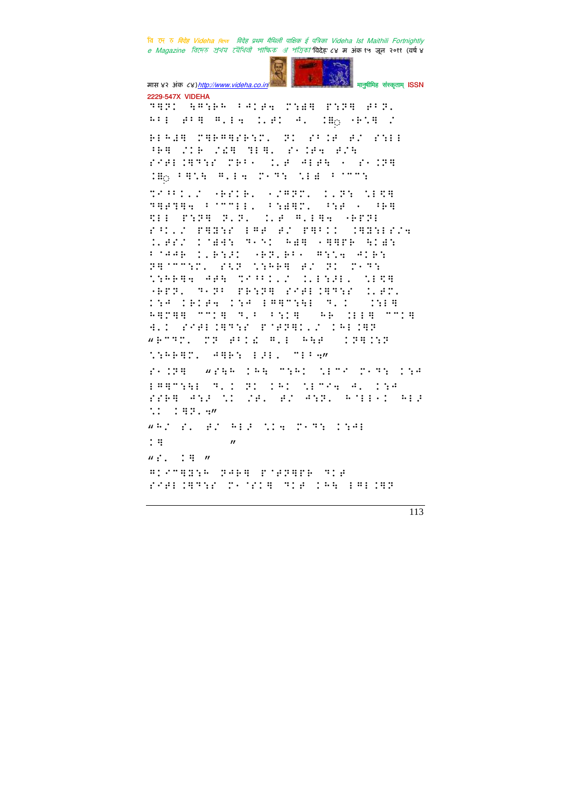मानुषीमिह संस्कृताम् ISSN मास ४२ अंक ८४) http://www.videha.co.in 2229-547X VIDEHA 3821 58365 (010) #4 2388 7528 #52. REFUNCE PLEASURE PLOTE ON A FIRST BIRGH THERBYENT, TO SPICE BY YNEE FEB 218 248 TEB2 35 189 829 PARE DESPERT TRANSPORTAGING AT 1990 DER THO FAIR RIEW THREAD BE FINIS TAPPILIT PERIEL POPPEL ILEN NERR **MARTAGE COMMERCIAL READY CORPORATION** SIL PAPE P.P. L.F. P.IRE (FFP)  $\frac{1}{2}$  radial (1906) also ratio (1903) also  $\mathcal{L}^{(1)}$  ,  $\mathcal{L}^{(1)}$ L'arz c'hags mest sam emme stas FOREBOOK END: (FR.F) = 515 (FIN) PEANNAPL PART SAFER PLOTE THAT SARREY RENOTESILLY SLEAFEL SERR APPROVAMENT PRAPE SCALL DESAS COURT. 154 19194 154 1997591 9.1 (1519 **ARTER TTIR T.F. FAIR (AB) IEEE TTIR** 4.1 PARTIERNE PARRILLA 191382 WESTED COP PRINT RULL REPORT OF PRINT  $\mathcal{N}(\mathcal{U},\mathcal{U},\mathcal{U},\mathcal{U}) = \mathcal{U}(\mathcal{U},\mathcal{U}) + \mathcal{U}(\mathcal{U},\mathcal{U}) + \mathcal{U}(\mathcal{U},\mathcal{U}) + \mathcal{U}(\mathcal{U},\mathcal{U})$ PAIDE (WPAR 1984) 7591 MICH 2678 1548 EPPT181 P.I.P. 191 191 NETCH P. 159 REFUGER NI VEL BI GERL POES CORE  $11.149.47.47$ WHAT YOU HAT HER TOOK TO TAKE INVEST  $\ddot{z}$ will  $\mathbb{C}^{\mathbb{C}}$  . The  $\pi$ #17798356 PARA PIBPAPE 918 PAPE 19752 (P) 1219 (719) 196 (F91-192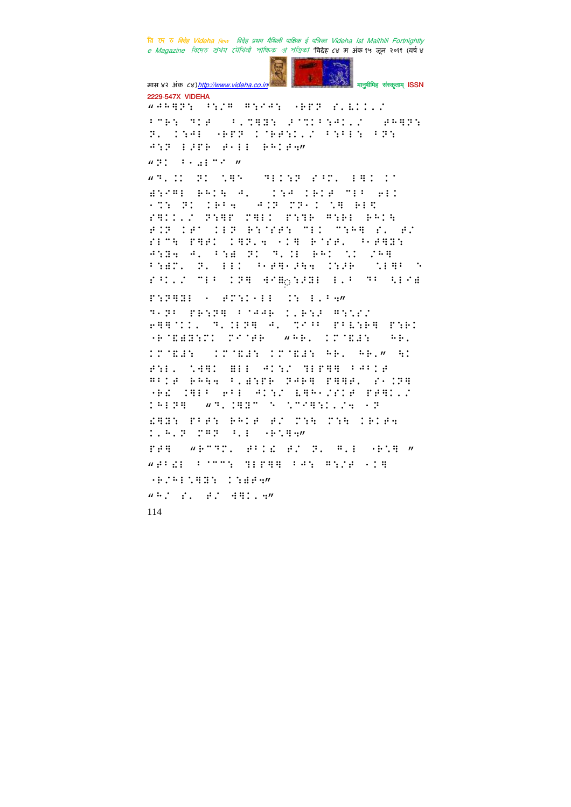मानुषीमिह संस्कृताम **ISSN** मास ४२ अंक ८४) http://www.videha.co.in 2229-547X VIDEHA

 $\mathbf{w} = \mathbf{w} + \mathbf{w} + \mathbf{w} + \mathbf{w} + \mathbf{w} + \mathbf{w} + \mathbf{w} + \mathbf{w} + \mathbf{w} + \mathbf{w} + \mathbf{w} + \mathbf{w} + \mathbf{w} + \mathbf{w} + \mathbf{w} + \mathbf{w} + \mathbf{w} + \mathbf{w} + \mathbf{w} + \mathbf{w} + \mathbf{w} + \mathbf{w} + \mathbf{w} + \mathbf{w} + \mathbf{w} + \mathbf{w} + \mathbf{w} + \mathbf{w} + \mathbf{w} + \mathbf{w} + \mathbf$ PORT STRUCK COMMISSION AND COMMISS P. 1591 (PEP L'BESILL'ESPIS FPS 

 $\mathbf{w}$  ::  $\mathbf{w}$  ::  $\mathbf{w}$  ::  $\mathbf{w}$ 

WHEN THE NEW CHEESE FRIEL FED IN anger esta di cine ibid mis di:<br>Knr di cesa condo pellone bin FAILLY PARE THEI PANE ANDE BAIN BID CBT CEP BATERN TEC TARR PL BD 2175 PHP1 (192.9 ) 19 FT2P, (9) PHP3 9589 91 F58 PD 7108 991 51 298 FABT. P. BED FORBOTH: CAPE  $\sim$  100  $\pm$  100  $\sim$ PROVINCE CRESPONDENCE PROVINCE

FAPRIL + #FAD+11 15 1.14w 3.3) PENSE FORE LIENS SNIC FUELL SUBJECT TO PERMIT PER HETERSTICTSTEE WAR. ITTER SAR. TUCHER COUNTERFORMATIONS, ABL ABL AND #NEL SHARI BEE #1N2 MEPAR F#F1# #F19 BRAN FLANDB PARK PHHP. 2019 HER CHIP WHI HINZ EARNING PARILY TREPH (WRITHEN NONTREALIZE FP) CHOS PIES BRIE BJ JAR JAR IBIE  $1.44.9$   $1.44$   $1.4$   $1.4$   $1.44$ FAR WETTER AFIE AN PURSUAL AFTER  $\sqrt{2}$  (  $\frac{1}{2}$  ) (  $\frac{1}{2}$  ) (  $\frac{1}{2}$  ) (  $\frac{1}{2}$  ) (  $\frac{1}{2}$  ) (  $\frac{1}{2}$  ) (  $\frac{1}{2}$  ) (  $\frac{1}{2}$  ) (  $\frac{1}{2}$  ) (  $\frac{1}{2}$  ) (  $\frac{1}{2}$  ) (  $\frac{1}{2}$  ) (  $\frac{1}{2}$  ) (  $\frac{1}{2}$  ) (  $\frac{1}{2}$  ) (  $+3.79423311334346$  $\mathbf{w}^{(1)}\mathbf{v}^{(2)}=\mathbf{f}^{(2)}\mathbf{v}^{(1)}\mathbf{f}^{(2)}\mathbf{v}^{(2)}\mathbf{f}^{(3)}\mathbf{f}^{(4)}\mathbf{f}^{(5)}\mathbf{v}^{(6)}\mathbf{f}^{(8)}\mathbf{f}^{(9)}\mathbf{f}^{(10)}\mathbf{f}^{(10)}\mathbf{f}^{(10)}\mathbf{f}^{(10)}\mathbf{f}^{(11)}\mathbf{f}^{(10)}\mathbf{f}^{(11)}\mathbf{f}^{(10)}\mathbf{f}^{(11)}\$ 114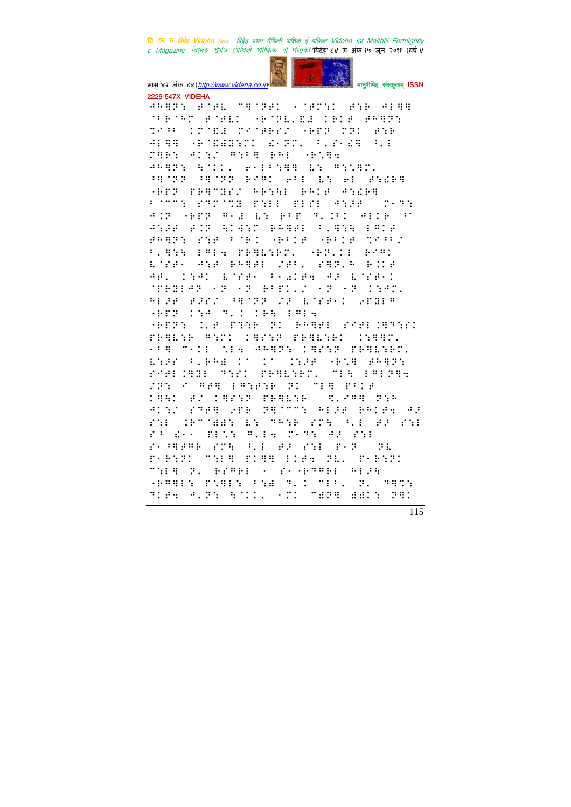मास ४२ अंक ८४) http://www.videha.co.in 2229-547X VIDEHA

मानुषीमिह संस्कृताम ISSN

angsy analysis ng malikinasyon ayak ala<br>Ing mga analis kanglilal isa a anggy  $\rightarrow$  19751 958 9199 TARRAINTED TAMBED (PETROTIC BAB HERR (HETERSTICS-PT) FLY-28 (F.E. THES ALSO HAPP EAR (ABSEA #8821 5711, #313388 EN #NV82. FRIDE FRIDE BARD BEE LE BE BEER HER PERMIC PENHICENTRIER POTTA PTECTO PARR PRES PARA COSTA AND SEPPORAL ENGINEERS TO PERFORM ANDER BID ALBNO BRAGE FLANK IPLE PROPERTY REPORT OF THE CONTROL OF THE CONTROL OF THE CONTROL OF THE CONTROL OF THE CONTROL OF THE CONTROL OF THE CONTROL OF THE CONTROL OF THE CONTROL OF THE CONTROL OF THE CONTROL OF THE CONTROL OF THE CONTROL OF THE CONT P.ASA IMIA PRALSPO, SPO.IL ROM ESPAS AND BRAHE COPIL PARLE BILD ABL CHAINENBROOKSIAS AR ENGANI TERMENT FOR FURNISHING FOR STREET RESPONSED PROPERTY EOGRAPHY STORE HER 154 7.1 195 1916 (PPP) 1.8 PTNP PI PREMI PARI (ETNP) FRANCH WATER EACHY FRANCHE CANNEL  $+14$  (7) (1)  $\Delta 14$  (3)  $+14425$  (1423-2) request. ENGEL FLARE IN IN THOSE SAME BRASH PARE DUBBY MARIE PROBABLY, TEACHINEDUA ZPA Z PAR LPAANE PL TLR PILA 1941 asllmand regine (d. 2007) ADSO PRES 200 RETTS ADDED BADES AR FAIL CETTEEN AN THAR FITE FLI FR FNI FROM THIS RULE TORONTO FE POSTERBE PUBLICATIONS PARTICULAR F-FARI TALM FIMM IIFA PEL F-FARI THE R. FINED OF PONTHE SERE SEPRES PARES FSB 7.1 789. 7. 7000 MIRA ALPA ANIL VII MEDA BELA DAL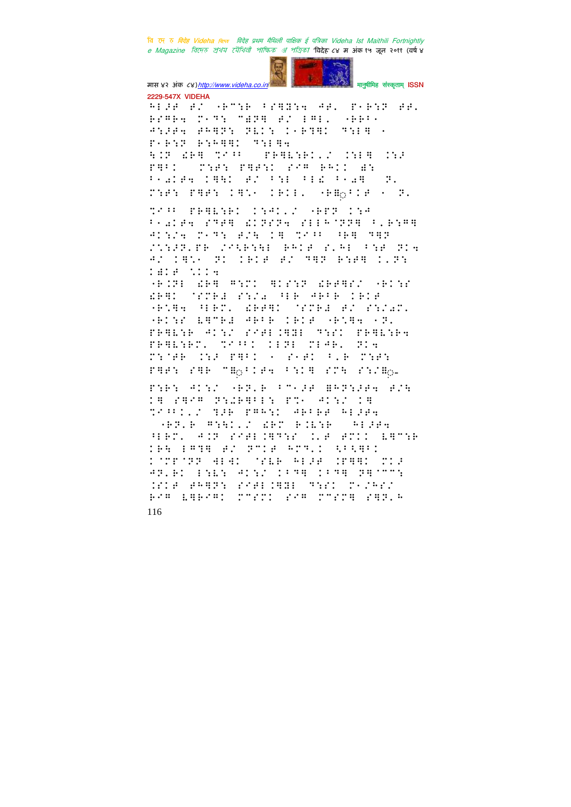## मानुषीमिह संस्कृताम ISSN मास ४२ अंक ८४)http://www.videha.co.in 2229-547X VIDEHA

PESA AS PROVE FRAGA ARL PERSONAL BARBA (PARA MARR) BACTERIS  $-1.4411$ #NJ## ###PN PECN C+PT#C 7NF# + P. 552 555991 75195 AND WHE TAPP ( PERSENSIS INFR INF FARIO CIENE FARIO CAR BRII AN Fraces (1951) 82-758 (FED Frag ) 9. THEN FRENCIBLY IFIEL (FRONTE ) (R.

TARR PERLINES SINASLY PEPP SINA FRADES PRES ROBPER PEER DOOR FLENDE ZINGGALER ZYARNAR RADE Y.AR (FNA) BIN AN INSTALL PITTIES AND AND THE SEARCH INTER-Tais Silv

HEIPE ARM WATE MEANT ARRACE HEIGH ERRO METRE ENCAMPER PROFINER HENBA HEED, SEPRI TETES PO PACSO. HEIGH EATES APPENDED HEIGH FR. FRANCH ALSO PARE DUR (PSP) FRANCHA FRANCHEL TO HIS CEPE CEMP. PIN PATER (193 PH): A PART FIR PARA FRENCHE THORIES FOLBOATE POINT

FARA PUAZ PROLETTAJE BROAZER PUA **DR PROFINSIPHES PT- ADSOCK** TARRILLY TAB PRANI REPER ALABA HERIB WINDIC WED BOLIF, MEDDE HERT, AND PARENTHER CORPORATION ENTIR TER EPTH AZ PTIA PORT SPARED **L'OPENDRO HEAL (NELE) AEJA (IPAAL OLD** 97.51 FALS 9132 1539 1539 795773 COLA APRIL COALCRIL TECH TO CROS BAR ENBARD TTETI EAR TTETH ENDIR 116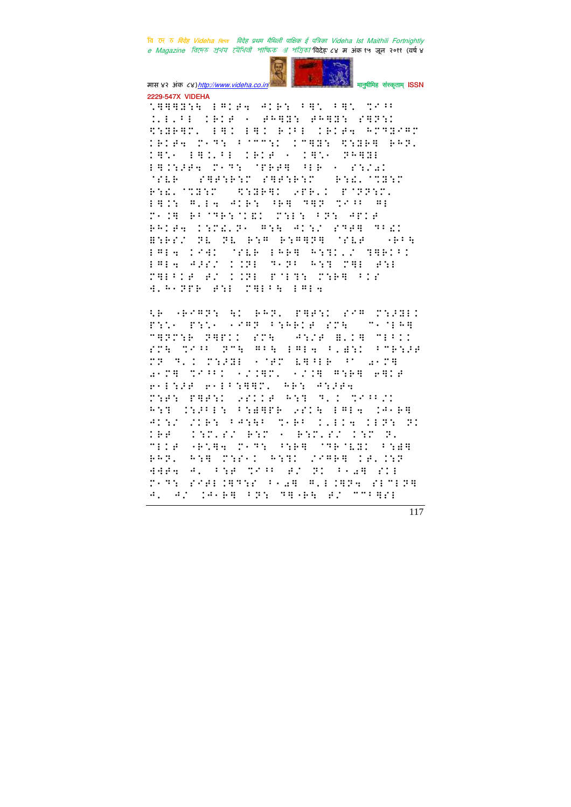### मास ४२ अंक ८४) http://www.videha.co.in 2229-547X VIDEHA

मानुषीमिह संस्कृताम् ISSN

19998199 19199 9195 991 991 703 709 ISBN 98-1919 - PAROS PAROS PROSI SABRED, FED FED RIFL CROPS RUSSED TECHN TYPE FOUND COMBET REBECTER. THIS ENTIRE TELEVISIONS TANK FRINGEN TORN CERRE SERVO FALLI **TELE FEBRIERS FREGENS PRESTSENS** PAC. MURIC - UNUPER SPECIAL PARAD. FRIN RIEW RIEN (FR SER SACTOR) TACH BRITEN MED CTHEN FIRE APPE BRIEG INTELP: PNB PINZ PTER TRED BARY, PE PE PAR PARRER MYER (1994) PREACTING CONFIDERATION CONTROL PRENCHANN CORPORATE AND THE BND THESE BY LIFE FOURY TYPE SIT H. R. PER (PH) (PH) (R) (PH) +

AB SEKARA AL BAR, PAPAL PKA TAGBIL FALE FALE FRAUD PARKER FOR CONTRAC THRIGH RHELL FIN (PSIE BLIM TESI) rna moji pra jela ijela jugar izmanje TRUST TYPES A METOLESER STORATE 2010年 TRAFFIC ON DRIVE ON 2018 年5月8日 日本日本 # (1998) # (1999), \$\$9, \$999; raea reear volte eae gli dessu: 859 (1529) 5 (1589PB 2215 (1814) 18-69 HINZ ZIEN FANAF THEF ILIIN IIPN PI TATLEZ BAT A BATLEZ IAT D. 1990 TECH HENBY TYTE PER ITEMED FEAR PROVINCE CONFESSIONATE CAPPER CHUICHO 4484 42 558 569 87 87 81 558 811 DANN YARDIANNYA SAWA ALIGEA YENDA  $\mathcal{A}_\infty = \mathcal{A}_\infty = \{ \mathcal{A}_\infty \mid \mathcal{B}_\infty \mid \mathcal{B}_\infty \mathcal{B}_\infty = \mathcal{B}_\infty \mid \mathcal{B}_\infty \mathcal{B}_\infty = \mathcal{B}_\infty \} \subset \mathcal{B}_\infty \subset \mathcal{B}_\infty \subset \mathcal{B}_\infty \subset \mathcal{B}_\infty \subset \mathcal{B}_\infty$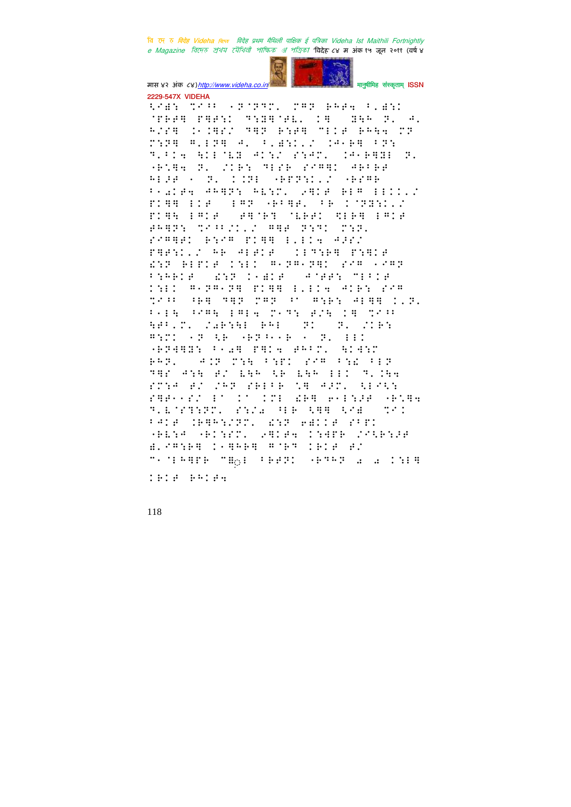## मास ४२ अंक ८४)http://www.videha.co.in 2229-547X VIDEHA

मानुषीमिह संस्कृताम ISSN

transfer (Frederic reported (Fian) SPARE PRANI SNORTAL IN 1946 D. A. AZZE INTERZ PEP BARE TELP BARE TP TAPE P.IPE P. CALINIAN 1998-9-123 MUSIC RIPORT ADAL PART, CAPAREL M.  $\left\{ +1/4 \right\}$  (  $\left( 0.1 \right)$  ) (  $\left( 0.1 \right)$  ) (  $\left( 0.1 \right)$  ) (  $\left( 0.1 \right)$  ) (  $\left( 0.1 \right)$  ) (  $\left( 0.1 \right)$  ) (  $\left( 0.1 \right)$  ) (  $\left( 0.1 \right)$  ) (  $\left( 0.1 \right)$  ) (  $\left( 0.1 \right)$  ) (  $\left( 0.1 \right)$  ) (  $\left( 0.1 \right)$  ) ( RESERVE SUCCESS (PETRICS (PETRE Produky (ARBOS RESO) (2010) BER BEDICO PRESS TO RIVING REPORTED THE PARADO RAAR (PIAR 1.114 422) FARMILY AR HEROE (1875BA PSAIR ENP PIPIP INIT # P# P#1 27# (200 PARELE (2018) LABLE (PROBA MIRLE 1511 # 2# 24 FI44 1.114 #195 FC# TARRA REPORTED THE RESEARCH PERSON AND F-18 F-F-18 THE T-TE PIRE IN T-F RAFITI CARSAL RAI (21) 21 CORS #NTI (P.RE (PRIGGE) (R. 111 SEDARIN FRANCISCH APPEL SCAND.<br>BROUGHOUGH CNEUVER FRAU THE PASS AN EAR AR EAR FIL TUING FTNA BI JAT FRIJE NA APTI VISNA P.E. VIBROL (VBCA) FEB (ARR) ASB.  $\mathbb{R}^n$  : FALA (PAPSZPP) 239 PADLA PRPD HENRY HEIGEN VALUE IGHTE SYSENER BLARGER CHREE ROEN CEDE BI THORPHER THOR FEED, HETER WOW CORR

TEDE BRIEG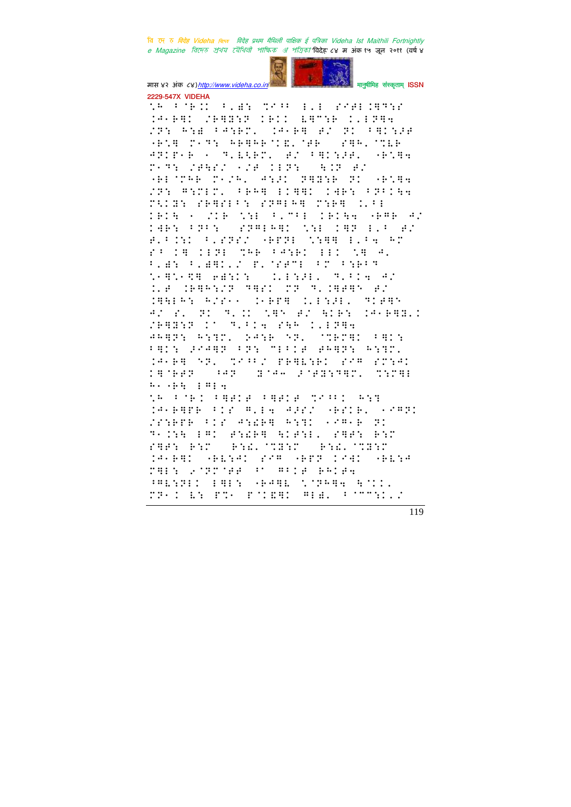मास ४२ अंक ८४) http://www.videha.co.in 2229-547X VIDEHA

मानुषीमिह संस्कृताम ISSN

te fred flan the file president 1969年12月20日10日 1月11日 1月17日 11月17日 205 ASB FASEZ, 14-EM 22 01 FM1522 SENE TO THE REPORT OF THE CONTROL TO BE APIEVE V MULLET, AN FRINGE, VENRA D-75 28522 -28 1875 - 517 82  $\overline{AB}$  (TRE TVIN) and (TRINE T) and ( 2018 #1212. (FRANCISHN) 1981 (PPING PRINT PERFITT PROPERTYPER INTE IBIN KUZIBUNG PUTPE IBING GERE AN 1485 FPPS (2001) 541 SST 140 FPS ( BIRING PIRANG HERE SARROLLER RD FLAN FLANDLIN ELIMPTE FT FNBFF NERVER PERINT (1992), 7,914 97 1.8 (1985)28 SAMILY 28 S. 18885 B.C 1951-51 522-3 1-BPB 1115211 71295 HANNA PENTRUM NES HANNA ELES MARRELLO 299353 (2) 9,914 299 (1.1399) **HARPY ANNIVE SHAR SP. (MIRTH) FRIN** FRIN 20088-021-71012-008821-0112. 1968年 592 TRAPES PERSENT PRP PUBLIC THINGS TO REPORT OF THE COMPANY OF THE CONTROL NA PORT PRESEDENTE NAPEL AND

1933 BUTE (FIV) PLEAS PRESS (FEEDER ) 37801 223888 FD2 #3288 #330 +78+8 BD MACCHA EMIL AGARA ALAGEI, PARA BGI FARY PAR (PARLITANY) PARLITANY 1938年10月 3月15日 12月15日 3月12日 12月10日 3月15日 THESE STRITERS AND HALF EACHER PRINTED FRENCHMAN STRARE RITES ralijas pri priegi geal kronsili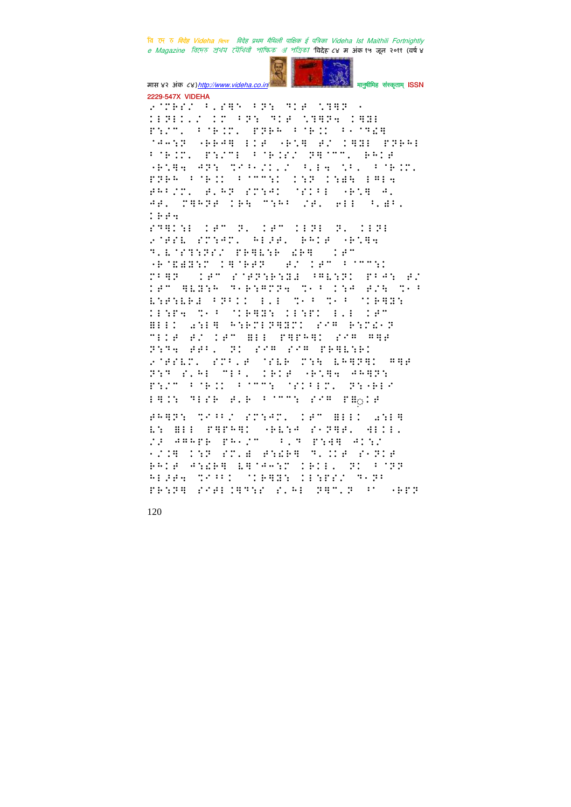#### मानुषीमिह संस्कृताम ISSN मास ४२ अंक ८४) http://www.videha.co.in 2229-547X VIDEHA

<u> TERELA IMAGRA PIA NAMBA IMAE</u> FAIT, FIBOT, FREE FIBOT FAITER TAHAB (FEBAR 119 (FNSR) BJ 1931 (FPBB) FOR INVESTIGATION OF INVESTIGATION CONTROL anger and the hill class of Calendar FREE FOR NORTHWEST 198 (1988) EMER ##FZT. #.## #TN#1 7P1FE +#NH #. ABL THREE CER TIRE CALL BILL FLAFT 

FREDRICHER B. CERT DIBI B. CIPI STARE PONAD, RESAL BRIA (PRIM M.E.SPINGER PRHENE WRACHT RETRADAD (1976-22) (PZ) 1970 FOTOSI TEBR (197 POPPAEARD (PEARD PEAA 9) TEM BESAR MARGAREN MAR ISA PENGUNAR ENPALRA FORIC BLE CHAR CHAR CLEARS IPAPE THAT MIRROR IPAPE TELEVIST BIIL ANIM PNECIPABLY PAM PNCE-P MEDECAN DEMOBIL PAPEAL SYSTEMA PATH BELL PD PAT PAT PETEARD STARLT, RTF.A TRLB TNB LPHPHI PHA FAR PLAINTING CEOPLANSHA ARGEN FAIR FORD FOUND ORDER SPARES PRIN MEZE BUE FOUND PAR PROPE

BRANCH CONTRACTORS AND BEEN SAFER EN BIL PUPPUL (PENG POPUL GILL) 23 APREL ERVIT (313 E148 AL12 \*2008 1922 2012 8 2922 8 31 11 21 21 21 21 PRIP PARPH ENTRANC IPIL 21 PITPS RESPACTABLE CORRENTED PERMIT FRASH (PAPE 1975) PLAT (S971) SCAPES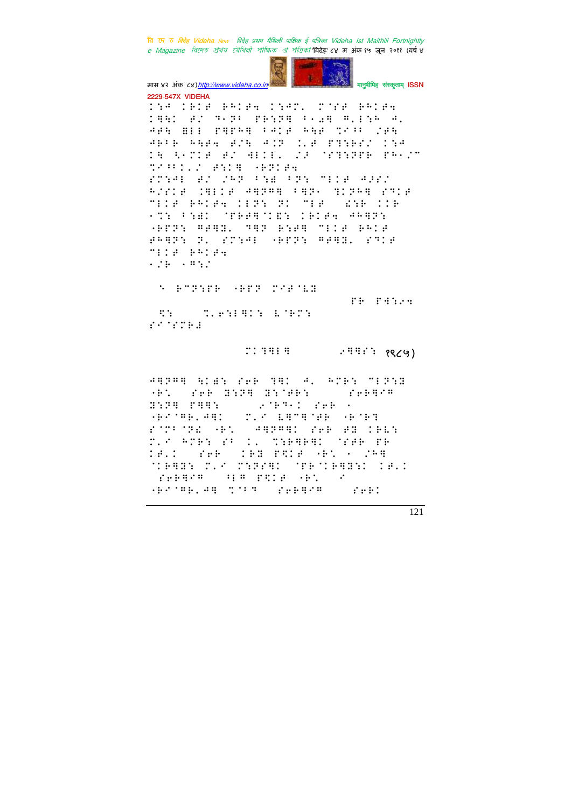मानुषीमिह संस्कृताम ISSN मास ४२ अंक ८४) http://www.videha.co.in 2229-547X VIDEHA TAR IBIB BRIEN IARD, COMP BRIEN 1961 92 9300 PENDE FLAN 911NR 91 APR BIL PRESS CALP SAR TACC 2PR ABIB ANNA AZA AIR ILA PINBEZ 194 15 REPORT AN ABOBY NA TEACHER PRENT TAPPILIT BALB (PERCHA) FTNAR AZ ZAD PNA PDN MELA AJEZ **AZZI# IHILF #BP#B FBP+ BLP#B ZPI#** MEDECARDES DEPACTED MEET WAR IDE  $+75$  (FAB) (TPERTIEN IEIRE (PROFES \*BPP5 ###B. ##P B5## \*B1# BR1# PROSTO SU POTENE (PROTECTOR) PROP TECH BRIEG  $\sim$  248  $\sim$  8.52 **NORTHERN HEF THEMS** TP FANCY **TAN TERMITAL STATE RATEDRA** 219919  $\cdot$  : : : :  $\{8\}$ **HAPPE ALBY PER ARL P. PURY MEPSE**  $\{ \Phi \Lambda \}$  , which display distributes ( ) .  $\pm$  :  $\pm$  :  $\pm$  :  $\pm$  $4.4777447441$ 

FOTOGRAPHY PROPERTYPE FRONTELY T. C. PTBN 29 I. STARBRED STERR TR THIS YEAH STEEPTIES HER POSTAGE MERGEN DUR COSPERT (MERCOERDS) CELO SAFRAR (HR PELBOAR) GRANGELAG STORE CAPPEAG, CAPPI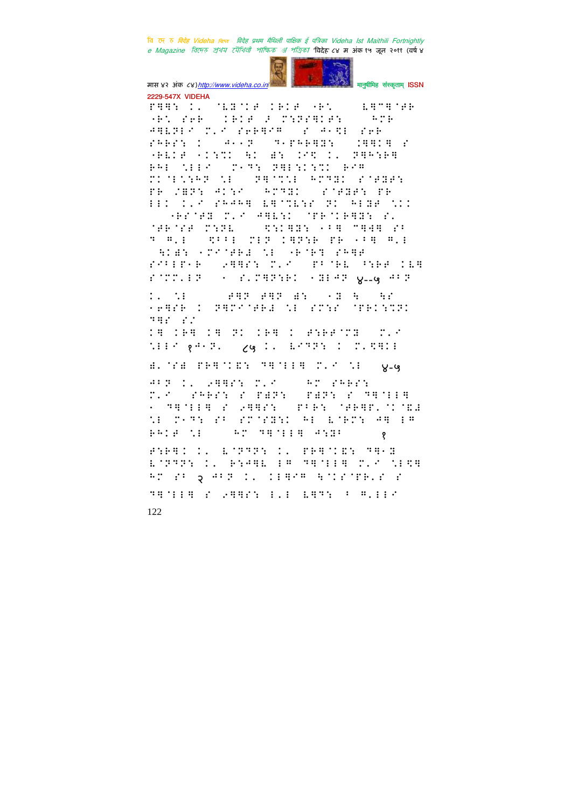मानुषीमिह संस्कृताम् ISSN मास ४२ अंक ८४) http://www.videha.co.in 2229-547X VIDEHA

TAAN IL MEDIG IBIG (B).<br>1951 Personalis Ibig (B).  $-1.474747$  $\cdots$  :  $\cdots$  $\mathcal{A} \oplus \mathcal{L} \oplus \mathcal{L} \oplus \mathcal{L} \oplus \mathcal{L} \oplus \mathcal{L} \oplus \mathcal{L} \oplus \mathcal{L} \oplus \mathcal{L} \oplus \mathcal{L} \oplus \mathcal{L} \oplus \mathcal{L} \oplus \mathcal{L} \oplus \mathcal{L} \oplus \mathcal{L} \oplus \mathcal{L} \oplus \mathcal{L} \oplus \mathcal{L} \oplus \mathcal{L} \oplus \mathcal{L} \oplus \mathcal{L} \oplus \mathcal{L} \oplus \mathcal{L} \oplus \mathcal{L} \oplus \mathcal{$ FREES I WALLEY MAPRESSED  $-19919 - 2$ HELLA FINIS AL BN 185 186 11 PAPNER PRESSERVE TVPS PRESISTING PICENTAR NE CORRONAL APPRIL PORCHA TE CHEN HINK (FINE) (FORHER TE aad ol*k gee*eg werdwar di eade<sup>2</sup>sio HENGE TO CHARLES OFFICERED BL TARITAR CAPE - STATHON FOR THEFT 20 **BURGEOUS REFERENCES AND RELEASED REFERENCE** ADEN KOMMER NEUGEMEN ZANG

FOURTH POSSESSION CONTROL PROPERTY

POSITOR COMPTER TO COMPANY SERVICES  $\mathbf{a}$  :

 $1.7.11$  $\begin{array}{cccccccccc} \#442 & \#42 & \#15 & \#16 & \cdots & \#16 & \#16 \end{array}$ 

PERMIT PROVINE IN POIRT TERINOR

782.32

MEER (886 F. L. Zogli, LAPPPE I. D. SBIE

T. A. C. PREPART PORTER CONTROL PROPERTY **PORTHER POSTERY COPEN CREATING TEA** da (1995) et estesai ea altern em al

PAPEL IN ESPARA IN THESITA AREA ECPRES IN PARTE IR REGIER TURNIER RD PF & RFB IL IERRE ROLPOTELE P **PRIMER Y SHARY EVENEMENT PUBLIC** 

BUTCH PRATIES PATENT DURING

AFRICA ARRESTS TO A CONTRACTO

 $1441.47 \pm 0.11$ 

 $122$ 

THE THAN THE PICTURE IN PARRITHMENT  $\mathbb{R}^n$ 

 $U - G$ 

ୃ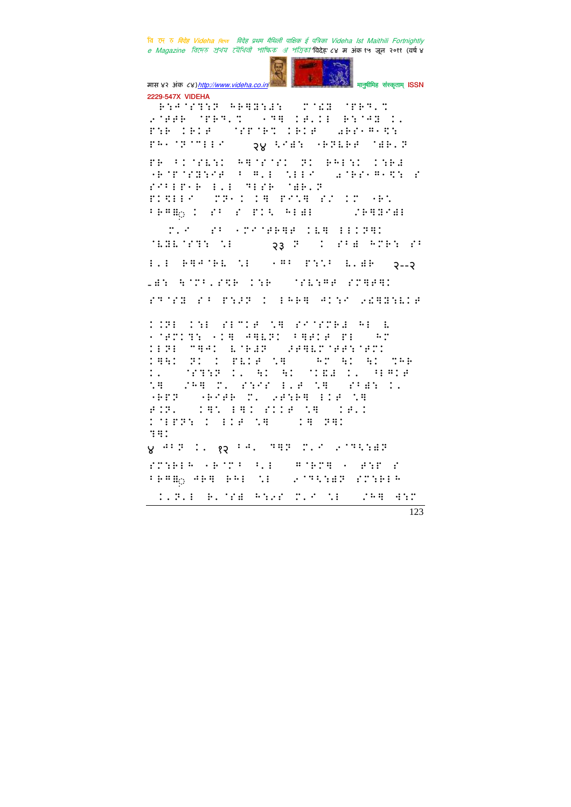मानुषीमिह संस्कृताम् ISSN मास ४२ अंक ८४) http://www.videha.co.in 2229-547X VIDEHA  $\sim$  T MH  $\sim$  TFF 7. T **FARITAR PERSIA** STRAK TERMON (PARK DROID RATHE D. FAR IRIB ( METRI IRIB ) WRECHON gy transportate maker paying the pay FRONT MENTORE MONTHS CONFINED THAT HETETERSHET FORLE MEER CONTERNED E POSITOR IN THE MENT FIREER CORPORATION FOR SACTO PER PERBOY PROPERTY REBEA T. C. (2) ATCOMPAN INA (11179) **RACE CONTRACTOR MARKER MARKET** EVER BRANBEL MESS FROM BOARD (1942) LAN ROTELERE CHE (ONENHE ETHER) FACEBOOK PAPE I BARBOAINS SEBRIED DIPE INE VETLE NE VANVEDED RE E **TERE THAT EMPLER SPANDOMANMANY DARL RI I FEDE NAME**  $-97-91-91-799$ SPEAK IS AN AN SNEW IS HOME  $\mathbb{R}$ . ARC 258 TL PARK EVEN AR SPENCE SEPRO SERBE DI SAPER ELA NE<br>Adri (den est altalia ne ciali 1 (1975) 1 (919) 58 (1980) 1981 381  $Q = 44.79 - 11.$   $Q = 4.41 - 79.79 - 11.41 - 11.413$ POSED FROM THE REAL PROPERTY RESEARCH FERRO PER ERECTE CONTRABRINGMENT COURCE BOYER RAPE DOCK AF COMPROHAD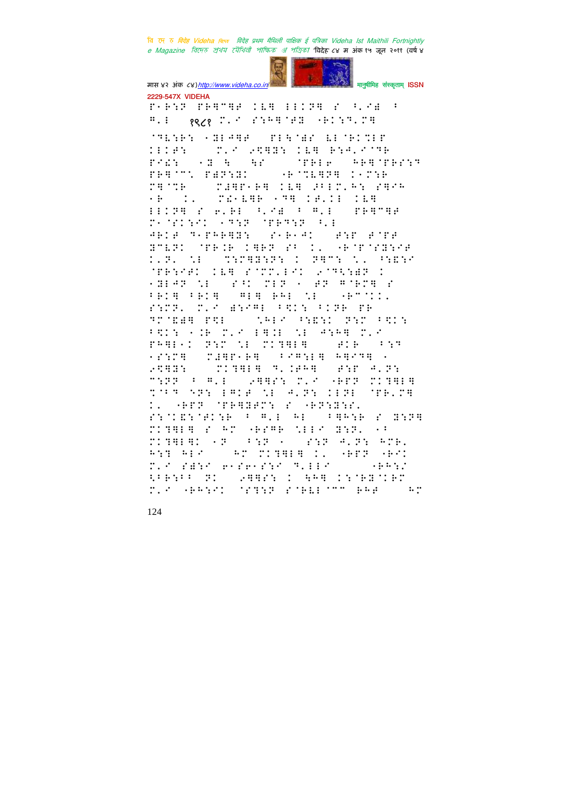मास ४२ अंक ८४)http://www.videha.co.in

2229-547X VIDEHA

मानुषीमिह संस्कृताम ISSN

P-FAR PERMIE (169) FELDR 2001-2400 **RRZR P. P. PORTHUME INFORMATE**  $\mathbf{u}$  : **TRAFT FOR PRESSURE TO A SECTION** INTERNATIONAL SERIES (INFORMATION PADE (300 B) 870  $\begin{picture}(150,10) \put(0,0){\vector(1,0){10}} \put(10,0){\vector(1,0){10}} \put(10,0){\vector(1,0){10}} \put(10,0){\vector(1,0){10}} \put(10,0){\vector(1,0){10}} \put(10,0){\vector(1,0){10}} \put(10,0){\vector(1,0){10}} \put(10,0){\vector(1,0){10}} \put(10,0){\vector(1,0){10}} \put(10,0){\vector(1,0){10}} \put(10,0){\vector(1,0){10}} \put(10,0){\vector($ FRANCO FARMAL CONFIDERATION CAPAB ini<br>1975 - Cagrieg Las Loll<br>26 - Li Corage (9g 1921) 16g<br>27 - Paragona Peg TUBER FB (168) 2517155 (2875) EECH Z F.BE S.ME F R.E. TERTHE TRINING AND INFERDED akoa markegoa (zakada) egun egre.<br>drogo grege bagea za du degregoaze 1.9. AB STATEBARA I PETA N. PARAK **TERNARI ILE ROTTLERI SOMANER I**  $\begin{array}{cccccccccc} \mathbf{0} & \mathbf{0} & \mathbf{0} & \mathbf{0} & \mathbf{0} & \mathbf{0} & \mathbf{0} & \mathbf{0} & \mathbf{0} & \mathbf{0} & \mathbf{0} & \mathbf{0} & \mathbf{0} & \mathbf{0} & \mathbf{0} & \mathbf{0} & \mathbf{0} & \mathbf{0} & \mathbf{0} & \mathbf{0} & \mathbf{0} & \mathbf{0} & \mathbf{0} & \mathbf{0} & \mathbf{0} & \mathbf{0} & \mathbf{0} & \mathbf{0} & \mathbf{0} & \mathbf{0} & \$ **FEIR FEIR** FATRIC TIME BAMBE FRINGE FIRE TH **PECHAN PRESS AREA (PEDEC PED FRIE** FRINGE IN THE BRIDGE CAN SAME THAT

PRHIST FAT AL CITEDE OF BIRS FAT  $\mathcal{L}(\mathcal{L}^{\infty}(\mathbb{R}^d)) = \mathcal{L}(\mathcal{L}^{\infty}(\mathbb{R}^d)) = \mathcal{L}(\mathcal{L}^{\infty}(\mathbb{R}^d)) = \mathcal{L}(\mathcal{L}^{\infty}(\mathbb{R}^d)) \cong$ 25935 - 213919 311259 - 258 3125 TARR FOR ESSAYERY TO COMPRESS die Sprieder in Albritan (melde

FACULACHEN FORLE AL COPENHE FORMER

Anasné (pr. 1944) i Gana (psimbolia)<br>Die Ganser (prosp. 21am (pr. ana) 195

comere a es vermentale dagl ().<br>Someres va comerciale elemente. ANN ABR (1952) DINABA IL (APP) (BRI

I. GETT TERRETY C GRIMME.

T. K. PENK BYZEVENY (F. 118)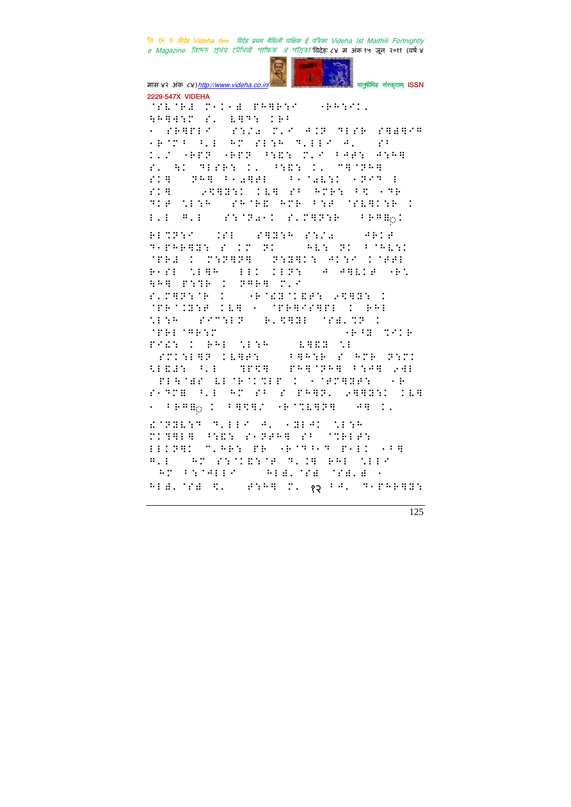मास ४२ अंक ८४) http://www.videha.co.in मानुषीमिह संस्कृताम् ISSN 2229-547X VIDEHA

 $\rightarrow$  100  $\pm$  0.1  $\pm$ MESTED TO DOES TRAFFIC ARANT P. BATH CHP  $\cdot$  (FRTF) **STATE TO CONTROLLER PERSON**  $\mathcal{L}(\mathbb{R}^{d},\mathbb{C}^{d},\mathbb{R}^{d},\mathbb{R}^{d},\mathbb{R}^{d},\mathbb{R}^{d},\mathbb{R}^{d},\mathbb{R}^{d},\mathbb{R}^{d},\mathbb{R}^{d},\mathbb{R}^{d},\mathbb{R}^{d},\mathbb{R}^{d},\mathbb{R}^{d},\mathbb{R}^{d},\mathbb{R}^{d},\mathbb{R}^{d},\mathbb{R}^{d},\mathbb{R}^{d},\mathbb{R}^{d},\mathbb{R}^{d},\mathbb{R}^{d},\mathbb{R}^{d},\mathbb{R}^{$ 2 GETS GETS SYEN T.P PAPN ANAB FL RD PEFFECT (PART IL PROPER FIRE PREPARABLE CARDINARY PROFIL  $\pm 1.4$  . TO BUILDING CONTROL PICE OF SPUTTERED OF EVENTUAL CONSTRUCT ON THROBAL PERMISS

FICENCI (MI) (PHONE PACA)  $\rightarrow$  444  $\pm$  445 REPARENT CONTROL PAST POINTMENT **TERA I TAPAPA (PABALA PLAY LIPH) B** (21 / 11 / 12 / 11 / 11 / 11 / 21 / 12 / 12 / 12 / 12 / 12 / 12 / 12 / 12 / 12 / 12 / 12 / 12 / 1 **A** Anile Orl 555 FY16 1 PRES 2.7 PUTHEN THAT A CAR TENATION AND ARREST TERSIONALISE KONFERNANTE I RAE MENS PROVINCE PLANNED MELINE I.  $-14.32 - 17.14$ TEBE TREST PACE I PRESIDENT  $\frac{1}{2}$  :  $\frac{1}{2}$  :  $\frac{1}{2}$  :  $\frac{1}{2}$  :  $\frac{1}{2}$  :  $\frac{1}{2}$ VOIDALAS ILAAS (1984) PORTUGUES AFEAN ALE (MERRY PARTIAR FNAR 241 THE MEN LEADER TO HE AND MEDICAL COOKS PARTH R. E. RT PROP PRESS, 299351 118  $\begin{minipage}{0.9\linewidth} \begin{tabular}{l} \multicolumn{2}{c}{\textbf{\textit{a}}}\\ \multicolumn{2}{c}{\textbf{\textit{b}}}\\ \multicolumn{2}{c}{\textbf{\textit{c}}}\\ \multicolumn{2}{c}{\textbf{\textit{c}}}\\ \multicolumn{2}{c}{\textbf{\textit{c}}}\\ \multicolumn{2}{c}{\textbf{\textit{c}}}\\ \multicolumn{2}{c}{\textbf{\textit{c}}}\\ \multicolumn{2}{c}{\textbf{\textit{c}}}\\ \multicolumn{2}{c}{\textbf{\textit{c}}}\\ \multicolumn{2}{c}{\textbf{\textit{c}}}\\ \multicolumn{2}{c}{$ 

ESPEEDS SLEEP AL VEEAD NEDR CONTRACTORS CONTRACTOR CONTRACT EFIRED TURNS PROGRAM TO PART ARE <sup>1</sup>er andenje svije eel veek  $\mathbf{H}$  ,  $\mathbf{H}$  $\langle \Phi T \rangle \langle \Phi \rangle \langle \Phi T \Phi T \Phi \rangle = - \langle \Phi T \Phi \rangle \langle \langle T \Phi \Phi \rangle \langle \langle T \Phi T \Phi \rangle \Phi \rangle \langle \Phi \rangle$ PEEL TEE RU COPARE DU go FRU PRIPREES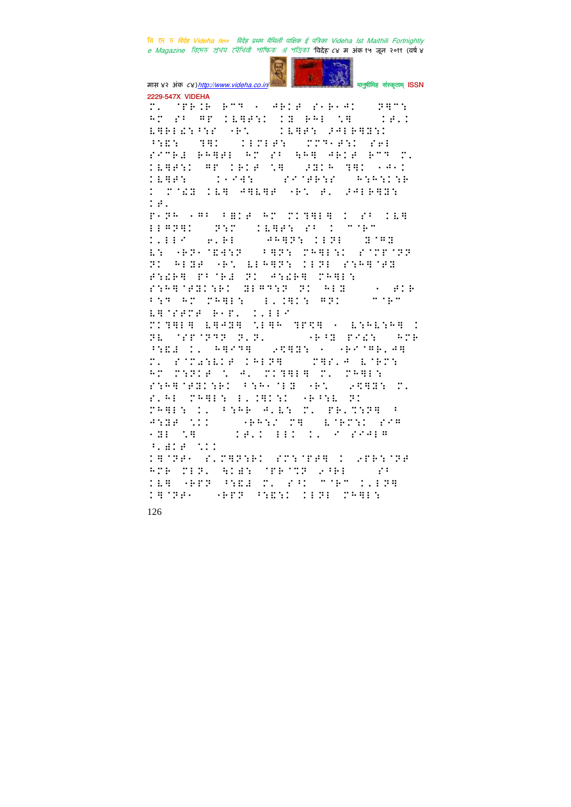#### मानुषीमिह संस्कृताम ISSN मास ४२ अंक ८४)http://www.videha.co.in 2229-547X VIDEHA

T. TERIR RTT ( "REIR P(R) 41  $7.3473$ SPECTFULLERS CONTRACTOR CONST  $\ddots$  : LAFIN'S MANUSCRIPT CONTRACTOR PARA THIS INTERNATIONAL PAR remed esquiser re segueirire empor. TERPIT RESERVED ARTHORES (PR) TEACH CONFACT CONTACTS CONTACT 1 2 2020 1458 994599 (951-941-9941991)  $1.41$ P-28 (F#) FB18 82 213818 1 23 168 FERRIC PAC CERES PRODUCTS TUEFS PLEE  $-44475$  (1978) 200702 EN GERKIERNE (FARN CRAFN) KICKIR PD PERF (PR) LEPHPY CEPE PYPHONE FILES PROFILED FILES THES FARBINED BEFFAR BO REBOT  $\cdots$  #14

 $\cdots$  ,  $\cdots$ FAR RESPONDED (11, 1915) 891 LEASTE BOTH LOOPER

**219818 AR-38 NIRE 9FC8 + ANHANA C** PEC TERMINE PLP. CONTRACT PRESS TRIP PARI () PROTE CONTROL (POSTEDIE) D. Prodatane neighbor of the Analysis AT TARDE CORPORATE TO TABLE FARBINED FAR MED HE SPEED TO F. RECORRENCE, 19131 (CRENECO) TREES IN FARR RULES TO TRUTHTHE R ANDEL MILLER (APPNOIDE ) ESPENDI VOR TELL BED IL 20 PAREM  $\begin{array}{cccccc} \bullet & \mathbf{H} & \mathbf{H} & \mathbf{H} & \mathbf{H} & \mathbf{H} & \mathbf{H} & \mathbf{H} & \mathbf{H} & \mathbf{H} & \mathbf{H} & \mathbf{H} & \mathbf{H} & \mathbf{H} & \mathbf{H} & \mathbf{H} & \mathbf{H} & \mathbf{H} & \mathbf{H} & \mathbf{H} & \mathbf{H} & \mathbf{H} & \mathbf{H} & \mathbf{H} & \mathbf{H} & \mathbf{H} & \mathbf{H} & \mathbf{H} & \mathbf{H} & \mathbf{H} & \mathbf{H}$ 3.819 ND1 THORE POINTS PROPERTY AND THE CONFERENCE

POR CEP. RIBS OFFICE 2001 - 20 ile (Apro Sard Client Miles Libe<br>1970au - Apro Sarat (1961 Chefs)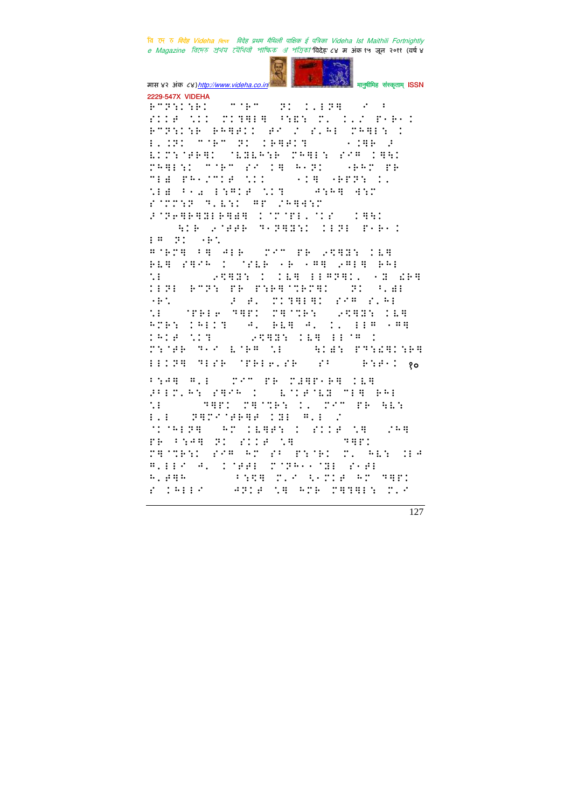FARE RIE (TVT TE TIMP-EM ILM PRINCIPAL PROPERTY CONTROLLED TERRITORY  $-$  7981 - 297385 - 11 - 237 - 288 - 585  $\mathbb{Z}^2$  .  $\mathbf{i}$ .  $\mathbf{i}$ TO THE PHOTOGRAPH COLLECTER CONTINUES.  $7.44$ PROFESSION COOP NEWS CONTRACT THITESI PAR RT PROPERDOT, RESOURC P.E.C. P. LINEE CORPORATE SAFE 

 $19.91 - 11.$ **A METAL PART AREA CONTROLLED CARDS CAR** BERTZARAK (1778ER) KRT KAR SARIA (BA) March 1997 TERE ENRY TE TYPENNED (RICH) AL  $\mathcal{L} = \mathcal{L} \cdot \mathcal{L} + \mathcal{L} \cdot \mathcal{L} \cdot \mathcal{L} + \mathcal{L} \cdot \mathcal{L} + \mathcal{L} \cdot \mathcal{L} + \mathcal{L} \cdot \mathcal{L} + \mathcal{L}$  $\cdot \vdots$  . ME STEED PRESSTRINGEN SPREED LER **ATEN IREIN (P. BER P. I. EER) (PR** IRIA NING CANADIA ILA BENACI TACHE SON ECHS ARE CONTROL FORESTS HIDROTHER TENNISH (2)  $\therefore$   $\therefore$   $\therefore$   $\therefore$   $\aleph$ o

2229-547X VIDEHA  $\cdots$  ,  $\cdots$  ,  $\cdots$  $\mathbb{P} \left( \begin{array}{ccc} 1 & 0 & 0 \\ 0 & 1 & 0 \\ 0 & 0 & 0 \end{array} \right) = \mathbb{P} \left( \begin{array}{ccc} 0 & 0 & 0 \\ 0 & 0 & 0 \\ 0 & 0 & 0 \\ 0 & 0 & 0 \end{array} \right) = \mathbb{P} \left( \begin{array}{ccc} 0 & 0 & 0 \\ 0 & 0 & 0 \\ 0 & 0 & 0 \\ 0 & 0 & 0 \end{array} \right) = \mathbb{P} \left( \begin{array}{ccc} 0 & 0 & 0 \\ 0 & 0 & 0 \\ 0 & 0 & 0 \\ 0 & 0 &$ **FORSINE**  $\ddot{\phantom{1}}$ FOOR NOT TOMBER PARA TO CONTRARY I BTPAINE BRANCI AP 2 PLAI TRAIN I EVIDI TAPT DI IPHELI (1988) P <u>11757abad - Midisab Chain, 2007 iad</u> TREES TORT PACIE RATIO (PRT) TR TEE PROVING NIME SOME SPEED IN MEETHA ENRIK MIN (1958) AND FOURSE SLEED HE ZHHAND 2786969316949 (CTCTELTIE) (1951 ADE STAAR PROMINISTED PRESS

ति एप रु विदेह Videha बिलर विदेह प्रथम मैथिली पाक्षिक ई पत्रिका Videha Ist Maithili Fortnightly e Magazine রিদেহ প্রথম মৌথিনী পাক্ষিক *প্র পত্রিকা* 'विदेह' ८४ म अंक १५ जून २०११ (वर्ष ४

मास ४२ अंक ८४) http://www.videha.co.in

मानुषीमिह संस्कृताम ISSN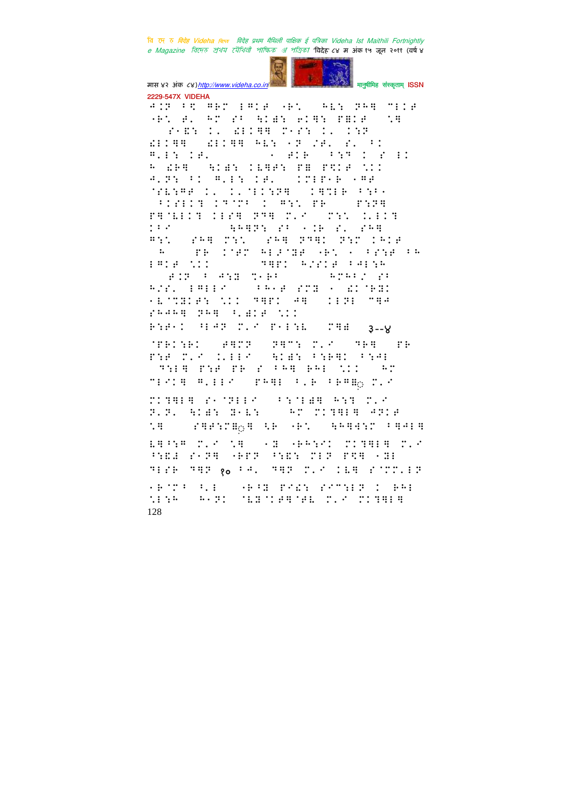# मानुषीमिह संस्कृताम् ISSN मास ४२ अंक ८४) http://www.videha.co.in 2229-547X VIDEHA

AND PE RED ERDE (PEN) PEN DRA MEDE an al eman Grandermonada (de  $\begin{minipage}{.4\linewidth} \begin{tabular}{l} \hline \multicolumn{3}{c}{\textbf{1}} & \multicolumn{3}{c}{\textbf{2}} & \multicolumn{3}{c}{\textbf{3}} & \multicolumn{3}{c}{\textbf{4}} & \multicolumn{3}{c}{\textbf{5}} & \multicolumn{3}{c}{\textbf{6}} & \multicolumn{3}{c}{\textbf{7}} & \multicolumn{3}{c}{\textbf{8}} & \multicolumn{3}{c}{\textbf{9}} & \multicolumn{3}{c}{\textbf{1}} & \multicolumn{3}{c}{\textbf{1}} & \multicolumn{3}{c}{\textbf{1}} & \multicolumn{$ EFIRE CELLER RESOURCES FLORIDA PLEN CBL COLLEGE BIBLIOTING ED **ROBBS RIBY INNER PROFINIT** H.P. FI R.E. TE. (ITEP-E - RE SEARE IS ISSUED ARE STRUCK FARE Algira restaura de l'anguera de la propo-PROBLEM LEVEL PRESS. T.P. TANK LEDGE 1980 - 1980 BREDG PROVINCING PRE #55 PARTNERS PARTNERS PER CADE  $\sim 10^{11}$  km  $^{-1}$ TER CORPORED MEN ART PORCH PR 1919 111 ROBOTHER CONFERENCE PORTHER PERMITTEN NII MARI AA <sup>7</sup> 1120 MAA PRARE PRESS. BIB 511

PARKING HOPE TO COPYRIGHT OTHER  $3 - Y$ 

STERDARD (1982) 2873 2015 1988 1988<br>Eagle 2016 10881 1989 1988 1989 1989 THE THE TEACHER ERECTION FO TESTA ALEES (PAAL FLECHEND TIS

PINHER POINTER CONSTRUER RAN PLA F.F. ACBY B-EY ( AT TIMBE 9718 **CONFIDENTIAL ARTICLES AND ARTICLE AND A** 1.用一个

ERPER TURNING OVER HERBERT TIMES TUR FABUR 2979 (HPP) FABA 217 PR9 931 TESH THE 80 FR. THE TURN LEB SATTLEF

PECTA ALE CORPAR PART PATTER I BAE trak (k.g. manjerne, n.g. njere 128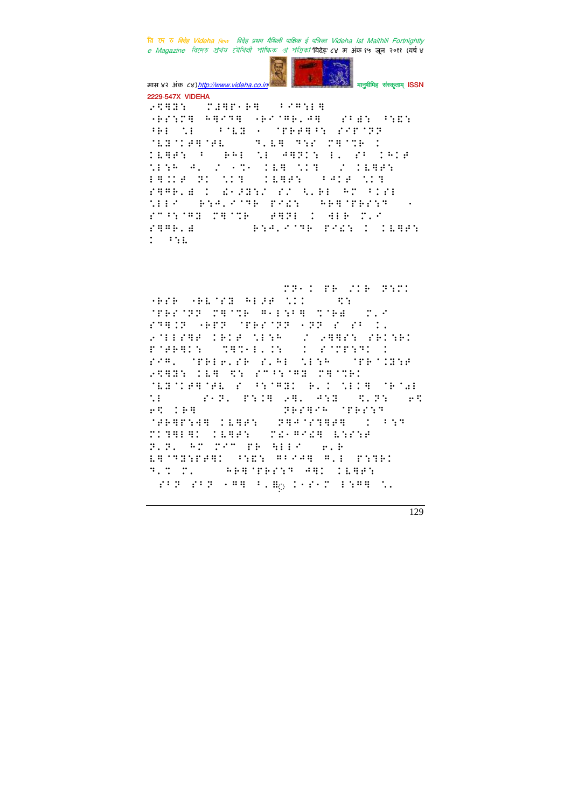मानुषीमिह संस्कृताम् ISSN मास ४२ अंक ८४) http://www.videha.co.in 2229-547X VIDEHA

 $\cdots$  and  $\cdots$ **PERMIT PROPERTY**  $\left\{ \begin{array}{rclcr} \left\{ \begin{array}{rcl} \begin{array}{rcl} \begin{array}{rcl} \begin{array}{rcl} \begin{array}{rcl} \end{array} & \begin{array}{rcl} \end{array} & \begin{array}{rcl} \end{array} & \begin{array}{rcl} \end{array} & \begin{array}{rcl} \end{array} & \begin{array}{rcl} \end{array} & \begin{array}{rcl} \end{array} & \begin{array}{rcl} \end{array} & \begin{array}{rcl} \end{array} & \begin{array}{rcl} \end{array} & \begin{array}{rcl} \end{array} & \begin{array}{rcl} \end{array} & \begin{$ HE ALL FALL COMPERED FOR THE MEDICARMAE (1982) REPORT OF MELTING TERRY FOORES NE PROTY ELONE INTR  $\begin{aligned} \n\text{MSE} &\quad \text{MSE} &\quad \text{MSE} &\quad \text{MSE} &\quad \text{MSE} &\quad \text{MSE} &\quad \text{MSE} &\quad \text{MSE} \end{aligned}$  $11.991$ FRIDA PLONIC CLARA CORPORATO FURNISH I GARDEN FRONT REPORT FOR lige i Senele Mercene (See Mercene) POSTER CROSS PRESS PRESS  $\pm 54.7796$  PART ( ) (E989) PRAGUAL CO  $1 - 351$ 

TRACK THE STORE ROOT HER HEATS REPRODUCT  $\mathbb{R}^{n}$ TERMINE METTE PRINSE STEEL  $\mathbb{R}^n$ . KTRIP (FRP) TERRIPP (FPP) K KP (1) SCHOOL CAR CONTROLS ON THE CONT TESTIVARITAE VALITAITROS ALI DISPONSIMAS  $\ddot{\mathbf{u}}$  $\mathcal{L}^{\mathcal{L}}(\mathcal{L}^{\mathcal{L}}(\mathcal{L}^{\mathcal{L}}(\mathcal{L}^{\mathcal{L}}(\mathcal{L}^{\mathcal{L}}(\mathcal{L}^{\mathcal{L}}(\mathcal{L}^{\mathcal{L}}(\mathcal{L}^{\mathcal{L}}(\mathcal{L}^{\mathcal{L}}(\mathcal{L}^{\mathcal{L}}(\mathcal{L}^{\mathcal{L}}(\mathcal{L}^{\mathcal{L}}(\mathcal{L}^{\mathcal{L}}(\mathcal{L}^{\mathcal{L}}(\mathcal{L}^{\mathcal{L}}(\mathcal{L}^{\mathcal{L}}(\mathcal{L}^{\mathcal{L$  $\mathbb{R}^n$ SHIRE SPECIE PR 1980 TINHERD CENTER CONFIGHE ENTIR  $\mathbb{P}_2, \mathbb{P}_3, \ldots, \mathbb{P}_4$  ,  $\mathbb{P}_4$  ,  $\mathbb{P}_5$  ,  $\mathbb{P}_6$  ,  $\mathbb{P}_6$  ,  $\mathbb{P}_7$  ,  $\mathbb{P}_8$  ,  $\mathbb{P}_7$ LA CRISTEAL COSTLE AND ANN ALL CISTED  $\mathcal{V}_\sigma(\mathcal{V}_\sigma(\mathcal{V}_\sigma))$ THE THE FAR PLAN IST IN THE AL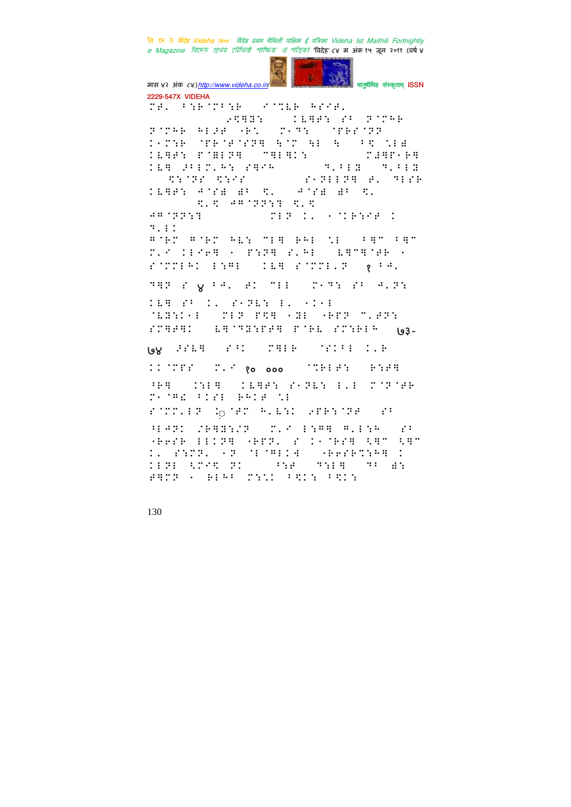e Magazine রিদেহ প্রথম মৌথিনী পাক্ষিক *প্র পত্রিকা* 'विदेह' ८४ म अंक ९५ जून २०११ (वर्ष ४ मानुषीमिह संस्कृताम् ISSN मास ४२ अंक ८४) http://www.videha.co.in 2229-547X VIDEHA TEL FARITEAR CONTERCHEOR. INTER TERMEMENT AND ALCOHOLISE TEACH POBLEAU (MALADA ) ( MODELEA inalis (m. 1955)<br>168 - Angeland Parang (m. 1958)<br>1905 - Angeland College, marian ang mangalang (m. 1967) i sange saeel in ergebied.<br>Ibser ener er so ener er so  $\left( \begin{array}{ccc} \eta_{\alpha\beta} & \eta_{\beta\beta} & \eta_{\beta\beta} & \eta_{\beta\beta} & \eta_{\beta\beta} & \eta_{\beta\beta} \\ \eta_{\alpha\beta} & \eta_{\beta\beta} & \eta_{\beta\beta} & \eta_{\beta\beta} & \eta_{\beta\beta} & \eta_{\beta\beta} \end{array} \right)$  $48.1333333$ **THE IN A MERSE I**  $7.11$ # 1970 # 1970 # EN (719) 999 (991) 1987 # BT D. K. 11 KAR (K. 1598) P. R. (C. 1878) PARTY HAR 2 QUART AD TEE CONTROL AT ALCA TERNIK I. PORTER BL (1919)  $\mathbf{11.2} \mathbf{11.3} \mathbf{1.4} \mathbf{1.5} \mathbf{1.7} \mathbf{1.7} \mathbf{1.7} \mathbf{1.7} \mathbf{1.7} \mathbf{1.7} \mathbf{1.7} \mathbf{1.7} \mathbf{1.7} \mathbf{1.7} \mathbf{1.7} \mathbf{1.7} \mathbf{1.7} \mathbf{1.7} \mathbf{1.7} \mathbf{1.7} \mathbf{1.7} \mathbf{1.7} \mathbf{1.7} \mathbf{1.7} \mathbf{1.7} \mathbf{1.7} \mathbf{1.7} \math$ FOREST LATTESTER PIEL FOSEER (93-68 APLA RIC CARE CONTROLLE INSTERN T.P go ooo (TEEPN) PAPE FRAUD INTERNATIONAL PROPERTY IN THE CONTROL TACHE FIEL BRIE NE ROTTLED OG NET PLEND VERNOTE ( RF HEARD ZEABNING (218) ENAMA ALENA (23 HERE BEICH HERE, I LATER AND AND IL PATRO (FROM THILE) (FREEDING) TERE ATAC RICE SAME STAFF CORPORA FUTURE ACCEPTANCE TRANSPORTATION

ति एप रु विदेह Videha बिलर विदेह प्रथम मैथिली पाक्षिक ई पत्रिका Videha Ist Maithili Fortnightly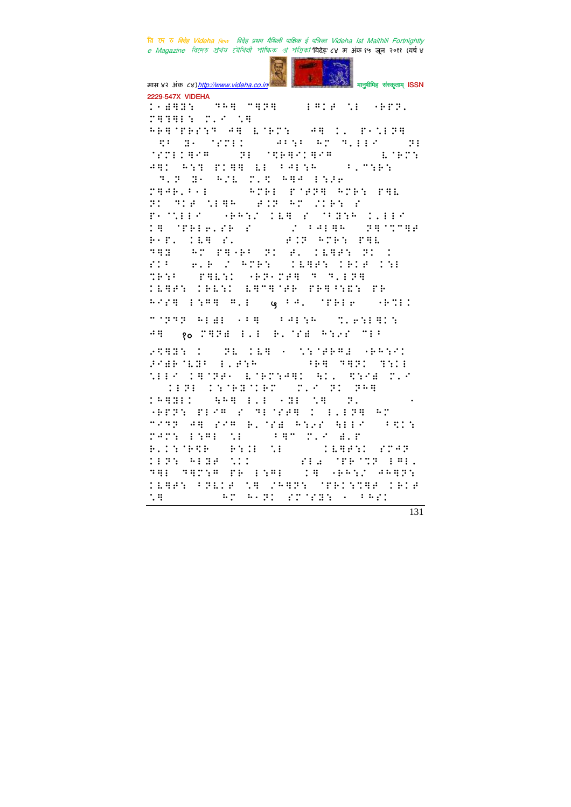## मानुषीमिह संस्कृताम ISSN मास ४२ अंक ८४)http://www.videha.co.in 2229-547X VIDEHA

 $1 + 4444$   $5 - 444$   $74474$ THIS AT SEPT. PARAGE PLATIN

PERMITENTARY RELEASED PROJECT PROPER  $\mathbf{E}$  and  $\mathbf{E}$  are associated by  $\mathbf{E}$  $\begin{array}{cccccccccccccc} \mathbf{0} & \mathbf{0} & \mathbf{1} & \mathbf{1} & \mathbf{1} & \mathbf{1} & \mathbf{1} & \mathbf{1} & \mathbf{1} & \mathbf{1} & \mathbf{1} & \mathbf{1} & \mathbf{1} & \mathbf{1} & \mathbf{1} & \mathbf{1} & \mathbf{1} & \mathbf{1} & \mathbf{1} & \mathbf{1} & \mathbf{1} & \mathbf{1} & \mathbf{1} & \mathbf{1} & \mathbf{1} & \mathbf{1} & \mathbf{1} & \mathbf{1} & \mathbf{1} & \mathbf{1} &$ SETELBAR (1981) STERRIBAR (1991) ESPECI AND ANN PINN ALL FALNA (1982) MARY THAP, FAIL 1  $-5791$   $-17979$   $-5795$   $-191$ BI TIE NEBEL EID ET ZIEN F EXIMALS CONFERENCES OF BRACILERS 19 (1861), 26 (2) (1962), 1963, 1961, 1962<br>6 (8) 169 (2) (1962), 1963, 1976, 1986 **SAT PROPERTY CONSTRUCTS**  $3.431$ **Select ATES (1698) IRIB INE**  $\mathcal{L}^{(1,1)}$  . TRIP (FREST (FR) THR 7 7.178 TEACH TEEN LATATE GE PEACHEN PE 

TOPE RIBE FRED FRIGHT TURNERLY HR 80 SRPH E.E. B. ME PAPE TER

**THE LEW RECEPTED REPAIR** 25935 1 37887638 E. #58 (2003) 988 7891 751E tila (ferda) informati and shake bus CONFIDENTIAL CONTINUES. **IPRODUCT APRILED FOR SPECIES**  $\left\{ \frac{1}{2} \right\}$  ,  $\left\{ \frac{1}{2} \right\}$  ,  $\left\{ \frac{1}{2} \right\}$  ,  $\left\{ \frac{1}{2} \right\}$  ,  $\left\{ \frac{1}{2} \right\}$  ,  $\left\{ \frac{1}{2} \right\}$  ,  $\left\{ \frac{1}{2} \right\}$  ,  $\left\{ \frac{1}{2} \right\}$  ,  $\left\{ \frac{1}{2} \right\}$  ,  $\left\{ \frac{1}{2} \right\}$  ,  $\left\{ \frac{1}{2} \right\}$  , TATE AB YAR BUYYE RAYY BEEA (FRIN DATA ENRICAL COSTENCIOUS BLP BICATERE PATH NE - CERPAC PORP **TERN PERFORM CONTROL** ndi adlam be fami (1d. (ees) sedas TEACH FREDE NA VAART COPEDITATE DEDE  $\ddot{u}$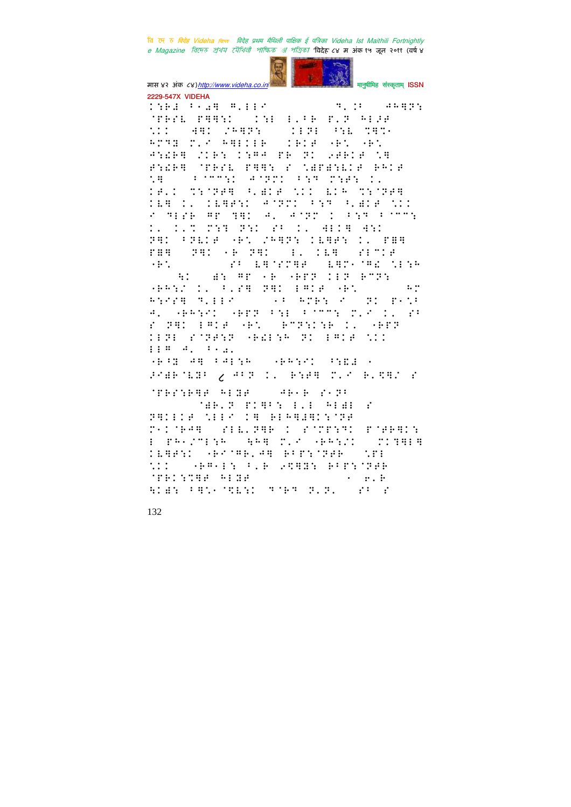## मास ४२ अंक ८४) http://www.videha.co.in 2229-547X VIDEHA

मानुषीमिह संस्कृताम ISSN

1584 F.A. # #1117  $\mathcal{H}_\text{c}$  , and  $\mathcal{H}_\text{c}$  $\ldots$  and  $\mu$  is a set of  $\mu$ TERRI ENNIS (1918) ELFR ELF PERP MICHAEL ZREPERT (1898) PERSONER ATTENTIVA ABECER (1919) (951) (951) ANDRE CIRN INFA PROPIOSENTE NE PACER TEECH FRAN C NOFOALLE ERLE  $\begin{minipage}{0.9\linewidth} \begin{tabular}{l} \hline \multicolumn{3}{c}{\textbf{0.9\linewidth}} \end{tabular} \end{minipage} \begin{minipage}{0.9\linewidth} \begin{tabular}{l} \hline \multicolumn{3}{c}{\textbf{0.9\linewidth}} \end{tabular} \end{minipage} \begin{minipage}{0.9\linewidth} \begin{tabular}{l} \hline \multicolumn{3}{c}{\textbf{0.9\linewidth}} \end{tabular} \end{minipage} \begin{minipage}{0.9\linewidth} \begin{tabular}{l} \hline \multicolumn{3}{c}{\textbf{0.9\linewidth}} \end{tabular} \end{$ 1. 推广 TELI TEMPER PLAIR NII AIR TEMPER TERCIL IERRAL PORTLOPAR PLACE NIC s mare en mai su Sangri i Christiani :. :.: ram par an :. grim gar PHI FPECH HPL CRAPS CEAPS CL PAR FBR (PRI) (B) PRI) (EL ILR) (FETIF  $\begin{minipage}{.4\linewidth} \begin{tabular}{l} \hline \begin{tabular}{l} \hline \begin{tabular}{l} \hline \begin{tabular}{l} \hline \begin{tabular}{l} \hline \begin{tabular}{l} \hline \begin{tabular}{l} \hline \begin{tabular}{l} \hline \begin{tabular}{l} \hline \begin{tabular}{l} \hline \begin{tabular}{l} \hline \begin{tabular}{l} \hline \end{tabular} \end{tabular} \end{tabular} \end{tabular} \end{tabular} \end{tabular} \end{tabular} \end{minipage} \end{minipage} \end{minipage} \end{minipage} \end{minipage$  $\cdot \vdash$  . **ALCOHOL: PECHANICAPES ILES ATSIL** HERMAN IS FIRST PRINTING (FOR  $\mathbf{L}$   $\mathbf{r}$ angele Riese (1999) ar aren go de dese AL SERNAI SEPROPNE POTTNOTLA IL 28 FURNISHER SEVIL ENFINITE IN SEPT 1171 277837 (FED38 71 1818 31)

 $\left\{ \begin{array}{ccc} 1 & 0 & 0 \\ 0 & 0 & 1 \end{array} \right\}$  ,  $\left\{ \begin{array}{ccc} 1 & 0 & 0 \\ 0 & 0 & 1 \end{array} \right\}$ PABENDEN / PER IL PAPE TUA PURPU E

MPECHANGER COMPARISON

MARIN PIRES ELE REAL F PRINTE NILK IR BIPRERINTER DVD (BAN) ( PERLONE ( ) PODDANI ( POBRELA E PROVINCE GRAND TO CORRECT CONTRES TERRITORY MEASURE REPAIRED ONE MICH SEPTEMBER 2008 2008 EFFECTER **MELINIA PERSONAL**  $\langle\cdot\rangle$  , in Fig. ADAPTERS MEND STREET BURG TARE A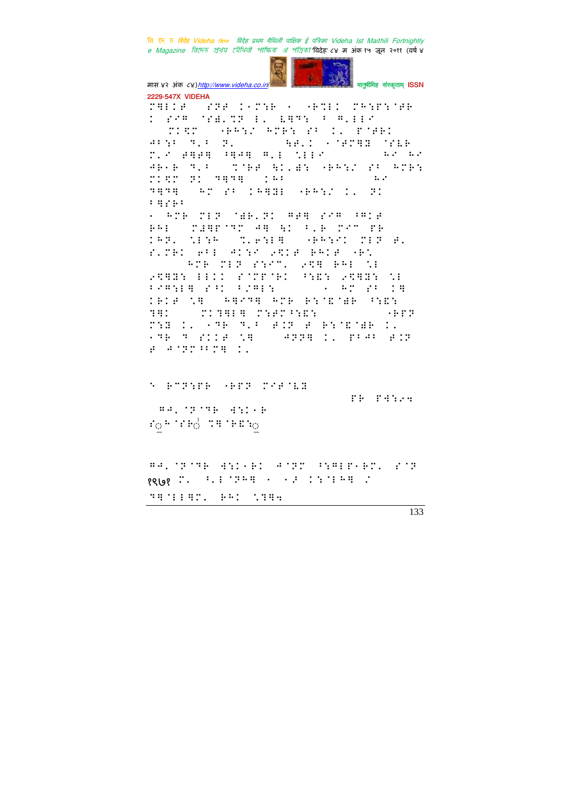मानुषीमिह संस्कृताम् ISSN मास ४२ अंक ८४) http://www.videha.co.in 2229-547X VIDEHA THEIR STREETS THE SUSPICES TRAPA MER  $\mathbb{E} \left[ \begin{array}{cccccccccc} \mathbb{E} \left( \mathcal{L} \mathcal{H} \right) & \mathbb{E} \left( \mathcal{L} \mathcal{H} \right) & \mathbb{E} \left( \mathcal{L} \right) & \mathbb{E} \left( \mathcal{H} \mathcal{H} \right) & \mathbb{E} \left( \mathcal{H} \right) & \mathbb{E} \left( \mathcal{H} \right) \mathbb{E} \left( \mathcal{L} \right) \\ \mathbb{E} \left( \mathcal{L} \mathcal{H} \right) & \mathbb{E} \left( \mathcal{H} \right) & \mathbb{E} \left$ TIRT (FRANK RTBA PRODUCT) BOBBI **APAPT MUST BUSINESS AND A MONEY CONSERVATION**  $\mathbb{P}^1_{\mathcal{A}}(\mathcal{A}) = \frac{1}{2} \mathbb{P}^1_{\mathcal{A}} \mathbb{P}^1_{\mathcal{A}} = \frac{1}{2} \mathbb{P}^1_{\mathcal{A}} \mathbb{P}^1_{\mathcal{A}} = \frac{1}{2} \mathbb{P}^1_{\mathcal{A}} \mathbb{P}^1_{\mathcal{A}} = \frac{1}{2} \mathbb{P}^1_{\mathcal{A}} \mathbb{P}^1_{\mathcal{A}} = \frac{1}{2} \mathbb{P}^1_{\mathcal{A}} \mathbb{P}^1_{\mathcal{A}} = \frac{1}{2} \$  $\sim 1.15 \times 10^{11}$ ABVE SUPER THE BILBY (PRYZ 25 PIPE) **PIRE PI PRESS (PRE**  $\cdots$ **FRFR PRINT STATES (PRINT CONTROL)**  $\pm$  473.6  $\pm$  $\lambda$  (RTB) TERS MERITI (RPB) PARS PRIP PRICE TOWER TRIT AND ALL SUB-STATE TR TRES NEAR COLLEGE COMPANY TERCH. PLOBO ARE ADNOVADOR BADA (ARN) PTP TER PARTL 255 PPE NE PUBLIC PRINT AND THE POST PUBLIC OF FRAME PART FOREST CONTRACTOR ON IPIR NA "PARTA PIP PITETER" PIEN 381  $\begin{minipage}{0.9\linewidth} \begin{tabular}{l} \hline \multicolumn{3}{c}{\textbf{\textbf{1}}}\\ \hline \multicolumn{3}{c}{\textbf{\textbf{2}}}\\ \hline \multicolumn{3}{c}{\textbf{\textbf{2}}}\\ \hline \multicolumn{3}{c}{\textbf{\textbf{2}}}\\ \hline \multicolumn{3}{c}{\textbf{\textbf{3}}}\\ \hline \multicolumn{3}{c}{\textbf{\textbf{4}}}\\ \hline \multicolumn{3}{c}{\textbf{\textbf{5}}} \end{tabular} \end{minipage} \begin{minipage}{0.9\linewidth} \begin{tabular}{l} \hline \multicolumn{3}{c}{$  $-0.0001$ THE IN APPORTMENT WORKER TENDS PRESS 2008 NB = 9228 11 PER 912  $\begin{array}{cccccccccc} \mathbf{0} & \mathbf{0} & \mathbf{0} & \mathbf{1} & \mathbf{1} & \mathbf{1} & \mathbf{1} & \mathbf{1} & \mathbf{1} & \mathbf{1} & \mathbf{1} & \mathbf{1} & \mathbf{1} & \mathbf{1} & \mathbf{1} & \mathbf{1} & \mathbf{1} & \mathbf{1} & \mathbf{1} & \mathbf{1} & \mathbf{1} & \mathbf{1} & \mathbf{1} & \mathbf{1} & \mathbf{1} & \mathbf{1} & \mathbf{1} & \mathbf{1} & \mathbf{1} & \mathbf{1} & \$ **NORTHERN HER TARIES** TE PANSA

rohime de recepe

##2007#60451+810#100095#FFFFFF20210 88198 T. F. E. TRANS A SAN LINEAR OF

**THILLEY, PRI 17884**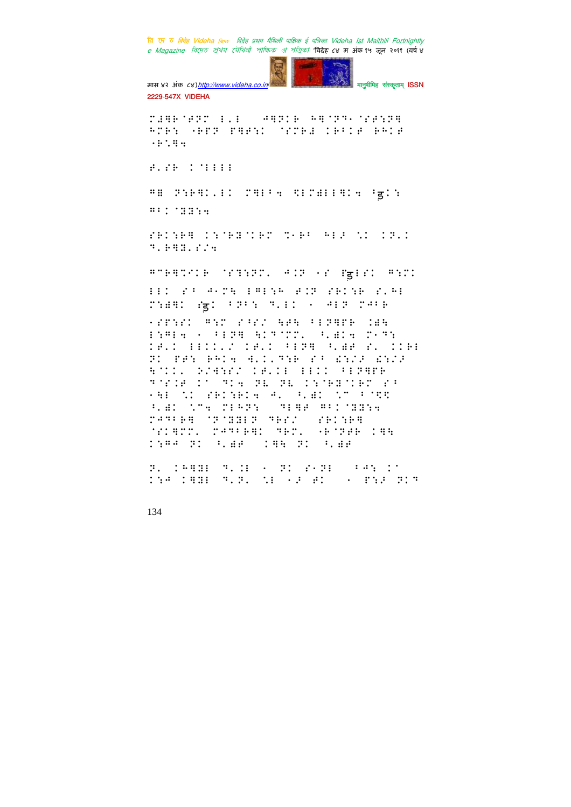मानुषीमिह संस्कृताम् ISSN मास ४२ अंक ८४) http://www.videha.co.in 2229-547X VIDEHA

ATEN (FETR PHEN) SETER CEPTE EACH  $-1.5.94$ 

**BUSH CONFIRM** 

PE PARTIEL CHEFA SECAEEUA Fgla ##1 13359

FRIGHT IS GRIDED OVER THE SOLUTION  $7.993.774$ 

ROBRICIB CONSPICION IPORTUNE PERCEPTION EEC 23 AV25 EMENA FIR 2BLNB 2191 THERE EST FROM THE SOMEROUSER

KYPAYI PAT YAPI APA ALPREE IBA ENREA (P. FEDR. ALBIOTIC. CRIMINALISM 19.1 BEILIN DALL FERR FLAR YN 1188 PI PAN PRIN HUIUPNE PP RNIZ RNIZ andi Grash Ialis sol Gomma<br>Ship Colora ma Salah Islam PARTICLE PROVINCE ALL SUBDICATION TRE 1988 FL FLEE (188 FL FLEE

 $\mathbb{P}_\infty = \mathbb{E}[\mathbb{P} \oplus \mathbb{E} \mathbb{E}[\mathbb{P} \oplus \mathbb{P}, \mathbb{E} \mathbb{E}[\mathbb{P} \oplus \mathbb{P}, \mathbb{P} \mathbb{E} \oplus \mathbb{P}, \mathbb{P} \mathbb{E} \oplus \mathbb{E} \mathbb{E}]$  $\sim 3.4\,\mathrm{Mpc}^{-1.4}$ 154 1988 M.B. ME FRONT FOR BY MIT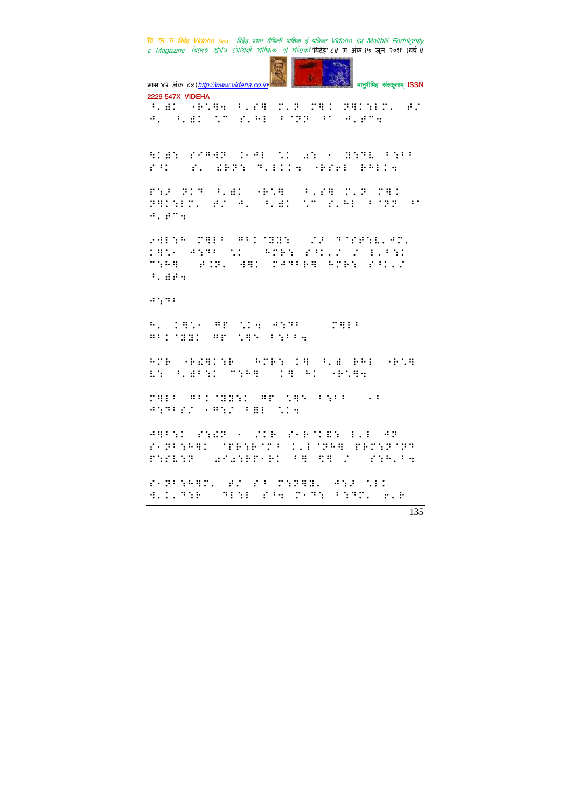**The County of County** 

|  |                  | मास ४२ अंक ८४) http://www.videha.co.in |  | मानुषीमिह संस्कृताम् <b>ISSN</b>                                                                                                                                                                                                                                                                                                                                                                                                                                                                                                                                                                                   |  |
|--|------------------|----------------------------------------|--|--------------------------------------------------------------------------------------------------------------------------------------------------------------------------------------------------------------------------------------------------------------------------------------------------------------------------------------------------------------------------------------------------------------------------------------------------------------------------------------------------------------------------------------------------------------------------------------------------------------------|--|
|  | 2229-547X VIDEHA |                                        |  |                                                                                                                                                                                                                                                                                                                                                                                                                                                                                                                                                                                                                    |  |
|  |                  |                                        |  | <b>Star Sever Free Crip Cert Person, ed</b>                                                                                                                                                                                                                                                                                                                                                                                                                                                                                                                                                                        |  |
|  |                  |                                        |  | $\left\langle \left( \theta_{\text{A}} \right) \right\rangle = \left\langle \left( \theta_{\text{A}} \right) \right\rangle = \left\langle \left( \theta_{\text{A}} \right) \right\rangle = \left\langle \left( \theta_{\text{A}} \right) \right\rangle = \left\langle \left( \theta_{\text{A}} \right) \right\rangle = \left\langle \left( \theta_{\text{A}} \right) \right\rangle = \left\langle \left( \theta_{\text{A}} \right) \right\rangle = \left\langle \left( \theta_{\text{A}} \right) \right\rangle = \left\langle \left( \theta_{\text{A}} \right) \right\rangle = \left\langle \left( \theta_{\text{$ |  |
|  |                  |                                        |  | Gerard Schar (1941) 11 Service British Pres                                                                                                                                                                                                                                                                                                                                                                                                                                                                                                                                                                        |  |
|  |                  |                                        |  | SERVICE, SPRECRIPTION (PREPROPRED)                                                                                                                                                                                                                                                                                                                                                                                                                                                                                                                                                                                 |  |

FAR FIRST FLAID (FENR) (FLYR) FLF FRI BADALOG AZ AL SEGRI STORIAL PORTUG  $\sigma_{\rm 2}$  and  $\sigma_{\rm 3}$ 

SHEAR THEF HISTORY CONTROLLAT. iang ang nooladan kalendar na  $\psi$  is a set of  $\psi$  $\mathcal{F}_\mathrm{c}$  define

 $\alpha \lesssim \alpha$  :

 $\mathcal{H}_{\mathcal{A}} = \left\{ \begin{array}{ll} 1 & \text{if} \ \mathcal{H}_{\mathcal{A}} \leq \mathcal{H} \ \text{if} \ \mathcal{H}_{\mathcal{A}} \leq \mathcal{H}_{\mathcal{A}} \ \text{if} \ \mathcal{H}_{\mathcal{A}} \leq \mathcal{H}_{\mathcal{A}} \ \text{if} \ \mathcal{H}_{\mathcal{A}} \leq \mathcal{H}_{\mathcal{A}} \ \text{if} \ \mathcal{H}_{\mathcal{A}} \leq \mathcal{H}_{\mathcal{A}} \ \text{if} \ \mathcal{H}_{\mathcal{A}} \leq \mathcal{H}_{\math$ #FICHBI #F 185 FAFF4

RTE (FEDRINA) RTAN IR FLA ARE (FLA EN CLAINT TANK (18 AT GETH)

THE SPECIFIES PEACHS END AT **ANTIFICATION FEE ATA** 

PRESIDENTE A CONTRACTORS ELECTRIC EVPLAND CONFARTE CLICKAR INFOARCH FACEAR COMMERCED FRONT COOPERS

FOR THE R. P. LEWIS CO., LANSING MICH. **STEAD PARK TYPE PETER WAR**  $41117748$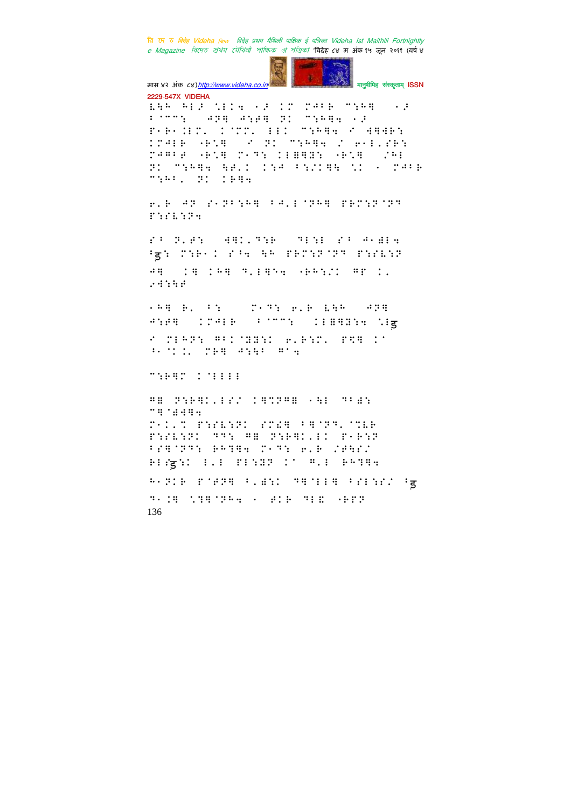मानुषीमिह संस्कृताम् ISSN मास ४२ अंक ८४) http://www.videha.co.in 2229-547X VIDEHA EAR REPORTED FRONT TREE TARE OF F ilinny' apelayee p: hyeewald<br>skekipt, crock bool nyeewald agaey ITALE (FOR CANOTIC TARRACIO EXECUTA TARRE SENE TORS ISSUED SENE ONE PD 759884 88.1 1598 952188 51 3 7898 7551, 21 1999  $\mathbb{P} \times \mathbb{P} \times \mathbb{P} \times \mathbb{P} \times \mathbb{P} \times \mathbb{P} \times \mathbb{P} \times \mathbb{P} \times \mathbb{P} \times \mathbb{P} \times \mathbb{P} \times \mathbb{P} \times \mathbb{P} \times \mathbb{P} \times \mathbb{P} \times \mathbb{P} \times \mathbb{P} \times \mathbb{P} \times \mathbb{P} \times \mathbb{P} \times \mathbb{P} \times \mathbb{P} \times \mathbb{P} \times \mathbb{P} \times \mathbb{P} \times \mathbb{P} \times \mathbb{P} \times \mathbb{$ Fifthing. PROPERTY HALLMARK CHARL PROPERTY Fg3 CDE-C 275 SP PECSPIPE PAPEAR **AB (18 188 7.1854 ) PERSI BE 1.**  $2.45544$  $\mathcal{L}(\mathbb{H}(\mathbb{H}^{\times})\oplus\mathbb{H}^{\times})=\mathcal{L}(\mathbb{H}^{\times})\oplus\mathcal{L}(\mathbb{H}^{\times})\oplus\mathcal{L}(\mathbb{H}^{\times})=\mathcal{L}(\mathbb{H}^{\times})$ ANARO COMERO FOTON CERRINA NE KUTERIN PROTEENS EVENT, FRESCO  $\{1,2,1,1\}$  , when  $\{3,4,5\}$  , and  $\mathbf{q}$ "SHE" : "IIII PH PAPHILISZ IRTPPH (991) PRES 7878485 PAILS PAPEARD PPER FRONT CLE FACEAPI TTA TH PAPELLEI F-PAP Frenchen Benedicten eine Seber Highl E.E. FEND IN B.E. PRINT ROBERTHE PLANT PROFESSION OR SACRED MARTING AT BOARD COMPENSABLE 136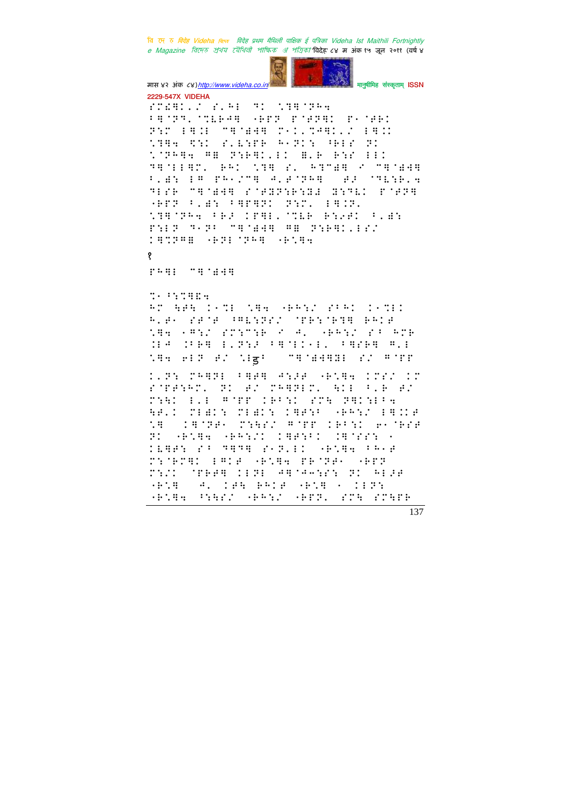मानुषीमिह संस्कृताम् ISSN मास ४२ अंक ८४) http://www.videha.co.in 2229-547X VIDEHA FTERLIC FURE 71 STRIPPH FRIDA, INEPART (PEDECEMBRIC P) MARI FAT FRIE TRIAR THILTHRILI FRIE these the subsequences these be STRAGA AR RABOLII B.B BAY III TRIBET, PRISING ATTEM COMPARED FLAN ER PROTHOLAGETRA CAR TRENEON MEYE MAYBAA YIYEBAYEYBU BYAKI FIYERA (FTP) F. BA (FHPHP) (PAP, (FH)P. NTRIPA PER IPHELITER PARK PLAN ryla mias menggel em ayeelliku THTPHE GRPETPER GRTHG १ FR91 797849

TH PATREW PECHAN ISTE ANNOUNCEMENT IST A. B. Sana (Personal Space Personal) tea (Participante Pia, Gertilla Pre NHH FER BIN NEWS THOUGHAME PIC HOPP

1.95 TABBI FRAN ASSA (ANSB) 1722 IT FORESARY RIGHT TABBET, ALE FLEGED TARI ELE POPP IPENI PTR PRINEER RAVI TEACH TEACH (RANK (RANK ERICA 1.用一 INTERNATIONAL PIPP INFORMATION FI (+FIRE (+FFIII) IRFIEL (FRIETE) + TERRY FROM TRUE FOR THE CONTROL CALLE TACHTHO EROP (PROBR PROPER (PRTP) STEER CEPE ARSANING PLOALER  $T3777$  $\left\{ \begin{array}{ccc} \mathbf{1} & \mathbf{1} & \mathbf{1} & \mathbf{1} & \mathbf{1} & \mathbf{1} & \mathbf{1} & \mathbf{1} & \mathbf{1} & \mathbf{1} & \mathbf{1} & \mathbf{1} & \mathbf{1} & \mathbf{1} & \mathbf{1} & \mathbf{1} & \mathbf{1} & \mathbf{1} & \mathbf{1} & \mathbf{1} & \mathbf{1} & \mathbf{1} & \mathbf{1} & \mathbf{1} & \mathbf{1} & \mathbf{1} & \mathbf{1} & \mathbf{1} & \mathbf{1} & \mathbf{1}$ HENBA PIREZ HERIZ HETR. ZTR ZTRTE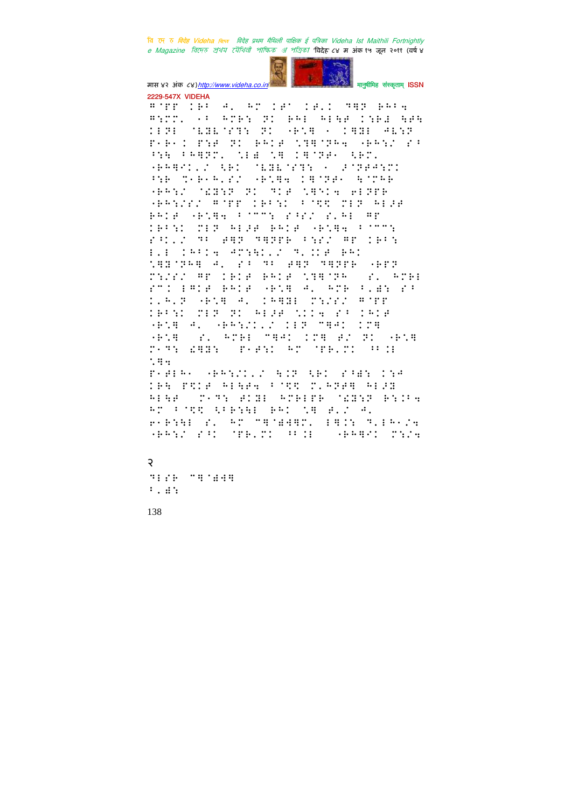# मास ४२ अंक ८४) http://www.videha.co.in

मानुषीमिह संस्कृताम ISSN

2229-547X VIDEHA anggo 194, al-ar 195, 1911, 1912, 994, 9<br>anggol (f. aren di 994, 9148, 1n94, 994 TEPH CHOROTEN PIC (PARE ) THOR PENP F.B. C. FAR (P. GRIE (1987)PRA (1984) 200 PAR PARRY, MEBUDA CROPER ART. REARCHICAL ARD CONSENSION CONTRACTO PER TREPAINT PROBE INFORMATIONS HERAL MENSE PL PLF ARMIN FREED HEROED FOR CEPAC PORT TER REP BADE (FENNA FOTO) PRES PLAI PP 19531 TER REPEARING GRIEGE FOUND FALLS AR PART ANDER PAPEL AR INFA EVENTHING HOMELIC RUDGE ARD temporal al primar agos sepre serp TAZEZ PE CELA BRIA NOBICAR (2. RTB) FTI ERIE ERIE (ENR) AL ATE FLEN FF 1.5.0 GENE AL 15888 TATEL PATE TEPAT TER RI PERE NITH 29 IPID HENB H. HENNING IER MEHD INE  $\left\{ \begin{array}{ccc} \frac{1}{2} \left( \begin{array}{ccc} 1 & 0 & 0 \\ 0 & 0 & 0 \\ 0 & 0 & 0 \\ 0 & 0 & 0 \\ 0 & 0 & 0 \\ 0 & 0 & 0 \\ 0 & 0 & 0 \\ 0 & 0 & 0 \\ 0 & 0 & 0 \\ 0 & 0 & 0 \\ 0 & 0 & 0 \\ 0 & 0 & 0 \\ 0 & 0 & 0 \\ 0 & 0 & 0 \\ 0 & 0 & 0 \\ 0 & 0 & 0 \\ 0 & 0 & 0 \\ 0 & 0 & 0 \\ 0 & 0 & 0 \\ 0 & 0 & 0 \\ 0 & 0 & 0 \\ 0 &$ TANY ERRY TERRITORY TERRITORIA  $1.94$ PARINA ARNAMIN'S RIP ART PARK 154 TER PRIE RIAGA FORD TURPER RIPE REAR COVER RIGH PORTER COGAR RAILS

开的 中的男性 法未获得的人 新开的人或用人进行的人 #FRANK P. PT TEMBET, FRIN T.EP.24 HEAT PROTEED FOR SUPPORT TEAM

 $\mathcal{L}$ 

**MEZE MATAGE**  $4.44$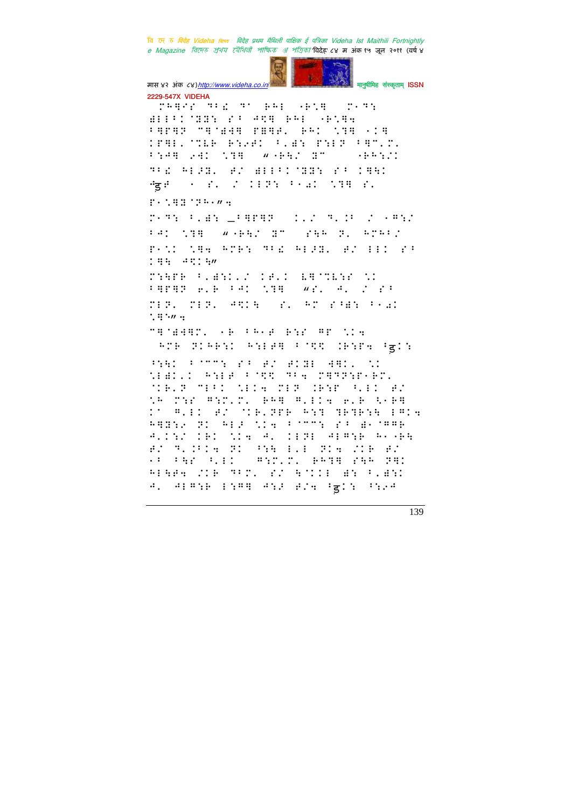मास ४२ अंक ८४) http://www.videha.co.in मानुषीमिह संस्कृताम ISSN 2229-547X VIDEHA TABLE SERVES BALLARIES TOST FREED TRIANS FRANK PRINTING OF TEREL TELEVISIONS IN LAS CENER CRETICS. FARB 281 ANB (WHERE HT) (19941) TER PERSONAL MELLICIATION CONSTRUC Per Control (1995) Francisco Pro  $T = 1.921774 + n$  $\mathbb{P}^1(\mathbb{P}^1 \mathbb{P}^1 \times \mathbb{P}^1 \times \mathbb{P}^1 \times \mathbb{P}^1) = \mathbb{P}^1(\mathbb{P}^1 \mathbb{P}^1 \times \mathbb{P}^1 \times \mathbb{P}^1 \times \mathbb{P}^1 \times \mathbb{P}^1 \times \mathbb{P}^1 \times \mathbb{P}^1 \times \mathbb{P}^1 \times \mathbb{P}^1 \times \mathbb{P}^1 \times \mathbb{P}^1 \times \mathbb{P}^1 \times \mathbb{P}^1 \times \mathbb{P}^1 \times \mathbb{P}^1$ FRI 1988 - WARRY BM - 288 (P. 808) FAND NHH POPS THE PERSON ROOFED FR 1995 #5197 TARPE FLANDLY DELIGATIONS ON FREED BIB FAIL ATHOUND, ALL 2023 TER. TER. ARIA (2) AT 2385 FORD  $\ddot{\phantom{0}}$ :  $\ddot{\phantom{0}}$ :  $\dddot{\phantom{0}}$ :  $\dddot{\phantom{0}}$ THINGHED, AP PACE PAR PE NIS **ATE PIARNI ANEFRO CRI IRNES (EIN** PART FOUND PROFILED BELL ON MEBILI PALE FORE TRA CHTPAPFEL. MELROTERI NEIGOTEROIBARO RIEL BZ SP TAK PATITI PPH PIECH BIB SPBH IN PUBLICAN MIRIGER PAT TRIPAR BPIR emany ar era bra e configuración 9.152 191 N19 9. 1171 9195 900 900 BI TURIN TI TAN ELE TIN ZIP BI  $\mathcal{L}(t) = \mathbb{E}[\mathcal{H}(t) = \mathbb{E}[\mathcal{L}(t)] = \mathbb{E}[\mathcal{H}(t), \mathcal{L}(t)] = \mathbb{E}[\mathcal{H}(t)] = \mathbb{E}[\mathcal{H}(t) = \mathcal{H}(t)]$ REARN ZIE MED. PO ACIE BA FLBAD AL ALBAR LABB AND BIN FELN FNDA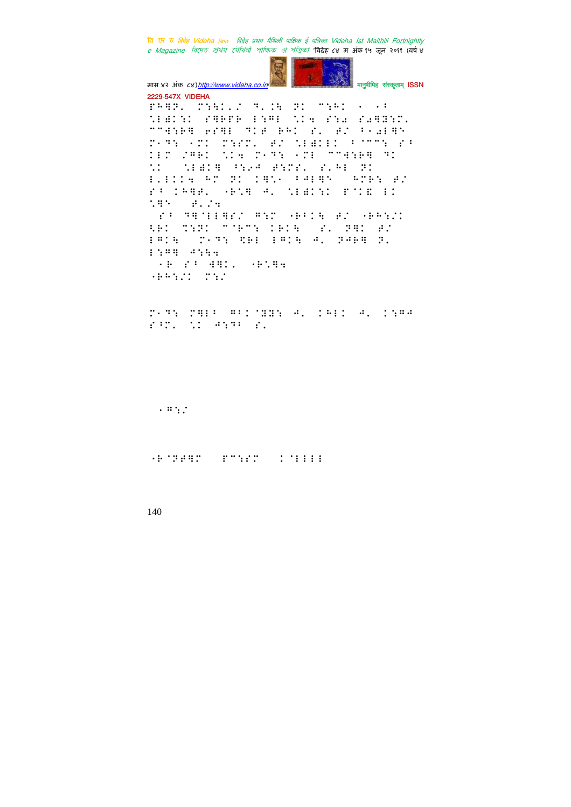मानुषीमिह संस्कृताम् ISSN मास ४२ अंक ८४) http://www.videha.co.in 2229-547X VIDEHA TREE, CARLLING, CR. 21, MARIO 6, 83 lianis (2001) ili (1968) elementu TTENHE BYBE TOP BAC YOURS FROM HE PARA API PARP. BE MEBIED FOUND RE TECH ZABI SIG CHARACTE STABBA AT MO MEEDRO PARK PATEL SLAETED EVENING AT THE CHINA PAPER OF ATEN GEN FRONT-PELOPENE PLONEBINI POIBORI  $1.95\%$  $\mathcal{A} \neq \mathcal{A}$  ,  $\mathcal{A} \neq \mathcal{A}$  $\label{eq:2} \begin{split} \mathcal{L}^{(2)}\mathcal{L}^{(3)}\mathcal{L}^{(4)}\mathcal{L}^{(4)}\mathcal{L}^{(4)}\mathcal{L}^{(4)}\mathcal{L}^{(5)}\mathcal{L}^{(6)}\mathcal{L}^{(6)}\mathcal{L}^{(6)}\mathcal{L}^{(6)}\mathcal{L}^{(6)}\mathcal{L}^{(6)}\mathcal{L}^{(6)}\mathcal{L}^{(6)}\mathcal{L}^{(6)}\mathcal{L}^{(6)}\mathcal{L}^{(6)}\mathcal{L}^{(6)}\mathcal{L}^{(6)}\mathcal{L}^{($ KAI TARI TIBTA IBIA (2008) PRI BI 1915 7-51 SEE 1915 9, SHEE S. 1384 4344 HERRIC TEL

2375 2913 931 1335 91 1911 91 1599 FRT. MI #598 F.

 $\sim$  #  $\gamma$  ,  $\gamma$ 

 $\left\{ \frac{1}{2} \right\}$  ,  $\left\{ \frac{1}{2} \right\}$  ,  $\left\{ \frac{1}{2} \right\}$  ,  $\left\{ \frac{1}{2} \right\}$  ,  $\left\{ \frac{1}{2} \right\}$  ,  $\left\{ \frac{1}{2} \right\}$  ,  $\left\{ \frac{1}{2} \right\}$  ,  $\left\{ \frac{1}{2} \right\}$  ,  $\left\{ \frac{1}{2} \right\}$  ,  $\left\{ \frac{1}{2} \right\}$  ,  $\left\{ \frac{1}{2} \right\}$  ,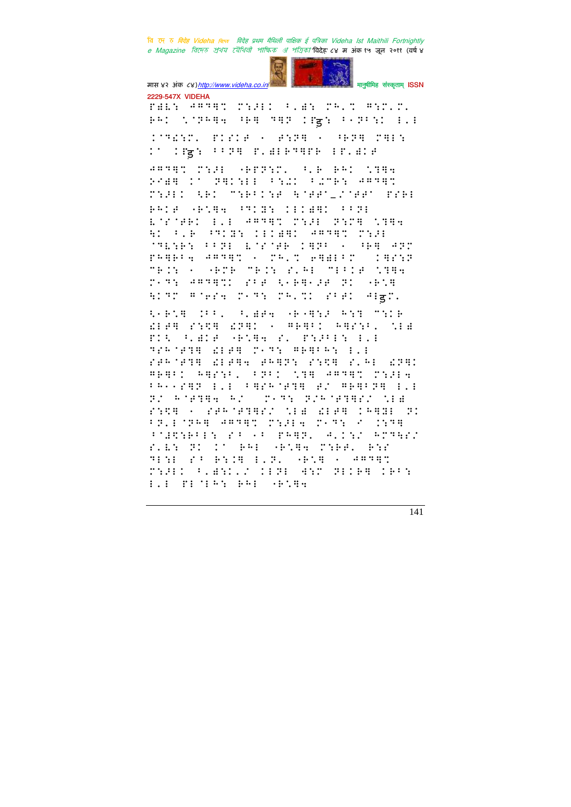

PORAD, PIRIA (2009) 2009 PER CHIA IN TERR FERR PLAINTEN IP.AIR

####1 2531 (BPP52, F.B. BRI 1986 PANEL 11 PEINEE FNAIL FANDAL PRIES TAGED ARD TARRING ACGGC\_SCGGC TEEE

PRIP (PLAN) PRIBA INIBAL PRIP ESPORAL BILE APPROVINGE CAPR NORW RICH.B. PRINN INIBRO APPROVINGE TEIN A ABTENTEIN PLAE TEACH NTHE T-75 APTEN PRE-S-FB-28 PL -FSB aren eskak bien beldi afar ergo.

APPNE DER SCHLEEH (FRAUDE PAUL TALE ELPH FYSH EPHI ( PEHFI PHENE, NIE ELA (PLALA) (BNASA) EL ENFERENCELE<br>PER NETA (ELEA) D'ANN ARABIRN ELE YARIYATE KEARA ARREY YINGE YURE KIRE #8#81 ##2381 \$P\$1 19# ####1 2398 # FALLERS ELECTREMENT AZ PERISE ELE P. PORTHE P. TO THE POPULATION OF FARR () FRAMERED ALB ELFR 19881 PD FR.E. (PRESS) #PRESS (PARE & COSTA SOCIARE POSTEPHENO 2000 PP PRODUCTS ALLOWED AT THE 2 F.EN P. IT BRE (HARB TNBE, BNF TENE PARTICULAR PRODUCTS ARTICLE PARED RUBBELL CERE HAT RECERTIFIE 1.1 FINES PRI (PSIH)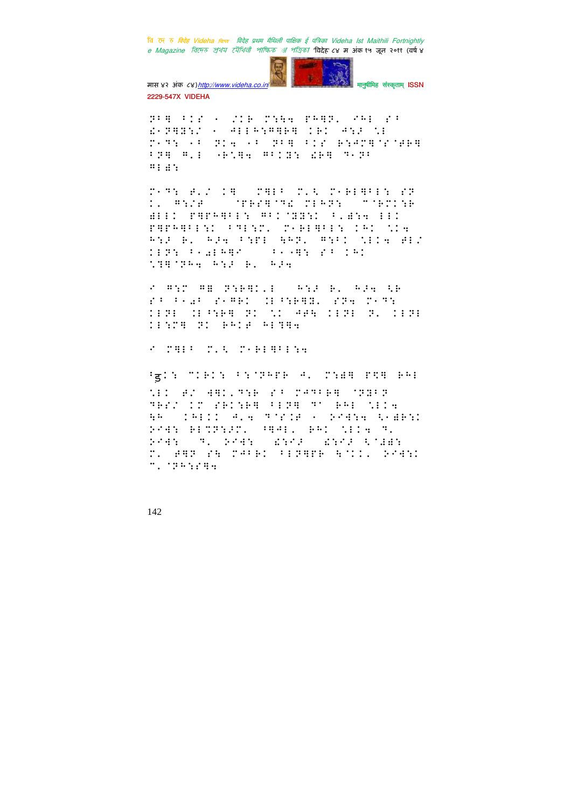मानुषीमिह संस्कृताम् ISSN मास ४२ अंक ८४) http://www.videha.co.in 2229-547X VIDEHA

PER FIR 8 218 7354 PERP. 391 PP EXPRESS A SPEED-PERP IPI PASS NE FPB #11 (F10) RESEARCH FOR STREET  $44.44$ 

THREE RUN IN STREET TO STATE REPORT OF IN PACE CONTECTING TERMS CONFIDER #FIL PUPPULL PHILMANIC FLANK FIL FUERULAI PRIADI DEBUUA IRI NIA 852 B. 824 FST: 582. 8511 SILW BIZ 1935 Fraings - From St 161 1987854 513 8. 524

ra akuan remedi diangeng, rok oleh 1988.<br>1909 - Diangen oli sulleen 1909 (oli 1909) **CENTH PI PRIP RETHS** 

**PUTHER T.R. TERRITH** 

Felix Tiels Fachere A. Case rue est

MED HA HALLMAR RECOMMEND CROFR TEEN IT FEINER FITR TO ERE NICH ARC IRBIT RUN TIETE KONFENCIVABRI D. PHP PA DAIRI FIREDE ANIL 2001 m. Spencher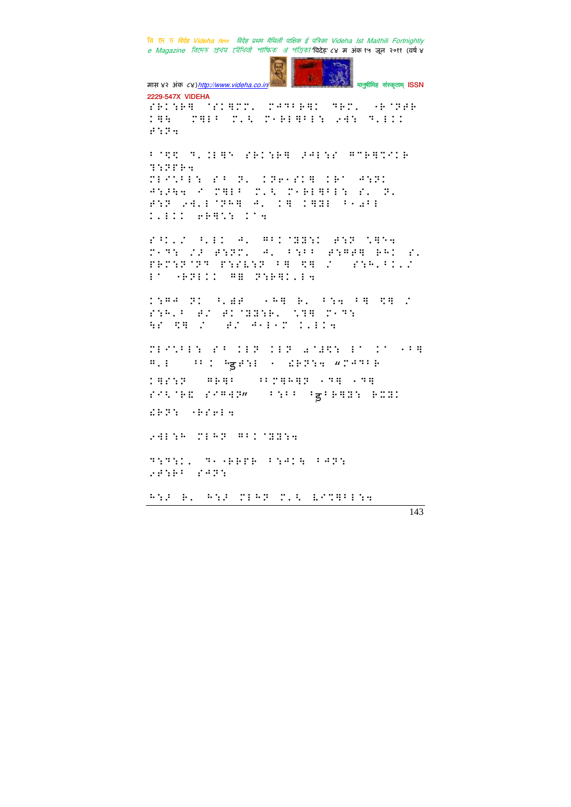मानुषीमिह संस्कृताम् ISSN मास ४२ अंक ८४) http://www.videha.co.in 2229-547X VIDEHA YBINBA YYIATTI TANGBAI NBTI YEYREE 195 THE TAN THE BEEN VAN TUELD  $\mathcal{P} \subset \mathcal{P}$  in PORT RUSSEN PRINER PAINT ROBERTS **TAPPEN** TERMIN PROFILED THREE CHOONERS PAPPE CONTROL TO A CITED REPORT OF THE #NP 24.17958 #2 18 1881 FEWE INTER PRESS INC. FALLING ALL CHILDREN SERVICENT T-PE 23 BET. 4, PEP SEP BAL E. FRONDIDA PAPEAR AN AN CO (PARLAILO **ET (FRILL FR PARTIES** 1988 21 3146 348 31 396 387 387 FARIO BI BIJARAHI NAMUTUNG RESTRACTORY AND COLLEGE TERMIEN RECEPCIER GOBBY ENCICLOSE  $\mathbf{H}_{\text{L}}$  $\begin{minipage}{.4\linewidth} \begin{tabular}{lcccccc} \multicolumn{3}{c}{\textbf{0}} & \multicolumn{3}{c}{\textbf{0}} & \multicolumn{3}{c}{\textbf{0}} & \multicolumn{3}{c}{\textbf{0}} & \multicolumn{3}{c}{\textbf{0}} & \multicolumn{3}{c}{\textbf{0}} & \multicolumn{3}{c}{\textbf{0}} & \multicolumn{3}{c}{\textbf{0}} & \multicolumn{3}{c}{\textbf{0}} & \multicolumn{3}{c}{\textbf{0}} & \multicolumn{3}{c}{\textbf{0}} & \multicolumn{3}{c}{\textbf{0}} & \multicolumn{3$  $\frac{1}{2} \left( \frac{1}{2} \right) \left( \frac{1}{2} \right) \left( \frac{1}{2} \right) \left( \frac{1}{2} \right) \left( \frac{1}{2} \right) \left( \frac{1}{2} \right) \left( \frac{1}{2} \right) \left( \frac{1}{2} \right) \left( \frac{1}{2} \right) \left( \frac{1}{2} \right) \left( \frac{1}{2} \right) \left( \frac{1}{2} \right) \left( \frac{1}{2} \right) \left( \frac{1}{2} \right) \left( \frac{1}{2} \right) \left( \frac{1}{2} \right) \left( \frac$ EPPN (Prints) **SAFAR TERP WAITERS** FIRIC TO HEER FIRING FARY 29591 2995

PARTIES PARTICULES CONTROLLED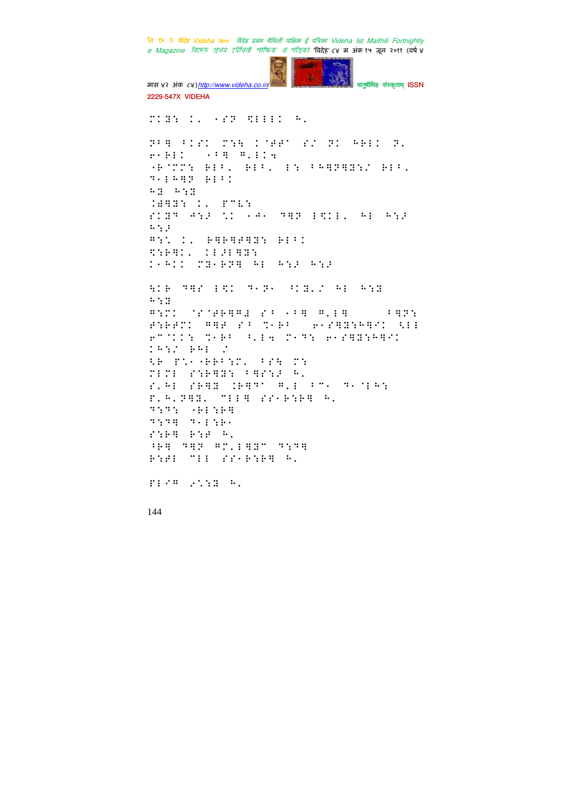```
त्रि एप रु विदेह Videha बिलर विदेह प्रथम मैथिली पाक्षिक ई पत्रिका Videha Ist Maithili Fortnightly
e Magazine রিদেহ প্রথম মৌথিনী পাক্ষিক প্র পত্রিকা 'विदेह' ८४ म अंक १५ जून २०११ (वर्ष ४
                                      \overline{\mathbf{G}}मानुषीमिह संस्कृताम् ISSN
मास ४२ अंक ८४) http://www.videha.co.in
2229-547X VIDEHA
TIES IN STE THEIRS.
PER PIRI THE INFENSIVE PEEDS P.
\begin{array}{cccccccccccccc} \texttt{r} + \texttt{r} + \texttt{r} & \texttt{r} & \texttt{r} & \texttt{r} & \texttt{r} & \texttt{r} & \texttt{r} & \texttt{r} & \texttt{r} & \texttt{r} & \texttt{r} & \texttt{r} & \texttt{r} & \texttt{r} & \texttt{r} & \texttt{r} & \texttt{r} & \texttt{r} & \texttt{r} & \texttt{r} & \texttt{r} & \texttt{r} & \texttt{r} & \texttt{r} & \texttt{r} & \texttt{r} & \texttt{r} & \texttt{r} &\overline{AB} (222) \overline{B} (Fig. ) \overline{B} (Fig. ) (Fig. ) \overline{B} (Fig. ) (Fig. ) (Fig. )
7 + 1 + 47 + 11 + 193 953
 DESERT CONTROL
FIRE AND NI FAR SHE BELL AD AND
4.5 \pm 1.4PAN I. PHPHPHHA PIPI
STERIL CEREBRY
19911 THEFT 91 952 953
RIE PRE FRI PVP, PIBLZ RE RAB
开发性。
PATE OF SPEED FOOT FEATURE
                                                                   \sim 100 \pm 100 \pmPARPYL PHP POSTAGE (PAPHEMPHP) ALL
#TILLS TOPS (1.14) TOTS #OFFRINGEN
1952 991 2
AB PLOTERATIONER TE
TITE PARAGE FAPAR AL
FIRE FEBRUARD'S RIE FON SANCHAN
F.A.DHO. TEER PROPERTY.
TATAL HEART
3538 3-1555
FARB BAR R.
\left( 1 \right) \left( 0 \right) = \left( 0 \right) \left( 0 \right) = \left( 0 \right) \left( 1 \right) \left( 0 \right) \left( 0 \right) = \left( 0 \right) \left( 0 \right) = \left( 0 \right) \left( 0 \right)PAPE THE SIMPLER R.
FIRM SANDOW.
```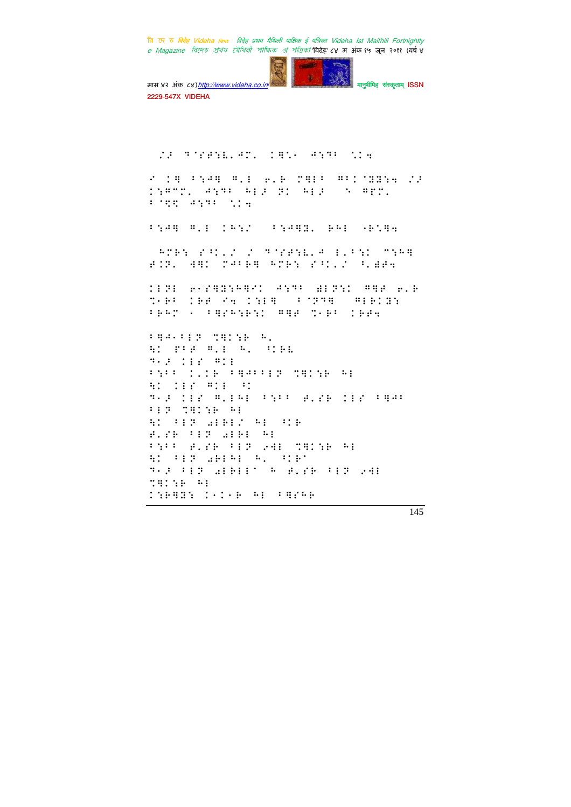त्रि एप रु विदेह Videha बिलर विदेह प्रथम मैथिली पाक्षिक ई पत्रिका Videha Ist Maithili Fortnightly e Magazine রিদেহ প্রথম মৌথিনী পাক্ষিক *প্র পত্রিকা* **বিदेह ८४ म अंक १५ जून २०११ (वर्ष ४** 

मानुषीमिह संस्कृताम् ISSN मास ४२ अंक ८४) http://www.videha.co.ir 2229-547X VIDEHA

TR POPPELSEL CRUP STREET

30 19 3049 911 918 7913 931109 72 CARTEL RATE REPORT REPORT REED.  $\frac{1}{2} \left( \begin{array}{ccc} -1 & 0 & 0 & 0 \\ 0 & 0 & 0 & 0 \\ 0 & 0 & 0 & 0 \\ 0 & 0 & 0 & 0 \\ 0 & 0 & 0 & 0 \\ 0 & 0 & 0 & 0 \\ 0 & 0 & 0 & 0 \\ 0 & 0 & 0 & 0 \\ 0 & 0 & 0 & 0 \\ 0 & 0 & 0 & 0 \\ 0 & 0 & 0 & 0 & 0 \\ 0 & 0 & 0 & 0 & 0 \\ 0 & 0 & 0 & 0 & 0 \\ 0 & 0 & 0 & 0 & 0 \\ 0 & 0 & 0 & 0 & 0 \\ 0 & 0 & 0$ 

FARB R.E. 1952 - FARBIL BRE (FN18

SATES PRINT TO POPPER A BUSINESS THAT **BID. HALLMARE POPE FRIELD REBE** 

1121 | POZNOSNOST | PANO | BIDAT | RNP | P.B THE CERTAIN CHERO POPPE PERIOD Pako (Charksas) Age Syak 1984

FRANCIS THIS R. AT PERSONAL SURE  $\mathcal{R} \times \mathcal{P} = \mathbb{E} \left[ \mathcal{L} \times \mathcal{P} \times \mathcal{P} \right] \mathcal{L}$ PAPP CLIP PERPERTYPINE RE RI 113 BIL 91 MAD 112 MULLER CONCO BUZE 112 COMMO HID TALAR AL RUSHE WEEK RESTER **F. CR (FIF) ALBI (FI)** 1911 alak tip var derne er 91 FER WEER R. STEP **THANKER WEBSIT AN BUYER FERIOHER** TAINE AP  $1.5\pm 9.35\pm 1.4\pm 1.4\pm 0.4\pm 0.9\pm 0.4\pm 0.6\pm$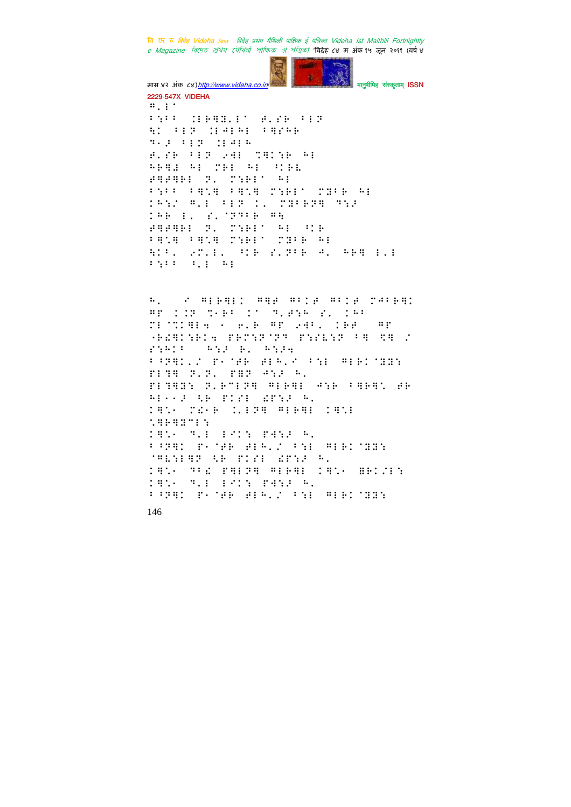ति एप रु विदेह Videha बिलर विदेह प्रथम मैथिली पाक्षिक ई पत्रिका Videha Ist Maithili Fortnightly e Magazine রিদেহ প্রথম মৌথিনী পাক্ষিক *প্র পত্রিকা* 'विदेह' ८४ म अंक १५ जून २०११ (वर्ष ४

मानुषीमिह संस्कृताम ISSN मास ४२ अंक ८४) http://www.videha.co.in 2229-547X VIDEHA  $\mathbb{R}^n$  : PAPP HEMILIC BUCK FIR 91 FER HERE FREE  $\mathcal{R} \times \left( \mathcal{S} \right) \times \left( \mathcal{S} \right) \times \left( \mathcal{S} \right) \times \left( \mathcal{S} \right) \times \left( \mathcal{S} \right) \times \left( \mathcal{S} \right) \times \left( \mathcal{S} \right) \times \left( \mathcal{S} \right) \times \left( \mathcal{S} \right) \times \left( \mathcal{S} \right) \times \left( \mathcal{S} \right) \times \left( \mathcal{S} \right) \times \left( \mathcal{S} \right) \times \left( \mathcal{S} \right) \times \left( \mathcal{S} \right) \times \left$ **B.PE FIR 241 THINE RE APRIL ALL THE ALL SIDE** FREAM P. THEIT  $\cdots$ FARE FRANCHMAN TABLE THE FIR TRAZ P.E. FER I. THERE TAP  $100(11)(11)(100000) = 0.00000$ PHPHP: P. TYPET  $\mathcal{L}(\mathcal{L}(\mathcal{L})) = \mathcal{L}(\mathcal{L}(\mathcal{L}))$ PANA PANA CARET COPE AL ADAL GOLEZ (ADAL 2104) AN AARTELE<br>ANAS ALESAE

A. A. HIPBIT HER HITE HITE THIRD AP 110 SPACING SUPPORT OF TESTIBULA PORTA PEL 2451 (1945) PE  $\overline{AB}$  (Fig. 1991)  $\overline{B}$  (Fig. 1991)  $\overline{B}$  (Fig. 1991)  $\overline{B}$  (Fig. 1991)  $\overline{C}$  $\begin{split} \mathcal{L}(\mathbf{1},\mathbf{0},\mathbf{1},\mathbf{1})\rightarrow\mathcal{L}(\mathbf{1},\mathbf{1})\rightarrow\mathcal{L}(\mathbf{1},\mathbf{1})\rightarrow\mathcal{L}(\mathbf{1},\mathbf{1})\rightarrow\mathcal{L}(\mathbf{1},\mathbf{1})\rightarrow\mathcal{L}(\mathbf{1},\mathbf{1})\rightarrow\mathcal{L}(\mathbf{1},\mathbf{1})\rightarrow\mathcal{L}(\mathbf{1},\mathbf{1})\rightarrow\mathcal{L}(\mathbf{1},\mathbf{1})\rightarrow\mathcal{L}(\mathbf{1},\mathbf{1})\rightarrow\mathcal$ PRESIDENTAR ALADA PERSONAS FINH P.P. THE SALE A. FITHEN P.PTIPE PIPEL PNP FEPEL PR HEARTH TIME STAR W. **TRIM TEMP INFORMATION CRIP NAPASTER** THIS PLE ESTA PHAR R. FREED POOPE BEAUTORNE PERIODEN TRENTRY ARCHIVES AND RU **THIS TER PHERE REPRESENTS BELVES** 1958 7.1 1915 F452 F. FREED BY NEED BEAUTOFAE CHEED NEED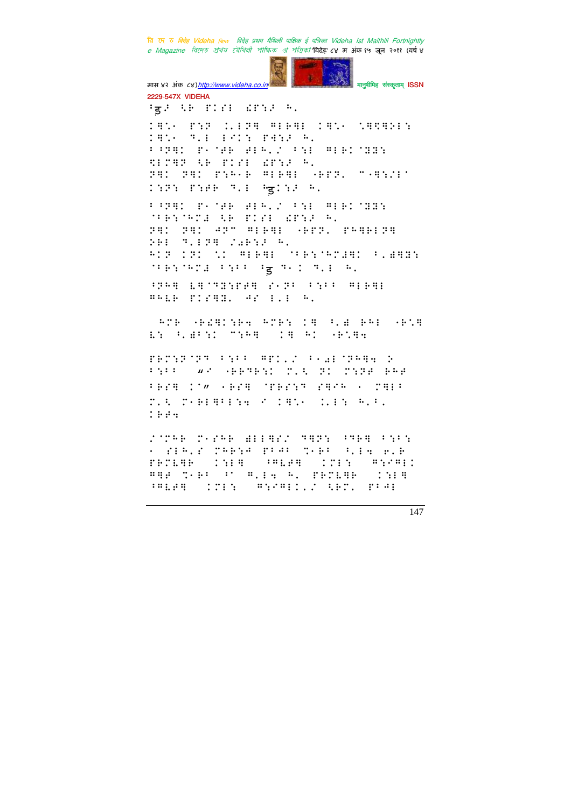ति एप रु विदेह Videha बिलर विदेह प्रथम मैथिली पाक्षिक ई पत्रिका Videha Ist Maithili Fortnightly e Magazine রিদেহ প্রথম মৌথিনী পাক্ষিক *প্র পত্রিকা* 'विदेह' ८४ म अंक १५ जून २०११ (वर्ष ४

मानुषीमिह संस्कृताम् ISSN मास ४२ अंक ८४) http://www.videha.co.in 2229-547X VIDEHA Part AB STORE SEND AL THIS PARTICLERS REPORT TO LARGE THAT A THIS PLEASURE PHREAD. FOREST PROPERTY CONTROL PERSON SITER AR PIEL APAR AL PRI PRI PARTE PIERI (FPP) 7-85217 1935 FARE 3.1 5g152 F. FOREST PROPERTY AND CONTROL PRESIDENT TERRIFORMAR PIPE APRA R. 291 PH 74178 24652 5. RIS ISI NI MERHE MERIPATAN PLANSK **SERVATE FALL PERSONAL AL** PPPR LRIPRAPER PORT PAPP PLEND **##1F FIFTH. #F F.F #. ATE HERBIGES ATES IN ALB PART HERB** EN PLAFNI TIPE (18 PI) (BISB)  $\mathbb{P}(\mathbb{R}^d,\mathbb{R}^d,\mathbb{R}^d,\mathbb{R}^d,\mathbb{R}^d,\mathbb{R}^d,\mathbb{R}^d,\mathbb{R}^d,\mathbb{R}^d,\mathbb{R}^d,\mathbb{R}^d,\mathbb{R}^d,\mathbb{R}^d,\mathbb{R}^d,\mathbb{R}^d,\mathbb{R}^d,\mathbb{R}^d,\mathbb{R}^d,\mathbb{R}^d,\mathbb{R}^d,\mathbb{R}^d,\mathbb{R}^d,\mathbb{R}^d,\mathbb{R}^d,\mathbb{R}^d,\mathbb{R}^d,\mathbb{R}$ FALL WAS REPEAT TO COTTON FRE  $\mathbb{P}(\mathbb{P}(\mathbb{P}(\mathbb{P}(\mathbb{P}(\mathbb{P}(\mathbb{P}(\mathbb{P}(\mathbb{P}(\mathbb{P}(\mathbb{P}(\mathbb{P}(\mathbb{P}(\mathbb{P}(\mathbb{P}(\mathbb{P}(\mathbb{P}(\mathbb{P}(\mathbb{P}(\mathbb{P}(\mathbb{P}(\mathbb{P}(\mathbb{P}(\mathbb{P}(\mathbb{P}(\mathbb{P}(\mathbb{P}(\mathbb{P}(\mathbb{P}(\mathbb{P}(\mathbb{P}(\mathbb{P}(\mathbb{P}(\mathbb{P}(\mathbb{P}(\mathbb{P}(\mathbb{$ T.A. THRESHAN F. LEW (1958) R.P.  $1.444$ 2009年1002年4月10日11月12日17月17日 17月11日 17日1日 

PREPR (1715) RSPRIEUL SET. PPR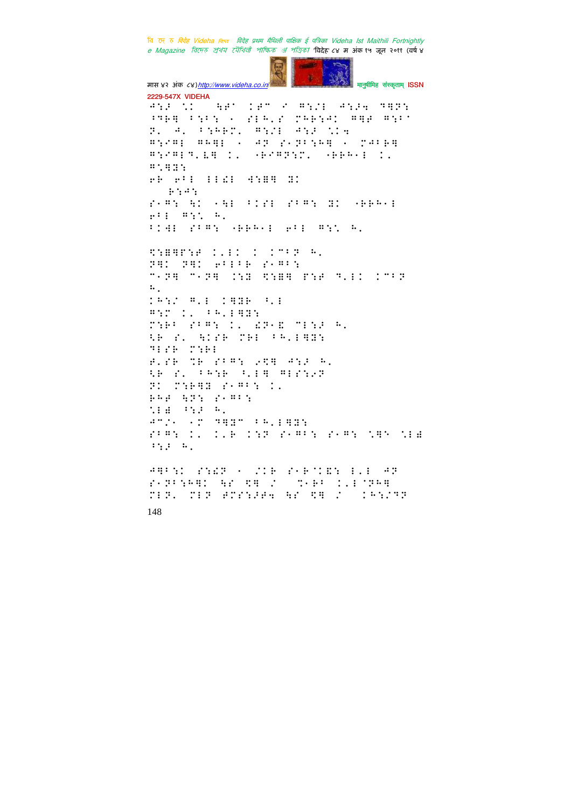e Magazine রিদেহ প্রথম মৌথিনী পাক্ষিক *প্র পত্রিকা* 'विदेह' ८४ म अंक १५ जून २०११ (वर्ष ४ मास ४२ अंक ८४) http://www.videha.co.in मानुषीमिह संस्कृताम् ISSN 2229-547X VIDEHA F. A. FIRET. PEZE AND MIR  $\frac{1}{2} \left( \frac{1}{2} \right) \left( \frac{1}{2} \right) \left( \frac{1}{2} \right) \left( \frac{1}{2} \right) \left( \frac{1}{2} \right) \left( \frac{1}{2} \right) \left( \frac{1}{2} \right) \left( \frac{1}{2} \right) \left( \frac{1}{2} \right) \left( \frac{1}{2} \right) \left( \frac{1}{2} \right) \left( \frac{1}{2} \right) \left( \frac{1}{2} \right) \left( \frac{1}{2} \right) \left( \frac{1}{2} \right) \left( \frac{1}{2} \right) \left( \frac$ #NY#ET.E# I. (PRY#PNT, (PRPP)E I.  $91.931$ eB eti ildi 4588 SC 2005 51 051 0121 2005 31 0550 1  $\mu$  :  $\mu$  =  $\mu$  :  $\mu$  :  $\mu$  : spar group (applied and only on STEEDTH I.E. I INTER W. PHI PHI PHILE PORTS 7.28 7.28 COS SAR PART PAR 7.11 COPP  $\sim$  . 1952 F.E. 1938 F.E. **#17 1. (#.1831)** TABLE PERSONS AT ESTATES. AF P. ALPE THE FAILERS **MECHANICS B. PE TE PIPE STR 953 P.** the resolution of the service FI TAPES PORT I. 999 925 2-815  $\mathbb{M}(\mathbb{H}) \cong \mathbb{N}(\mathbb{H}) \cong \mathbb{N}.$ PERSONAL DURINGS PARTS PARSONES ARE  $\{v_1\} \subseteq \mathbb{Z}_+$ 

त्रि एप रु विदेह Videha बिलर विदेह प्रथम मैथिली पाक्षिक ई पत्रिका Videha Ist Maithili Fortnightly

 $\frac{1}{45} \frac{1}{25} \frac{1}{25} \frac{1}{25} \frac{1}{25} \frac{1}{25} \frac{1}{25} \frac{1}{25} \frac{1}{25} \frac{1}{25} \frac{1}{25} \frac{1}{25} \frac{1}{25} \frac{1}{25} \frac{1}{25} \frac{1}{25} \frac{1}{25} \frac{1}{25} \frac{1}{25} \frac{1}{25} \frac{1}{25} \frac{1}{25} \frac{1}{25} \frac{1}{25} \frac{1}{25} \frac{1}{25} \frac{1}{25} \frac{1$ TER. TER BISTERN AS REST  $\frac{1}{2}$  :  $\frac{1}{2}$  :  $\frac{1}{2}$  :  $\frac{1}{2}$  :  $\frac{1}{2}$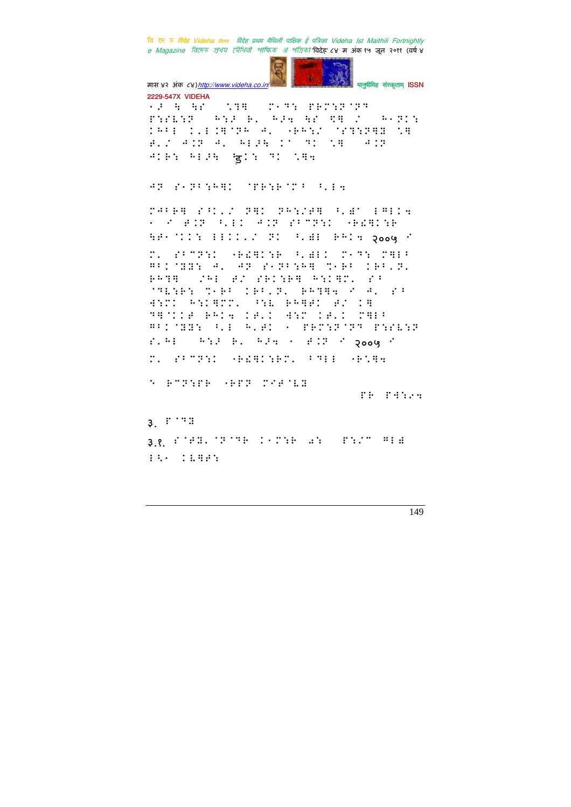त्रि एप रु विदेह Videha बिलर विदेह प्रथम मैथिली पाक्षिक ई पत्रिका Videha Ist Maithili Fortnightly e Magazine রিদেহ প্রথম মৌথিনী পাক্ষিক *প্র পত্রিকা* **বিदेह ८४ म अंक १५ जून २०११ (वर्ष ४** 

मानुषीमिह संस्कृताम् ISSN मास ४२ अंक ८४) http://www.videha.co.in 2229-547X VIDEHA → まい用い用品 rinding" and all add an age of accepts IREE ILEIBORA 41 (PRANZ OVINEBRONE BUZ AND ALCAEDE IN THE NEW AND 9195 9125 g15 71 595 AP POPINERS SPENESDE RIEG THEFT PRINT THIS THROFT CONFIDENCE  $\mathcal{F}^{\mathcal{G}}_{\mathcal{G}}\left(\mathcal{F}^{\mathcal{G}}_{\mathcal{G}}\right)=\mathcal{F}^{\mathcal{G}}_{\mathcal{G}}\left(\mathcal{F}^{\mathcal{G}}_{\mathcal{G}}\right)=\mathcal{F}^{\mathcal{G}}_{\mathcal{G}}\left(\mathcal{F}^{\mathcal{G}}_{\mathcal{G}}\right)=\mathcal{F}^{\mathcal{G}}_{\mathcal{G}}\left(\mathcal{F}^{\mathcal{G}}_{\mathcal{G}}\right)=\mathcal{F}^{\mathcal{G}}_{\mathcal{G}}\left(\mathcal{F}^{\mathcal{G}}_{\mathcal{$ REFORM FEDDLY FOOTBELLERIN Room f T. PROTECT (FEBUAR (P.H.) TVAN THEF #FICHBY #, #P P-PFYF# T-FF IFF, P. PRINT AND RANGELINE RICHARD RA TRENEN CHEF (1991)R. PRIMA A AL 23 HATI PALENT, PAL PREPL BI LE **MACCON PROVIDED CAND CELO CARP** #FICERS F.E. R.W. & FROSPORT PSPLAR P. RECORDED REPAIR (PIP PORCORD) T. PROTECT HEARINED, POINT HEARY **NORTHERN HER CAPTER** TP FAGES  $3.7773$ 

3.8. PORRISHED CHOSE AND START REA **EARLY DEMAND**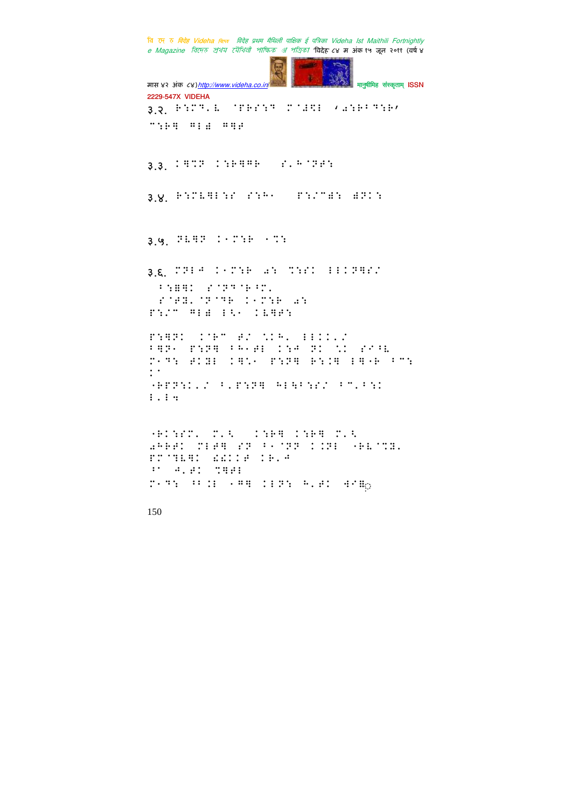```
ৱি দে হ विदेह Videha बिल्ब  विदेह प्रथम मैथिली पाक्षिक ई पत्रिका Videha Ist Maithili Fortnightly
e Magazine  विद्युत्त सेथेंग  ट्रॉशिनी  शक्तिक  अ शंक्रिकां 'विदेह' ८४ म अंक १५ जून २०११ (वर्ष ४
मास ४२ अंक ८४)http://www.videha.co.in/ मानुसी मानुषीमिह संस्कृताम् ISSN
2229-547X VIDEHA 
३.२. ⢷⣑⢹⣇ ⢷⣑⢹ ⣜⣋ '⣔⣑⢷⢹⣑⢷'.!
)⣑⢷⣛ ⢻⣞ ⢻⣛⢾
३.३. 
⣛⣉⢽ 
⣑⢷⣛⢻⢷.!⢳⢽⢾⣑
३.४. ⢷⣑⣇⣛⣑ ⣑⢳$.!⣑)⣞⣑ ⣞⢽
⣑
३.७. १६९१ - २०१६ - २०१
३.६. २२०० (१९७३) च्या दशकात व्यासार
  ⣑⣟⣛
 ⢽⢹⢷⢸*!
  ⢾⣝⢽⢹⢷ 
$⣑⢷ ⣔⣑
FG27 HEAG IS (16886
⣑⣛⢽
 ⣈⢷) ⢾ ⣁
⢳ 

⣛⢽$ ⣑⢽⣛ ⢳$⢾ 
⣑⢺ ⢽
 ⣁
 	⢸⣇-!
T^{\mu} ^{10} ^{10} ^{10} ^{10} ^{10} ^{10} ^{10} ^{10} ^{10} ^{10} ^{10} ^{10} ^{10} ^{10} ^{10} ^{10} ^{10} ^{10} ^{10} ^{10} ^{10} ^{10} ^{10} ^{10} ^{10} ^{10} ^{10} ^{10} ^{10} ^{10} ^{10\ddot{\phantom{0}} ,
\rightarrow PTP (1) \downarrow ( \rightarrow 1) The PTP ( \rightarrow 1) The PTP ( \rightarrow 1)
⣒!!
⢷
⣑ ⣃0!
⣑⢷⣛ 
⣑⢷⣛ ⣃
GREAL CORE 20 PROTE 1000 PER 1982 C
FUNDARY ESSENCE IP.
\{M_{\alpha}, M_{\alpha}, M_{\beta}\} , and \{M_{\alpha}, M_{\beta}\}x, \pis \rightarrow \pi \rightarrow \pi \pi \rightarrow \pi \pi \rightarrow \pi \pi \gamma \rightarrow \pi
```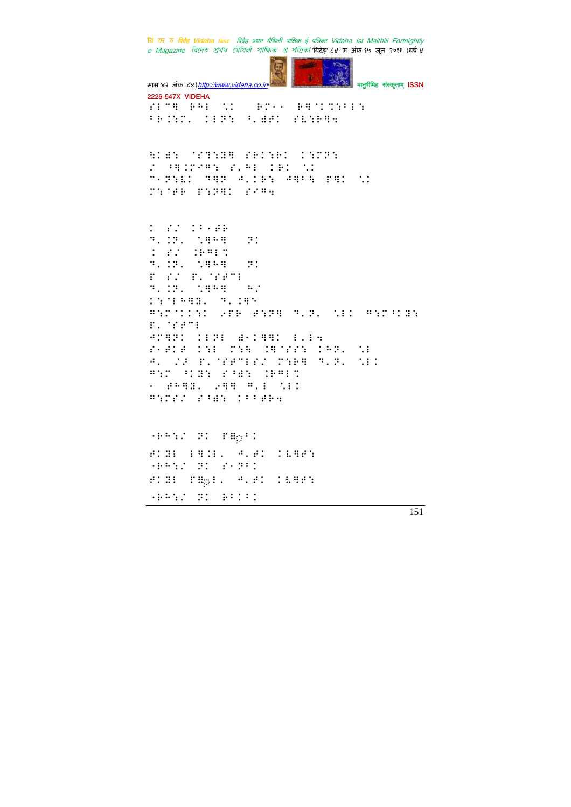त्रि एप रु विदेह Videha बिलर विदेह प्रथम मैथिली पाक्षिक ई पत्रिका Videha Ist Maithili Fortnightly e Magazine রিদেহ প্রথম মৌথিনী পাক্ষিক *প্র পত্রিকা* **বিदेह ८४ म अंक १५ जून २०११ (वर्ष ४** मास ४२ अंक ८४) http://www.videha.co.in मानुषीमिह संस्कृताम् ISSN 2229-547X VIDEHA FETH PRESS  $\mathbb{R}^n \times \mathbb{R}^n$ FRINT, IEFN FLERD FLARES RIAN MANGE PRINEI INDEN 2 9812385 2191 191 11 7.3511 783 9.185 989 8 881 51 TEMP FIRE FORM  $1 - i7 - 13 + i44$  $9.19.194$  $\mathbb{R}$ :  $\mathbb{R}^2 \times \mathbb{R}^2$  $10917$  $31.131 - 1999$  $\mathbb{R}$ : FORD PLOTETE  $9.19.19499977$ 1531598. 9.195 PARTICLES SERVICES PLAN THIS PARTICLE F. GETE **PURPI IERE BRITHE ELER** alaia ini mno impani isa. Na al da mundamed chem musul del #52 HIS PARTIERS **PATES PARK IFFER:**  $\pm 0.57$  (Fig. ) **FINE FACE, P.F. CEAPS** HP52 FL P-FF1 FUBE FEST. P.F. CERPY  $\begin{array}{cccccc} \mathbf{v} & \mathbf{p} & \mathbf{u} & \mathbf{v} & \mathbf{y} & \mathbf{y} & \mathbf{y} & \mathbf{y} & \mathbf{y} & \mathbf{y} & \mathbf{y} & \mathbf{y} & \mathbf{y} & \mathbf{y} & \mathbf{y} & \mathbf{y} & \mathbf{y} & \mathbf{y} & \mathbf{y} & \mathbf{y} & \mathbf{y} & \mathbf{y} & \mathbf{y} & \mathbf{y} & \mathbf{y} & \mathbf{y} & \mathbf{y} & \mathbf{y} & \mathbf{y} & \mathbf{y} & \math$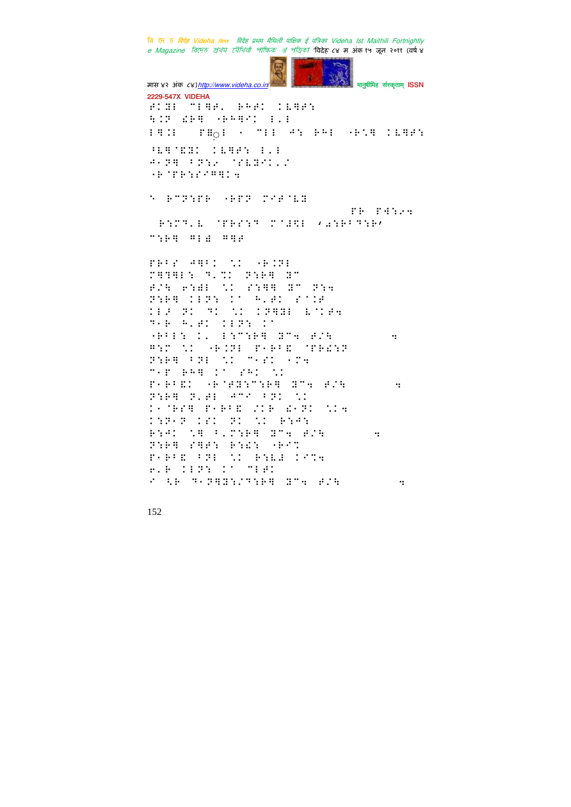त्रि एप रु विदेह Videha बिलर विदेह प्रथम मैथिली पाक्षिक ई पत्रिका Videha Ist Maithili Fortnightly e Magazine রিদেহ প্রথম মৌথিনী পাক্ষিক *প্র পত্রিকা* 'विदेह' ८४ म अंक १५ जून २०११ (वर्ष ४ मास ४२ अंक ८४) http://www.videha.co.in मानुषीमिह संस्कृताम् ISSN 2229-547X VIDEHA #1081 7199. \$591 11995 9.12 299 999971 1.1 FRIE TROP ( THE PACERE (ENR IERR)  $\{1,0,1000\}$  ,  $\{1,0000\}$  ,  $\{1,1$  $\mathcal{A}+\mathcal{B}(\mathcal{B})\oplus\mathcal{B}(\mathcal{B}(\mathcal{B}))\oplus\mathcal{C}(\mathcal{B}(\mathcal{B}(\mathcal{B})))\oplus\mathcal{C}(\mathcal{B}(\mathcal{B}(\mathcal{B})))$ **APSPRIERING NORTHWEEK HER TARTED** TP FANCY **SPACE CONFIDENT CONSIDERED AND ALSO AND ALL ACCOUNTS Time wide war** FFFF #881 NI +FIFF FUELD P.T. FEED BT FOR PART OF PARR ON PAR PART INFORMATION AND TER PLOTE AT IPEBEL ENTRY **THE FIRING ITS IN** HEIN IS INTER BTW BIW  $\cdot$ : FAT AL PEAPE PERFECTIBENT PARE FRESH THAT STA THE BREAK SPI NI report engagement and avail  $\dddot{\mathbf{r}}$ FARB F. H. (477) 531-51 19 Media and enable and contra-19767 131 71 11 9993 PART OR FUTAPH BTH BOB  $\mathbf{r} = \mathbf{r}$ FIRE PERS PIES (PRO PARTNERS WORKER CATE e. Politik (\* 1998) P. AR P. PERSITSER RTH RISE  $\dddot{\mathbf{r}}$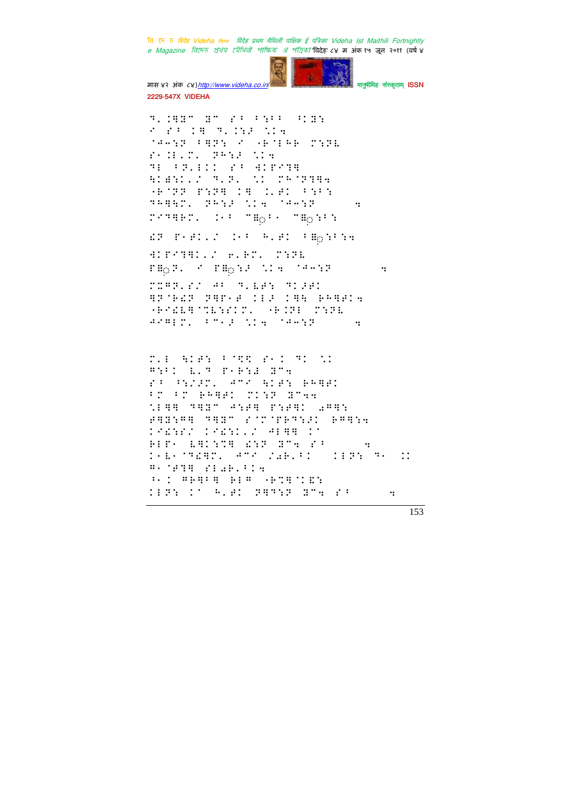ति एप रु विदेह Videha बिलर विदेह प्रथम मैथिली पाक्षिक ई पत्रिका Videha Ist Maithili Fortnightly e Magazine রিদেহ প্রথম মৌথিনী পাক্ষিক *প্র পত্রিকা* 'विदेह' ८४ म अंक १५ जून २०११ (वर्ष ४

मानुषीमिह संस्कृताम् ISSN मास ४२ अंक ८४) http://www.videha.co.in 2229-547X VIDEHA

 $\mathcal{F}_{\mathcal{F}}\left(\mathbb{P}\left(\mathbb{H}\left|\mathbb{P}\right|\right)\right)\oplus\mathcal{F}_{\mathcal{F}}\left(\mathbb{P}\left(\mathbb{P}\left(\mathbb{P}\left(\mathbb{P}\right)\right)\right)\right)\oplus\mathcal{F}_{\mathcal{F}}\left(\mathbb{P}\left(\mathbb{P}\left(\mathbb{P}\left(\mathbb{P}\left(\mathbb{P}\left(\mathbb{P}\right)\right)\right)\right)\right)\right)$ TARGE FREE POSSESSED TEEL FRIEDED BRAS MIR **TELLED CONTRACTOR** RIBROLI P.P. MI TROPHER  $\mathcal{R} \oplus \mathcal{R} \oplus \mathcal{R} \oplus \mathcal{R} \oplus \mathcal{R} \oplus \mathcal{R} \oplus \mathcal{R} \oplus \mathcal{R} \oplus \mathcal{R} \oplus \mathcal{R} \oplus \mathcal{R} \oplus \mathcal{R} \oplus \mathcal{R} \oplus \mathcal{R} \oplus \mathcal{R} \oplus \mathcal{R} \oplus \mathcal{R} \oplus \mathcal{R} \oplus \mathcal{R} \oplus \mathcal{R} \oplus \mathcal{R} \oplus \mathcal{R} \oplus \mathcal{R} \oplus \mathcal{R} \oplus \mathcal{$  $\mathcal{L}_{\mathcal{D}}$ POTERS, ISBN 78018-780353

EP PHELIC DESCRIPTIONS

HIPPHELI F.FT. TARE FROR. P. FRORE MINE CHAND  $\mathbf{r}$ 

TIPP, P. SPACE P. LENCOTIFF. BRIEGR PHEFR IIR IBN ERBEIN  $\begin{minipage}{.4\linewidth} \begin{tabular}{l} \multicolumn{2}{c}{\textbf{+1}} & \multicolumn{2}{c}{\textbf{+1}} & \multicolumn{2}{c}{\textbf{+1}} & \multicolumn{2}{c}{\textbf{+1}} & \multicolumn{2}{c}{\textbf{+1}} & \multicolumn{2}{c}{\textbf{+1}} & \multicolumn{2}{c}{\textbf{+1}} & \multicolumn{2}{c}{\textbf{+1}} & \multicolumn{2}{c}{\textbf{+1}} & \multicolumn{2}{c}{\textbf{+1}} & \multicolumn{2}{c}{\textbf{+1}} & \multicolumn{2}{c}{\textbf{$ #2#17, PT-2 514 7#45F  $\cdot$ :

T. E. RIFN FORT PHI TELLS #NOT ELT POPNE BTW ra ancer, and acen eager FT FT BRAKE TINE BTAA MERR TRIT ANDRE PNORT WHEN PASSAR SARES POSTERANZI PARNY skaner skånslin Himmlic FIT A LUCKIN AND INTERFER IREPORED, ATA VERISI (1995-9)  $\dddot{\phantom{0}}$ : #67#38 PLaB1914 tida th's grudges des grand  $\ddot{\phantom{0}}$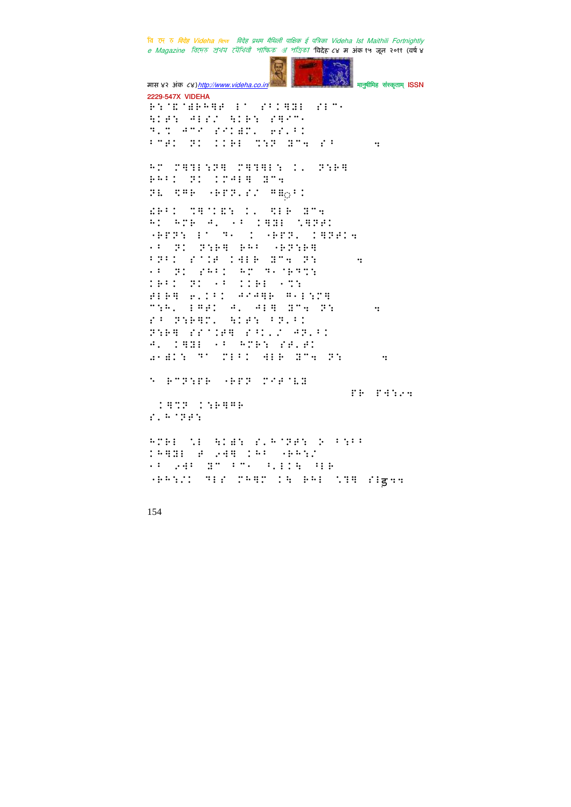त्रि एप रु विदेह Videha बिलर विदेह प्रथम मैथिली पाक्षिक ई पत्रिका Videha Ist Maithili Fortnightly e Magazine রিদেহ প্রথম মৌথিনী পাক্ষিক *প্র পত্রিকা* 'विदेह' ८४ म अंक १५ जून २०११ (वर्ष ४

मानुषीमिह संस्कृताम् ISSN मास ४२ अंक ८४) http://www.videha.co.in 2229-547X VIDEHA  $\mathbb{R}^{n+1} \mathbb{E}^{n+1} \mathbb{E}^{n+1} \mathbb{E}^{n+1} \mathbb{E}^{n+1} \mathbb{E}^{n+1} \mathbb{E}^{n+1} \mathbb{E}^{n+1} \mathbb{E}^{n+1} \mathbb{E}^{n+1} \mathbb{E}^{n+1} \mathbb{E}^{n+1}$ 9195 9137 9195 39575 SUS ANY PRIES, PERPI FT#1 P1 1198 TAP BT4 PF ( ) 4  $\begin{minipage}{.4\linewidth} \begin{tabular}{l} \hline \textbf{0} & \textbf{0} & \textbf{0} \\ \textbf{0} & \textbf{0} & \textbf{0} \\ \textbf{0} & \textbf{0} & \textbf{0} \\ \end{tabular} \end{minipage} \begin{minipage}{.4\linewidth} \begin{tabular}{l} \hline \textbf{0} & \textbf{0} \\ \textbf{0} & \textbf{0} \\ \end{tabular} \end{minipage} \begin{minipage}{.4\linewidth} \begin{tabular}{l} \hline \textbf{0} & \textbf{0} \\ \textbf{0} & \textbf{0} \\ \end{tabular}$ **FRIDAY STATE STA** PE SPE (FEPLED PHOT) EPIC TEMPER IN THE BUSI AD AMB AL VE DAMB NAMAD<br>Verma bilay di Vermi dambiy AT SI SABA BAY ABABA FRED POIR CHER BOARDER  $\ddot{\phantom{1}}$ **ARE BE START CATE BACTERING** IPPI FI (P) (P) IIPP (PT) HIPH PLICE ANAHR PLINTH 755, 1991 9, 918 376 751  $\mathcal{L}(\mathbf{r})$ FRONTHEIL BIFT REPLACE  $\begin{array}{lll} 2.5389 & 0.0011109 & 0.31111 & 0.001131 \\ \end{array}$  $\mathcal{A}_{\mathcal{A}} = \left( \begin{array}{ccc} 0 & 0 & 0 \\ 0 & 0 & 0 \end{array} \right) \times \left( \begin{array}{ccc} 0 & 0 & 0 \\ 0 & 0 & 0 \end{array} \right) \times \left( \begin{array}{ccc} 0 & 0 & 0 \\ 0 & 0 & 0 \end{array} \right)$ ardin at Till die dag an 's 's N BURGER (FER CHECKE TP TANKS  $1972.199999$  $41.41245$ POBLICAL ROBACIO PORTUGUEARA 1988 F. P. 248 199 (PR)  $\mathcal{L}(\mathbb{R})$  ,  $\mathcal{L}(\mathbb{R})$  ,  $\mathcal{L}(\mathbb{R})$  ,  $\mathcal{L}(\mathbb{R})$  ,  $\mathcal{L}(\mathbb{R})$  ,  $\mathcal{L}(\mathbb{R})$  ,  $\mathcal{L}(\mathbb{R})$ HEAT THE TERM IN ERPORTED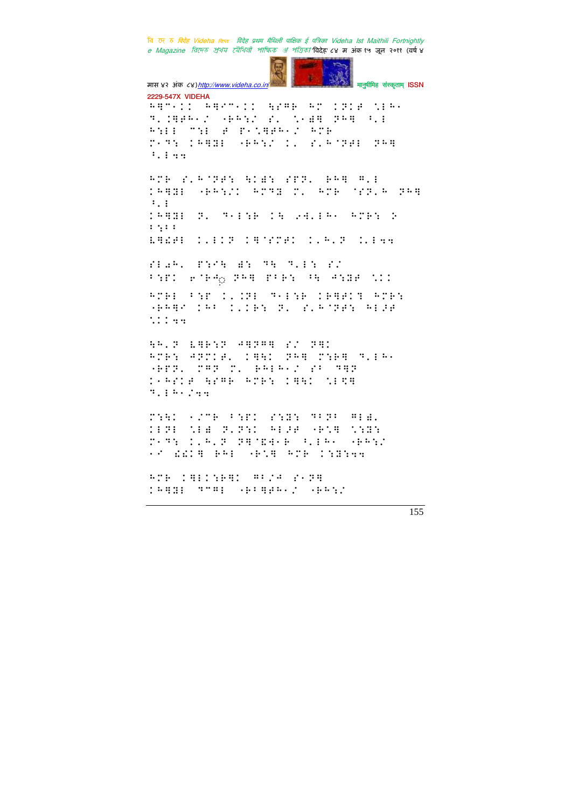त्रि एप रु विदेह Videha बिलर विदेह प्रथम मैथिली पाक्षिक ई पत्रिका Videha Ist Maithili Fortnightly e Magazine রিদেহ প্রথম মৌথিনী পাক্ষিক *প্র পত্রিকা* **বিदेह ८४ म अंक १५ जून २०११ (वर्ष ४** 

मास ४२ अंक ८४) http://www.videha.co.in मानुषीमिह संस्कृताम् ISSN 2229-547X VIDEHA RATION REPORTS ARRESTS TO DEPUTE P. IRAHAZ (ARANZ Y. CANBRIDAR) 9.1 PAIL TALL FUNDAMENT PTP T-95 1998: HPS (1999) 11 219 700 1000  $\mathcal{F}_\text{c}$  is a  $\alpha$ ATE PLATTEN ALBA PETL PAR RIP IRBBB (PRAGIL ROMB) D. ROR (MOR. R) DRB  $\mathcal{F}$ . IPROFINE THERE IS WELFAL PUPY &  $\mathbb{E}[\mathcal{F}_2(\mathbb{R}^d)]$ ENERGY ISSUED IN MOTHER IS ALREADY FEARL PACK AN THE TIEN FI FARI FORMS PRESENTED MADE AND POBLIC PLOT COLORED THE SERVED REPORT HEARY CAR CLIEN B. P. P. METHS AE28  $5.1144$ 55.7 LBF17 98788 F2 781 ATEN APTIEL INNI PAN TNEN MULES  $\overline{AB}$  (Fig. )  $\overline{B}$  (Fig. )  $\overline{B}$  (Fig. )  $\overline{B}$  (Fig. )  $\overline{B}$  (Fig. )  $\overline{B}$ 199218 5286 9265 1861 5188  $27.444744$ TARI KITE PAPI PADA PPPP PER. 1998 MEE PLPAT REPEARANCEST TARA ILALA PROTEGARA LA ERA GARAN ATE THITSEHI WEIGH PATH TRANS STREET REAGENCY (1983)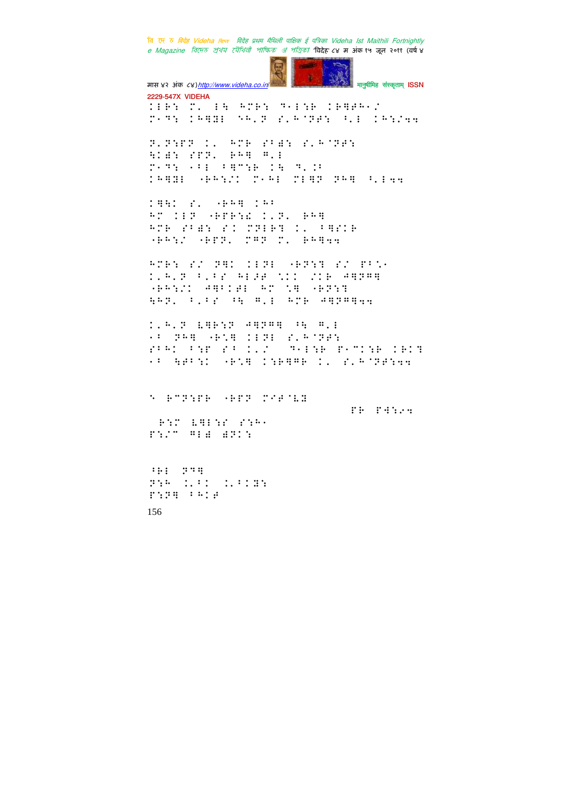त्रि एप रु विदेह Videha बिलर विदेह प्रथम मैथिली पाक्षिक ई पत्रिका Videha Ist Maithili Fortnightly e Magazine রিদেহ প্রথম মৌথিনী পাক্ষিক *প্র পত্রিকা* 'विदेह' ८४ म अंक १५ जून २०११ (वर्ष ४

मास ४२ अंक ८४) http://www.videha.co.in मानुषीमिह संस्कृताम् ISSN 2229-547X VIDEHA IPPS T. PR PTPS THISP IPPPPS. PARA IPHOD SPIR PIPING ALD IPACHE FURNIT IS ATE PARA PURSON 9185 FFF, 958 9.1  $\mathbb{P}^{1}\times\mathbb{P}^{1}\times\cdots\times\mathbb{P}^{n}\times\mathbb{P}^{n}\times\mathbb{P}^{n}\times\mathbb{P}^{n}\times\mathbb{P}^{n}\times\mathbb{P}^{n}\times\mathbb{P}^{n}\times\mathbb{P}^{n}\times\mathbb{P}^{n}\times\mathbb{P}^{n}\times\mathbb{P}^{n}\times\mathbb{P}^{n}\times\mathbb{P}^{n}\times\mathbb{P}^{n}\times\mathbb{P}^{n}\times\mathbb{P}^{n}\times\mathbb{P}^{n}\times\mathbb{P}^{n}\times\mathbb{P}^{n}\times\mathbb{P$ 1998: HPS21 T-91 TIMP PPM (1199  $\begin{array}{ccc} 1 \oplus 0 & 1 \oplus 1 & 0 \oplus 1 & 0 \oplus 0 & 1 \oplus 0 \end{array}$ PT IFF (FFF)E LIP. PPH ATE PEAK PI THER IN FAMIL SERGY SEPRI PREST, PRRAG POPA PO PRI ISBN (PRATIES) PRAK 1.5.2.3.1.12 5138 NIL 215 94984 HERNI HELLEL FO NE HEPNE asplicitor of which special pages  $(1, 5, 7, 144447, 144744, 14, 14, 14)$  $\mathcal{L}(3)=\mathcal{D}(3\oplus 3)=\mathcal{L}(3\oplus 2)\oplus \mathcal{L}(3)\oplus \mathcal{L}(3)=\mathcal{L}(3)\oplus \mathcal{L}(3)\oplus \mathcal{L}(3)$ anel namian club (mecha membak cera PROGRESS (PENN ISBN 8-11) PLATFROM **NORTHWEIGHT CONTROL** TP FANCY **BAT LATAT PARK** Film Wid drin 394 239 Fig. 1.91 (1.918) ring cape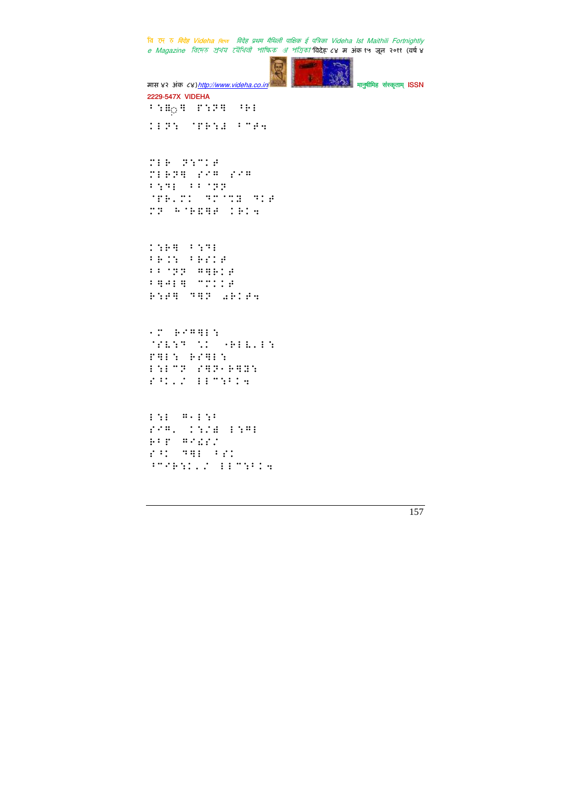ৱি দে হ *विदेह Videha बिल्ब विदेह प्रथम मैथिली पाक्षिक ई पत्रिका Videha Ist Maithili Fortnightly* e Magazine विरमह 'क्षेत्र' रूपैशिवी शोष्क्रिक श्रं शक्तिरं **विदेह' ८४ म अंक १५ जून २०११ (वर्ष ४** मास ४२ अंक ८४)http://www.videha.co.in/ मानुसी मानुषीमिह संस्कृताम् ISSN 2229-547X VIDEHA ⣑⣟◌़⣛ ⣑⢽⣛ ⢸⢷ ⢽⣑ ⢷⣑⣜ )⢾⣒ ⢷ ⢽⣑) ⢾ TIETH PAR PAR ⣑⢹ ⢽⢽ MPR.CO MPSTO PROP ⢽ ⢳⢷⣏⣛⢾ ⢷ ⣒*!!* ⣑⢷⣛ ⣑⢹ ⢷⣈⣑ ⢷ ⢾*!!* ⢽⢽ ⢻⣛⢷ ⢾ ⣛⢺⣛ ) ⢾*!!* ⢷⣑⢾⣛ ⢹⣛⢽ ⣔⢷ ⢾⣒  $+T$   $+T$   $+T$   $+T$   $+T$ ⣇⣑⢹ ⣁ ⢷⣇⣑ ⣛⣑ ⢷⣛⣑ ⣑)⢽ ⣛⢽\$⢷⣛⣝⣑ ⢸ )⣑ ⣒*!!* ⣑ ⢻\$⣑  $f \in \mathbb{R}$ , in the set ⢷ ⢻ ⣎*!!*  $F$   $\leftarrow$   $F$   $\leftarrow$   $F$   $\leftarrow$   $F$   $\leftarrow$   $F$ ⢸) ⢷⣑ )⣑ ⣒*!!*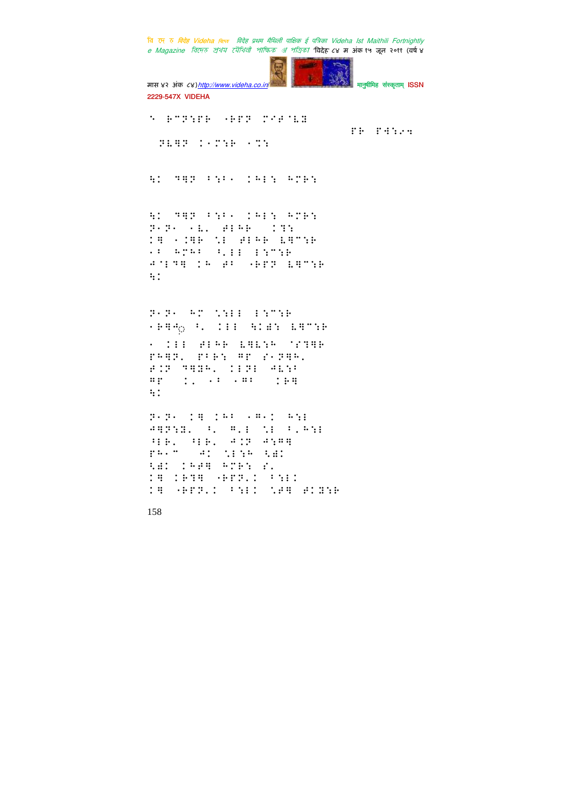| मास ४२ अंक ८४)http://www.videha.co.in |               |  |  |  |  |  |  |  |  |             |  |                             | e Magazine রিদেত প্রথম মৌথিনী পাক্ষিক ঐ পত্রিকা ' <mark>বিदेह' ८४ म अंक १५ जून २०११ (वर्ष ४</mark> |  |  |  | मानुषीमिह संस्कृताम् <b>ISSN</b> |  |
|---------------------------------------|---------------|--|--|--|--|--|--|--|--|-------------|--|-----------------------------|----------------------------------------------------------------------------------------------------|--|--|--|----------------------------------|--|
| 2229-547X VIDEHA                      |               |  |  |  |  |  |  |  |  |             |  |                             |                                                                                                    |  |  |  |                                  |  |
| n Bosner (Bes off Ma                  |               |  |  |  |  |  |  |  |  |             |  |                             |                                                                                                    |  |  |  |                                  |  |
|                                       |               |  |  |  |  |  |  |  |  |             |  |                             |                                                                                                    |  |  |  | TP FANCY                         |  |
|                                       | FLUE CONTE CT |  |  |  |  |  |  |  |  |             |  |                             |                                                                                                    |  |  |  |                                  |  |
|                                       |               |  |  |  |  |  |  |  |  |             |  |                             |                                                                                                    |  |  |  |                                  |  |
|                                       |               |  |  |  |  |  |  |  |  |             |  |                             |                                                                                                    |  |  |  |                                  |  |
| 5: 792 FALL (PER POPR                 |               |  |  |  |  |  |  |  |  |             |  |                             |                                                                                                    |  |  |  |                                  |  |
|                                       |               |  |  |  |  |  |  |  |  |             |  |                             |                                                                                                    |  |  |  |                                  |  |
|                                       |               |  |  |  |  |  |  |  |  |             |  |                             |                                                                                                    |  |  |  |                                  |  |
| 51 792 FAF, 1913 MED                  |               |  |  |  |  |  |  |  |  |             |  |                             |                                                                                                    |  |  |  |                                  |  |
| 3.3. .e. <i>a</i> ige (33.            |               |  |  |  |  |  |  |  |  |             |  |                             |                                                                                                    |  |  |  |                                  |  |
| 19.                                   |               |  |  |  |  |  |  |  |  |             |  |                             |                                                                                                    |  |  |  |                                  |  |
| 2: ATA: 3.11 13738                    |               |  |  |  |  |  |  |  |  |             |  |                             |                                                                                                    |  |  |  |                                  |  |
| # NERBOOK (#FO) (BERODERTSE           |               |  |  |  |  |  |  |  |  |             |  |                             |                                                                                                    |  |  |  |                                  |  |
| : :                                   |               |  |  |  |  |  |  |  |  |             |  |                             |                                                                                                    |  |  |  |                                  |  |
|                                       |               |  |  |  |  |  |  |  |  |             |  |                             |                                                                                                    |  |  |  |                                  |  |
|                                       |               |  |  |  |  |  |  |  |  |             |  |                             |                                                                                                    |  |  |  |                                  |  |
| POPULAR NAME MARTER                   |               |  |  |  |  |  |  |  |  |             |  |                             |                                                                                                    |  |  |  |                                  |  |
| (PAg P. III Alan Aanne                |               |  |  |  |  |  |  |  |  |             |  |                             |                                                                                                    |  |  |  |                                  |  |
|                                       |               |  |  |  |  |  |  |  |  |             |  | <b>TIE HIPE LALIP TEAMS</b> |                                                                                                    |  |  |  |                                  |  |
| PRHP. PFF5 #P 2.246.                  |               |  |  |  |  |  |  |  |  |             |  |                             |                                                                                                    |  |  |  |                                  |  |
| #12 9935, 1121 9659                   |               |  |  |  |  |  |  |  |  |             |  |                             |                                                                                                    |  |  |  |                                  |  |
| #p (), () (#) (#) (}#                 |               |  |  |  |  |  |  |  |  |             |  |                             |                                                                                                    |  |  |  |                                  |  |
| : :                                   |               |  |  |  |  |  |  |  |  |             |  |                             |                                                                                                    |  |  |  |                                  |  |
|                                       |               |  |  |  |  |  |  |  |  |             |  |                             |                                                                                                    |  |  |  |                                  |  |
| F-F- 19 15: (8) 2011                  |               |  |  |  |  |  |  |  |  |             |  |                             |                                                                                                    |  |  |  |                                  |  |
| #8258. F. #.: 51 F. #51               |               |  |  |  |  |  |  |  |  |             |  |                             |                                                                                                    |  |  |  |                                  |  |
| HP. HP. 412                           |               |  |  |  |  |  |  |  |  | $\ldots, n$ |  |                             |                                                                                                    |  |  |  |                                  |  |
| PROTOGRI NEAR RAD                     |               |  |  |  |  |  |  |  |  |             |  |                             |                                                                                                    |  |  |  |                                  |  |
| 581 (1989–9265 f.                     |               |  |  |  |  |  |  |  |  |             |  |                             |                                                                                                    |  |  |  |                                  |  |
| 19 1699 (682.1 FGB)                   |               |  |  |  |  |  |  |  |  |             |  |                             |                                                                                                    |  |  |  |                                  |  |
|                                       |               |  |  |  |  |  |  |  |  |             |  |                             | 19 (Francisco Fall) Negogiana                                                                      |  |  |  |                                  |  |
|                                       |               |  |  |  |  |  |  |  |  |             |  |                             |                                                                                                    |  |  |  |                                  |  |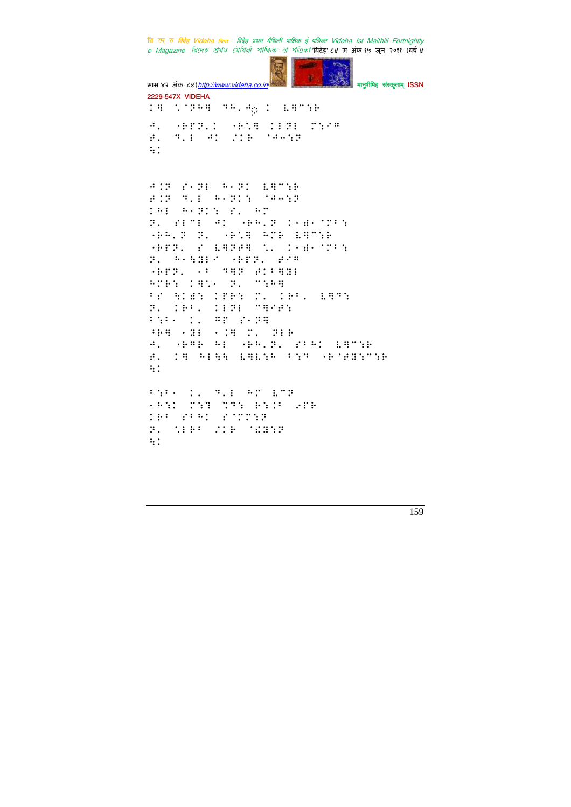त्रि एप रु विदेह Videha बिलर विदेह प्रथम मैथिली पाक्षिक ई पत्रिका Videha Ist Maithili Fortnightly e Magazine রিদেহ প্রথম মৌথিনী পাক্ষিক *প্র পত্রিকা* **বিदेह ८४ म अंक १५ जून २०११ (वर्ष ४** 

मास ४२ अंक ८४) http://www.videha.co.in मानुषीमिह संस्कृताम् ISSN 2229-547X VIDEHA IB NORTH THING I EBOAR **B. P.E. RI ZIB 78852**  $\ddot{ }$ :  $\#\{1\}\cup\{2\}$  ,  $\|\mathbb{L}\cup\{1\}\cup\{2\}\|$  ,  $\|\mathbb{L}\cup\{2\}\cup\{2\}\|$ 1940 9-215 310 97 F. HITE AL (PROF. 1989) THE  $\mathcal{A}(\mathbb{H}^n,\mathbb{P}^n,\mathbb{P}^n,\mathbb{P}^n,\mathbb{P}^n,\mathbb{P}^n,\mathbb{P}^n,\mathbb{P}^n,\mathbb{P}^n,\mathbb{P}^n,\mathbb{P}^n,\mathbb{P}^n,\mathbb{P}^n,\mathbb{P}^n$ HETPLO FORMER CO. IN BY TEST  $\mathcal{P}_\sigma = \mathcal{P}_\sigma + \mathcal{P}_\sigma \mathcal{P}_\sigma + \mathcal{P}_\sigma \mathcal{P}_\sigma + \mathcal{P}_\sigma \mathcal{P}_\sigma + \mathcal{P}_\sigma \mathcal{P}_\sigma$  $\overline{AB}$  ,  $\overline{B}$  ,  $\overline{B}$  ,  $\overline{B}$  ,  $\overline{B}$  ,  $\overline{B}$  ,  $\overline{B}$  ,  $\overline{B}$  ,  $\overline{B}$  ,  $\overline{B}$  ,  $\overline{B}$  ,  $\overline{B}$  ,  $\overline{B}$  ,  $\overline{B}$  ,  $\overline{B}$  ,  $\overline{B}$  ,  $\overline{B}$  ,  $\overline{B}$  ,  $\overline{B}$  ,  $\overline{B}$  , **PIPE IRL: P. 7198** From Handers T. (1981) 1975 B. IBP. IEBE TRYER FSP (1) #F P P P  $\mathbb{P}(\mathbb{H}^m) \to \mathbb{H}(\mathbb{H}^m) \to \mathbb{H}(\mathbb{H}^m) \subset \mathbb{H}(\mathbb{H}^m)$ a, Seap Al Sea, p. 2000 Lange<br>2. 19 Mine Lalie (1980) School  $\ddots$ FARRISTS WILL BE END IPP PRAIS POTTER F. MERS CLE MEETER  $\ddot{ }$  :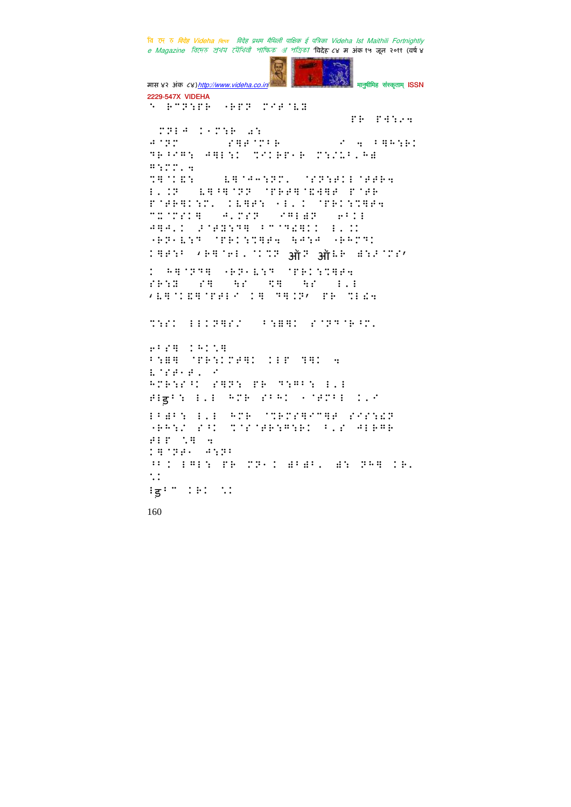ति एप रु विदेह Videha बिलर विदेह प्रथम मैथिली पाक्षिक ई पत्रिका Videha Ist Maithili Fortnightly e Magazine রিদেহ প্রথম মৌথিনী পাক্ষিক *প্র পত্রিকা* 'विदेह' ८४ म अंक ९५ जून २०११ (वर्ष ४ मानुषीमिह संस्कृताम् ISSN मास ४२ अंक ८४) http://www.videha.co.in 2229-547X VIDEHA **NORTHWEEK PRESSURES** TP FANCY TF1 # 1 + TAB 45 **Contract Construction** MERCHA WHEAT TOIERSE TAZLE, RE **PATTLA** THIS END A LASSANDEL CONTROL SHARE  $\begin{minipage}{0.9\linewidth} \begin{tabular}{l} \hline \textbf{1} & \textbf{1} & \textbf{1} & \textbf{1} & \textbf{1} & \textbf{1} & \textbf{1} & \textbf{1} & \textbf{1} & \textbf{1} & \textbf{1} & \textbf{1} & \textbf{1} & \textbf{1} & \textbf{1} & \textbf{1} & \textbf{1} & \textbf{1} & \textbf{1} & \textbf{1} & \textbf{1} & \textbf{1} & \textbf{1} & \textbf{1} & \textbf{1} & \textbf{1} & \textbf{1} & \textbf{1} &$ FORESINE, ILBREN (FL.I. OFEINIRE) **MINISTER PROPERTY AREAS**  $\sim$   $\sigma$   $^{1}$   $\sim$   $\pm$ **ANALL AMERICAN COMMENT BLD** CHEST VEHICLE, NICE SHE SHEET BOARDER **TO REMOVE SHOPPING CONSTRUCTS** PEAR PROPERTY RECORDS **VERMISHMEEN IR PRIP/ PE TEGS** THE HITPEN CONHEI POPPORT.  $H^4$   $H^4$   $H^4$   $H^4$   $H^4$   $H^4$ FABR (FRAIDER) IED MRI 4 Engele Live **ATENERS PRESS TE SANFA RIPLE** BEEN EVENTED FOR STREET LIP PRESS P.P. ATE STETCHATHE PAPART HERNA KAL TAKABARAN ALK HERRE **FIF NE 4** 187286 8528 PEC EMEN TROTTED BEBEL BN THROIR.  $\ddots$  $ig: "++"$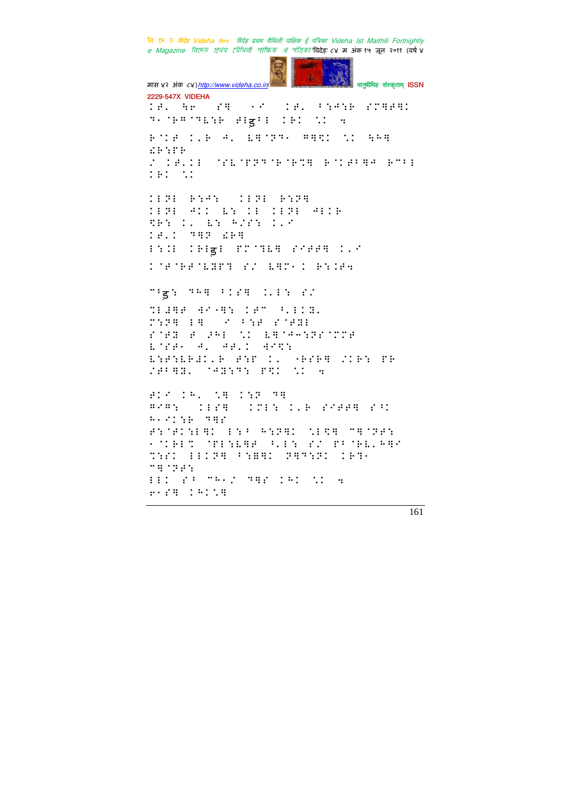e Magazine রিদেহ প্রথম মৌথিনী পাক্ষিক *প্র পত্রিকা* **বিदेह ८४ म अंक १५ जून २०११ (वर्ष ४** मानुषीमिह संस्कृताम ISSN मास ४२ अंक ८४) http://www.videha.co.in 2229-547X VIDEHA  $\sim$   $\sim$  $\pm 1.01$  ,  $\pm 1.001$  ,  $\pm 1.001$  ,  $\pm 1.001$  ,  $\pm 1.001$  $\mathbb{R}^2$ 19. hr. SACRETSEME FIGHT IPICAL S BOILE ILE R. LETTER REDICTOR ARE drift  $\mathcal{L}^{\mathcal{A}}(\mathcal{A},\mathcal{B},\mathcal{A},\mathcal{B})=\mathcal{L}^{\mathcal{A}}\mathcal{L}^{\mathcal{A}}\mathcal{L}^{\mathcal{A}}\mathcal{L}^{\mathcal{B}}\mathcal{L}^{\mathcal{B}}\mathcal{L}^{\mathcal{B}}\mathcal{L}^{\mathcal{B}}\mathcal{B}^{\mathcal{A}}^{\mathcal{A}}\mathcal{L}^{\mathcal{B}}\mathcal{L}^{\mathcal{B}}\mathcal{B}^{\mathcal{B}}^{\mathcal{B}}\mathcal{A}^{\mathcal{B}}^{\mathcal{B}}\mathcal{B}$ TED AT 1171 FY51 (1171 FY79) TERE AND EN IE DERE ALDE **RESOURCES PAPER INF** 19.1 792 4PB FACE CHEEL PUSSES PAPPENDENT CONTRACEDED AN ESTAD RADA TERRITOR ESSENTIALS ST TESHE HAVEN IST FLEID. TAPE IN CONTACT PART PORT ROOMS NO ENCAMERATED ESPECIAL ARLI APRN EGAGEBALLE AGE IL GENER ZIEG EE<br>ZAFROL GROGGE ERI VI G **BIR IN. NB INE MB** RARN CIEVE CITEN LIB PAPPE PR  $44.7154 - 247$ #NO#CNE#C ENF #NP#C NER# 7#OP#N  $\begin{minipage}{0.9\linewidth} \begin{tabular}{l} \multicolumn{2}{c}{\textbf{\textit{r}}}\\ \multicolumn{2}{c}{\textbf{\textit{r}}}\\ \multicolumn{2}{c}{\textbf{\textit{r}}}\\ \multicolumn{2}{c}{\textbf{\textit{r}}}\\ \multicolumn{2}{c}{\textbf{\textit{r}}}\\ \multicolumn{2}{c}{\textbf{\textit{r}}}\\ \multicolumn{2}{c}{\textbf{\textit{r}}}\\ \multicolumn{2}{c}{\textbf{\textit{r}}}\\ \multicolumn{2}{c}{\textbf{\textit{r}}}\\ \multicolumn{2}{c}{\textbf{\textit{r}}}\\ \multicolumn{2}{c}{$ TAYL INSPECTABLE PETAPS SET-787285 EED RECTAINS THE IAI NICH 999991912

त्रि एप रु विदेह Videha बिलर विदेह प्रथम मैथिली पाक्षिक ई पत्रिका Videha Ist Maithili Fortnightly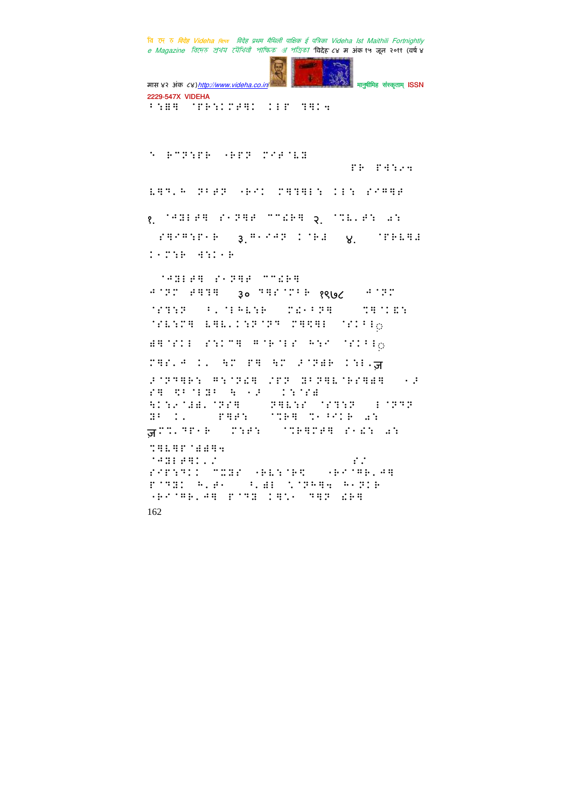मानुषीमिह संस्कृताम् ISSN मास ४२ अंक ८४) http://www.videha.co.in 2229-547X VIDEHA FABR MERICARD DIE BRIG **NORTHERN HER PARTLE** TP FATES ENTIFICATOR PROVINCINGO E DE CONTRA g TABEER PARRE TTERR QUITELES as PERFECT PRODUCTS TO THE RESIDENCE OF THE REAL 1975B 4519B 793199 P.P.998 77289  $-177$   $+177$   $-30$   $-777$   $+1$   $-800$  $\rightarrow$  192 METAP (F. MERINE) CONFIDER  $-79.1145$ MELTE LALINEMENT PARAL MELLIS BRINGE VISITAL AND REVENUE OVER ED CREAM IN ACTIVE ACTIVITIES INFLUE  $\mathcal{F}^{(1)}(\mathcal{P}^{(2)}(\mathcal{P}^{(2)}(\mathcal{P}^{(1)}(\mathcal{P}^{(2)}(\mathcal{P}^{(1)}(\mathcal{P}^{(2)}(\mathcal{P}^{(2)}(\mathcal{P}^{(2)}(\mathcal{P}^{(2)}(\mathcal{P}^{(2)}(\mathcal{P}^{(2)}(\mathcal{P}^{(2)}(\mathcal{P}^{(2)}(\mathcal{P}^{(2)}(\mathcal{P}^{(2)}(\mathcal{P}^{(2)}(\mathcal{P}^{(2)}(\mathcal{P}^{(2)}(\mathcal{P}^{(2)}(\mathcal{P}^{(2)}(\mathcal{P}^{(2)}$ PRODUCED A SPONSOR FALSE METER (FORT) Albertaal Marg ALAVIAN TRENO CRANAE TERRA ()<br>BROIL CONFARACCITER THREE AN GOVERNMENT CAPACITY CONTROL STATE AND THEAP TEERS 1931991.2  $\mathcal{L}$ 

त्रि एप रु विदेह Videha बिलर विदेह प्रथम मैथिली पाक्षिक ई पत्रिका Videha Ist Maithili Fortnightly e Magazine রিদেহ প্রথম মৌথিনী পাক্ষিক *প্র পত্রিকা* 'विदेह' ८४ म अंक १५ जून २०११ (वर्ष ४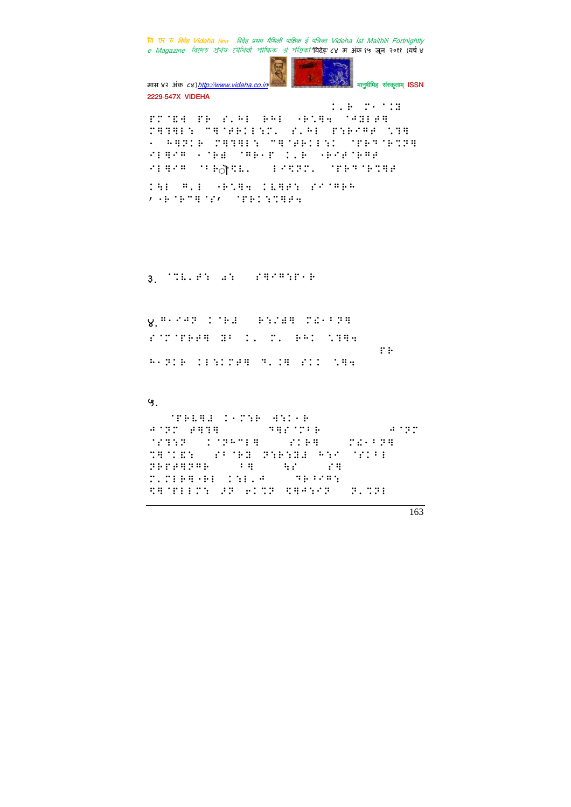ৱি দে হ *विदेह Videha बिल्ब विदेह प्रथम मैथिली पाक्षिक ई पत्रिका Videha Ist Maithili Fortnightly* e Magazine विरमह 'क्षेत्र' रूपैशिवी शोष्क्रिक श्रं शक्तिरं **विदेह' ८४ म अंक १५ जून २०११ (वर्ष ४** 

मास ४२ अंक ८४)http://www.videha.co.in/ महाराष्ट्रीय मानुसीमह संस्कृताम् ISSN 2229-547X VIDEHA

*xxx/qpfusztpvq/dpn!*  $I$ .  $B$   $T$ .  $T$ .  $T$ ⣏⣚ ⢷ ⢳ ⢷⢳ ⢷⣁⣛⣒ ⢺⣝⢾⣛ ⣛⣙⣛⣑ )⣛⢾⢷ ⣑ ⢳ ⣑⢷ ⢻⢾ ⣁⣙⣛ \$ ⢳⣛⢽ ⢷ ⣛⣙⣛⣑ )⣛⢾⢷ ⣑ ⢷⢹⢷⣉⢽⣛ GIBAR \$∂BB \$P\$P\$P\$P\$ ⣛ ⢻ ⢷◌ॊ⣋⣇*-!* ⣋⢽ ⢷⢹⢷⣉⣛⢾

 $\overline{C}$  ��  $\overline{C}$   $\overline{C}$   $\overline{C}$   $\overline{C}$   $\overline{C}$   $\overline{C}$   $\overline{C}$   $\overline{C}$   $\overline{C}$   $\overline{C}$   $\overline{C}$   $\overline{C}$   $\overline{C}$   $\overline{C}$   $\overline{C}$   $\overline{C}$   $\overline{C}$   $\overline{C}$   $\overline{C}$   $\overline{C}$   $\overline{C}$   $\overline{C}$   $\overline{C}$   $\over$  $\lambda$  (or the theoretical control of the top theoretical control of the top that  $\mu$ 

३. ⣉⣇⢾⣑ ⣔⣑*!)*⣛ ⢻⣑\$⢷*\*!!*

४.⢻\$ ⢺⢽ ⢷⣜*!!*⢷⣑⣞⣛ ⣎\$⢽⣛*-!*  $\mathcal{L}$  (The set of  $\mathcal{L}$  ,  $\mathcal{L}$  ,  $\mathcal{L}$  ,  $\mathcal{L}$  ,  $\mathcal{L}$  ,  $\mathcal{L}$  ,  $\mathcal{L}$  ,  $\mathcal{L}$  ,  $\mathcal{L}$  ,  $\mathcal{L}$  ,  $\mathcal{L}$  ,  $\mathcal{L}$  ,  $\mathcal{L}$  ,  $\mathcal{L}$  ,  $\mathcal{L}$  ,  $\mathcal{L}$  ,  $\mathcal{L}$  ,  $\mathcal{L}$  ,  $\math$ *xxx/nbeivcbojbsut/dp/vl!*⢷ ₿) ZIE (1151288 J.J.H. 2011) NBH

५.

*!!*⢷⣇⣛⣜ \$⣑⢷ ⣚⣑ \$⢷*!!* ⢺⢽ ⢾⣛⣙⣛*!.42!*⢹⣛⢷*!2:88<!*⢺⢽ ⣙⣑⢽*!.* ⢽⢳)⣛*!-!* ⢷⣛*!-!*⣎\$⢽⣛*!<!* ⣉⣛ ⣏⣑*.!*⢷⣝ ⢽⣑⢷⣑⣝⣜ ⢳⣑ *!.!* ⢽⢷⢾⣛⢽⢻⢷*!-!*⣛*!/!*⣓*!/!*⣛*!.!* ⢷⣛⢷ ⣑⢺*!.!*⢹⢷⢸ ⢻⣑*!-!* ⣋⣛⣑ ⢼⢽ ⢶ ⣉⢽ ⣋⣛⢺⣑ ⢽*!)*⢽⣉⢽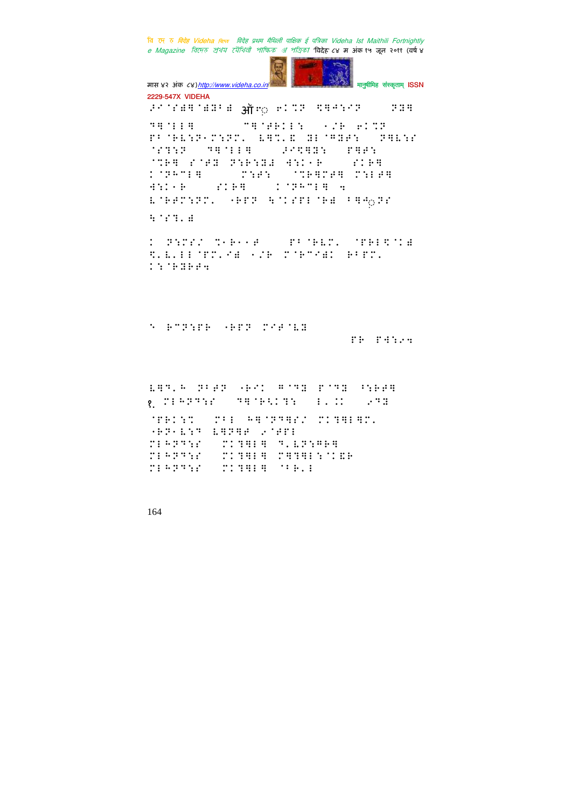ৱি দে হ *विदेह Videha बिल्ब विदेह प्रथम मैथिली पाक्षिक ई पत्रिका Videha Ist Maithili Fortnightly* e Magazine विद्युत्त सेथेंग ट्रॉशिनी शक्तिक अ शंक्रिकां **'विदेह' ८४ म अंक १५ जून २०११ (वर्ष ४** 

मास ४२ अंक ८४)http://www.videha.co.in/ मानुसी मानुषीमिह संस्कृताम् ISSN 2229-547X VIDEHA GR MORE MORE I ऑPOLE CONTROL CONTR ⢹⣛⣛*!\*!-!*)⣛⢾⢷ ⣑*!!*\$⢷ ⢶ ⣉⢽ ⢷⣇⣑⢽\$⣑⢽ ⣇⣛⣉⣏ ⣝⢻⣝⢾⣑*-!*⢽⣛⣇⣑ ⣙⣑⢽*.!*⢹⣛⣛*!-!*⢼ ⣋⣛⣝⣑*<!*⣛⢾⣑*.!* ⣉⢷⣛ ⢾⣝ ⢽⣑⢷⣑⣝⣜ ⣚⣑ \$⢷*!-!* ⢷⣛*!.!* ⢽⢳)⣛*!!<!*⣑⢾⣑*.!*⣉⢷⣛⢾⣛ ⣑⢾⣛ ⣚⣑ \$⢷*!-!* ⢷⣛*!.!* ⢽⢳)⣛ ⣒ ω readrad. O sepa central reaccampad ⣓⣙⣞*!!)!Bftuifuf!Cz!Qsbwjo!* ⢽⣑ ⣉\$⢷\$\$⢾*!-!*⢷⣇ ⢷⣋ ⣞ S. E. FESTIVAE A ZE COSESAR DO ESTO. ⣑⢷⣝⢷⢾⣒

 $\rightarrow$  +77110  $\rightarrow$  +7710  $\rightarrow$  +7710  $\rightarrow$ *hhbkfoesbAwjefib/dpn!*⢷ ⣚⣑⢴⣒*!!*

⣇⣛⢹⢳ ⢽⢾⢽ ⢷ ⢻⢹⣝ ⢹⣝ ⢸⣑⢷⢾⣛ १. ⢳⢽⢹⣑*!)*⢹⣛⢷⣃ ⣙⣑*\*;*⣈ *;!*⢴⢹⣝ ⢷ ⣑⣉*!)* ⢳⣛⢽⢹⣛ ⣙⣛⣛ ⢷⢽\$⣇⣑⢹ ⣇⣛⢽⣛⢾ ⢴⢾*\*!* ⢳⢽⢹⣑*!)* ⣙⣛⣛ ⢹⣇⢽⣑⢻⢷⣛*\*!* ⢳⢽⢹⣑*!)* ⣙⣛⣛ ⣛⣙⣛⣑ ⣏⢷*\*!* ⢳⢽⢹⣑*!)* ⣙⣛⣛ ⢷*\*!*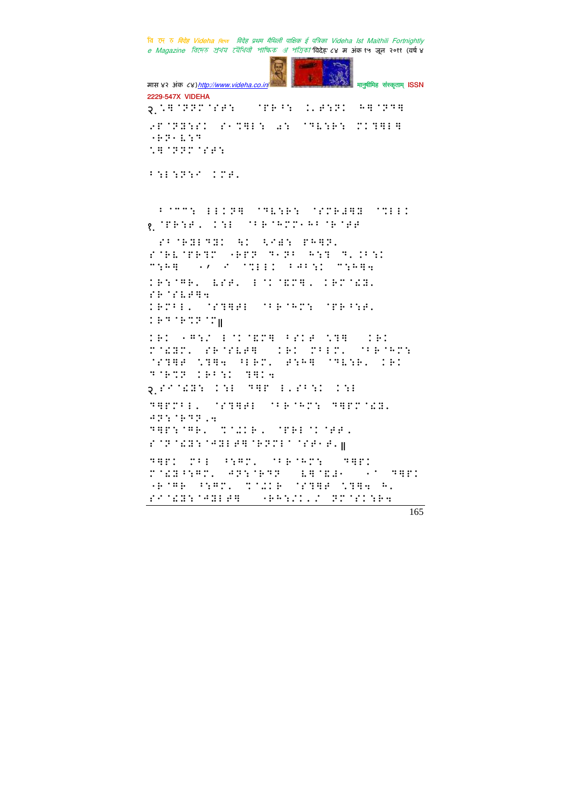```
मानुषीमिह संस्कृताम् ISSN
मास ४२ अंक ८४) http://www.videha.co.in
2229-547X VIDEHA
Q = \frac{1}{2} \left( \frac{1}{2} \frac{1}{2} \frac{1}{2} \frac{1}{2} \frac{1}{2} \frac{1}{2} \frac{1}{2} \frac{1}{2} \frac{1}{2} \frac{1}{2} \frac{1}{2} \frac{1}{2} \frac{1}{2} \frac{1}{2} \frac{1}{2} \frac{1}{2} \frac{1}{2} \frac{1}{2} \frac{1}{2} \frac{1}{2} \frac{1}{2} \frac{1}{2} \frac{1}{2} \frac{1}{2} \frac{1}{2} \frac{1}{2} \frac{1}{2} \frac{1}{2} \frac{1}{2} \frac{1}{VESPENCE CONTRENS AN INVENCE CONTRES
-17.7137NATRRETERS
FALAPAK ITE.
  FOUND BEERE ONESES OFTERED ONES
gorena, chi dia macrossoria na
  FROM HIS RESIDENCE.
KOREOTRAT (ARTS SYSTEMATICS)
\mathcal{P}(\mathbf{q},\mathbf{q}) = \left\{ \mathbf{q} \in \mathcal{P} \mid \mathcal{P}(\mathbf{q},\mathbf{q}) \in \mathcal{P}(\mathbf{q},\mathbf{q}) \right\} \in \mathcal{P}(\mathbf{q},\mathbf{q},\mathbf{q})TESTARI EPAL EST METAL TETSEL
FRITERS:
IPTEL MOTHER MEMBER MERSE.
1.577577771TED APACTECY TEPH FRIE STRU
                                                      \therefore \thereforeDIGGOV ZENOLAR (181 DIGOV NEMPOS
SPRAG SRAW HIGH GARAGE SPEAR CIG
SIPTE LEFT: THIS
QUESTERN CAR THE RUSHAL CAR
SHEPPEL CONTRACT SPECIAL SHEP CAN.
475797774PRESIDEL TIMEL IPEE MINER.
a ne nada nedeles ne este ninaes el g
                                               -9911FRED THE HART, SHEIRTH
DINGBANADI (APNIANO) ERIBUA (1911-1980)<br>SEIRE (APDI DINGBA) NORRA NORRA AI
FORESTABLES (FERRICA PETERBE
```
ति एप रु विदेह Videha बिलर विदेह प्रथम मैथिली पाक्षिक ई पत्रिका Videha Ist Maithili Fortnightly e Magazine রিদেহ প্রথম মৌথিনী পাক্ষিক *প্র পত্রিকা* 'विदेह' ८४ म अंक १५ जून २०११ (वर्ष ४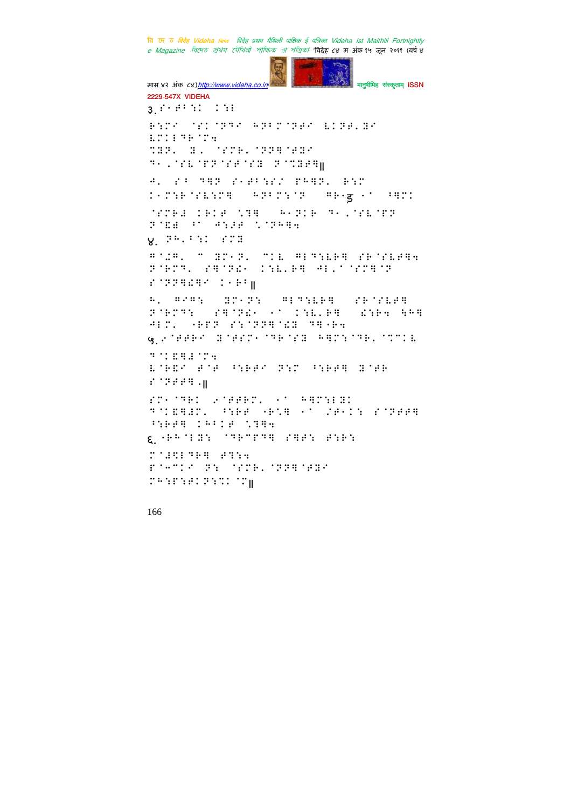```
मानुषीमिह संस्कृताम् ISSN
मास ४२ अंक ८४) http://www.videha.co.
2229-547X VIDEHA
3 3 3 4 4 3 3 1 1 1 1BATA (MICHAEA BARTINGAA BIDGALDA
ETIPPETT4
THR. H. STEP, SPPROFILE
THE CONTRACTOR OF CONFIDENT
\mathcal{A}_{\mathcal{A}} = \mathcal{L}(\mathcal{A}) = \mathcal{I}(\mathcal{A}(\mathcal{B})) = \mathcal{L}(\mathcal{A}(\mathcal{B}(\mathcal{A}(\mathcal{B}(\mathcal{B}(\mathcal{B}(\mathcal{B}(\mathcal{B}(\mathcal{B}(\mathcal{B}(\mathcal{B}(\mathcal{B}(\mathcal{B}(\mathcal{B}(\mathcal{B}(\mathcal{B}(\mathcal{B}(\mathcal{B}(\mathcal{B}(\mathcal{B}(\mathcal{B}(\mathcal{B}(\mathcal{B}(\mathcal{B}(\mathcal{B}(\mathcal{B}(\mathcal{B}(\mathcal{B}(\19746726578 PRPPT178 PRG 97 PRT
SETER IFIF ANN (A)PIE MOVING TE
FIER PL PEPE NIPPER
g PROPED FDB
# NEWS CONTENTS AND THE #EFTER# CONTENTS
STECK PRIDER CHELER ALL TROPIN
ROBBERY CORPUT
                  227.75\mathbf{h}_{\mathbf{u}} = \mathbf{u} \mathbf{v} \mathbf{u} \mathbf{v}^{-1}_{\mathbf{u}}\frac{1}{2} #1951688 \frac{1}{2} + \frac{1}{2} + \frac{1}{2} + \frac{1}{2} + \frac{1}{2} + \frac{1}{2} + \frac{1}{2}PORTHA CAROTER POSSESSED AND AND BRE
HIT. HETE PAIRPRINGS PRIES
GOVINEER SECRETA CRECKE PROVINE, CONTE
\mathcal{P}(\mathcal{V}, \mathcal{E}, \mathcal{H}, \mathcal{E}, \mathcal{V}, \mathcal{H})LIPES FIR SAFES FAT SAFET BIRE
4.124441FT: TRED STREET, STORRTHERD
STIEREN, SABE (PANE VOLVEVIALE POPERR
PERRY LARGE NEWS
g (PROFILED OUTPUTER STREET PAPA
TAMENT PROPERTY
FORTIA DE COORS OPPROFIS
```
ति एप रु विदेह Videha बिलर विदेह प्रथम मैथिली पाक्षिक ई पत्रिका Videha Ist Maithili Fortnightly e Magazine রিদেহ প্রথম মৌথিনী পাক্ষিক *প্র পত্রিকা* 'विदेह' ८४ म अंक ९५ जून २०११ (वर्ष ४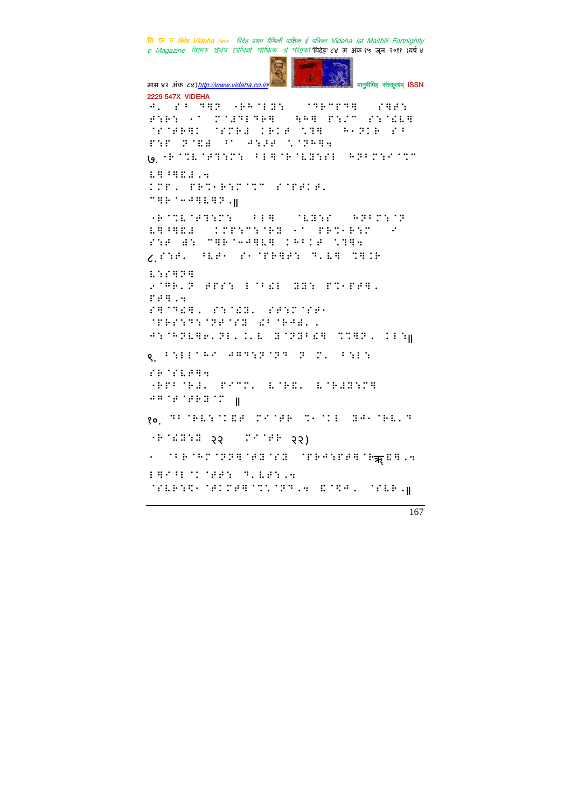```
e Magazine রিদেহ প্রথম মৌথিনী পাক্ষিক প্র পত্রিকা 'विदेह' ८४ म अंक १५ जून २०११ (वर्ष ४
                                                    मानुषीमिह संस्कृताम् ISSN
मास ४२ अंक ८४) http://www.videha.co.in
2229-547X VIDEHA
\mathcal{A}_{\mathcal{A}}=\{1,2,3,4,4,2,5,6,6,8,1,2,3,6\}19999991.1441anan ya masu samu ayu mnas mnama
SPORENT SPORE IRIALIZER (PROPIECE)
FAR FORE PO PASSE NORPH.
\mathfrak{g}_1 of the parameter of elements and the parameter
ESPRESS.
TUP . PROVENTUO POPELE.
THE THREE REAL
HEATH THIRDS
                       \begin{minipage}{.4\linewidth} \begin{tabular}{l} \multicolumn{2}{c}{ \multicolumn{2}{c}{ \multicolumn{2}{c}{ \multicolumn{2}{c}{ \multicolumn{2}{c}{ \multicolumn{2}{c}{ \multicolumn{2}{c}{ \multicolumn{2}{c}{ \multicolumn{2}{c}{ \multicolumn{2}{c}{ \multicolumn{2}{c}{ \multicolumn{2}{c}{ \multicolumn{2}{c}{ \multicolumn{2}{c}{ \multicolumn{2}{c}{ \multicolumn{2}{c}{ \multicolumn{2}{c}{ \multicolumn{2}{c}{ \multicolumn{2}{c}{ \multicolumn{2}{c}{ \multicolumn{2}{c}{ \multicolumn{2}{c}{ \multLUIULI
FAR BA THE SHAHER INFIR NING
ZENEL PERSONALISMEN PLEN TRIP
172979
STREAM SPECIAL TREASURES POSTSES.
F#8.5
FROM EL PACER (PEANCHE)
TERPETE TRACK RESPONSED.
AN TROLESS OF LIGHT BOOKS ARE CONFIDENTIAL
Q = 3.5117.07 = 0.01357.777 = 7.0117.1313PROPERTY
HERRITEL PATTLE EMPEL EMPLEYER
44.14.1444477 ||
00 TRINADE TANGE TANKER BAYNELT
-4 -12222 -22 -7 -744 -22s in the separate teached in the entrepren<del>g</del> beside
ERCH MOREN PLEETIN
 TELENSY TELOPETIC TRACK (ESSA) (TELECH
```
त्रि एप रु विदेह Videha बिलर विदेह प्रथम मैथिली पाक्षिक ई पत्रिका Videha Ist Maithili Fortnightly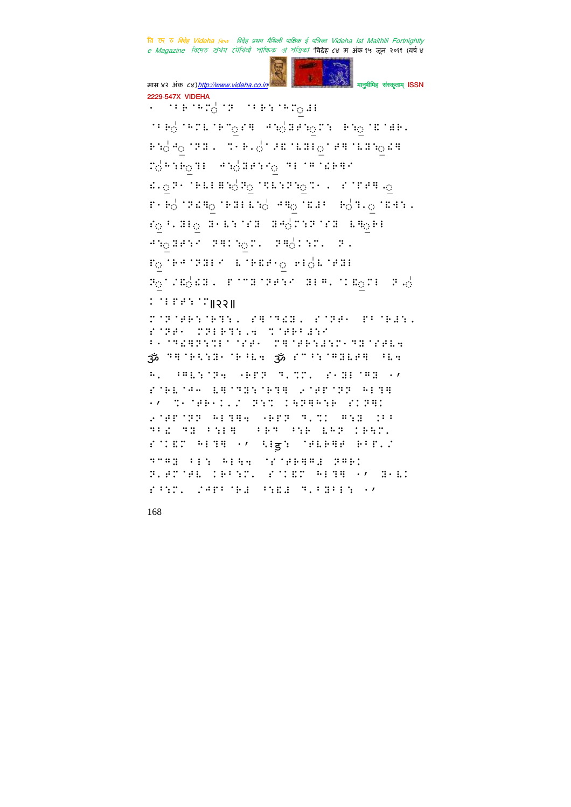ति एप रु विदेह Videha बिलर विदेह प्रथम मैथिली पाक्षिक ई पत्रिका Videha Ist Maithili Fortnightly e Magazine রিদেহ প্রথম মৌথিনী পাক্ষিক *প্র পত্রিকা* 'विदेह' ८४ म अंक ९५ जून २०११ (वर्ष ४

मानुषीमिह संस्कृताम ISSN मास ४२ अंक ८४) http://www.videha.co.in 2229-547X VIDEHA in de dezona de la estezo di in Political temporal introduction to the tactuate. endre taal, in eldt as tsargt eensampare ndealogail and alarge all centres. stone that and to instance that it as a second theory was a marked the state of the state. ros.mo membra ambrazina amora showers and horizon as rochechard achaeto erganear Polindam, romannenk meridager nid  $\mathbb{R}^n$  :  $\mathbb{R}^n$  :  $\mathbb{R}^n$  :  $\mathbb{R}^n$  is  $\mathbb{R}^n$ POPOREN (BRN) (PROPER) (POPR) (PROPEN) FOREST TRIERNING TORRESON FROM BERNING CORP. ON THE NEXT PROCESS. 35 78784536 78788 35 3775 783838 788  $\mathbb{R}_+ = \{ \mathbb{R}_+^n \mathbb{R}_+^n : \mathbb{R}_+^n : \mathbb{R}_+^n : \mathbb{R}_+^n : \mathbb{R}_+^n : \mathbb{R}_+^n : \mathbb{R}_+^n : \mathbb{R}_+^n : \mathbb{R}_+^n : \mathbb{R}_+^n : \mathbb{R}_+^n : \mathbb{R}_+^n : \mathbb{R}_+^n : \mathbb{R}_+^n : \mathbb{R}_+^n : \mathbb{R}_+^n : \mathbb{R}_+^n : \mathbb{R}_+^n : \mathbb{R}_+^n : \mathbb{R}_+^n : \$ ECONOMIC LEATHER OF THE CARD TRACHER  $\mathcal{L}_{\mathcal{F}}$  ( Terms ) and ( The second ) and (  $\mathcal{L}_{\mathcal{F}}$  ) and (  $\mathcal{L}_{\mathcal{F}}$  ) and (  $\mathcal{L}_{\mathcal{F}}$  ) and (  $\mathcal{L}_{\mathcal{F}}$  ) and (  $\mathcal{L}_{\mathcal{F}}$  ) and (  $\mathcal{L}_{\mathcal{F}}$  ) and (  $\mathcal{L}_{\mathcal{F}}$  ) and (  $\mathcal{L}_{\mathcal$ HER ME FALM (FEM PAR LEAR CEAT) POLED RETEATA REgis CHEEFE BREVO 3783 (115 5154 (2006) 2891 P. PUMPEL CERNIC, SANCHUR RENN AV SERED FAND, CAPPAGE PERSONAL PROPERTY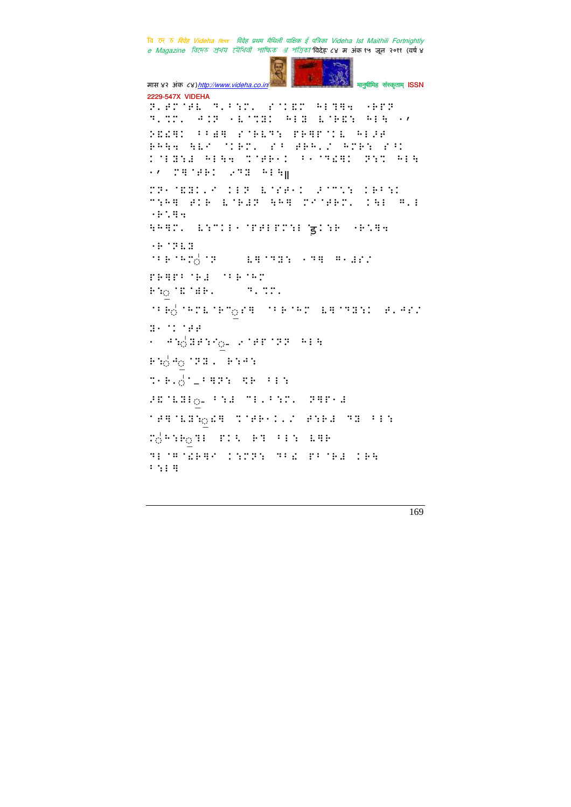e Magazine রিদেহ প্রথম মৌথিনী পাক্ষিক *প্র পত্রিকা* 'विदेह' ८४ म अंक १५ जून २०११ (वर्ष ४ मास ४२ अंक ८४) http://www.videha.co.in मानुषीमिह संस्कृताम् ISSN 2229-547X VIDEHA P. BOTHE CR. FAC. CRITED CREARS CHER  $\mathcal{R}_\infty(\mathcal{X},\mathcal{Y}) = \mathcal{R}_\infty(\mathcal{X},\mathcal{Y}) = \mathcal{R}_\infty(\mathcal{X},\mathcal{Y}) = \mathcal{R}_\infty(\mathcal{X},\mathcal{Y}) = \mathcal{R}_\infty(\mathcal{X},\mathcal{Y}) = \mathcal{R}_\infty(\mathcal{X},\mathcal{Y})$ SEART FRAU POBLEY PROPORTIONS BRANCAES CORP. 23 BRANCS APROVED I MORA PERA COMPAI PROMOTO PACIPER  $\mathcal{L}(t) = \mathcal{L}(\mathbb{R}^d) \mathcal{L}(\mathbb{R}^d; \mathbb{R}^d) = \mathcal{L}(\mathbb{R}^d; \mathbb{R}^d) = \mathcal{H}(\mathbb{R}^d)$ TRACEBOLA CER ESPERIO RITUALIDENTI TORE BOR ESPER ARE COSPECI OAE PLE  $\pm 1.5$  ,  $\pm 0.1$ ARROL ENTIRK TERRETAR GONE (HANRA  $+1171.3$ **SEP SERVE THE STATE STATE AND PROPERTY** FRAME TRANSPORT Photoniel T.T. HE6 POLIFICER CREIBE LATTEN CELARD  $3 + 11 + 799$ i istoriano i statitati eta PG50 78. PP5  $\mathbb{T} \leftarrow \mathbb{H} \times_{\mathbb{Q}}^{\mathbb{C}} \leftarrow \mathbb{H} \oplus \mathbb{H} \oplus \mathbb{H} \oplus \mathbb{H} \oplus \mathbb{H}$ PETERBOL FAR TELENCO PRESE TRATEDORA TIRRILI ROBA MA PIO Portholl FIL FT HIS LEE TECHOLOGIC LATTA TEL PEOPL IPS  $3.599$ 

ति एप रु विदेह Videha बिलर विदेह प्रथम मैथिली पाक्षिक ई पत्रिका Videha Ist Maithili Fortnightly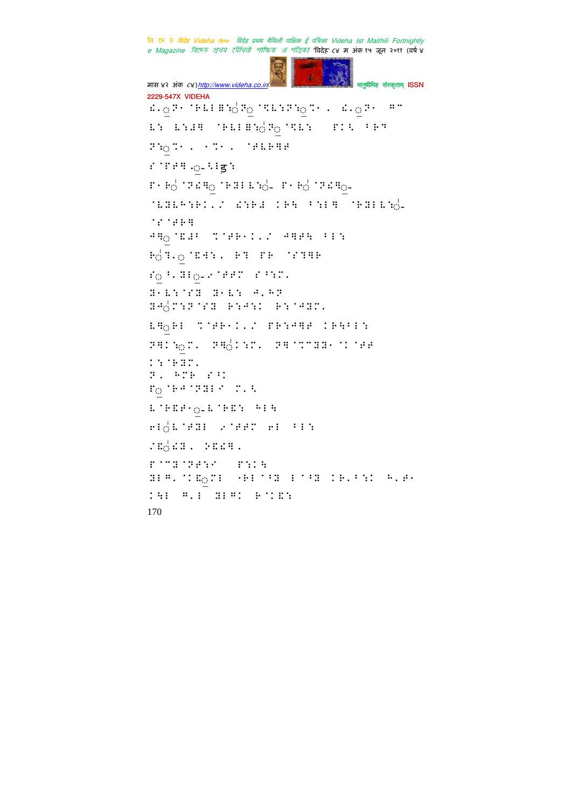ति एप रु विदेह Videha बिलर विदेह प्रथम मैथिली पाक्षिक ई पत्रिका Videha Ist Maithili Fortnightly e Magazine রিদেহ প্রথম মৌথিনী পাক্ষিক *প্র পত্রিকা* 'विदेह' ८४ म अंक ९५ जून २०११ (वर्ष ४

```
मानुषीमिह संस्कृताम् ISSN
मास ४२ अंक ८४) http://www.videha.co.in
2229-547X VIDEHA
E.OP TELERÓPO SERREOL L'ELOPTIFI
EN ENDROTEERINGS TEEN TIES FER
\mathbb{P}\left(\mathbb{Q}(\mathbb{T}^2)\right) \times \mathbb{P}\left(\mathbb{P}^2\right) \times \mathbb{P}\left(\mathbb{P}\right) \oplus \mathbb{P}\left(\mathbb{P}^2\right)comes lostigh
\Gamma \vdash \mathbb{H}^{\mathbb{Q}}_G \uparrow \mathbb{P} \oplus \mathbb{H}_G \uparrow \mathbb{P} \oplus \mathbb{H} \oplus \mathbb{H}_G^{\mathbb{Q}} \sqcup \Gamma \vdash \mathbb{H}_G^{\mathbb{Q}} \uparrow \mathbb{P} \oplus \mathbb{H}_G.MEDEFABILI KABE ISBN FALU MBDELAGL
 Sandwich State
HAOTER TIMESILI HARA FIS
\mathbb{H}^1_0(\mathbb{T},\underline{\varphi}) (EAN). (FT) The control
following city.
\mathbb{B} \times \mathbb{B} \times \mathbb{C} \times \mathbb{B} \times \mathbb{B} \times \mathbb{B} \times \mathbb{B} \times \mathbb{B} \times \mathbb{B} \times \mathbb{B}degramma east easted.
ENGEL TIEFSILI TENSPER IENSIN
PACTOST. PAGINT. PATTERN TIPE
the man.
\mathbb{P} . And \mathbb{P} and
10 TH THE COLL
LIFEFOLLIFEY 915
eightem cher en (15
PEGER. SEER.
FUNDIBER (FALE
BERLOODSTE HETER ETEROPERED RUBL
THE P.E. HERD BOIEN
170
```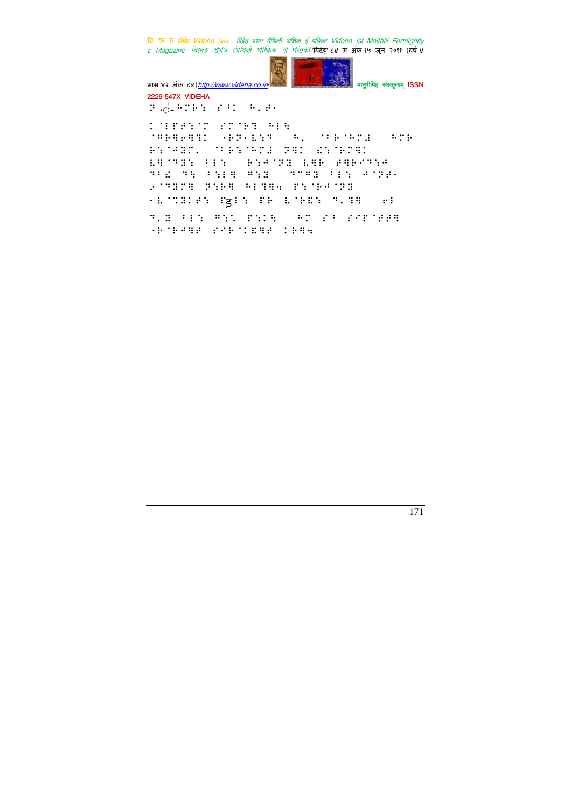ৱি দে হ *विदेह Videha बिल्ब विदेह प्रथम मैथिली पाक्षिक ई पत्रिका Videha Ist Maithili Fortnightly* e Magazine विरमह 'क्षेत्र' रूपैशिवी शोष्क्रिक श्रं शक्तिरं **विदेह' ८४ म अंक १५ जून २०११ (वर्ष ४** 

मास ४२ अंक ८४)http://www.videha.co.in/ मानुसे संस्कृतम् ISSN 2229-547X VIDEHA B States and an en ⢾⣑ ⢷⣙ ⢳⣓ ⢻⢷⣛⢶⣛⣙ ⢷⢽\$⣇⣑⢹*.!*⢳ ⢷⢳⣜*-!*⢳⢷ ⢷⣑⢺⣝ ⢷⣑⢳⣜ ⢽⣛ ⣎⣑⢷⣛ ⣇⣛⢹⣝⣑ ⣑*-!*⢷⣑⢺⢽⣝ ⣇⣛⢷ ⢾⣛⢷ ⢹⣑⢺*-!* ⢹⣎ ⢹⣓ ⣑⣛ ⢻⣑⣝*-!*⢹)⢻⣝ ⣑ ⢺⢽⢾\$*-!* ⢴⢹⣝⣛ ⢽⣑⢷⣛ ⢳⣙⣛⣒ ⣑⢷⢺⢽⣝  $+$ £ 1191*4*5  $\frac{1}{3}$   $\frac{1}{3}$   $\frac{1}{3}$   $\frac{1}{3}$   $\frac{1}{3}$   $\frac{1}{3}$   $\frac{1}{3}$   $\frac{1}{3}$   $\frac{1}{3}$ 

⢹⣝ ⣑ ⢻⣑⣁ ⣑ ⣓*-!*⢳ ⢸ ⢾⢾⣛ ⢷⢷⢺⣛⢾ ⢷ ⣏⣛⢾ ⢷⣛⣒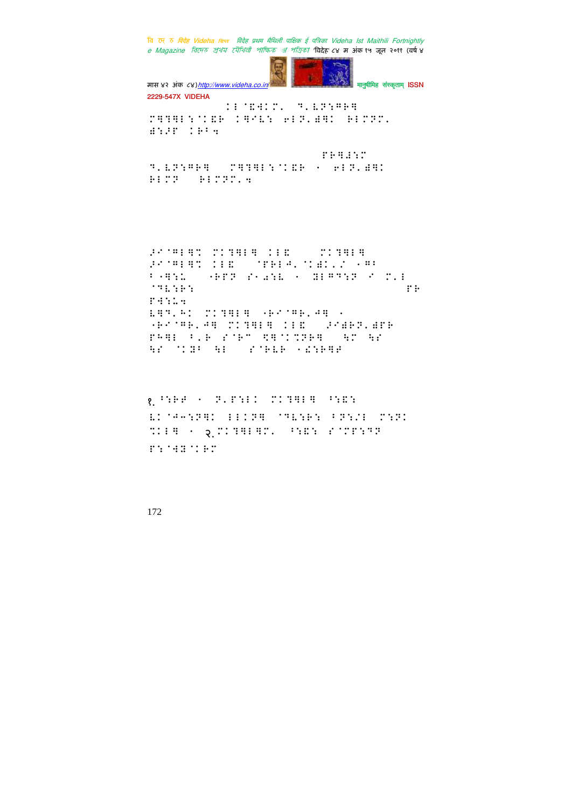ৱি দে হ *विदेह Videha बिल्ब विदेह प्रथम मैथिली पाक्षिक ई पत्रिका Videha Ist Maithili Fortnightly* e Magazine विद्युत्त सेथेंग ट्रॉशिनी शक्तिक अ शंक्रिकां **'विदेह' ८४ म अंक १५ जून २०११ (वर्ष ४** 

मास ४२ अंक ८४)http://www.videha.co.in/ मानुष्या मानुषीमिह संस्कृताम् ISSN 2229-547X VIDEHA *Joqvu;!)* ⣏⣚ ⢹⣇⢽⣑⢻⢷⣛*-!*  $\mathcal{L}$  HITELY CHANNEL PROVINCING ⣞⣑⢼ ⢷⣒*!Joqvu!jo!Efwbobhbsj-!*

*Spnbo/\*!!Pvuqvu;!)*⢷⣛⣜⣑ ⢹⣇⢽⣑⢻⢷⣛*-!*⣛⣙⣛⣑ ⣏⢷ \$ ⢶⢽⣞⣛ ⢷⢽*0!*⢷⢽⣒*!Sftvmu!jo!*

⢼ ⢻⣛⣉ ⣙⣛⣛ ⣏*!0!* ⣙⣛⣛ ⢼ ⢻⣛⣉ ⣏*!!*⢷⢺ ⣞ \$⢻ ⣛⣑⣅*-!*⢷⢽ \$⣔⣑⣇ \$ ⣝⢻⢹⣑⢽ ⢹⣇⣑⢷⣑*!hhbkfoesbAwjefib/dpn!*⢷ ⣚⣑⣅⣒  $\begin{array}{l} \mathbf{L} \oplus \mathbf{T}, \ \mathbf{F} \oplus \mathbf{T} \end{array} \quad , \ \begin{array}{l} \mathbf{T}, \ \mathbf{T} \oplus \mathbf{T} \oplus \mathbf{T} \end{array} \quad , \ \begin{array}{l} \mathbf{L} \oplus \mathbf{T}, \ \mathbf{T} \oplus \mathbf{T} \end{array} \quad , \ \begin{array}{l} \mathbf{T}, \ \mathbf{T} \oplus \mathbf{T} \oplus \mathbf{T} \end{array} \quad , \ \begin{array}{l} \mathbf{T}, \ \mathbf{T} \oplus \mathbf{T} \oplus \mathbf{T} \end{array} \quad , \ \begin$ ⢷ ⢻⢷⢺⣛ ⣙⣛⣛ ⣏*!)*⢼ ⣞⢷⢽⣞⢷  $\mathbb{R}^{n+1}$   $\mathbb{H}^{n+1}$   $\mathbb{R}^{n+1}$   $\mathbb{R}^{n+1}$   $\mathbb{R}^{n+1}$   $\mathbb{R}^{n+1}$   $\mathbb{R}^{n+1}$   $\mathbb{R}^{n+1}$   $\mathbb{R}^{n+1}$   $\mathbb{R}^{n+1}$   $\mathbb{R}^{n+1}$   $\mathbb{R}^{n+1}$   $\mathbb{R}^{n+1}$   $\mathbb{R}^{n+1}$   $\mathbb{R}^{n+1}$   $\mathbb{R}^{n+1}$ ⣓ ⣝ ⣓*/!*⢷⣇⢷ \$⣎⣑⢷⣛⢾*!.Cbtfe!*

१<mark>.</mark> छन्दा ४ - ३. इ.स. - १९ सम्मा प्राप्त सम ₿1 (FRP) | FEIDE (1969) | FD92F (1971  $\mathcal{L}$  and  $\mathcal{L}$   $\mathcal{L}$   $\mathcal{L}$   $\mathcal{L}$  and  $\mathcal{L}$   $\mathcal{L}$   $\mathcal{L}$   $\mathcal{L}$   $\mathcal{L}$   $\mathcal{L}$   $\mathcal{L}$   $\mathcal{L}$   $\mathcal{L}$   $\mathcal{L}$   $\mathcal{L}$   $\mathcal{L}$   $\mathcal{L}$   $\mathcal{L}$   $\mathcal{L}$   $\mathcal{L}$   $\mathcal{L}$   $\mathcal{L}$   $\mathcal{L}$ ⣑⣚⣝ ⢷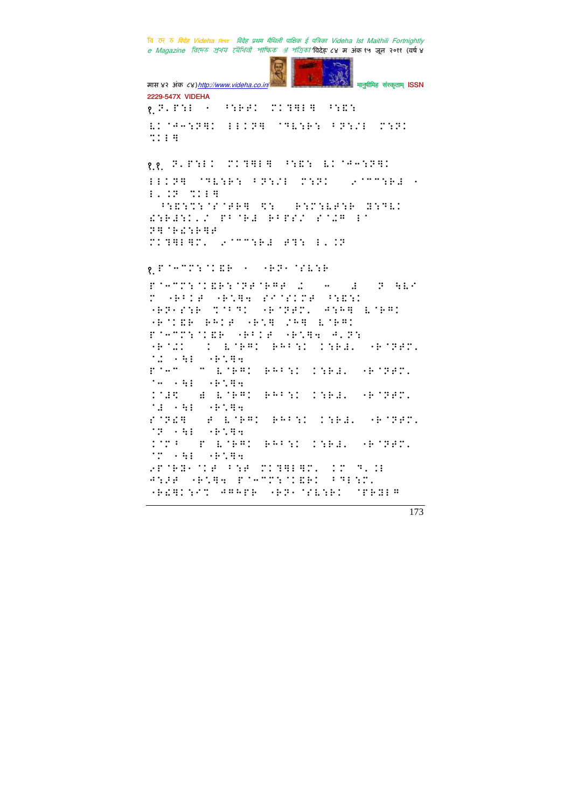त्रि एप रु विदेह Videha बिलर विदेह प्रथम मैथिली पाक्षिक ई पत्रिका Videha Ist Maithili Fortnightly e Magazine রিদেহ প্রথম মৌথিনী পাক্ষিক *প্র পত্রিকা* **বিदेह ८४ म अंक १५ जून २०११ (वर्ष ४** मास ४२ अंक ८४) http://www.videha.co.in मानुषीमिह संस्कृताम् ISSN 2229-547X VIDEHA 0.7.851 + 9590 CONNER 9505 ED 7995291 (FED29) 79E5B5 (F252F) 252D  $7:14$ 00 F.FAIL TIBBE SANY EL 7885FR BECAR TALEN FAND TEACH STUDEN F 1.12 7.18 **FRENCHMORES CHANNERSH SATE** ENFUNCIO PROPUR PRESO ESCUR ES **FRIDAYER** CONNECT STUDEN FIRESTS ESPANDA MERRA MESTRA PELA COMPOSICIÓN DE SALA TO RESIDENT RENTH CONTINUES IN FRENCH **ABSANDE TOROL ABOSSED, ANABLE EMBRI** HENDER BROWNER CHE ENBR  $\mathbb{P}^{(1,2,3,1,2,1,1)} \times \mathbb{P}^{(1,1,1,1,1,1)} \times \mathbb{P}^{(1,1,2,1,1,1,1,1,1,1,1)} \times \mathbb{P}^{(1,1,1,1,1,1,1,1,1,1,1,1,1,1,1,1,1,1,1)}$ HETIO (1) ETERO ERRAD CAREL (HETRED,  $12.74477454$ r<sup>9</sup>en <sup>7</sup> n americaera: caego (esper.  $14.441 + 44.44$ TOAR OF ECHPICAPENING INFERSIONAL PROPER.  $\mathcal{L}(\mathbf{J}) = \mathcal{L}(\mathbf{H}(\mathbf{I})) = \mathcal{L}(\mathbf{H}(\mathbf{I})) = \mathcal{L}(\mathbf{H}(\mathbf{I}))$ RIPER (RESERVED) BRANCO CARDO (RESPECT  $\begin{picture}(15,10) \put(0,0){\line(1,0){10}} \put(10,0){\line(1,0){10}} \put(10,0){\line(1,0){10}} \put(10,0){\line(1,0){10}} \put(10,0){\line(1,0){10}} \put(10,0){\line(1,0){10}} \put(10,0){\line(1,0){10}} \put(10,0){\line(1,0){10}} \put(10,0){\line(1,0){10}} \put(10,0){\line(1,0){10}} \put(10,0){\line(1,0){10}} \put(10,0){\line(1$ DOCA CONCEPT BRANCO DARAY SECRET.  $\begin{picture}(15,10) \put(0,0){\vector(1,0){10}} \put(10,0){\vector(1,0){10}} \put(10,0){\vector(1,0){10}} \put(10,0){\vector(1,0){10}} \put(10,0){\vector(1,0){10}} \put(10,0){\vector(1,0){10}} \put(10,0){\vector(1,0){10}} \put(10,0){\vector(1,0){10}} \put(10,0){\vector(1,0){10}} \put(10,0){\vector(1,0){10}} \put(10,0){\vector(1,0){10}} \put(10,0){\vector(1$ SECRETIFIES FOR CONTRIBUTION OF SALIE ANDER PENNED ETATING MEED FRENCH ABERIANT WHEEB ABSANCESED SPECIE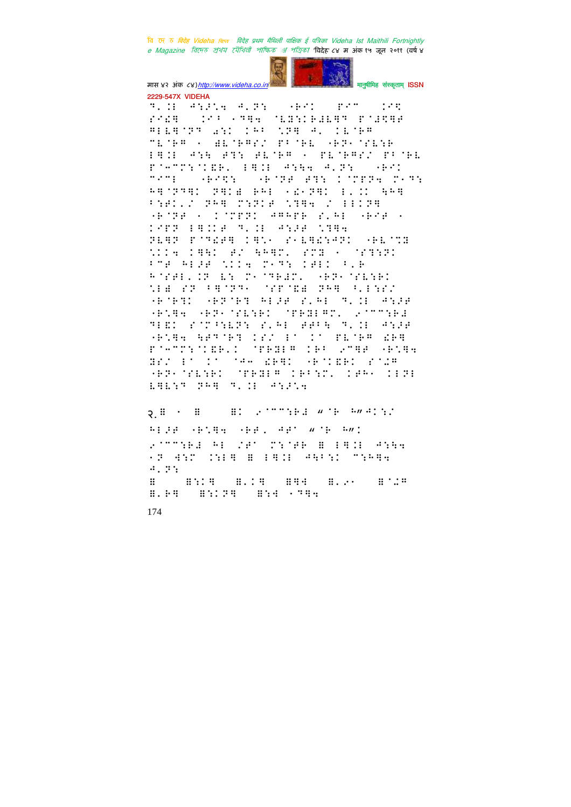ति एप रु विदेह Videha बिलर विदेह प्रथम मैथिली पाक्षिक ई पत्रिका Videha Ist Maithili Fortnightly e Magazine রিদেহ প্রথম মৌথিনী পাক্ষিক *প্র পত্রিকা* 'विदेह' ८४ म अंक ९५ जून २०११ (वर्ष ४

## मास ४२ अंक ८४) http://www.videha.co.in 2229-547X VIDEHA

मानुषीमिह संस्कृताम ISSN

**T. H. PAPIN P. PA.**  $\left( \cdot ; \cdot \right)$  $\mathbb{R}^n$  $\pm$  and  $\pm$  $f \in \mathcal{L}$ .<br>1984 — 1986, 1984, 1984, FABAD (1988)<br>1984 1986, AND (1986, 1986, 1996, 1996) TEMPER A GENERAL PROPER SPEARCHER FRIDAGE FOR FEDERAL PEOPPY PROFE FISTING MEET FEHR (5998) 5129 (1951) TATE (APARA CAPIDE BIS CODEDA DATA **ARIZARD ZRIE BAE (2012-2013) EL II APR** FARILY PAR TARIE STREET FILER  $\overline{AB}$  (Fig. ) ( ) (Fig. ) (Fig. ) (Fig. ) (Fig. ) (Fig. ) (Fig. ) TREP EACH ALCOHOL: AND A CARAC PERP PARENT IRA PARRENTE APEATR MILA INNE AZ APAT. PTO 3 STARD FTA RESPONSIBLE PATE CARD CODE ROBBEL IN EN TROUBET, SPERINGEN MEETER FROGHAM OPPORTUNG GRANT FLENDO HETER: HERITER PERECYCLAR (RUIS) PARE HENBY HERSTELDED TEEDERT, STUDDED MEDI PATTANDA PLAN BELA MUDI ANDE HENBAL REPORT IS AN ISSUED TO THOSE SAFE E MATOS MOBELO (MOBELE) CORPORTER (MENER)<br>BRITOLO MOMENTO REPORTER DO RIMO ABSA MENSEL (MERGER (1883), 1984 (1938 19139 798 7011 91216

QUE PORT CONTINUES WITH PARTIES  $H_1, H_2, \ldots, H_n, H_n, \ldots, H_n, \ldots, H_n, \ldots, H_n, \ldots, H_n, \ldots, H_n, \ldots, H_n, \ldots, H_n, \ldots, H_n, \ldots, H_n, \ldots, H_n, \ldots, H_n, \ldots, H_n, \ldots, H_n, \ldots, H_n, \ldots, H_n, \ldots, H_n, \ldots, H_n, \ldots, H_n, \ldots, H_n, \ldots, H_n, \ldots, H_n, \ldots, H_n, \ldots, H_n, \ldots, H_n, \ldots, H_n, \ldots, H_n, \ldots, H_n, \ldots, H_n, \ldots, H_n$ STUDENT PESSON DESPESSES EN EN 1954 **AP AND INFR B FAIR ANTN: TNABA**  $4.35$  $\mathbf{H}^{\text{max}}$  $\pm 1.14$   $\pm .14$   $\pm .14$   $\pm .14$   $\pm .14$   $\pm .14$   $\pm .14$   $\pm .14$   $\pm .14$   $\pm .14$ **B. B4 | B5174 | B54 | 2944** 174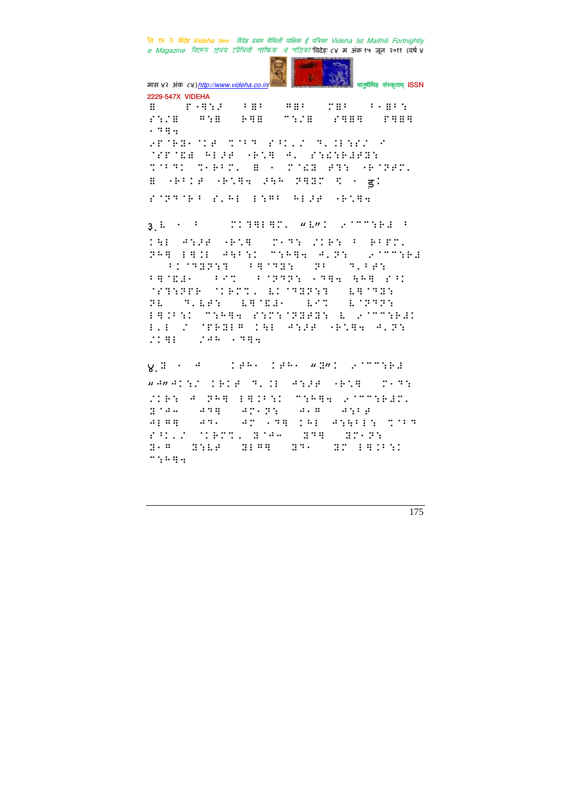ति एप रु विदेह Videha विलरु विदेह प्रथम मैथिली पाक्षिक ई पत्रिका Videha Ist Maithili Fortnightly e Magazine विरफ्त क्षेत्र्य त्योत्रिनी शक्तिक डा शनिकां विदेह ८४ म अंक १५ जून २०११ (वर्ष ४ **A** 

| मास ४२ अंक <i>८४)http://www.videha.co.in</i> / |  |  |  |  |  |  |                            |  |  |  |  |  |  |  |  |                                      |  |                                                                                                                                                                                                                                                                                                                                                                                                                                                             |  | मानुषीमिह संस्कृताम् ISSN          |
|------------------------------------------------|--|--|--|--|--|--|----------------------------|--|--|--|--|--|--|--|--|--------------------------------------|--|-------------------------------------------------------------------------------------------------------------------------------------------------------------------------------------------------------------------------------------------------------------------------------------------------------------------------------------------------------------------------------------------------------------------------------------------------------------|--|------------------------------------|
| 2229-547X VIDEHA                               |  |  |  |  |  |  |                            |  |  |  |  |  |  |  |  |                                      |  |                                                                                                                                                                                                                                                                                                                                                                                                                                                             |  |                                    |
|                                                |  |  |  |  |  |  |                            |  |  |  |  |  |  |  |  |                                      |  |                                                                                                                                                                                                                                                                                                                                                                                                                                                             |  |                                    |
|                                                |  |  |  |  |  |  |                            |  |  |  |  |  |  |  |  |                                      |  |                                                                                                                                                                                                                                                                                                                                                                                                                                                             |  |                                    |
|                                                |  |  |  |  |  |  |                            |  |  |  |  |  |  |  |  |                                      |  | PACE PARTIES AND TACH PRIME PHEN                                                                                                                                                                                                                                                                                                                                                                                                                            |  |                                    |
| 4.344                                          |  |  |  |  |  |  |                            |  |  |  |  |  |  |  |  |                                      |  |                                                                                                                                                                                                                                                                                                                                                                                                                                                             |  |                                    |
|                                                |  |  |  |  |  |  |                            |  |  |  |  |  |  |  |  | GEORGE CORPORATION CONTROL CERTAIN A |  |                                                                                                                                                                                                                                                                                                                                                                                                                                                             |  |                                    |
|                                                |  |  |  |  |  |  |                            |  |  |  |  |  |  |  |  | SAPIDE PERF (PRIM A. ANGIPARA)       |  |                                                                                                                                                                                                                                                                                                                                                                                                                                                             |  |                                    |
|                                                |  |  |  |  |  |  |                            |  |  |  |  |  |  |  |  |                                      |  | SIRIS SHERICA BAYANG BARA (FRIBER)                                                                                                                                                                                                                                                                                                                                                                                                                          |  |                                    |
|                                                |  |  |  |  |  |  |                            |  |  |  |  |  |  |  |  | B. HPIE HENBY PAR PRODUCT (B)        |  |                                                                                                                                                                                                                                                                                                                                                                                                                                                             |  |                                    |
|                                                |  |  |  |  |  |  |                            |  |  |  |  |  |  |  |  | ESPACE CELAIS INACCURRENT GENERI     |  |                                                                                                                                                                                                                                                                                                                                                                                                                                                             |  |                                    |
|                                                |  |  |  |  |  |  |                            |  |  |  |  |  |  |  |  |                                      |  | $3.4.$ $\rightarrow$ $\rightarrow$ $\rightarrow$ $\cdots$ $\cdots$ $\cdots$ $\cdots$ $\cdots$ $\cdots$ $\cdots$ $\cdots$ $\cdots$ $\cdots$                                                                                                                                                                                                                                                                                                                  |  |                                    |
|                                                |  |  |  |  |  |  |                            |  |  |  |  |  |  |  |  |                                      |  | INE ANDE SPAR (TRANS ZIPN A PART)                                                                                                                                                                                                                                                                                                                                                                                                                           |  |                                    |
|                                                |  |  |  |  |  |  |                            |  |  |  |  |  |  |  |  |                                      |  |                                                                                                                                                                                                                                                                                                                                                                                                                                                             |  | 394 1431 45551 75946 4.35 (2070594 |
|                                                |  |  |  |  |  |  |                            |  |  |  |  |  |  |  |  |                                      |  |                                                                                                                                                                                                                                                                                                                                                                                                                                                             |  |                                    |
|                                                |  |  |  |  |  |  |                            |  |  |  |  |  |  |  |  |                                      |  |                                                                                                                                                                                                                                                                                                                                                                                                                                                             |  |                                    |
|                                                |  |  |  |  |  |  |                            |  |  |  |  |  |  |  |  |                                      |  | FUNDA (FRY) FORUS (FUNDA ARU 23)                                                                                                                                                                                                                                                                                                                                                                                                                            |  |                                    |
|                                                |  |  |  |  |  |  |                            |  |  |  |  |  |  |  |  |                                      |  | $\mathcal{L}(\mathcal{L}(\mathcal{L}(\mathcal{L}(\mathcal{L}(\mathcal{L}(\mathcal{L}(\mathcal{L}(\mathcal{L}(\mathcal{L}(\mathcal{L}(\mathcal{L}(\mathcal{L}(\mathcal{L}(\mathcal{L}(\mathcal{L}(\mathcal{L}(\mathcal{L}(\mathcal{L}(\mathcal{L}(\mathcal{L}(\mathcal{L}(\mathcal{L}(\mathcal{L}(\mathcal{L}(\mathcal{L}(\mathcal{L}(\mathcal{L}(\mathcal{L}(\mathcal{L}(\mathcal{L}(\mathcal{L}(\mathcal{L}(\mathcal{L}(\mathcal{L}(\mathcal{L}(\mathcal{$ |  |                                    |
|                                                |  |  |  |  |  |  |                            |  |  |  |  |  |  |  |  |                                      |  | PER PULBER (LA TELER (LA TORRITAR)                                                                                                                                                                                                                                                                                                                                                                                                                          |  |                                    |
|                                                |  |  |  |  |  |  |                            |  |  |  |  |  |  |  |  |                                      |  | FULLED TEACH PERSONNEL POTTER                                                                                                                                                                                                                                                                                                                                                                                                                               |  |                                    |
|                                                |  |  |  |  |  |  |                            |  |  |  |  |  |  |  |  |                                      |  | E.E. Z TERBER (RE ANJE (PNRH) A.PN                                                                                                                                                                                                                                                                                                                                                                                                                          |  |                                    |
|                                                |  |  |  |  |  |  |                            |  |  |  |  |  |  |  |  |                                      |  |                                                                                                                                                                                                                                                                                                                                                                                                                                                             |  |                                    |
|                                                |  |  |  |  |  |  | $71.94 \pm 7.44 \pm 7.944$ |  |  |  |  |  |  |  |  |                                      |  |                                                                                                                                                                                                                                                                                                                                                                                                                                                             |  |                                    |

gia (1981) can can be was command  $\mathbf{w}^{(2)} \mathbf{w}^{(2)} \mathbf{1}^{(1)} \mathbf{1}^{(2)} \mathbf{1}^{(3)} \mathbf{1}^{(4)} \mathbf{1}^{(5)} \mathbf{1}^{(6)} \mathbf{1}^{(6)} \mathbf{1}^{(6)} \mathbf{1}^{(6)} \mathbf{1}^{(6)} \mathbf{1}^{(6)} \mathbf{1}^{(6)} \mathbf{1}^{(6)} \mathbf{1}^{(6)} \mathbf{1}^{(6)} \mathbf{1}^{(6)} \mathbf{1}^{(6)} \mathbf{1}^{(6)} \mathbf{1}^{(6)} \mathbf{1}^{(6)}$  $\begin{array}{lcl} 2.14(5) & 0 & 29(6) & 4(6) \\ 2.14(5) & 0 & 29(6) & 4(6) \\ 1 & 0 & 0 & 0 \\ \end{array} \qquad \begin{array}{lcl} 0.14(5) & 0 & 0 & 0 \\ 0.14(5) & 0 & 0 & 0 \\ 0.14(5) & 0 & 0 & 0 \\ 0.14(5) & 0 & 0 & 0 \\ \end{array} \qquad \begin{array}{lcl} 0.14(5) & 0 & 0 & 0 \\ 0.14(5) & 0 & 0 & 0 \\ 0.14(5) &$  $\mathcal{A}(\mathbb{P}(\mathbf{H})) = \mathcal{A}(\mathbf{H}) = \mathcal{A}(\mathbf{H}) = \mathcal{A}(\mathbf{H}) = \mathcal{A}(\mathbf{H}) = \mathcal{A}(\mathbf{H}) + \mathcal{A}(\mathbf{H}) = \mathcal{A}(\mathbf{H}) = \mathcal{A}(\mathbf{H}) = \mathcal{A}(\mathbf{H}) = \mathcal{A}(\mathbf{H}) = \mathcal{A}(\mathbf{H}) = \mathcal{A}(\mathbf{H}) = \mathcal{A}(\mathbf{H}) = \mathcal{A}(\mathbf{H}) = \mathcal{A}(\mathbf{H}) = \mathcal{A}$ ratio (terri algebra area)<br>ake ande alem ank ar largat  $\gamma_1\circ\gamma_2$ 

 $\frac{175}{ }$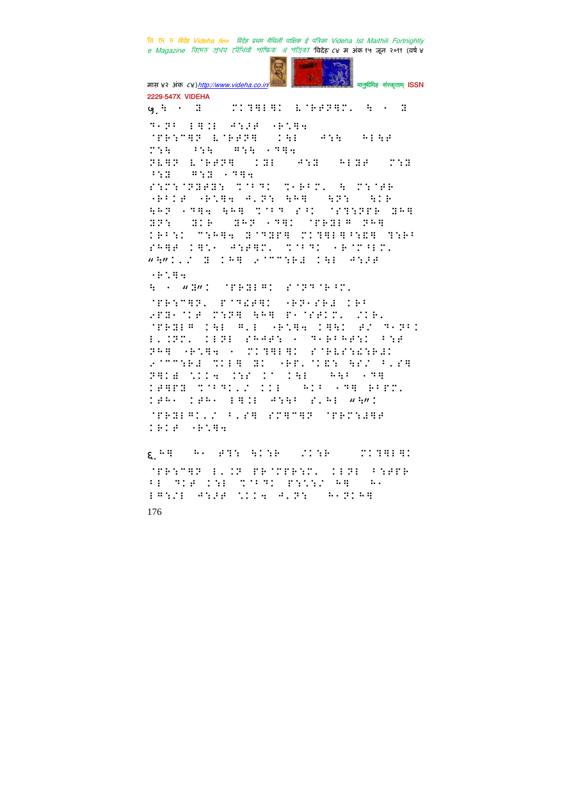त्रि एप रु विदेह Videha बिलर विदेह प्रथम मैथिली पाक्षिक ई पत्रिका Videha Ist Maithili Fortnightly e Magazine রিদেহ প্রথম মৌথিনী পাক্ষিক *প্র পত্রিকা* 'विदेह' ८४ म अंक १५ जून २०११ (वर्ष ४

मास ४२ अंक ८४) http://www.videha.co.in मानुषीमिह संस्कृताम् ISSN 2229-547X VIDEHA **TITHET LIPPET, 5 - 3**  $Q_2 = \frac{1}{2}$  :  $\frac{1}{2}$ 3.21 FRIE 4528 (FLR) **MERICAN LIBERS (191**  $\begin{array}{cccccc} & a \, \gamma \, \eta & \gamma & \eta & \eta & \eta & \eta \end{array}$  $134 - 934 + 994$  $1.44 - 1.74$ **PERP EMPRESS INC.**  $-450$   $-4100$   $-750$  $-0.58 - 0.994$  $3.5 \times 10^{-7}$ FATAIREEN THROUGHED, A TAIRE HEILE HENRY HUDSONER (1975) 1918 ang laga ang tito kali naang dig  $\mathbb{R}\mathbb{R}\mathbb{N} \quad \quad \mathbb{R}\mathbb{N}\oplus \mathbb{N} \quad \quad \mathbb{R}\oplus \mathbb{R} \quad \rightarrow \quad \mathbb{R}\oplus \mathbb{N} \quad \quad \mathbb{R}\oplus \mathbb{R}\oplus \mathbb{N} \quad \mathbb{R}\oplus \mathbb{R}$ TEACH TEACH STREET CORRESPOND TEAC rege can senado cosar vécrico wawili masika kumunika 1918 (4924)  $\pm 1.4\,\mathrm{m}$  $\mathbf{H} = \mathbf{H} + \mathbf{W} \mathbf{H} \mathbf{w} \mathbf{I} + \mathbf{H} \mathbf{H} \mathbf{H} \mathbf{H} \mathbf{H} \mathbf{I} + \mathbf{H} \mathbf{H} \mathbf{H} \mathbf{H} \mathbf{H} \mathbf{H} \mathbf{H} \mathbf{H} \mathbf{H} \mathbf{H} \mathbf{H} \mathbf{H} \mathbf{H} \mathbf{H} \mathbf{H} \mathbf{H} \mathbf{H} \mathbf{H} \mathbf{H} \mathbf{H} \mathbf{H} \mathbf{H} \mathbf{H} \mathbf{H}$ **TERNTHEL PITTEMHEL (PRINTED IP)** SPERING PAPE ARE PRIMATED MIRD TERMIN CAL H.L. GRING CHAI GE MANHI ELIBRO IEBE VARAN (1964-1991) PAR PRO (FOUR ) CONTROL CORRESPORT STUDENT WITH THE SPECTIES AND PLACE 1956 1956 1911 4556 2151 WHAT TERMINIST FORM PONTHE TERMINE TELE (FURN

2008. UNIVERSITY OF STATE CONTROLLERS **TERNITES BUILD ER TEERING IBSE FNAME** FESTIVAL TO THE PAINT RESERVED 19521 9528 5114 9125 912194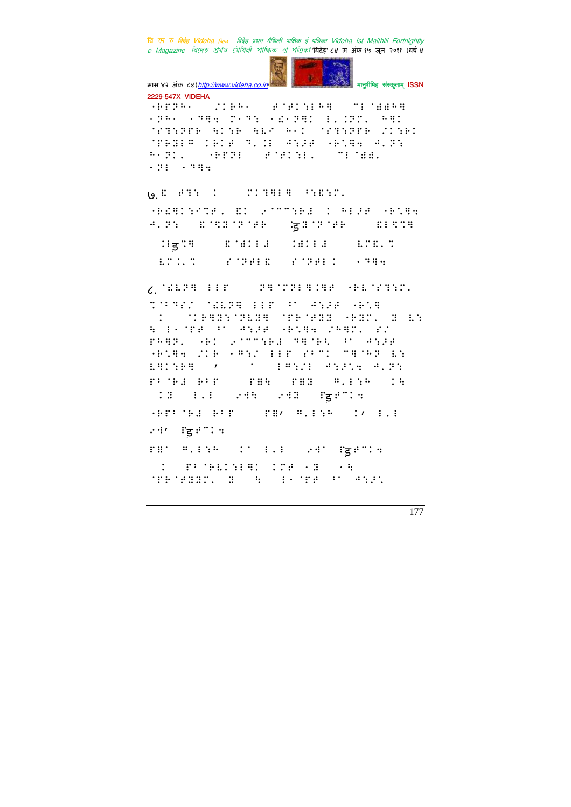ति एप रु विदेह Videha बिलर विदेह प्रथम मैथिली पाक्षिक ई पत्रिका Videha Ist Maithili Fortnightly e Magazine রিদেহ প্রথম মৌথিনী পাক্ষিক *প্র পত্রিকা* 'विदेह' ८४ म अंक १५ जून २०११ (वर्ष ४

मास ४२ अंक ८४) http://www.videha.co.in मानुषीमिह संस्कृताम ISSN 2229-547X VIDEHA SPERA COLEAN SAMPLINE COLORADO ver verfores valence consider SPINERE RINE RES ROLL SPINERE SINE: TERMIN CROB SUMMONS AND PROBATING AVEL PREPERT PORTHER TEORIA  $4.34 - 4.344$  $\mathfrak{g}, \mathbb{R}$  and  $\mathbb{R}$  . The set of  $\mathbb{R}$  is the set of  $\mathbb{R}$  is the set of  $\mathbb{R}$ HEARDNAME, ED SAMMARE DO RESERVARIES HURS ETRETRIER GEBORTEN BERTH SHETH ENELLE MODELS ENDING ETIME STREET FOREST PRES  $Z$  (GERRIFFER ) - RRITRERINE (HEIGHET) THERE HERE HIT IN STAR SEAR ROLLANDE POSTAGER (FORM) CRRD. 22 PRODUCTED STORED POINTS IN ANDE leige ziellenzülle 2001 omborgen.<br>Aminem V (1992) fonzi Hnyie Algh PROFILER POST PERSON BELOW AND THE CONTRACTOR AND STREET PERSONAL  $\pm$ PP (Fd) FFP ( ) PH/ (F, F45) (17) F. F  $\mathcal{L}(\Phi) = \mathbb{F}_{\overline{\mathbf{G}}}(\Phi^{\text{int}}(\mathbb{C})) \cdot \mathbb{R}$ PB1 PLEAR (IT ELE) 241 PgPT14 drederica Geography Gerry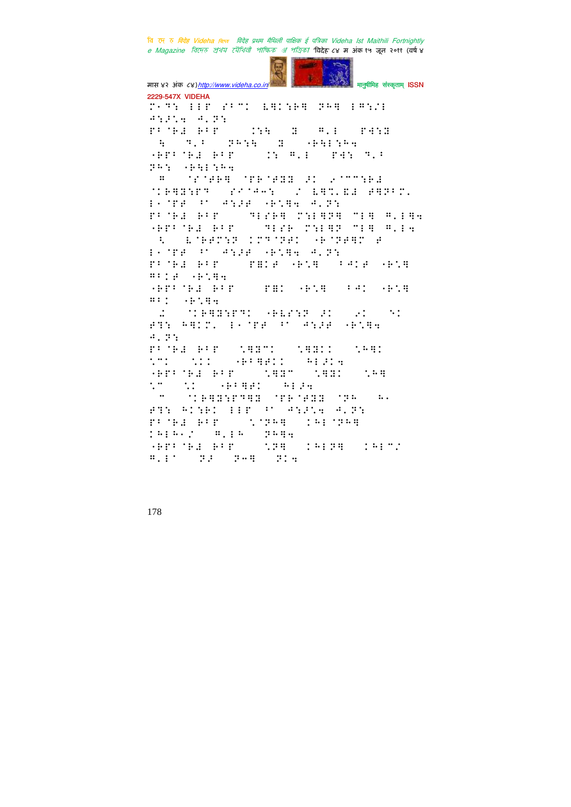ति एप रु विदेह Videha बिलर विदेह प्रथम मैथिली पाक्षिक ई पत्रिका Videha Ist Maithili Fortnightly e Magazine রিদেহ প্রথম মৌথিনী পাক্ষিক *প্র পত্রিকা* 'विदेह' ८४ म अंक ९५ जून २०११ (वर्ष ४

मास ४२ अंक ८४) http://www.videha.co.in मानुषीमिह संस्कृताम् ISSN 2229-547X VIDEHA PARA TER VANT LADARA PRA TRAZE  $45256 - 4135$ PUTED BIR (1998) B (P.E. PHYS  $\mathcal{H}^{\mathcal{G}}=\mathcal{H}^{\mathcal{G}}_{\mathcal{G}}\mathcal{H}^{\mathcal{G}}=\mathcal{H}^{\mathcal{G}}\mathcal{H}^{\mathcal{G}}\mathcal{H}^{\mathcal{G}}=\mathcal{H}^{\mathcal{G}}\mathcal{H}^{\mathcal{G}}\mathcal{H}^{\mathcal{G}}\mathcal{H}^{\mathcal{G}}\mathcal{H}^{\mathcal{G}}$ HEROBA BREVIOUS RULL CENSORIE **FR1 (FRESR)** THE STATEFORD TERMINE AT SAMPLER MERINER SPORAN CONSERVED PRESS. EXTERNATO ANDES (ENREGADOR) richa etro direba darapa dra Alian.<br>Sertia etro direbatira dia Alia  $\mathcal{A} = \{ \mathbf{E}^{\top} \mathbf{H} \mathbf{H} \mathbf{H}^{\top} \mathbf{H} \mathbf{H}^{\top} \mathbf{H} \mathbf{H}^{\top} \mathbf{H} \mathbf{H} \mathbf{H} \} = \{ \mathbf{E}^{\top} \mathbf{H} \mathbf{H} \mathbf{H} \mathbf{H} \mathbf{H} \mathbf{H} \mathbf{H} \}$ EXPERIENCE #528 (ABS84 #195) PROFILER PROPERTY SENTIFY REPORTS #F1# (PNSH) SPPP TEE PRINT  $\mathbf{H} \mathbf{H} = \mathbf{H} \mathbf{H} + \mathbf{H} \mathbf{H} \mathbf{H} + \mathbf{H} \mathbf{H} \mathbf{H}$ , Siegnard, German ar (ar (ar  $\frac{1}{2}$  . FTS REDUCTION TRACK CREATED FENER  $\sigma$  ,  $\sigma$  ). arringa gear (Sedan: Sisea): Sisea)<br>Shi (Si: Siseage: Seda:4)<br>Searring gear (Sisean) Sisea) Sisea  $\mathcal{L}(\mathcal{D})$  $\mathcal{M}^{\text{L}}_{\text{L}} = \left\{ \begin{array}{ll} \text{H}^{\text{L}}_{\text{L}} \oplus \text{H}^{\text{L}}_{\text{L}} \oplus \text{H}^{\text{L}}_{\text{L}} \end{array} \right. \quad \text{and} \quad \mathcal{M}^{\text{L}}_{\text{L}} \oplus \text{H}^{\text{L}}_{\text{L}}$ (m. Siegorigo refuge sie)  $\cdots$ 835 FISHI HIT 31 STATE SLEEP PROFILERE CONSPRESSIONES îngêvî Albey dema<br>Serveg evro (1988) (elda (1987)  $H_1$  (  $H_2$  )  $H_3$  (  $H_4$  )  $H_5$  (  $H_6$  )  $H_7$  (  $H_8$  )  $H_8$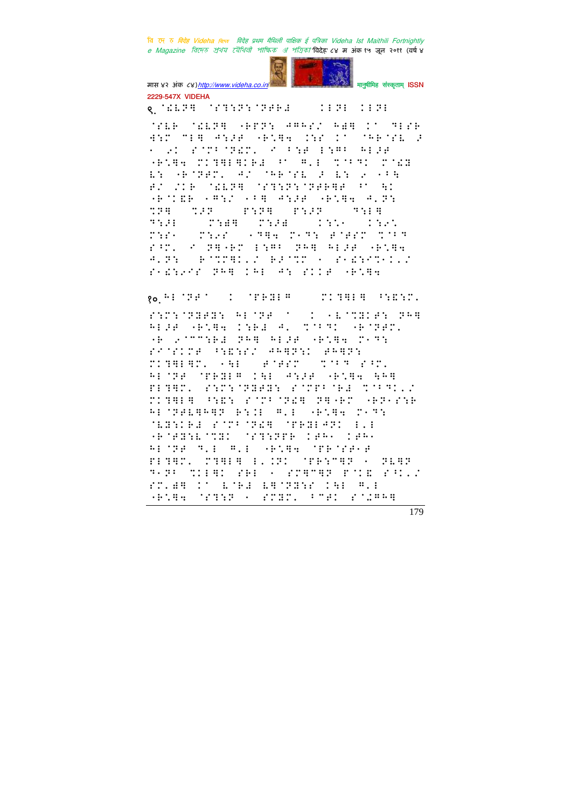ति एप रु विदेह Videha बिलर विदेह प्रथम मैथिली पाक्षिक ई पत्रिका Videha Ist Maithili Fortnightly e Magazine রিদেহ প্রথম মৌথিনী পাক্ষিক *প্র পত্রিকা* 'विदेह' ८४ म अंक १५ जून २०११ (वर्ष ४

मानुषीमिह संस्कृताम ISSN मास ४२ अंक ८४) http://www.videha.co.in 2229-547X VIDEHA

Q TELPH TETAPATPERS (1999) 1999

SPEED SEEPH SEEPS WHAPP AGE IS THIRE and miscussical second that in the name of Providence nazionale analise capital RENNA CINNENERA PO PLE TOPET COMB EN SPORT, SO ORPORE PORT POSTAGE BZ ZIE MELFR METAPAMPERE PO RI  $\{ \frac{1}{2} \left( \frac{1}{2} \right) \left( \frac{1}{2} \right) \left( \frac{1}{2} \right) \left( \frac{1}{2} \right) \left( \frac{1}{2} \right) \left( \frac{1}{2} \right) \left( \frac{1}{2} \right) \left( \frac{1}{2} \right) \left( \frac{1}{2} \right) \left( \frac{1}{2} \right) \left( \frac{1}{2} \right) \left( \frac{1}{2} \right) \left( \frac{1}{2} \right) \left( \frac{1}{2} \right) \left( \frac{1}{2} \right) \left( \frac{1}{2} \right) \left($  $\begin{array}{cccccccccccccc} \mathbf{T} \mathbf{P} \mathbf{H} & \mathbf{I} & \mathbf{T} \mathbf{P} \mathbf{P} & \mathbf{I} & \mathbf{I} \mathbf{P} \mathbf{P} \mathbf{H} & \mathbf{I} & \mathbf{I} \mathbf{P} \mathbf{P} \mathbf{P} & \mathbf{I} & \mathbf{I} \mathbf{P} \mathbf{H} \mathbf{H} & \mathbf{I} & \mathbf{I} \mathbf{P} \mathbf{P} \mathbf{P} & \mathbf{I} & \mathbf{I} \mathbf{P} \mathbf{H} \mathbf{P} & \mathbf{I} &$ **CONSERVATIONS CONSERVATION**  $3.5831$ The Co  $\begin{array}{cccccccccc} T^{\alpha}T^{\beta}T^{\beta}T^{\beta} & \cdots & T^{\alpha-1}T^{\alpha}T^{\beta} & T^{\beta-1}T^{\beta} & \cdots & T^{\alpha-1}T^{\alpha}T^{\beta} & T^{\alpha-1}T^{\beta} & T^{\alpha-1}T^{\alpha} & T^{\alpha-1}T^{\alpha} & T^{\alpha-1}T^{\alpha}T^{\beta} & T^{\alpha-1}T^{\alpha}T^{\beta} & T^{\alpha-1}T^{\alpha}T^{\alpha} & T^{\alpha-1}T^{\alpha}T^{\alpha} & T^{\alpha-1}T^{\alpha}T^{\alpha} & T^{\alpha$ ran, komandana masjida aras ang ALBA CENTRELLE BANTE A GAGANALLE PARTNER PROJECT AT PICP (PESOS

 $\gamma_0$   $\overset{.}{=}$   $\gamma$   $\overset{.}{=}$   $\overset{.}{\sim}$   $\gamma$   $\overset{.}{=}$   $\overset{.}{\sim}$   $\overset{.}{\sim}$   $\overset{.}{\sim}$   $\overset{.}{\sim}$   $\overset{.}{\sim}$   $\overset{.}{\sim}$   $\overset{.}{\sim}$   $\overset{.}{\sim}$   $\overset{.}{\sim}$   $\overset{.}{\sim}$   $\overset{.}{\sim}$   $\overset{.}{\sim}$   $\overset{.}{\sim}$   $\overset{.$ 

FACA CREATA (PECCA) CONTRACTOREAL CREAT RESERVANCES CARD AL COMMON ARMBED. FORTICLE PERSIC PRESSIONARIS. PITHERS (FEED FORES ) TO REPORT FINANCI PARA MERENTE MERIDE NU MULLO TIMBER (SEN POTEORE DROBT) (ED)PIE MENIPE PATTY TREE ATPERENT ILE HE MEDIAL MODELS CONTRIBUTE COMPANY OF HAR APSTRACT PORCH (APSAGE STRATEGIE) FINED, CHRIST I, CPI (TEENTED ) (PLAD) HARRY TIERE YEAR ON YOUR TREE WORKS POLEN IN ENERGY ENGINEERING HENBA TETAP A FEDDEL FORD FORDAR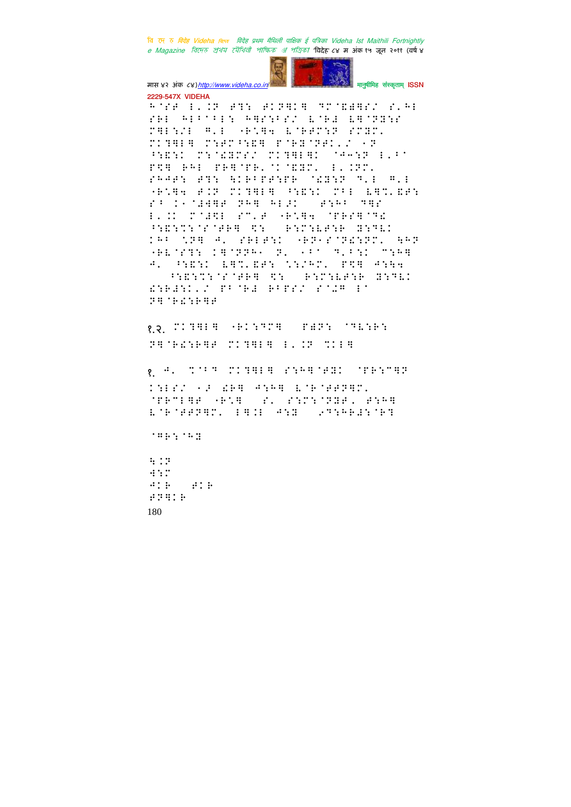त्रि एप रु विदेह Videha बिलर विदेह प्रथम मैथिली पाक्षिक ई पत्रिका Videha Ist Maithili Fortnightly e Magazine রিদেহ প্রথম মৌথিনী পাক্ষিক *প্র পত্রিকা* 'विदेह' ८४ म अंक १५ जून २०११ (वर्ष ४

मानुषीमिह संस्कृताम् ISSN मास ४२ अंक ८४) http://www.videha.co.in 2229-547X VIDEHA

A NEW BILLEY WELFINDED AN INFORMATION CORP. PRESERVATES ARPSPRIS EMPLE ERMINE THENNE H.E. (BNHH) ENBRYST FTHT. TITHER TYPE PYRE FORECRELLY AR PARAD CAMERON COMMENCINARYS ELPY FRA BAIL FRANCH, MONET, E. 197. PRAPY PTS BIPFFPDFF TEST T.E T.E HENNA FOR CONNELL PARAL CHE ENCLOSA ra condeme demonstrato esercimen E. I. T'ARE YT.F (PARR TERPETRE PERSON NORFEL ON CONSIGNATION SERIES THE NORTH COMPANY CONDUCTORSON, AND HENNIS CROSS- S. HINTSHIP MARR H. PAEAL EATLEFY NAVADL FRA HARR **FARATA MOVERN TA CONSTANTION RATES** ENBINIST PROBLEMENT POINT BY **PRIECERS** 

8.R. WINNER HEIGHTH ( FACH (TRAFF) **PETECHBE TITEER EVIP TIER** 

 $\sqrt{2}$  , the strain strain strain strain strain strain strain strain strain strain strain strain strain strain strain strain strain strain strain strain strain strain strain strain strain strain strain strain strain stra

THERE ARE WHEN AND LIBRARED. **TERMINE PRON SIL PATTITEE, PARK** ECRITEFED, ENCLOSED STARED OF

 $(10.4, 10.3)$ 

5.12  $457$ **ADE SERVE BOST** 180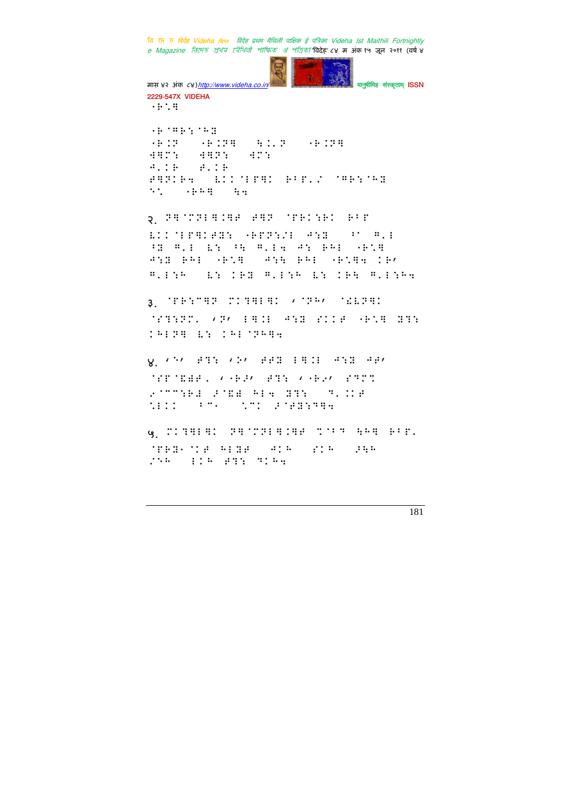त्रि एप रु विदेह Videha बिलर विदेह प्रथम मैथिली पाक्षिक ई पत्रिका Videha Ist Maithili Fortnightly e Magazine রিদেহ প্রথম মৌথিনী পাক্ষিক *প্র পত্রিকা* **বিदेह ८४ म अंक १५ जून २०११ (वर्ष ४** मानुषीमिह संस्कृताम् ISSN मास ४२ अंक ८४) http://www.videha.co.ir 2229-547X VIDEHA  $\pm 10.3$  $+1.79153743$  $+4.13 -$ 4825  $-4474 - 475$  $\theta$  . If  $\theta$  is a set of  $\mathbb{R}^n$  , if  $\mathbb{R}^n$ PARINA (ALIVERAL PERIJ CAPENTAR  $\mathcal{H}_{\mathcal{A}}^{\mathcal{A}} = \mathcal{H}_{\mathcal{B}}^{\mathcal{A}} + \mathcal{H}_{\mathcal{B}}^{\mathcal{A}} = \mathcal{H}_{\mathcal{B}}^{\mathcal{A}} + \mathcal{H}_{\mathcal{B}}^{\mathcal{A}}$ RUSHINSERINE PRESSENCERS EDITORIAL (FERMI AND  $\mathbb{R}^2$  :  $\mathbb{R}^2$  ,  $\mathbb{R}^2$ 30 P.E. EN 39 P.E. P.E. PN PRESSENT 950 FRI (FSR) 954 FRI (FSR) 197 #1155 125 193 9.155 15 195 9.155  $3.$  TEPNTER CLIEBERI (VIER) TELPEL TETHER, ARA FROM PHR ELLE PENR HEN 19129 LT 19172994 Q 379 #33 339 ##3 FRIE #53 ##6

TERMINE CONSTRUCTION (PRODUCTION) STUDENT STEEL PER TEEL TO DIE MILL STREET MODELL STREETER

@ PINHERD PROPERING TOOL AND BEEL **TERM THE RENEW RIGHT PIRE SPARE**  $254 - 114 - 215 - 314$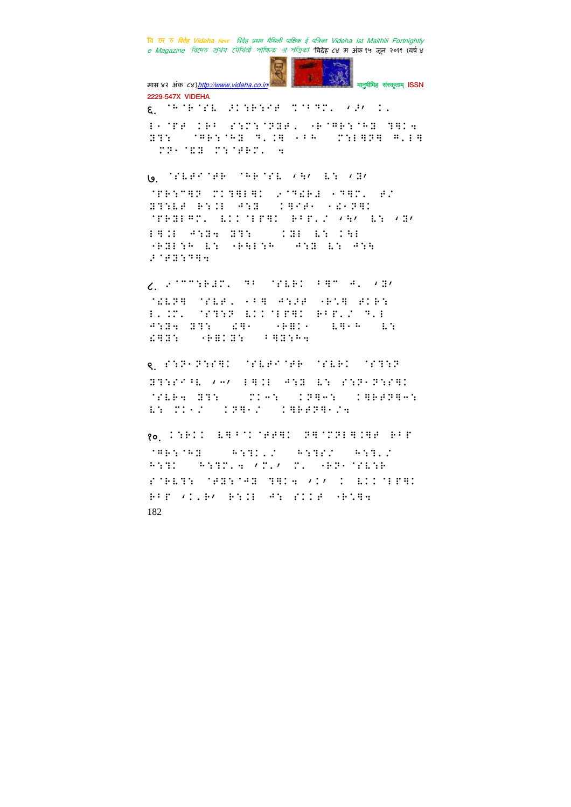त्रि एप रु विदेह Videha बिलर विदेह प्रथम मैथिली पाक्षिक ई पत्रिका Videha Ist Maithili Fortnightly e Magazine রিদেহ প্রথম মৌথিনী পাক্ষিক *প্র পত্রিকা* 'विदेह' ८४ म अंक १५ जून २०११ (वर्ष ४

मास ४२ अंक ८४) http://www.videha.co.in मानुषीमिह संस्कृताम् **ISSN** 2229-547X VIDEHA

 $\mathbf{g} = 1.5$  the table of the problem of the first section (  $\mathbf{g}$  ) and (

EXPERIENT PACKPREEL SECRETARY TRIS 335 - TRANSA PONTRO (PARTICIPADA PORTRO TP-TEE TATHET.  $\cdot$ 

 $\mathfrak{g}$  (where the construction of  $\mathfrak{g}$ ) and  $\mathfrak{g}$ 

**TEENTRE CONRERO STREET FRED. BO** HARRY FAIL WAN (1978) (2009) **TERMINEL ALL TEEN REPLUS VALUES VAL FRIE #534 335 CONTRACT SET 1999**  $3.14333344$ 

Z. STOREBOL PROTEEN FAR ALOVES

TELPH TELEVISING SYSPECTERS EVIL TETER ELIMENT PREVIOUS  $\left\langle \frac{1}{2},\frac{1}{2},\frac{1}{2},\frac{1}{2},\frac{1}{2},\frac{1}{2},\frac{1}{2},\frac{1}{2},\frac{1}{2},\frac{1}{2},\frac{1}{2},\frac{1}{2},\frac{1}{2},\frac{1}{2},\frac{1}{2},\frac{1}{2},\frac{1}{2},\frac{1}{2},\frac{1}{2},\frac{1}{2},\frac{1}{2},\frac{1}{2},\frac{1}{2},\frac{1}{2},\frac{1}{2},\frac{1}{2},\frac{1}{2},\frac{1}{2},\frac{1}{2},\frac{1}{2},\frac{1}{2$ EARL HEIRY FABILE

@ POST-SOPED CREATER CREAT CRIDE BUNGARE AND FULL AND EN GARAGEMENT 

80. INFORMATION NEEDS THOUGHT HOTEL - トンコンプ  $\mathbb{H}\left(Y\left(Y\right)\right)=\mathbb{H}\left(Y\left(Y\right),\mathcal{H}\right)\neq\mathbb{P}\left(Y\right),\forall\mathcal{H}\left(Y\right)\in\mathbb{H}\left(Y\right),\forall\mathcal{H}\left(Y\right)\in\mathbb{H}\left(Y\right).$ FOREST CHEROGENERIA NIZ I ELIGEBE BEFONDLEY BACH (#A) PILE (FENER 182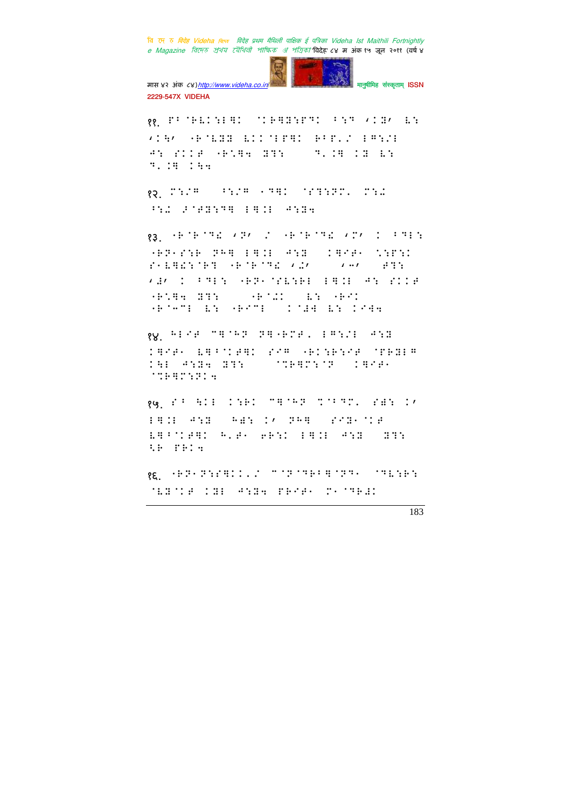त्रि एप रु विदेह Videha बिलर विदेह प्रथम मैथिली पाक्षिक ई पत्रिका Videha Ist Maithili Fortnightly e Magazine রিদেহ প্রথম মৌথিনী পাক্ষিক *প্র পত্রিকা* 'विदेह' ८४ म अंक १५ जून २०११ (वर्ष ४

मानुषीमिह संस्कृताम् ISSN मास ४२ अंक ८४) http://www.videha.co.ir 2229-547X VIDEHA

RESPONSE TO A REPORT OF A RESPONSE TO A RESPONSE TO A RESPONSE TO A RESPONSE TO A REPORT OF A RESPONSE TO A RESPONSE TO A REPORT OF A REPORT OF A REPORT OF A REPORT OF A REPORT OF A REPORT OF A REPORT OF A REPORT OF A REPO  $\sqrt{1.47}$  (  $\sqrt{1.47}$  ) and an except for the set of  $\frac{1}{2}$  (  $\frac{1}{2}$  ) and  $\frac{1}{2}$ AN VIIA (ANNH STN) (T. 19) IS AN  $7.19.144$ 

82. TELES SELES FREE SEREET, TEL 

 $83.$  THE TREE A RAIL COHE TREE A DV (1) FIRES  $(1978, 1577)$  $\begin{array}{cccccccccc} \cdot\,\mathbf{1}\cdot\,\mathbf{2}\cdot\,\mathbf{1}\cdot\,\mathbf{1}\cdot\,\mathbf{1}\cdot\,\mathbf{1}\cdot\,\mathbf{1}\cdot\,\mathbf{1}\cdot\,\mathbf{1}\cdot\,\mathbf{1}\cdot\,\mathbf{1}\cdot\,\mathbf{1}\cdot\,\mathbf{1}\cdot\,\mathbf{1}\cdot\,\mathbf{1}\cdot\,\mathbf{1}\cdot\,\mathbf{1}\cdot\,\mathbf{1}\cdot\,\mathbf{1}\cdot\,\mathbf{1}\cdot\,\mathbf{1}\cdot\,\mathbf{1}\cdot\,\mathbf{1}\cdot\,\mathbf{1}\cdot\,\mathbf{1}\cdot\,\mathbf{1}\cdot\$  $\mathcal{L}^2 \times \mathbb{L}^2 \times \mathbb{H}^2 \times \mathbb{H}^2 \times \mathbb{H}^2 \times \mathbb{H}^2 \times \mathbb{H}^2 \times \mathbb{H}^2 \times \mathbb{H}^2 \times \mathbb{H}^2 \times \mathbb{H}^2 \times \mathbb{H}^2 \times \mathbb{H}^2 \times \mathbb{H}^2 \times \mathbb{H}^2 \times \mathbb{H}^2 \times \mathbb{H}^2 \times \mathbb{H}^2 \times \mathbb{H}^2 \times \mathbb{H}^2 \times \mathbb{H}^2 \times \mathbb{H}^2 \times$  $\frac{1}{2}$   $\frac{1}{2}$   $\frac{1}{2}$   $\frac{1}{2}$   $\frac{1}{2}$  $\mathbf{v}$   $\mathbf{v}$   $\mathbf{v}$ **VERTICA PER THEFT TELESCOPE CONTROL**  $+0.194 - 333 + 1$  $\begin{array}{cccccc} \mathbf{1} & \mathbf{1} & \mathbf{1} & \mathbf{1} & \mathbf{1} & \mathbf{1} & \mathbf{1} & \mathbf{1} & \mathbf{1} & \mathbf{1} & \mathbf{1} & \mathbf{1} & \mathbf{1} & \mathbf{1} & \mathbf{1} & \mathbf{1} & \mathbf{1} & \mathbf{1} & \mathbf{1} & \mathbf{1} & \mathbf{1} & \mathbf{1} & \mathbf{1} & \mathbf{1} & \mathbf{1} & \mathbf{1} & \mathbf{1} & \mathbf{1} & \mathbf{1} & \mathbf{1} & \math$ HETHTEN EN CHESTER CONTENT EN OSSEE

eg Rice manner rachers, immun And THANK LEATENED SAR SECTIONARY TENDER **THE #5HH HT: COMMEDIATION** 

89. ET RIE INEL TROPP TOPPL FEN LA FROM PARTY RESOURCE PRODUCERS TO ENFITTENT ALEX ERNI FRIE AND CONN AP TELA

RELATED A FROM A CONTRACTOR CONTRACTOR TESTIF ISE PANSA PROF. TV TREE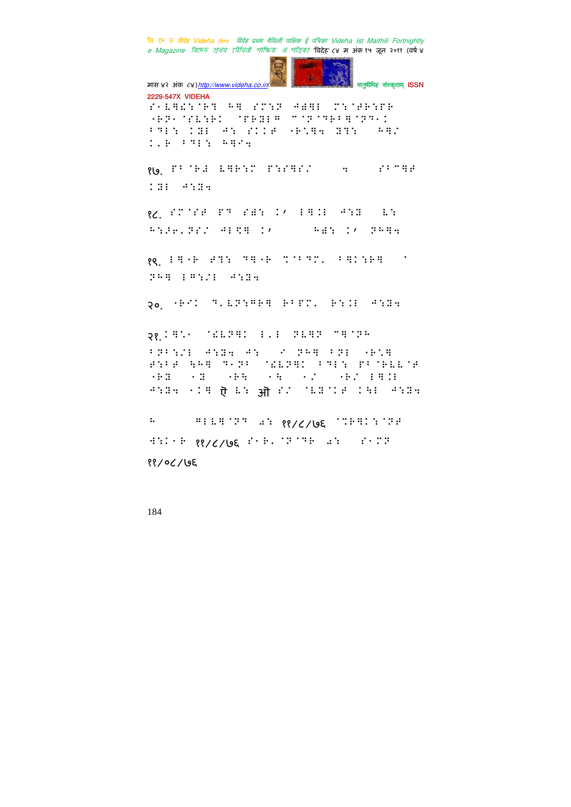ৱি দে হ *विदेह Videha बिल्ब विदेह प्रथम मैथिली पाक्षिक ई पत्रिका Videha Ist Maithili Fortnightly* e Magazine विद्युत्त सेथेंग ट्रॉशिनी शक्तिक अ शंक्षित्वां "**विदेहः ८४ म अंक १५ जून २०११ (वर्ष ४** 

मास ४२ अंक ८४)http://www.videha.co.in/ मानुबी मानुषीमिह संस्कृताम् ISSN 2229-547X VIDEHA \$⣇⣛⣎⣑⢷⣙ ⢳⣛ ⣑⢽ ⢺⣞⣛ ⣑⢾⢷⣑⢷  $\rightarrow$  \$\$. The second second second second second second second second second second second second second second second second second second second second second second second second second second second second second secon ⢹⣑ ⣝ ⢺⣑ ⢾ ⢷⣁⣛⣒ ⣝⣙⣑*.!*⢳⣛ ⢷ ⢹⣑ ⢳⣛ ⣒*!!* १७. ⢷⣜ ⣇⣛⢷⣑ ⣑⣛*!)!*⣒*!\*!*)⣛⢾ ⣝ ⢺⣑⣝⣒ १८. ⢾ ⢹ ⣞⣑ ' ⣛⣈ ⢺⣑⣝*-!*⣇⣑ ⢳⣑⢼⢶⢽ ⢺⣋⣛ '*!-!!*⢳⣞⣑ ' ⢽⢳⣛⣒ १९. ⣛⢷ ⢾⣙⣑ ⢹⣛⢷ ⣉⢹ ⣛ ⣑⢷⣛*!)*/*\*!* ⢽⢳⣛ ⢻⣑ ⢺⣑⣝⣒

२०. तस्य अप्रसन्दे समाप्त स्थान ज्यान

२१.२ वरी - जन्म असेरी - असेरी - असेरी - असेरी - असेरी - असेरी - असेरी - असेरी - असेरी - असेरी - असेरी - असेरी<br>जन्म ⢽⣑ ⢺⣑⣝⣒ ⢺⣑*(!* ⢽⢳⣛ ⢽ ⢷⣁⣛  $\pm$ 39  $\pm$  0.000  $\pm$  0.000  $\pm$  0.000  $\pm$  0.000  $\pm$  0.000  $\pm$  0.000  $\pm$ ⢷⣝*0!*\$⣝*0!*⢷⣓*0!*\$⣓*0!*\$*0!*⢷ ⣛⣈ ⢺⣑⣝⣒ \$ ⣛ ऎ ⣇⣑ ऒ ⣇⣝ ⢾ ⣓ ⢺⣑⣝⣒

⢳*/0.!*⢻⣇⣛⢽⢹ ⣔⣑ ११/८/७६ ⣉⢷⣛ ⣑⢽⢾ ⣚⣑ \$⢷ ११/८/७६ \$⢷⢽⢹⢷ ⣔⣑*!#*\$⢽*#!* ११/०८/७६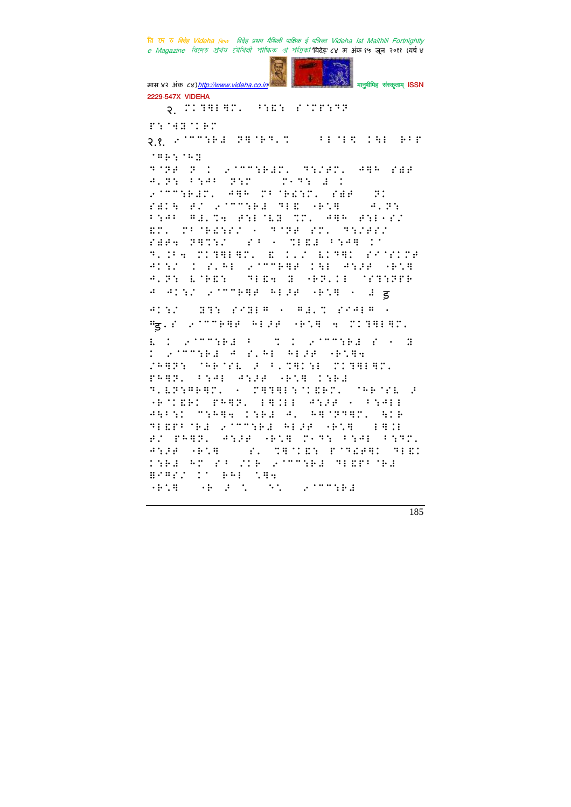त्रि एप रु विदेह Videha बिल्ह विदेह प्रथम मैथिली पाक्षिक ई पत्रिका Videha Ist Maithili Fortnightly e Magazine রিদেহ প্রথম মৌথিনী পাক্ষিক ঐ পত্রিকা **ত্রিহ**েধ্যে **স अंक १५ जून २०११ (वर्ष ४** 

| मास ४२ अंक ८४) http://www.videha.co.in<br>। मानुषीमिह संस्कृताम् ISSN                                                                                                                                                                                                                                                                                                                                                                                                           |
|---------------------------------------------------------------------------------------------------------------------------------------------------------------------------------------------------------------------------------------------------------------------------------------------------------------------------------------------------------------------------------------------------------------------------------------------------------------------------------|
| 2229-547X VIDEHA                                                                                                                                                                                                                                                                                                                                                                                                                                                                |
| Q. WINHERT, SPEN FOURDAR                                                                                                                                                                                                                                                                                                                                                                                                                                                        |
| <b>PACHECOPT</b>                                                                                                                                                                                                                                                                                                                                                                                                                                                                |
| R.B. A. WINDER OF PEARLE                                                                                                                                                                                                                                                                                                                                                                                                                                                        |
| 计并存存储程序                                                                                                                                                                                                                                                                                                                                                                                                                                                                         |
| ange a c'hornamegoù agoed. Age pee                                                                                                                                                                                                                                                                                                                                                                                                                                              |
| $\mathbb{R}^{n}$ : $\mathbb{R}^{n}$<br>$\mathbb{R}^n$ , $\mathbb{R}^n$ , $\mathbb{R}^n$ , $\mathbb{R}^n$ , $\mathbb{R}^n$<br>9.95.9596                                                                                                                                                                                                                                                                                                                                          |
| 27771622. HAR 2576212. Zdd. (                                                                                                                                                                                                                                                                                                                                                                                                                                                   |
| rada ez komunea gib (esg.)<br>and and the second property of the second to the second the second to the second the second terms. In the second the second terms in the second terms in the second terms in the second terms in the second terms in the secon                                                                                                                                                                                                                    |
| Page gelich and nic cologen and kr                                                                                                                                                                                                                                                                                                                                                                                                                                              |
| ET. THOBEGOV - TOBE PT. TGJEPJ                                                                                                                                                                                                                                                                                                                                                                                                                                                  |
| raga dagar shi kumada baga ci                                                                                                                                                                                                                                                                                                                                                                                                                                                   |
| 9. DA (DINBAD, CB) 1.2 GIPAD (201228                                                                                                                                                                                                                                                                                                                                                                                                                                            |
| algus ispanel voqteme infosant sevm                                                                                                                                                                                                                                                                                                                                                                                                                                             |
| 4.25 ESPES (PEDA 3 (FR.18) SPORPE                                                                                                                                                                                                                                                                                                                                                                                                                                               |
| 8. 91.52 - 2.177698 - 81.28 - 9619 - 81.18 g                                                                                                                                                                                                                                                                                                                                                                                                                                    |
| alno don program a govornaga a                                                                                                                                                                                                                                                                                                                                                                                                                                                  |
| <mark>ing</mark> visite of the mean of the second of the product of the mean of the mean of the mean of the mean of the mean                                                                                                                                                                                                                                                                                                                                                    |
|                                                                                                                                                                                                                                                                                                                                                                                                                                                                                 |
| E (1962) mingeal (f. 1911) (6 mingeal (f. 1918)<br>1966 mingeal (f. 1918) (f. 1918) (f. 1919)                                                                                                                                                                                                                                                                                                                                                                                   |
| $\mathcal{I}$ RADA (1987) $\mathcal{I}$ (2008) $\mathcal{I}$ (3008) $\mathcal{I}$ (3008) $\mathcal{I}$ (2008) $\mathcal{I}$                                                                                                                                                                                                                                                                                                                                                     |
| regr. (1941) Angel (619-1196)                                                                                                                                                                                                                                                                                                                                                                                                                                                   |
| P. E25PPHT. → CONTHES VIERD. OPPORT 2                                                                                                                                                                                                                                                                                                                                                                                                                                           |
| $\left\{ \frac{1}{2}, \frac{1}{2}, \frac{1}{2}, \frac{1}{2}, \frac{1}{2}, \frac{1}{2}, \frac{1}{2}, \frac{1}{2}, \frac{1}{2}, \frac{1}{2}, \frac{1}{2}, \frac{1}{2}, \frac{1}{2}, \frac{1}{2}, \frac{1}{2}, \frac{1}{2}, \frac{1}{2}, \frac{1}{2}, \frac{1}{2}, \frac{1}{2}, \frac{1}{2}, \frac{1}{2}, \frac{1}{2}, \frac{1}{2}, \frac{1}{2}, \frac{1}{2}, \frac{1}{2}, \frac{1}{2}, \frac{1}{2}, \frac{1}{2}, \frac{1}{2$<br>$\rightarrow$ 1.4 $\rightarrow$ 1.4 $\rightarrow$ |
| agraf maege faeg al egjorgog. Ale                                                                                                                                                                                                                                                                                                                                                                                                                                               |
| niber ned Succession ander Sever (1931                                                                                                                                                                                                                                                                                                                                                                                                                                          |
| al provincia de calendario de la cont                                                                                                                                                                                                                                                                                                                                                                                                                                           |
| ange (eng ) p. to to be problem. Odd.                                                                                                                                                                                                                                                                                                                                                                                                                                           |
| INFORMADO ES VIEN VONTNEO MEDER NEO                                                                                                                                                                                                                                                                                                                                                                                                                                             |
| 839: 11 PH 19                                                                                                                                                                                                                                                                                                                                                                                                                                                                   |

PENE CHECK NO. NO. SETTINEA

 $\frac{185}{ }$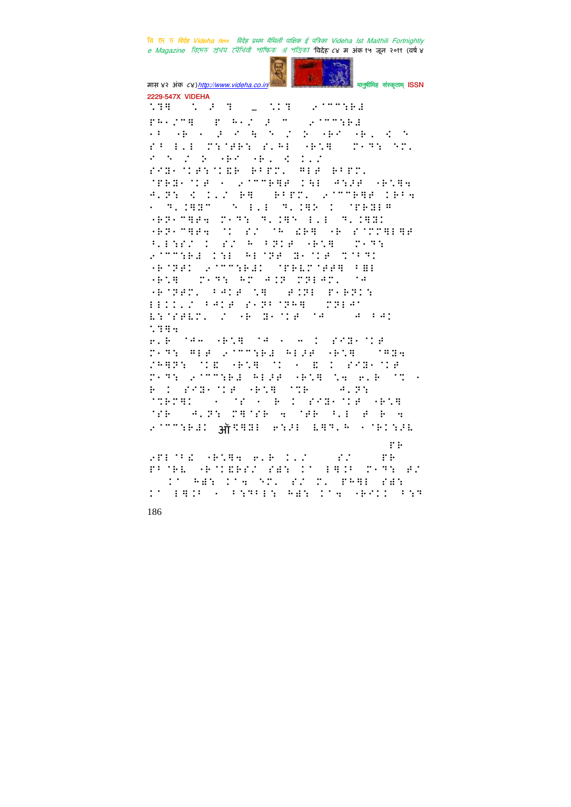$\mathbb{I}^{\mathbb{N}}$ STEPHEN HENBAULD (1992) STATES r p rther Genomen Prastic Serie referenc **SOLD RESOLVED AT SECTION PREPARE** IN BROADLAND PARK AND IN A CHANGE AND

ENGRED, COMPOSITION OF CONSTRUCT  $1.38\%$ B.B. TAR (FEND) TACK (R) IS BADE TE DVAN ALA VITTNES ALVA (ANA) (TAGA TREPS TO BOOK ROBERTS AND CONSTRUCTION resta le conseguierde l'especiale de la compo-BOI PARKING SEVERTED SALEY TERRED CONTROL BOIL PARKING CHAR MARCO ALBA CHEMARCH (MARCO ALECA) BOA WITTERS STRESS WERE EATLED FOR THE

PROTECTIVE AND SUMMONS COMPARE રેલા પેક્ટરેના પ્રાપ્ય વિશે પર પ્રાપ્ય થયેલ કરવા પ્રાપ્ય PROFILE TATERY PLACE (HAND)  $7 - 75 - 57$ . その他には、今日の日本に、その192 PAGE MURNINGE GEFT. PER GETT. TERBATOR A VITTEMA DAE ANGEL ANGEV RUPS ROLL BROOKFEL STUDEN LEFT 8. P. HET (1891) 1. P. HET (1992) 100 489-7884 2-75 7.185 F.E. 7.1831 STORYBE IN SERVER SERVICE CONTRI HETHI STUDENT TEENTIFER FOR HETHER FALE AND FIRE PHERIC EECONOMIA PARTIER CREAT

मानुषीमिह संस्कृताम ISSN मास ४२ अंक ८४) http://www.videha.co.in 2229-547X VIDEHA  $\sim$  2007514  $\begin{array}{cccccccccccccc} \lambda\, \overline{z}\, \overline{w} & \gamma & \lambda & \overline{z} & \overline{w} & \overline{w} & \gamma & \gamma & \gamma & \gamma & \overline{w} & \overline{w} \\ \end{array}$ 

ति एप रु विदेह Videha बिलर विदेह प्रथम मैथिली पाक्षिक ई पत्रिका Videha Ist Maithili Fortnightly e Magazine রিদেহ প্রথম মৌথিনী পাক্ষিক *প্র পত্রিকা* '<mark>বিदेह' ८४ म अंक १५ जून २०११ (वर्ष ४</mark>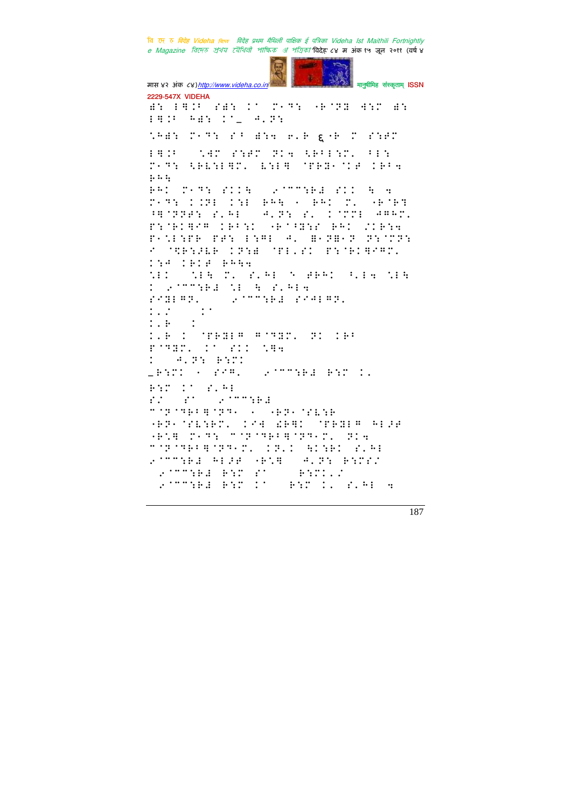त्रि एप रु विदेह Videha बिलर विदेह प्रथम मैथिली पाक्षिक ई पत्रिका Videha Ist Maithili Fortnightly e Magazine রিদেহ প্রথম মৌথিনী পাক্ষিক *প্র পত্রিকা* **বিदेह ८४ म अंक १५ जून २०११ (वर्ष ४** 

मास ४२ अंक ८४) http://www.videha.co.in मानुषीमिह संस्कृताम् ISSN 2229-547X VIDEHA BY FROUGHY IN THREE HENDER HYPING 1915 Fan 112 F.F. teas complications and gift consec FRIDA CATAGORIA RIA APPENDICATA TANK ABENEND, ENER TEBERING CESA  $\mu$  i.  $\ell_1$ PRI TVAS PIIR CONTENER PII ROM T-75 IIB IIB PRESS PRIST, SPIER PROPERTY PLAN (1982-2010) INTERNATIONAL PATRIBUR IRENI (PRIMINE BRI) ZIBNA PANENTH PAN ENHEL AL BADBAD DNAMPN K TREGALE CATE TRIVAT PETETRAP. 154 1919 9555 MED COLE TO SUPER NORBHD FLEW MER Controlled the Eleventric  $f(21197)$ **SAMPARE PROPERTY**  $1.2 \pm 1.2$  $1.49\pm0.1$ **T.B. I STEELW WITHIN BILLER** FORET, IN SIL ARE  $1 - 4.35$  Fill LEGTI K PARL SACTOGER EGG IL ent (11 sue)<br>svi sti svinneel  $\begin{array}{cccccccccccccc} \mathbf{1} & \mathbf{1} & \mathbf{2} & \mathbf{3} & \mathbf{4} & \mathbf{5} & \mathbf{5} & \mathbf{6} & \mathbf{7} & \mathbf{2} & \mathbf{5} & \mathbf{6} & \mathbf{7} & \mathbf{7} & \mathbf{8} & \mathbf{8} & \mathbf{8} & \mathbf{9} & \mathbf{1} & \mathbf{1} & \mathbf{1} & \mathbf{1} & \mathbf{1} & \mathbf{1} & \mathbf{1} & \mathbf{1} & \mathbf{1} & \mathbf{1} & \mathbf{1} & \mathbf{1} &$ HPP TELTED, IPA GEAL TEERER RIPE  $\left\{ \frac{1}{2} \left( \frac{1}{2} \left( \frac{1}{2} \right) \left( \frac{1}{2} \left( \frac{1}{2} \right) \right) \left( \frac{1}{2} \left( \frac{1}{2} \right) \left( \frac{1}{2} \right) \left( \frac{1}{2} \right) \left( \frac{1}{2} \right) \left( \frac{1}{2} \right) \left( \frac{1}{2} \right) \left( \frac{1}{2} \right) \left( \frac{1}{2} \right) \left( \frac{1}{2} \right) \left( \frac{1}{2} \right) \left( \frac{1}{2} \right) \left( \frac{1$ MORINEER MARKING CRIST ACTED (2004) STUDENT PERMIT PENNY (PLOTE BEDEV STORES END POST  $\rightarrow$  1470  $\rightarrow$  7 A MONEWA BAD IN CARD IL GLAB G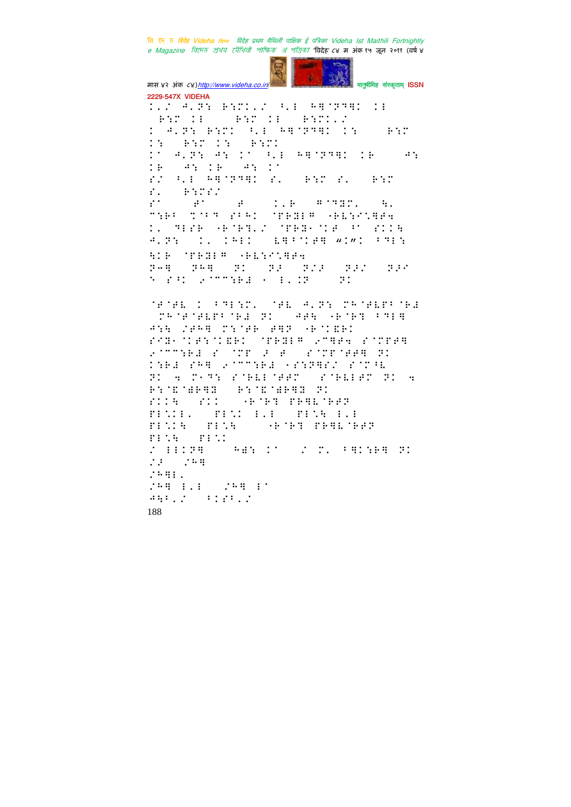ति एप रु विदेह Videha बिलर विदेह प्रथम मैथिली पाक्षिक ई पत्रिका Videha Ist Maithili Fortnightly e Magazine রিদেহ প্রথম মৌথিনী পাক্ষিক *প্র পত্রিকা* 'विदेह' ८४ म अंक ९५ जून २०११ (वर्ष ४

**County** 

मानुषीमिह संस्कृताम ISSN मास ४२ अंक ८४) http://www.videha.co.in 2229-547X VIDEHA 1.2 4.35 FATILY F.E. 597391 11 ant in 1942 in Gandle 1 4.75 F171 F.E. PRITFEL IS  $\mathbb{R}^2 \times \mathbb{R}^2$ THE PHOTOGRAPHED IN ALBA AN IN SUB-ABIDENT IB (1988)  $\mathbb{C}(\mathbb{H})$  $-45$  (18)  $-45$  (17)  $\begin{array}{cccccccccccccc} \mathcal{E}(\mathcal{E}) & \mathcal{F}_1(\mathcal{E}) & \mathcal{F}_2(\mathcal{E}) & \mathcal{F}_1(\mathcal{E}) & \mathcal{F}_2(\mathcal{E}) & \mathcal{F}_1(\mathcal{E}) & \mathcal{F}_2(\mathcal{E}) & \mathcal{F}_2(\mathcal{E}) & \mathcal{F}_1(\mathcal{E}) & \mathcal{F}_2(\mathcal{E}) & \mathcal{F}_2(\mathcal{E}) & \mathcal{F}_2(\mathcal{E}) & \mathcal{F}_2(\mathcal{E}) & \mathcal{F}_2(\mathcal{E}) & \mathcal{F}_2(\mathcal{E}) & \$ **SEAT P. PET** f. Phril  $\mathbb{R}^{\mathbb{Z}_2}$  $\mathbb{R}^{2n}$  .  $\mathbb{R}^2$  $\mathbf{1.3}$   $\mathbf{.4}$   $\mathbf{.5}$   $\mathbf{.5}$   $\mathbf{.7}$   $\mathbf{.7}$   $\mathbf{.7}$   $\mathbf{.7}$  $\ddot{\mathbf{u}}$  : .<br>Tabi Turn pin: Tredin (bianches I. MERE GENERIC SPEEDS IN STICK  $1.4711.44$  wished  $1.4711.4$  $41.34 + 11.4441$ AIR TERMIN (PEACHER) 2-8 2-8 21 22 222 223 234 S PRI STRIBE FOR DR  $\mathbb{R}^n$ TATAL I FRENZI TAL ALDN CHTALEFTED TRIBINED IN STAR AND CHINE PARTICULAR TO THE PROPERTY CONTINUES. PAGE MORNINGER (MERGER STREET POTERR A MONEWALK CONFIDENTIAL CONTINUES ON THE PART STORES FRAMES POOPS FOUNDATION STEELINGED CONTENTIONS A BANK MERKET CONTROLLER BY FILE FILE (FRIDE PRESIDER FEVIL TEVI E.E. FEVE E.E FINING FINN OF SPIERINGS FILE FILE  $7.11179$  $73 - 799$  $79911$  $\begin{array}{cccccccccc} \mathcal{I} \oplus \oplus & \oplus & \mathcal{I} \oplus & \mathcal{I} \oplus & \mathcal{I} \oplus & \oplus \mathcal{I} \end{array}$  $\frac{1}{2} \frac{1}{2} \frac{1}{2} \frac{1}{2} \frac{1}{2} \frac{1}{2} \frac{1}{2} \frac{1}{2} \frac{1}{2} \frac{1}{2} \frac{1}{2} \frac{1}{2} \frac{1}{2} \frac{1}{2} \frac{1}{2} \frac{1}{2} \frac{1}{2} \frac{1}{2} \frac{1}{2} \frac{1}{2} \frac{1}{2} \frac{1}{2} \frac{1}{2} \frac{1}{2} \frac{1}{2} \frac{1}{2} \frac{1}{2} \frac{1}{2} \frac{1}{2} \frac{1}{2} \frac{1}{2} \frac{$ 188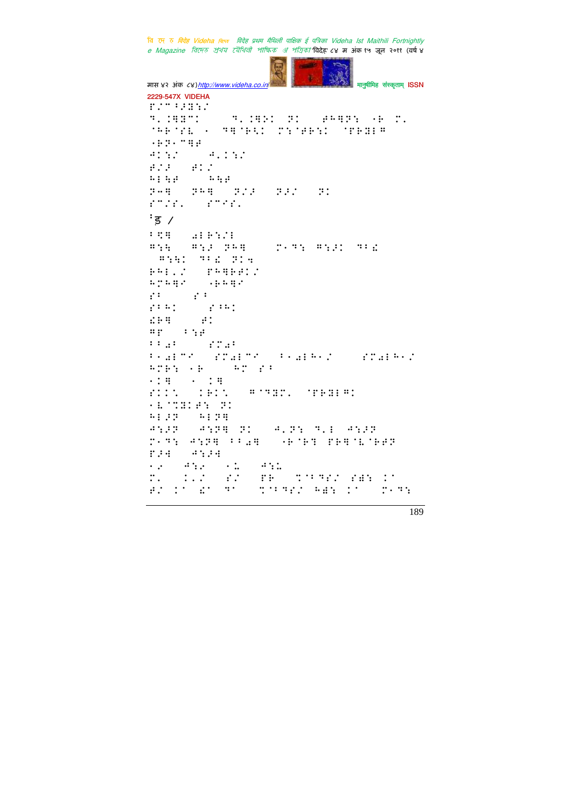e Magazine রিদেহ প্রথম মৌথিনী পাক্ষিক *প্র পত্রিকা* **বিदेह ८४ म अंक १५ जून २०११ (वर्ष ४** मानुषीमिह संस्कृताम् ISSN मास ४२ अंक ८४) http://www.videha.co.in 2229-547X VIDEHA **EVALUE**  $\frac{1}{2}$  :  $\frac{1}{2}$  :  $\frac{1}{2}$  :  $\frac{1}{2}$  :  $\frac{1}{2}$ TRETZEN PROFESI CONTERNI OPROFR  $44.947944$ **ADS2000 ALISE**  $\# \mathcal{I}(\mathcal{S}) = \# \mathcal{I}(\mathcal{S})$  $\mathcal{H}^1_{\mathcal{A}}(\mathcal{H}^1_{\mathcal{A}}(\mathcal{A}))=\mathcal{H}^1_{\mathcal{A}}(\mathcal{H}^1_{\mathcal{A}})$  $(3 + 4)$   $(3 + 4)$   $(3 + 2 + 3)$   $(3 + 2 + 1)$   $(3 + 1)$ ETTER STAR  $\frac{1}{5}$  / .<br>1978년 - 대한민국 대학교 대학교 대학교 대학교회 기대학교<br>1978년 - 대학교 대학교회 대학교 대학교회 대학교회 대학교회  $\begin{array}{cccccc} 0.5441 & 0.542 & 0.744 \\ 0.0000 & 0.0000 & 0.0000 \\ \end{array}$ **FREEZ** PRAFECIO Apage Spage ar ar<br>arno and<br>arno ao  $\mathcal{L}^{(1)}$  and  $\mathcal{L}^{(2)}$  $\mathbf{u}(\mathbf{r}) = \mathbf{u}(\mathbf{r}, \mathbf{r})$ alga (Terga)<br>akgres ergane akgreszt erganez  $\begin{aligned} \mathbf{H}^{\mathbf{H}}_{\mathbf{A}}\mathbf{F}^{\mathbf{H}}_{\mathbf{A}}\mathbf{F}^{\mathbf{H}}_{\mathbf{A}}\mathbf{F}^{\mathbf{H}}_{\mathbf{A}}\mathbf{F}^{\mathbf{H}}_{\mathbf{A}}\mathbf{F}^{\mathbf{H}}_{\mathbf{A}}\mathbf{F}^{\mathbf{H}}_{\mathbf{A}}\mathbf{F}^{\mathbf{H}}_{\mathbf{A}}\mathbf{F}^{\mathbf{H}}_{\mathbf{A}}\mathbf{F}^{\mathbf{H}}_{\mathbf{A}}\mathbf{F}^{\mathbf{H}}_{\$  $+14$   $+ 14$ FILL TELL WORLD TEERS KENTED FROM:  $\frac{1}{2} \frac{1}{2} \frac{1}{2} \frac{1}{2} \frac{1}{2} \frac{1}{2} \frac{1}{2} \frac{1}{2} \frac{1}{2} \frac{1}{2} \frac{1}{2} \frac{1}{2} \frac{1}{2} \frac{1}{2} \frac{1}{2} \frac{1}{2} \frac{1}{2} \frac{1}{2} \frac{1}{2} \frac{1}{2} \frac{1}{2} \frac{1}{2} \frac{1}{2} \frac{1}{2} \frac{1}{2} \frac{1}{2} \frac{1}{2} \frac{1}{2} \frac{1}{2} \frac{1}{2} \frac{1}{2} \frac{$  $\mathbb{P}^{1, \mathbb{P}}(\mathbb{P}^{1, \mathbb{P}}) = \mathbb{P}^{1, \mathbb{P}}(\mathbb{P}^{1, \mathbb{P}}) = \mathbb{P}^{1, \mathbb{P}}(\mathbb{P}^{1, \mathbb{P}}) = \mathbb{P}^{1, \mathbb{P}}(\mathbb{P}^{1, \mathbb{P}}) = \mathbb{P}^{1, \mathbb{P}}(\mathbb{P}^{1, \mathbb{P}}) = \mathbb{P}^{1, \mathbb{P}}(\mathbb{P}^{1, \mathbb{P}}) = \mathbb{P}^{1, \mathbb{P}}(\mathbb{P}^{1, \mathbb{$ P.F. 一开始 计任 iku (1982) - Kollingad<br>Itu (1992) - Yuni Ime (1999-992) Yanki (19<br>Yuni Ime (1993) - Shekaru (1993-998)  $\sim4.5\%$ 

त्रि एप रु विदेह Videha बिलर विदेह प्रथम मैथिली पाक्षिक ई पत्रिका Videha Ist Maithili Fortnightly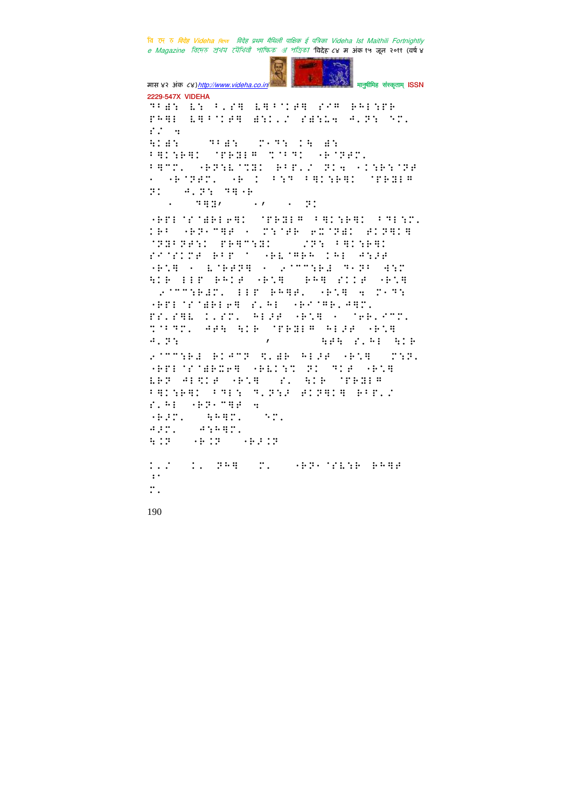त्रि एप रु विदेह Videha बिलर विदेह प्रथम मैथिली पाक्षिक ई पत्रिका Videha Ist Maithili Fortnightly e Magazine রিদেহ প্রথম মৌথিনী পাক্ষিক *প্র পত্রিকা* 'विदेह' ८४ म अंक १५ जून २०११ (वर्ष ४

मानुषीमिह संस्कृताम ISSN मास ४२ अंक ८४) http://www.videha.co.in 2229-547X VIDEHA THEY AN ALON ARANYER OVER BRINGE PRUS LUSTRAU BALLI PEALA (4.94 NT.  $\mathcal{E}(\mathcal{E}) = \mathcal{E}(\mathcal{E})$ 51850 **SPEED - TASE 18 EEE** FRIGHT TEERS TO STATE SECRET. FATTLE FRANCISCO REPLACED A CARACTER **FI 9.75 78.9**  $\ddot{\phantom{0}}$  $1.34437$  $\langle \cdot \rangle$  ,  $\langle \cdot \rangle$  ,  $\langle \cdot \rangle$  ; ; HET SCHEEFEN STEBER FRONER FRONT. 1993 (APP) MARCO (INCRES AD MAIS AIRAIA **1986-9951 PERSONS / 295-9815ERD** PAIRINE BAR TO HELMER INE SANCH  $\left\{ \frac{1}{2}, \frac{1}{2}, \frac{1}{2}, \ldots, \frac{1}{2}, \frac{1}{2}, \frac{1}{2}, \frac{1}{2}, \frac{1}{2}, \frac{1}{2}, \ldots, \frac{1}{2}, \frac{1}{2}, \frac{1}{2}, \frac{1}{2}, \ldots, \frac{1}{2}, \frac{1}{2}, \frac{1}{2}, \ldots, \frac{1}{2}, \frac{1}{2}, \ldots, \frac{1}{2}, \frac{1}{2}, \ldots, \frac{1}{2}, \frac{1}{2}, \ldots, \frac{1}{2}, \frac{1}{2}, \ldots, \frac{1}{2}, \frac{1}{2}, \ld$ ADECEED ENCE (FNS) ERRORISE (FNS) SACTOREARY FEED BANK, SPAN SCORE  $\cdot$ PPI (P. 1891) PR (P. PI) (PPI) PRESPRISE PRIVAGE COVERTS AFRAS SPACE SUSTAINANTES TO PULL PER RIB OTERER PERE SEVE  $\sigma$  ,  $\sigma$  ). **BER P. H. BIB**  $\overline{ }$ STORES ELEVER CLAB RESERVENCESS. **HETERY MARGER CHECKS BOOKS POR CHECK** ERP HISTORY HANDLEY AT RIP OFFICE FALSENT FRES RUPSE BIBALA EFECT  $f$ , H  $f$  , HP  $f$  , HH  $f$  and  $4447.$  $999.771$  $\mathcal{L}$  $\sigma_2(\rho_1,\rho_2)$  $-45497.$  $\langle \cdot \rangle_{\mathbb{R}}^{\mathbb{R}} \left( \mathbb{P} \right) \rangle = \langle \cdot \rangle_{\mathbb{R}}^{\mathbb{R}} \left( \mathbb{P} \right)$  $4.19 1.1\%$  $\mathbf{H}^{\star}$ 

 $\therefore$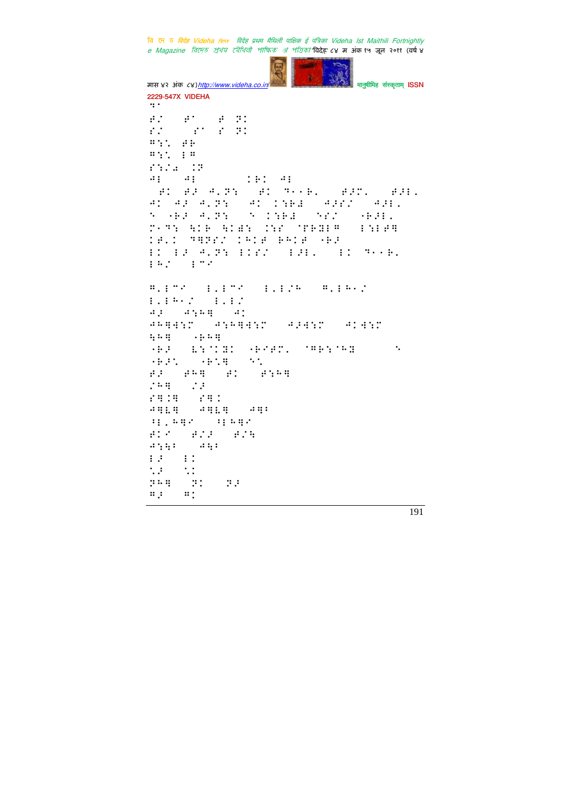```
ৱি দে হ विदेह Videha बिल्ब  विदेह प्रथम मैथिली पाक्षिक ई पत्रिका Videha Ist Maithili Fortnightly
e Magazine  विरमह 'क्षेत्र' रूपैशिवी  शोष्क्रिक श्रं शक्तिरं विदेह' ८४ म अंक १५ जून २०११ (वर्ष ४
मास ४२ अंक ८४)http://www.videha.co.in/ मानुष्यी मानुषीमिह संस्कृताम् ISSN
2229-547X VIDEHA 
⢹/!!
⢾!)⢾/-!⢾ ⢽
      !)!/  ⢽
⢻⣑⣁ ⢾⢷
\overline{m} \overline{m} \overline{m} \overline{m}⣑⣔ ⣈⢽
⢺!)⢺!hp-!
                     ⢷
 ⢺!ep*!
  ⢾
 ⢾⢼ ⢺⢽⣑.!⢾
 ⢹$$⢷0!⢾⢼0!⢾⢼
⢺
 ⢺⢼ ⢺⢽⣑.!⢺

⣑⢷⣜0!⢺⢼0!⢺⢼
 ⢷⢼ ⢺⢽⣑.! 
⣑⢷⣜0!0!⢷⢼0!
\mathbb{R}^3 \mathbb{R}^3 \mathbb{R}^4 \mathbb{R}^4 \mathbb{R}^4 \mathbb{R}^4 \mathbb{R}^4 \mathbb{R}^4 \mathbb{R}^4 \mathbb{R}^4 \mathbb{R}^4 \mathbb{R}^4 \mathbb{R}^4 \mathbb{R}^4 \mathbb{R}^4 \mathbb{R}^4 \mathbb{R}^4 \mathbb{R}^4 \mathbb{R}^4 \mathbb{R}^4 \
⢾
 ⢹⣛⢽ 
⢳
⢾ ⢷⢳
⢾ ⢷⢼

 ⢼ ⢺⢽⣑ 
                     0!⢼0!
 ⢹$$⢷
⢳0!)	
⢻)	0!)	0!⢳0!⢻⢳$0!
⢳$0!
⢺⢼0!⢺⣑⢳⣛0!⢺
⢺⢳⣛⣚⣑0!⢺⣑⢳⣛⣚⣑0!⢺⢼⣚⣑0!⢺
⣚⣑!!
⣓⢳⣛0!⢷⢳⣛0!!
⢷⢼!)⣇⣑
               ⣝
 ⢷	⢾ ⢻⢷⣑⢳⣝*!0!!!
⢷⢼⣁0!⢷⣁⣛0!⣁!!
⢾⢼0!⢾⢳⣛0!⢾
0!⢾⣑⢳⣛!!
⢳⣛0!⢼!!
⣛⣈⣛0!⣛⣈!!
⢺⣛⣇⣛0!⢺⣛⣇⣛0!⢺⣛!!!
⢸⢳⣛	0!⢸⢳⣛	!!!
⢾
	0!⢾⢼0!⢾⣓!!
⢺⣑⣓0!⢺⣓!!
⢼0!
⣁⢼0!⣁
       !!
⢽⢳⣛0!⢽
              0!⢽⢼!!
⢻⢼0!⢻
```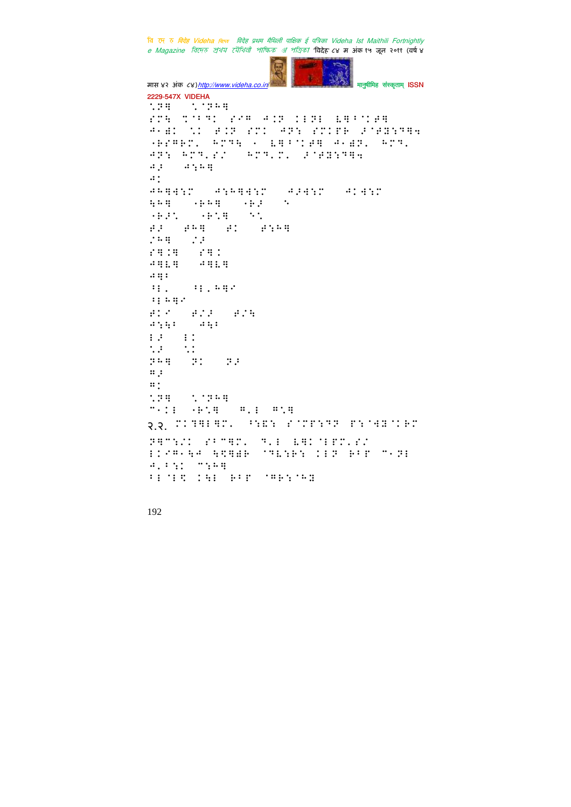```
ৱি দে হ विदेह Videha बिल्ब  विदेह प्रथम मैथिली पाक्षिक ई पत्रिका Videha Ist Maithili Fortnightly
e Magazine  विद्युत्त सेथेंग  ट्रॉशिनी  शक्तिक  अ शंक्षित्वां "विदेहः ८४ म अंक १५ जून २०११ (वर्ष ४
                                   6
मास ४२ अंक ८४)http://www.videha.co.in/ मानुसी मानुषीमिह संस्कृताम् ISSN
2229-547X VIDEHA 
⣁⢽⣛0!⣁⢽⢳⣛!!///!!
\mathcal{L} \mathcal{L} \mathcal{L} \mathcal{L} \mathcal{L} \mathcal{L} \mathcal{L} \mathcal{L} \mathcal{L} \mathcal{L} \mathcal{L} \mathcal{L} \mathcal{L} \mathcal{L} \mathcal{L} \mathcal{L} \mathcal{L} \mathcal{L} \mathcal{L} \mathcal{L} \mathcal{L} \mathcal{L} \mathcal{L} \mathcal{L} \mathcal{LGRED NI BID BID GRI BID BID DAMBARA
⢷⢻⢷ ⢳⢹⣓ $ ⣇⣛⢸
⢾⣛ ⢺$⣞⢽ ⢳⢹
⢺⢽⣑ ⢳⢹-!⢳⢹ ⢼⢾⣝⣑⢹⣛⣒!!!!
⢺⢼0!⢺⣑⢳⣛0!!
\ddot{a}:
⢺⢳⣛⣚⣑0!⢺⣑⢳⣛⣚⣑0!⢺⢼⣚⣑0!⢺
⣚⣑
⣓⢳⣛0!⢷⢳⣛0!⢷⢼0!
⢷⢼⣁0!⢷⣁⣛0!⣁
⢾⢼0!⢾⢳⣛0!⢾
0!⢾⣑⢳⣛
⢳⣛0!⢼
⣛⣈⣛0!⣛⣈
⢺⣛⣇⣛0!⢺⣛⣇⣛0!!
⢺⣛!!!
⢸0!⢸⢳⣛	0!!
⢸⢳⣛	!!!
⢾
	0!⢾⢼0!⢾⣓
⢺⣑⣓0!⢺⣓
⢼0!
⣁⢼0!⣁
         \ddotsc⢽⢳⣛0!⢽

0!⢽⢼
⢻⢼0!!
\mathbf{u} :
⣁⢽⣛0!⣁⢽⢳⣛
)$
 ⢷⣁⣛0!⢻ ⢻⣁⣛
२.२. २००० लाख बाट <sub>द</sub>ाविषय अधिकारित हो। अस्ति पार्टी के साथ प्राप्त हो स्थान के साथ प्राप्त हो। अस्ति पार्टी के स
\mathcal{P} and \mathcal{P} are \mathcal{P} and \mathcal{P} . Then \mathcal{P} are \mathcal{P} and \mathcal{P} are \mathcal{P}\pm 1 \pm 0.5 (for \pm 0.5 ) \pm 0.5 (for \pm 0.5 ) \pm 0.5 (for \pm 0.5 ) \pm 0.5 (for \pm 0.5 ) \pm 0.5⢺⣑
 )⣑⢳⣛;!
⣋ 
⣓ ⢷ ⢻⢷⣑⢳⣝;!!!
```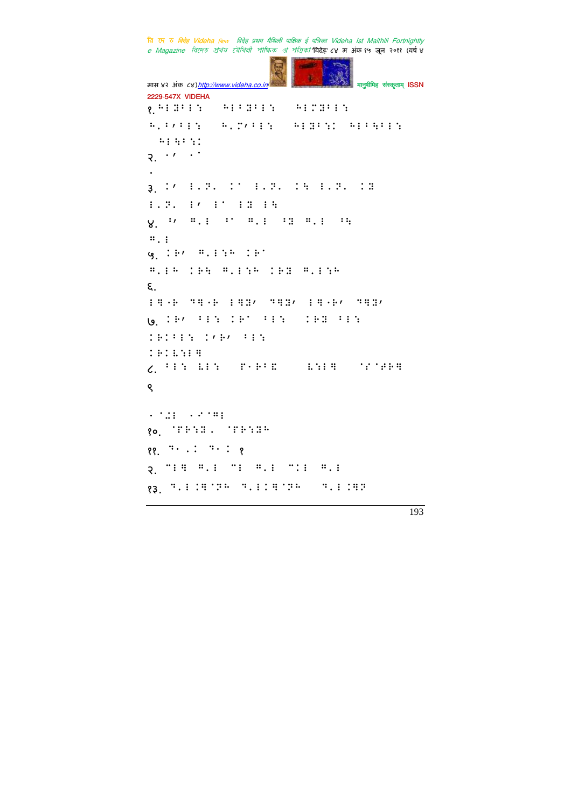ৱি দে হ *विदेह Videha बिल्ब विदेह प्रथम मैथिली पाक्षिक ई पत्रिका Videha Ist Maithili Fortnightly* e Magazine विरमह 'क्षेत्र' रूपैशिवी शोष्क्रिक श्रं शक्तिरं **विदेह' ८४ म अंक १५ जून २०११ (वर्ष ४** 

```
मास ४२ अंक ८४)http://www.videha.co.in/ मानुसे संस्कृतम् ISSN
2229-547X VIDEHA 
१.⢳⣝⣑0!⢳⣝⣑0!⢳⣝⣑0!
\frac{1}{2} , \frac{1}{2} , \frac{1}{2} , \frac{1}{2} , \frac{1}{2} , \frac{1}{2} , \frac{1}{2} , \frac{1}{2} , \frac{1}{2} , \frac{1}{2} , \frac{1}{2} , \frac{1}{2} , \frac{1}{2} , \frac{1}{2} , \frac{1}{2} , \frac{1}{2} , \frac{1}{2} , \frac{1}{2} , \frac{1}{⢳⣓⣑
2. \cdot \cdot \cdot \cdot$!!
३. २१ वे २१ - २९ वे २१ - २६ वे २१ - २०
⢽ ' / ⣝ ⣓!!
४. ⢸' ⢻ ⢸/ ⢻ ⢸⣝ ⢻ ⢸⣓
⢻!!
७. (१९८०) में अधिकारी होती.<br>जन्म
⢻⢳ 
⢷⣓ ⢻⣑⢳ 
⢷⣝ ⢻⣑⢳!!
६.
⣛⢷ ⢹⣛⢷ ⣛⣝' ⢹⣛⣝' ⣛⢷' ⢹⣛⣝'0!!
: . :19: .19: .19: .19: .0<mark>.</mark><br>ا
                                  ⢷⣝ ⣑

⢷
⣑ 
'⢷' ⣑!0!

⢷
⣇⣑⣛!!
८. ⣑ ⣇⣑!)$⢷⣏*-!⣇⣑⣛!)⢾⢷⣛*!
९
$⣌ $	⢻!!
१०. ⢷⣑⣝⣀ ⢷⣑⣝⢳!!
88. \cdots \cdots \cdots 88.२. <sup>ल</sup>ाम (म. १००१ म. १००१ म. १००१)
१३. ⢹⣈⣛⢽⢳ ⢹
⣛⢽⢳-!⢹⣈⣛⢽!!
```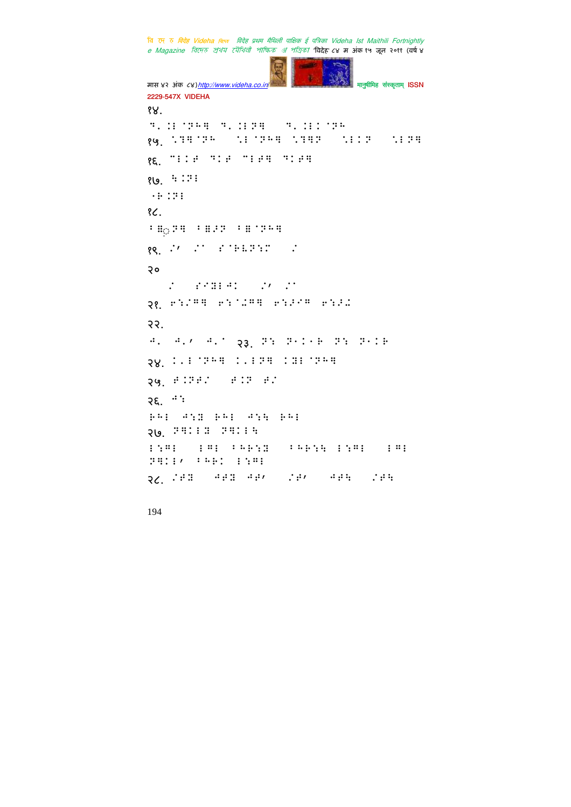```
ৱি দে হ विदेह Videha बिल्ब  विदेह प्रथम मैथिली पाक्षिक ई पत्रिका Videha Ist Maithili Fortnightly
e Magazine  विद्युत्त सेथेंग  ट्रॉशिनी  शक्तिक  अ शंक्षित्वां "विदेहः ८४ म अंक १५ जून २०११ (वर्ष ४
मास ४२ अंक ८४)http://www.videha.co.in/ मानुसी के मानुषीमिह संस्कृताम् ISSN
2229-547X VIDEHA 
१४.
⢹⣈⢽⢳⣛ ⢹⣈⢽⣛0!⢹⣈
⢽⢳!!
१५. ⣁⣙⣛⢽⢳0!⣁⢽⢳⣛ ⣁⣙⣛⢽0!⣁
⢽0!⣁⢽⣛!!
१६. <sup>म</sup>ाउन पान पानम पानम
१७. ⣓⣈⢽!!
⢷⣈⢽!!
१८. 
+ H<sub>O</sub> PH + HPP + HPP + HPP +१९. ' / ⢷⣇⢽⣑*!!!
२०
/!!)	⣝⢺
*!' /!!
२१. ⢶⣑⢻⣛ ⢶⣑⣌⢻⣛ ⢶⣑⢼	⢻ ⢶⣑⢼⣌!!
२२. 
⢺ ⢺' ⢺/ २३. ⢽⣑ ⢽$
$⢷ ⢽⣑ ⢽$
⢷!!
२४. 
⢽⢳⣛ 
⢽⣛ 
⣝⢽⢳⣛!!
२५. <sup>₽ 199</sup>2. <sup>₽ 19</sup> <sup>2</sup>
२६. \cdot \cdot \cdot:
⢷⢳ ⢺⣑⣝ ⢷⢳ ⢺⣑⣓ ⢷⢳!!
२७. ⢽⣛
⣝ ⢽⣛
⣓
⣑⢻0!⢻ ⢳⢷⣑⣝0!⢳⢷⣑⣓ ⣑⢻0!⢻
\overline{P} H: E<sub>Z</sub> ( \overline{P} + \overline{P} + \overline{P} + \overline{P} + \overline{P} + \overline{P} + \overline{P} + \overline{P} + \overline{P}२८. ⢾⣝0!⢺⢾⣝ ⢺⢾'0!⢾'0!⢺⢾⣓0!⢾⣓!!
```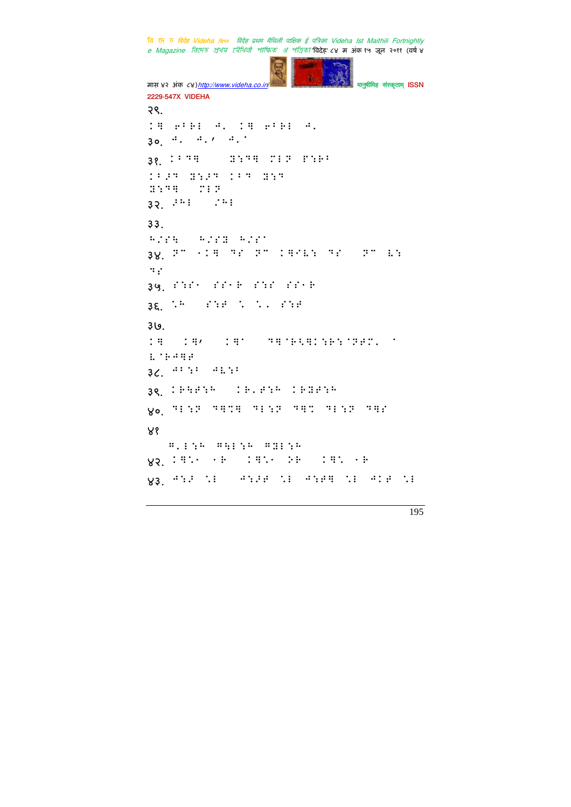ৱি দে হ *विदेह Videha बिल्ब विदेह प्रथम मैथिली पाक्षिक ई पत्रिका Videha Ist Maithili Fortnightly* e Magazine विरमह 'क्षेत्र' रूपैशिवी शोष्क्रिक श्रं शक्तिरं **विदेह' ८४ म अंक १५ जून २०११ (वर्ष ४** मास ४२ अंक ८४)http://www.videha.co.in/ मानुसी के मानुषीमिह संस्कृताम् ISSN 2229-547X VIDEHA २९. ⣛ ⢶⢷ ⢺ ⣛ ⢶⢷ ⢺*!!* 30. <sup>*a</sup></sup>, <sup>a</sup>, <i>i*  $\frac{1}{2}$ </sup> ३१. ⢹⣛*!0!*⣝⣑⢹⣛ ⢽ ⣑⢷*\*!* ⢼⢹ ⣝⣑⢼⢹ ⢹ ⣝⣑⢹*0!!* ⣝⣑⢹⣛*!)*⢽*\*!!* ३२. ⢼⢳*0!*⢳*!!* ३३. ⢳⣓*0!*⢳⣝ ⢳/*!!* ३४. ⢽) \$ ⣛ ⢹ ⢽) ⣛ ⣇⣑ ⢹*0!*⢽) ⣇⣑ ⢹*!!* ३५. ⣑\$ \$⢷ ⣑ \$⢷*!!* ३६. ⣁⢳*0!*⣑⢾ ⣁ ⣁⣀ ⣑⢾*!!* ३७. ⣛*!!* ⣛'*0!* ⣛/*!)*⢹⣛⢷⣃⣛ ⣑⢷⣑⢽⢾ / ⣇⢷⢺⣛⢾*\*!!* 36.  $41.71 - 41.71$ ३९. ⢷⣓⢾⣑⢳*0!* ⢷⢾⣑⢳ ⢷⣝⢾⣑⢳*!!* ४०. ⢹⣑⢽ ⢹⣛⣉⣛ ⢹⣑⢽ ⢹⣛⣉ ⢹⣑⢽ ⢹⣛*!!* ४१ */!*⢻⣑⢳ ⢻⣓⣑⢳ ⢻⣝⣑⢳*!!* ४२. ⣛⣁\$ \$⢷*0!* ⣛⣁\$ ⢵⢷*0!* ⣛⣁ \$⢷*!!* ४३. ⢺⣑⢼ ⣁*0!*⢺⣑⢼⢾ ⣁ ⢺⣑⢾⣛ ⣁ ⢺ ⢾ ⣁*!!*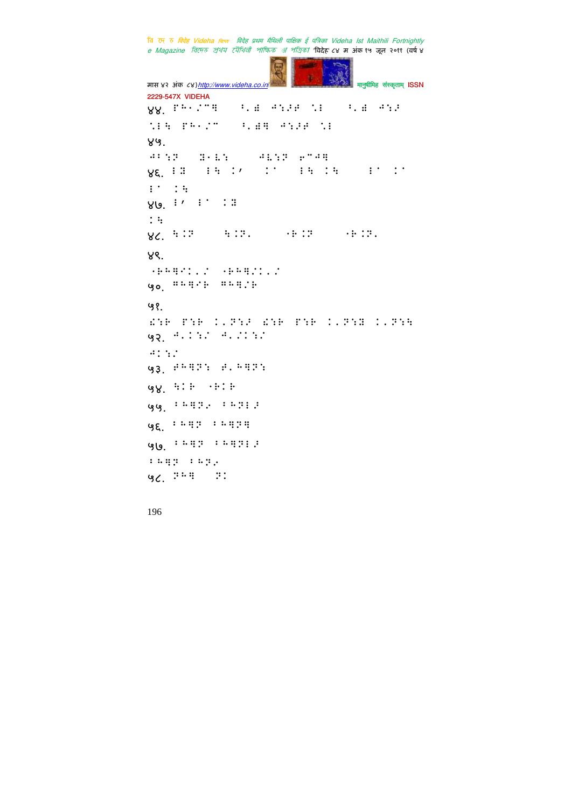```
ৱি দে হ विदेह Videha बिल्ब  विदेह प्रथम मैथिली पाक्षिक ई पत्रिका Videha Ist Maithili Fortnightly
e Magazine  विद्युत्त सेथेंग  ट्रॉशिनी  शक्तिक  अ शंक्षित्वां "विदेहः ८४ म अंक १५ जून २०११ (वर्ष ४
                       G
मास ४२ अंक ८४)http://www.videha.co.in/ मानुसी के मानुषीमिह संस्कृताम् ISSN
2229-547X VIDEHA 
४४. ⢳$)⣛0!⢸⣞ ⢺⣑⢼⢾ ⣁0!⢸⣞ ⢺⣑⢼
⣁⣓ ⢳$)0!⢸⣞⣛ ⢺⣑⢼⢾ ⣁!!
४५. 
⢺⣑⢽!)⣝$⣇⣑*0!⢺⣇⣑⢽ ⢶)⢺⣛*!!
४६. ⣝0!⣓ 
'0!
/0!⣓ 
⣓!0!/ 
/0!
\mathbf{H}^{\star}=\mathbf{I}४७. ' / 
⣝0!

⣓!!
४८. ⣓⣈⢽!0!⣓⣈⢽!0!⢷⣈⢽!0!⢷⣈⢽!!
४९. 
⢷⢳⣛	
 ⢷⢳⣛
!!
५०. ⢻⢳⣛	⢷ ⢻⢳⣛⢷!!
५१. 
₫NE TNE 1.2N2 €NE TNE 1.2N3 1.2NE |
५२. <sup>च</sup>ा ११. चा ११. ११
⢺
⣑!!
५३. ⢾⢳⣛⢽⣑ ⢾⢳⣛⢽⣑!!
५४. ⣓
⢷ ⢷
⢷!!
५५. ⢳⣛⢽⢴ ⢳⢽⢼!!
५६. ⢳⣛⢽ ⢳⣛⢽⣛!!
90. 1.547 1.547 1.547⢳⣛⢽ ⢳⢽⢴!!
५८. ⢽⢳⣛0!⢽
```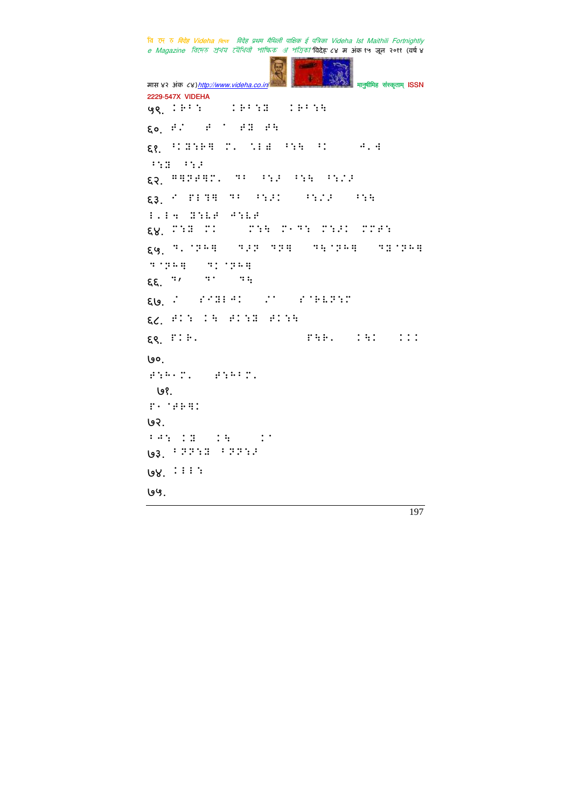ৱি দে হ *विदेह Videha बिल्ब विदेह प्रथम मैथिली पाक्षिक ई पत्रिका Videha Ist Maithili Fortnightly* e Magazine विरमह 'क्षेत्र' रूपैशिवी शोष्क्रिक श्रं शक्तिरं **विदेह' ८४ म अंक १५ जून २०११ (वर्ष ४** 

```
मास ४२ अंक ८४)http://www.videha.co.in/ महाराष्ट्रीय मानुसीमह संस्कृताम् ISSN
2229-547X VIDEHA 
५९. 
⢷⣑!0!
⢷⣑⣝0!
⢷⣑⣓!!
६०. ⢾0!⢾ / ⢾⣝ ⢾⣓!!
६१. ⢸
⣝⣑⢷⣛  ⣁⣞ ⢸⣑⣓ ⢸
0-!⢺⣚
⢸⣑⣝ ⢸⣑⢼-!!
६२. ⢻⣛⢽⢾⣛ ⢹ ⢸⣑⢼ ⢸⣑⣓ ⢸⣑⢼!!!
६३. 	 ⣙⣛ ⢹ ⢸⣑⢼
0!⢸⣑⢼0!⢸⣑⣓0!
⣒ ⣝⣑⣇⢾ ⢺⣑⣇⢾!!
६४. ⣑⣝ 
!0!⣑⣓ $⢹⣑ ⣑⢼
 ⢾⣑!!
६५. ⢹⢽⢳⣛0!⢹⢼⢽ ⢹⢽⣛0!⢹⣓⢽⢳⣛0!⢹⣝⢽⢳⣛
⢹⢽⢳⣛0!⢹
⢽⢳⣛!!
६६. ⢹'0!⢹/0!⢹⣓!!
६७. !)	⣝⢺
*!/!)⢷⣇⢽⣑*!!
६८. ⢾
⣑ 
⣓ ⢾
⣑⣝ ⢾
⣑⣓!!
६९. 
     ⢷!)po!gppu*!⣓⢷!!
⣓
0!

७०.
⢾⣑⢳$0!⢾⣑⢳!!
७१.
$⢾⢷⣛
७२. 
⢺⣑ 
⣝0!
⣓!0!
/!!
७३. ⢽⢽⣑⣝ ⢽⢽⣑⢼!!
७४. 
⣑!!
७५.
```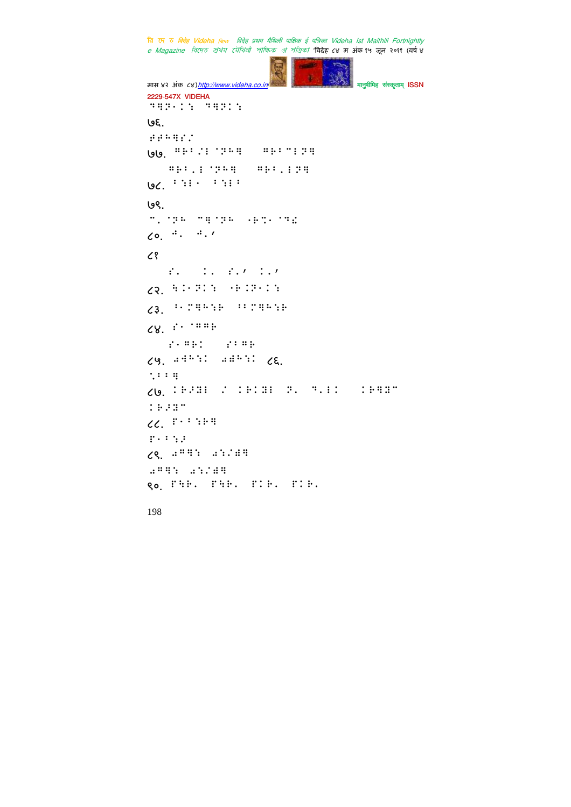```
ৱি দে হ विदेह Videha बिल्ब  विदेह प्रथम मैथिली पाक्षिक ई पत्रिका Videha Ist Maithili Fortnightly
e Magazine  विद्युत्त सेथेंग  ट्रॉशिनी  शक्तिक  अ शंक्षित्वां "विदेहः ८४ म अंक १५ जून २०११ (वर्ष ४
मास ४२ अंक ८४)http://www.videha.co.in/ मानुसी के मानुषीमिह संस्कृताम् ISSN
2229-547X VIDEHA 
⢹⣛⢽$
⣑ ⢹⣛⢽
⣑!!
७६.
⢾⢾⢳⣛!!
७७. ⢻⢷⢽⢳⣛0!⢻⢷)⢽⣛0!
    !!⢻⢷⢽⢳⣛0!⢻⢷⢽⣛!!
७८. ⣑$ ⣑!!
७९. 
)⢽⢳ )⣛⢽⢳ ⢷⣉$⢹⣎*!!
८०. ⢺ ⢺'!!
८१
/!0!
 ' 
'!!
८२. ⣓⣈$⢽
⣑ ⢷⣈⢽$
⣑!!
८३. ⢸$⣛⢳⣑⢷ ⢸⣛⢳⣑⢷!!
८४. f \in \mathbb{R}^nः
0!$⢻⢷
0!⢻⢷!!
८७. जर्ममोटे जिल्ला पार्टी देखें.
\gamma : \gamma८७. 
⢷⢼⣝  
⢷
⣝ ⢽ ⢹
!0
⢷⣛⣝)

⢷⢼⣝)!!
८८. $⣑⢷⣛!!
$⣑⢼!!
८९. ⣔⢻⣛⣑ ⣔⣑⣞⣛
⣔⢻⣛⣑ ⣔⣑⣞⣛!!
९०. <sup>846.</sup> (FAB) (FIB) (FIB)
```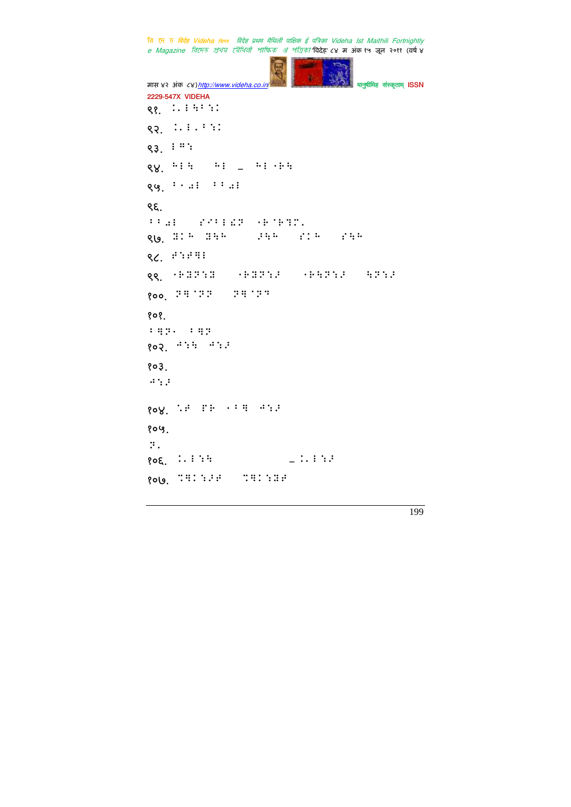ৱি দে হ *विदेह Videha बिल्ब विदेह प्रथम मैथिली पाक्षिक ई पत्रिका Videha Ist Maithili Fortnightly* e Magazine विरमह 'क्षेत्र' रूपैशिवी शोष्क्रिक श्रं शक्तिरं **विदेह' ८४ म अंक १५ जून २०११ (वर्ष ४** मास ४२ अंक ८४)http://www.videha.co.in/ मानुबी के सामुबीमिह संस्कृताम् ISSN 2229-547X VIDEHA  $98. : : : : : : : : :$  $QQ_1$  :  $\vdots$   $\vdots$   $\vdots$   $\vdots$ ९३. <sup>: :</sup> : ९४. ⢳⣓*.!*⢳ – ⢳⢷⣓*!!* ९५. <sup>:</sup> • .:! • • .:! ९६. ⣔*!)* ⣎⢽ ⢷⢷⣙*\*!!* ९७.  $\mathbb{R}^{1 \times 1}$   $\mathbb{R}^{1 \times 1}$ ⢳ ⣝⣓⢳*!0!*⢼⣓⢳*0!* ⢳*0!*⣓⢳*!!* ९८. ⢾⣑⢾⣛*!!* ९९. ⢷⣝⢽⣑⣝*.!*⢷⣝⢽⣑⢼*0!*⢷⣓⢽⣑⢼*0!*⣓⢽⣑⢼*!!* १००. ⢽⣛⢽⢽*.!*⢽⣛⢽⢹*!!* १०१. ⣛⢽\$ ⣛⢽*!!* १०२. ⢺⣑⣓ ⢺⣑⢼*!!* १०३. ⢺⣑⢼*!)jo!ejggfsfou!tfotf\*.mbtu!* १०४. ी.<sup>..</sup> ४३. लोकर च १०५. ⢽*!!* १०६. ⣈⣑⣓*!)qmbz\*!*–⣈⣑⢼*!!* १०७. ⣉⣛ ⣑⢼⢾*.!*⣉⣛ ⣑⣝⢾*!!*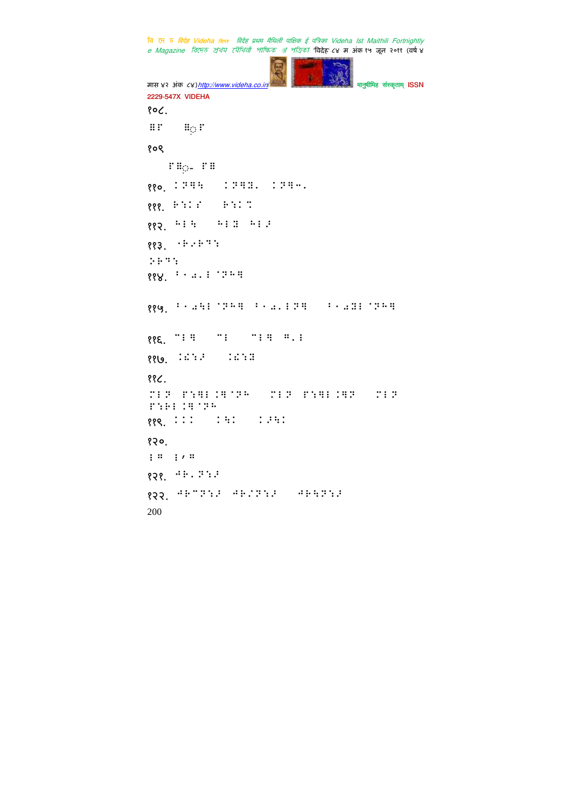```
ৱি দে হ विदेह Videha बिल्ब  विदेह प्रथम मैथिली पाक्षिक ई पत्रिका Videha Ist Maithili Fortnightly
e Magazine  विद्युत्त सेथेंग  ट्रॉशिनी  शक्तिक  अ शंक्षित्वां "विदेहः ८४ म अंक १५ जून २०११ (वर्ष ४
मास ४२ अंक ८४)http://www.videha.co.in/ मानुबी के सामुबीमिह संस्कृताम् ISSN
2229-547X VIDEHA 
200
१०८. 
⣟.!⣟◌़!!
१०९
     /!⣟◌़- ⣟!!
११०. <sup>1988</sup> - 1988. 1985.
१११. ⢷⣑
.!⢷⣑
⣉!!
११२. ⢳⣓0!⢳⣝ ⢳⢼!!
११३. ⢷⢴⢷⢹⣑.!
⢵⢷⢹⣑!!
११४. $⣔⢽⢳⣛!)ejggfsfou!
११७. <sup>:</sup> 1941 1959 - 1941 1952 - 1953 1954
११६. )⣛.!)0!)⣛ ⢻!!
११७. ⣈⣎⣑⢼.!⣈⣎⣑⣝!!
११८.
⢽ ⣑⣛⣈⣛⢽⢳0!⢽ ⣑⣛⣈⣛⢽0!⢽
⣑⢷⣈⣛⢽⢳!!
११९. \frac{1}{2} : \frac{1}{2} : \frac{1}{2} : \frac{1}{2} : \frac{1}{2} : \frac{1}{2} : \frac{1}{2} : \frac{1}{2} : \frac{1}{2}१२०.
⢻ '⢻!!!
१२१. ⢺⢷⢽⣑⢼!!
१२२. ⢺⢷)⢽⣑⢼ ⢺⢷⢽⣑⢼.!⢺⢷⣓⢽⣑⢼0!
```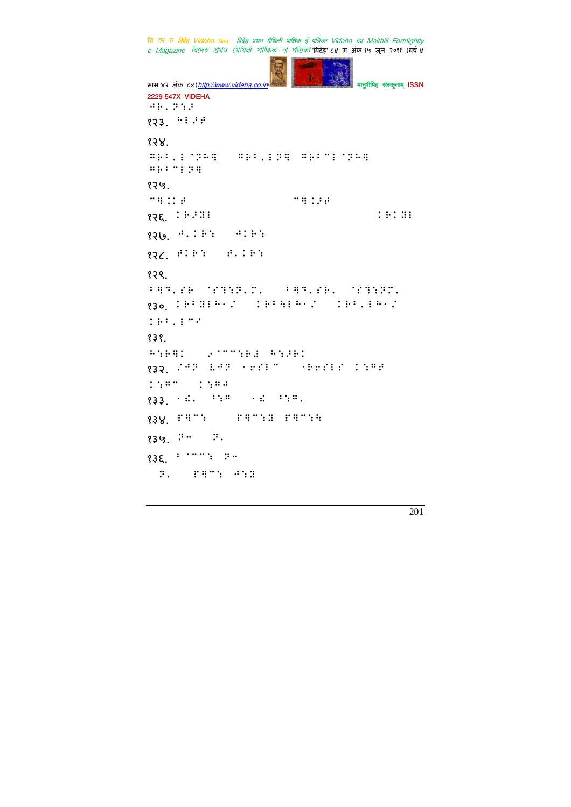```
ৱি দে হ विदेह Videha बिल्ब  विदेह प्रथम मैथिली पाक्षिक ई पत्रिका Videha Ist Maithili Fortnightly
e Magazine  विरमह 'क्षेत्र' रूपैशिवी  शोष्क्रिक श्रं शक्तिरं विदेह' ८४ म अंक १५ जून २०११ (वर्ष ४
मास ४२ अंक ८४)http://www.videha.co.in/ मानुसी मानुषीमिह संस्कृताम् ISSN
2229-547X VIDEHA 
⢺⢷⢽⣑⢼!!
१२३. ⢳⢼⢾!!
१२४.
⢻⢷⢽⢳⣛0!⢻⢷⢽⣛ ⢻⢷)⢽⢳⣛0!
⢻⢷)⢽⣛!!
१२५.
)⣛⣈
                           ⢾.!)up!uftu*)⣛⣈⢼⢾!!
१२६. 
⢷⢼⣝!)xjmmjoh!up!ep*!
                                            ⢷
⣝!!
१२७. ⢺
⢷⣑.!⢺
⢷⣑!!
१२८. ⢾
⢷⣑.!⢾
⢷⣑!!
१२९. 
⣛⢹⢷ ⣙⣑⢽0!⣛⢹⢷ ⣙⣑⢽!!
१३०<sub>.</sub> २०१ व्या सन्दर्भ अस्ति । १०१० व्या सन्दर्भ अस्ति ।

⢷)	!!
१३१.
⢳⣑⢷⣛
!)⢴))⣑⢷⣜ ⢳⣑⢼⢷
१३२. ⢺⢽ ⣇⢺⢽ $⢶)0!⢷⢶ 
⣑⢻⢾0!

⣑⢻)0!
⣑⢻⢺
१३३. $⣎ ⢸⣑⢻0!$⣎ ⢸⣑⢻!!
१३४. ⣛)⣑!0!⣛)⣑⣝ ⣛)⣑⣓!!
१३५. ⢽⢲0!⢽!!
१३६. ))⣑ ⢽⢲!!
  ⢽*!⣛)⣑ ⢺⣑⣝!!
```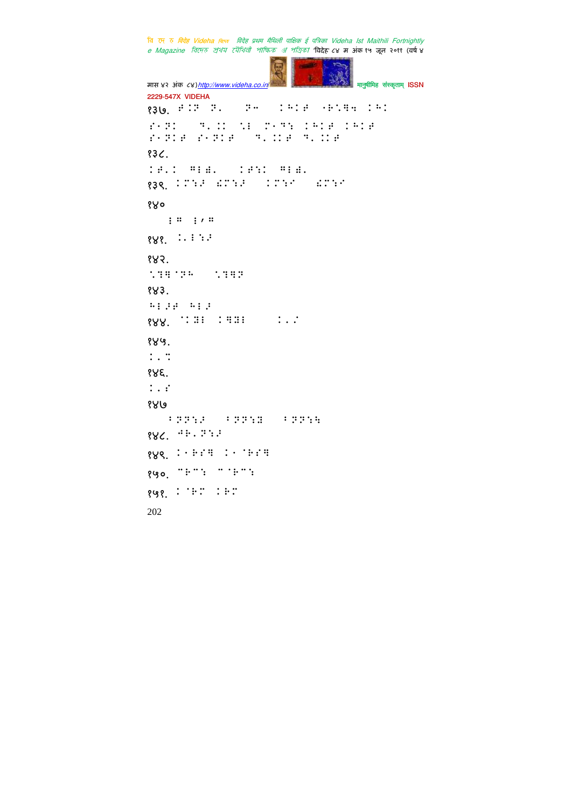```
ৱি দে হ विदेह Videha बिल्ब  विदेह प्रथम मैथिली पाक्षिक ई पत्रिका Videha Ist Maithili Fortnightly
e Magazine  विद्युत्त सेथेंग  ट्रॉशिनी  शक्तिक  अ शंक्षित्वां "विदेहः ८४ म अंक १५ जून २०११ (वर्ष ४
मास ४२ अंक ८४)http://www.videha.co.in/ मानुष्या मानुषीमिह संस्कृताम् ISSN
2229-547X VIDEHA 
202
१३७. ⢾⣈⢽ ⢽!)⢽⢲*!
                                    ⢳
⢾ ⢷⣁⣛⣒ 
⢳
3 + 21 = 75.11 \pm 12.01 , 2 + 75.12 \pm 12.01 , 2 + 12.01 \pm 12.01A s \cdot 0 \cdot b \cdot b \cdot c \cdot c \cdot c \cdot c \cdot c \cdot c \cdot c \cdot c \cdot c \cdot c \cdot c \cdot c \cdot c \cdot c \cdot c \cdot c \cdot c \cdot c \cdot c \cdot c \cdot१३८. 

⢾
 ⢻⣞0!
⢾⣑
 ⢻⣞!!
१३९. IPER BPER (1953) BPER (
१४०
  /!⢻ '⢻!!
१४१. ⣈⣑⢼!)gps!qmbzjoh*!!
१४२. 
⣁⣙⣛⢽⢳0!⣁⣙⣛⢽!!
१४३. 
⢳⢼⢾ ⢳⢼!!
१४४. 
⣝ 
⣛⣝!0!
!!
१४५.

⣉!)ibjs*!!
१४६.
1\, , \, ;
  !)dpvsu.dbtf*!!
१४७
    /!⢽⢽⣑⢼0!⢽⢽⣑⣝0!⢽⢽⣑⣓!!
१४८. ⢺⢷⢽⣑⢼!!
१४९. <sup>196</sup>8 हे अप्रैल करण
१५०. )⢷)⣑ )⢷)⣑!!
१५१. <sup>: :</sup> : : : : : :
```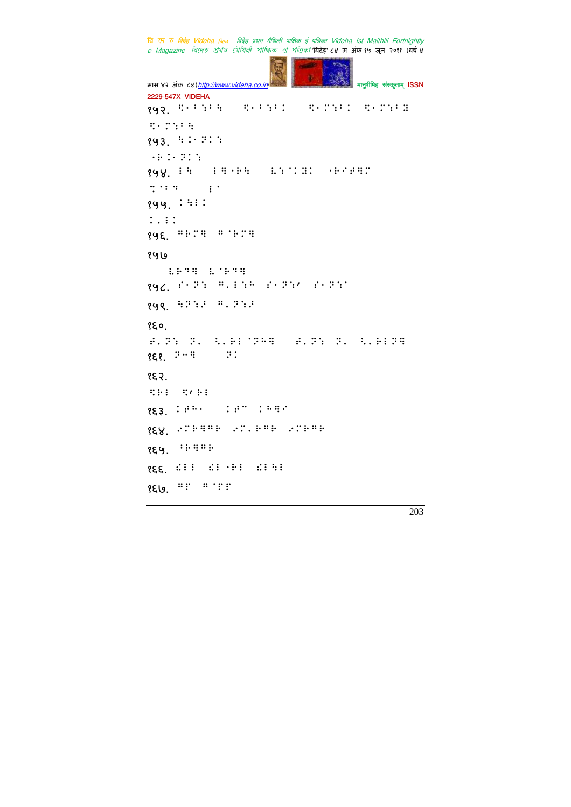```
e Magazine  विरमह 'क्षेत्र' रूपैशिवी  शोष्क्रिक श्रं शक्तिरं विदेह' ८४ म अंक १५ जून २०११ (वर्ष ४
मास ४२ अंक ८४)http://www.videha.co.in/ मानुसे क्रिकेट मानुषीमिह संस्कृताम् ISSN
2229-547X VIDEHA 
१७२. धन्तप्रसिद्धाः धन्तप्रसिद्धाः धन्यप्रसिद्धाः ।
⣋$⣑⣓!!
१५३. <sup>ः : :</sup> : :
⢷⣈$⢽
⣑!!
१७४. <sup>: </sup>† 1994 - 1901 : <del>1901</del>
⣉⢹*.!/!!
१५५. :  मः :
1\,1\,1\,1१५६. ⢻⢷⣛ ⢻⢷⣛!!
१५७
   /!⣇⢷⢹⣛ ⣇⢷⢹⣛!!
१५८. $⢽⣑ ⢻⣑⢳ $⢽⣑' $⢽⣑/!!
१५९. ⣓⢽⣑⢼ ⢻⢽⣑⢼!!
१६०.
⢾⢽⣑ ⢽ ⣃⢷⢽⢳⣛0!⢾⢽⣑ ⢽ ⣃⢷⢽⣛!!
१६१. ⢽⢲⣛!0!⢽
१६२. 
⣋⢷ ⣋'⢷!!
१६३. <sup>198</sup>1 - 197 - 1982 -
१६४. ⢴⢷⣛⢻⢷ ⢴⢷⢻⢷ ⢴⢷⢻⢷!!
१६५. ⢸⢷⣛⢻⢷!!
१६६. ⣎ ⣎⢷ ⣎⣓!!
१६७. ⢻ ⢻!!
```
ৱি দে হ *विदेह Videha बिल्ब विदेह प्रथम मैथिली पाक्षिक ई पत्रिका Videha Ist Maithili Fortnightly*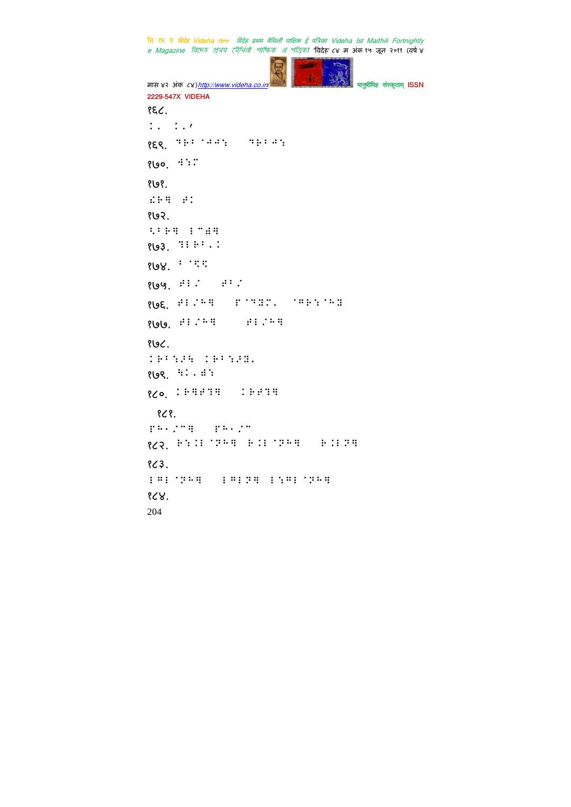ৱি দে হ *विदेह Videha बिल्ब विदेह प्रथम मैथिली पाक्षिक ई पत्रिका Videha Ist Maithili Fortnightly* e Magazine विद्युत्त सेथेंग ट्रॉशिनी शक्तिक अ शंक्षित्वां "**विदेहः ८४ म अंक १५ जून २०११ (वर्ष ४** मास ४२ अंक ८४)http://www.videha.co.in/ मानुबी के सामुबीमिह संस्कृताम् ISSN 2229-547X VIDEHA 204 १६८. '*!!* १६९. ⢹⢷⢺⢺⣑*0!*⢹⢷⢺⣑*!!* १७०. ⣚⣑*!!* १७१. ⣎⢷⣛ ⢾ १७२. ⣃⢷⣛ )⣞⣛*!!*  $803.$   $\vdots$   $\vdots$   $\vdots$ १७४. ⣋⣋*!!* १७५. ⢾*0!*⢾*!!* १७६. ⢾⢳⣛*)!*⢹⣝ ⢻⢷⣑⢳⣝*\*!!* १७७. ⢾⢳⣛*!0!*⢾⢳⣛*!!* १७८. ⢷⣑⢼⣓ ⢷⣑⢼⣝*!!* १७९. ⣓ ⣞⣑*!!* १८०. ⢷⣛⢾⣙⣛*!0* ⢷⢾⣙⣛*!!* १८१. ⢳\$)⣛*0!*⢳\$)*!!* १८२. ⢷⣑⣈⢽⢳⣛ ⢷⣈⢽⢳⣛*0!*⢷⣈⢽⣛*!!* १८३. ⢻⢽⢳⣛*0!*⢻⢽⣛ ⣑⢻⢽⢳⣛*!!* १८४.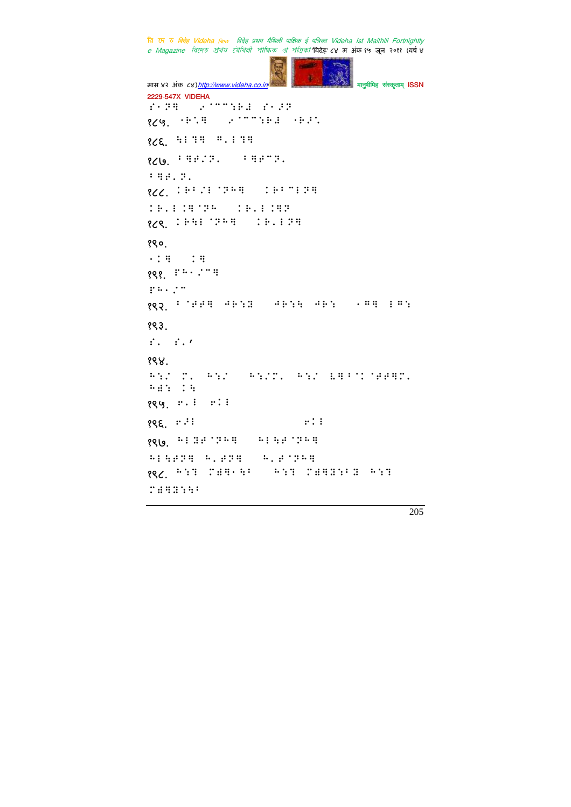ৱি দে হ *विदेह Videha बिल्ब विदेह प्रथम मैथिली पाक्षिक ई पत्रिका Videha Ist Maithili Fortnightly* e Magazine विरमह 'क्षेत्र' रूपैशिवी शोष्क्रिक श्रं शक्तिरं **विदेह' ८४ म अंक १५ जून २०११ (वर्ष ४** मास ४२ अंक ८४)http://www.videha.co.in/ मानुसे संस्कृतम् ISSN 2229-547X VIDEHA \$⢽⣛*!)*⢴))⣑⢷⣜ \$⢼⢽*\*!!* १८५. ⢷⣁⣛*!)*⢴))⣑⢷⣜ ⢷⢼⣁*\*!!* १८६. ⣓⣙⣛ ⢻⣙⣛*!!* १८७. ⣛⢾⢽*0!*⣛⢾)⢽*0!!* ⣛⢾⢽*!!* १८८. <sup>1992</sup>म 1959 - 19671999 - ⢷⣈⣛⢽⢳*0!* ⢷⣈⣛⢽*!!* १८९. ⢷⣓⢽⢳⣛*0!* ⢷⢽⣛*!!* १९०. \$ ⣛*0!* ⣛*!!* १९१. ⢳\$)⣛*0!!* ⢳\$)*!!* १९२. ⢾⢾⣛ ⢺⢷⣑⣝*0!*⢺⢷⣑⣓ ⢺⢷⣑*!)*\$⢻⣛ ⢻⣑*\*!!* १९३. '*!!* १९४. ⢳⣑ ⢳⣑*!)*⢳⣑ ⢳⣑ ⣇⣛⢸ ⢾⢾⣛ ⢳⣞⣑ ⣓*\*!!* १९५. ⢶ ⢶ *!!* १९६. ⢶⢼*)tqbdjpvt\*!*⢶ *!!* १९७. ⢳⣝⢾⢽⢳⣛*0!*⢳⣓⢾⢽⢳⣛*0!* ⢳⣓⢾⢽⣛ ⢳⢾⢽⣛*0!*⢳⢾⢽⢳⣛*!!* १९८. ⢳⣑⣙ ⣞⣛\$⣓*0!*⢳⣑⣙ ⣞⣛⣝⣑⣝ ⢳⣑⣙ ⣞⣛⣝⣑⣓*!!*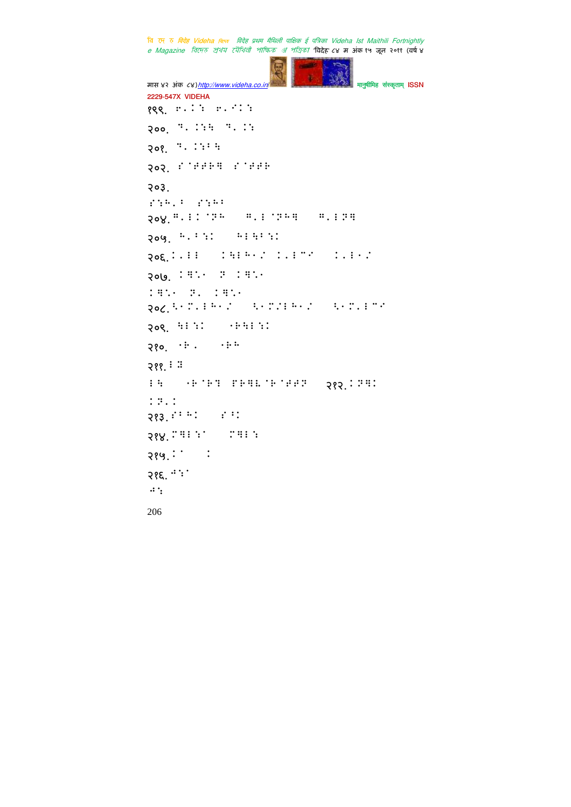e Magazine विद्युत्त सेथेंग ट्रॉशिनी शक्तिक अ शंक्षित्वां "**विदेहः ८४ म अंक १५ जून २०११ (वर्ष ४** मास ४२ अंक ८४)http://www.videha.co.in/ मानुष्या मानुषीमिह संस्कृताम् ISSN 2229-547X VIDEHA 206 १९९. ⢶ ⣑ ⢶ ⣑*!!* २००<sub>.</sub> <sup>प</sup>. 119 | प. 11 २०१. ⢹⣈⣑⣓*!!* २०२. ⢾⢾⢷⣛ ⢾⢾⢷*!!* २०३. ⣑⢳ ⣑⢳*!!* २०४.⢻ ⢽⢳*0!*⢻⢽⢳⣛*0!*⢻⢽⣛*!!* २०७. <sup>р.: २</sup>४ लाला होते. २०६.: - !!! - : मामन्द्रा : . ! "रागा : . ! न्द्रा २०७. <sup>: मुर्</sup>न हे हे मुर्ति हे ला ⣛⣁\$ ⢽ ⣛⣁\$*!!* २०८.⣃\$⢳\$*0!*⣃\$⢳\$*0!*⣃\$) *!!* २०९. ⣓⣑ *0!*⢷⣓⣑ २१०. ⢷⣀*0!*⢷⢳*!!* २११.⣝*0!!* ⣓*!)*⢷⢷⣙ ⢷⣛⣇⢷⢾⢾⢽*\*!*२१२. ⢽⣛ ⢽ २१३. <sup>; : :</sup> : : : : : : २१४.⣛⣑/*0!*⣛⣑*!!* २१५. /*0!* २१६.⢺⣑/*0!* ⢺⣑*!!*

ৱি দে হ *विदेह Videha बिल्ब विदेह प्रथम मैथिली पाक्षिक ई पत्रिका Videha Ist Maithili Fortnightly*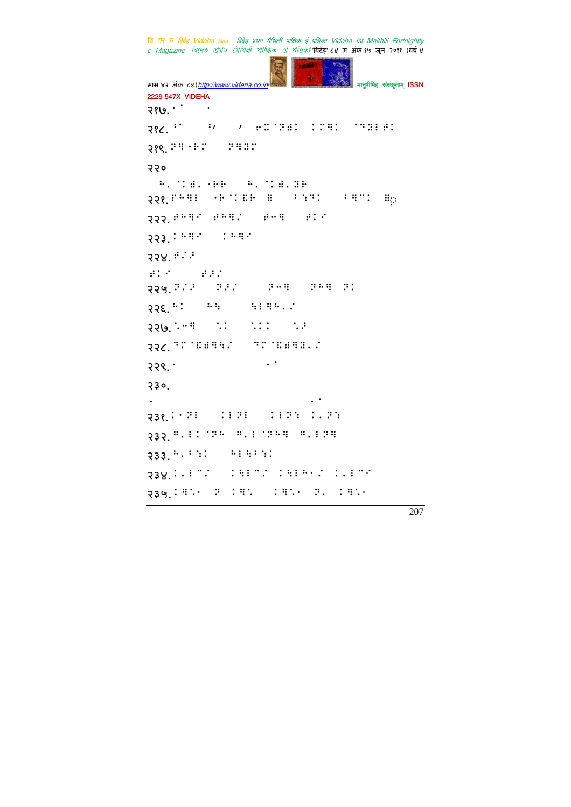```
ৱি দে হ विदेह Videha बिल्ब  विदेह प्रथम मैथिली पाक्षिक ई पत्रिका Videha Ist Maithili Fortnightly
e Magazine  विरमह 'क्षेत्र' रूपैशिवी  शोष्क्रिक श्रं शक्तिरं विदेह' ८४ म अंक १५ जून २०११ (वर्ष ४
मास ४२ अंक ८४)http://www.videha.co.in/ मानुष्या मानुषीमिह संस्कृताम् ISSN
2229-547X VIDEHA 
२१७.<sup>..</sup>.
२१८.⢸/!0⢸'!)' ⢶⣍⢽⣞

⣛
 ⢹⣝⢾
२१९.⢽⣛⢷0!⢽⣛⣝!!
२२०
 ⢳
⣞⢷⢷0!⢳
⣞⣝⢷!!
२२१.⢳⣛ ⢷
⣏⢷ ⣟0!⣑⢹
0!⣛)
 ⣟◌़ 
२२२.⢾⢳⣛	 ⢾⢳⣛0!⢾⢲⣛0!⢾
	!!
२२३.
⢳⣛	0!
⢳⣛	!!
२२४.⢾⢼0!!
⢾
	!0!⢾⢼!!
२२५.⢽⢼0!⢽⢼0!!⢽⢲⣛0!⢽⢳⣛ ⢽
२२६.⢳
0!⢳⣓!0!⣓⣛⢳0!
२२७.⣁⢲⣛0!⣁
0!⣁

!0⣁⢼!!
२२८.⢹⣏⣞⣛⣓0!⢹⣏⣞⣛⣝!!
२२९.$!)dpnf*0!$/)dpokvodujpo*!!
२३०. 
$!)dpokvodujpo*0!$/)dpnf*!!
२३१.
$⢽0!
⢽-!
⢽⣑ 
⢽⣑
२३२.≞.∃. 725 ∣≡.∃ 7259 ∣≡.∃ 29
२३३.⢳⣑
.!⢳⣓⣑

२३४.
).!
⣓) 
⣓⢳$ 
)	!!
२३५.
⣛⣁$ ⢽ 
⣛⣁.!
⣛⣁$ ⢽ 
⣛⣁$
```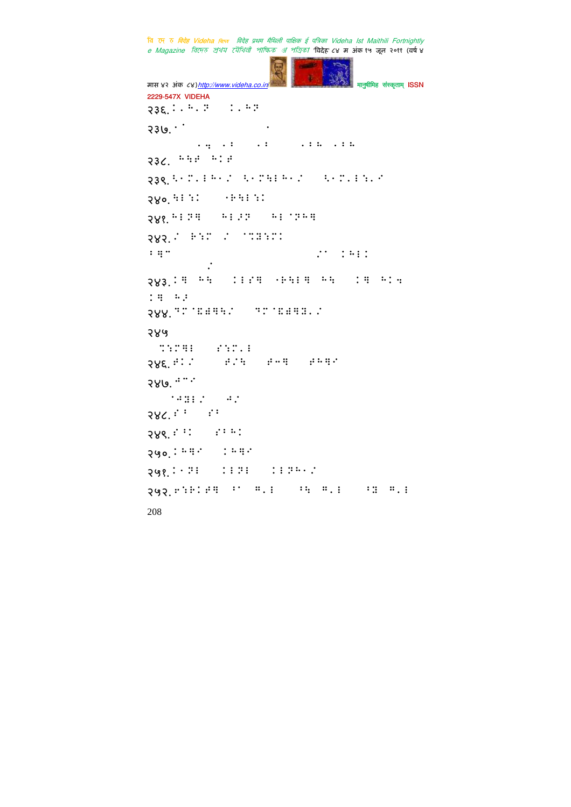```
ৱি দে হ विदेह Videha बिल्ब  विदेह प्रथम मैथिली पाक्षिक ई पत्रिका Videha Ist Maithili Fortnightly
e Magazine  विद्युत्त सेथेंग  ट्रॉशिनी  शक्तिक  अ शंक्षित्वां "विदेहः ८४ म अंक १५ जून २०११ (वर्ष ४
मास ४२ अंक ८४)http://www.videha.co.in/ मानुसे संस्कृतम् ISSN
2229-547X VIDEHA 
208
२३६.<sup>: . .</sup> . . . . . . . .
२३७.$/!)dpnf*.$!)dpokvodujpo.
       \mathcal{O}(\log^2(1/\delta)) . The following section
२३८. \overset{\text{\tiny def}}{...}\overset{\text{\tiny def}}{...}\overset{\text{\tiny def}}{...}\overset{\text{\tiny def}}{...}२३९.⣃$⢳$ ⣃$⣓⢳$.!⣃$⣑	
२४०.⣓⣑
.!⢷⣓⣑
२४१.⢳⢽⣛.!⢳⢼⢽0!⢳⢽⢳⣛0!
२४२. ऱ्. ऱ्या २००० ऱ्या या या
⣛))dpokvodujpo*-!/ 
⢳
tbje*0
२४३.
⣛ ⢳⣓0!
⣛ ⢷⣓⣛ ⢳⣓0!
⣛ ⢳
⣒

⣛ ⢳⢼
२४४.⢹⣏⣞⣛⣓0!⢹⣏⣞⣛⣝
२४५
  ⣉⣑⣛0!⣑!!
२४६. :!0!⢾⣓0!⢾⢲⣛0!⢾⢳⣛	
२४७. \cdot\cdot\cdot\cdot0!⢺⣝0!⢺0!!
२४८.⢸0!
२४९.<sup>: ::</sup> ः ः:
२७०.<sup>: म</sup>मः : ममः
२५१.
$⢽0!
⢽0!
⢽⢳$0!
२५२.⢶⣑⢷
⢾⣛ ⢸/ ⢻0!⢸⣓ ⢻0!⢸⣝ ⢻
```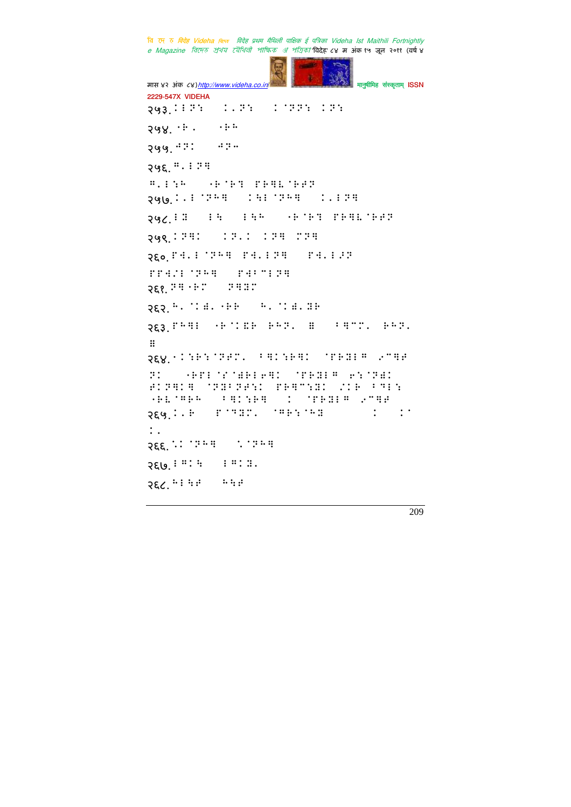e Magazine विरमह 'क्षेत्र' रूपैशिवी शोष्क्रिक श्रं शक्तिरं **विदेह' ८४ म अंक १५ जून २०११ (वर्ष ४** मास ४२ अंक ८४)http://www.videha.co.in/ मानुसे संस्कृतम् ISSN 2229-547X VIDEHA २५३. ⢽⣑*0!* ⢽⣑*0!* ⢽⢽⣑ ⢽⣑ २५४.⢷⣀*0!*⢷⢳ २५५.⢺⢽ *0!*⢺⢽⢲ २५६.⢻⢽⣛*0!!* ⢻⣑⢳*!)*⢷⢷⣙ ⢷⣛⣇⢷⢾⢽*\*!!* २५७. ⢽⢳⣛*0!* ⣓⢽⢳⣛*0!* ⢽⣛*0!!* २५८.⣝*0!*⣓*0!*⣓⢳*!)*⢷⢷⣙ ⢷⣛⣇⢷⢾⢽*\*!* २७९.<sup>: १</sup>९९ - ११.: ११९ ११९ २६०.⣚⢽⢳⣛ ⣚⢽⣛*0!*⣚⢼⢽*0!* ⣚⢽⢳⣛*0!*⣚)⢽⣛*0!* २६१.⢽⣛⢷*0!*⢽⣛⣝ २६२. <sup>р.</sup> - 11 <del>8. - 11 8. - 11 8. 11 9.</del> २६३.⢳⣛ ⢷ ⣏⢷ ⢷⢳⢽ ⣟*0!*⣛) ⢷⢳⢽ ⣟ २६४.९३ अस्ति १२३०. सम्राट अस्मा अधिकारी अधिकार<br>जन्म ⢽ *0!*⢷⣞⢷⢶⣛ ⢷⣝⢻ ⢶⣑⢽⣞ ⢾ ⢽⣛ ⣛ ⢽⣝⢽⢾⣑ ⢷⣛)⣑⣝ ⢷ ⢹⣑ ⢷⣇⢻⢷⢳*!)*⣛ ⣑⢷⣛*\*!* ⢷⣝⢻ ⢴)⣛⢾ २६५. ⢷*!)*⢹⣝ ⢻⢷⣑⢳⣝*\*!0!. 0!* /*0!*  $\ddot{\phantom{a}}$  . २६६.⣁ ⢽⢳⣛*.!*⣁⢽⢳⣛ २६७.⢻ ⣓*0!*⢻ ⣝ २६८.⢳⣓⢾*0!*⢳⣓⢾

ৱি দে হ *विदेह Videha बिल्ब विदेह प्रथम मैथिली पाक्षिक ई पत्रिका Videha Ist Maithili Fortnightly*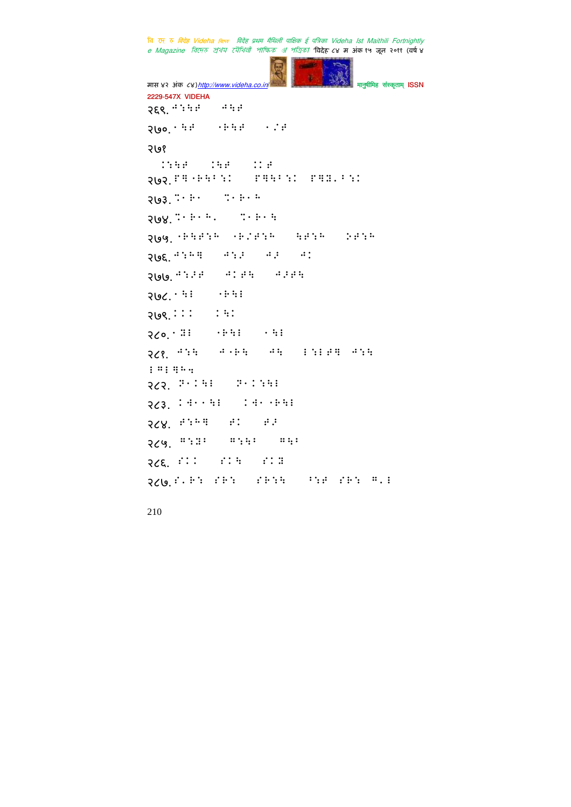ৱি দে হ *विदेह Videha बिल्ब विदेह प्रथम मैथिली पाक्षिक ई पत्रिका Videha Ist Maithili Fortnightly* e Magazine विद्युत्त सेथेंग ट्रॉशिनी शक्तिक अ शंक्षित्वां "**विदेहः ८४ म अंक १५ जून २०११ (वर्ष ४** मास ४२ अंक ८४)http://www.videha.co.in/ मानुसे संस्कृतम् ISSN 2229-547X VIDEHA २६९.⢺⣑⣓⢾*0!*⢺⣓⢾*0!* २७०.\$⣓⢾*0!*⢷⣓⢾*0!*\$⢾ २७१ ⣈⣑⣓⢾*0!*⣈⣓⢾*0!*⣈ ⢾*!!* २७२.<sup>व्य</sup>ास्त्रीयः व्यक्तान्तः व्यक्तान्तः २७३.⣉\$⢷\$*0!*⣉\$⢷\$⢳ २७४. º <del>: : : : : : : : : : : : : : : : :</del> २७५.⢷⣓⢾⣑⢳ ⢷⢾⣑⢳*0!*⣓⢾⣑⢳*0!*⢵⢾⣑⢳ २७६.⢺⣑⢳⣛*0!*⢺⣑⢼*0!*⢺⢼*0!*⢺ २७७.⢺⣑⢼⢾*0!*⢺ ⢾⣓*0!*⢺⢼⢾⣓ २७८.<sup>\*</sup> <sup>:</sup> २७९.::: : :: २८०.\$⣝*0!*⢷⣓*0!*\$⣓ २८१. ⢺⣑⣓*0!*⢺⢷⣓*0!*⢺⣓*!)*⣑⢾⣛ ⢺⣑⣓ ⢻⣛⢳⣒*\*!* २८२. <sup>२०१३</sup>ः । २०११ २८३. ⣚\$\$⣓*0!* ⣚\$⢷⣓ २८४. ⢾⣑⢳⣛*0!*⢾ *0!*⢾⢼ २८५. ⢻⣑⣝*0!*⢻⣑⣓*0!*⢻⣓ २८६. *0!* ⣓*0!* ⣝ २८७.⢷⣑ ⢷⣑*0!*⢷⣑⣓*!)*⢸⣑⢾ ⢷⣑ ⢻*\*!*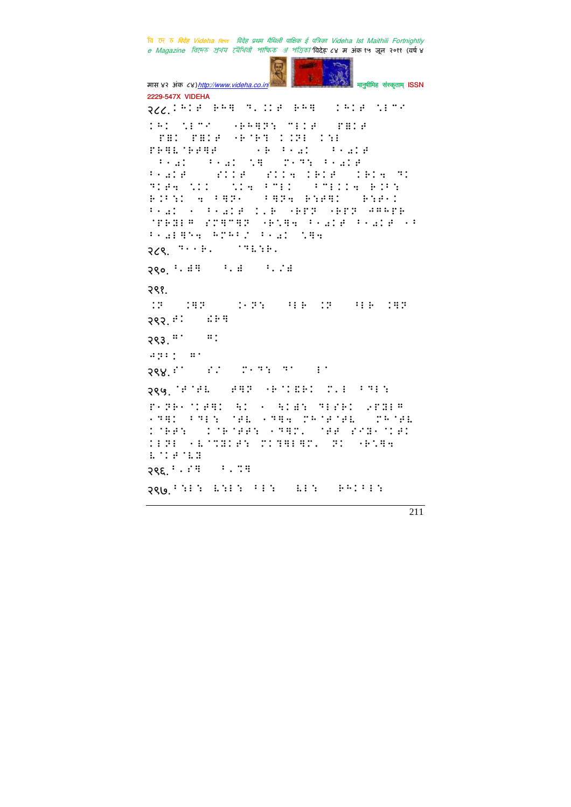ৱি দে হ *विदेह Videha बिल्ब विदेह प्रथम मैथिली पाक्षिक ई पत्रिका Videha Ist Maithili Fortnightly* e Magazine विरमह 'क्षेत्र' रूपैशिवी शोष्क्रिक श्रं शक्तिरं **विदेह' ८४ म अंक १५ जून २०११ (वर्ष ४** 

मास ४२ अंक ८४)http://www.videha.co.in/ मानुबारी मानुषीमिह संस्कृताम् ISSN 2229-547X VIDEHA २८८. ⢳ ⢾ ⢷⢳⣛ ⢹⣈ ⢾ ⢷⢳⣛*0!* ⢳ ⢾ ⣁) *0!*  $\downarrow$  <sup>6</sup>1  $\downarrow$   $\downarrow$   $\downarrow$   $\downarrow$   $\downarrow$   $\downarrow$   $\downarrow$   $\downarrow$   $\downarrow$   $\downarrow$   $\downarrow$   $\downarrow$   $\downarrow$   $\downarrow$   $\downarrow$   $\downarrow$   $\downarrow$   $\downarrow$   $\downarrow$   $\downarrow$   $\downarrow$   $\downarrow$   $\downarrow$   $\downarrow$   $\downarrow$   $\downarrow$   $\downarrow$   $\downarrow$   $\downarrow$   $\downarrow$   $\downarrow$   $\downarrow$   $\downarrow$   $\downarrow$   $\downarrow$  FUL FULE (FRIEL 1128) 112 ⢷⣛⣇⢷⢾⣛⢾*\*!.!*\$⢷ \$⣔ *0!*\$⣔ ⢾ \$⣔ *0!*\$⣔ ⣁⣛*-!*\$⢹⣑ \$⣔ ⢾ \$⣔ ⢾*\*0!* ⢾*0!* ⣒ ⢷ ⢾*0!* ⢷ ⣒ ⢹ ⢹ ⢾⣒ ⣁ *0!*⣁ ⣒ ) *0!*) ⣒ ⢷⣈⣑*0!* ⢷⣈⣑ ⣒ ⣛⢽\$*0!*⣛⢽⣒ ⢷⣑⢾⣛ *0!*⢷⣑⢾\$ \$⣔ \$ \$⣔ ⢾ ⢷ ⢷⢽ ⢷⢽ ⢺⢻⢳⢷  $\frac{1}{2}$  (Federal of  $\frac{1}{2}$  )  $\frac{1}{2}$  (Federal of  $\frac{1}{2}$  )  $\frac{1}{2}$  (Federal of  $\frac{1}{2}$ \$⣔⣛⣒ ⢳⢳ \$⣔ ⣁⣛⣒*!!* २८९. ⢹\$\$⢷*0!*⢹⣇⣑⢷ २९०.⢸⣞⣛*0!*⢸⣞*0!*⢸⣞ २९१. ⣈⢽*0!*⣈⣛⢽*0!!*⣈\$⢽⣑*!)*⢸⢷ ⣈⢽*0!*⢸⢷ ⣈⣛⢽*\*!!* २९२.⢾ *0!*⣎⢷⣛ २९३.⢻/*0!*⢻ ⢺⢽ ⢻/*\*!* २९४./*0!!)*\$⢹⣑ ⢹/*-!*/*\*!* २९५.⢾⢾⣇*-)*⢾⣛⢽ ⢷ ⣏⢷ ⢹⣑  $\mathbf{F} \cdot \mathbf{F} \mathbf{B} \cdot \mathbf{A} \cdot \mathbf{A} \cdot \mathbf{B} \cdot \mathbf{A} \cdot \mathbf{B} \cdot \mathbf{A} \cdot \mathbf{B} \cdot \mathbf{B} \cdot \mathbf{B} \cdot \mathbf{B} \cdot \mathbf{B} \cdot \mathbf{B} \cdot \mathbf{B} \cdot \mathbf{B} \cdot \mathbf{B} \cdot \mathbf{B} \cdot \mathbf{B} \cdot \mathbf{B} \cdot \mathbf{B} \cdot \mathbf{B} \cdot \mathbf{B} \cdot \mathbf{B} \cdot \mathbf{B} \cdot \mathbf{B} \cdot \mathbf{B} \$  $+$  791  $+$  791  $+$  791  $+$  791  $+$  791  $+$  791  $+$  791  $+$  791  $+$  791  $+$  791  $+$  791  $+$  791  $+$  791  $+$  791  $+$  791  $+$  791  $+$  791  $+$  791  $+$  791  $+$  791  $+$  791  $+$  791  $+$  791  $+$  791  $+$  791  $+$  791  $+$  791  $+$  79 ⢷⢾⣑*0!* ⢷⢾⢾⣑ \$⢹⣛ ⢾⢾ ⣝\$ ⢾  $\mathbf{1}$  \$  $\mathbf{3}$   $\mathbf{4}$   $\mathbf{5}$   $\mathbf{5}$   $\mathbf{6}$   $\mathbf{7}$   $\mathbf{8}$   $\mathbf{7}$   $\mathbf{7}$   $\mathbf{8}$   $\mathbf{8}$   $\mathbf{7}$   $\mathbf{8}$   $\mathbf{7}$   $\mathbf{8}$   $\mathbf{8}$   $\mathbf{7}$   $\mathbf{8}$   $\mathbf{8}$   $\mathbf{8}$   $\mathbf{8}$   $\mathbf{8}$   $\mathbf{8}$   $\mathbf$ ⣇ ⢾⣇⣝ २९६.⣛*0!*⣉⣛ २९७.⣑⣑ ⣇⣑⣑ ⣑*0!*⣇⣑*!)*⢷⢳ ⣑*\*!*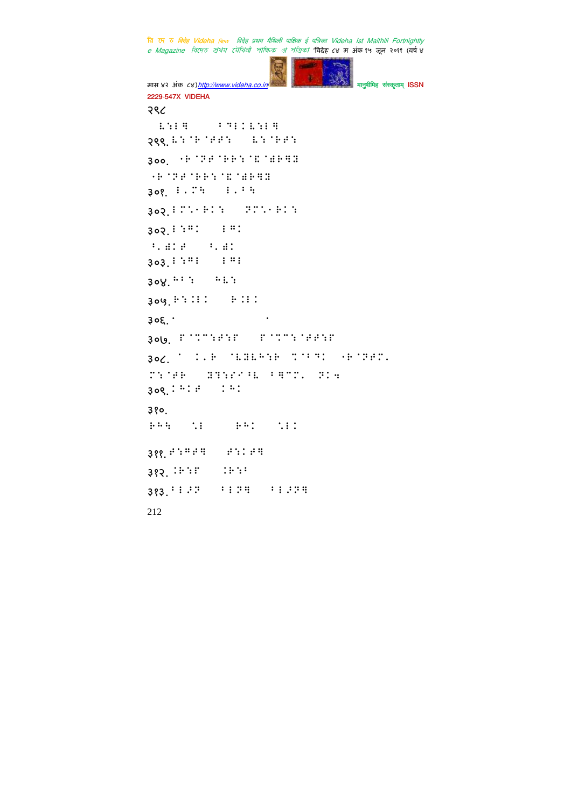```
ৱি দে হ विदेह Videha बिल्ब  विदेह प्रथम मैथिली पाक्षिक ई पत्रिका Videha Ist Maithili Fortnightly
e Magazine  विद्युत्त सेथेंग  ट्रॉशिनी  शक्तिक  अ शंक्षित्वां "विदेहः ८४ म अंक १५ जून २०११ (वर्ष ४
मास ४२ अंक ८४)http://www.videha.co.in/ मानुसी के मानुषीमिह संस्कृताम् ISSN
2229-547X VIDEHA 
212
२९८
  ⣇⣑⣛0!)⢹
⣇⣑⣛*!!
२९९.⣇⣑⢷⢾⢾⣑0!⣇⣑⢷⢾⣑
३००. ⢷⢽⢾⢷⢷⣑⣏⣞⢷⣛⣝0!
⢷⢽⢾⢷⢷⣑⣏⣞⢷⣛⣝
३०१. ⣓0!⣓
३०२<sub>.</sub>‡%% <del>|</del>
३०२.⣑⢻
0!⢻
⢸⣞
⢾0!⢸⣞
३०३.⣑⢻0!⢻
३०४.⢳⣑0!⢳⣇⣑
३०५.⢷⣑⣈
0!⢷⣈
३०६.$!)dpnf*0!$!)boe*!
३०७. ⣉)⣑⢾⣑0!⣉)⣑⢾⢾⣑
३०८. / २०३. (1886-198 - 1999) (१९९७)
Tĥ (#P) de la alguna de la alguna de la alguna de la alguna de la alguna de la a
३०९.
⢳
⢾0!
⢳
३१०.
⢷⢳⣓!)⣁*0!⢷⢳
!)⣁
३११.⢾⣑⢻⢾⣛0!⢾⣑
⢾⣛
३१२.⣈⢷⣑0!⣈⢷⣑
३१३.⢼⢽0!⢽⣛0!⢼⢽⣛
```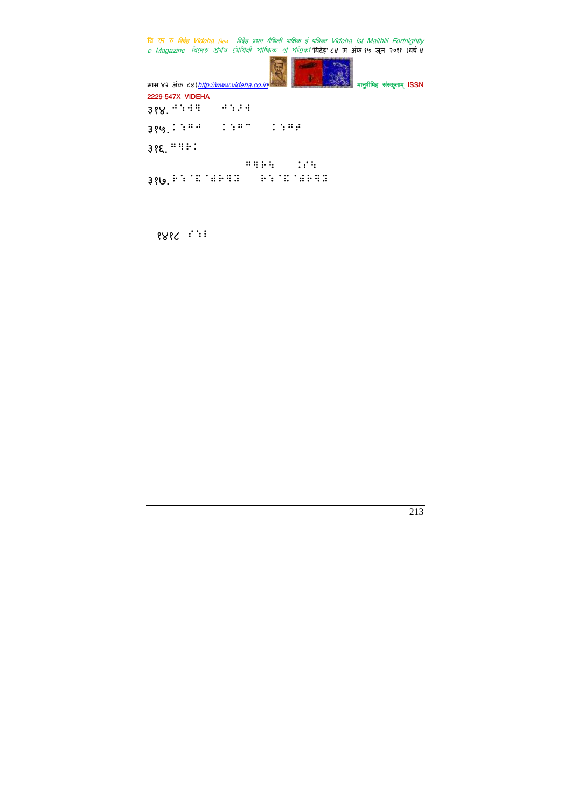ৱি দে হ *विदेह Videha बिल्ब विदेह प्रथम मैथिली पाक्षिक ई पत्रिका Videha Ist Maithili Fortnightly* e Magazine विरमह 'क्षेत्र' रूपैशिवी शोष्क्रिक श्रं शक्तिरं **विदेह' ८४ म अंक १५ जून २०११ (वर्ष ४** 

| मानुषीमिह संस्कृताम् ISSN<br>मास ४२ अंक ८४) http://www.videha.co.in/ |
|----------------------------------------------------------------------|
| 2229-547X VIDEHA                                                     |
| 388. 4949 - 4944                                                     |
| $389.7794 - 1397 - 13994$                                            |
| $385.$ $\pm 1.1$                                                     |
| sana isa                                                             |
| 380 FRIEDERED FRIEDERED                                              |

१४१८ ⣑*\*!!*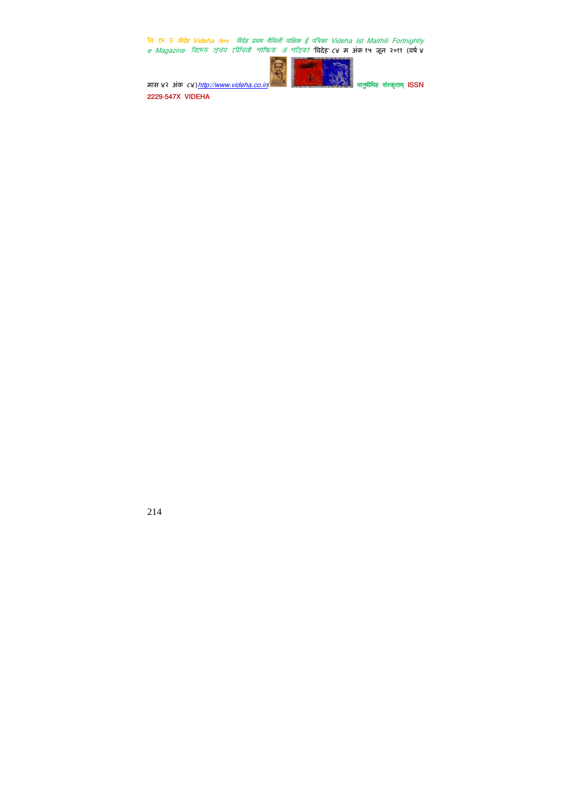ৱি দে হ *विदेह Videha बिल्ब विदेह प्रथम मैथिली पाक्षिक ई पत्रिका Videha Ist Maithili Fortnightly* e Magazine विद्युत्त सेथेंग ट्रॉशिनी शक्तिक अ शंक्षित्वां "**विदेहः ८४ म अंक १५ जून २०११ (वर्ष ४** 

मास ४२ अंक *८४)http://www.videha.co.in*/ मानुबादी मानुषीमिह संस्कृताम् ISSN 2229-547X VIDEHA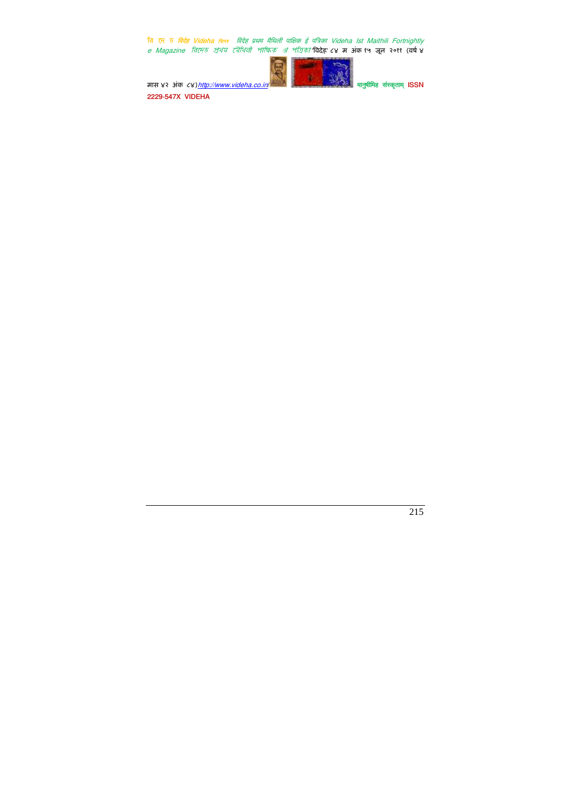ৱি দে হ *विदेह Videha बिल्ब विदेह प्रथम मैथिली पाक्षिक ई पत्रिका Videha Ist Maithili Fortnightly* e Magazine विरमह 'क्षेत्र' रूपैशिवी शोष्क्रिक श्रं शक्तिरं **विदेह' ८४ म अंक १५ जून २०११ (वर्ष ४** 

मास ४२ अंक *८४)http://www.videha.co.in*/ मानुबादी मानुषीमिह संस्कृताम् ISSN 2229-547X VIDEHA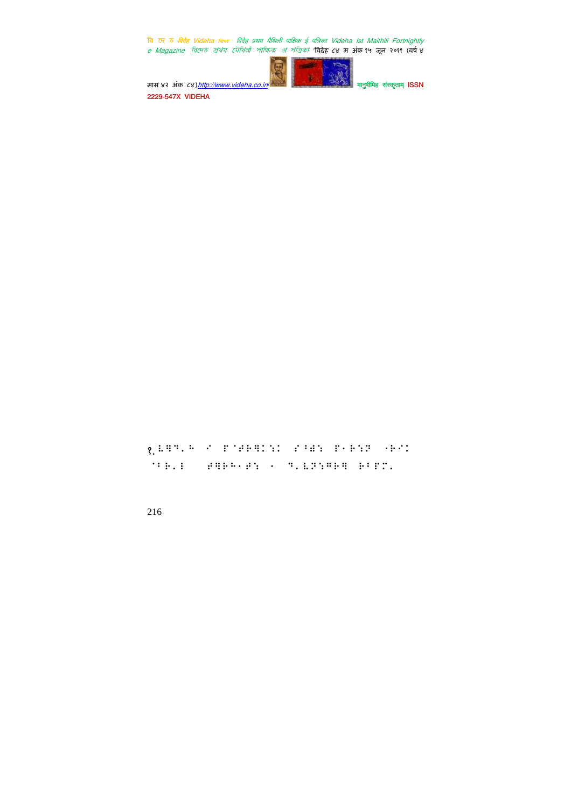ৱি দে হ *विदेह Videha बिल्ब विदेह प्रथम मैथिली पाक्षिक ई पत्रिका Videha Ist Maithili Fortnightly* e Magazine विद्युत्त सेथेंग ट्रॉशिनी शक्तिक अ शंक्षित्वां "**विदेहः ८४ म अंक १५ जून २०११ (वर्ष ४** 

鬳

मास ४२ अंक *८४)http://www.videha.co.in*/ मानुब्री का मानुषीमिह संस्कृताम् ISSN 2229-547X VIDEHA

१.⣇⣛⢹⢳ ⢾⢷⣛ ⣑ ⢸⣞⣑ \$⢷⣑⢽ ⢷ ⢷*-!*⢾⣛⢷⢳\$⢾⣑ \$ ⢹⣇⢽⣑⢻⢷⣛ ⢷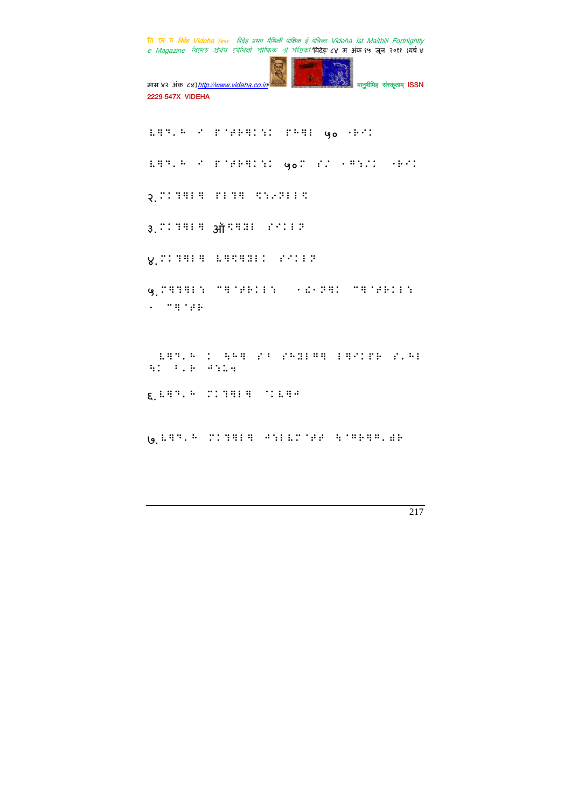ৱি দে হ *विदेह Videha बिल्ब विदेह प्रथम मैथिली पाक्षिक ई पत्रिका Videha Ist Maithili Fortnightly* e Magazine विरमह 'क्षेत्र' रूपैशिवी शोष्क्रिक श्रं शक्तिरं **विदेह' ८४ म अंक १५ जून २०११ (वर्ष ४** 

मास ४२ अंक ८४)http://www.videha.co.in/ मानुबी के सामुबीमिह संस्कृताम् ISSN 2229-547X VIDEHA

£97.5 ⁄ PJPRIGI PRRF go (P/I €§°, € √ \$∫\$€\$;\$; go? \$2 → \$\$2; →6<? २. ⣙⣛⣛ ⣙⣛ ⣋⣑⢴⢽⣋*!Nbjuijmj!* ३. २००१ मधी में अप्रैंड मधी करते हैं है। अपरिकार का अपरिकार करते हैं है। अपरिकार का अपरिकार का अपरिकार का अपरि<br>जनसङ्ख्या जाता है कि अपरिकार का अपरिकार का अपरिकार का अपरिकार का अपरिकार का अपरिकार का अपरिकार का अपरिकार का अ ४. ⣙⣛⣛ ⣇⣛⣋⣛⣝ ⢽*!Nbjuijmj!* ५.⣛⣙⣛⣑ )⣛⢾⢷ ⣑*0!*\$⣎\$⢽⣛ )⣛⢾⢷ ⣑ \$ )⣛⢾⢷*!Njuijmb!Qbjoujoh0!* ⣇⣛⢹⢳ ⣓⢳⣛ ⢸ ⢳⣝⢻⣛ ⣛ ⢷ ⢳ ⣓ ⢷ ⢺⣑⣅⣒*!!* ६.⣇⣛⢹⢳ ⣙⣛⣛ ⣇⣛⢺*!!;!!*

७.⣇⣛⢹⢳ ⣙⣛⣛ ⢺⣑⣇⢾⢾ ⣓⢻⢷⣛⢻⣞⢷*!;!!*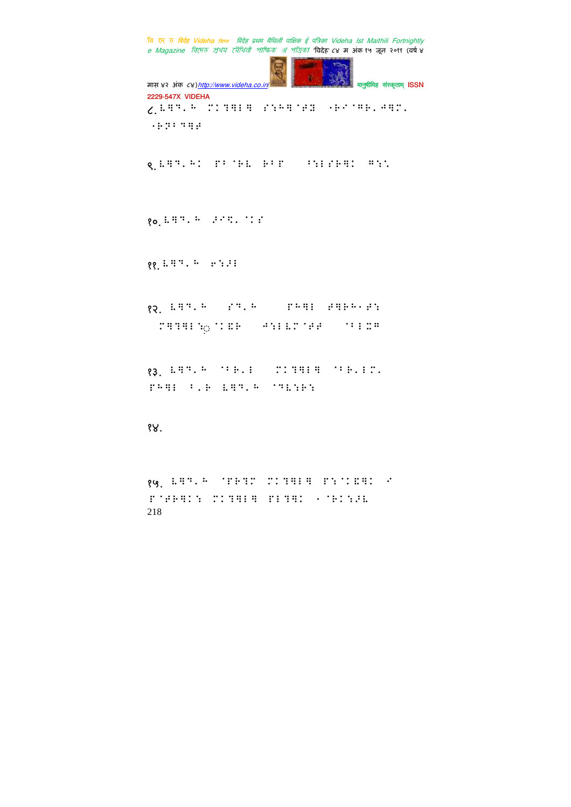ৱি দে হ *विदेह Videha बिल्ब विदेह प्रथम मैथिली पाक्षिक ई पत्रिका Videha Ist Maithili Fortnightly* e Magazine विद्युत्त सेथेंग ट्रॉशिनी शक्तिक अ शंक्रिकां **'विदेह' ८४ म अंक १५ जून २०११ (वर्ष ४** मास ४२ अंक ८४)http://www.videha.co.in/ मानुष्या मानुषीमिह संस्कृताम् ISSN 2229-547X VIDEHA ८.⣇⣛⢹⢳ ⣙⣛⣛ ⣑⢳⣛⢾⣝ ⢷ ⢻⢷⢺⣛ ⢷⢽⢹⣛⢾

९.⣇⣛⢹⢳ ⢷⣇ ⢷*!#*⢸⣑⢷⣛ ⢻⣑⣁*#!!*

१०.<del>६९९.६ ३८९.५१.</del>

११.⣇⣛⢹⢳ ⢶⣑⢼*!;!!*

१२. ⣇⣛⢹⢳*;!*⢹⢳*!;!*⢳⣛ ⢾⣛⢷⢳\$⢾⣑  $\frac{1}{2}$  **d**  $\frac{1}{2}$   $\frac{1}{2}$   $\frac{1}{2}$   $\frac{1}{2}$   $\frac{1}{2}$   $\frac{1}{2}$   $\frac{1}{2}$   $\frac{1}{2}$   $\frac{1}{2}$   $\frac{1}{2}$   $\frac{1}{2}$   $\frac{1}{2}$   $\frac{1}{2}$   $\frac{1}{2}$   $\frac{1}{2}$   $\frac{1}{2}$   $\frac{1}{2}$   $\frac{1}{2}$   $\frac{1}{2}$   $\frac{1}{2}$   $\frac{1}{2}$ 

१३. ⣇⣛⢹⢳ ⢷*;!* ⣙⣛⣛ ⢷*;!* ⢳⣛ ⢷ ⣇⣛⢹⢳ ⢹⣇⣑⢷⣑

१४.*WJEFIB!JTU!NBJUIJMJ!!*

218 १७. ६९९० था २००० था देवी वा देश देवी व  $\mathbb{R}$  (1969)  $\mathbb{R}$  (1969)  $\mathbb{R}$  (1969)  $\mathbb{R}$  (1960)  $\mathbb{R}$  (1960)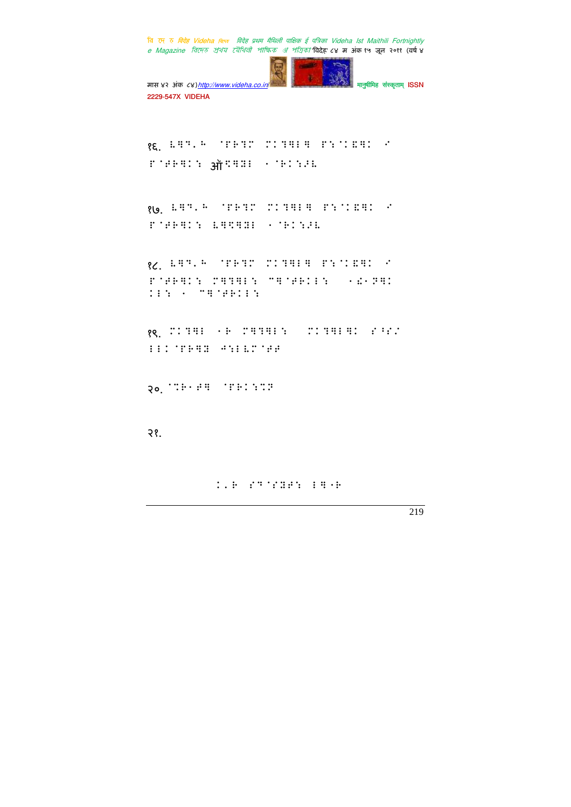ৱি দে হ *विदेह Videha बिल्ब विदेह प्रथम मैथिली पाक्षिक ई पत्रिका Videha Ist Maithili Fortnightly* e Magazine विरमह 'क्षेत्र' रूपैशिवी शोष्क्रिक श्रं शक्तिरं **विदेह' ८४ म अंक १५ जून २०११ (वर्ष ४** 

मास ४२ अंक ८४)http://www.videha.co.in/ मानुसी मानुषीमिह संस्कृताम् ISSN 2229-547X VIDEHA

१६. A97.5 (1863) 213969 (1913) 3 ੰਗ ਅਰਮਚਾਰ ਅਨੁਸਾਰ ਲਾਇ ਅਤੇ ਸ਼

१७. ⣇⣛⢹⢳ ⢷⣙ ⣙⣛⣛ ⣑ ⣏⣛ ⢾⢷⣛ ⣑ ⣇⣛⣋⣛⣝ \$⢷ ⣑⢼⣇

९८. ६९७. स. १९६७ | २००० घर छन्। २ ⢾⢷⣛ ⣑ ⣛⣙⣛⣑ )⣛⢾⢷ ⣑*-!*\$⣎\$⢽⣛ ⣑ \$ )⣛⢾⢷ ⣑

१९. <sup>21</sup> तमा (१००२ तमारी (१००१) तमा पर (१०१२ ⢷⣛⣝ ⢺⣑⣇⢾⢾*\*!*

२०<sub>.</sub> 1959 क्षेत्र अस्ति १९३

२१.*iuuq;00hspvqt/hpphmf/dpn0hs*

*WJEFIB!* ⢷ ⢹⣝⢾⣑ ⣛⢷*!!*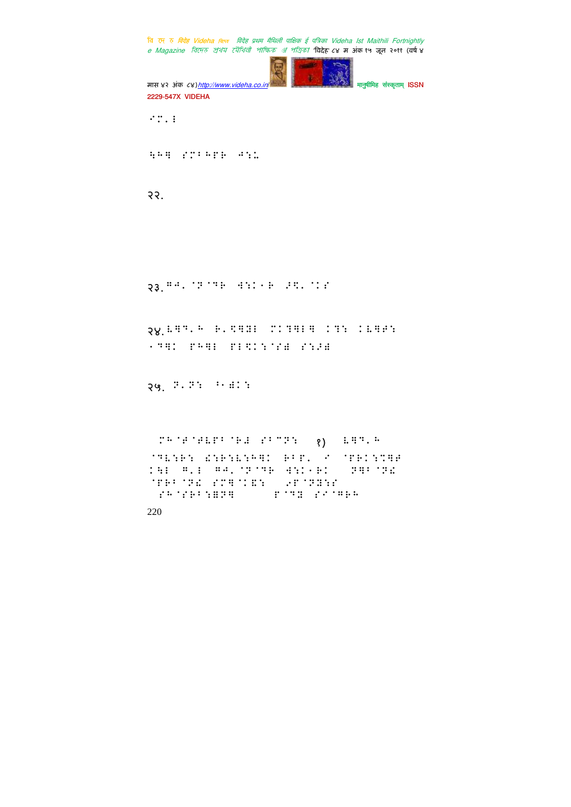ৱি দে হ *विदेह Videha बिल्ब विदेह प्रथम मैथिली पाक्षिक ई पत्रिका Videha Ist Maithili Fortnightly* e Magazine विद्युत्त सेथेंग ट्रॉशिनी शक्तिक अ शंक्रिकां **'विदेह' ८४ म अंक १५ जून २०११ (वर्ष ४** मास ४२ अंक ८४)http://www.videha.co.in/ मानुबी के सामुबीमिह संस्कृताम् ISSN 2229-547X VIDEHA *!;!!!!* ⣓⢳⣛ ⢳⢷ ⢺⣑⣅*!!* २२.*iuuq;00hspvqt/zbipp/dpn0hsp*

२३.⢻⢺⢽⢹⢷ ⣚⣑ \$⢷ ⢼⣋ *!!*

२४.⣇⣛⢹⢳ ⢷⣋⣛⣝ ⣙⣛⣛ ⣙⣑ ⣇⣛⢾⣑  $+$  791  $\pm$  8991  $\pm$  8131  $\pm$  724  $\pm$  81334

२७. ३.३५ वि.स

⢳⢾⢾⣇⢷⣜ )⢽⣑*;)*१) ⣇⣛⢹⢳*(!* ⢹⣇⣑⢷⣑ ⣎⣑⢷⣑⣇⣑⢳⣛ ⢷ ⢷ ⣑⣉⣛⢾ ⣓ ⢻ ⢻⢺⢽⢹⢷ ⣚⣑ \$⢷ *!!*⢽⣛⢽⣎ ⢷⢽⣎ ⣛ ⣏⣑*-!*⢴⢽⣝⣑ ⢳⢷⣑⣟⢽⣛*\*!-!*⢹⣝ ⢻⢷⢳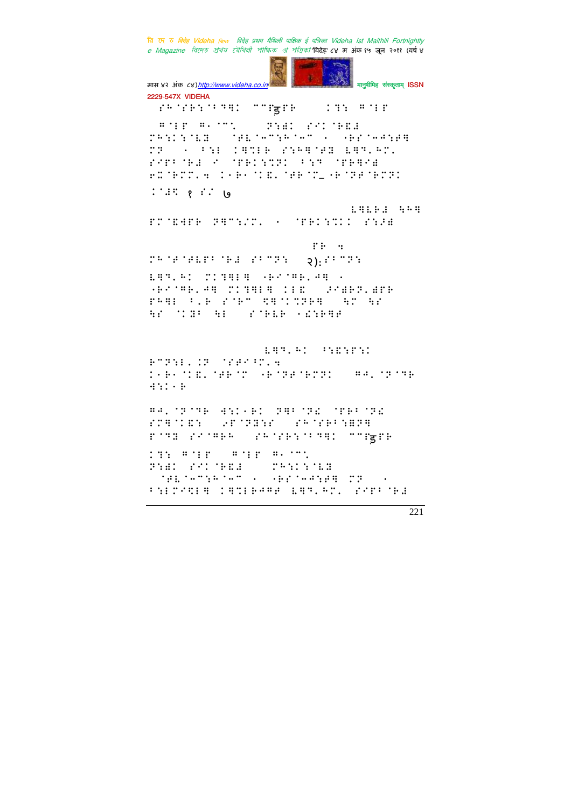ৱি দে হ *विदेह Videha बिल्ब विदेह प्रथम मैथिली पाक्षिक ई पत्रिका Videha Ist Maithili Fortnightly* e Magazine विरमह 'क्षेत्र' रूपैशिवी शोष्क्रिक श्रं शक्तिरं **विदेह' ८४ म अंक १५ जून २०११ (वर्ष ४** मास ४२ अंक ८४)http://www.videha.co.in/ मानुसी मानुषीमिह संस्कृताम् ISSN 2229-547X VIDEHA ⢳⢷⣑⢹⣛ ))ड़⢷*\*-!* ⣙⣑ ⢻ ⢻ ⢻\$)⣁*\*-!*⢽⣑⣞ ⢷⣏⣜*\*-!* ⢳⣑ ⣑⣇⣝*!)*⢾⣇⢲)⣑⢳⢲) \$ ⢷⢲⢺⣑⢾⣛  $\mathcal{T}(\mathbb{P}^{n}) = \{ \mathcal{T}(\mathbb{P}^{n}) \mid \mathcal{T}(\mathbb{P}^{n}) \in \mathbb{P}^{n} \mid \mathcal{T}(\mathbb{P}^{n}) \neq \emptyset \}$  $\mathcal{L}$  of  $\mathcal{L}$   $\mathcal{L}$   $\mathcal{L}$   $\mathcal{L}$   $\mathcal{L}$   $\mathcal{L}$   $\mathcal{L}$   $\mathcal{L}$   $\mathcal{L}$   $\mathcal{L}$   $\mathcal{L}$   $\mathcal{L}$   $\mathcal{L}$   $\mathcal{L}$   $\mathcal{L}$   $\mathcal{L}$   $\mathcal{L}$   $\mathcal{L}$   $\mathcal{L}$   $\mathcal{L}$   $\mathcal{L}$   $\mathcal{L}$   $\mathcal{L}$   $\math$  $\frac{1}{2}$  , and  $\frac{1}{2}$  , and  $\frac{1}{2}$  , and  $\frac{1}{2}$  , and  $\frac{1}{2}$  , and  $\frac{1}{2}$  , and  $\frac{1}{2}$  , and  $\frac{1}{2}$  , and  $\frac{1}{2}$  , and  $\frac{1}{2}$  , and  $\frac{1}{2}$  , and  $\frac{1}{2}$  , and  $\frac{1}{2}$  , and  $\frac{1}{2}$  , a ⣈⣜⣋ १ ७ *Dpncjofe!JTCO! Op/:89.92.:1883:.8.7!*⣇⣛⣇⢷⣜ ⣓⢳⣛  $\mathbb{R}$   $\mathbb{C}$   $\mathbb{C}$   $\mathbb{R}$   $\mathbb{C}$   $\mathbb{C}$   $\mathbb{C}$   $\mathbb{C}$   $\mathbb{C}$   $\mathbb{C}$   $\mathbb{C}$   $\mathbb{C}$   $\mathbb{C}$   $\mathbb{C}$   $\mathbb{C}$   $\mathbb{C}$   $\mathbb{C}$   $\mathbb{C}$   $\mathbb{C}$   $\mathbb{C}$   $\mathbb{C}$   $\mathbb{C}$   $\mathbb{C}$   $\mathbb{C}$   $\mathbb{C$ *qvcmjdbujpo/dpn0!*⢷ ⣒ ⢳⢾⢾⣇⢷⣜ )⢽⣑*!)*२):)⢽⣑*;!* LAN, HO SOME  $\mathbb{R}$  and  $\mathbb{R}$   $\mathbb{R}$  and  $\mathbb{R}$  and  $\mathbb{R}$  and  $\mathbb{R}$  and  $\mathbb{R}$  and  $\mathbb{R}$  and  $\mathbb{R}$  and  $\mathbb{R}$  and  $\mathbb{R}$  and  $\mathbb{R}$  and  $\mathbb{R}$  and  $\mathbb{R}$  and  $\mathbb{R}$  and  $\mathbb{R}$  and  $\mathbb$ ⢷ ⢻⢷⢺⣛ ⣙⣛⣛ ⣏*!)*⢼ ⣞⢷⢽⣞⢷ ⢳⣛ ⢷ ⢷) ⣋⣛ ⣉⢽⢷⣛*\*!*⣓ ⣓*/!* ⣓ ⣝ ⣓*/!*⢷⣇⢷ \$⣎⣑⢷⣛⢾*!.Cbtfe! Ejdujpobsz/!*⣇⣛⢹⢳ ⢸⣑⣏⣑⣑ ₽™PNEL OP STRAPPICH  $\mathbf{1} \cdot \mathbf{B} \cdot \mathbf{M}$   $\mathbf{B} \cdot \mathbf{M}$   $\mathbf{B} \cdot \mathbf{M}$   $\mathbf{B} \cdot \mathbf{M}$   $\mathbf{B} \cdot \mathbf{M}$   $\mathbf{B} \cdot \mathbf{M}$   $\mathbf{B} \cdot \mathbf{M}$   $\mathbf{B} \cdot \mathbf{M}$   $\mathbf{B} \cdot \mathbf{M}$   $\mathbf{B} \cdot \mathbf{M}$   $\mathbf{B} \cdot \mathbf{M}$   $\mathbf{B} \cdot \mathbf{M}$   $\mathbf{B} \cdot \$  $451 + 5$ ⢻⢺⢽⢹⢷ ⣚⣑ \$⢷ ⢽⣛⢽⣎ ⢷⢽⣎  $\frac{1}{2}$   $\frac{1}{2}$   $\frac{1}{2}$   $\frac{1}{2}$   $\frac{1}{2}$   $\frac{1}{2}$   $\frac{1}{2}$   $\frac{1}{2}$   $\frac{1}{2}$   $\frac{1}{2}$   $\frac{1}{2}$   $\frac{1}{2}$   $\frac{1}{2}$   $\frac{1}{2}$   $\frac{1}{2}$   $\frac{1}{2}$   $\frac{1}{2}$   $\frac{1}{2}$   $\frac{1}{2}$   $\frac{1}{2}$   $\frac{1}{2}$   $\frac{1}{2}$   $\$ ⢹⣝ ⢻⢷⢳*!)*⢳⢷⣑⢹⣛ ))ड़⢷*\*-!* ⣙⣑ ⢻*!)*⢻ ⢻\$)⣁*\*-!* ⢽⣑⣞ ⢷⣏⣜*\*-!*⢳⣑ ⣑⣇⣝ ⢾⣇⢲)⣑⢳⢲) \$ ⢷⢲⢺⣑⢾⣛ ⢽*\*!*\$  $\pm$  Si Deti i (1951) en la 1951, en la 2019 est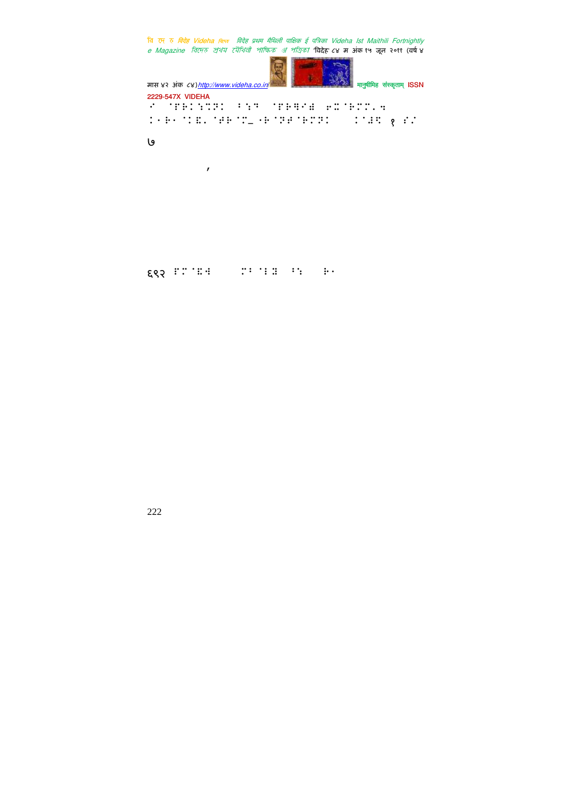ति एप रु विदेह Videha विलरु विदेह प्रथम मैथिली पाक्षिक ई पत्रिका Videha Ist Maithili Fortnightly e Magazine विर्णय येथेय स्पेशिनी शोष्किक श्रे शैविका 'विदेह' ८४ म अंक १५ जून २०११ (वर्ष ४

**County** 

G

मानुषीमिह संस्कृताम् **ISSN** मास ४२ अंक ८४) http://www.videha.co.in 2229-547X VIDEHA ROCHELATEL FAR CHEAR POCHING

IN BY TO BUILDENTING THAT RETIRES SO TO BINS \$1.20

وا

 $\mathcal{L}_{\mathcal{A}}$ 

ERRIFFIELD THIER HE SA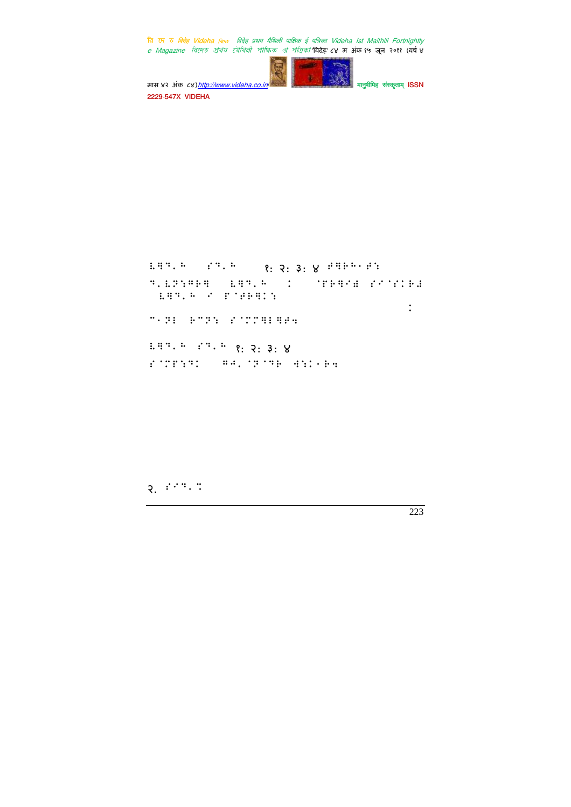ৱি দে হ *विदेह Videha बिल्ब विदेह प्रथम मैथिली पाक्षिक ई पत्रिका Videha Ist Maithili Fortnightly* e Magazine विरमह 'क्षेत्र' रूपैशिवी शोष्क्रिक श्रं शक्तिरं **विदेह' ८४ म अंक १५ जून २०११ (वर्ष ४** 

मास ४२ अंक ८४)http://www.videha.co.in/ मानुबोदी मानुषीमिह संस्कृताम् ISSN 2229-547X VIDEHA

⣇⣛⢹⢳*;!*⢹⢳*!;!*१: २: ३: ४ ⢾⣛⢷⢳\$⢾⣑*!;!* ⢹⣇⢽⣑⢻⢷⣛*!#*⣇⣛⢹⢳*#! -!*⢷⣛ ⣞ ⢷⣜ LAT. POST POPPER *)iuuq;00xxx/wjefib/dp/jo0\*!* )\$⢽ ⢷)⢽⣑ ⣛⣛⢾⣒ ⣇⣛⢹⢳ ⢹⢳ १: २: ३: ४

⣑⢹ *;!*⢻⢺⢽⢹⢷ ⣚⣑ \$⢷⣒

२. ⢹⣉*.!*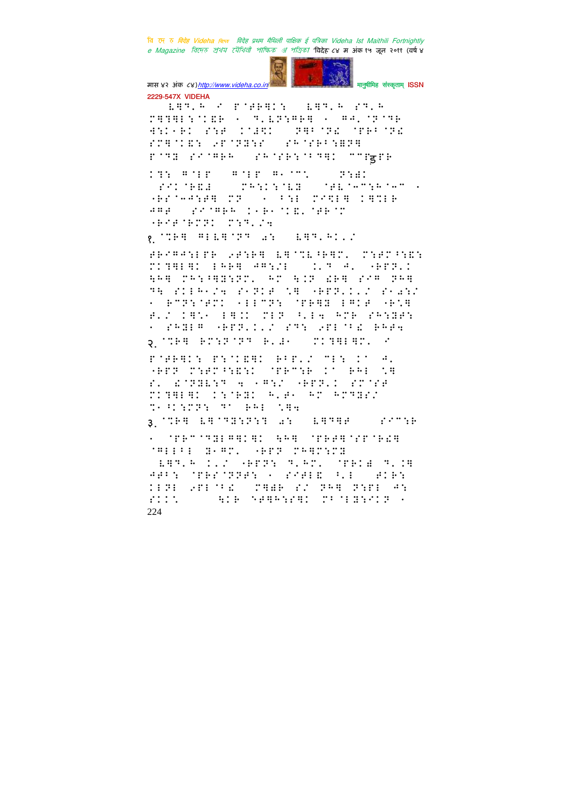मानुषीमिह संस्कृताम ISSN मास ४२ अंक ८४) http://www.videha.co.in 2229-547X VIDEHA

HALFEL PARTICURES SPRINGE TERRITA FTHOLEN SPORTER COPPOREDRE PORT POSTER COPENANT RECOMMEND

the work work with the  $-35.81$ SPOTHER CONTRACTORS COMPANY AT A 4827-4588 22 - 3 358 2358 19788 ARE SPORES INFORMATION  $\{ \pm \sqrt{\mu} \, \pi \, \pm \sqrt{\mu} \, \pi \, \pi \}$  , where  $\mu \, \pi \, \pi$  $\mathfrak{g}^{\mathbb{C}}_{\mathbb{C}}\left(\mathbb{C}\oplus\mathbb{C}\oplus\mathbb{C}\oplus\mathbb{C}\oplus\mathbb{C}\oplus\mathbb{C}\oplus\mathbb{C}\right)\oplus\mathbb{C}\oplus\mathbb{C}$  $-1.44$ ,  $+1.1$ 

PERSONAL PERSONAL PROVIDED AND CONTRACT TITHER PRESSURE (2003) 127 AL (2007) 555 755 FEB527, 57 512 655 775 755 TROPIER ZA PORTE SE PERRITIVO POBL BUZ INS FRIDAMEN SIN POR PROBE K PAGER (FRANCISCO PAGERENTE PRAG QUIDER BOSSIDE BLUE CONTREROL P

POPPHILM PACIERI PRELIUDING IN AL HARD CARDINGS: TEACHER IN ARE NA F. ETPORT A FATE APPLIERTIE CONNECT CONTEST (R. B. ACT ACTES) THRISTING TO BREAK THE

3 7399 6977359939 45 **ARTIS CONTROL** 

THEFT BOARD, SEEP CRACTED ARTEN COOPERED TO FULL CERCE TO CH HERB TEEDISPER A PARED RID HIER

1998 VELORE CONBECTS PAR PARE AN  $f: Y \times Y$ 224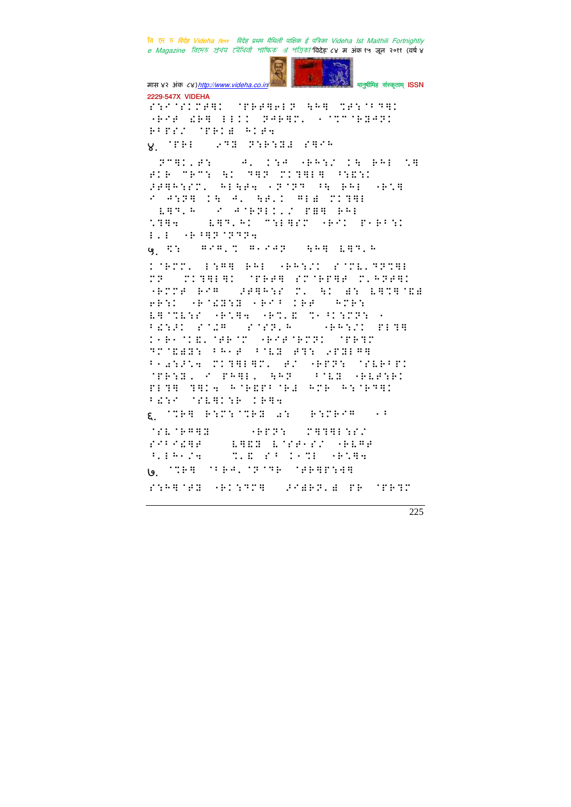मानुषीमिह संस्कृताम ISSN मास ४२ अंक ८४) http://www.videha.co.in 2229-547X VIDEHA FAR MOTHER CONFERENCE ARE COFA MORE

HERE ERR FILL PARRY, STONIKEARD BREEZ SPECE RIPH W. TEEL SATE PARABLE PECH

PTB1195 ( 9, 159) (PRS2 15 PRESS BIB TETY AN THE TITHER PARYN 2285127. 51524 (2727 56 651 (2518) 4 8528 15 8, 59, 1 868 71380  $\left\{ \begin{array}{ccc} \mathbf{L} \oplus \mathbf{P}_1 \oplus \mathbf{P}_2 & \cdots \oplus \mathbf{P}_n \oplus \mathbf{P}_n \end{array} \right\}, \ \mathbf{L} \oplus \mathbf{P}_n \oplus \mathbf{P}_n \oplus \mathbf{P}_n \oplus \mathbf{P}_n \oplus \mathbf{P}_n \oplus \mathbf{P}_n \oplus \mathbf{P}_n \oplus \mathbf{P}_n \oplus \mathbf{P}_n \oplus \mathbf{P}_n \oplus \mathbf{P}_n \oplus \mathbf{P}_n \oplus \mathbf{P}_n \oplus \mathbf{P}_n \oplus$ NTRA (COLRENAND COMPRESS) (PAD) BY RESO  $\mathbb{E} \times \mathbb{E} = \{ \mathbb{E} \times \mathbb{E} \times \mathbb{E} \times \mathbb{E} \times \mathbb{E} \times \mathbb{E} \}$ 

 $\mathbf{Q} = \mathbf{Q}^T \mathbf{Y} = \mathbf{Q} \mathbf{Q} \mathbf{Q} \mathbf{X} + \mathbf{Q} \mathbf{Q} \mathbf{X} + \mathbf{Q} \mathbf{Q} \mathbf{X} + \mathbf{Q} \mathbf{Q} \mathbf{X} + \mathbf{Q} \mathbf{Q} \mathbf{X} + \mathbf{Q} \mathbf{Q} \mathbf{X} + \mathbf{Q} \mathbf{X} + \mathbf{Q} \mathbf{X} + \mathbf{Q} \mathbf{X} + \mathbf{Q} \mathbf{X} + \mathbf{Q} \mathbf{X} + \mathbf{Q} \mathbf{X} +$ 

I TECTL (ENRS) ERECTERNIZE (ETCL) SPOSE TRO TIMBURI (TERRE PIONEMA TURPARI)<br>SETTA ESPO (PARESPOTUCAI) da ERINTE PRAI (PROGRAM PROFILER (PDF) LEATLES SEVEN SET. E TO SIGNED O FENDI PALE (PAPELE) (PERNI PERE ISBS MELTER MOVEME MEDEL (MERTE **PETERBY FROM FILE WILL STEERS** PROBABLY TIMERT, SAN PATTS COLARED **MERSEL & PRAIL ARD COMME SPERSED** FITH THIS PORTECHE PIR PACKERS FEAR MEETING IPS

g (TER PATACTER and  $\frac{1}{2}$   $\frac{1}{2}$   $\frac{1}{2}$   $\frac{1}{2}$   $\frac{1}{2}$   $\frac{1}{2}$   $\frac{1}{2}$   $\frac{1}{2}$   $\frac{1}{2}$   $\frac{1}{2}$   $\frac{1}{2}$   $\frac{1}{2}$   $\frac{1}{2}$   $\frac{1}{2}$   $\frac{1}{2}$   $\frac{1}{2}$   $\frac{1}{2}$   $\frac{1}{2}$   $\frac{1}{2}$   $\frac{1}{2}$   $\frac{1}{2}$   $\frac{1}{2}$ 

**TEL TERRITO LEED LIPPIC HIPP 19. THE TERRITE TREEFARE** FARBIAN (BIANNE) (PANEN, A TE (TEST)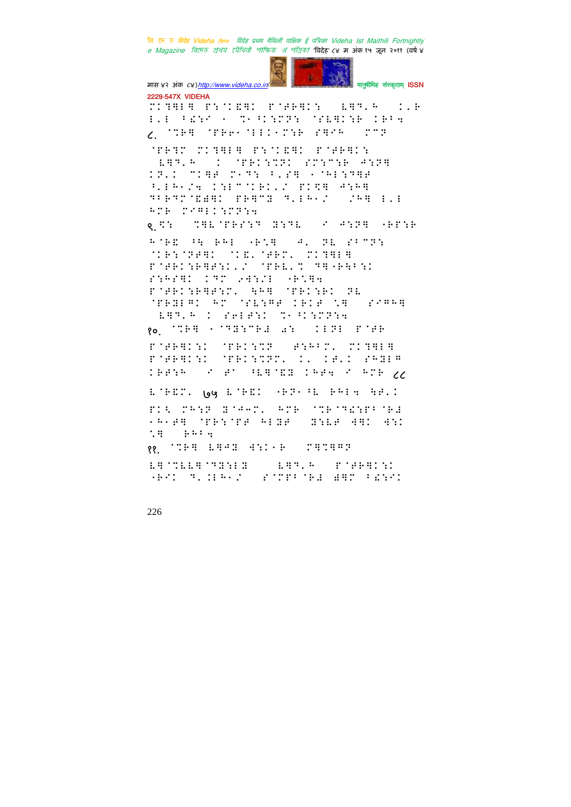मानुषीमिह संस्कृताम् ISSN मास ४२ अंक ८४) http://www.videha.co.in 2229-547X VIDEHA  $\langle \cdot \rangle$  . <br> <br> <br> <br> <br> <br> <br> <br> <br> <br> EVERENCE TO STATE CONFIDENTIAL 2. THE TEEP NEED THE PERSON  $\cdots$ **TERRY CONNER PATCHED PORPHIE**  $1.47.4$  $\pm$  : The states and the state TRIT TIGHT PART FIRE A THESTER P. ERKINE INSERIES IN BIRBOANAR **MERMONDARY PRAME MODELLY CORRECTOR ATE TAMELATTE: THE TEPLE REAL CONTRACTOR** SECTION  $Q \stackrel{...}{\sim} 1$ **A TEE (34) BAIL (45) R. (24) PE (23) 7723 MENTRER MILLIGET, TITHER** FORECAPHENICS OFFICE SHOPPING FAREBLY 177 (24521) (BS99 FORECAPHENT, APROVEMENT PE TERBERI PU TELNAR IBIR NA TETRA EARLE I FELENI TO CITENS 80. TER POTENTES AND CEPE FORE FORESING OFFINITE (PARTIC TITHER FORESING OFFINISH, C. CR.O PERES TERNA (P. B. GEROOM) TARA PORTE ZZ ETEDY, GG ETEDY (EP) HE PHIN RELI FIR THIS START, ATE TIP TRAIN THE **PAPEL TERSTER ALGES GREEN HALL HAL**  $\mathbb{Z}[\mathbb{R}^3]$  . If  $\mathbb{R}^3$  is a  $\mathbb{Z}[\mathbb{R}^3]$ 00 THE LEAD HALLEY CHILER **LEATLEST TESTS**  $\frac{1}{2}$   $\frac{1}{2}$   $\frac{1}{2}$   $\frac{1}{2}$   $\frac{1}{2}$   $\frac{1}{2}$   $\frac{1}{2}$   $\frac{1}{2}$   $\frac{1}{2}$   $\frac{1}{2}$   $\frac{1}{2}$   $\frac{1}{2}$   $\frac{1}{2}$   $\frac{1}{2}$   $\frac{1}{2}$   $\frac{1}{2}$   $\frac{1}{2}$   $\frac{1}{2}$   $\frac{1}{2}$   $\frac{1}{2}$   $\frac{1}{2}$   $\frac{1}{2}$  HERD RUDERLY CENTER TELEVISIONS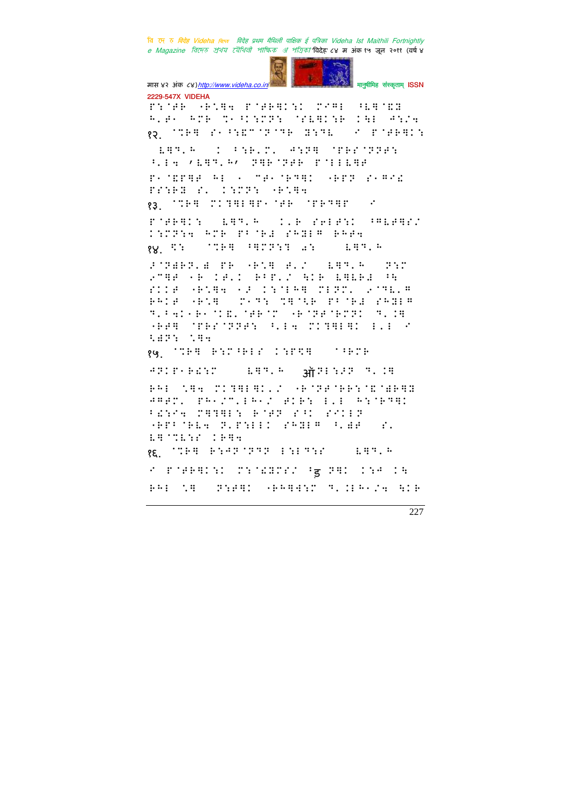मानुषीमिह संस्कृताम् ISSN मास ४२ अंक ८४) http://www.videha.co.in 2229-547X VIDEHA FAIRE (FINE) FORESING TARE (RESTER Alak Ara di Gregor Srbanova (1918-1952) 02. THE SAFETTE TEST SYSTEM OF PAPELS LARGE CONSIDERED ANDAL STEP SPEED  $\mathbb{P}_\mathcal{L}(\mathbb{P}_\mathcal{H}^{\mathcal{L}}) \neq \mathbb{P}_\mathcal{L}(\mathbb{P}_\mathcal{H}^{\mathcal{L}}) \neq \mathbb{P}_\mathcal{H}(\mathbb{P}_\mathcal{H}^{\mathcal{L}}) \neq \mathbb{P}_\mathcal{H}(\mathbb{P}_\mathcal{H}^{\mathcal{L}}) \neq \mathbb{P}_\mathcal{H}(\mathbb{P}_\mathcal{H}^{\mathcal{L}})$ rendrag Ar a Machinary Sirr Pearl FFREE F. CATTA (PORT) 83. THE CONFERENCE OFFICE. POPERIN (BRT.F) I.E PEERN (PREPRI) TATENH ATE PROPERTIES PARA 82 THE THE FEDERAL AND  $-1.47.4$ FOREFRIE TROOPSE FLOOR ERROR OF TH STEP FRONT PERIODENT ERRICH FILE SPARE FROM THE TERM STREET BRIE (BNA) THREATHNE PROBLEMED RUPADA BASTED, TABITES ABSTRATED BY DR. 19  $\overline{AB}$  (FRF)  $\overline{C}$  (FRF)  $\overline{C}$  (FRF)  $\overline{C}$  (FRF)  $\overline{C}$  (FRF)  $\overline{C}$  (FRF)  $\overline{C}$ 5825 585 89. THE PACEFIE CAPER OFFICE HPIEREND ERTLE STREEP, TURE PRESSURE TO THE HOURS ARE THE TERMINE THE TH ARADI PROTIECI ALES ELE RITERE FEACH CHINES ECHE PRISPIER HERRIELS PLENEED PROFIN ROOM (F. LUSTER CRUE 08. TER PARTIER ENERGY (1993) ROBORERINI CONSEDERZO Pg. 281 (1980-19 BRITISH (PAPEL SPREAM) SUBRICATED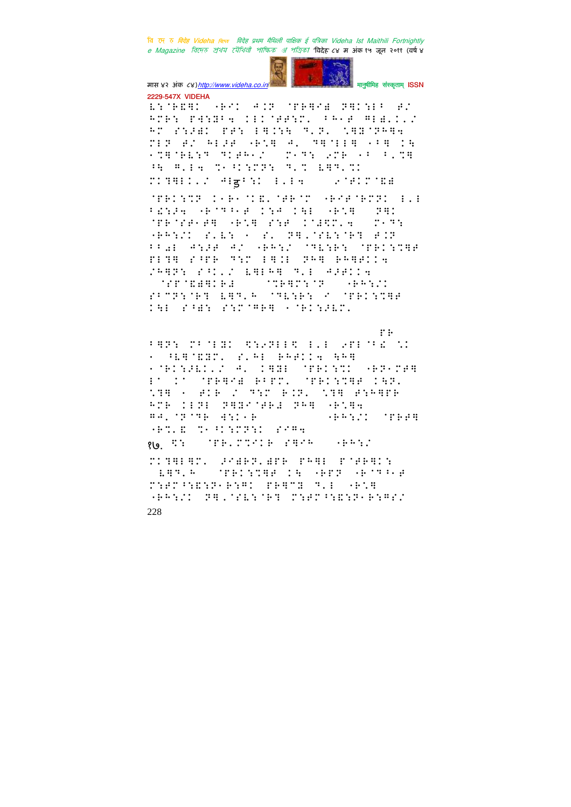## मानुषीमिह संस्कृताम ISSN मास ४२ अंक ८४) http://www.videha.co.in 2229-547X VIDEHA

ENTERN (FRI) FIR TEENE PRINT FO ATES PASOFA (EL SERSO) FAVE ALBIDIO AT PAPEL TRA FRIAR P.P. CREITARE TER 87 REFE (8508) 41 SHEMER (88018 A TESTELSHI (HI BAKIN ) (1988-1998) (AT ) (A SI 1998 PROFILER TO RIGGER CRUIT ERRITO DITHELLING Experience  $\sim$   $\sim$  1910 1000

MEDIANA (1989) NEL MERMO (1898/1808) (ELE FEARS SECTION CAR CAES SECTION THE TERINARIA (PRINTINA INTERNATIONAL  $\mathbb{R}^2$  , which HERNI PULS FOR THUNKERIES FOR (Pal<sup>in</sup>gia) az (Pesi Trumem mermede FINE PATE NAT INCLUDED EFECTS CRAPS PRISONABLES TO PRESIDE **CONTRACTOR** CONTRACT PORTAGE PETRY NET LET. ROOTENEN OF CIPEINTER THE POSSES PARTNERS (TELAPRIC

FF. FREE CRITER STEER ENE FREIBE NI  $\mathcal{F} = \{ \mathbf{E} \in \mathcal{F}(\mathbf{E} \otimes \mathcal{F}) \mid \mathcal{F} \in \mathcal{F}(\mathbf{E}) \mid \mathbf{E} \in \mathcal{F}(\mathbf{E} \otimes \mathbf{E}) \mid \mathbf{E} \in \mathcal{F}(\mathbf{E}) \}$ ES IS STEERE PETT, STEINURE IRE. MTB (6) BIB 2005AT BIB, MATH BARBER PTP 1171 7934161 799 (PN9) ##17#7#B #ND+B **APRAISE STREET**  $\{0.71,0.72,0.74,0.75\}$  ,  $\{2.99,0.79\}$ 

**RG. STERN TEACHER AND REALLY ARREST** 

CONTRACT. SPARTLARR PRHE PORPHON CARDENEARY BARD COBROT CRITICAL CHAR 228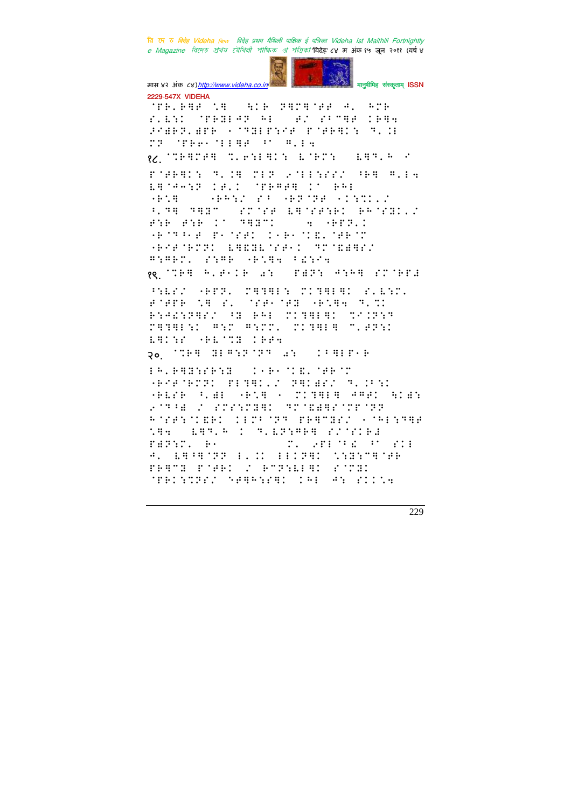मानुषीमिह संस्कृताम ISSN मास ४२ अंक ८४) http://www.videha.co.in 2229-547X VIDEHA TERLEBE NB (ALE PROBINE AL ACE FLEND TEEDERS ALL SENSITED CERA GREET.ETH A MARITARE POPPHIS MUSIC TP STEER NEEDS ON BUILD RZ TRENDEN CLEARNED E TECHNOLOGICAL FOREST PLOT TER POINTERED PLEA ER 18852 (18.1) (FERRE (11) ERE  $\mathcal{L}^{\mathcal{L}}(\mathcal{L}^{\mathcal{L}}(\mathcal{L}^{\mathcal{L}}(\mathcal{L}^{\mathcal{L}}(\mathcal{L}^{\mathcal{L}}(\mathcal{L}^{\mathcal{L}}(\mathcal{L}^{\mathcal{L}}(\mathcal{L}^{\mathcal{L}}(\mathcal{L}^{\mathcal{L}}(\mathcal{L}^{\mathcal{L}}(\mathcal{L}^{\mathcal{L}}(\mathcal{L}^{\mathcal{L}}(\mathcal{L}^{\mathcal{L}}(\mathcal{L}^{\mathcal{L}}(\mathcal{L}^{\mathcal{L}}(\mathcal{L}^{\mathcal{L}}(\mathcal{L}^{\mathcal{L$  $3.44 \times 10^{-10}$ alag agen (2012) egyesül estedili<br>Bab Bab It agent (2014) ereli HEITER FOR TEACHER TELLIBETT HERBORY LESSENGER CONTREST #1#FT. P1#F (F1#H F21+) RRUNDER PLAYIE WAS START ANDRE FOOTERS PALENT PRESS, CHANGES COMMUNISTICS, LAC. FORTH CHOIC CONFIDENTIAL PROTE FARINTEN PE FRE TITEER TRIPS PERBENI PNP PNPP. PIRBER T. 8231 LADAR (FLOTE DEFE) 20 THE BEFARITE WAS STEELD ERVENDEERD COVERTIELTHETT HERE TESTS: CONTOHING STORES AND THE IRON HERE F.B. HERE FOTOBER PRES RIBS 2009 FELL 2008 FOR THE ENDING TO SHARP TO THE THE  $\begin{minipage}{0.99\textwidth} \begin{tabular}{l} \hline \textbf{a} & \textbf{c} & \textbf{c} & \textbf{c} & \textbf{c} \\ \hline \textbf{b} & \textbf{c} & \textbf{c} & \textbf{c} & \textbf{c} & \textbf{c} \\ \hline \textbf{c} & \textbf{c} & \textbf{c} & \textbf{c} & \textbf{c} & \textbf{c} \\ \hline \end{tabular} \end{minipage} \begin{minipage}{0.99\textwidth} \begin{tabular}{l} \hline \textbf{c} & \textbf{c} & \textbf{c} & \textbf{c}$ NHA (APPLACIONALISABE PLOTELER  $\begin{array}{cccccccccc} \mathbb{P} & \mathbb{P} & \mathbb{P} & \mathbb{P} & \mathbb{P} & \mathbb{P} & \mathbb{P} & \mathbb{P} & \mathbb{P} & \mathbb{P} & \mathbb{P} & \mathbb{P} & \mathbb{P} & \mathbb{P} & \mathbb{P} & \mathbb{P} & \mathbb{P} & \mathbb{P} & \mathbb{P} & \mathbb{P} & \mathbb{P} & \mathbb{P} & \mathbb{P} & \mathbb{P} & \mathbb{P} & \mathbb{P} & \mathbb{P} & \mathbb{P} & \mathbb{P} & \mathbb{P} & \$ FARATL BR H. ERPRIZE E. II (EEIPRI) NABATRIER FRAME FORRI Z RMPALLAD FOURD **TERINTERI NAMBANGUL IBE AN SILINA**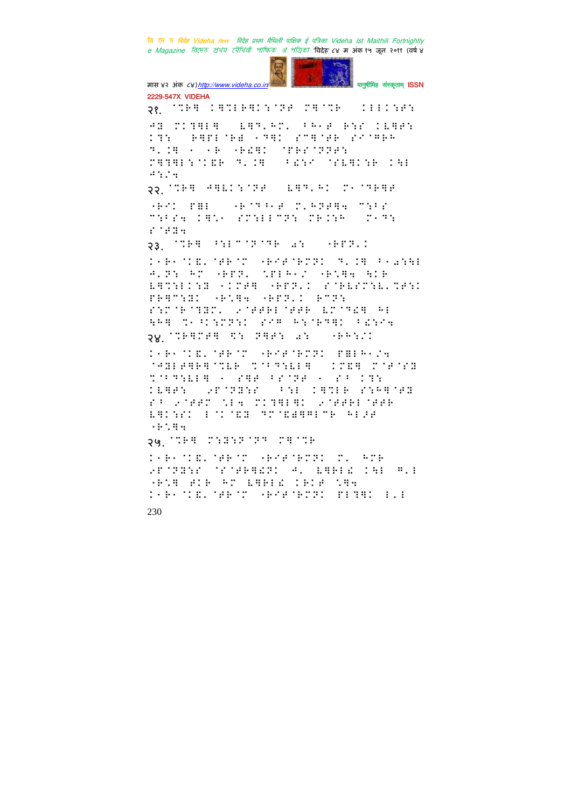मानुषीमिह संस्कृताम् ISSN मास ४२ अंक ८४) http://www.videha.co.in 2229-547X VIDEHA  $28.7794.7471941371979774779779$  $-111111141$ AN TIMES LES RT. PR. PR. PAT LIST THE PROPERTY OF A PRINTED BY A CORPO **P. IN A AR AREN' TERRITREY** PUBBLE VIEW STATES (FREE VIEW VIEW VIEW  $4.5\pm0.4$ 22 THE PELISTER LEEPLAINT TERRE SERI PHILOSOPHIA DIAPPRA TYPE THEFT INDUCTING THE THE CONTROL IN THE  $f \in H$ 03 TER PHOTOGRAPH AND SPEELD DARK MELINER MOVEMENT POST CRUITE CANADE H.P. BE HETEL STERES HESTH BIR LATHING SITES SETEL! **CENTERS TELL TEND** FRANCHI (FRIA) (RFF.I) RNF. FATTETIST, STEERINGER ETTER PE ARE TRINING SAFEKEEPED FASA QQ TTERTER RN PREN and HERNIC INDUCTION THE TECHNOLOGY PERSON FEED AND A THOS PAPA TOLE IN THIS RESIDENT ON THINGS THE FALLEY CAR CONTROL CONTROL TEACH SPORES (FAL IATER PARTNE KA START NEW TOMBERS STARES TRAK EACHED IN TER PETERATE PLACE  $-10.144$ 29. THE CASARIES CHICH

IRER MELINEST PERFORMANCE PER VE TRINE CONTREBARD OR CABELE CONFORCE HENRI BIB AT LABER IPID NAH 1989 MEL MARTIN (APPROVATED ELECTRONIC)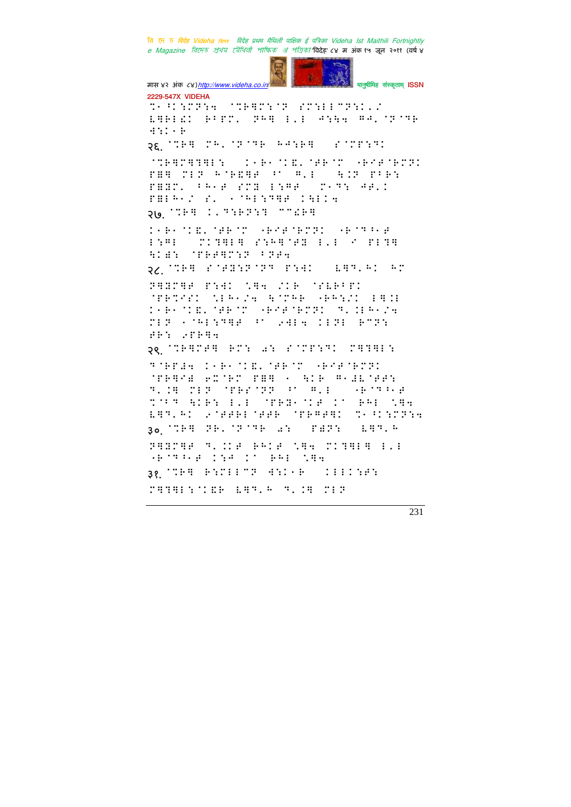मानुषीमिह संस्कृताम ISSN मास ४२ अंक ८४) http://www.videha.co.in 2229-547X VIDEHA THE RESERVE TO DEPEND OF CONSIDERATION imeral eter. Pem ald saak meljorime  $431 + 4$ QE TIPE TRITETHE RANBEL FOURNAL **TORRESHER COLLER MELTER ME SPECEDED** FBH TEP ROBERT PO R.E. SECRETES FBOT, TRIP PTD ENRF (TIPE RELI FBIRG 2021 CONFERRED 19119 RG THE LUBBERGE TTEER ENRIC CONTROL CAPACEMENT CONTRACT ATEN TERRETAR FRAG RETURN PORTE PARTIES  $1.97, 41.747$ PARTAG PART CAR CIE MILBORI **TERNAMI NEBAZA BITBE ARBIZI ERIE** ISBS MELTER MOVEMENT PER CONTRACT TER POSTEER POSSES INFORMED PRO STEER RR MERCHE FOR SE POURSEL CHARLS **PIERA (1989) DEL METRO (898 METRO TEERSE FINED PER 3 RIE PALLISER M. THE TER STEEL TRUE AND HERE** in vije normalni pr THE RIFLING TEEN TRUCK IN HE SAL ENTIRE STRAKE TRAK TERMANE TO MESTER 30. THR PH. TRIPE and **THILL**  $-1.431$ PERMENT NORTHWEST NEW MOTOR ENE

HETTING 154 17 BRE 588 30 THE PATERNE HALLEY CEELARY THINGS WERE LANGED TO THE TER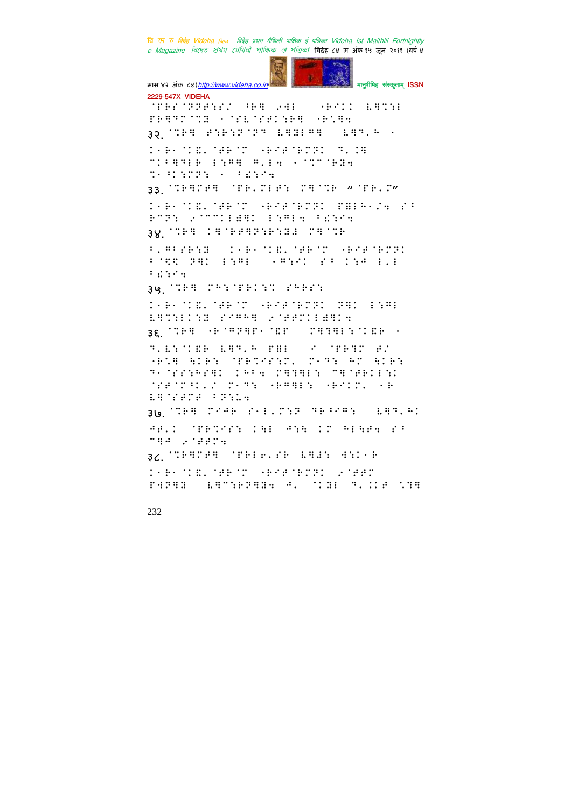मानुषीमिह संस्कृताम् ISSN मास ४२ अंक ८४) http://www.videha.co.in 2229-547X VIDEHA TERPIFERED HE SHE  $\cdot \cdot \cdot \cdot$ :  $1.41111$  $\mathbb{P}(\mathbb{H}(\mathbb{H}(\mathbb{T}(\mathbb{T}(\mathbb{H}(\mathbb{H}(\mathbb{H}(\mathbb{H}(\mathbb{H}(\mathbb{H}(\mathbb{H}(\mathbb{H}(\mathbb{H}(\mathbb{H}(\mathbb{H}(\mathbb{H}(\mathbb{H}(\mathbb{H}(\mathbb{H}(\mathbb{H}(\mathbb{H}(\mathbb{H}(\mathbb{H}(\mathbb{H}(\mathbb{H}(\mathbb{H}(\mathbb{H}(\mathbb{H}(\mathbb{H}(\mathbb{H}(\mathbb{H}(\mathbb{H}(\mathbb{H}(\mathbb{H}(\mathbb{H}(\mathbb{H}$ 32 THE PAPARTEN LEBERS LET. 5 . IN BY TEBL THE TO CHEFF TEDED CRUISE  $\mathcal{P}(\mathbb{P}(\mathbb{R}^n)) = \mathbb{P}(\mathbb{P}(\mathbb{R}^n)) = \mathbb{P}(\mathbb{P}(\mathbb{R}^n)) = \mathbb{P}(\mathbb{P}(\mathbb{R}^n)) = \mathbb{P}(\mathbb{P}(\mathbb{R}^n)) = \mathbb{P}(\mathbb{R}^n)$ TRIDATES ROBERTS 33 TERCHR TEELCHEN CRITE WIFELDW ISBS MELTER TO SPECIFICATE PERSON RT FTPS VITTIEMED ESPEN FESTA 3V TER LRIEFRIEEER TRITE

F. #FYBAB (1996) MEL MEBMO (1996) BODY FORECRED ENRICO FRANCISCO INFORMATION  $3.4334$ 

39 THE PROTECTO PRESS

ISBS MELOPENY SERPORTED PRISENE LUTTER TAU PAULU PAPERTE BULG 38. THE SECRET TEEL 

**SULTIME LESS FELOUS METAL EN** HANN ALAS (TARSPART) SPENG AD ALAS H. Marieren (1989) Medelin Membridi **TEACHING TARE ARREST ARTISTAR** LANTENE FRILA

30 \*\*\*\* 700+ 701,752 \*\*\*\*\* 1991.51

HELI TERTYEN INE HAN IT RENH ET nas vieros

32 TRATES TERRAIN LEAD SOLER

INDUCTION THE TOO REPAIRTED OF THE D FARAD (LATGERADA) AL CODE (PLODE) NOR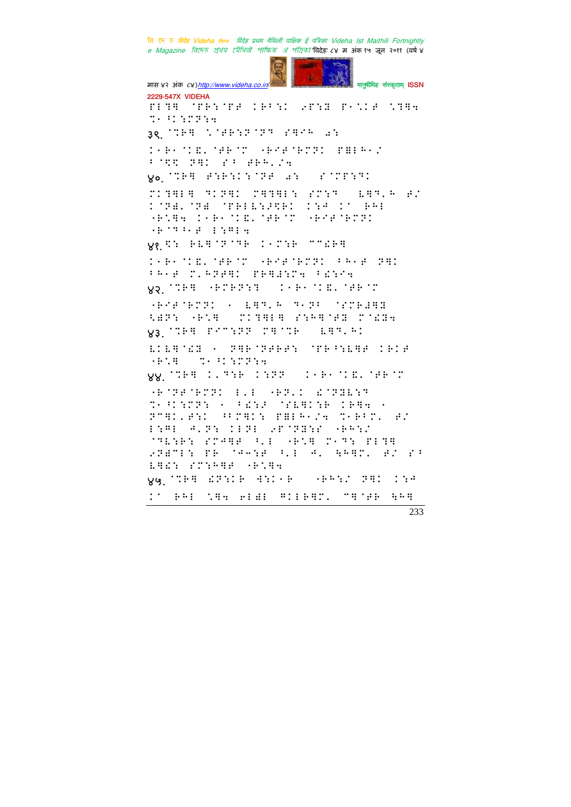मानुषीमिह संस्कृताम ISSN मास ४२ अंक ८४) http://www.videha.co.in 2229-547X VIDEHA FIRE TENTER IREN **SAMPLE PARTIE STREET** THAT STRAKE 30 TER LIFESPIER FROM 25 ISBS NEL MEETER SECRITEDED FELASIO FORE PRIOR FORESTS WouldER PARALAINE WAS SCIENTLY CONFERENCE PER CONTRESS SONS CONTRACTOR DORES TRE COPEENSARED (1980) DO BAE **ABANDER CARP TERL TRETT CARPETED BE**  $\begin{array}{ccccccccccccc} \cdot \texttt{p} & \cdot \texttt{p} & \cdot \texttt{p} & \cdot \texttt{p} & \cdot \texttt{p} & \cdot \texttt{p} & \cdot \texttt{p} & \cdot \texttt{p} \end{array}$ WERE BESTEDEN CONTROL TO 1989 MELTARTE SPARTREEL FROM PRI FACE TIPPERD PERSONAL FESCA VR. TOPH (HECEPAN) (1989) COEL TRETO ABPA (FASH) TITHER PARTIES TODES 93. TER PROVER CROTE (1871-51) LILUNGS - PUB TREES TOEPSLUE IEIE gg (DER 11956) 1599 (1196) DEL 18670  $\overline{AB}$  (PRIMATEL (F.F. )  $\overline{AB}$  (F.F. ) and PHEAM TRANSPORT ROADS CONNECTING THE REAL STAILANI PROBIN PALAKON SKREDU BO 1581 4.25 (121 /2012250 4851) TRAFFIC COMPACTS IN SPAR ON TACKERS SPETER PROTHURE PLEOR, ARREL BJ 87 1913 201998 9939 gg TIER EPSIE RAILE ( HERA PRI ISR IT PAILTRE FIBILITIERS, TRIPP ARE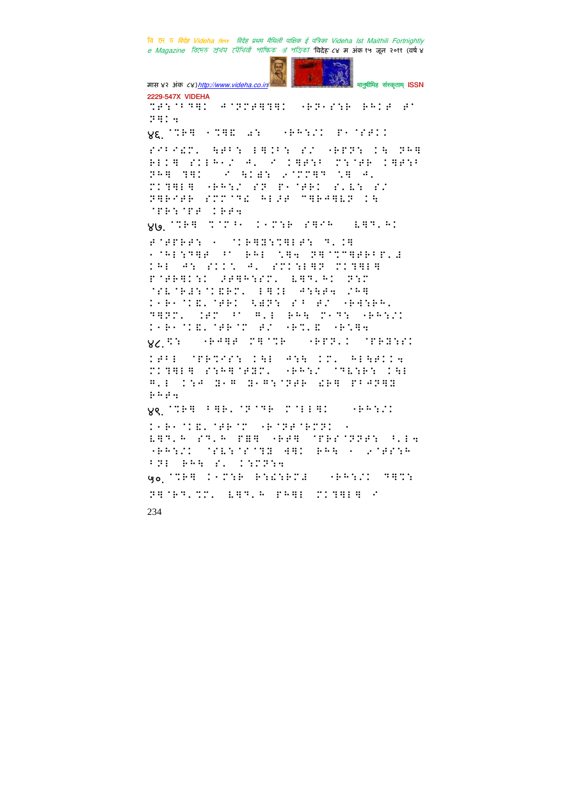मानुषीमिह संस्कृताम ISSN मास ४२ अंक ८४) http://www.videha.co.in 2229-547X VIDEHA

Ten miner.  $-4.19799991$  $\rightarrow$  FP  $\rightarrow$  TH  $\rightarrow$  FP  $\rightarrow$  T 2819

VELOTER PORE and PERMIT PROPERTY

PARADI REPACEMENT PLOTERS IN 258 BICH POINCE ALL K CHANN TANH CHANN 398 381 / 2 8185 27738 58 90 PITHER (FRANCISCO PRIMED) SLEATING PHERBE STORES REPROMIERED IN **STEAMER CERR** 

80.0000 COUNTY CHANGE SERVE LEEPLAD

a tarban () () tradnomrán ().<br>1911 nombro - Cabar Compagnon () a IRE AN VIIN AL VINNERS DIRER FORESING SPEENED, LES. PO SAD **TEL TELESCORED, CRAIN CANADA CONA** THE MILITED SERVICE PROPERTY PRODUCTORY POST PLEASED TAPS (PERSON 1989 MEL MARTINEZ (PRIE 1981A)  $85.5$ **SHARA TRITE SALES SERVICES** 

THE CORPORATIONS HAN IN PERMIT TIMBER PAPRINEER, SPPAR IMBARA IRE #1: 154 B-# B-#179#F BF# PF#9#B  $44444$ 

WOULDED FARLISTER CONFERD  $-1.55321$ 

CABA MELIMBAM (ABMPEMBORD) A ERROR STOR PHR (FEFT TEECTRIFE FOR E  $\left\{ \begin{array}{ccc} \frac{1}{2} \left( \frac{1}{2} \left( \frac{1}{2} \right) \right) \left( \frac{1}{2} \left( \frac{1}{2} \left( \frac{1}{2} \right) \right) \right) \left( \frac{1}{2} \left( \frac{1}{2} \right) \right) \left( \frac{1}{2} \left( \frac{1}{2} \right) \right) \left( \frac{1}{2} \left( \frac{1}{2} \right) \right) \left( \frac{1}{2} \left( \frac{1}{2} \right) \right) \left( \frac{1}{2} \left( \frac{1}{2} \right) \right) \left( \frac{1$ FREDRICK CONTROL go TRE CHINE PARABRA (PRESIDENTS

PETERLIC, ERRIA PARE CITRER C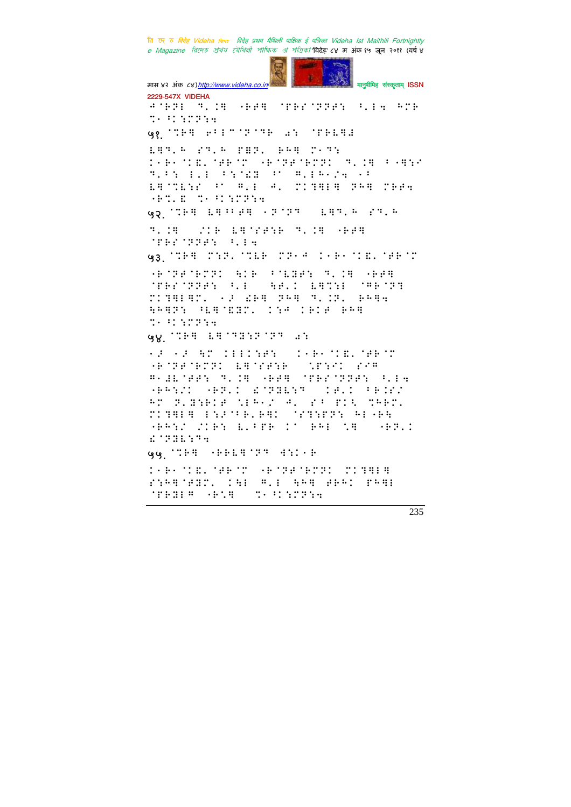मानुषीमिह संस्कृताम् ISSN मास ४२ अंक ८४) http://www.videha.co.in 2229-547X VIDEHA AMERICALIS (PER MERCIPER ALIA ATE THE STORES GO THE PERMITTE STATEMENT ERR. R. PR. R. PER. (PRR) 2375 IN BY MOBIL THE TOO HE TO PORT BOOK OF COURT A REPO  $\mathcal{R}_1 \oplus \mathcal{R}_2 \oplus \mathcal{R}_3 \oplus \mathcal{R}_4 \oplus \mathcal{R}_5 \oplus \mathcal{R}_6 \oplus \mathcal{R}_7 \oplus \mathcal{R}_7 \oplus \mathcal{R}_8 \oplus \mathcal{R}_7 \oplus \mathcal{R}_8 \oplus \mathcal{R}_8 \oplus \mathcal{R}_9 \oplus \mathcal{R}_9 \oplus \mathcal{R}_9 \oplus \mathcal{R}_9 \oplus \mathcal{R}_9 \oplus \mathcal{R}_9 \oplus \mathcal{R}_9 \oplus \mathcal{R}_9 \oplus \mathcal{R}_9 \oplus \mathcal{R}_9 \oplus$ EASTERS POST ALSO COMMANDED CAR CAPA  $\{0.71, 0.72, 0.75, 0.77, 0.95, 0.95, 0.95, 0.95, 0.95, 0.95, 0.95, 0.95, 0.95, 0.95, 0.95, 0.95, 0.95, 0.95, 0.95, 0.95, 0.95, 0.95, 0.95, 0.95, 0.95, 0.95, 0.95, 0.95, 0.95, 0.95, 0.95, 0.95, 0.95, 0.95, 0.95, 0.95, 0.$ 92. THE ESPIER FRIDA LESS, FRIDA P. IR (2018) ERICHTE P. IR (999) TERCTEFE S.IN 93 TER TERLITER TREATIVES TELLERIT HE TRETECTS ( RIF ) FOLDER ( R. 19) ( FER) **TERCIPERS R.E. HALL ENTIL INFORM** 2198182. (2)49889988.92.12. PR88 ARBEN (BROEDE) 158 1919 BRB  $T = 11.5113344$ leg TIER ERITEERITE an KA KA SPODILINAN ODKAKODI NAPOD  $\begin{array}{cccccccccc} \cdot\oplus & \cdot\oplus & \cdot\oplus & \cdot\oplus & \cdot\end{array} \quad \begin{array}{cccccccccc} \bot & \oplus & \cdot\end{array} \begin{array}{cccccccccc} \bot & \bullet & \cdot\end{array} \begin{array}{cccccccccc} \bot & \bullet & \cdot\end{array} \end{array}$  $\sim 125.44 \pm 0.004$ #POINTERS TO DECORPE TERRITARY (POPM HERNI HERI ZATRIKAR (19.1 FE12) AT PLEASE NEWS ALCOHOL: THE TABLE MINERAL BASIC PLANE (MANAGEMENT) PERSONALES ELFER IN BREATH (PERIO 27731774 GG TEE HEEETER HEL-E **INDUCTIONS OF A PROPERTY CONTROL** FARBINEZ, 1918 #11 989 #PRI FRU

 $\mathbf{TPF} \mathbf{H} \mathbf{F} = \mathbf{F} \mathbf{F} \mathbf{F} \mathbf{F}$ **Started Street**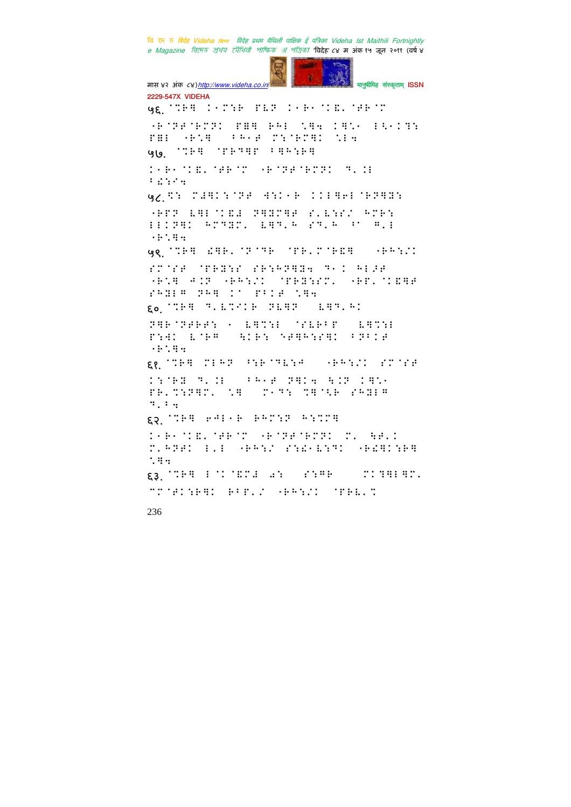मानुषीमिह संस्कृताम ISSN मास ४२ अंक ८४) http://www.videha.co.in 2229-547X VIDEHA GE THAT ISTER PER ISES THE TABETT  $\begin{minipage}{.4\linewidth} \begin{tabular}{l} \multicolumn{2}{c}{\textbf{0}} & \multicolumn{2}{c}{\textbf{0}} & \multicolumn{2}{c}{\textbf{0}} & \multicolumn{2}{c}{\textbf{0}} & \multicolumn{2}{c}{\textbf{0}} & \multicolumn{2}{c}{\textbf{1}} & \multicolumn{2}{c}{\textbf{2}} & \multicolumn{2}{c}{\textbf{3}} & \multicolumn{2}{c}{\textbf{4}} & \multicolumn{2}{c}{\textbf{5}} & \multicolumn{2}{c}{\textbf{6}} & \multicolumn{2}{c}{\textbf{7}} & \multicolumn{2}{c$ FBI (FRING) (FRIENCENTRIC INC. 90 7000 700000 000000 **IN BY MOBILITAR MT CHAMBE METER CORPORATION FENCY**  $Q \times T^*T = T^*T^*T^*T^*T^*T = T^*T^*T^*T = T^*T^*T^*T = T^*T^*T^*T = T^*T^*T^*T$ HER LANGING PASSAR PLENES ASSA EECPHI PTMHT, EHM, R PT, R PT P, B, E  $\pm 1.4\pm 0.01$ GO TEM SHELTFIRE TELLIBER (PERSI) FUNCH MURBAY FRANCHON SAIL RECH HENBURGE HERSEN STEEDSTELL HET, MODERN PAGER DAR IN PRIP NAM  $g_0$  (THE FULLICIE FLEED (EET. B) PHE TRAFFIC (CONTROL) TALEST CONTROL FARI EMPRO ALPA SPRAGED FRIDE  $\pm 0.44$ ER TIER CIERT PIETRISH (  $\rightarrow$  + + +  $\prime$  :  $\rightarrow$   $\prime$   $\prime$   $\prime$   $\prime$   $\pm$ 13768 7.00 (FR) FRD 2014 512 1916 FRITISHED, NH (2008) THOSE PARENT  $\mathcal{R}_1, \mathcal{R}_2, \mathcal{R}_3$ ER TOPH PHEFF PROTECTIVE ISBS MELOPENT SENFRONTED TO APOI T. PTF: (E.E. (PPP) / (TEN-ENT) (PPIP: NPB  $\ddot{\phantom{0}}$  .  $\ddot{\phantom{0}}$  .  $\ddot{\phantom{0}}$  . 83. TER EST TEDEVAN VINEE VOLTEERD. MOSELARED REPLACERRANIC SPRESS 236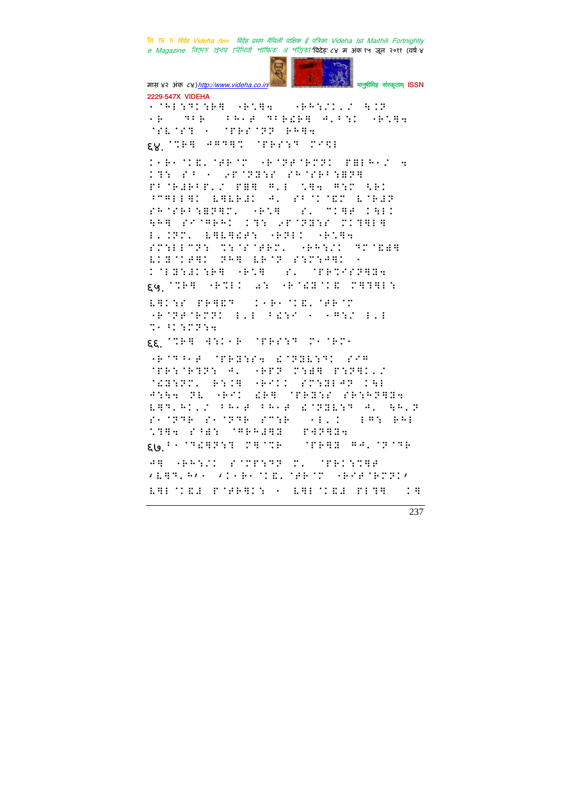## मानुषीमिह संस्कृताम ISSN मास ४२ अंक ८४) http://www.videha.co.in 2229-547X VIDEHA

 $-40.522117 - 4277$  $\sim$  H  $_\odot$  ,  $\sim$  M  $\rm H~H_{\odot}$  . TELOPIA COPEROPPORTH ERS TOPH HANNEL COPPORT CARD

THE PARTY SEPTIMENT PROPERTIES FRONDRICK FEB R.E. NHH RNT AND Anglia: Laurea: Al Sanctian Liead PROPERBEND, PENN (P. ONDER 1981) 555 FOREST LIB SECRET TIBER  $\pm$  . TRT,  $\pm$  HEREFY (FRH) (FNH) FUNDITURE TEST SPECIAL PROPERTY TO THE EDESCRIPT PROTECT PATTNONS CONSIGNATIONS OF A PARTY OF A CONTROL OF A CONTROL OF A CONTROL OF A CONTROL OF A CONTROL OF A CONTROL OF A CO gg TREE HERE: GA HERERICE CRIBES

LADAR PEARS (1999) THE MENT THE POINT POINT

EE TRAFFICATION OFFICIAL CONTROL

 $\left\{ \frac{1}{2} \left( \frac{1}{2} \left( \frac{1}{2} \right) + \frac{1}{2} \left( \frac{1}{2} \right) + \frac{1}{2} \left( \frac{1}{2} \right) + \frac{1}{2} \left( \frac{1}{2} \right) + \frac{1}{2} \left( \frac{1}{2} \right) + \frac{1}{2} \left( \frac{1}{2} \right) \right) \right\}$ TERNIFIEN AL SPER CHAR FARRICO MESSER, PAIN HERIT PRAINTER CHE ANNA PE (FRANCER CRESSE PRINTS) EST. POLICIERA E PRAVE ENTRENT (AL CHR. B rkitete rkitete rome (kalli samma ema 1984 PRES 1868283 PRESSE EQ. FOR THE RESIDENCE IN THE RESIDENCE OF THE

AN SERVIC POTENTS TO STEDRING  $\sqrt{1.471}$ ,  $h_{\ell}$  ,  $\ell$  ,  $\sqrt{1.4}$  ,  $h_{\ell}$  (1)  $E_{\ell}$  (1)  $H_{\ell}$  (1)  $\ell$  (1)  $H_{\ell}$  (1)  $H_{\ell}$  (1)  $H_{\ell}$ LAINTER POPPARTY ( LAINTER PIAR  $\pm$   $\mathbf{u}$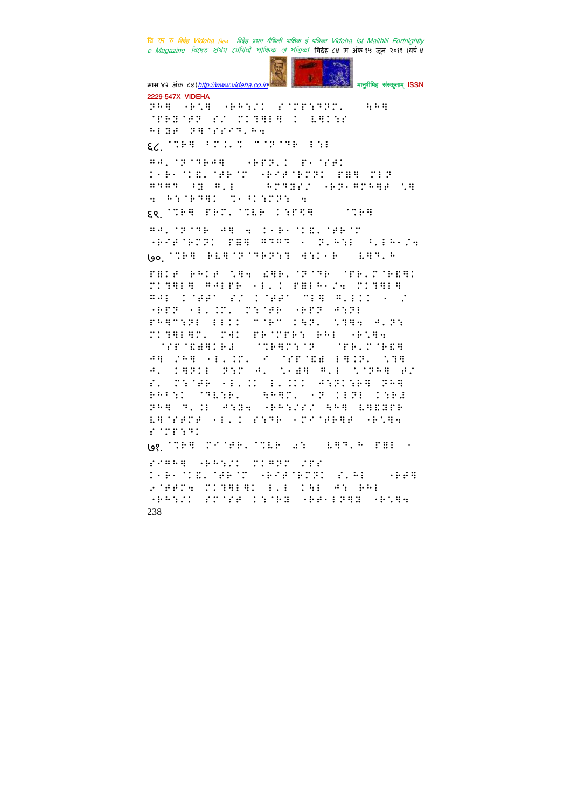मानुषीमिह संस्कृताम ISSN मास ४२ अंक ८४) http://www.videha.co.in 2229-547X VIDEHA  $\mathbb{P}^{(1)}\mathbb{P}^{(2)}\rightarrow\mathbb{P}^{(1)}\mathbb{P}^{(1)}\rightarrow\mathbb{P}^{(1)}\mathbb{P}^{(1)}\mathbb{P}^{(1)}\rightarrow\mathbb{P}^{(1)}\mathbb{P}^{(1)}\mathbb{P}^{(2)}\mathbb{P}^{(1)}\,,$  $z_1 \ldots z_l$ TERRITAR SENSITIONER IN SERIES  $0.138 - 24577777, 0.4$ 

**ECONOMIC PROVIDITIES ENE** 

##, 12.1964# () **SHEP.I POSSE TABA MELIMARMO ARMAMENDO PER COD BRANCH REAL PROPERTY SERVATAGE AN**  $\mathfrak{g} = \mathfrak{h}(\mathfrak{h}^{-1}\mathfrak{h}^{-1}\mathfrak{h}^{-1}\mathfrak{h}^{-1}) = \mathfrak{h}(\mathfrak{h}^{-1}\mathfrak{h}^{-1}\mathfrak{h}^{-1}\mathfrak{h}^{-1}) = \mathfrak{g}$ 

ER THE FED. THE CAPER  $11.94$ 

**ARE TRIPE AR A LEET PROTECTED**  $\left\{ \frac{1}{2} \left( \frac{1}{2} \left( \frac{1}{2} \right) \frac{1}{2} \right) \left( \frac{1}{2} \left( \frac{1}{2} \right) \frac{1}{2} \right) \right\} = \left\{ \frac{1}{2} \left( \frac{1}{2} \left( \frac{1}{2} \right) \right) \left( \frac{1}{2} \right) \left( \frac{1}{2} \right) \right\} = \left\{ \frac{1}{2} \left( \frac{1}{2} \right) \left( \frac{1}{2} \right) \right\}$ 

FEDERAL MARK CHEVITAL STEVENSHES CONTRACTORED FILO PHERICA CONTRAC RAE COMPANY POSSIBLE THROWLEDGES OF  $\overline{ABF}$  (Fig. 17, (75)  $\overline{AB}$  (FFF)  $\overline{ABF}$  (FFF) PROTECT TILL TORT 192. STER PLPS CONNECT CAL PROPER RAIL (PORT) THRIB RATING SYNCHOLOGYPHONE  $\sigma_{\rm 100}$ F. TANH (FLID B.ID) ANDINH JPB BREAT TREABLE ARREL FRONTIER INAB PRO P. IL PANG, PERSISI ARD ENEMPE EASYPPE FELIO PARE FOR SPEAK (FROM FOURNAL

68 TER PROPEL TEEL AND LERS FIRE A

FORFE (FRANCE TIRT) ATE ISBS MELTER MOVEMENT PORT CORPORATION 278874 7138831 111 131 45 851 ABRACI STORE CAOBE ABRAINED ABSER 238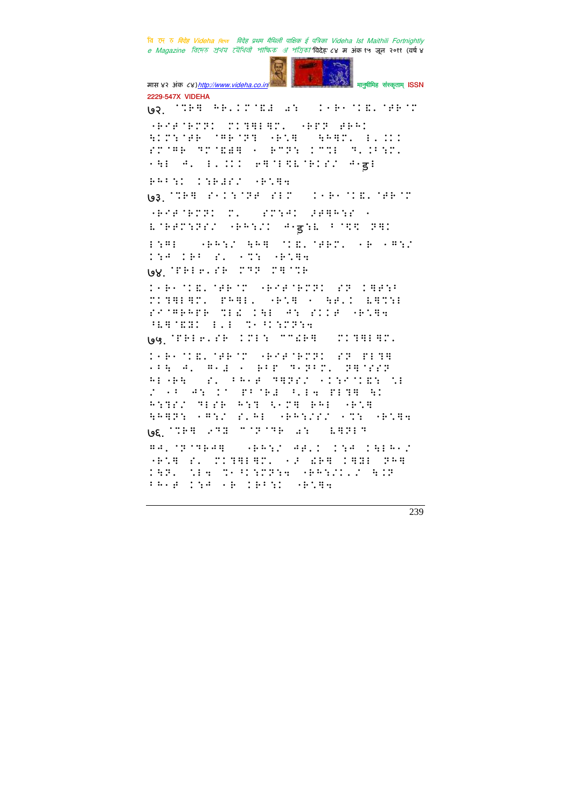| मानुषीमिह संस्कृताम् <b>ISSN</b><br>मास ४२ अंक ८४) http://www.videha.co.in                                                                                                                                                                                                                                                                                                                                            |
|-----------------------------------------------------------------------------------------------------------------------------------------------------------------------------------------------------------------------------------------------------------------------------------------------------------------------------------------------------------------------------------------------------------------------|
| 2229-547X VIDEHA                                                                                                                                                                                                                                                                                                                                                                                                      |
| @ąj (1989) Revolution (and of Paer Nome Tee No                                                                                                                                                                                                                                                                                                                                                                        |
| $\left\{ \frac{1}{2} \right\}$ $\left\{ \frac{1}{2} \right\}$ $\left\{ \frac{1}{2} \right\}$ $\left\{ \frac{1}{2} \right\}$ $\left\{ \frac{1}{2} \right\}$ $\left\{ \frac{1}{2} \right\}$ $\left\{ \frac{1}{2} \right\}$ $\left\{ \frac{1}{2} \right\}$                                                                                                                                                               |
| RODA NERODENO EN 1980 ERREGO (F.                                                                                                                                                                                                                                                                                                                                                                                      |
| KOMPER POMBAR (KREMOR (1991)<br>$\mathcal{F}_\sigma$ is an .                                                                                                                                                                                                                                                                                                                                                          |
| KAE (AV) EV II I (ARCERECAION) AK <mark>g</mark> e                                                                                                                                                                                                                                                                                                                                                                    |
| PRINT THRATT (PNAG                                                                                                                                                                                                                                                                                                                                                                                                    |
| $_{\mathsf{\mathsf{QQ}}}$ , when and international and $\mathbb{R}$ , and $\mathbb{R}$ , and $\mathbb{R}$                                                                                                                                                                                                                                                                                                             |
| $\mathcal{A}$ and $\mathcal{A}$ and $\mathcal{A}$ are also assumed as a sequence of $\mathcal{A}$                                                                                                                                                                                                                                                                                                                     |
| E GHADADAN (GHAAN) (Afgal (FITR) del                                                                                                                                                                                                                                                                                                                                                                                  |
| ESAL (1965) ARA (18.1867) (P.1957                                                                                                                                                                                                                                                                                                                                                                                     |
| 194 194 3. (1950) (PNH)                                                                                                                                                                                                                                                                                                                                                                                               |
| <b>UV</b> TELEVIE TEL TELTE                                                                                                                                                                                                                                                                                                                                                                                           |
| 1969 M.B. MAR MO (1678-1600) (2001-1664)                                                                                                                                                                                                                                                                                                                                                                              |
| 2199192. PH91. (PRS9) (SP.1) L9351                                                                                                                                                                                                                                                                                                                                                                                    |
| rkimeere der bas aan roof (eksem                                                                                                                                                                                                                                                                                                                                                                                      |
| $\{1,2,3,4\}$ , $\{1,3,4\}$ , $\{1,3,4\}$ , $\{2,3,4\}$                                                                                                                                                                                                                                                                                                                                                               |
| .gg TEELEL ZE COSEN CONSERVATIONS                                                                                                                                                                                                                                                                                                                                                                                     |
| 1989 M.B. MAR MO (PRYAMBOR) (2008) PENH                                                                                                                                                                                                                                                                                                                                                                               |
| kaa a. Aki kobar akeen, eengel                                                                                                                                                                                                                                                                                                                                                                                        |
| REARN (B. PRAF MARE) AINSIDE NE                                                                                                                                                                                                                                                                                                                                                                                       |
| 2009 AN IN BRITEL RIGHTER RI                                                                                                                                                                                                                                                                                                                                                                                          |
| PANEL MEER PAN SYSTEMPHE (PRIM                                                                                                                                                                                                                                                                                                                                                                                        |
| RRADA (KANS) B.R. (RRANSSES) (KONTROPRIA                                                                                                                                                                                                                                                                                                                                                                              |
| <b>UE</b> TREE STRUCTION OF SERVER                                                                                                                                                                                                                                                                                                                                                                                    |
| 进进。1931年获进度,1934年在12月进退。1932年1月11日开始了                                                                                                                                                                                                                                                                                                                                                                                 |
| $\mathcal{A}(\mathbb{R}^d,\mathbb{R}^d)$ , and there are the set of $\mathbb{R}^d$ , $\mathbb{R}^d$ are the set of $\mathbb{R}^d$ .                                                                                                                                                                                                                                                                                   |
| 192. New Trangery (BRNI.) 932                                                                                                                                                                                                                                                                                                                                                                                         |
| $\left\{ \begin{array}{ccc} +\frac{1}{2} & 1 & \frac{1}{2} & \frac{1}{2} & \frac{1}{2} & \frac{1}{2} & \frac{1}{2} & \frac{1}{2} & \frac{1}{2} & \frac{1}{2} & \frac{1}{2} & \frac{1}{2} & \frac{1}{2} & \frac{1}{2} & \frac{1}{2} & \frac{1}{2} & \frac{1}{2} & \frac{1}{2} & \frac{1}{2} & \frac{1}{2} & \frac{1}{2} & \frac{1}{2} & \frac{1}{2} & \frac{1}{2} & \frac{1}{2} & \frac{1}{2} & \frac{1}{$<br>$1.54\%$ |

 $\overline{239}$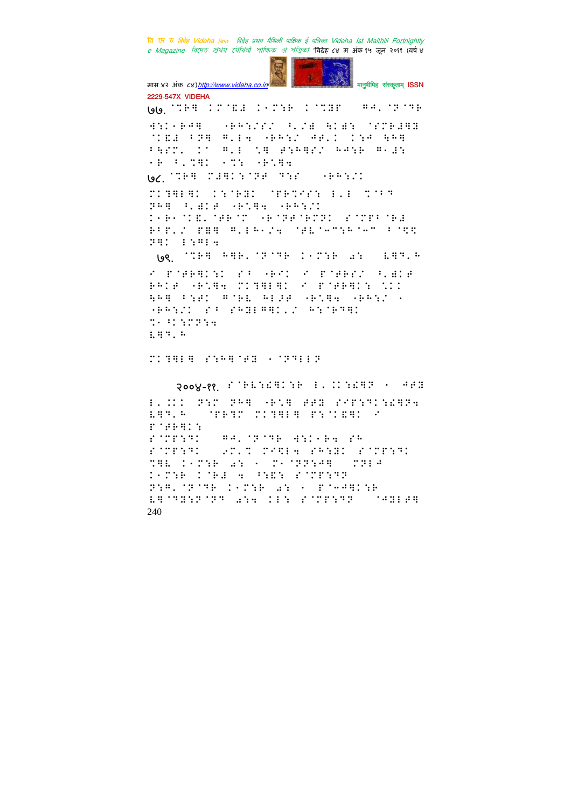मानुषीमिह संस्कृताम् ISSN मास ४२ अंक ८४) http://www.videha.co.in 2229-547X VIDEHA toto "TER INTER ISTNE ISTNE and and a strip of the second series 可与于人民中共"。 **SAPAZEZ PLZB RIBY MYTEBR** TEED FRACHERS (1991) HALL CITE ARE FRED. IN P.E. NE PAREEZ RANE POIN 192 TER PURINTER TER (1997) CONFIRMATION OF THE CARD RESIDENT OF THE **FRAME ROOMS FOR STRAINING** ISBS MILLIGENT SENFROEDED POTER ORD BREVIOLERS RUBBACH CHECHTSPORT ROSS FBI 15815 68. TER PRELIGITE LITTL SE  $1.9314$ K POPPEDAD ST (PRO K POPPESS FLADE PRIP (PRINT TITHER) A PAPPER NI 555 FSP #161 5128 SPN56 SP551  $1 - 11117774$ 1,97,8 **TITHER PARTNER (1978)** Rook-88 PLANDARD ARTIFICATION AND B. M. STAT THE GENE BEE PAPARINGERS LARGE COMPANY WINNER PROVINCE C FORESTA FORTHER  $\left( \begin{array}{ccccc} 0.06 & 0.01 & 0.01 & 0.01 & 0.01 & 0.01 & 0.01 & 0.01 & 0.01 & 0.01 & 0.01 & 0.01 & 0.01 & 0.01 & 0.01 & 0.01 & 0.01 & 0.01 & 0.01 & 0.01 & 0.01 & 0.01 & 0.01 & 0.01 & 0.01 & 0.01 & 0.01 & 0.01 & 0.01 & 0.01 & 0.01 & 0.01 & 0.01 & 0.01 & 0.01$ firms: SATUR PARES PRABIS POPPARI

rei 4 THE CONTROL AND OUTSITERED PARLIBURE CHINE WAS A PURPHELAR EASTREETER GRAU DER GOVERNE (OSABERA 240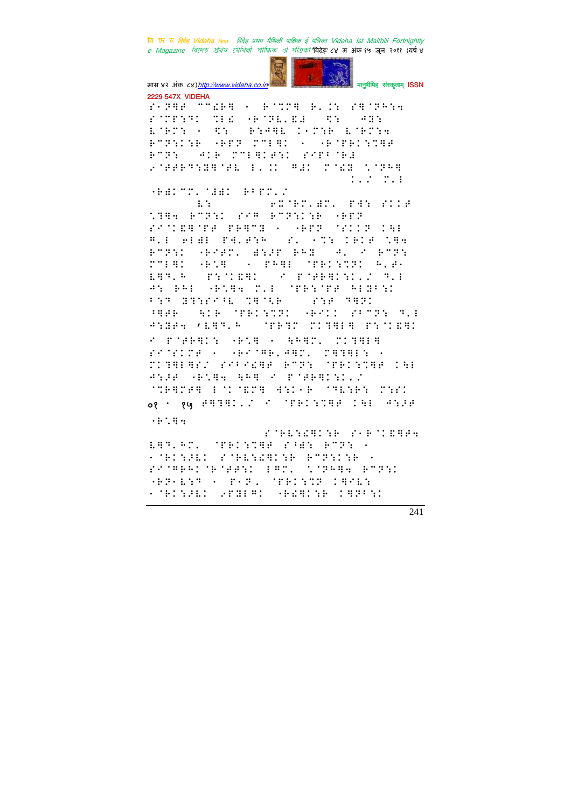## मानुषीमिह संस्कृताम ISSN मास ४२ अंक ८४) http://www.videha.co.in 2229-547X VIDEHA

PAPER TTERESS RITTLE R. IN PETPRNE Robramo Tirusa (pilota)  $\mathcal{L} = \{ \mathcal{L}^{\mathcal{L}}_{\mathcal{L}} \}_{\mathcal{L}} \mathcal{L} = \{ \mathcal{L}^{\mathcal{L}}_{\mathcal{L}} \}_{\mathcal{L}} \mathcal{L}$ ESPTA (CONTRACTORMENT COTABOLISTAR) BTPSINE (PEPP TTEM) ( PENPEINTER FTPS ( ALB TTERLAS) PAPENDE  $\therefore$   $\therefore$   $\therefore$   $\therefore$   $\therefore$ 

HELTT. MEL BRET.C

 $\sim$  edges and ranged and  $\mathbb{R}^{n}$  . In the  $n$ STRA POPSI PAR POPSISE (PPP) PACIERNES EPROXIA (PEER CRIIP INE P.E. FIEL TH.PAR (2) FTA IFIF 1988 emphi (Aeradi, anis employa, 20 emph  $779.91$  $\begin{array}{cccccccccc} \mathcal{A}(\mathbb{H}^1,\mathbb{H}^1) & \mathcal{A} & \mathbb{H}^1(\mathbb{H}^1,\mathbb{H}^1) & \mathbb{H}^1(\mathbb{H}^1,\mathbb{H}^1,\mathbb{H}^1) & \mathbb{H}^1(\mathbb{H}^1,\mathbb{H}^1) \end{array}$ ERRIA (FACIERI) / CONSERVATIVORIE AN ERICABLE TILL TEBNIFF RESPIT FAR BINGER SHORE  $\pm 1.0$   $\pm 0.000$ PRAEL ALE TEELATRI PERIC PRITRA RUE ANDRA VERTIA (COPED) MICHER PNOICH K PORPHIN SPAR FOR BRED, CLIPPER ganging a spanned anni chemery a CONTRACT PROPERTY FOR STRONGER ON ANDER PENNY ARRIVAL ESPERINIS **TERPER ENTER RAILE INESES PART** og + gg #8381.2 < TEB15388 191 +528

 $+1.144$ 

FORESHORE FOR CHEEF ERRIADI (TERIADRE PARA ANDRA). KINDSPEL PINESENDSE PTPSISE K PAIRBAN MEMBRAN (1971) SIMPADA (BMPA) **APPARATUS PARA MERINTE INFARA A MEDIGERED CARD ARRESTS ARRESTS**